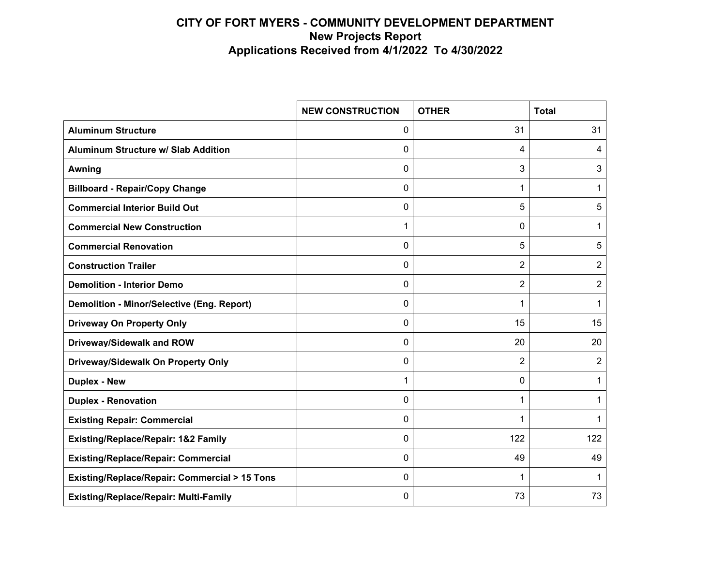|                                                   | <b>NEW CONSTRUCTION</b> | <b>OTHER</b>   | <b>Total</b>   |
|---------------------------------------------------|-------------------------|----------------|----------------|
| <b>Aluminum Structure</b>                         | 0                       | 31             | 31             |
| <b>Aluminum Structure w/ Slab Addition</b>        | 0                       | 4              | 4              |
| Awning                                            | 0                       | 3              | 3              |
| <b>Billboard - Repair/Copy Change</b>             | 0                       | 1              | 1              |
| <b>Commercial Interior Build Out</b>              | 0                       | 5              | 5              |
| <b>Commercial New Construction</b>                | 1                       | 0              | 1              |
| <b>Commercial Renovation</b>                      | 0                       | 5              | 5              |
| <b>Construction Trailer</b>                       | 0                       | $\overline{2}$ | 2              |
| <b>Demolition - Interior Demo</b>                 | 0                       | 2              | $\overline{2}$ |
| <b>Demolition - Minor/Selective (Eng. Report)</b> | 0                       | 1              | 1              |
| <b>Driveway On Property Only</b>                  | 0                       | 15             | 15             |
| Driveway/Sidewalk and ROW                         | 0                       | 20             | 20             |
| Driveway/Sidewalk On Property Only                | 0                       | $\overline{2}$ | 2              |
| <b>Duplex - New</b>                               | 1                       | 0              | 1              |
| <b>Duplex - Renovation</b>                        | 0                       | 1              | 1              |
| <b>Existing Repair: Commercial</b>                | 0                       | 1              | 1              |
| Existing/Replace/Repair: 1&2 Family               | 0                       | 122            | 122            |
| <b>Existing/Replace/Repair: Commercial</b>        | 0                       | 49             | 49             |
| Existing/Replace/Repair: Commercial > 15 Tons     | 0                       | 1              | 1              |
| <b>Existing/Replace/Repair: Multi-Family</b>      | 0                       | 73             | 73             |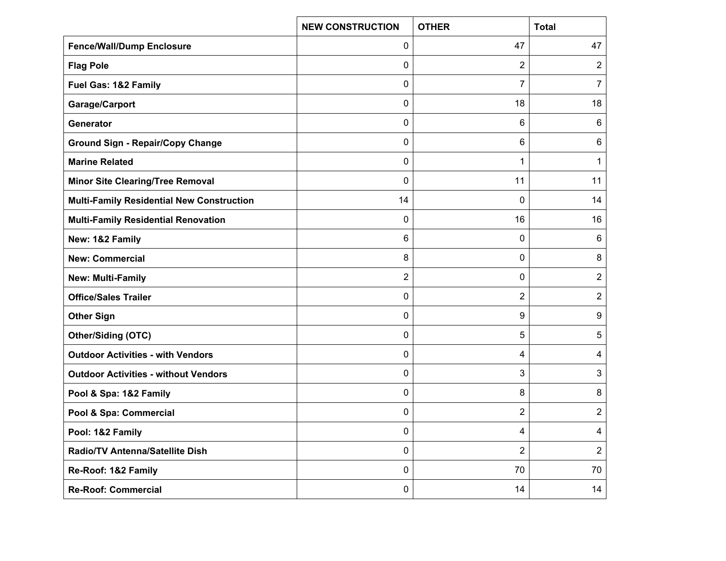|                                                  | <b>NEW CONSTRUCTION</b> | <b>OTHER</b>   | <b>Total</b>   |
|--------------------------------------------------|-------------------------|----------------|----------------|
| <b>Fence/Wall/Dump Enclosure</b>                 | 0                       | 47             | 47             |
| <b>Flag Pole</b>                                 | 0                       | 2              | $\overline{2}$ |
| Fuel Gas: 1&2 Family                             | 0                       | 7              | 7              |
| Garage/Carport                                   | 0                       | 18             | 18             |
| Generator                                        | 0                       | 6              | 6              |
| <b>Ground Sign - Repair/Copy Change</b>          | 0                       | 6              | 6              |
| <b>Marine Related</b>                            | 0                       | 1              | 1              |
| <b>Minor Site Clearing/Tree Removal</b>          | 0                       | 11             | 11             |
| <b>Multi-Family Residential New Construction</b> | 14                      | 0              | 14             |
| <b>Multi-Family Residential Renovation</b>       | 0                       | 16             | 16             |
| New: 1&2 Family                                  | 6                       | 0              | 6              |
| <b>New: Commercial</b>                           | 8                       | 0              | 8              |
| <b>New: Multi-Family</b>                         | $\overline{2}$          | 0              | $\overline{2}$ |
| <b>Office/Sales Trailer</b>                      | 0                       | 2              | $\overline{2}$ |
| <b>Other Sign</b>                                | 0                       | 9              | 9              |
| <b>Other/Siding (OTC)</b>                        | 0                       | 5              | 5              |
| <b>Outdoor Activities - with Vendors</b>         | 0                       | 4              | 4              |
| <b>Outdoor Activities - without Vendors</b>      | 0                       | 3              | 3              |
| Pool & Spa: 1&2 Family                           | 0                       | 8              | 8              |
| Pool & Spa: Commercial                           | 0                       | 2              | $\overline{2}$ |
| Pool: 1&2 Family                                 | 0                       | 4              | 4              |
| Radio/TV Antenna/Satellite Dish                  | 0                       | $\overline{2}$ | $\overline{2}$ |
| Re-Roof: 1&2 Family                              | 0                       | 70             | 70             |
| <b>Re-Roof: Commercial</b>                       | 0                       | 14             | 14             |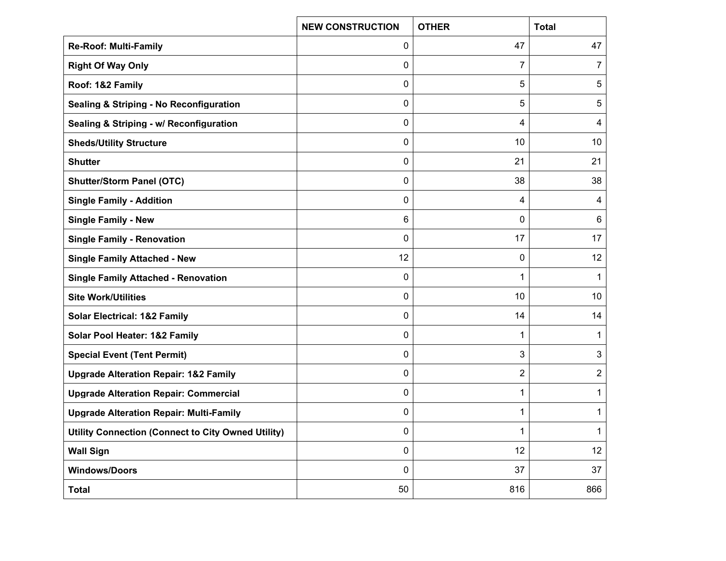|                                                    | <b>NEW CONSTRUCTION</b> | <b>OTHER</b> | <b>Total</b>   |
|----------------------------------------------------|-------------------------|--------------|----------------|
| <b>Re-Roof: Multi-Family</b>                       | 0                       | 47           | 47             |
| <b>Right Of Way Only</b>                           | 0                       | 7            | 7              |
| Roof: 1&2 Family                                   | 0                       | 5            | 5              |
| <b>Sealing &amp; Striping - No Reconfiguration</b> | 0                       | 5            | 5              |
| Sealing & Striping - w/ Reconfiguration            | 0                       | 4            | 4              |
| <b>Sheds/Utility Structure</b>                     | 0                       | 10           | 10             |
| <b>Shutter</b>                                     | 0                       | 21           | 21             |
| <b>Shutter/Storm Panel (OTC)</b>                   | 0                       | 38           | 38             |
| <b>Single Family - Addition</b>                    | 0                       | 4            | 4              |
| <b>Single Family - New</b>                         | 6                       | 0            | 6              |
| <b>Single Family - Renovation</b>                  | 0                       | 17           | 17             |
| <b>Single Family Attached - New</b>                | 12                      | 0            | 12             |
| <b>Single Family Attached - Renovation</b>         | 0                       | 1            | 1              |
| <b>Site Work/Utilities</b>                         | 0                       | 10           | 10             |
| <b>Solar Electrical: 1&amp;2 Family</b>            | 0                       | 14           | 14             |
| Solar Pool Heater: 1&2 Family                      | 0                       | 1            | $\mathbf 1$    |
| <b>Special Event (Tent Permit)</b>                 | 0                       | 3            | 3              |
| <b>Upgrade Alteration Repair: 1&amp;2 Family</b>   | 0                       | 2            | $\overline{2}$ |
| <b>Upgrade Alteration Repair: Commercial</b>       | 0                       | 1            | 1              |
| <b>Upgrade Alteration Repair: Multi-Family</b>     | 0                       | 1            | $\mathbf 1$    |
| Utility Connection (Connect to City Owned Utility) | 0                       | 1            | 1              |
| <b>Wall Sign</b>                                   | 0                       | 12           | 12             |
| <b>Windows/Doors</b>                               | 0                       | 37           | 37             |
| <b>Total</b>                                       | 50                      | 816          | 866            |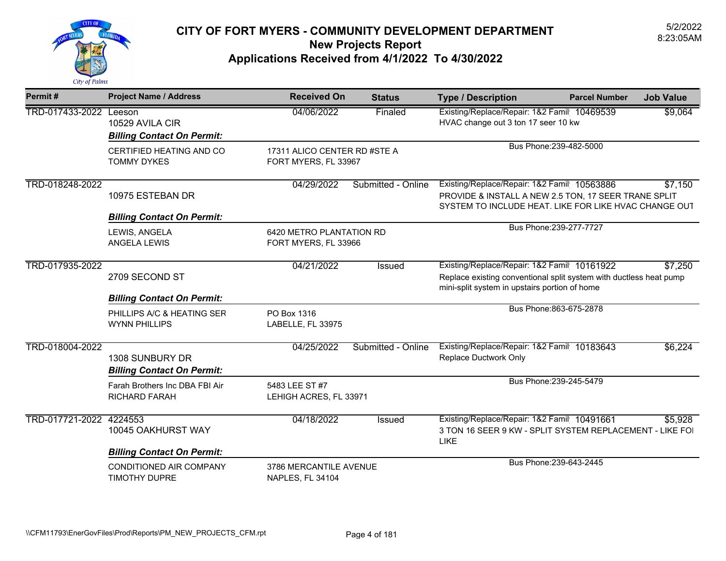

| Permit#                | <b>Project Name / Address</b>                                             | <b>Received On</b>                                   | <b>Status</b>      | <b>Type / Description</b>                                                                                                                                               | <b>Parcel Number</b>    | <b>Job Value</b> |
|------------------------|---------------------------------------------------------------------------|------------------------------------------------------|--------------------|-------------------------------------------------------------------------------------------------------------------------------------------------------------------------|-------------------------|------------------|
| TRD-017433-2022 Leeson | 10529 AVILA CIR<br><b>Billing Contact On Permit:</b>                      | 04/06/2022                                           | Finaled            | Existing/Replace/Repair: 1&2 Famil 10469539<br>HVAC change out 3 ton 17 seer 10 kw                                                                                      |                         | \$9,064          |
|                        | CERTIFIED HEATING AND CO<br><b>TOMMY DYKES</b>                            | 17311 ALICO CENTER RD #STE A<br>FORT MYERS, FL 33967 |                    |                                                                                                                                                                         | Bus Phone: 239-482-5000 |                  |
| TRD-018248-2022        | 10975 ESTEBAN DR                                                          | 04/29/2022                                           | Submitted - Online | Existing/Replace/Repair: 1&2 Famil 10563886<br>\$7,150<br>PROVIDE & INSTALL A NEW 2.5 TON, 17 SEER TRANE SPLIT<br>SYSTEM TO INCLUDE HEAT. LIKE FOR LIKE HVAC CHANGE OUT |                         |                  |
|                        | <b>Billing Contact On Permit:</b><br>LEWIS, ANGELA<br><b>ANGELA LEWIS</b> | 6420 METRO PLANTATION RD<br>FORT MYERS, FL 33966     |                    | Bus Phone: 239-277-7727                                                                                                                                                 |                         |                  |
| TRD-017935-2022        | 2709 SECOND ST<br><b>Billing Contact On Permit:</b>                       | 04/21/2022                                           | Issued             | Existing/Replace/Repair: 1&2 Famil 10161922<br>Replace existing conventional split system with ductless heat pump<br>mini-split system in upstairs portion of home      |                         | \$7,250          |
|                        | PHILLIPS A/C & HEATING SER<br><b>WYNN PHILLIPS</b>                        | PO Box 1316<br>LABELLE, FL 33975                     |                    |                                                                                                                                                                         | Bus Phone: 863-675-2878 |                  |
| TRD-018004-2022        | 1308 SUNBURY DR<br><b>Billing Contact On Permit:</b>                      | 04/25/2022                                           | Submitted - Online | Existing/Replace/Repair: 1&2 Famil 10183643<br><b>Replace Ductwork Only</b>                                                                                             |                         | \$6,224          |
|                        | Farah Brothers Inc DBA FBI Air<br><b>RICHARD FARAH</b>                    | 5483 LEE ST #7<br>LEHIGH ACRES, FL 33971             |                    |                                                                                                                                                                         | Bus Phone: 239-245-5479 |                  |
| TRD-017721-2022        | 4224553<br>10045 OAKHURST WAY<br><b>Billing Contact On Permit:</b>        | 04/18/2022                                           | Issued             | Existing/Replace/Repair: 1&2 Famil 10491661<br>3 TON 16 SEER 9 KW - SPLIT SYSTEM REPLACEMENT - LIKE FOI<br>LIKE                                                         |                         | \$5,928          |
|                        | CONDITIONED AIR COMPANY<br>TIMOTHY DUPRE                                  | 3786 MERCANTILE AVENUE<br>NAPLES, FL 34104           |                    |                                                                                                                                                                         | Bus Phone: 239-643-2445 |                  |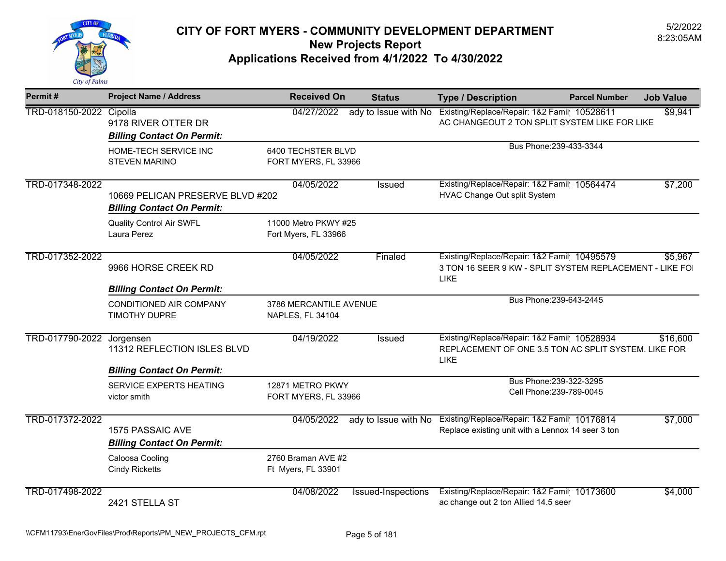

| Permit#                 | <b>Project Name / Address</b>                                         | <b>Received On</b>                           | <b>Status</b>        | <b>Type / Description</b>                                                                                              | <b>Parcel Number</b>                                | <b>Job Value</b> |
|-------------------------|-----------------------------------------------------------------------|----------------------------------------------|----------------------|------------------------------------------------------------------------------------------------------------------------|-----------------------------------------------------|------------------|
| TRD-018150-2022 Cipolla | 9178 RIVER OTTER DR<br><b>Billing Contact On Permit:</b>              | 04/27/2022                                   | ady to Issue with No | Existing/Replace/Repair: 1&2 Famil 10528611<br>AC CHANGEOUT 2 TON SPLIT SYSTEM LIKE FOR LIKE                           |                                                     | \$9,941          |
|                         | HOME-TECH SERVICE INC<br><b>STEVEN MARINO</b>                         | 6400 TECHSTER BLVD<br>FORT MYERS, FL 33966   |                      |                                                                                                                        | Bus Phone: 239-433-3344                             |                  |
| TRD-017348-2022         | 10669 PELICAN PRESERVE BLVD #202<br><b>Billing Contact On Permit:</b> | 04/05/2022                                   | Issued               | Existing/Replace/Repair: 1&2 Famil 10564474<br>HVAC Change Out split System                                            |                                                     | \$7,200          |
|                         | <b>Quality Control Air SWFL</b><br>Laura Perez                        | 11000 Metro PKWY #25<br>Fort Myers, FL 33966 |                      |                                                                                                                        |                                                     |                  |
| TRD-017352-2022         | 9966 HORSE CREEK RD                                                   | 04/05/2022                                   | Finaled              | Existing/Replace/Repair: 1&2 Famil 10495579<br>3 TON 16 SEER 9 KW - SPLIT SYSTEM REPLACEMENT - LIKE FOI<br><b>LIKE</b> |                                                     | \$5,967          |
|                         | <b>Billing Contact On Permit:</b>                                     |                                              |                      |                                                                                                                        |                                                     |                  |
|                         | CONDITIONED AIR COMPANY<br>TIMOTHY DUPRE                              | 3786 MERCANTILE AVENUE<br>NAPLES, FL 34104   |                      |                                                                                                                        | Bus Phone: 239-643-2445                             |                  |
| TRD-017790-2022         | Jorgensen<br>11312 REFLECTION ISLES BLVD                              | 04/19/2022                                   | Issued               | Existing/Replace/Repair: 1&2 Famil 10528934<br>REPLACEMENT OF ONE 3.5 TON AC SPLIT SYSTEM. LIKE FOR<br><b>LIKE</b>     |                                                     | \$16,600         |
|                         | <b>Billing Contact On Permit:</b>                                     |                                              |                      |                                                                                                                        |                                                     |                  |
|                         | SERVICE EXPERTS HEATING<br>victor smith                               | 12871 METRO PKWY<br>FORT MYERS, FL 33966     |                      |                                                                                                                        | Bus Phone: 239-322-3295<br>Cell Phone: 239-789-0045 |                  |
| TRD-017372-2022         | <b>1575 PASSAIC AVE</b><br><b>Billing Contact On Permit:</b>          | 04/05/2022                                   | ady to Issue with No | Existing/Replace/Repair: 1&2 Famil 10176814<br>Replace existing unit with a Lennox 14 seer 3 ton                       |                                                     | \$7,000          |
|                         | Caloosa Cooling<br><b>Cindy Ricketts</b>                              | 2760 Braman AVE #2<br>Ft Myers, FL 33901     |                      |                                                                                                                        |                                                     |                  |
| TRD-017498-2022         | 2421 STELLA ST                                                        | 04/08/2022                                   | Issued-Inspections   | Existing/Replace/Repair: 1&2 Famil 10173600<br>ac change out 2 ton Allied 14.5 seer                                    |                                                     | \$4,000          |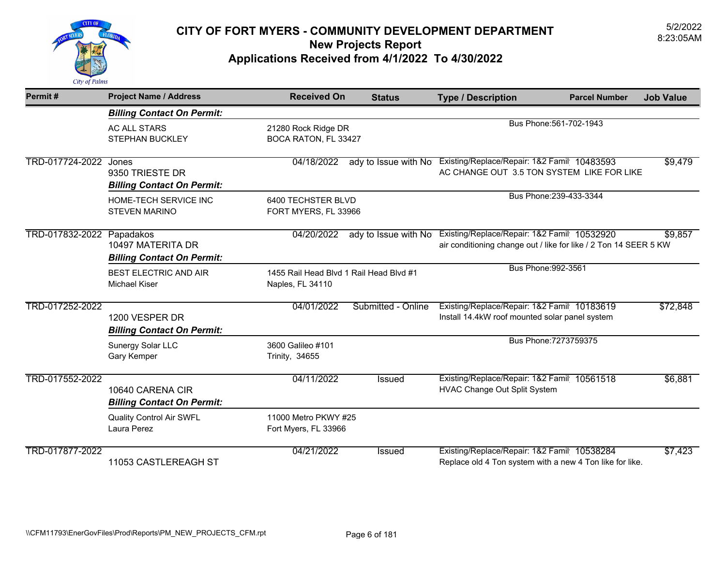

| Permit#               | <b>Project Name / Address</b>                                       | <b>Received On</b>                                          | <b>Status</b>        | <b>Type / Description</b>                                                                                       | <b>Parcel Number</b>    | <b>Job Value</b> |
|-----------------------|---------------------------------------------------------------------|-------------------------------------------------------------|----------------------|-----------------------------------------------------------------------------------------------------------------|-------------------------|------------------|
|                       | <b>Billing Contact On Permit:</b>                                   |                                                             |                      |                                                                                                                 |                         |                  |
|                       | <b>AC ALL STARS</b><br><b>STEPHAN BUCKLEY</b>                       | 21280 Rock Ridge DR<br>BOCA RATON, FL 33427                 |                      |                                                                                                                 | Bus Phone: 561-702-1943 |                  |
| TRD-017724-2022 Jones | 9350 TRIESTE DR<br><b>Billing Contact On Permit:</b>                | 04/18/2022                                                  |                      | ady to Issue with No Existing/Replace/Repair: 1&2 Famil 10483593<br>AC CHANGE OUT 3.5 TON SYSTEM LIKE FOR LIKE  |                         | \$9,479          |
|                       | HOME-TECH SERVICE INC<br><b>STEVEN MARINO</b>                       | 6400 TECHSTER BLVD<br>FORT MYERS, FL 33966                  |                      |                                                                                                                 | Bus Phone: 239-433-3344 |                  |
| TRD-017832-2022       | Papadakos<br>10497 MATERITA DR<br><b>Billing Contact On Permit:</b> | 04/20/2022                                                  | ady to Issue with No | Existing/Replace/Repair: 1&2 Famil 10532920<br>air conditioning change out / like for like / 2 Ton 14 SEER 5 KW |                         | \$9,857          |
|                       | <b>BEST ELECTRIC AND AIR</b><br><b>Michael Kiser</b>                | 1455 Rail Head Blvd 1 Rail Head Blvd #1<br>Naples, FL 34110 |                      | Bus Phone: 992-3561                                                                                             |                         |                  |
| TRD-017252-2022       | 1200 VESPER DR<br><b>Billing Contact On Permit:</b>                 | 04/01/2022                                                  | Submitted - Online   | Existing/Replace/Repair: 1&2 Famil 10183619<br>Install 14.4kW roof mounted solar panel system                   |                         | \$72,848         |
|                       | Sunergy Solar LLC<br>Gary Kemper                                    | 3600 Galileo #101<br>Trinity, 34655                         |                      |                                                                                                                 | Bus Phone: 7273759375   |                  |
| TRD-017552-2022       | 10640 CARENA CIR<br><b>Billing Contact On Permit:</b>               | 04/11/2022                                                  | <b>Issued</b>        | Existing/Replace/Repair: 1&2 Famil 10561518<br>HVAC Change Out Split System                                     |                         | \$6,881          |
|                       | <b>Quality Control Air SWFL</b><br>Laura Perez                      | 11000 Metro PKWY #25<br>Fort Myers, FL 33966                |                      |                                                                                                                 |                         |                  |
| TRD-017877-2022       | 11053 CASTLEREAGH ST                                                | 04/21/2022                                                  | <b>Issued</b>        | Existing/Replace/Repair: 1&2 Famil 10538284<br>Replace old 4 Ton system with a new 4 Ton like for like.         |                         | \$7,423          |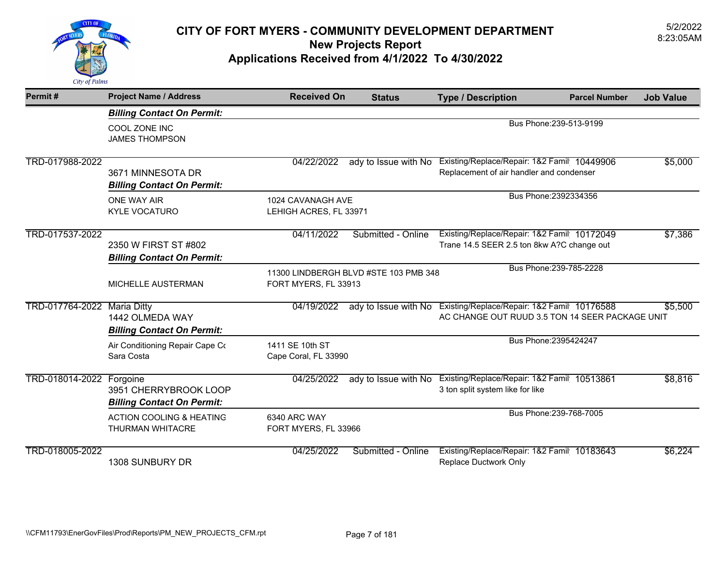

# 5/2/2022 **CITY OF FORT MYERS - COMMUNITY DEVELOPMENT DEPARTMENT** 8:23:05AM **New Projects Report**

#### **Applications Received from 4/1/2022 To 4/30/2022**

| Permit#         | <b>Project Name / Address</b>                                              | <b>Received On</b>                          | <b>Status</b>                         | <b>Type / Description</b>                                                                                           | <b>Parcel Number</b>    | <b>Job Value</b> |
|-----------------|----------------------------------------------------------------------------|---------------------------------------------|---------------------------------------|---------------------------------------------------------------------------------------------------------------------|-------------------------|------------------|
|                 | <b>Billing Contact On Permit:</b>                                          |                                             |                                       |                                                                                                                     |                         |                  |
|                 | COOL ZONE INC<br><b>JAMES THOMPSON</b>                                     |                                             |                                       |                                                                                                                     | Bus Phone: 239-513-9199 |                  |
| TRD-017988-2022 | 3671 MINNESOTA DR<br><b>Billing Contact On Permit:</b>                     | 04/22/2022                                  | ady to Issue with No                  | Existing/Replace/Repair: 1&2 Famil 10449906<br>Replacement of air handler and condenser                             |                         | \$5,000          |
|                 | ONE WAY AIR<br><b>KYLE VOCATURO</b>                                        | 1024 CAVANAGH AVE<br>LEHIGH ACRES, FL 33971 |                                       |                                                                                                                     | Bus Phone: 2392334356   |                  |
| TRD-017537-2022 | 2350 W FIRST ST #802<br><b>Billing Contact On Permit:</b>                  | 04/11/2022                                  | Submitted - Online                    | Existing/Replace/Repair: 1&2 Famil 10172049<br>Trane 14.5 SEER 2.5 ton 8kw A?C change out                           |                         | \$7,386          |
|                 | MICHELLE AUSTERMAN                                                         | FORT MYERS, FL 33913                        | 11300 LINDBERGH BLVD #STE 103 PMB 348 |                                                                                                                     | Bus Phone: 239-785-2228 |                  |
| TRD-017764-2022 | <b>Maria Ditty</b><br>1442 OLMEDA WAY<br><b>Billing Contact On Permit:</b> | 04/19/2022                                  |                                       | ady to Issue with No Existing/Replace/Repair: 1&2 Famil 10176588<br>AC CHANGE OUT RUUD 3.5 TON 14 SEER PACKAGE UNIT |                         | \$5,500          |
|                 | Air Conditioning Repair Cape Co<br>Sara Costa                              | 1411 SE 10th ST<br>Cape Coral, FL 33990     |                                       |                                                                                                                     | Bus Phone: 2395424247   |                  |
| TRD-018014-2022 | Forgoine<br>3951 CHERRYBROOK LOOP<br><b>Billing Contact On Permit:</b>     | 04/25/2022                                  |                                       | ady to Issue with No Existing/Replace/Repair: 1&2 Famil: 10513861<br>3 ton split system like for like               |                         | \$8,816          |
|                 | <b>ACTION COOLING &amp; HEATING</b><br>THURMAN WHITACRE                    | 6340 ARC WAY<br>FORT MYERS, FL 33966        |                                       |                                                                                                                     | Bus Phone: 239-768-7005 |                  |
| TRD-018005-2022 | 1308 SUNBURY DR                                                            | 04/25/2022                                  | Submitted - Online                    | Existing/Replace/Repair: 1&2 Famil 10183643<br>Replace Ductwork Only                                                |                         | \$6,224          |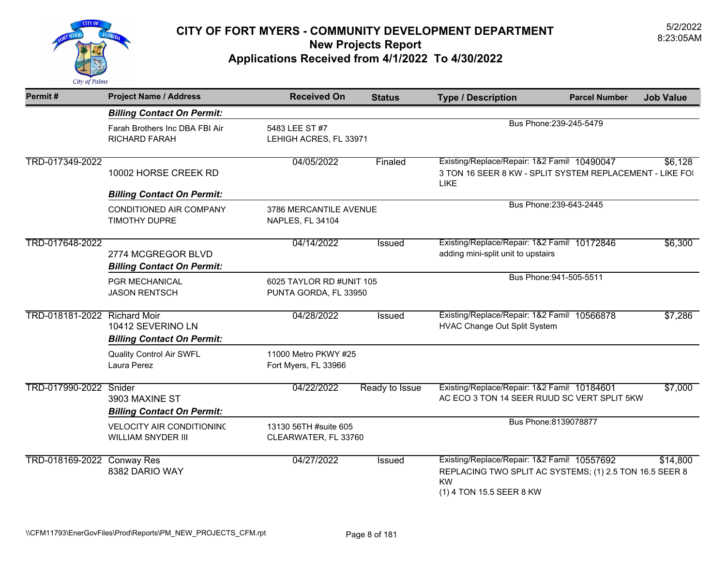

| Permit#                      | <b>Project Name / Address</b>                                 | <b>Received On</b>                                | <b>Status</b>  | <b>Type / Description</b>                                                                                                                       | <b>Parcel Number</b>    | <b>Job Value</b> |
|------------------------------|---------------------------------------------------------------|---------------------------------------------------|----------------|-------------------------------------------------------------------------------------------------------------------------------------------------|-------------------------|------------------|
|                              | <b>Billing Contact On Permit:</b>                             |                                                   |                |                                                                                                                                                 |                         |                  |
|                              | Farah Brothers Inc DBA FBI Air<br><b>RICHARD FARAH</b>        | 5483 LEE ST #7<br>LEHIGH ACRES, FL 33971          |                |                                                                                                                                                 | Bus Phone: 239-245-5479 |                  |
| TRD-017349-2022              | 10002 HORSE CREEK RD                                          | 04/05/2022                                        | Finaled        | Existing/Replace/Repair: 1&2 Famil 10490047<br>3 TON 16 SEER 8 KW - SPLIT SYSTEM REPLACEMENT - LIKE FOI<br>LIKE                                 |                         | \$6,128          |
|                              | <b>Billing Contact On Permit:</b>                             |                                                   |                |                                                                                                                                                 | Bus Phone: 239-643-2445 |                  |
|                              | CONDITIONED AIR COMPANY<br>TIMOTHY DUPRE                      | 3786 MERCANTILE AVENUE<br>NAPLES, FL 34104        |                |                                                                                                                                                 |                         |                  |
| TRD-017648-2022              | 2774 MCGREGOR BLVD<br><b>Billing Contact On Permit:</b>       | 04/14/2022                                        | <b>Issued</b>  | Existing/Replace/Repair: 1&2 Famil 10172846<br>adding mini-split unit to upstairs                                                               |                         | \$6,300          |
|                              | PGR MECHANICAL<br><b>JASON RENTSCH</b>                        | 6025 TAYLOR RD #UNIT 105<br>PUNTA GORDA, FL 33950 |                |                                                                                                                                                 | Bus Phone: 941-505-5511 |                  |
| TRD-018181-2022 Richard Moir | 10412 SEVERINO LN<br><b>Billing Contact On Permit:</b>        | 04/28/2022                                        | <b>Issued</b>  | Existing/Replace/Repair: 1&2 Famil 10566878<br>HVAC Change Out Split System                                                                     |                         | \$7,286          |
|                              | <b>Quality Control Air SWFL</b><br>Laura Perez                | 11000 Metro PKWY #25<br>Fort Myers, FL 33966      |                |                                                                                                                                                 |                         |                  |
| TRD-017990-2022 Snider       | 3903 MAXINE ST<br><b>Billing Contact On Permit:</b>           | 04/22/2022                                        | Ready to Issue | Existing/Replace/Repair: 1&2 Famil: 10184601<br>AC ECO 3 TON 14 SEER RUUD SC VERT SPLIT 5KW                                                     |                         | \$7,000          |
|                              | <b>VELOCITY AIR CONDITIONING</b><br><b>WILLIAM SNYDER III</b> | 13130 56TH #suite 605<br>CLEARWATER, FL 33760     |                |                                                                                                                                                 | Bus Phone: 8139078877   |                  |
| TRD-018169-2022 Conway Res   | 8382 DARIO WAY                                                | 04/27/2022                                        | <b>Issued</b>  | Existing/Replace/Repair: 1&2 Famil 10557692<br>REPLACING TWO SPLIT AC SYSTEMS; (1) 2.5 TON 16.5 SEER 8<br><b>KW</b><br>(1) 4 TON 15.5 SEER 8 KW |                         | \$14,800         |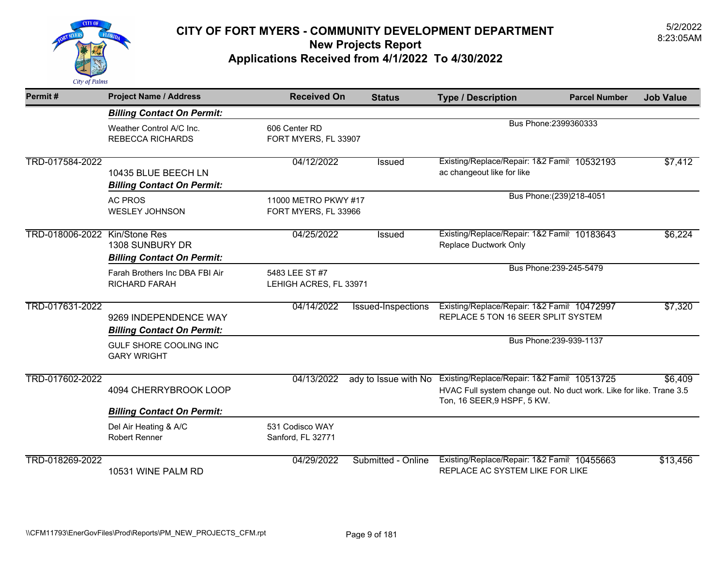

| Permit#                       | <b>Project Name / Address</b>                              | <b>Received On</b>                           | <b>Status</b>        | <b>Type / Description</b>                                                                                                                         | <b>Parcel Number</b>      | <b>Job Value</b> |
|-------------------------------|------------------------------------------------------------|----------------------------------------------|----------------------|---------------------------------------------------------------------------------------------------------------------------------------------------|---------------------------|------------------|
|                               | <b>Billing Contact On Permit:</b>                          |                                              |                      |                                                                                                                                                   |                           |                  |
|                               | Weather Control A/C Inc.<br><b>REBECCA RICHARDS</b>        | 606 Center RD<br>FORT MYERS, FL 33907        |                      |                                                                                                                                                   | Bus Phone: 2399360333     |                  |
| TRD-017584-2022               | 10435 BLUE BEECH LN<br><b>Billing Contact On Permit:</b>   | 04/12/2022                                   | Issued               | Existing/Replace/Repair: 1&2 Famil 10532193<br>ac changeout like for like                                                                         |                           | \$7,412          |
|                               | <b>AC PROS</b><br><b>WESLEY JOHNSON</b>                    | 11000 METRO PKWY #17<br>FORT MYERS, FL 33966 |                      |                                                                                                                                                   | Bus Phone: (239) 218-4051 |                  |
| TRD-018006-2022 Kin/Stone Res | 1308 SUNBURY DR<br><b>Billing Contact On Permit:</b>       | 04/25/2022                                   | Issued               | Existing/Replace/Repair: 1&2 Famil 10183643<br>Replace Ductwork Only                                                                              |                           | \$6,224          |
|                               | Farah Brothers Inc DBA FBI Air<br><b>RICHARD FARAH</b>     | 5483 LEE ST #7<br>LEHIGH ACRES, FL 33971     |                      |                                                                                                                                                   | Bus Phone: 239-245-5479   |                  |
| TRD-017631-2022               | 9269 INDEPENDENCE WAY<br><b>Billing Contact On Permit:</b> | 04/14/2022                                   | Issued-Inspections   | Existing/Replace/Repair: 1&2 Famil 10472997<br>REPLACE 5 TON 16 SEER SPLIT SYSTEM                                                                 |                           | \$7,320          |
|                               | GULF SHORE COOLING INC<br><b>GARY WRIGHT</b>               |                                              |                      |                                                                                                                                                   | Bus Phone: 239-939-1137   |                  |
| TRD-017602-2022               | 4094 CHERRYBROOK LOOP                                      | 04/13/2022                                   | ady to Issue with No | Existing/Replace/Repair: 1&2 Famil 10513725<br>HVAC Full system change out. No duct work. Like for like. Trane 3.5<br>Ton, 16 SEER, 9 HSPF, 5 KW. |                           | \$6,409          |
|                               | <b>Billing Contact On Permit:</b>                          |                                              |                      |                                                                                                                                                   |                           |                  |
|                               | Del Air Heating & A/C<br><b>Robert Renner</b>              | 531 Codisco WAY<br>Sanford, FL 32771         |                      |                                                                                                                                                   |                           |                  |
| TRD-018269-2022               | 10531 WINE PALM RD                                         | 04/29/2022                                   | Submitted - Online   | Existing/Replace/Repair: 1&2 Famil 10455663<br>REPLACE AC SYSTEM LIKE FOR LIKE                                                                    |                           | \$13,456         |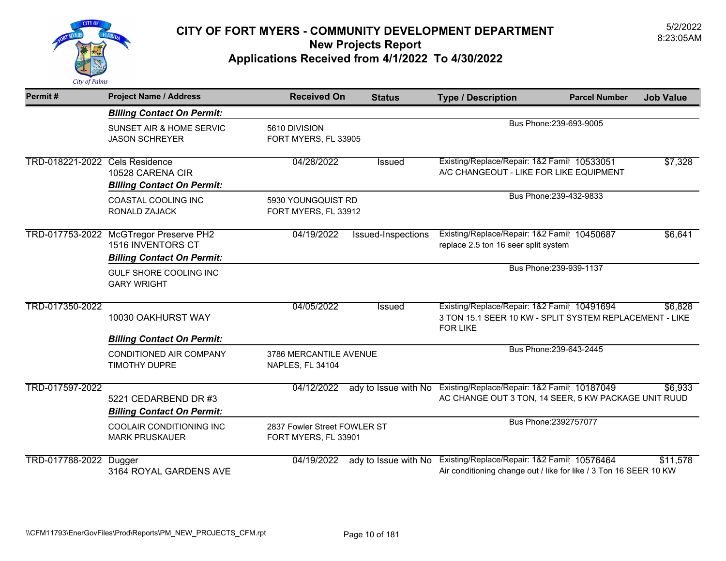

| Permit#                        | <b>Project Name / Address</b>                                                                           | <b>Received On</b>                                   | <b>Status</b>        | <b>Type / Description</b>                                                                                                 | <b>Parcel Number</b>    | <b>Job Value</b> |
|--------------------------------|---------------------------------------------------------------------------------------------------------|------------------------------------------------------|----------------------|---------------------------------------------------------------------------------------------------------------------------|-------------------------|------------------|
|                                | <b>Billing Contact On Permit:</b>                                                                       |                                                      |                      |                                                                                                                           |                         |                  |
|                                | SUNSET AIR & HOME SERVIC<br><b>JASON SCHREYER</b>                                                       | 5610 DIVISION<br>FORT MYERS, FL 33905                |                      |                                                                                                                           | Bus Phone: 239-693-9005 |                  |
| TRD-018221-2022 Cels Residence | 10528 CARENA CIR<br><b>Billing Contact On Permit:</b>                                                   | 04/28/2022                                           | Issued               | Existing/Replace/Repair: 1&2 Famil 10533051<br>A/C CHANGEOUT - LIKE FOR LIKE EQUIPMENT                                    |                         | \$7,328          |
|                                | COASTAL COOLING INC<br>RONALD ZAJACK                                                                    | 5930 YOUNGQUIST RD<br>FORT MYERS, FL 33912           |                      |                                                                                                                           | Bus Phone: 239-432-9833 |                  |
|                                | TRD-017753-2022 McGTregor Preserve PH2<br><b>1516 INVENTORS CT</b><br><b>Billing Contact On Permit:</b> | 04/19/2022                                           | Issued-Inspections   | Existing/Replace/Repair: 1&2 Famil 10450687<br>replace 2.5 ton 16 seer split system                                       |                         | \$6,641          |
|                                | GULF SHORE COOLING INC<br><b>GARY WRIGHT</b>                                                            |                                                      |                      |                                                                                                                           | Bus Phone: 239-939-1137 |                  |
| TRD-017350-2022                | 10030 OAKHURST WAY                                                                                      | 04/05/2022                                           | Issued               | Existing/Replace/Repair: 1&2 Famil 10491694<br>3 TON 15.1 SEER 10 KW - SPLIT SYSTEM REPLACEMENT - LIKE<br><b>FOR LIKE</b> |                         | \$6,828          |
|                                | <b>Billing Contact On Permit:</b><br><b>CONDITIONED AIR COMPANY</b><br><b>TIMOTHY DUPRE</b>             | 3786 MERCANTILE AVENUE<br>NAPLES, FL 34104           |                      |                                                                                                                           | Bus Phone: 239-643-2445 |                  |
| TRD-017597-2022                | 5221 CEDARBEND DR #3<br><b>Billing Contact On Permit:</b>                                               | 04/12/2022                                           | ady to Issue with No | Existing/Replace/Repair: 1&2 Famil 10187049<br>AC CHANGE OUT 3 TON, 14 SEER, 5 KW PACKAGE UNIT RUUD                       |                         | \$6,933          |
|                                | COOLAIR CONDITIONING INC<br><b>MARK PRUSKAUER</b>                                                       | 2837 Fowler Street FOWLER ST<br>FORT MYERS, FL 33901 |                      |                                                                                                                           | Bus Phone: 2392757077   |                  |
| TRD-017788-2022                | Dugger<br>3164 ROYAL GARDENS AVE                                                                        | 04/19/2022                                           | ady to Issue with No | Existing/Replace/Repair: 1&2 Famil 10576464<br>Air conditioning change out / like for like / 3 Ton 16 SEER 10 KW          |                         | \$11,578         |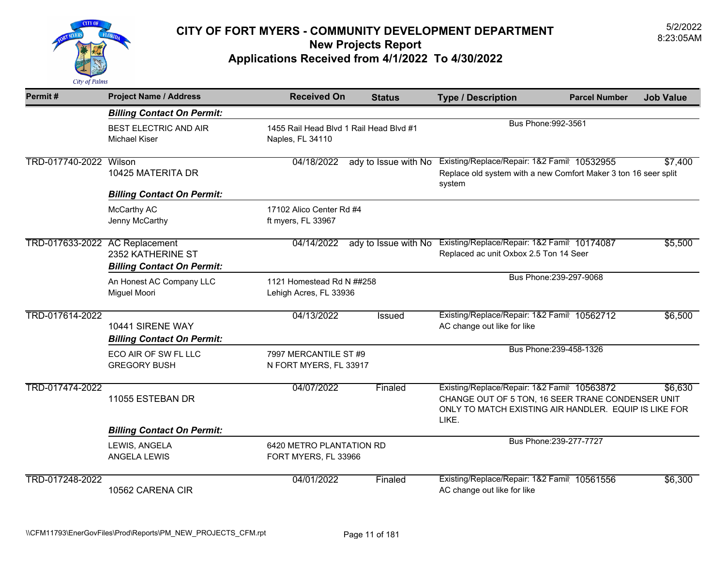

| Permit#                        | <b>Project Name / Address</b>                          | <b>Received On</b>                                          | <b>Status</b>        | <b>Type / Description</b>                                                                                                                                          | <b>Parcel Number</b>    | <b>Job Value</b> |
|--------------------------------|--------------------------------------------------------|-------------------------------------------------------------|----------------------|--------------------------------------------------------------------------------------------------------------------------------------------------------------------|-------------------------|------------------|
|                                | <b>Billing Contact On Permit:</b>                      |                                                             |                      |                                                                                                                                                                    |                         |                  |
|                                | <b>BEST ELECTRIC AND AIR</b><br><b>Michael Kiser</b>   | 1455 Rail Head Blvd 1 Rail Head Blvd #1<br>Naples, FL 34110 |                      | Bus Phone: 992-3561                                                                                                                                                |                         |                  |
| TRD-017740-2022 Wilson         | 10425 MATERITA DR<br><b>Billing Contact On Permit:</b> | 04/18/2022                                                  | ady to Issue with No | Existing/Replace/Repair: 1&2 Famil 10532955<br>Replace old system with a new Comfort Maker 3 ton 16 seer split<br>system                                           |                         | \$7,400          |
|                                | McCarthy AC<br>Jenny McCarthy                          | 17102 Alico Center Rd #4<br>ft myers, FL 33967              |                      |                                                                                                                                                                    |                         |                  |
| TRD-017633-2022 AC Replacement | 2352 KATHERINE ST<br><b>Billing Contact On Permit:</b> | 04/14/2022                                                  |                      | ady to Issue with No Existing/Replace/Repair: 1&2 Famil 10174087<br>Replaced ac unit Oxbox 2.5 Ton 14 Seer                                                         |                         | \$5,500          |
|                                | An Honest AC Company LLC<br>Miguel Moori               | 1121 Homestead Rd N ##258<br>Lehigh Acres, FL 33936         |                      |                                                                                                                                                                    | Bus Phone: 239-297-9068 |                  |
| TRD-017614-2022                | 10441 SIRENE WAY<br><b>Billing Contact On Permit:</b>  | 04/13/2022                                                  | Issued               | Existing/Replace/Repair: 1&2 Famil 10562712<br>AC change out like for like                                                                                         |                         | \$6,500          |
|                                | ECO AIR OF SW FL LLC<br><b>GREGORY BUSH</b>            | 7997 MERCANTILE ST #9<br>N FORT MYERS, FL 33917             |                      |                                                                                                                                                                    | Bus Phone: 239-458-1326 |                  |
| TRD-017474-2022                | 11055 ESTEBAN DR                                       | 04/07/2022                                                  | Finaled              | Existing/Replace/Repair: 1&2 Famil 10563872<br>CHANGE OUT OF 5 TON, 16 SEER TRANE CONDENSER UNIT<br>ONLY TO MATCH EXISTING AIR HANDLER. EQUIP IS LIKE FOR<br>LIKE. |                         | \$6,630          |
|                                | <b>Billing Contact On Permit:</b>                      |                                                             |                      |                                                                                                                                                                    |                         |                  |
|                                | LEWIS, ANGELA<br>ANGELA LEWIS                          | 6420 METRO PLANTATION RD<br>FORT MYERS, FL 33966            |                      |                                                                                                                                                                    | Bus Phone: 239-277-7727 |                  |
| TRD-017248-2022                | 10562 CARENA CIR                                       | 04/01/2022                                                  | Finaled              | Existing/Replace/Repair: 1&2 Famil 10561556<br>AC change out like for like                                                                                         |                         | \$6,300          |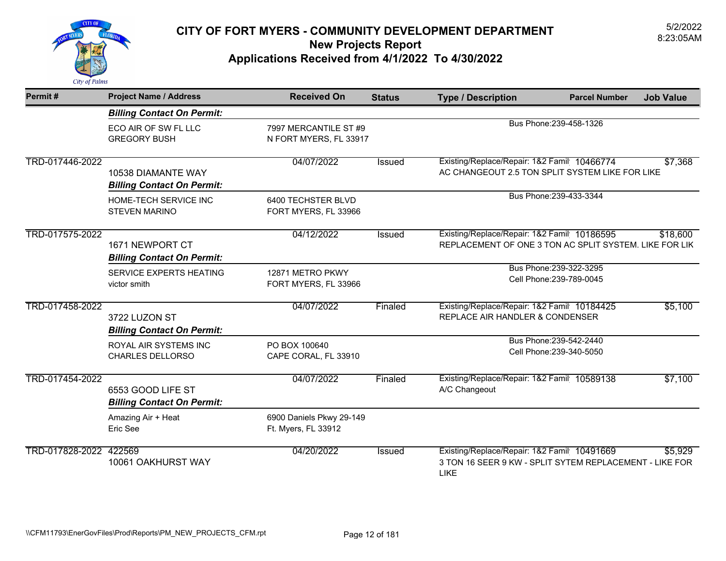

| Permit#                | <b>Project Name / Address</b>                                                                                                                                                                | <b>Received On</b>                              | <b>Status</b> | <b>Type / Description</b>                                                                                             | <b>Parcel Number</b>                                | <b>Job Value</b> |
|------------------------|----------------------------------------------------------------------------------------------------------------------------------------------------------------------------------------------|-------------------------------------------------|---------------|-----------------------------------------------------------------------------------------------------------------------|-----------------------------------------------------|------------------|
|                        | <b>Billing Contact On Permit:</b>                                                                                                                                                            |                                                 |               |                                                                                                                       |                                                     |                  |
|                        | ECO AIR OF SW FL LLC<br><b>GREGORY BUSH</b>                                                                                                                                                  | 7997 MERCANTILE ST #9<br>N FORT MYERS, FL 33917 |               |                                                                                                                       | Bus Phone: 239-458-1326                             |                  |
| TRD-017446-2022        | 10538 DIAMANTE WAY<br><b>Billing Contact On Permit:</b>                                                                                                                                      | 04/07/2022                                      | <b>Issued</b> | Existing/Replace/Repair: 1&2 Famil 10466774<br>AC CHANGEOUT 2.5 TON SPLIT SYSTEM LIKE FOR LIKE                        |                                                     | \$7,368          |
|                        | HOME-TECH SERVICE INC<br><b>STEVEN MARINO</b>                                                                                                                                                | 6400 TECHSTER BLVD<br>FORT MYERS, FL 33966      |               |                                                                                                                       | Bus Phone: 239-433-3344                             |                  |
| TRD-017575-2022        | 04/12/2022<br>Existing/Replace/Repair: 1&2 Famil 10186595<br><b>Issued</b><br>REPLACEMENT OF ONE 3 TON AC SPLIT SYSTEM. LIKE FOR LIK<br>1671 NEWPORT CT<br><b>Billing Contact On Permit:</b> |                                                 |               | \$18,600                                                                                                              |                                                     |                  |
|                        | SERVICE EXPERTS HEATING<br>victor smith                                                                                                                                                      | 12871 METRO PKWY<br>FORT MYERS, FL 33966        |               |                                                                                                                       | Bus Phone: 239-322-3295<br>Cell Phone: 239-789-0045 |                  |
| TRD-017458-2022        | 3722 LUZON ST<br><b>Billing Contact On Permit:</b>                                                                                                                                           | 04/07/2022                                      | Finaled       | Existing/Replace/Repair: 1&2 Famil 10184425<br>REPLACE AIR HANDLER & CONDENSER                                        |                                                     | \$5,100          |
|                        | ROYAL AIR SYSTEMS INC<br><b>CHARLES DELLORSO</b>                                                                                                                                             | PO BOX 100640<br>CAPE CORAL, FL 33910           |               |                                                                                                                       | Bus Phone: 239-542-2440<br>Cell Phone: 239-340-5050 |                  |
| TRD-017454-2022        | 6553 GOOD LIFE ST<br><b>Billing Contact On Permit:</b>                                                                                                                                       | 04/07/2022                                      | Finaled       | Existing/Replace/Repair: 1&2 Famil 10589138<br>A/C Changeout                                                          |                                                     | \$7,100          |
|                        | Amazing Air + Heat<br>Eric See                                                                                                                                                               | 6900 Daniels Pkwy 29-149<br>Ft. Myers, FL 33912 |               |                                                                                                                       |                                                     |                  |
| TRD-017828-2022 422569 | 10061 OAKHURST WAY                                                                                                                                                                           | 04/20/2022                                      | <b>Issued</b> | Existing/Replace/Repair: 1&2 Famil 10491669<br>3 TON 16 SEER 9 KW - SPLIT SYTEM REPLACEMENT - LIKE FOR<br><b>LIKE</b> |                                                     | \$5,929          |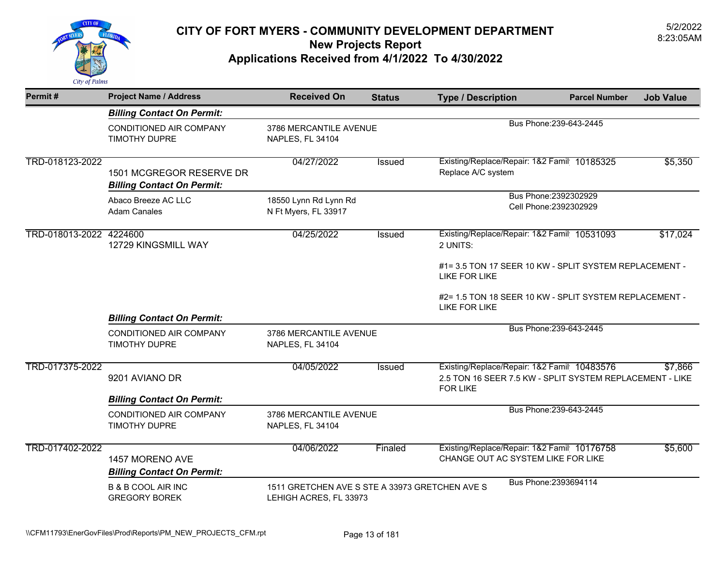

| Permit#                 | <b>Project Name / Address</b>                                 | <b>Received On</b>                                                       | <b>Status</b> | <b>Type / Description</b>                                                                                                  | <b>Parcel Number</b>    | <b>Job Value</b> |
|-------------------------|---------------------------------------------------------------|--------------------------------------------------------------------------|---------------|----------------------------------------------------------------------------------------------------------------------------|-------------------------|------------------|
|                         | <b>Billing Contact On Permit:</b>                             |                                                                          |               |                                                                                                                            |                         |                  |
|                         | CONDITIONED AIR COMPANY<br><b>TIMOTHY DUPRE</b>               | 3786 MERCANTILE AVENUE<br>NAPLES, FL 34104                               |               |                                                                                                                            | Bus Phone: 239-643-2445 |                  |
| TRD-018123-2022         | 1501 MCGREGOR RESERVE DR<br><b>Billing Contact On Permit:</b> | 04/27/2022                                                               | Issued        | Existing/Replace/Repair: 1&2 Famil 10185325<br>Replace A/C system                                                          |                         | \$5,350          |
|                         | Abaco Breeze AC LLC<br><b>Adam Canales</b>                    | 18550 Lynn Rd Lynn Rd<br>N Ft Myers, FL 33917                            |               | Bus Phone: 2392302929<br>Cell Phone: 2392302929                                                                            |                         |                  |
| TRD-018013-2022 4224600 | 12729 KINGSMILL WAY                                           | 04/25/2022                                                               | Issued        | Existing/Replace/Repair: 1&2 Famil 10531093<br>2 UNITS:                                                                    |                         | \$17,024         |
|                         |                                                               |                                                                          |               | #1= 3.5 TON 17 SEER 10 KW - SPLIT SYSTEM REPLACEMENT -<br>LIKE FOR LIKE                                                    |                         |                  |
|                         | <b>Billing Contact On Permit:</b>                             |                                                                          |               | #2= 1.5 TON 18 SEER 10 KW - SPLIT SYSTEM REPLACEMENT -<br><b>LIKE FOR LIKE</b>                                             |                         |                  |
|                         | CONDITIONED AIR COMPANY<br><b>TIMOTHY DUPRE</b>               | 3786 MERCANTILE AVENUE<br>NAPLES, FL 34104                               |               |                                                                                                                            | Bus Phone: 239-643-2445 |                  |
| TRD-017375-2022         | 9201 AVIANO DR                                                | 04/05/2022                                                               | Issued        | Existing/Replace/Repair: 1&2 Famil 10483576<br>2.5 TON 16 SEER 7.5 KW - SPLIT SYSTEM REPLACEMENT - LIKE<br><b>FOR LIKE</b> |                         | \$7,866          |
|                         | <b>Billing Contact On Permit:</b>                             |                                                                          |               |                                                                                                                            | Bus Phone: 239-643-2445 |                  |
|                         | <b>CONDITIONED AIR COMPANY</b><br><b>TIMOTHY DUPRE</b>        | 3786 MERCANTILE AVENUE<br>NAPLES, FL 34104                               |               |                                                                                                                            |                         |                  |
| TRD-017402-2022         | 1457 MORENO AVE<br><b>Billing Contact On Permit:</b>          | 04/06/2022                                                               | Finaled       | Existing/Replace/Repair: 1&2 Famil 10176758<br>CHANGE OUT AC SYSTEM LIKE FOR LIKE                                          |                         | \$5,600          |
|                         | <b>B &amp; B COOL AIR INC</b><br><b>GREGORY BOREK</b>         | 1511 GRETCHEN AVE S STE A 33973 GRETCHEN AVE S<br>LEHIGH ACRES, FL 33973 |               |                                                                                                                            | Bus Phone: 2393694114   |                  |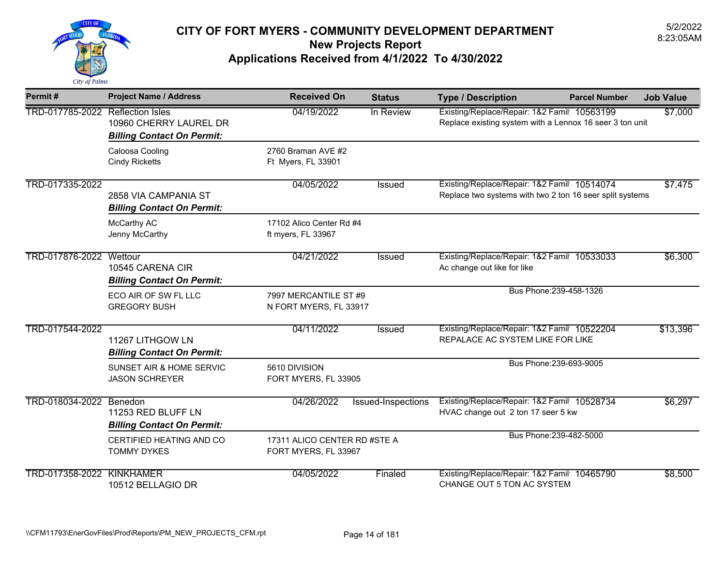

| Permit#                          | <b>Project Name / Address</b>                               | <b>Received On</b>                                   | <b>Status</b>      | <b>Type / Description</b>                                                                               | <b>Parcel Number</b> | <b>Job Value</b> |
|----------------------------------|-------------------------------------------------------------|------------------------------------------------------|--------------------|---------------------------------------------------------------------------------------------------------|----------------------|------------------|
| TRD-017785-2022 Reflection Isles | 10960 CHERRY LAUREL DR<br><b>Billing Contact On Permit:</b> | 04/19/2022                                           | In Review          | Existing/Replace/Repair: 1&2 Famil 10563199<br>Replace existing system with a Lennox 16 seer 3 ton unit |                      | \$7,000          |
|                                  | Caloosa Cooling<br><b>Cindy Ricketts</b>                    | 2760 Braman AVE #2<br>Ft Myers, FL 33901             |                    |                                                                                                         |                      |                  |
| TRD-017335-2022                  | 2858 VIA CAMPANIA ST<br><b>Billing Contact On Permit:</b>   | 04/05/2022                                           | Issued             | Existing/Replace/Repair: 1&2 Famil 10514074<br>Replace two systems with two 2 ton 16 seer split systems |                      | \$7,475          |
|                                  | McCarthy AC<br>Jenny McCarthy                               | 17102 Alico Center Rd #4<br>ft myers, FL 33967       |                    |                                                                                                         |                      |                  |
| TRD-017876-2022 Wettour          | 10545 CARENA CIR<br><b>Billing Contact On Permit:</b>       | 04/21/2022                                           | Issued             | Existing/Replace/Repair: 1&2 Famil 10533033<br>Ac change out like for like                              |                      | \$6,300          |
|                                  | ECO AIR OF SW FL LLC<br><b>GREGORY BUSH</b>                 | 7997 MERCANTILE ST #9<br>N FORT MYERS, FL 33917      |                    | Bus Phone: 239-458-1326                                                                                 |                      |                  |
| TRD-017544-2022                  | 11267 LITHGOW LN<br><b>Billing Contact On Permit:</b>       | 04/11/2022                                           | <b>Issued</b>      | Existing/Replace/Repair: 1&2 Famil 10522204<br>REPALACE AC SYSTEM LIKE FOR LIKE                         |                      | \$13,396         |
|                                  | SUNSET AIR & HOME SERVIC<br><b>JASON SCHREYER</b>           | 5610 DIVISION<br>FORT MYERS, FL 33905                |                    | Bus Phone: 239-693-9005                                                                                 |                      |                  |
| TRD-018034-2022 Benedon          | 11253 RED BLUFF LN<br><b>Billing Contact On Permit:</b>     | 04/26/2022                                           | Issued-Inspections | Existing/Replace/Repair: 1&2 Famil 10528734<br>HVAC change out 2 ton 17 seer 5 kw                       |                      | \$6,297          |
|                                  | CERTIFIED HEATING AND CO<br><b>TOMMY DYKES</b>              | 17311 ALICO CENTER RD #STE A<br>FORT MYERS, FL 33967 |                    | Bus Phone: 239-482-5000                                                                                 |                      |                  |
| <b>TRD-017358-2022 KINKHAMER</b> | 10512 BELLAGIO DR                                           | 04/05/2022                                           | Finaled            | Existing/Replace/Repair: 1&2 Famil 10465790<br>CHANGE OUT 5 TON AC SYSTEM                               |                      | \$8,500          |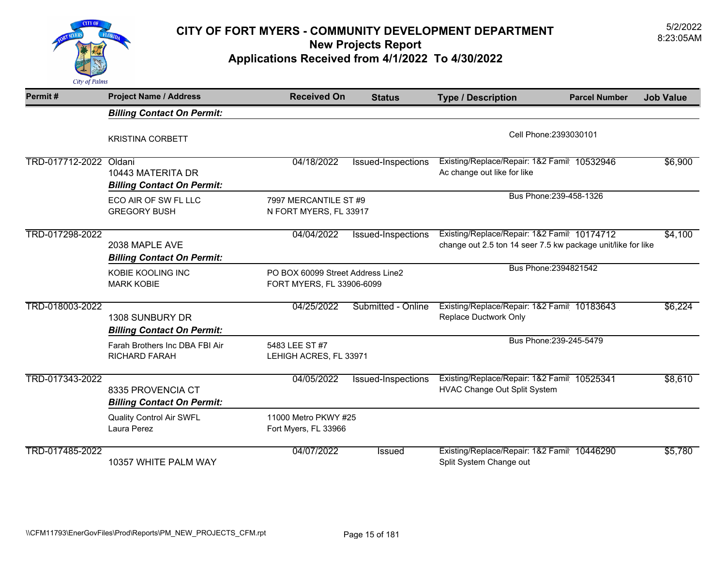

## 5/2/2022 **CITY OF FORT MYERS - COMMUNITY DEVELOPMENT DEPARTMENT** 8:23:05AM **New Projects Report**

**Applications Received from 4/1/2022 To 4/30/2022** 

| Permit#                | <b>Project Name / Address</b>                          | <b>Received On</b>                                             | <b>Status</b>      | <b>Type / Description</b>                                                                                   | <b>Parcel Number</b>    | <b>Job Value</b> |
|------------------------|--------------------------------------------------------|----------------------------------------------------------------|--------------------|-------------------------------------------------------------------------------------------------------------|-------------------------|------------------|
|                        | <b>Billing Contact On Permit:</b>                      |                                                                |                    |                                                                                                             |                         |                  |
|                        | <b>KRISTINA CORBETT</b>                                |                                                                |                    |                                                                                                             | Cell Phone: 2393030101  |                  |
| TRD-017712-2022 Oldani | 10443 MATERITA DR<br><b>Billing Contact On Permit:</b> | 04/18/2022                                                     | Issued-Inspections | Existing/Replace/Repair: 1&2 Famil 10532946<br>Ac change out like for like                                  |                         | \$6,900          |
|                        | ECO AIR OF SW FL LLC<br><b>GREGORY BUSH</b>            | 7997 MERCANTILE ST #9<br>N FORT MYERS, FL 33917                |                    |                                                                                                             | Bus Phone: 239-458-1326 |                  |
| TRD-017298-2022        | 2038 MAPLE AVE<br><b>Billing Contact On Permit:</b>    | 04/04/2022                                                     | Issued-Inspections | Existing/Replace/Repair: 1&2 Famil 10174712<br>change out 2.5 ton 14 seer 7.5 kw package unit/like for like |                         | \$4,100          |
|                        | KOBIE KOOLING INC<br><b>MARK KOBIE</b>                 | PO BOX 60099 Street Address Line2<br>FORT MYERS, FL 33906-6099 |                    |                                                                                                             | Bus Phone: 2394821542   |                  |
| TRD-018003-2022        | 1308 SUNBURY DR<br><b>Billing Contact On Permit:</b>   | 04/25/2022                                                     | Submitted - Online | Existing/Replace/Repair: 1&2 Famil 10183643<br>Replace Ductwork Only                                        |                         | \$6,224          |
|                        | Farah Brothers Inc DBA FBI Air<br><b>RICHARD FARAH</b> | 5483 LEE ST #7<br>LEHIGH ACRES, FL 33971                       |                    |                                                                                                             | Bus Phone: 239-245-5479 |                  |
| TRD-017343-2022        | 8335 PROVENCIA CT<br><b>Billing Contact On Permit:</b> | 04/05/2022                                                     | Issued-Inspections | Existing/Replace/Repair: 1&2 Famil 10525341<br>HVAC Change Out Split System                                 |                         | \$8,610          |
|                        | <b>Quality Control Air SWFL</b><br>Laura Perez         | 11000 Metro PKWY #25<br>Fort Myers, FL 33966                   |                    |                                                                                                             |                         |                  |
| TRD-017485-2022        | 10357 WHITE PALM WAY                                   | 04/07/2022                                                     | <b>Issued</b>      | Existing/Replace/Repair: 1&2 Famil 10446290<br>Split System Change out                                      |                         | \$5,780          |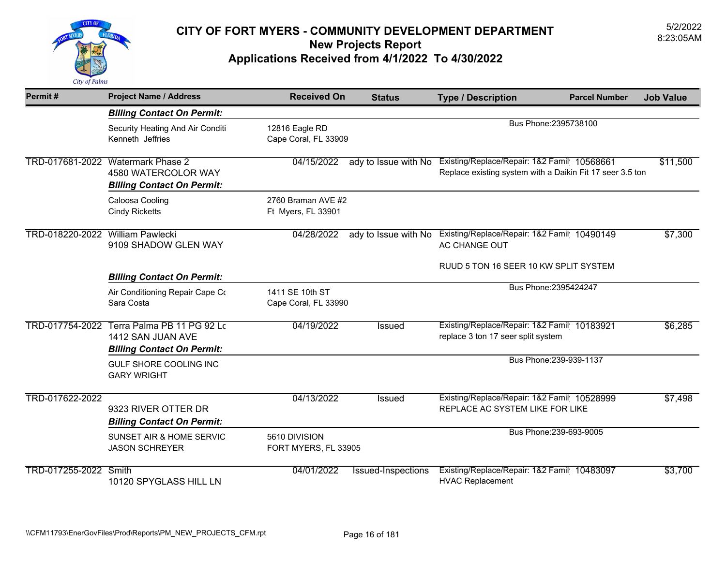

| Permit#                          | <b>Project Name / Address</b>                                                                 | <b>Received On</b>                       | <b>Status</b>             | <b>Type / Description</b>                                                                                | <b>Parcel Number</b>    | <b>Job Value</b> |
|----------------------------------|-----------------------------------------------------------------------------------------------|------------------------------------------|---------------------------|----------------------------------------------------------------------------------------------------------|-------------------------|------------------|
|                                  | <b>Billing Contact On Permit:</b>                                                             |                                          |                           |                                                                                                          |                         |                  |
|                                  | Security Heating And Air Conditi<br>Kenneth Jeffries                                          | 12816 Eagle RD<br>Cape Coral, FL 33909   |                           | Bus Phone: 2395738100                                                                                    |                         |                  |
|                                  | TRD-017681-2022 Watermark Phase 2<br>4580 WATERCOLOR WAY<br><b>Billing Contact On Permit:</b> | 04/15/2022                               | ady to Issue with No      | Existing/Replace/Repair: 1&2 Famil 10568661<br>Replace existing system with a Daikin Fit 17 seer 3.5 ton |                         | \$11,500         |
|                                  | Caloosa Cooling<br><b>Cindy Ricketts</b>                                                      | 2760 Braman AVE #2<br>Ft Myers, FL 33901 |                           |                                                                                                          |                         |                  |
| TRD-018220-2022 William Pawlecki | 9109 SHADOW GLEN WAY                                                                          | 04/28/2022                               | ady to Issue with No      | Existing/Replace/Repair: 1&2 Famil 10490149<br>AC CHANGE OUT                                             |                         | \$7,300          |
|                                  | <b>Billing Contact On Permit:</b>                                                             |                                          |                           | RUUD 5 TON 16 SEER 10 KW SPLIT SYSTEM                                                                    |                         |                  |
|                                  | Air Conditioning Repair Cape Co<br>Sara Costa                                                 | 1411 SE 10th ST<br>Cape Coral, FL 33990  |                           | Bus Phone: 2395424247                                                                                    |                         |                  |
| TRD-017754-2022                  | Terra Palma PB 11 PG 92 Lo<br>1412 SAN JUAN AVE<br><b>Billing Contact On Permit:</b>          | 04/19/2022                               | <b>Issued</b>             | Existing/Replace/Repair: 1&2 Famil 10183921<br>replace 3 ton 17 seer split system                        |                         | \$6,285          |
|                                  | GULF SHORE COOLING INC<br><b>GARY WRIGHT</b>                                                  |                                          |                           |                                                                                                          | Bus Phone: 239-939-1137 |                  |
| TRD-017622-2022                  | 9323 RIVER OTTER DR<br><b>Billing Contact On Permit:</b>                                      | 04/13/2022                               | Issued                    | Existing/Replace/Repair: 1&2 Famil 10528999<br>REPLACE AC SYSTEM LIKE FOR LIKE                           |                         | \$7,498          |
|                                  | <b>SUNSET AIR &amp; HOME SERVIC</b><br><b>JASON SCHREYER</b>                                  | 5610 DIVISION<br>FORT MYERS, FL 33905    |                           |                                                                                                          | Bus Phone: 239-693-9005 |                  |
| TRD-017255-2022 Smith            | 10120 SPYGLASS HILL LN                                                                        | 04/01/2022                               | <b>Issued-Inspections</b> | Existing/Replace/Repair: 1&2 Famil 10483097<br><b>HVAC Replacement</b>                                   |                         | \$3,700          |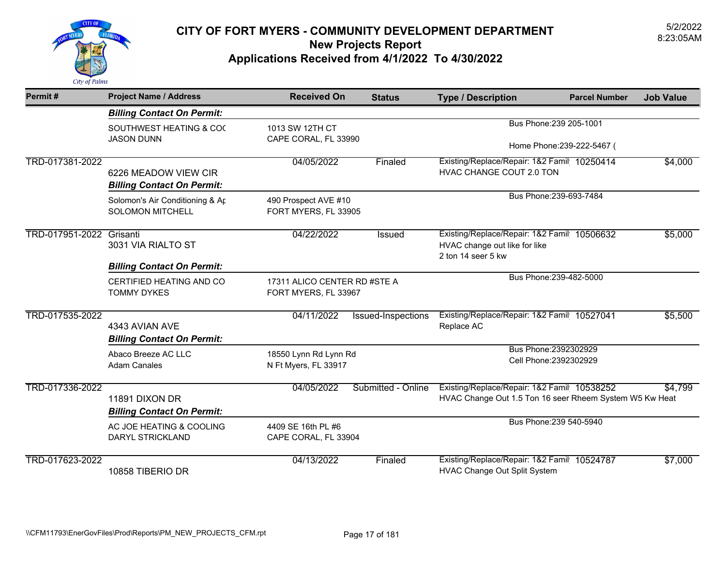

| Permit#                  | <b>Project Name / Address</b>                              | <b>Received On</b>                                   | <b>Status</b>      | <b>Type / Description</b>                                                                              | <b>Parcel Number</b>                            | <b>Job Value</b> |
|--------------------------|------------------------------------------------------------|------------------------------------------------------|--------------------|--------------------------------------------------------------------------------------------------------|-------------------------------------------------|------------------|
|                          | <b>Billing Contact On Permit:</b>                          |                                                      |                    |                                                                                                        |                                                 |                  |
|                          | SOUTHWEST HEATING & COO                                    | 1013 SW 12TH CT                                      |                    |                                                                                                        | Bus Phone: 239 205-1001                         |                  |
|                          | <b>JASON DUNN</b>                                          | CAPE CORAL, FL 33990                                 |                    | Home Phone: 239-222-5467 (                                                                             |                                                 |                  |
| TRD-017381-2022          | 6226 MEADOW VIEW CIR<br><b>Billing Contact On Permit:</b>  | 04/05/2022                                           | Finaled            | Existing/Replace/Repair: 1&2 Famil 10250414<br>HVAC CHANGE COUT 2.0 TON                                |                                                 | \$4,000          |
|                          | Solomon's Air Conditioning & Ar<br><b>SOLOMON MITCHELL</b> | 490 Prospect AVE #10<br>FORT MYERS, FL 33905         |                    |                                                                                                        | Bus Phone: 239-693-7484                         |                  |
| TRD-017951-2022 Grisanti | 3031 VIA RIALTO ST                                         | 04/22/2022                                           | <b>Issued</b>      | Existing/Replace/Repair: 1&2 Famil 10506632<br>HVAC change out like for like<br>2 ton 14 seer 5 kw     |                                                 | \$5,000          |
|                          | <b>Billing Contact On Permit:</b>                          |                                                      |                    |                                                                                                        |                                                 |                  |
|                          | CERTIFIED HEATING AND CO<br><b>TOMMY DYKES</b>             | 17311 ALICO CENTER RD #STE A<br>FORT MYERS, FL 33967 |                    |                                                                                                        | Bus Phone: 239-482-5000                         |                  |
| TRD-017535-2022          | 4343 AVIAN AVE<br><b>Billing Contact On Permit:</b>        | 04/11/2022                                           | Issued-Inspections | Existing/Replace/Repair: 1&2 Famil 10527041<br>Replace AC                                              |                                                 | \$5,500          |
|                          | Abaco Breeze AC LLC<br><b>Adam Canales</b>                 | 18550 Lynn Rd Lynn Rd<br>N Ft Myers, FL 33917        |                    |                                                                                                        | Bus Phone: 2392302929<br>Cell Phone: 2392302929 |                  |
| TRD-017336-2022          | 11891 DIXON DR<br><b>Billing Contact On Permit:</b>        | 04/05/2022                                           | Submitted - Online | Existing/Replace/Repair: 1&2 Famil 10538252<br>HVAC Change Out 1.5 Ton 16 seer Rheem System W5 Kw Heat |                                                 | \$4,799          |
|                          | AC JOE HEATING & COOLING<br>DARYL STRICKLAND               | 4409 SE 16th PL #6<br>CAPE CORAL, FL 33904           |                    |                                                                                                        | Bus Phone: 239 540-5940                         |                  |
| TRD-017623-2022          | 10858 TIBERIO DR                                           | 04/13/2022                                           | Finaled            | Existing/Replace/Repair: 1&2 Famil 10524787<br>HVAC Change Out Split System                            |                                                 | \$7,000          |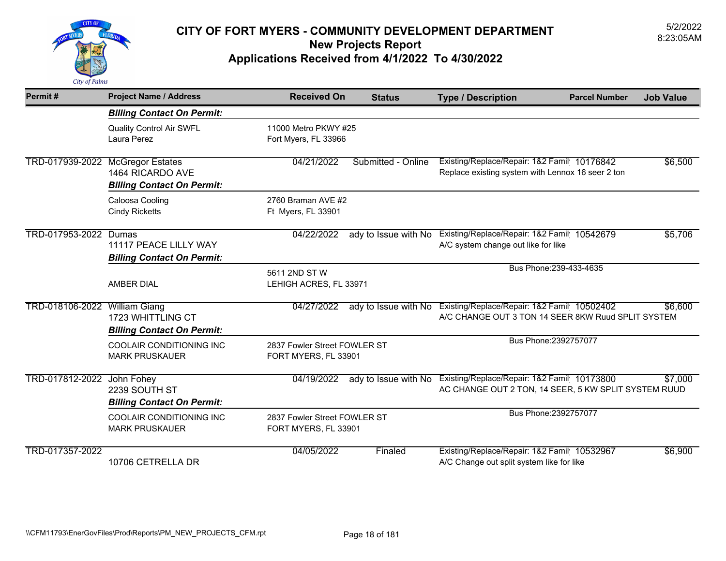

| Permit#                          | <b>Project Name / Address</b>                              | <b>Received On</b>                                   | <b>Status</b>        | <b>Type / Description</b>                                                                           | <b>Parcel Number</b> | <b>Job Value</b> |
|----------------------------------|------------------------------------------------------------|------------------------------------------------------|----------------------|-----------------------------------------------------------------------------------------------------|----------------------|------------------|
|                                  | <b>Billing Contact On Permit:</b>                          |                                                      |                      |                                                                                                     |                      |                  |
|                                  | <b>Quality Control Air SWFL</b><br>Laura Perez             | 11000 Metro PKWY #25<br>Fort Myers, FL 33966         |                      |                                                                                                     |                      |                  |
| TRD-017939-2022 McGregor Estates | 1464 RICARDO AVE<br><b>Billing Contact On Permit:</b>      | 04/21/2022                                           | Submitted - Online   | Existing/Replace/Repair: 1&2 Famil 10176842<br>Replace existing system with Lennox 16 seer 2 ton    |                      | \$6,500          |
|                                  | Caloosa Cooling<br><b>Cindy Ricketts</b>                   | 2760 Braman AVE #2<br>Ft Myers, FL 33901             |                      |                                                                                                     |                      |                  |
| TRD-017953-2022 Dumas            | 11117 PEACE LILLY WAY<br><b>Billing Contact On Permit:</b> | 04/22/2022                                           | ady to Issue with No | Existing/Replace/Repair: 1&2 Famil 10542679<br>A/C system change out like for like                  |                      | \$5,706          |
|                                  | <b>AMBER DIAL</b>                                          | 5611 2ND ST W<br>LEHIGH ACRES, FL 33971              |                      | Bus Phone: 239-433-4635                                                                             |                      |                  |
| TRD-018106-2022 William Giang    | 1723 WHITTLING CT<br><b>Billing Contact On Permit:</b>     | 04/27/2022                                           | ady to Issue with No | Existing/Replace/Repair: 1&2 Famil 10502402<br>A/C CHANGE OUT 3 TON 14 SEER 8KW Ruud SPLIT SYSTEM   |                      | \$6,600          |
|                                  | COOLAIR CONDITIONING INC<br><b>MARK PRUSKAUER</b>          | 2837 Fowler Street FOWLER ST<br>FORT MYERS, FL 33901 |                      | Bus Phone: 2392757077                                                                               |                      |                  |
| TRD-017812-2022 John Fohey       | 2239 SOUTH ST<br><b>Billing Contact On Permit:</b>         | 04/19/2022                                           | ady to Issue with No | Existing/Replace/Repair: 1&2 Famil 10173800<br>AC CHANGE OUT 2 TON, 14 SEER, 5 KW SPLIT SYSTEM RUUD |                      | \$7,000          |
|                                  | COOLAIR CONDITIONING INC<br><b>MARK PRUSKAUER</b>          | 2837 Fowler Street FOWLER ST<br>FORT MYERS, FL 33901 |                      | Bus Phone: 2392757077                                                                               |                      |                  |
| TRD-017357-2022                  | 10706 CETRELLA DR                                          | 04/05/2022                                           | Finaled              | Existing/Replace/Repair: 1&2 Famil 10532967<br>A/C Change out split system like for like            |                      | \$6,900          |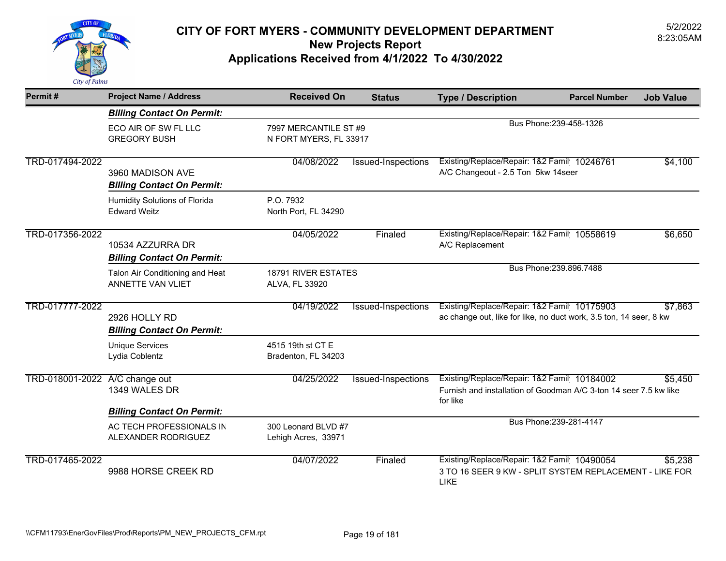

| Permit#         | <b>Project Name / Address</b>                               | <b>Received On</b>                           | <b>Status</b>                                   | <b>Type / Description</b>                                                                                                    | <b>Parcel Number</b>    | <b>Job Value</b> |
|-----------------|-------------------------------------------------------------|----------------------------------------------|-------------------------------------------------|------------------------------------------------------------------------------------------------------------------------------|-------------------------|------------------|
|                 | <b>Billing Contact On Permit:</b>                           |                                              |                                                 |                                                                                                                              |                         |                  |
|                 | ECO AIR OF SW FL LLC<br><b>GREGORY BUSH</b>                 |                                              | 7997 MERCANTILE ST #9<br>N FORT MYERS, FL 33917 |                                                                                                                              | Bus Phone: 239-458-1326 |                  |
| TRD-017494-2022 | 3960 MADISON AVE<br><b>Billing Contact On Permit:</b>       | 04/08/2022                                   | Issued-Inspections                              | Existing/Replace/Repair: 1&2 Famil 10246761<br>A/C Changeout - 2.5 Ton 5kw 14seer                                            |                         | \$4,100          |
|                 | Humidity Solutions of Florida<br><b>Edward Weitz</b>        | P.O. 7932<br>North Port, FL 34290            |                                                 |                                                                                                                              |                         |                  |
| TRD-017356-2022 | 10534 AZZURRA DR<br><b>Billing Contact On Permit:</b>       | 04/05/2022                                   | Finaled                                         | Existing/Replace/Repair: 1&2 Famil 10558619<br>A/C Replacement                                                               |                         | \$6,650          |
|                 | Talon Air Conditioning and Heat<br><b>ANNETTE VAN VLIET</b> | <b>18791 RIVER ESTATES</b><br>ALVA, FL 33920 |                                                 |                                                                                                                              | Bus Phone: 239.896.7488 |                  |
| TRD-017777-2022 | 2926 HOLLY RD<br><b>Billing Contact On Permit:</b>          | 04/19/2022                                   | Issued-Inspections                              | Existing/Replace/Repair: 1&2 Famil 10175903<br>ac change out, like for like, no duct work, 3.5 ton, 14 seer, 8 kw            |                         | \$7,863          |
|                 | <b>Unique Services</b><br>Lydia Coblentz                    | 4515 19th st CT E<br>Bradenton, FL 34203     |                                                 |                                                                                                                              |                         |                  |
| TRD-018001-2022 | A/C change out<br>1349 WALES DR                             | 04/25/2022                                   | <b>Issued-Inspections</b>                       | Existing/Replace/Repair: 1&2 Famil 10184002<br>Furnish and installation of Goodman A/C 3-ton 14 seer 7.5 kw like<br>for like |                         | \$5.450          |
|                 | <b>Billing Contact On Permit:</b>                           |                                              |                                                 |                                                                                                                              |                         |                  |
|                 | AC TECH PROFESSIONALS IN<br>ALEXANDER RODRIGUEZ             | 300 Leonard BLVD #7<br>Lehigh Acres, 33971   |                                                 |                                                                                                                              | Bus Phone: 239-281-4147 |                  |
| TRD-017465-2022 | 9988 HORSE CREEK RD                                         | 04/07/2022                                   | Finaled                                         | Existing/Replace/Repair: 1&2 Famil 10490054<br>3 TO 16 SEER 9 KW - SPLIT SYSTEM REPLACEMENT - LIKE FOR<br>LIKE               |                         | \$5,238          |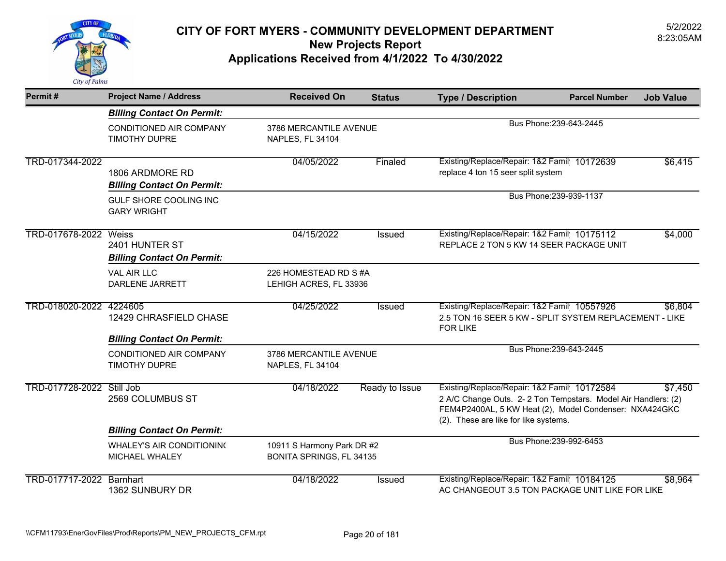

| Permit#                   | <b>Project Name / Address</b>                        | <b>Received On</b>                                            | <b>Status</b>  | <b>Type / Description</b>                                                                                                                                                                                       | <b>Parcel Number</b>    | <b>Job Value</b> |
|---------------------------|------------------------------------------------------|---------------------------------------------------------------|----------------|-----------------------------------------------------------------------------------------------------------------------------------------------------------------------------------------------------------------|-------------------------|------------------|
|                           | <b>Billing Contact On Permit:</b>                    |                                                               |                |                                                                                                                                                                                                                 |                         |                  |
|                           | CONDITIONED AIR COMPANY<br><b>TIMOTHY DUPRE</b>      | 3786 MERCANTILE AVENUE<br>NAPLES, FL 34104                    |                |                                                                                                                                                                                                                 | Bus Phone: 239-643-2445 |                  |
| TRD-017344-2022           | 1806 ARDMORE RD<br><b>Billing Contact On Permit:</b> | 04/05/2022                                                    | Finaled        | Existing/Replace/Repair: 1&2 Famil 10172639<br>replace 4 ton 15 seer split system                                                                                                                               |                         | \$6,415          |
|                           | GULF SHORE COOLING INC<br><b>GARY WRIGHT</b>         |                                                               |                |                                                                                                                                                                                                                 | Bus Phone: 239-939-1137 |                  |
| TRD-017678-2022 Weiss     | 2401 HUNTER ST<br><b>Billing Contact On Permit:</b>  | 04/15/2022                                                    | <b>Issued</b>  | Existing/Replace/Repair: 1&2 Famil 10175112<br>REPLACE 2 TON 5 KW 14 SEER PACKAGE UNIT                                                                                                                          |                         | \$4,000          |
|                           | VAL AIR LLC<br>DARLENE JARRETT                       | 226 HOMESTEAD RD S #A<br>LEHIGH ACRES, FL 33936               |                |                                                                                                                                                                                                                 |                         |                  |
| TRD-018020-2022 4224605   | 12429 CHRASFIELD CHASE                               | 04/25/2022                                                    | Issued         | Existing/Replace/Repair: 1&2 Famil 10557926<br>2.5 TON 16 SEER 5 KW - SPLIT SYSTEM REPLACEMENT - LIKE<br><b>FOR LIKE</b>                                                                                        |                         | \$6,804          |
|                           | <b>Billing Contact On Permit:</b>                    |                                                               |                |                                                                                                                                                                                                                 |                         |                  |
|                           | <b>CONDITIONED AIR COMPANY</b><br>TIMOTHY DUPRE      | 3786 MERCANTILE AVENUE<br>NAPLES, FL 34104                    |                |                                                                                                                                                                                                                 | Bus Phone: 239-643-2445 |                  |
| TRD-017728-2022 Still Job | 2569 COLUMBUS ST                                     | 04/18/2022                                                    | Ready to Issue | Existing/Replace/Repair: 1&2 Famil 10172584<br>2 A/C Change Outs. 2-2 Ton Tempstars. Model Air Handlers: (2)<br>FEM4P2400AL, 5 KW Heat (2), Model Condenser: NXA424GKC<br>(2). These are like for like systems. |                         | \$7,450          |
|                           | <b>Billing Contact On Permit:</b>                    |                                                               |                |                                                                                                                                                                                                                 |                         |                  |
|                           | <b>WHALEY'S AIR CONDITIONING</b><br>MICHAEL WHALEY   | 10911 S Harmony Park DR #2<br><b>BONITA SPRINGS, FL 34135</b> |                |                                                                                                                                                                                                                 | Bus Phone: 239-992-6453 |                  |
| TRD-017717-2022           | Barnhart<br>1362 SUNBURY DR                          | 04/18/2022                                                    | Issued         | Existing/Replace/Repair: 1&2 Famil 10184125<br>AC CHANGEOUT 3.5 TON PACKAGE UNIT LIKE FOR LIKE                                                                                                                  |                         | \$8,964          |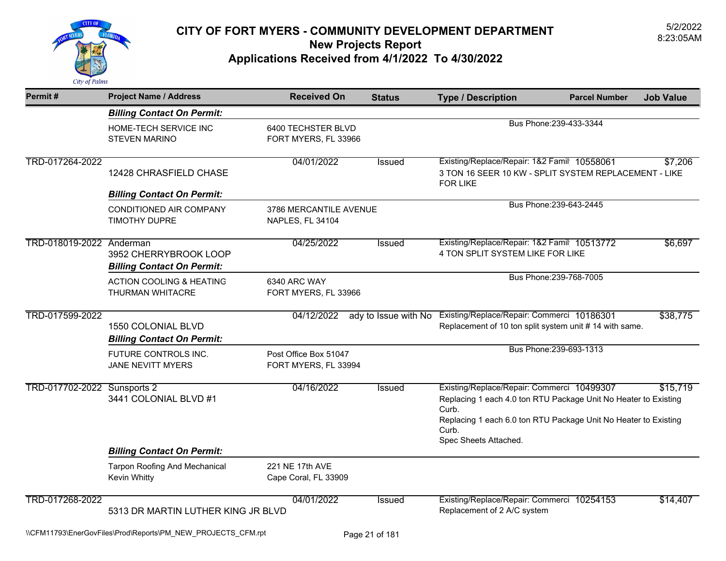

| Permit#                     | <b>Project Name / Address</b>                              | <b>Received On</b>                            | <b>Status</b>        | <b>Type / Description</b>                                                                                                                                                                                                   | <b>Parcel Number</b>    | <b>Job Value</b> |
|-----------------------------|------------------------------------------------------------|-----------------------------------------------|----------------------|-----------------------------------------------------------------------------------------------------------------------------------------------------------------------------------------------------------------------------|-------------------------|------------------|
|                             | <b>Billing Contact On Permit:</b>                          |                                               |                      |                                                                                                                                                                                                                             |                         |                  |
|                             | HOME-TECH SERVICE INC<br><b>STEVEN MARINO</b>              | 6400 TECHSTER BLVD<br>FORT MYERS, FL 33966    |                      |                                                                                                                                                                                                                             | Bus Phone: 239-433-3344 |                  |
| TRD-017264-2022             | 12428 CHRASFIELD CHASE                                     | 04/01/2022                                    | <b>Issued</b>        | Existing/Replace/Repair: 1&2 Famil 10558061<br>3 TON 16 SEER 10 KW - SPLIT SYSTEM REPLACEMENT - LIKE<br><b>FOR LIKE</b>                                                                                                     |                         | \$7,206          |
|                             | <b>Billing Contact On Permit:</b>                          |                                               |                      |                                                                                                                                                                                                                             |                         |                  |
|                             | CONDITIONED AIR COMPANY<br><b>TIMOTHY DUPRE</b>            | 3786 MERCANTILE AVENUE<br>NAPLES, FL 34104    |                      |                                                                                                                                                                                                                             | Bus Phone: 239-643-2445 |                  |
| TRD-018019-2022 Anderman    | 3952 CHERRYBROOK LOOP<br><b>Billing Contact On Permit:</b> | 04/25/2022                                    | <b>Issued</b>        | Existing/Replace/Repair: 1&2 Famil 10513772<br>4 TON SPLIT SYSTEM LIKE FOR LIKE                                                                                                                                             |                         | \$6,697          |
|                             | <b>ACTION COOLING &amp; HEATING</b><br>THURMAN WHITACRE    | 6340 ARC WAY<br>FORT MYERS, FL 33966          |                      |                                                                                                                                                                                                                             | Bus Phone: 239-768-7005 |                  |
| TRD-017599-2022             | 1550 COLONIAL BLVD<br><b>Billing Contact On Permit:</b>    | 04/12/2022                                    | ady to Issue with No | Existing/Replace/Repair: Commerci 10186301<br>Replacement of 10 ton split system unit # 14 with same.                                                                                                                       |                         | \$38,775         |
|                             | FUTURE CONTROLS INC.<br><b>JANE NEVITT MYERS</b>           | Post Office Box 51047<br>FORT MYERS, FL 33994 |                      |                                                                                                                                                                                                                             | Bus Phone: 239-693-1313 |                  |
| TRD-017702-2022 Sunsports 2 | 3441 COLONIAL BLVD #1                                      | 04/16/2022                                    | <b>Issued</b>        | Existing/Replace/Repair: Commerci 10499307<br>Replacing 1 each 4.0 ton RTU Package Unit No Heater to Existing<br>Curb.<br>Replacing 1 each 6.0 ton RTU Package Unit No Heater to Existing<br>Curb.<br>Spec Sheets Attached. |                         | \$15,719         |
|                             | <b>Billing Contact On Permit:</b>                          |                                               |                      |                                                                                                                                                                                                                             |                         |                  |
|                             | <b>Tarpon Roofing And Mechanical</b><br>Kevin Whitty       | 221 NE 17th AVE<br>Cape Coral, FL 33909       |                      |                                                                                                                                                                                                                             |                         |                  |
| TRD-017268-2022             | 04/01/2022<br>5313 DR MARTIN LUTHER KING JR BLVD           |                                               | <b>Issued</b>        | Existing/Replace/Repair: Commerci 10254153<br>Replacement of 2 A/C system                                                                                                                                                   |                         | \$14,407         |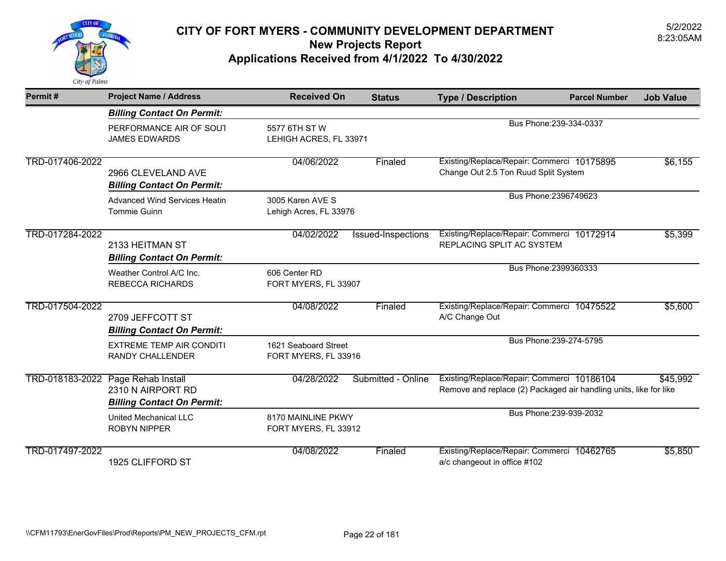

| Permit#         | <b>Project Name / Address</b>                                                | <b>Received On</b>                           | <b>Status</b>      | <b>Type / Description</b>                                                                                       | <b>Parcel Number</b>    | <b>Job Value</b> |
|-----------------|------------------------------------------------------------------------------|----------------------------------------------|--------------------|-----------------------------------------------------------------------------------------------------------------|-------------------------|------------------|
|                 | <b>Billing Contact On Permit:</b>                                            |                                              |                    |                                                                                                                 |                         |                  |
|                 | PERFORMANCE AIR OF SOUT<br><b>JAMES EDWARDS</b>                              | 5577 6TH ST W<br>LEHIGH ACRES, FL 33971      |                    |                                                                                                                 | Bus Phone: 239-334-0337 |                  |
| TRD-017406-2022 | 2966 CLEVELAND AVE<br><b>Billing Contact On Permit:</b>                      | 04/06/2022                                   | Finaled            | Existing/Replace/Repair: Commerci 10175895<br>Change Out 2.5 Ton Ruud Split System                              |                         | \$6,155          |
|                 | <b>Advanced Wind Services Heatin</b><br><b>Tommie Guinn</b>                  | 3005 Karen AVE S<br>Lehigh Acres, FL 33976   |                    |                                                                                                                 | Bus Phone: 2396749623   |                  |
| TRD-017284-2022 | 2133 HEITMAN ST<br><b>Billing Contact On Permit:</b>                         | 04/02/2022                                   | Issued-Inspections | Existing/Replace/Repair: Commerci 10172914<br>REPLACING SPLIT AC SYSTEM                                         |                         | \$5,399          |
|                 | Weather Control A/C Inc.<br><b>REBECCA RICHARDS</b>                          | 606 Center RD<br>FORT MYERS, FL 33907        |                    |                                                                                                                 | Bus Phone: 2399360333   |                  |
| TRD-017504-2022 | 2709 JEFFCOTT ST<br><b>Billing Contact On Permit:</b>                        | 04/08/2022                                   | Finaled            | Existing/Replace/Repair: Commerci 10475522<br>A/C Change Out                                                    |                         | \$5,600          |
|                 | <b>EXTREME TEMP AIR CONDITI</b><br><b>RANDY CHALLENDER</b>                   | 1621 Seaboard Street<br>FORT MYERS, FL 33916 |                    |                                                                                                                 | Bus Phone: 239-274-5795 |                  |
| TRD-018183-2022 | Page Rehab Install<br>2310 N AIRPORT RD<br><b>Billing Contact On Permit:</b> | 04/28/2022                                   | Submitted - Online | Existing/Replace/Repair: Commerci 10186104<br>Remove and replace (2) Packaged air handling units, like for like |                         | \$45,992         |
|                 | United Mechanical LLC<br><b>ROBYN NIPPER</b>                                 | 8170 MAINLINE PKWY<br>FORT MYERS, FL 33912   |                    |                                                                                                                 | Bus Phone: 239-939-2032 |                  |
| TRD-017497-2022 | 1925 CLIFFORD ST                                                             | 04/08/2022                                   | Finaled            | Existing/Replace/Repair: Commerci 10462765<br>a/c changeout in office #102                                      |                         | \$5,850          |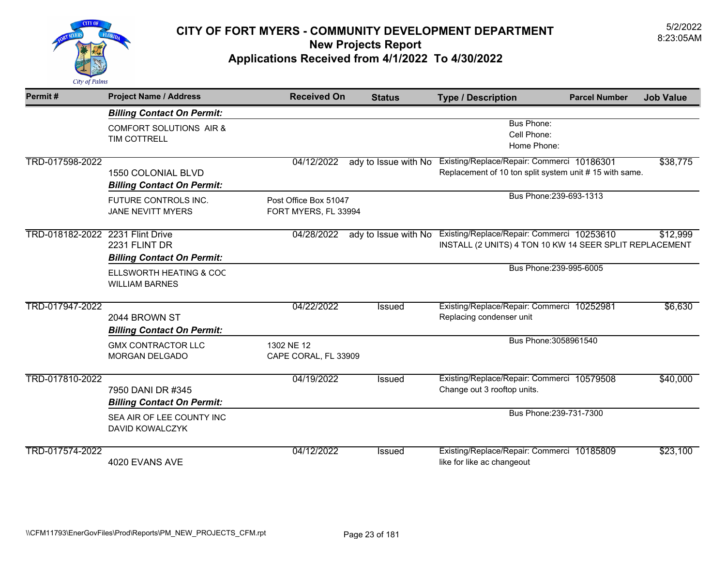

| Permit#                          | <b>Project Name / Address</b>                                  | <b>Received On</b>                            | <b>Status</b>        | <b>Type / Description</b>                                                                             | <b>Parcel Number</b> | <b>Job Value</b> |
|----------------------------------|----------------------------------------------------------------|-----------------------------------------------|----------------------|-------------------------------------------------------------------------------------------------------|----------------------|------------------|
|                                  | <b>Billing Contact On Permit:</b>                              |                                               |                      |                                                                                                       |                      |                  |
|                                  | <b>COMFORT SOLUTIONS AIR &amp;</b><br>TIM COTTRELL             |                                               |                      | <b>Bus Phone:</b><br>Cell Phone:<br>Home Phone:                                                       |                      |                  |
| TRD-017598-2022                  | <b>1550 COLONIAL BLVD</b><br><b>Billing Contact On Permit:</b> | 04/12/2022                                    | ady to Issue with No | Existing/Replace/Repair: Commerci 10186301<br>Replacement of 10 ton split system unit # 15 with same. |                      | \$38,775         |
|                                  | FUTURE CONTROLS INC.<br><b>JANE NEVITT MYERS</b>               | Post Office Box 51047<br>FORT MYERS, FL 33994 |                      | Bus Phone: 239-693-1313                                                                               |                      |                  |
| TRD-018182-2022 2231 Flint Drive | 2231 FLINT DR<br><b>Billing Contact On Permit:</b>             | 04/28/2022                                    | ady to Issue with No | Existing/Replace/Repair: Commerci 10253610<br>INSTALL (2 UNITS) 4 TON 10 KW 14 SEER SPLIT REPLACEMENT |                      | \$12,999         |
|                                  | ELLSWORTH HEATING & COC<br><b>WILLIAM BARNES</b>               |                                               |                      | Bus Phone: 239-995-6005                                                                               |                      |                  |
| TRD-017947-2022                  | 2044 BROWN ST<br><b>Billing Contact On Permit:</b>             | 04/22/2022                                    | Issued               | Existing/Replace/Repair: Commerci 10252981<br>Replacing condenser unit                                |                      | \$6,630          |
|                                  | <b>GMX CONTRACTOR LLC</b><br><b>MORGAN DELGADO</b>             | 1302 NE 12<br>CAPE CORAL, FL 33909            |                      | Bus Phone: 3058961540                                                                                 |                      |                  |
| TRD-017810-2022                  | 7950 DANI DR #345<br><b>Billing Contact On Permit:</b>         | 04/19/2022                                    | <b>Issued</b>        | Existing/Replace/Repair: Commerci 10579508<br>Change out 3 rooftop units.                             |                      | \$40,000         |
|                                  | SEA AIR OF LEE COUNTY INC<br>DAVID KOWALCZYK                   |                                               |                      | Bus Phone: 239-731-7300                                                                               |                      |                  |
| TRD-017574-2022                  | 4020 EVANS AVE                                                 | 04/12/2022                                    | <b>Issued</b>        | Existing/Replace/Repair: Commerci 10185809<br>like for like ac changeout                              |                      | \$23,100         |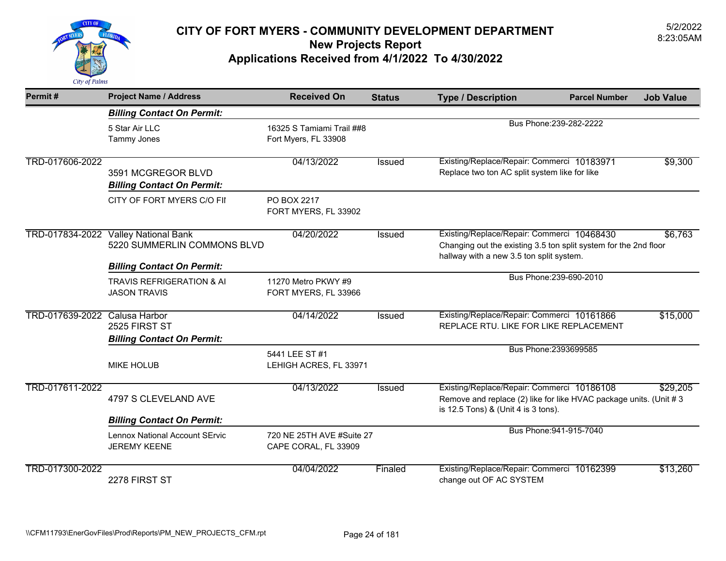

| Permit#                       | <b>Project Name / Address</b>                                                                   | <b>Received On</b>                                | <b>Status</b> | <b>Type / Description</b>                                                                                                                                  | <b>Parcel Number</b>    | <b>Job Value</b> |
|-------------------------------|-------------------------------------------------------------------------------------------------|---------------------------------------------------|---------------|------------------------------------------------------------------------------------------------------------------------------------------------------------|-------------------------|------------------|
|                               | <b>Billing Contact On Permit:</b>                                                               |                                                   |               |                                                                                                                                                            |                         |                  |
|                               | 5 Star Air LLC<br><b>Tammy Jones</b>                                                            | 16325 S Tamiami Trail ##8<br>Fort Myers, FL 33908 |               |                                                                                                                                                            | Bus Phone: 239-282-2222 |                  |
| TRD-017606-2022               | 3591 MCGREGOR BLVD<br><b>Billing Contact On Permit:</b>                                         | 04/13/2022                                        | <b>Issued</b> | Existing/Replace/Repair: Commerci 10183971<br>Replace two ton AC split system like for like                                                                |                         | \$9,300          |
|                               | CITY OF FORT MYERS C/O FII                                                                      | PO BOX 2217<br>FORT MYERS, FL 33902               |               |                                                                                                                                                            |                         |                  |
| TRD-017834-2022               | <b>Valley National Bank</b><br>5220 SUMMERLIN COMMONS BLVD<br><b>Billing Contact On Permit:</b> | 04/20/2022                                        | Issued        | Existing/Replace/Repair: Commerci 10468430<br>Changing out the existing 3.5 ton split system for the 2nd floor<br>hallway with a new 3.5 ton split system. |                         | \$6,763          |
|                               | TRAVIS REFRIGERATION & AI<br><b>JASON TRAVIS</b>                                                | 11270 Metro PKWY #9<br>FORT MYERS, FL 33966       |               |                                                                                                                                                            | Bus Phone: 239-690-2010 |                  |
| TRD-017639-2022 Calusa Harbor | 2525 FIRST ST<br><b>Billing Contact On Permit:</b>                                              | 04/14/2022                                        | <b>Issued</b> | Existing/Replace/Repair: Commerci 10161866<br>REPLACE RTU. LIKE FOR LIKE REPLACEMENT                                                                       |                         | \$15,000         |
|                               | <b>MIKE HOLUB</b>                                                                               | 5441 LEE ST #1<br>LEHIGH ACRES, FL 33971          |               |                                                                                                                                                            | Bus Phone: 2393699585   |                  |
| TRD-017611-2022               | 4797 S CLEVELAND AVE                                                                            | 04/13/2022                                        | Issued        | Existing/Replace/Repair: Commerci 10186108<br>Remove and replace (2) like for like HVAC package units. (Unit #3<br>is 12.5 Tons) & (Unit 4 is 3 tons).     |                         | \$29,205         |
|                               | <b>Billing Contact On Permit:</b>                                                               |                                                   |               |                                                                                                                                                            |                         |                  |
|                               | Lennox National Account SErvic<br><b>JEREMY KEENE</b>                                           | 720 NE 25TH AVE #Suite 27<br>CAPE CORAL, FL 33909 |               |                                                                                                                                                            | Bus Phone: 941-915-7040 |                  |
| TRD-017300-2022               | 2278 FIRST ST                                                                                   | 04/04/2022                                        | Finaled       | Existing/Replace/Repair: Commerci 10162399<br>change out OF AC SYSTEM                                                                                      |                         | \$13,260         |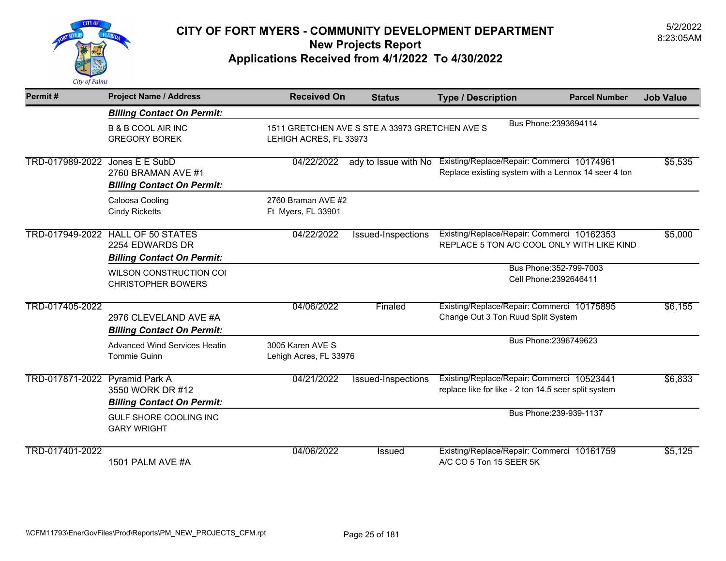

| Permit#                        | <b>Project Name / Address</b>                                                                    | <b>Received On</b>                         | <b>Status</b>                                  | <b>Type / Description</b>                                                                                              | <b>Parcel Number</b>                              | <b>Job Value</b> |
|--------------------------------|--------------------------------------------------------------------------------------------------|--------------------------------------------|------------------------------------------------|------------------------------------------------------------------------------------------------------------------------|---------------------------------------------------|------------------|
|                                | <b>Billing Contact On Permit:</b>                                                                |                                            |                                                |                                                                                                                        |                                                   |                  |
|                                | <b>B &amp; B COOL AIR INC</b><br><b>GREGORY BOREK</b>                                            | LEHIGH ACRES, FL 33973                     | 1511 GRETCHEN AVE S STE A 33973 GRETCHEN AVE S |                                                                                                                        | Bus Phone: 2393694114                             |                  |
| TRD-017989-2022 Jones E E SubD | 2760 BRAMAN AVE #1<br><b>Billing Contact On Permit:</b>                                          | 04/22/2022                                 |                                                | ady to Issue with No Existing/Replace/Repair: Commerci 10174961<br>Replace existing system with a Lennox 14 seer 4 ton |                                                   | \$5,535          |
|                                | Caloosa Cooling<br><b>Cindy Ricketts</b>                                                         | 2760 Braman AVE #2<br>Ft Myers, FL 33901   |                                                |                                                                                                                        |                                                   |                  |
|                                | <b>TRD-017949-2022 HALL OF 50 STATES</b><br>2254 EDWARDS DR<br><b>Billing Contact On Permit:</b> | 04/22/2022                                 | Issued-Inspections                             | Existing/Replace/Repair: Commerci 10162353<br>REPLACE 5 TON A/C COOL ONLY WITH LIKE KIND                               |                                                   | \$5,000          |
|                                | WILSON CONSTRUCTION COI<br><b>CHRISTOPHER BOWERS</b>                                             |                                            |                                                |                                                                                                                        | Bus Phone: 352-799-7003<br>Cell Phone: 2392646411 |                  |
| TRD-017405-2022                | 2976 CLEVELAND AVE #A<br><b>Billing Contact On Permit:</b>                                       | 04/06/2022                                 | Finaled                                        | Existing/Replace/Repair: Commerci 10175895<br>Change Out 3 Ton Ruud Split System                                       |                                                   | \$6,155          |
|                                | <b>Advanced Wind Services Heatin</b><br>Tommie Guinn                                             | 3005 Karen AVE S<br>Lehigh Acres, FL 33976 |                                                |                                                                                                                        | Bus Phone: 2396749623                             |                  |
| TRD-017871-2022 Pyramid Park A | 3550 WORK DR #12<br><b>Billing Contact On Permit:</b>                                            | 04/21/2022                                 | Issued-Inspections                             | Existing/Replace/Repair: Commerci 10523441<br>replace like for like - 2 ton 14.5 seer split system                     |                                                   | \$6,833          |
|                                | GULF SHORE COOLING INC<br><b>GARY WRIGHT</b>                                                     |                                            |                                                |                                                                                                                        | Bus Phone: 239-939-1137                           |                  |
| TRD-017401-2022                | 1501 PALM AVE #A                                                                                 | 04/06/2022                                 | <b>Issued</b>                                  | Existing/Replace/Repair: Commerci 10161759<br>A/C CO 5 Ton 15 SEER 5K                                                  |                                                   | \$5,125          |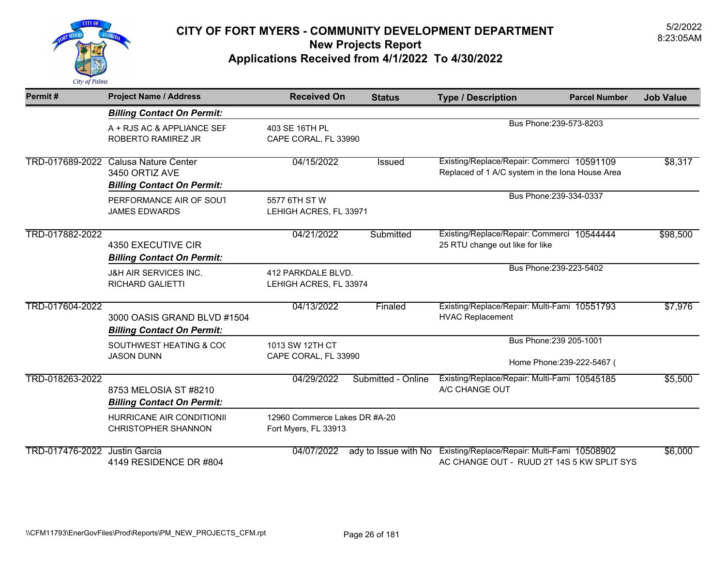

| Permit#                       | <b>Project Name / Address</b>                                                               | <b>Received On</b>                                    | <b>Status</b>        | <b>Type / Description</b><br><b>Parcel Number</b>                                             | <b>Job Value</b> |
|-------------------------------|---------------------------------------------------------------------------------------------|-------------------------------------------------------|----------------------|-----------------------------------------------------------------------------------------------|------------------|
|                               | <b>Billing Contact On Permit:</b>                                                           |                                                       |                      |                                                                                               |                  |
|                               | A + RJS AC & APPLIANCE SEF<br>ROBERTO RAMIREZ JR                                            | 403 SF 16TH PL<br>CAPE CORAL, FL 33990                |                      | Bus Phone: 239-573-8203                                                                       |                  |
|                               | TRD-017689-2022 Calusa Nature Center<br>3450 ORTIZ AVE<br><b>Billing Contact On Permit:</b> | 04/15/2022                                            | Issued               | Existing/Replace/Repair: Commerci 10591109<br>Replaced of 1 A/C system in the Iona House Area | \$8,317          |
|                               | PERFORMANCE AIR OF SOUT<br><b>JAMES EDWARDS</b>                                             | 5577 6TH ST W<br>LEHIGH ACRES, FL 33971               |                      | Bus Phone: 239-334-0337                                                                       |                  |
| TRD-017882-2022               | 4350 EXECUTIVE CIR<br><b>Billing Contact On Permit:</b>                                     | 04/21/2022                                            | Submitted            | Existing/Replace/Repair: Commerci 10544444<br>25 RTU change out like for like                 | \$98,500         |
|                               | <b>J&amp;H AIR SERVICES INC.</b><br>RICHARD GALIETTI                                        | 412 PARKDALE BLVD.<br>LEHIGH ACRES, FL 33974          |                      | Bus Phone: 239-223-5402                                                                       |                  |
| TRD-017604-2022               | 3000 OASIS GRAND BLVD #1504<br><b>Billing Contact On Permit:</b>                            | 04/13/2022                                            | Finaled              | Existing/Replace/Repair: Multi-Fami 10551793<br><b>HVAC Replacement</b>                       | \$7,976          |
|                               | SOUTHWEST HEATING & COO<br><b>JASON DUNN</b>                                                | 1013 SW 12TH CT<br>CAPE CORAL, FL 33990               |                      | Bus Phone: 239 205-1001<br>Home Phone: 239-222-5467 (                                         |                  |
| TRD-018263-2022               | 8753 MELOSIA ST #8210<br><b>Billing Contact On Permit:</b>                                  | 04/29/2022                                            | Submitted - Online   | Existing/Replace/Repair: Multi-Fami 10545185<br>A/C CHANGE OUT                                | \$5,500          |
|                               | HURRICANE AIR CONDITIONII<br><b>CHRISTOPHER SHANNON</b>                                     | 12960 Commerce Lakes DR #A-20<br>Fort Myers, FL 33913 |                      |                                                                                               |                  |
| TRD-017476-2022 Justin Garcia | 4149 RESIDENCE DR #804                                                                      | 04/07/2022                                            | ady to Issue with No | Existing/Replace/Repair: Multi-Fami 10508902<br>AC CHANGE OUT - RUUD 2T 14S 5 KW SPLIT SYS    | \$6,000          |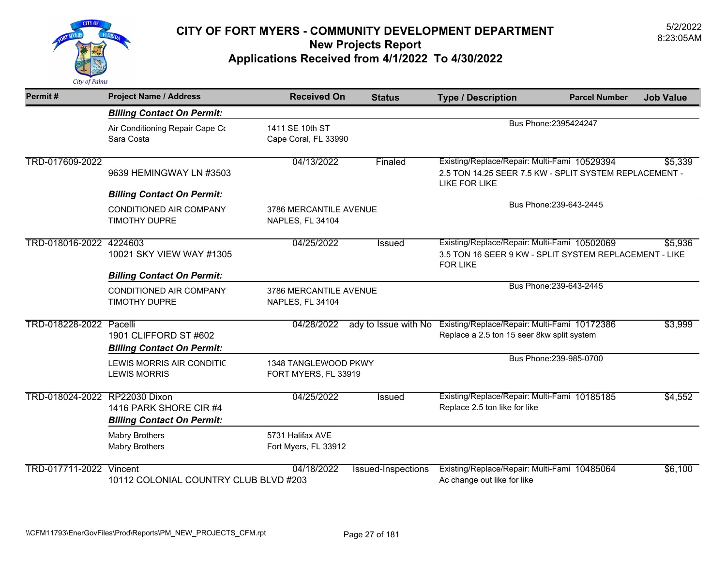

| Permit#                        | <b>Project Name / Address</b>                                 | <b>Received On</b>                           | <b>Status</b>        | <b>Type / Description</b>                                                                                                 | <b>Parcel Number</b>    | <b>Job Value</b> |
|--------------------------------|---------------------------------------------------------------|----------------------------------------------|----------------------|---------------------------------------------------------------------------------------------------------------------------|-------------------------|------------------|
|                                | <b>Billing Contact On Permit:</b>                             |                                              |                      |                                                                                                                           |                         |                  |
|                                | Air Conditioning Repair Cape Co<br>Sara Costa                 | 1411 SE 10th ST<br>Cape Coral, FL 33990      |                      |                                                                                                                           | Bus Phone: 2395424247   |                  |
| TRD-017609-2022                | 9639 HEMINGWAY LN #3503                                       | 04/13/2022                                   | Finaled              | Existing/Replace/Repair: Multi-Fami 10529394<br>2.5 TON 14.25 SEER 7.5 KW - SPLIT SYSTEM REPLACEMENT -<br>LIKE FOR LIKE   |                         | \$5,339          |
|                                | <b>Billing Contact On Permit:</b>                             |                                              |                      |                                                                                                                           |                         |                  |
|                                | CONDITIONED AIR COMPANY<br><b>TIMOTHY DUPRE</b>               | 3786 MERCANTILE AVENUE<br>NAPLES, FL 34104   |                      |                                                                                                                           | Bus Phone: 239-643-2445 |                  |
| TRD-018016-2022 4224603        | 10021 SKY VIEW WAY #1305<br><b>Billing Contact On Permit:</b> | 04/25/2022                                   | Issued               | Existing/Replace/Repair: Multi-Fami 10502069<br>3.5 TON 16 SEER 9 KW - SPLIT SYSTEM REPLACEMENT - LIKE<br><b>FOR LIKE</b> |                         | \$5,936          |
|                                | <b>CONDITIONED AIR COMPANY</b><br>TIMOTHY DUPRE               | 3786 MERCANTILE AVENUE<br>NAPLES, FL 34104   |                      |                                                                                                                           | Bus Phone: 239-643-2445 |                  |
| TRD-018228-2022 Pacelli        | 1901 CLIFFORD ST #602<br><b>Billing Contact On Permit:</b>    | 04/28/2022                                   | ady to Issue with No | Existing/Replace/Repair: Multi-Fami 10172386<br>Replace a 2.5 ton 15 seer 8kw split system                                |                         | \$3,999          |
|                                | LEWIS MORRIS AIR CONDITIC<br><b>LEWIS MORRIS</b>              | 1348 TANGLEWOOD PKWY<br>FORT MYERS, FL 33919 |                      |                                                                                                                           | Bus Phone: 239-985-0700 |                  |
| TRD-018024-2022 RP22030 Dixon  | 1416 PARK SHORE CIR #4<br><b>Billing Contact On Permit:</b>   | 04/25/2022                                   | Issued               | Existing/Replace/Repair: Multi-Fami 10185185<br>Replace 2.5 ton like for like                                             |                         | \$4,552          |
|                                | <b>Mabry Brothers</b><br><b>Mabry Brothers</b>                | 5731 Halifax AVE<br>Fort Myers, FL 33912     |                      |                                                                                                                           |                         |                  |
| <b>TRD-017711-2022 Vincent</b> | 10112 COLONIAL COUNTRY CLUB BLVD #203                         | 04/18/2022                                   | Issued-Inspections   | Existing/Replace/Repair: Multi-Fami 10485064<br>Ac change out like for like                                               |                         | \$6,100          |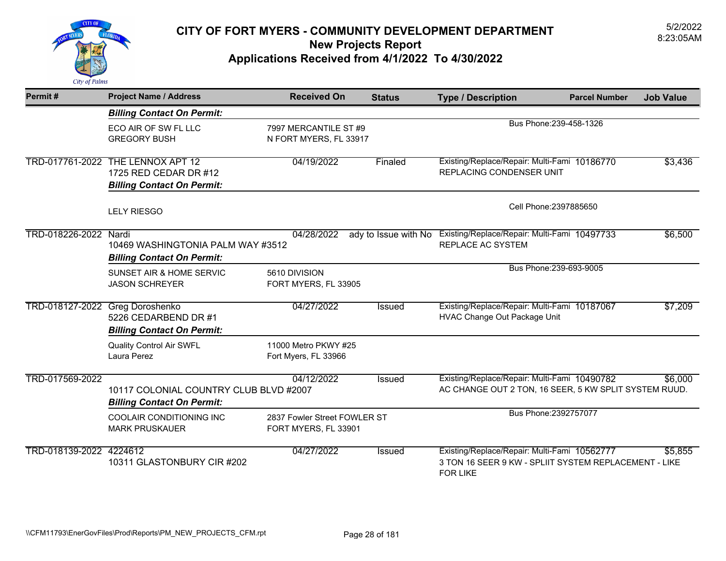

| Permit#                 | <b>Project Name / Address</b>                                                   | <b>Received On</b>                                   | <b>Status</b> | <b>Type / Description</b>                                                                                                | <b>Parcel Number</b>    | <b>Job Value</b> |
|-------------------------|---------------------------------------------------------------------------------|------------------------------------------------------|---------------|--------------------------------------------------------------------------------------------------------------------------|-------------------------|------------------|
|                         | <b>Billing Contact On Permit:</b>                                               |                                                      |               |                                                                                                                          |                         |                  |
|                         | ECO AIR OF SW FL LLC<br><b>GREGORY BUSH</b>                                     | 7997 MERCANTILE ST #9<br>N FORT MYERS, FL 33917      |               |                                                                                                                          | Bus Phone: 239-458-1326 |                  |
| TRD-017761-2022         | THE LENNOX APT 12<br>1725 RED CEDAR DR #12<br><b>Billing Contact On Permit:</b> | 04/19/2022                                           | Finaled       | Existing/Replace/Repair: Multi-Fami 10186770<br>REPLACING CONDENSER UNIT                                                 |                         | \$3,436          |
|                         | <b>LELY RIESGO</b>                                                              |                                                      |               |                                                                                                                          | Cell Phone: 2397885650  |                  |
| TRD-018226-2022 Nardi   | 10469 WASHINGTONIA PALM WAY #3512<br><b>Billing Contact On Permit:</b>          | 04/28/2022                                           |               | ady to Issue with No Existing/Replace/Repair: Multi-Fami 10497733<br>REPLACE AC SYSTEM                                   |                         | \$6,500          |
|                         | SUNSET AIR & HOME SERVIC<br><b>JASON SCHREYER</b>                               | 5610 DIVISION<br>FORT MYERS, FL 33905                |               |                                                                                                                          | Bus Phone: 239-693-9005 |                  |
| TRD-018127-2022         | Greg Doroshenko<br>5226 CEDARBEND DR #1<br><b>Billing Contact On Permit:</b>    | 04/27/2022                                           | Issued        | Existing/Replace/Repair: Multi-Fami 10187067<br>HVAC Change Out Package Unit                                             |                         | \$7,209          |
|                         | <b>Quality Control Air SWFL</b><br>Laura Perez                                  | 11000 Metro PKWY #25<br>Fort Myers, FL 33966         |               |                                                                                                                          |                         |                  |
| TRD-017569-2022         | 10117 COLONIAL COUNTRY CLUB BLVD #2007<br><b>Billing Contact On Permit:</b>     | 04/12/2022                                           | Issued        | Existing/Replace/Repair: Multi-Fami 10490782<br>AC CHANGE OUT 2 TON, 16 SEER, 5 KW SPLIT SYSTEM RUUD.                    |                         | \$6,000          |
|                         | COOLAIR CONDITIONING INC<br><b>MARK PRUSKAUER</b>                               | 2837 Fowler Street FOWLER ST<br>FORT MYERS, FL 33901 |               |                                                                                                                          | Bus Phone: 2392757077   |                  |
| TRD-018139-2022 4224612 | 10311 GLASTONBURY CIR #202                                                      | 04/27/2022                                           | Issued        | Existing/Replace/Repair: Multi-Fami 10562777<br>3 TON 16 SEER 9 KW - SPLIIT SYSTEM REPLACEMENT - LIKE<br><b>FOR LIKE</b> |                         | \$5,855          |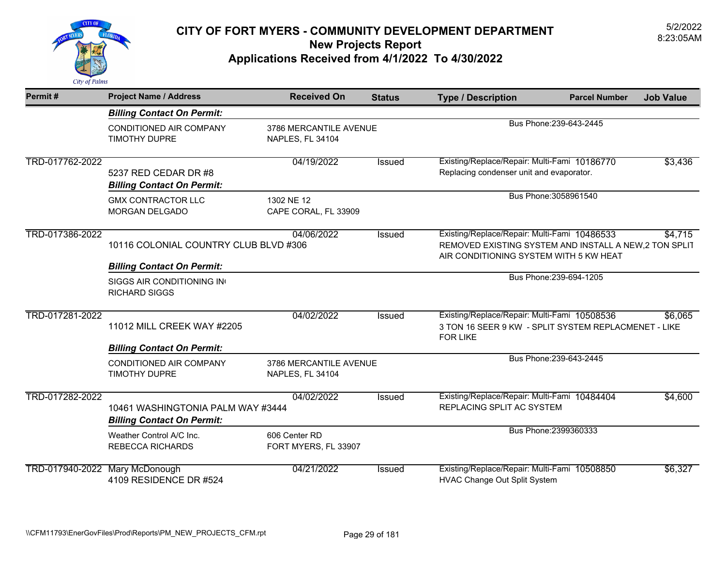

| Permit#                        | <b>Project Name / Address</b>                                          | <b>Received On</b>                         | <b>Status</b> | <b>Type / Description</b>                                                                                                                        | <b>Parcel Number</b>    | <b>Job Value</b> |
|--------------------------------|------------------------------------------------------------------------|--------------------------------------------|---------------|--------------------------------------------------------------------------------------------------------------------------------------------------|-------------------------|------------------|
|                                | <b>Billing Contact On Permit:</b>                                      |                                            |               |                                                                                                                                                  |                         |                  |
|                                | CONDITIONED AIR COMPANY<br><b>TIMOTHY DUPRE</b>                        | 3786 MERCANTILE AVENUE<br>NAPLES, FL 34104 |               |                                                                                                                                                  | Bus Phone: 239-643-2445 |                  |
| TRD-017762-2022                | 5237 RED CEDAR DR #8<br><b>Billing Contact On Permit:</b>              | 04/19/2022                                 | Issued        | Existing/Replace/Repair: Multi-Fami 10186770<br>Replacing condenser unit and evaporator.                                                         |                         | \$3,436          |
|                                | <b>GMX CONTRACTOR LLC</b><br><b>MORGAN DELGADO</b>                     | 1302 NE 12<br>CAPE CORAL, FL 33909         |               | Bus Phone: 3058961540                                                                                                                            |                         |                  |
| TRD-017386-2022                | 10116 COLONIAL COUNTRY CLUB BLVD #306                                  | 04/06/2022                                 | Issued        | Existing/Replace/Repair: Multi-Fami 10486533<br>REMOVED EXISTING SYSTEM AND INSTALL A NEW, 2 TON SPLIT<br>AIR CONDITIONING SYSTEM WITH 5 KW HEAT |                         | \$4,715          |
|                                | <b>Billing Contact On Permit:</b>                                      |                                            |               |                                                                                                                                                  |                         |                  |
|                                | SIGGS AIR CONDITIONING IN<br><b>RICHARD SIGGS</b>                      |                                            |               |                                                                                                                                                  | Bus Phone: 239-694-1205 |                  |
| TRD-017281-2022                | 11012 MILL CREEK WAY #2205                                             | 04/02/2022                                 | Issued        | Existing/Replace/Repair: Multi-Fami 10508536<br>3 TON 16 SEER 9 KW - SPLIT SYSTEM REPLACMENET - LIKE<br><b>FOR LIKE</b>                          |                         | \$6,065          |
|                                | <b>Billing Contact On Permit:</b>                                      |                                            |               |                                                                                                                                                  |                         |                  |
|                                | <b>CONDITIONED AIR COMPANY</b><br>TIMOTHY DUPRE                        | 3786 MERCANTILE AVENUE<br>NAPLES, FL 34104 |               |                                                                                                                                                  | Bus Phone: 239-643-2445 |                  |
| TRD-017282-2022                | 10461 WASHINGTONIA PALM WAY #3444<br><b>Billing Contact On Permit:</b> | 04/02/2022                                 | <b>Issued</b> | Existing/Replace/Repair: Multi-Fami 10484404<br>REPLACING SPLIT AC SYSTEM                                                                        |                         | \$4,600          |
|                                | Weather Control A/C Inc.<br><b>REBECCA RICHARDS</b>                    | 606 Center RD<br>FORT MYERS, FL 33907      |               |                                                                                                                                                  | Bus Phone: 2399360333   |                  |
| TRD-017940-2022 Mary McDonough | 4109 RESIDENCE DR #524                                                 | 04/21/2022                                 | Issued        | Existing/Replace/Repair: Multi-Fami 10508850<br>HVAC Change Out Split System                                                                     |                         | \$6,327          |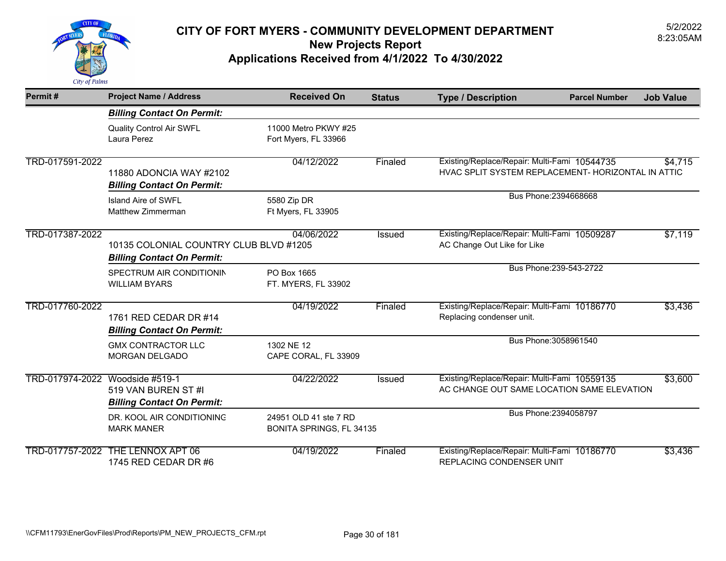

| Permit#         | <b>Project Name / Address</b>                                               | <b>Received On</b>                                | <b>Status</b> | <b>Type / Description</b>                                                                          | <b>Parcel Number</b>    | <b>Job Value</b> |
|-----------------|-----------------------------------------------------------------------------|---------------------------------------------------|---------------|----------------------------------------------------------------------------------------------------|-------------------------|------------------|
|                 | <b>Billing Contact On Permit:</b>                                           |                                                   |               |                                                                                                    |                         |                  |
|                 | <b>Quality Control Air SWFL</b><br>Laura Perez                              | 11000 Metro PKWY #25<br>Fort Myers, FL 33966      |               |                                                                                                    |                         |                  |
| TRD-017591-2022 | 11880 ADONCIA WAY #2102<br><b>Billing Contact On Permit:</b>                | 04/12/2022                                        | Finaled       | Existing/Replace/Repair: Multi-Fami 10544735<br>HVAC SPLIT SYSTEM REPLACEMENT- HORIZONTAL IN ATTIC |                         | \$4,715          |
|                 | Island Aire of SWFL<br>Matthew Zimmerman                                    | 5580 Zip DR<br>Ft Myers, FL 33905                 |               |                                                                                                    | Bus Phone: 2394668668   |                  |
| TRD-017387-2022 | 10135 COLONIAL COUNTRY CLUB BLVD #1205<br><b>Billing Contact On Permit:</b> | 04/06/2022                                        | <b>Issued</b> | Existing/Replace/Repair: Multi-Fami 10509287<br>AC Change Out Like for Like                        |                         | \$7,119          |
|                 | SPECTRUM AIR CONDITIONIN<br><b>WILLIAM BYARS</b>                            | PO Box 1665<br>FT. MYERS, FL 33902                |               |                                                                                                    | Bus Phone: 239-543-2722 |                  |
| TRD-017760-2022 | 1761 RED CEDAR DR #14<br><b>Billing Contact On Permit:</b>                  | 04/19/2022                                        | Finaled       | Existing/Replace/Repair: Multi-Fami 10186770<br>Replacing condenser unit.                          |                         | \$3,436          |
|                 | <b>GMX CONTRACTOR LLC</b><br><b>MORGAN DELGADO</b>                          | 1302 NE 12<br>CAPE CORAL, FL 33909                |               |                                                                                                    | Bus Phone: 3058961540   |                  |
| TRD-017974-2022 | Woodside #519-1<br>519 VAN BUREN ST #I<br><b>Billing Contact On Permit:</b> | 04/22/2022                                        | <b>Issued</b> | Existing/Replace/Repair: Multi-Fami 10559135<br>AC CHANGE OUT SAME LOCATION SAME ELEVATION         |                         | \$3,600          |
|                 | DR. KOOL AIR CONDITIONING<br><b>MARK MANER</b>                              | 24951 OLD 41 ste 7 RD<br>BONITA SPRINGS, FL 34135 |               |                                                                                                    | Bus Phone: 2394058797   |                  |
| TRD-017757-2022 | THE LENNOX APT 06<br>1745 RED CEDAR DR #6                                   | 04/19/2022                                        | Finaled       | Existing/Replace/Repair: Multi-Fami 10186770<br><b>REPLACING CONDENSER UNIT</b>                    |                         | \$3,436          |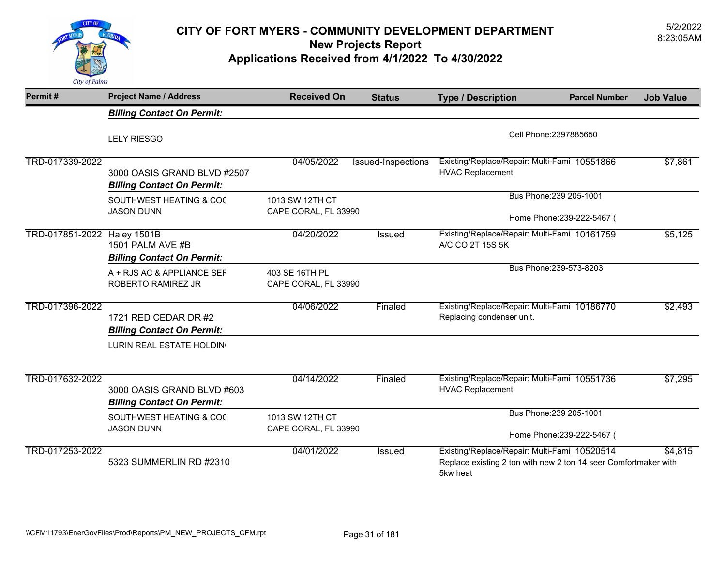

### 5/2/2022 **CITY OF FORT MYERS - COMMUNITY DEVELOPMENT DEPARTMENT** 8:23:05AM **New Projects Report**

**Applications Received from 4/1/2022 To 4/30/2022** 

| Permit#                     | <b>Project Name / Address</b>                                    | <b>Received On</b>                      | <b>Status</b>      | <b>Type / Description</b>                                                                                                   | <b>Parcel Number</b>                                  | <b>Job Value</b> |
|-----------------------------|------------------------------------------------------------------|-----------------------------------------|--------------------|-----------------------------------------------------------------------------------------------------------------------------|-------------------------------------------------------|------------------|
|                             | <b>Billing Contact On Permit:</b>                                |                                         |                    |                                                                                                                             |                                                       |                  |
|                             | <b>LELY RIESGO</b>                                               |                                         |                    |                                                                                                                             | Cell Phone: 2397885650                                |                  |
| TRD-017339-2022             | 3000 OASIS GRAND BLVD #2507<br><b>Billing Contact On Permit:</b> | 04/05/2022                              | Issued-Inspections | Existing/Replace/Repair: Multi-Fami 10551866<br><b>HVAC Replacement</b>                                                     |                                                       | \$7,861          |
|                             | SOUTHWEST HEATING & COO<br><b>JASON DUNN</b>                     | 1013 SW 12TH CT<br>CAPE CORAL, FL 33990 |                    |                                                                                                                             | Bus Phone: 239 205-1001<br>Home Phone: 239-222-5467 ( |                  |
| TRD-017851-2022 Haley 1501B | 1501 PALM AVE #B<br><b>Billing Contact On Permit:</b>            | 04/20/2022                              | <b>Issued</b>      | Existing/Replace/Repair: Multi-Fami 10161759<br>A/C CO 2T 15S 5K                                                            |                                                       | \$5,125          |
|                             | A + RJS AC & APPLIANCE SEF<br>ROBERTO RAMIREZ JR                 | 403 SE 16TH PL<br>CAPE CORAL, FL 33990  |                    |                                                                                                                             | Bus Phone: 239-573-8203                               |                  |
| TRD-017396-2022             | 1721 RED CEDAR DR #2<br><b>Billing Contact On Permit:</b>        | 04/06/2022                              | Finaled            | Existing/Replace/Repair: Multi-Fami 10186770<br>Replacing condenser unit.                                                   |                                                       | \$2,493          |
|                             | LURIN REAL ESTATE HOLDIN                                         |                                         |                    |                                                                                                                             |                                                       |                  |
| TRD-017632-2022             | 3000 OASIS GRAND BLVD #603<br><b>Billing Contact On Permit:</b>  | 04/14/2022                              | Finaled            | Existing/Replace/Repair: Multi-Fami 10551736<br><b>HVAC Replacement</b>                                                     |                                                       | \$7,295          |
|                             | SOUTHWEST HEATING & COO                                          | 1013 SW 12TH CT                         |                    |                                                                                                                             | Bus Phone: 239 205-1001                               |                  |
|                             | <b>JASON DUNN</b>                                                | CAPE CORAL, FL 33990                    |                    |                                                                                                                             | Home Phone: 239-222-5467 (                            |                  |
| TRD-017253-2022             | 5323 SUMMERLIN RD #2310                                          | 04/01/2022                              | <b>Issued</b>      | Existing/Replace/Repair: Multi-Fami 10520514<br>Replace existing 2 ton with new 2 ton 14 seer Comfortmaker with<br>5kw heat |                                                       | \$4,815          |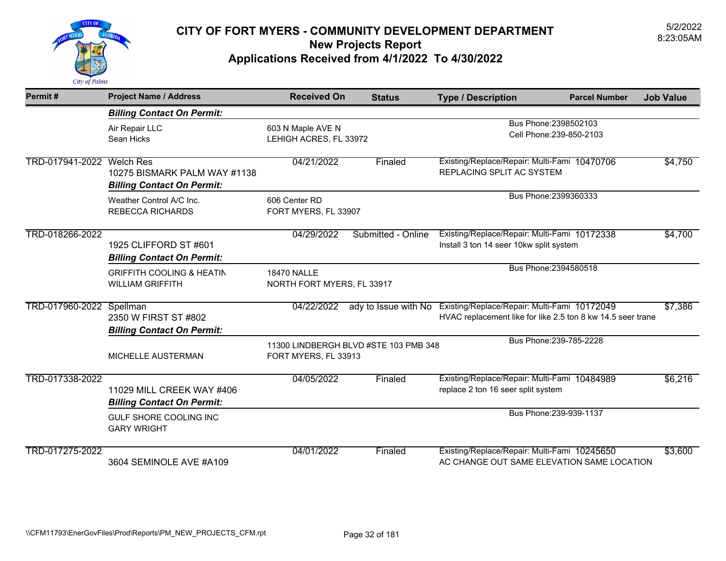

| Permit#         | <b>Project Name / Address</b>                                         | <b>Received On</b>                    | <b>Status</b>                         | <b>Type / Description</b>                                                                                                        | <b>Parcel Number</b>     | <b>Job Value</b> |
|-----------------|-----------------------------------------------------------------------|---------------------------------------|---------------------------------------|----------------------------------------------------------------------------------------------------------------------------------|--------------------------|------------------|
|                 | <b>Billing Contact On Permit:</b>                                     |                                       |                                       |                                                                                                                                  |                          |                  |
|                 | Air Repair LLC                                                        | 603 N Maple AVE N                     |                                       |                                                                                                                                  | Bus Phone: 2398502103    |                  |
|                 | Sean Hicks                                                            | LEHIGH ACRES, FL 33972                |                                       |                                                                                                                                  | Cell Phone: 239-850-2103 |                  |
| TRD-017941-2022 | <b>Welch Res</b><br>10275 BISMARK PALM WAY #1138                      | 04/21/2022                            | Finaled                               | Existing/Replace/Repair: Multi-Fami 10470706<br>REPLACING SPLIT AC SYSTEM                                                        |                          | \$4,750          |
|                 | <b>Billing Contact On Permit:</b>                                     |                                       |                                       |                                                                                                                                  | Bus Phone: 2399360333    |                  |
|                 | Weather Control A/C Inc.<br><b>REBECCA RICHARDS</b>                   | 606 Center RD<br>FORT MYERS, FL 33907 |                                       |                                                                                                                                  |                          |                  |
| TRD-018266-2022 | 1925 CLIFFORD ST #601<br><b>Billing Contact On Permit:</b>            | 04/29/2022                            | Submitted - Online                    | Existing/Replace/Repair: Multi-Fami 10172338<br>Install 3 ton 14 seer 10kw split system                                          |                          | \$4,700          |
|                 | <b>GRIFFITH COOLING &amp; HEATIN</b>                                  | <b>18470 NALLE</b>                    |                                       |                                                                                                                                  | Bus Phone: 2394580518    |                  |
|                 | <b>WILLIAM GRIFFITH</b>                                               | NORTH FORT MYERS, FL 33917            |                                       |                                                                                                                                  |                          |                  |
| TRD-017960-2022 | Spellman<br>2350 W FIRST ST #802<br><b>Billing Contact On Permit:</b> | 04/22/2022                            |                                       | ady to Issue with No Existing/Replace/Repair: Multi-Fami 10172049<br>HVAC replacement like for like 2.5 ton 8 kw 14.5 seer trane |                          | \$7,386          |
|                 |                                                                       |                                       |                                       |                                                                                                                                  | Bus Phone: 239-785-2228  |                  |
|                 | MICHELLE AUSTERMAN                                                    | FORT MYERS, FL 33913                  | 11300 LINDBERGH BLVD #STE 103 PMB 348 |                                                                                                                                  |                          |                  |
| TRD-017338-2022 | 11029 MILL CREEK WAY #406<br><b>Billing Contact On Permit:</b>        | 04/05/2022                            | Finaled                               | Existing/Replace/Repair: Multi-Fami 10484989<br>replace 2 ton 16 seer split system                                               |                          | \$6,216          |
|                 | GULF SHORE COOLING INC<br><b>GARY WRIGHT</b>                          |                                       |                                       |                                                                                                                                  | Bus Phone: 239-939-1137  |                  |
| TRD-017275-2022 | 3604 SEMINOLE AVE #A109                                               | 04/01/2022                            | Finaled                               | Existing/Replace/Repair: Multi-Fami 10245650<br>AC CHANGE OUT SAME ELEVATION SAME LOCATION                                       |                          | \$3,600          |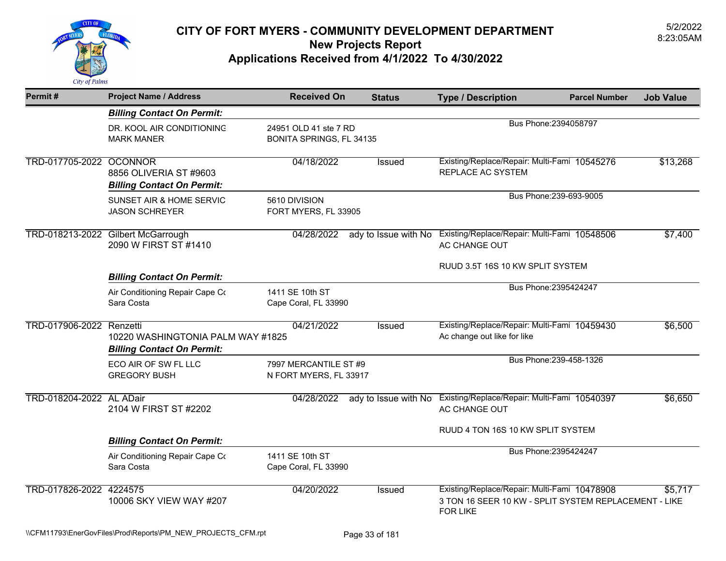

| Permit#                  | <b>Project Name / Address</b>                                          | <b>Received On</b>                                       | <b>Status</b> | <b>Type / Description</b>                                                                                                | <b>Parcel Number</b>    | <b>Job Value</b> |
|--------------------------|------------------------------------------------------------------------|----------------------------------------------------------|---------------|--------------------------------------------------------------------------------------------------------------------------|-------------------------|------------------|
|                          | <b>Billing Contact On Permit:</b>                                      |                                                          |               |                                                                                                                          |                         |                  |
|                          | DR. KOOL AIR CONDITIONING<br><b>MARK MANER</b>                         | 24951 OLD 41 ste 7 RD<br><b>BONITA SPRINGS, FL 34135</b> |               |                                                                                                                          | Bus Phone: 2394058797   |                  |
| TRD-017705-2022 OCONNOR  | 8856 OLIVERIA ST #9603<br><b>Billing Contact On Permit:</b>            | 04/18/2022                                               | Issued        | Existing/Replace/Repair: Multi-Fami 10545276<br><b>REPLACE AC SYSTEM</b>                                                 |                         | \$13,268         |
|                          | SUNSET AIR & HOME SERVIC<br><b>JASON SCHREYER</b>                      | 5610 DIVISION<br>FORT MYERS, FL 33905                    |               |                                                                                                                          | Bus Phone: 239-693-9005 |                  |
|                          | TRD-018213-2022 Gilbert McGarrough<br>2090 W FIRST ST #1410            | 04/28/2022                                               |               | ady to Issue with No Existing/Replace/Repair: Multi-Fami 10548506<br>AC CHANGE OUT                                       |                         | \$7,400          |
|                          | <b>Billing Contact On Permit:</b>                                      |                                                          |               | RUUD 3.5T 16S 10 KW SPLIT SYSTEM                                                                                         |                         |                  |
|                          | Air Conditioning Repair Cape Co<br>Sara Costa                          | 1411 SE 10th ST<br>Cape Coral, FL 33990                  |               |                                                                                                                          | Bus Phone: 2395424247   |                  |
| TRD-017906-2022 Renzetti | 10220 WASHINGTONIA PALM WAY #1825<br><b>Billing Contact On Permit:</b> | 04/21/2022                                               | Issued        | Existing/Replace/Repair: Multi-Fami 10459430<br>Ac change out like for like                                              |                         | \$6,500          |
|                          | ECO AIR OF SW FL LLC<br><b>GREGORY BUSH</b>                            | 7997 MERCANTILE ST #9<br>N FORT MYERS, FL 33917          |               |                                                                                                                          | Bus Phone: 239-458-1326 |                  |
| TRD-018204-2022 AL ADair | 2104 W FIRST ST #2202                                                  | 04/28/2022                                               |               | ady to Issue with No Existing/Replace/Repair: Multi-Fami 10540397<br>AC CHANGE OUT                                       |                         | \$6,650          |
|                          |                                                                        |                                                          |               | RUUD 4 TON 16S 10 KW SPLIT SYSTEM                                                                                        |                         |                  |
|                          | <b>Billing Contact On Permit:</b>                                      |                                                          |               |                                                                                                                          | Bus Phone: 2395424247   |                  |
|                          | Air Conditioning Repair Cape Co<br>Sara Costa                          | 1411 SE 10th ST<br>Cape Coral, FL 33990                  |               |                                                                                                                          |                         |                  |
| TRD-017826-2022 4224575  | 10006 SKY VIEW WAY #207                                                | 04/20/2022                                               | <b>Issued</b> | Existing/Replace/Repair: Multi-Fami 10478908<br>3 TON 16 SEER 10 KW - SPLIT SYSTEM REPLACEMENT - LIKE<br><b>FOR LIKE</b> |                         | \$5,717          |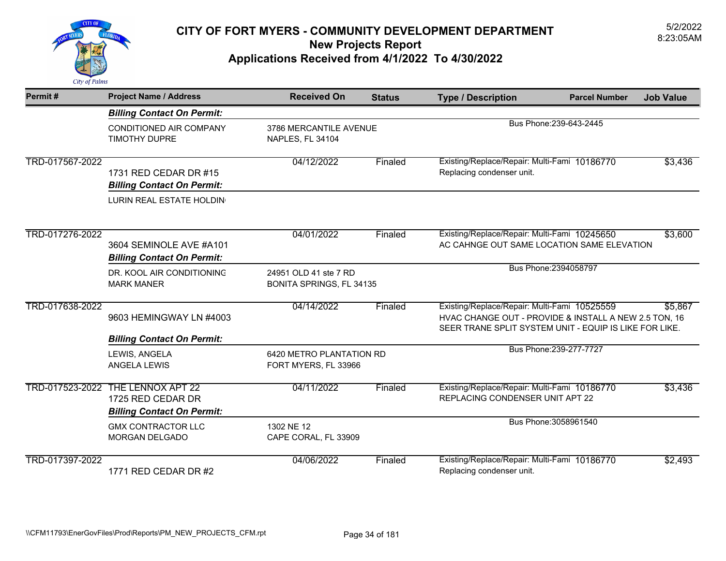

| Permit#         | <b>Project Name / Address</b>                                               | <b>Received On</b>                                | <b>Status</b> | <b>Type / Description</b>                                                                                                                                       | <b>Parcel Number</b>    | <b>Job Value</b> |
|-----------------|-----------------------------------------------------------------------------|---------------------------------------------------|---------------|-----------------------------------------------------------------------------------------------------------------------------------------------------------------|-------------------------|------------------|
|                 | <b>Billing Contact On Permit:</b>                                           |                                                   |               |                                                                                                                                                                 |                         |                  |
|                 | CONDITIONED AIR COMPANY<br><b>TIMOTHY DUPRE</b>                             | 3786 MERCANTILE AVENUE<br>NAPLES, FL 34104        |               |                                                                                                                                                                 | Bus Phone: 239-643-2445 |                  |
| TRD-017567-2022 | 1731 RED CEDAR DR #15<br><b>Billing Contact On Permit:</b>                  | 04/12/2022                                        | Finaled       | Existing/Replace/Repair: Multi-Fami 10186770<br>Replacing condenser unit.                                                                                       |                         | \$3,436          |
|                 | LURIN REAL ESTATE HOLDIN                                                    |                                                   |               |                                                                                                                                                                 |                         |                  |
| TRD-017276-2022 | 3604 SEMINOLE AVE #A101<br><b>Billing Contact On Permit:</b>                | 04/01/2022                                        | Finaled       | Existing/Replace/Repair: Multi-Fami 10245650<br>AC CAHNGE OUT SAME LOCATION SAME ELEVATION                                                                      |                         | \$3,600          |
|                 | DR. KOOL AIR CONDITIONING<br><b>MARK MANER</b>                              | 24951 OLD 41 ste 7 RD<br>BONITA SPRINGS, FL 34135 |               |                                                                                                                                                                 | Bus Phone: 2394058797   |                  |
| TRD-017638-2022 | 9603 HEMINGWAY LN #4003                                                     | 04/14/2022                                        | Finaled       | Existing/Replace/Repair: Multi-Fami 10525559<br>HVAC CHANGE OUT - PROVIDE & INSTALL A NEW 2.5 TON, 16<br>SEER TRANE SPLIT SYSTEM UNIT - EQUIP IS LIKE FOR LIKE. |                         | \$5,867          |
|                 | <b>Billing Contact On Permit:</b><br>LEWIS, ANGELA<br><b>ANGELA LEWIS</b>   | 6420 METRO PLANTATION RD<br>FORT MYERS, FL 33966  |               |                                                                                                                                                                 | Bus Phone: 239-277-7727 |                  |
| TRD-017523-2022 | THE LENNOX APT 22<br>1725 RED CEDAR DR<br><b>Billing Contact On Permit:</b> | 04/11/2022                                        | Finaled       | Existing/Replace/Repair: Multi-Fami 10186770<br>REPLACING CONDENSER UNIT APT 22                                                                                 |                         | \$3,436          |
|                 | <b>GMX CONTRACTOR LLC</b><br><b>MORGAN DELGADO</b>                          | 1302 NE 12<br>CAPE CORAL, FL 33909                |               |                                                                                                                                                                 | Bus Phone: 3058961540   |                  |
| TRD-017397-2022 | 1771 RED CEDAR DR #2                                                        | 04/06/2022                                        | Finaled       | Existing/Replace/Repair: Multi-Fami 10186770<br>Replacing condenser unit.                                                                                       |                         | \$2,493          |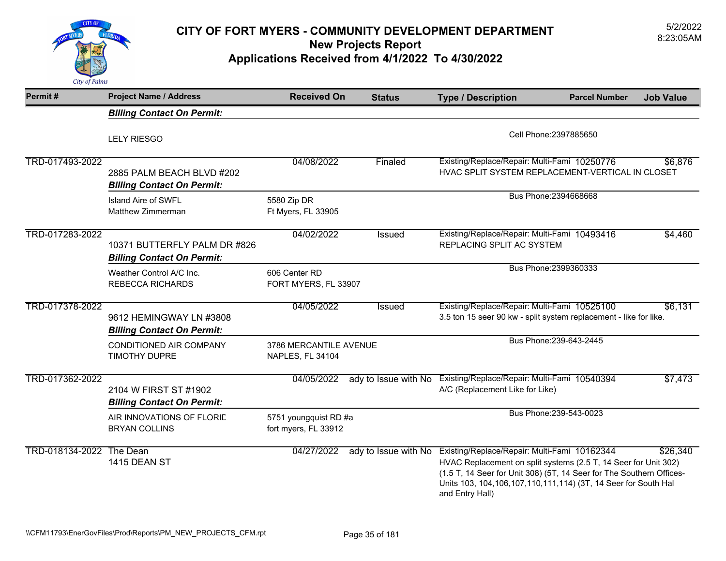

## 5/2/2022 **CITY OF FORT MYERS - COMMUNITY DEVELOPMENT DEPARTMENT** 8:23:05AM **New Projects Report**

**Applications Received from 4/1/2022 To 4/30/2022** 

| Permit#                  | <b>Project Name / Address</b>                                     | <b>Received On</b>                            | <b>Status</b>        | <b>Type / Description</b>                                                                                                                                                                                                                                                         | <b>Parcel Number</b>    | <b>Job Value</b> |
|--------------------------|-------------------------------------------------------------------|-----------------------------------------------|----------------------|-----------------------------------------------------------------------------------------------------------------------------------------------------------------------------------------------------------------------------------------------------------------------------------|-------------------------|------------------|
|                          | <b>Billing Contact On Permit:</b>                                 |                                               |                      |                                                                                                                                                                                                                                                                                   |                         |                  |
|                          | <b>LELY RIESGO</b>                                                |                                               |                      |                                                                                                                                                                                                                                                                                   | Cell Phone: 2397885650  |                  |
| TRD-017493-2022          | 2885 PALM BEACH BLVD #202<br><b>Billing Contact On Permit:</b>    | 04/08/2022                                    | Finaled              | Existing/Replace/Repair: Multi-Fami 10250776<br>HVAC SPLIT SYSTEM REPLACEMENT-VERTICAL IN CLOSET                                                                                                                                                                                  |                         | \$6,876          |
|                          | Island Aire of SWFL<br>Matthew Zimmerman                          | 5580 Zip DR<br>Ft Myers, FL 33905             |                      |                                                                                                                                                                                                                                                                                   | Bus Phone: 2394668668   |                  |
| TRD-017283-2022          | 10371 BUTTERFLY PALM DR #826<br><b>Billing Contact On Permit:</b> | 04/02/2022                                    | Issued               | Existing/Replace/Repair: Multi-Fami 10493416<br>REPLACING SPLIT AC SYSTEM                                                                                                                                                                                                         |                         | \$4,460          |
|                          | Weather Control A/C Inc.<br><b>REBECCA RICHARDS</b>               | 606 Center RD<br>FORT MYERS, FL 33907         |                      |                                                                                                                                                                                                                                                                                   | Bus Phone: 2399360333   |                  |
| TRD-017378-2022          | 9612 HEMINGWAY LN #3808<br><b>Billing Contact On Permit:</b>      | 04/05/2022                                    | <b>Issued</b>        | Existing/Replace/Repair: Multi-Fami 10525100<br>3.5 ton 15 seer 90 kw - split system replacement - like for like.                                                                                                                                                                 |                         | \$6,131          |
|                          | CONDITIONED AIR COMPANY<br><b>TIMOTHY DUPRE</b>                   | 3786 MERCANTILE AVENUE<br>NAPLES, FL 34104    |                      |                                                                                                                                                                                                                                                                                   | Bus Phone: 239-643-2445 |                  |
| TRD-017362-2022          | 2104 W FIRST ST #1902<br><b>Billing Contact On Permit:</b>        | 04/05/2022                                    | ady to Issue with No | Existing/Replace/Repair: Multi-Fami 10540394<br>A/C (Replacement Like for Like)                                                                                                                                                                                                   |                         | \$7,473          |
|                          | AIR INNOVATIONS OF FLORID<br><b>BRYAN COLLINS</b>                 | 5751 youngquist RD #a<br>fort myers, FL 33912 |                      |                                                                                                                                                                                                                                                                                   | Bus Phone: 239-543-0023 |                  |
| TRD-018134-2022 The Dean | 1415 DEAN ST                                                      | 04/27/2022                                    | ady to Issue with No | Existing/Replace/Repair: Multi-Fami 10162344<br>HVAC Replacement on split systems (2.5 T, 14 Seer for Unit 302)<br>(1.5 T, 14 Seer for Unit 308) (5T, 14 Seer for The Southern Offices-<br>Units 103, 104, 106, 107, 110, 111, 114) (3T, 14 Seer for South Hal<br>and Entry Hall) |                         | \$26,340         |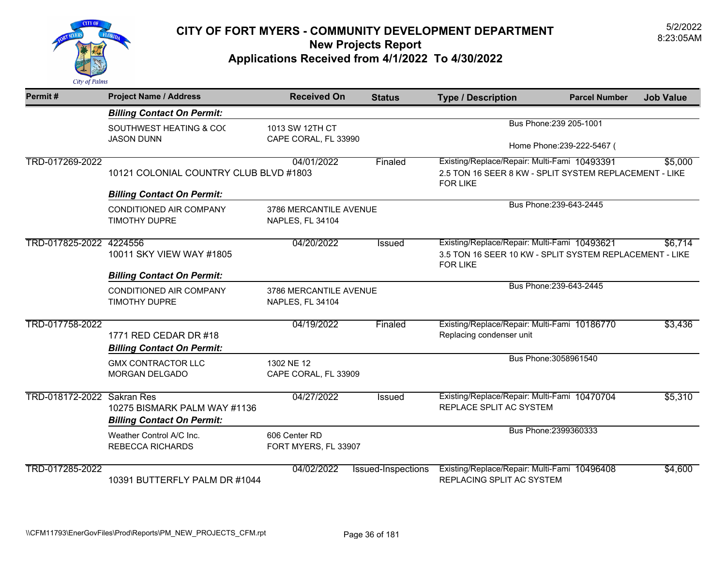

| Permit#                    | <b>Project Name / Address</b>                                                        | <b>Received On</b>                         | <b>Status</b>      | <b>Type / Description</b>                                                                                                             | <b>Parcel Number</b>                                  | <b>Job Value</b> |
|----------------------------|--------------------------------------------------------------------------------------|--------------------------------------------|--------------------|---------------------------------------------------------------------------------------------------------------------------------------|-------------------------------------------------------|------------------|
|                            | <b>Billing Contact On Permit:</b>                                                    |                                            |                    |                                                                                                                                       |                                                       |                  |
|                            | SOUTHWEST HEATING & COO<br><b>JASON DUNN</b>                                         | 1013 SW 12TH CT<br>CAPE CORAL, FL 33990    |                    |                                                                                                                                       | Bus Phone: 239 205-1001<br>Home Phone: 239-222-5467 ( |                  |
| TRD-017269-2022            | 10121 COLONIAL COUNTRY CLUB BLVD #1803                                               | 04/01/2022                                 | Finaled            | Existing/Replace/Repair: Multi-Fami 10493391<br>2.5 TON 16 SEER 8 KW - SPLIT SYSTEM REPLACEMENT - LIKE<br><b>FOR LIKE</b>             |                                                       | \$5,000          |
|                            | <b>Billing Contact On Permit:</b><br>CONDITIONED AIR COMPANY<br><b>TIMOTHY DUPRE</b> | 3786 MERCANTILE AVENUE<br>NAPLES, FL 34104 |                    | Bus Phone: 239-643-2445                                                                                                               |                                                       |                  |
| TRD-017825-2022            | 4224556<br>10011 SKY VIEW WAY #1805<br><b>Billing Contact On Permit:</b>             | 04/20/2022                                 | Issued             | Existing/Replace/Repair: Multi-Fami 10493621<br>\$6.714<br>3.5 TON 16 SEER 10 KW - SPLIT SYSTEM REPLACEMENT - LIKE<br><b>FOR LIKE</b> |                                                       |                  |
|                            | CONDITIONED AIR COMPANY<br><b>TIMOTHY DUPRE</b>                                      | 3786 MERCANTILE AVENUE<br>NAPLES, FL 34104 |                    |                                                                                                                                       | Bus Phone: 239-643-2445                               |                  |
| TRD-017758-2022            | 1771 RED CEDAR DR #18<br><b>Billing Contact On Permit:</b>                           | 04/19/2022                                 | Finaled            | Existing/Replace/Repair: Multi-Fami 10186770<br>Replacing condenser unit                                                              |                                                       | \$3,436          |
|                            | <b>GMX CONTRACTOR LLC</b><br>MORGAN DELGADO                                          | 1302 NE 12<br>CAPE CORAL, FL 33909         |                    |                                                                                                                                       | Bus Phone: 3058961540                                 |                  |
| TRD-018172-2022 Sakran Res | 10275 BISMARK PALM WAY #1136<br><b>Billing Contact On Permit:</b>                    | 04/27/2022                                 | Issued             | Existing/Replace/Repair: Multi-Fami 10470704<br>REPLACE SPLIT AC SYSTEM                                                               |                                                       | \$5,310          |
|                            | Weather Control A/C Inc.<br><b>REBECCA RICHARDS</b>                                  | 606 Center RD<br>FORT MYERS, FL 33907      |                    |                                                                                                                                       | Bus Phone: 2399360333                                 |                  |
| TRD-017285-2022            | 10391 BUTTERFLY PALM DR #1044                                                        | 04/02/2022                                 | Issued-Inspections | Existing/Replace/Repair: Multi-Fami 10496408<br>REPLACING SPLIT AC SYSTEM                                                             |                                                       | \$4,600          |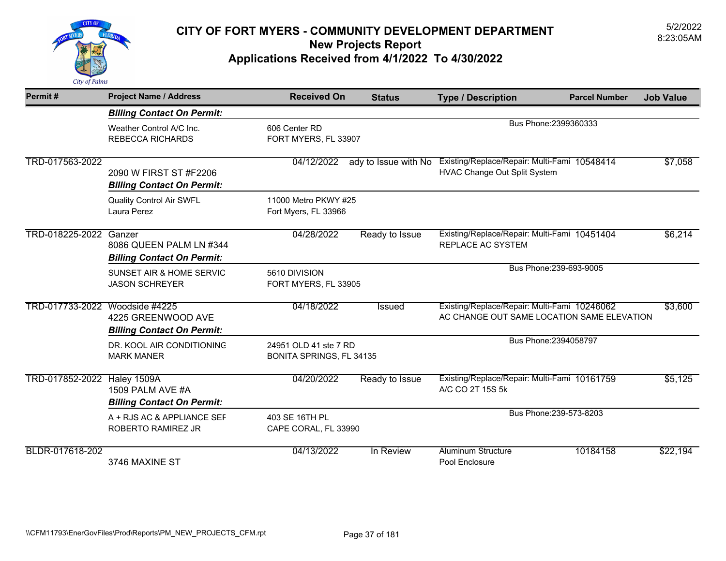

| Permit#                        | <b>Project Name / Address</b>                                        | <b>Received On</b>                                | <b>Status</b>        | <b>Type / Description</b>                                                                  | <b>Parcel Number</b>    | <b>Job Value</b> |
|--------------------------------|----------------------------------------------------------------------|---------------------------------------------------|----------------------|--------------------------------------------------------------------------------------------|-------------------------|------------------|
|                                | <b>Billing Contact On Permit:</b>                                    |                                                   |                      |                                                                                            |                         |                  |
|                                | Weather Control A/C Inc.<br><b>REBECCA RICHARDS</b>                  | 606 Center RD<br>FORT MYERS, FL 33907             |                      |                                                                                            | Bus Phone: 2399360333   |                  |
| TRD-017563-2022                | 2090 W FIRST ST #F2206<br><b>Billing Contact On Permit:</b>          | 04/12/2022                                        | ady to Issue with No | Existing/Replace/Repair: Multi-Fami 10548414<br>HVAC Change Out Split System               |                         | \$7,058          |
|                                | <b>Quality Control Air SWFL</b><br>Laura Perez                       | 11000 Metro PKWY #25<br>Fort Myers, FL 33966      |                      |                                                                                            |                         |                  |
| TRD-018225-2022 Ganzer         | 8086 QUEEN PALM LN #344<br><b>Billing Contact On Permit:</b>         | 04/28/2022                                        | Ready to Issue       | Existing/Replace/Repair: Multi-Fami 10451404<br>REPLACE AC SYSTEM                          |                         | \$6,214          |
|                                | SUNSET AIR & HOME SERVIC<br><b>JASON SCHREYER</b>                    | 5610 DIVISION<br>FORT MYERS, FL 33905             |                      |                                                                                            | Bus Phone: 239-693-9005 |                  |
| TRD-017733-2022 Woodside #4225 | 4225 GREENWOOD AVE<br><b>Billing Contact On Permit:</b>              | 04/18/2022                                        | Issued               | Existing/Replace/Repair: Multi-Fami 10246062<br>AC CHANGE OUT SAME LOCATION SAME ELEVATION |                         | \$3,600          |
|                                | DR. KOOL AIR CONDITIONING<br><b>MARK MANER</b>                       | 24951 OLD 41 ste 7 RD<br>BONITA SPRINGS, FL 34135 |                      |                                                                                            | Bus Phone: 2394058797   |                  |
| TRD-017852-2022                | Haley 1509A<br>1509 PALM AVE #A<br><b>Billing Contact On Permit:</b> | 04/20/2022                                        | Ready to Issue       | Existing/Replace/Repair: Multi-Fami 10161759<br>A/C CO 2T 15S 5k                           |                         | \$5,125          |
|                                | A + RJS AC & APPLIANCE SEF<br>ROBERTO RAMIREZ JR                     | 403 SE 16TH PL<br>CAPE CORAL, FL 33990            |                      |                                                                                            | Bus Phone: 239-573-8203 |                  |
| BLDR-017618-202                | 3746 MAXINE ST                                                       | 04/13/2022                                        | In Review            | <b>Aluminum Structure</b><br>Pool Enclosure                                                | 10184158                | \$22,194         |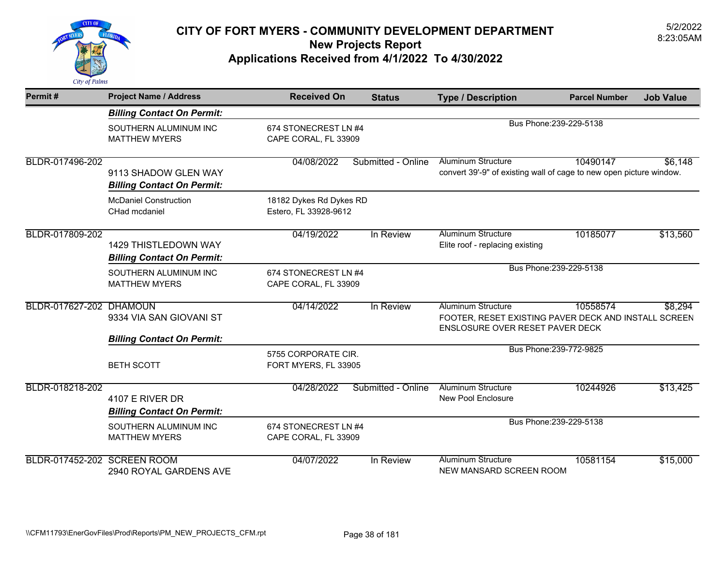

| Permit#                     | <b>Project Name / Address</b>                                    | <b>Received On</b>                               | <b>Status</b>      | <b>Type / Description</b>                                                                                            | <b>Parcel Number</b>    | <b>Job Value</b> |
|-----------------------------|------------------------------------------------------------------|--------------------------------------------------|--------------------|----------------------------------------------------------------------------------------------------------------------|-------------------------|------------------|
|                             | <b>Billing Contact On Permit:</b>                                |                                                  |                    |                                                                                                                      |                         |                  |
|                             | SOUTHERN ALUMINUM INC<br><b>MATTHEW MYERS</b>                    | 674 STONECREST LN #4<br>CAPE CORAL, FL 33909     |                    |                                                                                                                      | Bus Phone: 239-229-5138 |                  |
| BLDR-017496-202             | 9113 SHADOW GLEN WAY<br><b>Billing Contact On Permit:</b>        | 04/08/2022                                       | Submitted - Online | <b>Aluminum Structure</b><br>convert 39'-9" of existing wall of cage to new open picture window.                     | 10490147                | \$6,148          |
|                             | <b>McDaniel Construction</b><br>CHad mcdaniel                    | 18182 Dykes Rd Dykes RD<br>Estero, FL 33928-9612 |                    |                                                                                                                      |                         |                  |
| BLDR-017809-202             | <b>1429 THISTLEDOWN WAY</b><br><b>Billing Contact On Permit:</b> | 04/19/2022                                       | In Review          | <b>Aluminum Structure</b><br>Elite roof - replacing existing                                                         | 10185077                | \$13,560         |
|                             | SOUTHERN ALUMINUM INC<br><b>MATTHEW MYERS</b>                    | 674 STONECREST LN #4<br>CAPE CORAL, FL 33909     |                    |                                                                                                                      | Bus Phone: 239-229-5138 |                  |
| BLDR-017627-202 DHAMOUN     | 9334 VIA SAN GIOVANI ST                                          | 04/14/2022                                       | In Review          | <b>Aluminum Structure</b><br>FOOTER, RESET EXISTING PAVER DECK AND INSTALL SCREEN<br>ENSLOSURE OVER RESET PAVER DECK | 10558574                | \$8,294          |
|                             | <b>Billing Contact On Permit:</b>                                |                                                  |                    |                                                                                                                      |                         |                  |
|                             | <b>BETH SCOTT</b>                                                | 5755 CORPORATE CIR.<br>FORT MYERS, FL 33905      |                    |                                                                                                                      | Bus Phone: 239-772-9825 |                  |
| BLDR-018218-202             | 4107 E RIVER DR<br><b>Billing Contact On Permit:</b>             | 04/28/2022                                       | Submitted - Online | <b>Aluminum Structure</b><br>New Pool Enclosure                                                                      | 10244926                | \$13,425         |
|                             | SOUTHERN ALUMINUM INC<br><b>MATTHEW MYERS</b>                    | 674 STONECREST LN #4<br>CAPE CORAL, FL 33909     |                    |                                                                                                                      | Bus Phone: 239-229-5138 |                  |
| BLDR-017452-202 SCREEN ROOM | 2940 ROYAL GARDENS AVE                                           | 04/07/2022                                       | In Review          | <b>Aluminum Structure</b><br>NEW MANSARD SCREEN ROOM                                                                 | 10581154                | \$15,000         |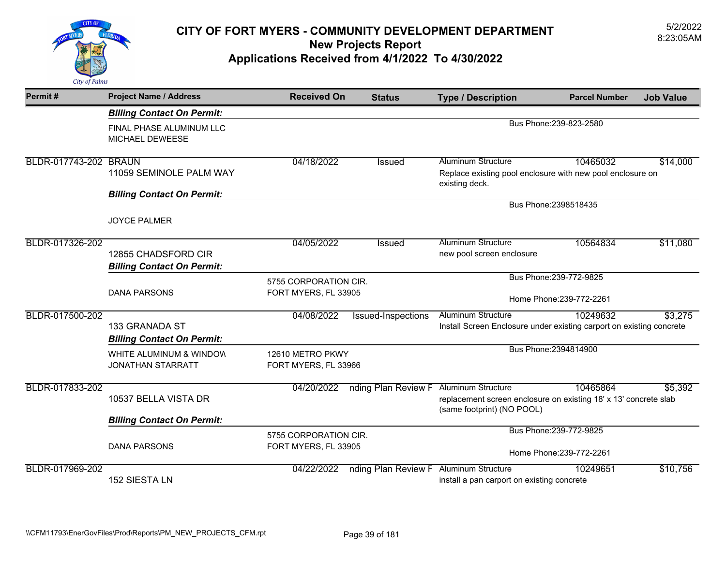

| Permit#               | <b>Project Name / Address</b>                            | <b>Received On</b>                       | <b>Status</b>       | <b>Type / Description</b>                                                                      | <b>Parcel Number</b>     | <b>Job Value</b> |  |
|-----------------------|----------------------------------------------------------|------------------------------------------|---------------------|------------------------------------------------------------------------------------------------|--------------------------|------------------|--|
|                       | <b>Billing Contact On Permit:</b>                        |                                          |                     |                                                                                                |                          |                  |  |
|                       | FINAL PHASE ALUMINUM LLC<br>MICHAEL DEWEESE              |                                          |                     | Bus Phone: 239-823-2580                                                                        |                          |                  |  |
| BLDR-017743-202 BRAUN |                                                          | 04/18/2022                               | <b>Issued</b>       | <b>Aluminum Structure</b>                                                                      | 10465032                 | \$14,000         |  |
|                       | 11059 SEMINOLE PALM WAY                                  |                                          |                     | Replace existing pool enclosure with new pool enclosure on<br>existing deck.                   |                          |                  |  |
|                       | <b>Billing Contact On Permit:</b>                        |                                          |                     |                                                                                                |                          |                  |  |
|                       | <b>JOYCE PALMER</b>                                      |                                          |                     |                                                                                                | Bus Phone: 2398518435    |                  |  |
| BLDR-017326-202       |                                                          | 04/05/2022                               | <b>Issued</b>       | <b>Aluminum Structure</b>                                                                      | 10564834                 | \$11,080         |  |
|                       | 12855 CHADSFORD CIR<br><b>Billing Contact On Permit:</b> |                                          |                     | new pool screen enclosure                                                                      |                          |                  |  |
|                       |                                                          | 5755 CORPORATION CIR.                    |                     |                                                                                                | Bus Phone: 239-772-9825  |                  |  |
|                       | <b>DANA PARSONS</b>                                      | FORT MYERS, FL 33905                     |                     |                                                                                                | Home Phone: 239-772-2261 |                  |  |
| BLDR-017500-202       |                                                          | 04/08/2022                               | Issued-Inspections  | <b>Aluminum Structure</b>                                                                      | 10249632                 | \$3,275          |  |
|                       | 133 GRANADA ST<br><b>Billing Contact On Permit:</b>      |                                          |                     | Install Screen Enclosure under existing carport on existing concrete                           |                          |                  |  |
|                       | WHITE ALUMINUM & WINDOW<br><b>JONATHAN STARRATT</b>      | 12610 METRO PKWY<br>FORT MYERS, FL 33966 |                     |                                                                                                | Bus Phone: 2394814900    |                  |  |
| BLDR-017833-202       |                                                          | 04/20/2022                               | nding Plan Review F | <b>Aluminum Structure</b>                                                                      | 10465864                 | \$5,392          |  |
|                       | 10537 BELLA VISTA DR                                     |                                          |                     | replacement screen enclosure on existing 18' x 13' concrete slab<br>(same footprint) (NO POOL) |                          |                  |  |
|                       | <b>Billing Contact On Permit:</b>                        |                                          |                     |                                                                                                |                          |                  |  |
|                       |                                                          | 5755 CORPORATION CIR.                    |                     |                                                                                                | Bus Phone: 239-772-9825  |                  |  |
|                       | <b>DANA PARSONS</b>                                      | FORT MYERS, FL 33905                     |                     |                                                                                                | Home Phone: 239-772-2261 |                  |  |
| BLDR-017969-202       | 152 SIESTA LN                                            | 04/22/2022                               | nding Plan Review F | <b>Aluminum Structure</b><br>install a pan carport on existing concrete                        | 10249651                 | \$10,756         |  |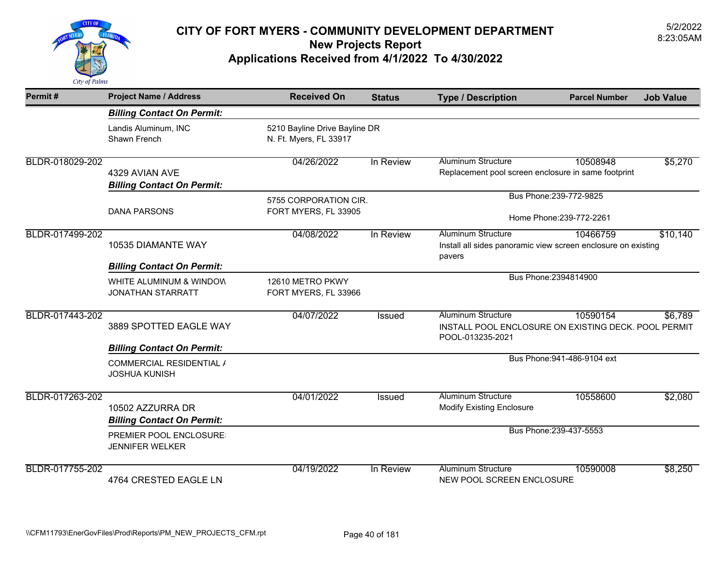

| Permit#         | <b>Project Name / Address</b>                           | <b>Received On</b>                                      | <b>Status</b> | <b>Type / Description</b>                                                                             | <b>Parcel Number</b>        | <b>Job Value</b> |
|-----------------|---------------------------------------------------------|---------------------------------------------------------|---------------|-------------------------------------------------------------------------------------------------------|-----------------------------|------------------|
|                 | <b>Billing Contact On Permit:</b>                       |                                                         |               |                                                                                                       |                             |                  |
|                 | Landis Aluminum, INC<br>Shawn French                    | 5210 Bayline Drive Bayline DR<br>N. Ft. Myers, FL 33917 |               |                                                                                                       |                             |                  |
| BLDR-018029-202 | 4329 AVIAN AVE<br><b>Billing Contact On Permit:</b>     | 04/26/2022                                              | In Review     | <b>Aluminum Structure</b><br>Replacement pool screen enclosure in same footprint                      | 10508948                    | \$5,270          |
|                 | <b>DANA PARSONS</b>                                     | 5755 CORPORATION CIR.<br>FORT MYERS, FL 33905           |               | Bus Phone: 239-772-9825<br>Home Phone: 239-772-2261                                                   |                             |                  |
| BLDR-017499-202 | 10535 DIAMANTE WAY<br><b>Billing Contact On Permit:</b> | 04/08/2022                                              | In Review     | <b>Aluminum Structure</b><br>Install all sides panoramic view screen enclosure on existing<br>pavers  | 10466759                    | \$10,140         |
|                 | WHITE ALUMINUM & WINDOW<br><b>JONATHAN STARRATT</b>     | 12610 METRO PKWY<br>FORT MYERS, FL 33966                |               |                                                                                                       | Bus Phone: 2394814900       |                  |
| BLDR-017443-202 | 3889 SPOTTED EAGLE WAY                                  | 04/07/2022                                              | <b>Issued</b> | <b>Aluminum Structure</b><br>INSTALL POOL ENCLOSURE ON EXISTING DECK. POOL PERMIT<br>POOL-013235-2021 | 10590154                    | \$6,789          |
|                 | <b>Billing Contact On Permit:</b>                       |                                                         |               |                                                                                                       |                             |                  |
|                 | <b>COMMERCIAL RESIDENTIAL /</b><br><b>JOSHUA KUNISH</b> |                                                         |               |                                                                                                       | Bus Phone: 941-486-9104 ext |                  |
| BLDR-017263-202 | 10502 AZZURRA DR<br><b>Billing Contact On Permit:</b>   | 04/01/2022                                              | Issued        | <b>Aluminum Structure</b><br><b>Modify Existing Enclosure</b>                                         | 10558600                    | \$2,080          |
|                 | PREMIER POOL ENCLOSURE<br><b>JENNIFER WELKER</b>        |                                                         |               |                                                                                                       | Bus Phone: 239-437-5553     |                  |
| BLDR-017755-202 | 4764 CRESTED EAGLE LN                                   | 04/19/2022                                              | In Review     | <b>Aluminum Structure</b><br>NEW POOL SCREEN ENCLOSURE                                                | 10590008                    | \$8,250          |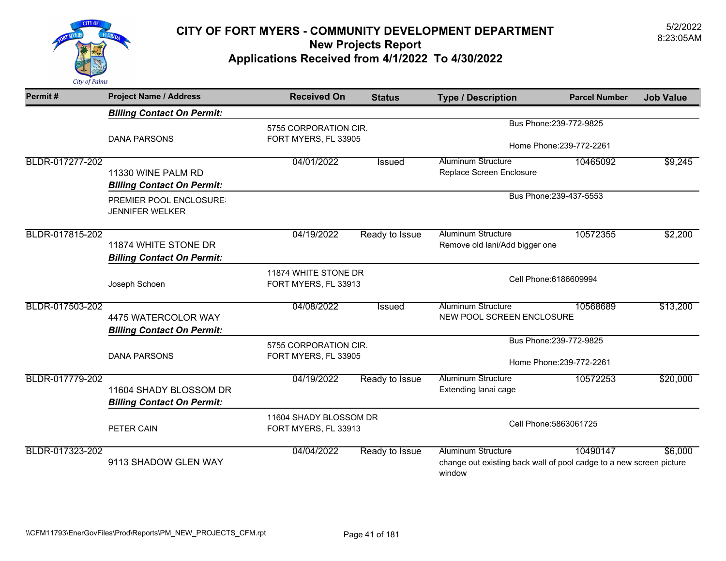

| Permit#         | <b>Project Name / Address</b>                               | <b>Received On</b>                             | <b>Status</b>  | <b>Type / Description</b>                                                                                  | <b>Parcel Number</b>     | <b>Job Value</b> |
|-----------------|-------------------------------------------------------------|------------------------------------------------|----------------|------------------------------------------------------------------------------------------------------------|--------------------------|------------------|
|                 | <b>Billing Contact On Permit:</b>                           |                                                |                |                                                                                                            |                          |                  |
|                 |                                                             | 5755 CORPORATION CIR.                          |                |                                                                                                            | Bus Phone: 239-772-9825  |                  |
|                 | <b>DANA PARSONS</b>                                         | FORT MYERS, FL 33905                           |                | Home Phone: 239-772-2261                                                                                   |                          |                  |
| BLDR-017277-202 |                                                             | 04/01/2022                                     | Issued         | <b>Aluminum Structure</b>                                                                                  | 10465092                 | \$9,245          |
|                 | 11330 WINE PALM RD<br><b>Billing Contact On Permit:</b>     |                                                |                | Replace Screen Enclosure                                                                                   |                          |                  |
|                 | PREMIER POOL ENCLOSURE:<br><b>JENNIFER WELKER</b>           |                                                |                | Bus Phone: 239-437-5553                                                                                    |                          |                  |
| BLDR-017815-202 |                                                             | 04/19/2022                                     | Ready to Issue | <b>Aluminum Structure</b>                                                                                  | 10572355                 | \$2,200          |
|                 | 11874 WHITE STONE DR<br><b>Billing Contact On Permit:</b>   |                                                |                | Remove old lani/Add bigger one                                                                             |                          |                  |
|                 | Joseph Schoen                                               | 11874 WHITE STONE DR<br>FORT MYERS, FL 33913   |                | Cell Phone: 6186609994                                                                                     |                          |                  |
| BLDR-017503-202 | 4475 WATERCOLOR WAY<br><b>Billing Contact On Permit:</b>    | 04/08/2022                                     | Issued         | <b>Aluminum Structure</b><br>NEW POOL SCREEN ENCLOSURE                                                     | 10568689                 | \$13,200         |
|                 |                                                             | 5755 CORPORATION CIR.                          |                |                                                                                                            | Bus Phone: 239-772-9825  |                  |
|                 | <b>DANA PARSONS</b>                                         | FORT MYERS, FL 33905                           |                |                                                                                                            | Home Phone: 239-772-2261 |                  |
| BLDR-017779-202 | 11604 SHADY BLOSSOM DR<br><b>Billing Contact On Permit:</b> | 04/19/2022                                     | Ready to Issue | <b>Aluminum Structure</b><br>Extending lanai cage                                                          | 10572253                 | \$20,000         |
|                 | PETER CAIN                                                  | 11604 SHADY BLOSSOM DR<br>FORT MYERS, FL 33913 |                |                                                                                                            | Cell Phone: 5863061725   |                  |
| BLDR-017323-202 | 9113 SHADOW GLEN WAY                                        | 04/04/2022                                     | Ready to Issue | <b>Aluminum Structure</b><br>change out existing back wall of pool cadge to a new screen picture<br>window | 10490147                 | \$6,000          |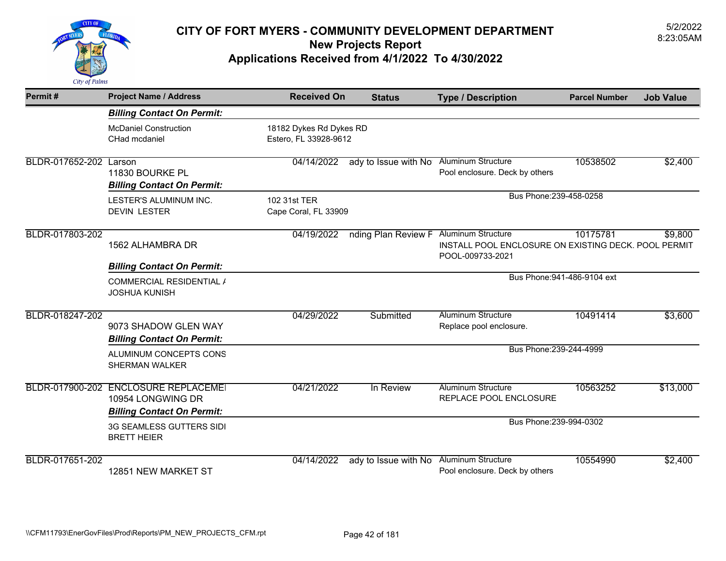

| Permit#         | <b>Project Name / Address</b>                                                                  | <b>Received On</b>                               | <b>Status</b>                          | <b>Type / Description</b>                                                | <b>Parcel Number</b>        | <b>Job Value</b> |
|-----------------|------------------------------------------------------------------------------------------------|--------------------------------------------------|----------------------------------------|--------------------------------------------------------------------------|-----------------------------|------------------|
|                 | <b>Billing Contact On Permit:</b>                                                              |                                                  |                                        |                                                                          |                             |                  |
|                 | <b>McDaniel Construction</b><br>CHad mcdaniel                                                  | 18182 Dykes Rd Dykes RD<br>Estero, FL 33928-9612 |                                        |                                                                          |                             |                  |
| BLDR-017652-202 | Larson<br>11830 BOURKE PL<br><b>Billing Contact On Permit:</b>                                 | 04/14/2022                                       | ady to Issue with No                   | <b>Aluminum Structure</b><br>Pool enclosure. Deck by others              | 10538502                    | \$2,400          |
|                 | LESTER'S ALUMINUM INC.<br><b>DEVIN LESTER</b>                                                  | 102 31st TER<br>Cape Coral, FL 33909             |                                        | Bus Phone: 239-458-0258                                                  |                             |                  |
| BLDR-017803-202 | 1562 ALHAMBRA DR                                                                               | 04/19/2022                                       | nding Plan Review F Aluminum Structure | INSTALL POOL ENCLOSURE ON EXISTING DECK. POOL PERMIT<br>POOL-009733-2021 | 10175781                    | \$9,800          |
|                 | <b>Billing Contact On Permit:</b>                                                              |                                                  |                                        |                                                                          | Bus Phone: 941-486-9104 ext |                  |
|                 | COMMERCIAL RESIDENTIAL /<br><b>JOSHUA KUNISH</b>                                               |                                                  |                                        |                                                                          |                             |                  |
| BLDR-018247-202 | 9073 SHADOW GLEN WAY<br><b>Billing Contact On Permit:</b>                                      | 04/29/2022                                       | Submitted                              | <b>Aluminum Structure</b><br>Replace pool enclosure.                     | 10491414                    | \$3,600          |
|                 | ALUMINUM CONCEPTS CONS<br><b>SHERMAN WALKER</b>                                                |                                                  |                                        | Bus Phone: 239-244-4999                                                  |                             |                  |
|                 | BLDR-017900-202 ENCLOSURE REPLACEMEI<br>10954 LONGWING DR<br><b>Billing Contact On Permit:</b> | 04/21/2022                                       | In Review                              | <b>Aluminum Structure</b><br>REPLACE POOL ENCLOSURE                      | 10563252                    | \$13,000         |
|                 | 3G SEAMLESS GUTTERS SIDI<br><b>BRETT HEIER</b>                                                 |                                                  |                                        | Bus Phone: 239-994-0302                                                  |                             |                  |
| BLDR-017651-202 | 12851 NEW MARKET ST                                                                            | 04/14/2022                                       | ady to Issue with No                   | <b>Aluminum Structure</b><br>Pool enclosure. Deck by others              | 10554990                    | \$2,400          |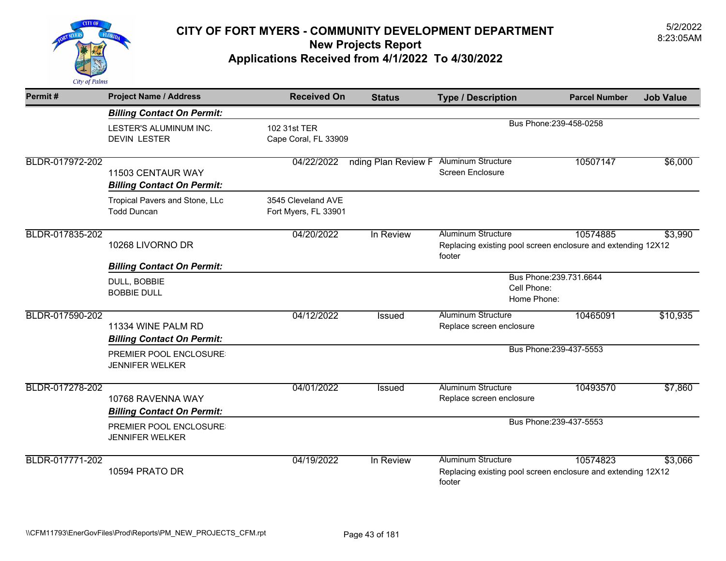

| Permit#         | <b>Project Name / Address</b>                           | <b>Received On</b>                         | <b>Status</b>       | <b>Type / Description</b>                                                                    | <b>Parcel Number</b>    | <b>Job Value</b> |  |
|-----------------|---------------------------------------------------------|--------------------------------------------|---------------------|----------------------------------------------------------------------------------------------|-------------------------|------------------|--|
|                 | <b>Billing Contact On Permit:</b>                       |                                            |                     |                                                                                              |                         |                  |  |
|                 | LESTER'S ALUMINUM INC.<br><b>DEVIN LESTER</b>           | 102 31st TER<br>Cape Coral, FL 33909       |                     |                                                                                              | Bus Phone: 239-458-0258 |                  |  |
| BLDR-017972-202 | 11503 CENTAUR WAY<br><b>Billing Contact On Permit:</b>  | 04/22/2022                                 | nding Plan Review F | <b>Aluminum Structure</b><br><b>Screen Enclosure</b>                                         | 10507147                | \$6,000          |  |
|                 | Tropical Pavers and Stone, LLc<br><b>Todd Duncan</b>    | 3545 Cleveland AVE<br>Fort Myers, FL 33901 |                     |                                                                                              |                         |                  |  |
| BLDR-017835-202 | 10268 LIVORNO DR                                        | 04/20/2022                                 | In Review           | <b>Aluminum Structure</b><br>Replacing existing pool screen enclosure and extending 12X12    | 10574885                | \$3,990          |  |
|                 | <b>Billing Contact On Permit:</b>                       |                                            |                     | footer                                                                                       |                         |                  |  |
|                 | DULL, BOBBIE<br><b>BOBBIE DULL</b>                      |                                            |                     | Cell Phone:<br>Home Phone:                                                                   | Bus Phone: 239.731.6644 |                  |  |
| BLDR-017590-202 | 11334 WINE PALM RD<br><b>Billing Contact On Permit:</b> | 04/12/2022                                 | Issued              | <b>Aluminum Structure</b><br>Replace screen enclosure                                        | 10465091                | \$10,935         |  |
|                 | PREMIER POOL ENCLOSURE<br><b>JENNIFER WELKER</b>        |                                            |                     |                                                                                              | Bus Phone: 239-437-5553 |                  |  |
| BLDR-017278-202 | 10768 RAVENNA WAY<br><b>Billing Contact On Permit:</b>  | 04/01/2022                                 | Issued              | <b>Aluminum Structure</b><br>Replace screen enclosure                                        | 10493570                | \$7,860          |  |
|                 | PREMIER POOL ENCLOSURE:<br><b>JENNIFER WELKER</b>       |                                            |                     | Bus Phone: 239-437-5553                                                                      |                         |                  |  |
| BLDR-017771-202 | 10594 PRATO DR                                          | 04/19/2022                                 | In Review           | Aluminum Structure<br>Replacing existing pool screen enclosure and extending 12X12<br>footer | 10574823                | \$3,066          |  |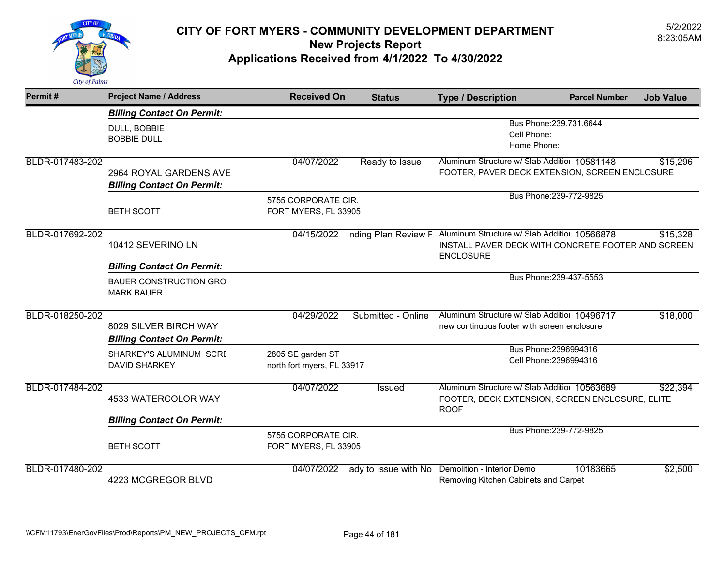

| Permit#         | <b>Project Name / Address</b>                              | <b>Received On</b>         | <b>Status</b>        | <b>Type / Description</b>                                              | <b>Parcel Number</b>    | <b>Job Value</b> |
|-----------------|------------------------------------------------------------|----------------------------|----------------------|------------------------------------------------------------------------|-------------------------|------------------|
|                 | <b>Billing Contact On Permit:</b>                          |                            |                      |                                                                        |                         |                  |
|                 | DULL, BOBBIE                                               |                            |                      | Bus Phone: 239.731.6644<br>Cell Phone:                                 |                         |                  |
|                 | <b>BOBBIE DULL</b>                                         |                            |                      | Home Phone:                                                            |                         |                  |
| BLDR-017483-202 |                                                            | 04/07/2022                 | Ready to Issue       | Aluminum Structure w/ Slab Additior 10581148                           |                         | \$15,296         |
|                 | 2964 ROYAL GARDENS AVE                                     |                            |                      | FOOTER, PAVER DECK EXTENSION, SCREEN ENCLOSURE                         |                         |                  |
|                 | <b>Billing Contact On Permit:</b>                          |                            |                      |                                                                        |                         |                  |
|                 |                                                            | 5755 CORPORATE CIR.        |                      | Bus Phone: 239-772-9825                                                |                         |                  |
|                 | <b>BETH SCOTT</b>                                          | FORT MYERS, FL 33905       |                      |                                                                        |                         |                  |
| BLDR-017692-202 |                                                            | 04/15/2022                 |                      | nding Plan Review F Aluminum Structure w/ Slab Additior 10566878       |                         | \$15,328         |
|                 | 10412 SEVERINO LN                                          |                            |                      | INSTALL PAVER DECK WITH CONCRETE FOOTER AND SCREEN<br><b>ENCLOSURE</b> |                         |                  |
|                 | <b>Billing Contact On Permit:</b>                          |                            |                      |                                                                        |                         |                  |
|                 | <b>BAUER CONSTRUCTION GRO</b><br><b>MARK BAUER</b>         |                            |                      |                                                                        | Bus Phone: 239-437-5553 |                  |
| BLDR-018250-202 |                                                            | 04/29/2022                 | Submitted - Online   | Aluminum Structure w/ Slab Additior 10496717                           |                         | \$18,000         |
|                 | 8029 SILVER BIRCH WAY<br><b>Billing Contact On Permit:</b> |                            |                      | new continuous footer with screen enclosure                            |                         |                  |
|                 | <b>SHARKEY'S ALUMINUM SCRE</b>                             | 2805 SE garden ST          |                      | Bus Phone: 2396994316                                                  |                         |                  |
|                 | <b>DAVID SHARKEY</b>                                       | north fort myers, FL 33917 |                      | Cell Phone: 2396994316                                                 |                         |                  |
| BLDR-017484-202 |                                                            | 04/07/2022                 | Issued               | Aluminum Structure w/ Slab Additior 10563689                           |                         | \$22,394         |
|                 | 4533 WATERCOLOR WAY                                        |                            |                      | FOOTER, DECK EXTENSION, SCREEN ENCLOSURE, ELITE<br><b>ROOF</b>         |                         |                  |
|                 | <b>Billing Contact On Permit:</b>                          |                            |                      |                                                                        |                         |                  |
|                 |                                                            | 5755 CORPORATE CIR.        |                      |                                                                        | Bus Phone: 239-772-9825 |                  |
|                 | <b>BETH SCOTT</b>                                          | FORT MYERS, FL 33905       |                      |                                                                        |                         |                  |
| BLDR-017480-202 |                                                            | 04/07/2022                 | ady to Issue with No | Demolition - Interior Demo                                             | 10183665                | \$2,500          |
|                 | 4223 MCGREGOR BLVD                                         |                            |                      | Removing Kitchen Cabinets and Carpet                                   |                         |                  |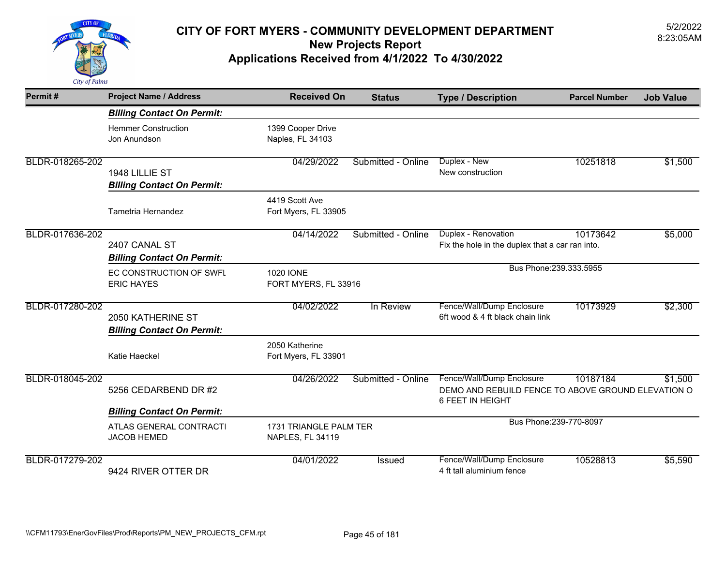

| Permit#         | <b>Project Name / Address</b>                          | <b>Received On</b>                         | <b>Status</b>      | <b>Type / Description</b>                                                                           | <b>Parcel Number</b> | <b>Job Value</b> |
|-----------------|--------------------------------------------------------|--------------------------------------------|--------------------|-----------------------------------------------------------------------------------------------------|----------------------|------------------|
|                 | <b>Billing Contact On Permit:</b>                      |                                            |                    |                                                                                                     |                      |                  |
|                 | <b>Hemmer Construction</b><br>Jon Anundson             | 1399 Cooper Drive<br>Naples, FL 34103      |                    |                                                                                                     |                      |                  |
| BLDR-018265-202 | 1948 LILLIE ST<br><b>Billing Contact On Permit:</b>    | 04/29/2022                                 | Submitted - Online | Duplex - New<br>New construction                                                                    | 10251818             | \$1,500          |
|                 | Tametria Hernandez                                     | 4419 Scott Ave<br>Fort Myers, FL 33905     |                    |                                                                                                     |                      |                  |
| BLDR-017636-202 | 2407 CANAL ST<br><b>Billing Contact On Permit:</b>     | 04/14/2022                                 | Submitted - Online | Duplex - Renovation<br>Fix the hole in the duplex that a car ran into.                              | 10173642             | \$5,000          |
|                 | EC CONSTRUCTION OF SWFL<br><b>ERIC HAYES</b>           | 1020 IONE<br>FORT MYERS, FL 33916          |                    | Bus Phone: 239.333.5955                                                                             |                      |                  |
| BLDR-017280-202 | 2050 KATHERINE ST<br><b>Billing Contact On Permit:</b> | 04/02/2022                                 | In Review          | Fence/Wall/Dump Enclosure<br>6ft wood & 4 ft black chain link                                       | 10173929             | \$2,300          |
|                 | Katie Haeckel                                          | 2050 Katherine<br>Fort Myers, FL 33901     |                    |                                                                                                     |                      |                  |
| BLDR-018045-202 | 5256 CEDARBEND DR #2                                   | 04/26/2022                                 | Submitted - Online | Fence/Wall/Dump Enclosure<br>DEMO AND REBUILD FENCE TO ABOVE GROUND ELEVATION O<br>6 FEET IN HEIGHT | 10187184             | \$1,500          |
|                 | <b>Billing Contact On Permit:</b>                      |                                            |                    |                                                                                                     |                      |                  |
|                 | ATLAS GENERAL CONTRACTI<br><b>JACOB HEMED</b>          | 1731 TRIANGLE PALM TER<br>NAPLES, FL 34119 |                    | Bus Phone: 239-770-8097                                                                             |                      |                  |
| BLDR-017279-202 | 9424 RIVER OTTER DR                                    | 04/01/2022                                 | Issued             | Fence/Wall/Dump Enclosure<br>4 ft tall aluminium fence                                              | 10528813             | \$5,590          |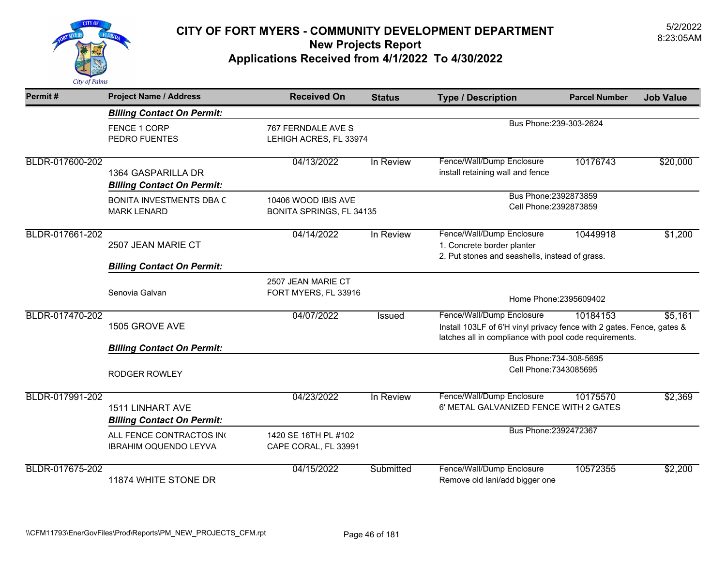

| Permit#         | <b>Project Name / Address</b>                                | <b>Received On</b>                                                      | <b>Status</b> | <b>Type / Description</b>                                                                                                                                    | <b>Parcel Number</b>    | <b>Job Value</b> |
|-----------------|--------------------------------------------------------------|-------------------------------------------------------------------------|---------------|--------------------------------------------------------------------------------------------------------------------------------------------------------------|-------------------------|------------------|
|                 | <b>Billing Contact On Permit:</b>                            |                                                                         |               |                                                                                                                                                              |                         |                  |
|                 | FENCE 1 CORP<br>PEDRO FUENTES                                | Bus Phone: 239-303-2624<br>767 FERNDALE AVE S<br>LEHIGH ACRES, FL 33974 |               |                                                                                                                                                              |                         |                  |
| BLDR-017600-202 | 1364 GASPARILLA DR<br><b>Billing Contact On Permit:</b>      | 04/13/2022                                                              | In Review     | Fence/Wall/Dump Enclosure<br>install retaining wall and fence                                                                                                | 10176743                | \$20,000         |
|                 | BONITA INVESTMENTS DBA C<br><b>MARK LENARD</b>               | 10406 WOOD IBIS AVE<br>BONITA SPRINGS, FL 34135                         |               | Bus Phone: 2392873859<br>Cell Phone: 2392873859                                                                                                              |                         |                  |
| BLDR-017661-202 | 2507 JEAN MARIE CT                                           | 04/14/2022                                                              | In Review     | Fence/Wall/Dump Enclosure<br>1. Concrete border planter<br>2. Put stones and seashells, instead of grass.                                                    | 10449918                | \$1,200          |
|                 | <b>Billing Contact On Permit:</b>                            |                                                                         |               |                                                                                                                                                              |                         |                  |
|                 | Senovia Galvan                                               | 2507 JEAN MARIE CT<br>FORT MYERS, FL 33916                              |               | Home Phone: 2395609402                                                                                                                                       |                         |                  |
| BLDR-017470-202 | 1505 GROVE AVE                                               | 04/07/2022                                                              | Issued        | Fence/Wall/Dump Enclosure<br>Install 103LF of 6'H vinyl privacy fence with 2 gates. Fence, gates &<br>latches all in compliance with pool code requirements. | 10184153                | \$5,161          |
|                 | <b>Billing Contact On Permit:</b>                            |                                                                         |               |                                                                                                                                                              |                         |                  |
|                 | <b>RODGER ROWLEY</b>                                         |                                                                         |               | Cell Phone: 7343085695                                                                                                                                       | Bus Phone: 734-308-5695 |                  |
| BLDR-017991-202 | <b>1511 LINHART AVE</b><br><b>Billing Contact On Permit:</b> | 04/23/2022                                                              | In Review     | Fence/Wall/Dump Enclosure<br>6' METAL GALVANIZED FENCE WITH 2 GATES                                                                                          | 10175570                | \$2,369          |
|                 | ALL FENCE CONTRACTOS IN<br>IBRAHIM OQUENDO LEYVA             | 1420 SE 16TH PL #102<br>CAPE CORAL, FL 33991                            |               | Bus Phone: 2392472367                                                                                                                                        |                         |                  |
| BLDR-017675-202 | 11874 WHITE STONE DR                                         | 04/15/2022                                                              | Submitted     | Fence/Wall/Dump Enclosure<br>Remove old lani/add bigger one                                                                                                  | 10572355                | \$2,200          |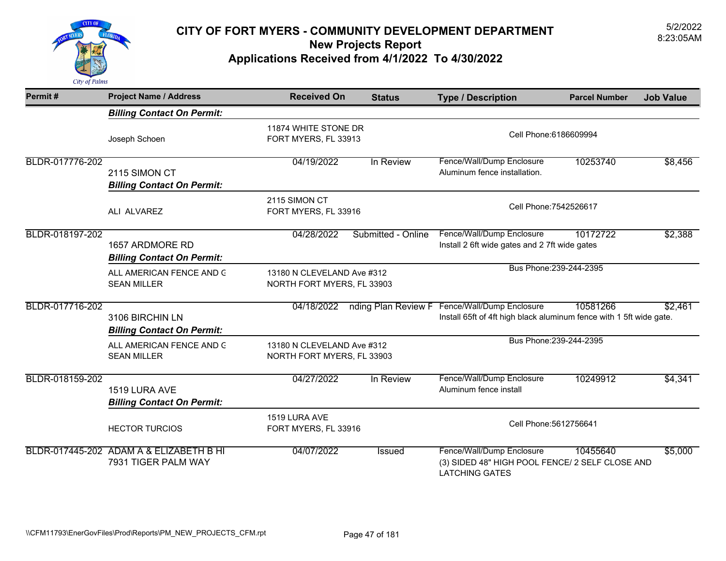

| Permit#         | <b>Project Name / Address</b>                                  | <b>Received On</b>                                       | <b>Status</b>       | <b>Type / Description</b>                                                                             | <b>Parcel Number</b> | <b>Job Value</b> |
|-----------------|----------------------------------------------------------------|----------------------------------------------------------|---------------------|-------------------------------------------------------------------------------------------------------|----------------------|------------------|
|                 | <b>Billing Contact On Permit:</b>                              |                                                          |                     |                                                                                                       |                      |                  |
|                 | Joseph Schoen                                                  | 11874 WHITE STONE DR<br>FORT MYERS, FL 33913             |                     | Cell Phone: 6186609994                                                                                |                      |                  |
| BLDR-017776-202 | 2115 SIMON CT<br><b>Billing Contact On Permit:</b>             | 04/19/2022                                               | In Review           | Fence/Wall/Dump Enclosure<br>Aluminum fence installation.                                             | 10253740             | \$8,456          |
|                 | ALI ALVAREZ                                                    | 2115 SIMON CT<br>FORT MYERS, FL 33916                    |                     | Cell Phone: 7542526617                                                                                |                      |                  |
| BLDR-018197-202 | 1657 ARDMORE RD<br><b>Billing Contact On Permit:</b>           | 04/28/2022                                               | Submitted - Online  | Fence/Wall/Dump Enclosure<br>Install 2 6ft wide gates and 2 7ft wide gates                            | 10172722             | \$2,388          |
|                 | ALL AMERICAN FENCE AND G<br><b>SEAN MILLER</b>                 | 13180 N CLEVELAND Ave #312<br>NORTH FORT MYERS, FL 33903 |                     | Bus Phone: 239-244-2395                                                                               |                      |                  |
| BLDR-017716-202 | 3106 BIRCHIN LN<br><b>Billing Contact On Permit:</b>           | 04/18/2022                                               | nding Plan Review F | Fence/Wall/Dump Enclosure<br>Install 65ft of 4ft high black aluminum fence with 1 5ft wide gate.      | 10581266             | \$2,461          |
|                 | ALL AMERICAN FENCE AND G<br><b>SEAN MILLER</b>                 | 13180 N CLEVELAND Ave #312<br>NORTH FORT MYERS, FL 33903 |                     | Bus Phone: 239-244-2395                                                                               |                      |                  |
| BLDR-018159-202 | 1519 LURA AVE<br><b>Billing Contact On Permit:</b>             | 04/27/2022                                               | In Review           | Fence/Wall/Dump Enclosure<br>Aluminum fence install                                                   | 10249912             | \$4,341          |
|                 | <b>HECTOR TURCIOS</b>                                          | 1519 LURA AVE<br>FORT MYERS, FL 33916                    |                     | Cell Phone: 5612756641                                                                                |                      |                  |
|                 | BLDR-017445-202 ADAM A & ELIZABETH B HI<br>7931 TIGER PALM WAY | 04/07/2022                                               | <b>Issued</b>       | Fence/Wall/Dump Enclosure<br>(3) SIDED 48" HIGH POOL FENCE/ 2 SELF CLOSE AND<br><b>LATCHING GATES</b> | 10455640             | \$5,000          |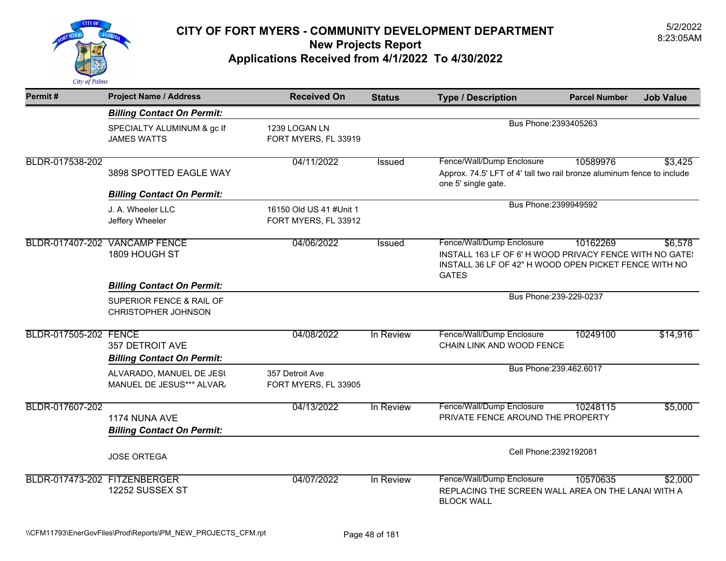

| Permit#                      | <b>Project Name / Address</b>                               | <b>Received On</b>                              | <b>Status</b>          | <b>Type / Description</b>                                                                                                        | <b>Parcel Number</b>    | <b>Job Value</b> |
|------------------------------|-------------------------------------------------------------|-------------------------------------------------|------------------------|----------------------------------------------------------------------------------------------------------------------------------|-------------------------|------------------|
|                              | <b>Billing Contact On Permit:</b>                           |                                                 |                        |                                                                                                                                  |                         |                  |
|                              | SPECIALTY ALUMINUM & gc II<br><b>JAMES WATTS</b>            | 1239 LOGAN LN<br>FORT MYERS, FL 33919           |                        | Bus Phone: 2393405263                                                                                                            |                         |                  |
| BLDR-017538-202              |                                                             | 04/11/2022                                      | Issued                 | Fence/Wall/Dump Enclosure                                                                                                        | 10589976                | \$3,425          |
|                              | 3898 SPOTTED EAGLE WAY                                      |                                                 |                        | Approx. 74.5' LFT of 4' tall two rail bronze aluminum fence to include<br>one 5' single gate.                                    |                         |                  |
|                              | <b>Billing Contact On Permit:</b>                           |                                                 |                        |                                                                                                                                  |                         |                  |
|                              | J. A. Wheeler LLC<br>Jeffery Wheeler                        | 16150 Old US 41 #Unit 1<br>FORT MYERS, FL 33912 |                        | Bus Phone: 2399949592                                                                                                            |                         |                  |
|                              | BLDR-017407-202 VANCAMP FENCE                               | 04/06/2022                                      | <b>Issued</b>          | Fence/Wall/Dump Enclosure                                                                                                        | 10162269                | \$6,578          |
|                              | 1809 HOUGH ST                                               |                                                 |                        | INSTALL 163 LF OF 6' H WOOD PRIVACY FENCE WITH NO GATE:<br>INSTALL 36 LF OF 42" H WOOD OPEN PICKET FENCE WITH NO<br><b>GATES</b> |                         |                  |
|                              | <b>Billing Contact On Permit:</b>                           |                                                 |                        |                                                                                                                                  |                         |                  |
|                              | SUPERIOR FENCE & RAIL OF<br><b>CHRISTOPHER JOHNSON</b>      |                                                 |                        |                                                                                                                                  | Bus Phone: 239-229-0237 |                  |
| BLDR-017505-202 FENCE        | <b>357 DETROIT AVE</b><br><b>Billing Contact On Permit:</b> | 04/08/2022                                      | In Review              | Fence/Wall/Dump Enclosure<br>CHAIN LINK AND WOOD FENCE                                                                           | 10249100                | \$14,916         |
|                              | ALVARADO, MANUEL DE JESI<br>MANUEL DE JESUS*** ALVAR.       | 357 Detroit Ave<br>FORT MYERS, FL 33905         |                        |                                                                                                                                  | Bus Phone: 239.462.6017 |                  |
| BLDR-017607-202              | 1174 NUNA AVE<br><b>Billing Contact On Permit:</b>          | 04/13/2022                                      | In Review              | Fence/Wall/Dump Enclosure<br>PRIVATE FENCE AROUND THE PROPERTY                                                                   | 10248115                | \$5,000          |
|                              | <b>JOSE ORTEGA</b>                                          |                                                 | Cell Phone: 2392192081 |                                                                                                                                  |                         |                  |
| BLDR-017473-202 FITZENBERGER | 12252 SUSSEX ST                                             | 04/07/2022                                      | In Review              | Fence/Wall/Dump Enclosure<br>REPLACING THE SCREEN WALL AREA ON THE LANAI WITH A<br><b>BLOCK WALL</b>                             | 10570635                | \$2,000          |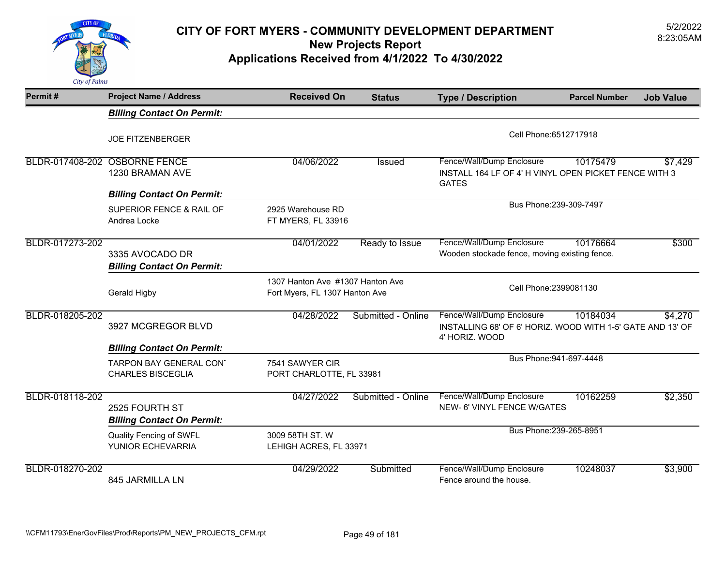

| Permit#         | <b>Project Name / Address</b>                        | <b>Received On</b>                                                 | <b>Status</b>      | <b>Type / Description</b>                                                                                 | <b>Parcel Number</b>    | <b>Job Value</b> |
|-----------------|------------------------------------------------------|--------------------------------------------------------------------|--------------------|-----------------------------------------------------------------------------------------------------------|-------------------------|------------------|
|                 | <b>Billing Contact On Permit:</b>                    |                                                                    |                    |                                                                                                           |                         |                  |
|                 | <b>JOE FITZENBERGER</b>                              |                                                                    |                    | Cell Phone: 6512717918                                                                                    |                         |                  |
|                 | BLDR-017408-202 OSBORNE FENCE<br>1230 BRAMAN AVE     | 04/06/2022                                                         | Issued             | Fence/Wall/Dump Enclosure<br>INSTALL 164 LF OF 4' H VINYL OPEN PICKET FENCE WITH 3<br><b>GATES</b>        | 10175479                | \$7,429          |
|                 | <b>Billing Contact On Permit:</b>                    |                                                                    |                    |                                                                                                           |                         |                  |
|                 | SUPERIOR FENCE & RAIL OF<br>Andrea Locke             | 2925 Warehouse RD<br>FT MYERS, FL 33916                            |                    |                                                                                                           | Bus Phone: 239-309-7497 |                  |
| BLDR-017273-202 | 3335 AVOCADO DR<br><b>Billing Contact On Permit:</b> | 04/01/2022                                                         | Ready to Issue     | Fence/Wall/Dump Enclosure<br>Wooden stockade fence, moving existing fence.                                | 10176664                | \$300            |
|                 | <b>Gerald Higby</b>                                  | 1307 Hanton Ave #1307 Hanton Ave<br>Fort Myers, FL 1307 Hanton Ave |                    | Cell Phone: 2399081130                                                                                    |                         |                  |
| BLDR-018205-202 | 3927 MCGREGOR BLVD                                   | 04/28/2022                                                         | Submitted - Online | Fence/Wall/Dump Enclosure<br>INSTALLING 68' OF 6' HORIZ. WOOD WITH 1-5' GATE AND 13' OF<br>4' HORIZ. WOOD | 10184034                | \$4,270          |
|                 | <b>Billing Contact On Permit:</b>                    |                                                                    |                    |                                                                                                           |                         |                  |
|                 | TARPON BAY GENERAL CON'<br><b>CHARLES BISCEGLIA</b>  | 7541 SAWYER CIR<br>PORT CHARLOTTE, FL 33981                        |                    |                                                                                                           | Bus Phone: 941-697-4448 |                  |
| BLDR-018118-202 | 2525 FOURTH ST<br><b>Billing Contact On Permit:</b>  | 04/27/2022                                                         | Submitted - Online | Fence/Wall/Dump Enclosure<br>NEW- 6' VINYL FENCE W/GATES                                                  | 10162259                | \$2,350          |
|                 | Quality Fencing of SWFL<br>YUNIOR ECHEVARRIA         | 3009 58TH ST. W<br>LEHIGH ACRES, FL 33971                          |                    | Bus Phone: 239-265-8951                                                                                   |                         |                  |
| BLDR-018270-202 | 845 JARMILLA LN                                      | 04/29/2022                                                         | Submitted          | Fence/Wall/Dump Enclosure<br>Fence around the house.                                                      | 10248037                | \$3,900          |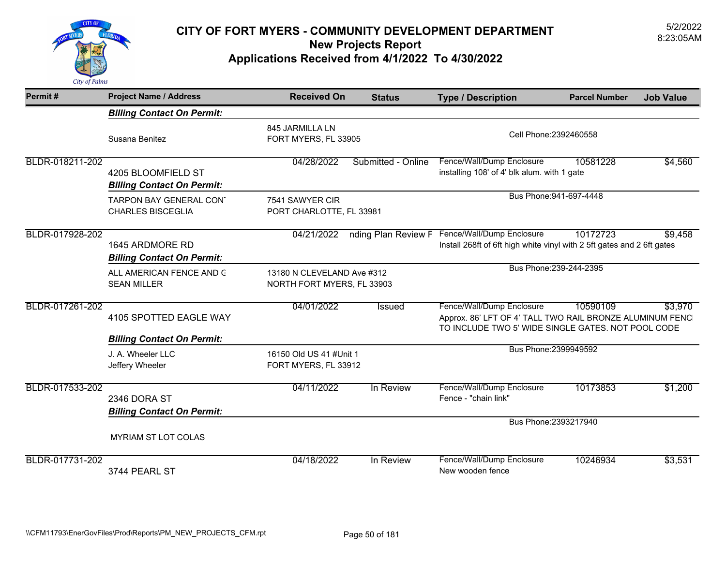

| Permit#         | <b>Project Name / Address</b>                           | <b>Received On</b>                                       | <b>Status</b>      | <b>Type / Description</b>                                                                                                                   | <b>Parcel Number</b>    | <b>Job Value</b> |
|-----------------|---------------------------------------------------------|----------------------------------------------------------|--------------------|---------------------------------------------------------------------------------------------------------------------------------------------|-------------------------|------------------|
|                 | <b>Billing Contact On Permit:</b>                       |                                                          |                    |                                                                                                                                             |                         |                  |
|                 | Susana Benitez                                          | 845 JARMILLA LN<br>FORT MYERS, FL 33905                  |                    | Cell Phone: 2392460558                                                                                                                      |                         |                  |
| BLDR-018211-202 | 4205 BLOOMFIELD ST<br><b>Billing Contact On Permit:</b> | 04/28/2022                                               | Submitted - Online | Fence/Wall/Dump Enclosure<br>installing 108' of 4' blk alum. with 1 gate                                                                    | 10581228                | \$4,560          |
|                 | TARPON BAY GENERAL CON'<br><b>CHARLES BISCEGLIA</b>     | 7541 SAWYER CIR<br>PORT CHARLOTTE, FL 33981              |                    |                                                                                                                                             | Bus Phone: 941-697-4448 |                  |
| BLDR-017928-202 | 1645 ARDMORE RD<br><b>Billing Contact On Permit:</b>    | 04/21/2022                                               |                    | nding Plan Review F Fence/Wall/Dump Enclosure<br>Install 268ft of 6ft high white vinyl with 2 5ft gates and 2 6ft gates                     | 10172723                | \$9,458          |
|                 | ALL AMERICAN FENCE AND G<br><b>SEAN MILLER</b>          | 13180 N CLEVELAND Ave #312<br>NORTH FORT MYERS, FL 33903 |                    |                                                                                                                                             | Bus Phone: 239-244-2395 |                  |
| BLDR-017261-202 | 4105 SPOTTED EAGLE WAY                                  | 04/01/2022                                               | <b>Issued</b>      | Fence/Wall/Dump Enclosure<br>Approx. 86' LFT OF 4' TALL TWO RAIL BRONZE ALUMINUM FENC<br>TO INCLUDE TWO 5' WIDE SINGLE GATES. NOT POOL CODE | 10590109                | \$3,970          |
|                 | <b>Billing Contact On Permit:</b>                       |                                                          |                    | Bus Phone: 2399949592                                                                                                                       |                         |                  |
|                 | J. A. Wheeler LLC<br>Jeffery Wheeler                    | 16150 Old US 41 #Unit 1<br>FORT MYERS, FL 33912          |                    |                                                                                                                                             |                         |                  |
| BLDR-017533-202 | 2346 DORA ST<br><b>Billing Contact On Permit:</b>       | 04/11/2022                                               | In Review          | Fence/Wall/Dump Enclosure<br>Fence - "chain link"                                                                                           | 10173853                | \$1,200          |
|                 |                                                         |                                                          |                    | Bus Phone: 2393217940                                                                                                                       |                         |                  |
|                 | <b>MYRIAM ST LOT COLAS</b>                              |                                                          |                    |                                                                                                                                             |                         |                  |
| BLDR-017731-202 | 3744 PEARL ST                                           | 04/18/2022                                               | In Review          | Fence/Wall/Dump Enclosure<br>New wooden fence                                                                                               | 10246934                | \$3,531          |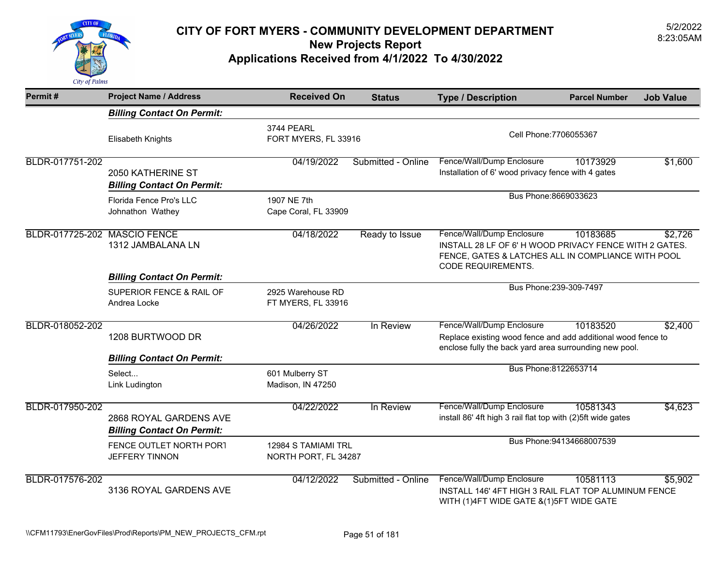

| Permit#                      | <b>Project Name / Address</b>                               | <b>Received On</b>                          | <b>Status</b>        | <b>Type / Description</b>                                                                                                                                      | <b>Parcel Number</b>      | <b>Job Value</b> |
|------------------------------|-------------------------------------------------------------|---------------------------------------------|----------------------|----------------------------------------------------------------------------------------------------------------------------------------------------------------|---------------------------|------------------|
|                              | <b>Billing Contact On Permit:</b>                           |                                             |                      |                                                                                                                                                                |                           |                  |
|                              | Elisabeth Knights                                           | 3744 PEARL                                  | FORT MYERS, FL 33916 |                                                                                                                                                                | Cell Phone: 7706055367    |                  |
| BLDR-017751-202              | 2050 KATHERINE ST<br><b>Billing Contact On Permit:</b>      | 04/19/2022                                  | Submitted - Online   | Fence/Wall/Dump Enclosure<br>Installation of 6' wood privacy fence with 4 gates                                                                                | 10173929                  | \$1,600          |
|                              | Florida Fence Pro's LLC<br>Johnathon Wathey                 | 1907 NE 7th<br>Cape Coral, FL 33909         |                      | Bus Phone: 8669033623                                                                                                                                          |                           |                  |
| BLDR-017725-202 MASCIO FENCE | 1312 JAMBALANA LN                                           | 04/18/2022                                  | Ready to Issue       | Fence/Wall/Dump Enclosure<br>INSTALL 28 LF OF 6'H WOOD PRIVACY FENCE WITH 2 GATES.<br>FENCE, GATES & LATCHES ALL IN COMPLIANCE WITH POOL<br>CODE REQUIREMENTS. | 10183685                  | \$2,726          |
|                              | <b>Billing Contact On Permit:</b>                           |                                             |                      |                                                                                                                                                                |                           |                  |
|                              | SUPERIOR FENCE & RAIL OF<br>Andrea Locke                    | 2925 Warehouse RD<br>FT MYERS, FL 33916     |                      |                                                                                                                                                                | Bus Phone: 239-309-7497   |                  |
| BLDR-018052-202              | 1208 BURTWOOD DR                                            | 04/26/2022                                  | In Review            | Fence/Wall/Dump Enclosure<br>Replace existing wood fence and add additional wood fence to<br>enclose fully the back yard area surrounding new pool.            | 10183520                  | \$2,400          |
|                              | <b>Billing Contact On Permit:</b>                           |                                             |                      |                                                                                                                                                                |                           |                  |
|                              | Select<br>Link Ludington                                    | 601 Mulberry ST<br>Madison, IN 47250        |                      | Bus Phone:8122653714                                                                                                                                           |                           |                  |
| BLDR-017950-202              | 2868 ROYAL GARDENS AVE<br><b>Billing Contact On Permit:</b> | 04/22/2022                                  | In Review            | Fence/Wall/Dump Enclosure<br>install 86' 4ft high 3 rail flat top with (2)5ft wide gates                                                                       | 10581343                  | \$4,623          |
|                              | FENCE OUTLET NORTH PORT<br><b>JEFFERY TINNON</b>            | 12984 S TAMIAMI TRL<br>NORTH PORT, FL 34287 |                      |                                                                                                                                                                | Bus Phone: 94134668007539 |                  |
| BLDR-017576-202              | 3136 ROYAL GARDENS AVE                                      | 04/12/2022                                  | Submitted - Online   | Fence/Wall/Dump Enclosure<br>INSTALL 146' 4FT HIGH 3 RAIL FLAT TOP ALUMINUM FENCE<br>WITH (1)4FT WIDE GATE & (1) 5FT WIDE GATE                                 | 10581113                  | \$5,902          |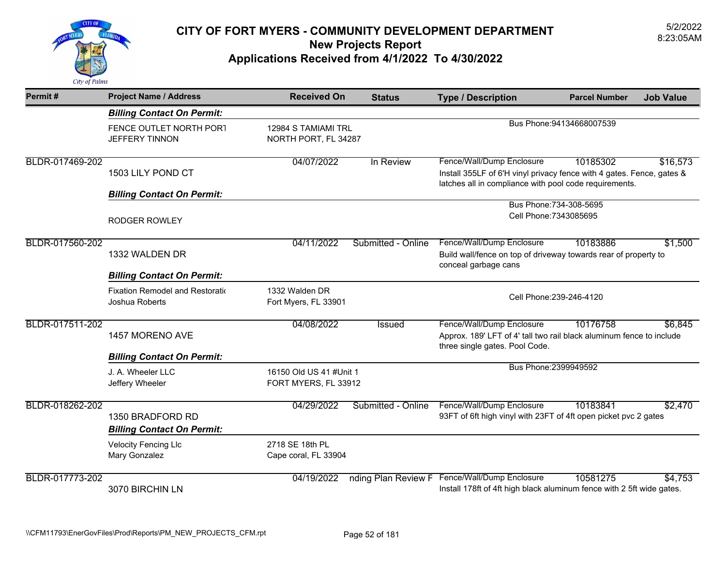

| Permit#         | <b>Project Name / Address</b>                         | <b>Received On</b>                              | <b>Status</b>      | <b>Type / Description</b>                                                                                            | <b>Parcel Number</b><br><b>Job Value</b>                                                      |  |
|-----------------|-------------------------------------------------------|-------------------------------------------------|--------------------|----------------------------------------------------------------------------------------------------------------------|-----------------------------------------------------------------------------------------------|--|
|                 | <b>Billing Contact On Permit:</b>                     |                                                 |                    |                                                                                                                      |                                                                                               |  |
|                 | FENCE OUTLET NORTH PORT<br><b>JEFFERY TINNON</b>      | 12984 S TAMIAMI TRL<br>NORTH PORT, FL 34287     |                    | Bus Phone: 94134668007539                                                                                            |                                                                                               |  |
| BLDR-017469-202 | 1503 LILY POND CT                                     | 04/07/2022                                      | In Review          | Fence/Wall/Dump Enclosure<br>latches all in compliance with pool code requirements.                                  | 10185302<br>\$16,573<br>Install 355LF of 6'H vinyl privacy fence with 4 gates. Fence, gates & |  |
|                 | <b>Billing Contact On Permit:</b>                     |                                                 |                    |                                                                                                                      |                                                                                               |  |
|                 | <b>RODGER ROWLEY</b>                                  |                                                 |                    | Bus Phone: 734-308-5695<br>Cell Phone: 7343085695                                                                    |                                                                                               |  |
| BLDR-017560-202 | 1332 WALDEN DR                                        | 04/11/2022                                      | Submitted - Online | Fence/Wall/Dump Enclosure<br>Build wall/fence on top of driveway towards rear of property to<br>conceal garbage cans | \$1,500<br>10183886                                                                           |  |
|                 | <b>Billing Contact On Permit:</b>                     |                                                 |                    |                                                                                                                      |                                                                                               |  |
|                 | Fixation Remodel and Restoratio<br>Joshua Roberts     | 1332 Walden DR<br>Fort Myers, FL 33901          |                    | Cell Phone: 239-246-4120                                                                                             |                                                                                               |  |
| BLDR-017511-202 | 1457 MORENO AVE                                       | 04/08/2022                                      | Issued             | Fence/Wall/Dump Enclosure<br>three single gates. Pool Code.                                                          | 10176758<br>\$6,845<br>Approx. 189' LFT of 4' tall two rail black aluminum fence to include   |  |
|                 | <b>Billing Contact On Permit:</b>                     |                                                 |                    |                                                                                                                      | Bus Phone: 2399949592                                                                         |  |
|                 | J. A. Wheeler LLC<br>Jeffery Wheeler                  | 16150 Old US 41 #Unit 1<br>FORT MYERS, FL 33912 |                    |                                                                                                                      |                                                                                               |  |
| BLDR-018262-202 | 1350 BRADFORD RD<br><b>Billing Contact On Permit:</b> | 04/29/2022                                      | Submitted - Online | Fence/Wall/Dump Enclosure<br>93FT of 6ft high vinyl with 23FT of 4ft open picket pvc 2 gates                         | \$2,470<br>10183841                                                                           |  |
|                 | <b>Velocity Fencing Llc</b><br>Mary Gonzalez          | 2718 SE 18th PL<br>Cape coral, FL 33904         |                    |                                                                                                                      |                                                                                               |  |
| BLDR-017773-202 | 3070 BIRCHIN LN                                       | 04/19/2022                                      |                    | nding Plan Review F Fence/Wall/Dump Enclosure                                                                        | 10581275<br>\$4,753<br>Install 178ft of 4ft high black aluminum fence with 2 5ft wide gates.  |  |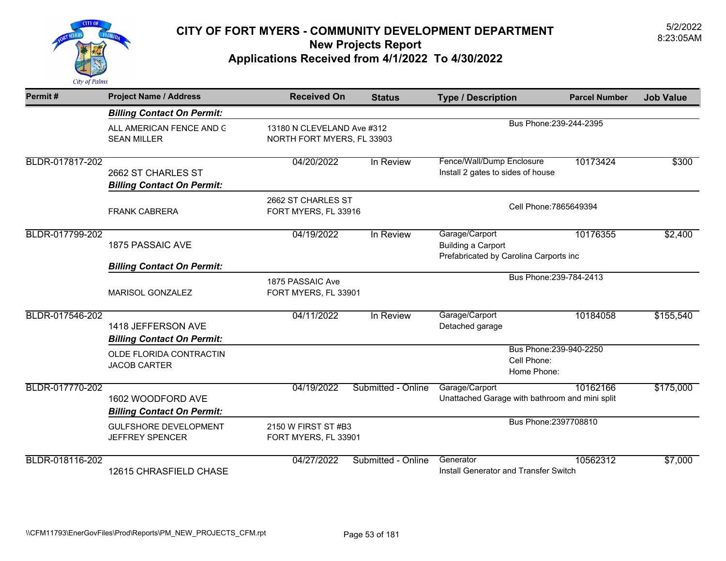

| Permit#         | <b>Project Name / Address</b>                           | <b>Received On</b>                         | <b>Status</b>                                            | <b>Type / Description</b>                                                             | <b>Parcel Number</b>    | <b>Job Value</b> |
|-----------------|---------------------------------------------------------|--------------------------------------------|----------------------------------------------------------|---------------------------------------------------------------------------------------|-------------------------|------------------|
|                 | <b>Billing Contact On Permit:</b>                       |                                            |                                                          |                                                                                       |                         |                  |
|                 | ALL AMERICAN FENCE AND G<br><b>SEAN MILLER</b>          |                                            | 13180 N CLEVELAND Ave #312<br>NORTH FORT MYERS, FL 33903 |                                                                                       | Bus Phone: 239-244-2395 |                  |
| BLDR-017817-202 | 2662 ST CHARLES ST<br><b>Billing Contact On Permit:</b> | 04/20/2022                                 | In Review                                                | Fence/Wall/Dump Enclosure<br>Install 2 gates to sides of house                        | 10173424                | \$300            |
|                 | <b>FRANK CABRERA</b>                                    | 2662 ST CHARLES ST<br>FORT MYERS, FL 33916 |                                                          | Cell Phone: 7865649394                                                                |                         |                  |
| BLDR-017799-202 | <b>1875 PASSAIC AVE</b>                                 | 04/19/2022                                 | In Review                                                | Garage/Carport<br><b>Building a Carport</b><br>Prefabricated by Carolina Carports inc | 10176355                | \$2,400          |
|                 | <b>Billing Contact On Permit:</b>                       |                                            |                                                          |                                                                                       |                         |                  |
|                 | MARISOL GONZALEZ                                        | 1875 PASSAIC Ave<br>FORT MYERS, FL 33901   |                                                          | Bus Phone: 239-784-2413                                                               |                         |                  |
| BLDR-017546-202 | 1418 JEFFERSON AVE<br><b>Billing Contact On Permit:</b> | 04/11/2022                                 | In Review                                                | Garage/Carport<br>Detached garage                                                     | 10184058                | \$155,540        |
|                 | OLDE FLORIDA CONTRACTIN<br><b>JACOB CARTER</b>          |                                            |                                                          | Bus Phone: 239-940-2250<br>Cell Phone:<br>Home Phone:                                 |                         |                  |
| BLDR-017770-202 | 1602 WOODFORD AVE<br><b>Billing Contact On Permit:</b>  | 04/19/2022                                 | Submitted - Online                                       | Garage/Carport<br>Unattached Garage with bathroom and mini split                      | 10162166                | \$175,000        |
|                 | <b>GULFSHORE DEVELOPMENT</b><br><b>JEFFREY SPENCER</b>  |                                            | 2150 W FIRST ST #B3<br>FORT MYERS, FL 33901              |                                                                                       | Bus Phone: 2397708810   |                  |
| BLDR-018116-202 | 12615 CHRASFIELD CHASE                                  | 04/27/2022                                 | Submitted - Online                                       | Generator<br>Install Generator and Transfer Switch                                    | 10562312                | \$7,000          |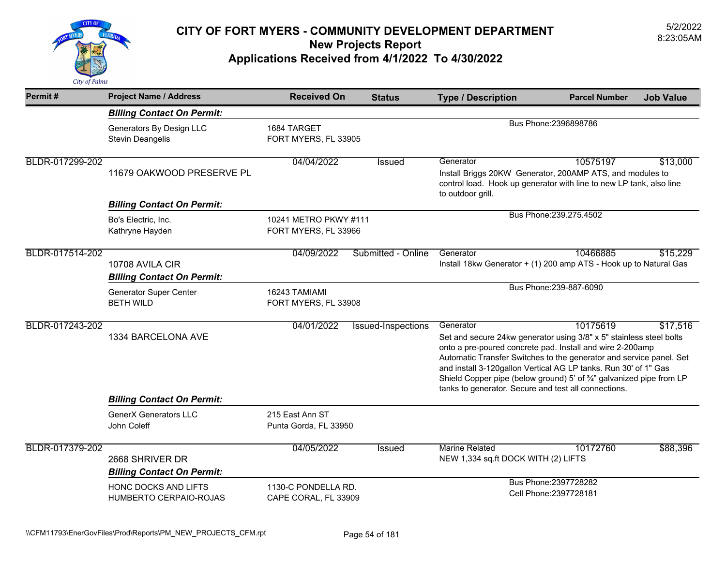

| Permit#         | <b>Project Name / Address</b>                                                                 | <b>Received On</b>                            | <b>Status</b>      | <b>Type / Description</b>                                                                                                                                                                                                                                                                                                                                                                                               | <b>Parcel Number</b>    | <b>Job Value</b> |
|-----------------|-----------------------------------------------------------------------------------------------|-----------------------------------------------|--------------------|-------------------------------------------------------------------------------------------------------------------------------------------------------------------------------------------------------------------------------------------------------------------------------------------------------------------------------------------------------------------------------------------------------------------------|-------------------------|------------------|
|                 | <b>Billing Contact On Permit:</b>                                                             |                                               |                    |                                                                                                                                                                                                                                                                                                                                                                                                                         |                         |                  |
|                 | Generators By Design LLC<br><b>Stevin Deangelis</b>                                           | 1684 TARGET<br>FORT MYERS, FL 33905           |                    |                                                                                                                                                                                                                                                                                                                                                                                                                         | Bus Phone: 2396898786   |                  |
| BLDR-017299-202 | 11679 OAKWOOD PRESERVE PL                                                                     | 04/04/2022                                    | Issued             | Generator<br>Install Briggs 20KW Generator, 200AMP ATS, and modules to<br>control load. Hook up generator with line to new LP tank, also line<br>to outdoor grill.                                                                                                                                                                                                                                                      | 10575197                | \$13,000         |
|                 | <b>Billing Contact On Permit:</b>                                                             |                                               |                    |                                                                                                                                                                                                                                                                                                                                                                                                                         |                         |                  |
|                 | Bo's Electric, Inc.<br>Kathryne Hayden                                                        | 10241 METRO PKWY #111<br>FORT MYERS, FL 33966 |                    |                                                                                                                                                                                                                                                                                                                                                                                                                         | Bus Phone: 239.275.4502 |                  |
| BLDR-017514-202 | 10708 AVILA CIR<br><b>Billing Contact On Permit:</b>                                          | 04/09/2022                                    | Submitted - Online | Generator<br>Install 18kw Generator + (1) 200 amp ATS - Hook up to Natural Gas                                                                                                                                                                                                                                                                                                                                          | 10466885                | \$15,229         |
|                 | <b>Generator Super Center</b><br><b>BETH WILD</b>                                             | 16243 TAMIAMI<br>FORT MYERS, FL 33908         |                    |                                                                                                                                                                                                                                                                                                                                                                                                                         | Bus Phone: 239-887-6090 |                  |
| BLDR-017243-202 | 1334 BARCELONA AVE                                                                            | 04/01/2022                                    | Issued-Inspections | Generator<br>Set and secure 24kw generator using 3/8" x 5" stainless steel bolts<br>onto a pre-poured concrete pad. Install and wire 2-200amp<br>Automatic Transfer Switches to the generator and service panel. Set<br>and install 3-120gallon Vertical AG LP tanks. Run 30' of 1" Gas<br>Shield Copper pipe (below ground) 5' of 3/4" galvanized pipe from LP<br>tanks to generator. Secure and test all connections. | 10175619                | \$17,516         |
|                 | <b>Billing Contact On Permit:</b>                                                             |                                               |                    |                                                                                                                                                                                                                                                                                                                                                                                                                         |                         |                  |
|                 | <b>GenerX Generators LLC</b><br>John Coleff                                                   | 215 East Ann ST<br>Punta Gorda, FL 33950      |                    |                                                                                                                                                                                                                                                                                                                                                                                                                         |                         |                  |
| BLDR-017379-202 | 2668 SHRIVER DR<br><b>Billing Contact On Permit:</b>                                          | 04/05/2022                                    | Issued             | <b>Marine Related</b><br>NEW 1,334 sq.ft DOCK WITH (2) LIFTS                                                                                                                                                                                                                                                                                                                                                            | 10172760                | \$88,396         |
|                 | HONC DOCKS AND LIFTS<br>1130-C PONDELLA RD.<br>HUMBERTO CERPAIO-ROJAS<br>CAPE CORAL, FL 33909 |                                               |                    | Bus Phone: 2397728282<br>Cell Phone: 2397728181                                                                                                                                                                                                                                                                                                                                                                         |                         |                  |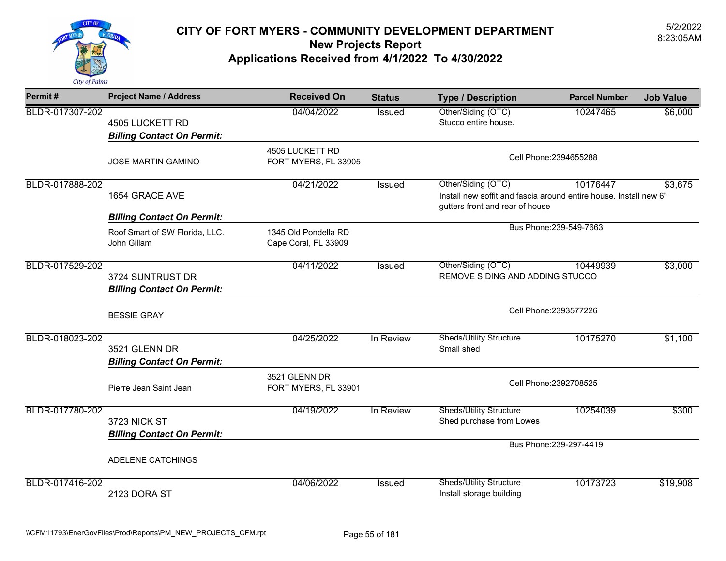

| Permit#         | <b>Project Name / Address</b>                            | <b>Received On</b>                           | <b>Status</b> | <b>Type / Description</b>                                                                                                  | <b>Parcel Number</b>    | <b>Job Value</b> |  |
|-----------------|----------------------------------------------------------|----------------------------------------------|---------------|----------------------------------------------------------------------------------------------------------------------------|-------------------------|------------------|--|
| BLDR-017307-202 | 4505 LUCKETT RD<br><b>Billing Contact On Permit:</b>     | 04/04/2022                                   | <b>Issued</b> | Other/Siding (OTC)<br>Stucco entire house.                                                                                 | 10247465                | \$6,000          |  |
|                 | <b>JOSE MARTIN GAMINO</b>                                | 4505 LUCKETT RD<br>FORT MYERS, FL 33905      |               | Cell Phone: 2394655288                                                                                                     |                         |                  |  |
| BLDR-017888-202 | 1654 GRACE AVE                                           | 04/21/2022                                   | Issued        | Other/Siding (OTC)<br>Install new soffit and fascia around entire house. Install new 6"<br>gutters front and rear of house | 10176447                | \$3,675          |  |
|                 | <b>Billing Contact On Permit:</b>                        |                                              |               | Bus Phone: 239-549-7663                                                                                                    |                         |                  |  |
|                 | Roof Smart of SW Florida, LLC.<br>John Gillam            | 1345 Old Pondella RD<br>Cape Coral, FL 33909 |               |                                                                                                                            |                         |                  |  |
| BLDR-017529-202 | 3724 SUNTRUST DR<br><b>Billing Contact On Permit:</b>    | 04/11/2022                                   | <b>Issued</b> | Other/Siding (OTC)<br>\$3,000<br>10449939<br>REMOVE SIDING AND ADDING STUCCO                                               |                         |                  |  |
|                 | <b>BESSIE GRAY</b>                                       |                                              |               | Cell Phone: 2393577226                                                                                                     |                         |                  |  |
| BLDR-018023-202 | 3521 GLENN DR<br><b>Billing Contact On Permit:</b>       | 04/25/2022                                   | In Review     | <b>Sheds/Utility Structure</b><br>Small shed                                                                               | 10175270                | \$1,100          |  |
|                 | Pierre Jean Saint Jean                                   | 3521 GLENN DR<br>FORT MYERS, FL 33901        |               | Cell Phone: 2392708525                                                                                                     |                         |                  |  |
| BLDR-017780-202 | <b>3723 NICK ST</b><br><b>Billing Contact On Permit:</b> | 04/19/2022                                   | In Review     | <b>Sheds/Utility Structure</b><br>Shed purchase from Lowes                                                                 | 10254039                | \$300            |  |
|                 | ADELENE CATCHINGS                                        |                                              |               |                                                                                                                            | Bus Phone: 239-297-4419 |                  |  |
| BLDR-017416-202 | 2123 DORA ST                                             | 04/06/2022                                   | <b>Issued</b> | <b>Sheds/Utility Structure</b><br>Install storage building                                                                 | 10173723                | \$19,908         |  |
|                 |                                                          |                                              |               |                                                                                                                            |                         |                  |  |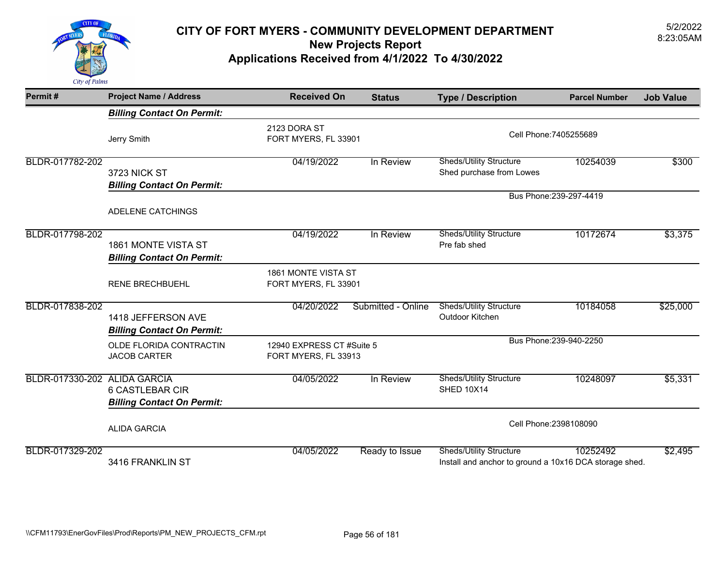

| Permit#                      | <b>Project Name / Address</b>                               | <b>Received On</b>                                | <b>Status</b>      | <b>Type / Description</b>                                                                | <b>Parcel Number</b>    | <b>Job Value</b> |
|------------------------------|-------------------------------------------------------------|---------------------------------------------------|--------------------|------------------------------------------------------------------------------------------|-------------------------|------------------|
|                              | <b>Billing Contact On Permit:</b>                           |                                                   |                    |                                                                                          |                         |                  |
|                              | Jerry Smith                                                 | 2123 DORA ST<br>FORT MYERS, FL 33901              |                    | Cell Phone: 7405255689                                                                   |                         |                  |
| BLDR-017782-202              | 3723 NICK ST<br><b>Billing Contact On Permit:</b>           | 04/19/2022                                        | In Review          | <b>Sheds/Utility Structure</b><br>Shed purchase from Lowes                               | 10254039                | \$300            |
|                              |                                                             |                                                   |                    |                                                                                          | Bus Phone: 239-297-4419 |                  |
|                              | ADELENE CATCHINGS                                           |                                                   |                    |                                                                                          |                         |                  |
| BLDR-017798-202              | 1861 MONTE VISTA ST<br><b>Billing Contact On Permit:</b>    | 04/19/2022                                        | In Review          | <b>Sheds/Utility Structure</b><br>Pre fab shed                                           | 10172674                | \$3,375          |
|                              | <b>RENE BRECHBUEHL</b>                                      | 1861 MONTE VISTA ST<br>FORT MYERS, FL 33901       |                    |                                                                                          |                         |                  |
| BLDR-017838-202              | 1418 JEFFERSON AVE<br><b>Billing Contact On Permit:</b>     | 04/20/2022                                        | Submitted - Online | <b>Sheds/Utility Structure</b><br>Outdoor Kitchen                                        | 10184058                | \$25,000         |
|                              | OLDE FLORIDA CONTRACTIN<br><b>JACOB CARTER</b>              | 12940 EXPRESS CT #Suite 5<br>FORT MYERS, FL 33913 |                    |                                                                                          | Bus Phone: 239-940-2250 |                  |
| BLDR-017330-202 ALIDA GARCIA | <b>6 CASTLEBAR CIR</b><br><b>Billing Contact On Permit:</b> | 04/05/2022                                        | In Review          | <b>Sheds/Utility Structure</b><br><b>SHED 10X14</b>                                      | 10248097                | \$5,331          |
|                              | <b>ALIDA GARCIA</b>                                         |                                                   |                    | Cell Phone: 2398108090                                                                   |                         |                  |
| BLDR-017329-202              | 3416 FRANKLIN ST                                            | 04/05/2022                                        | Ready to Issue     | <b>Sheds/Utility Structure</b><br>Install and anchor to ground a 10x16 DCA storage shed. | 10252492                | \$2,495          |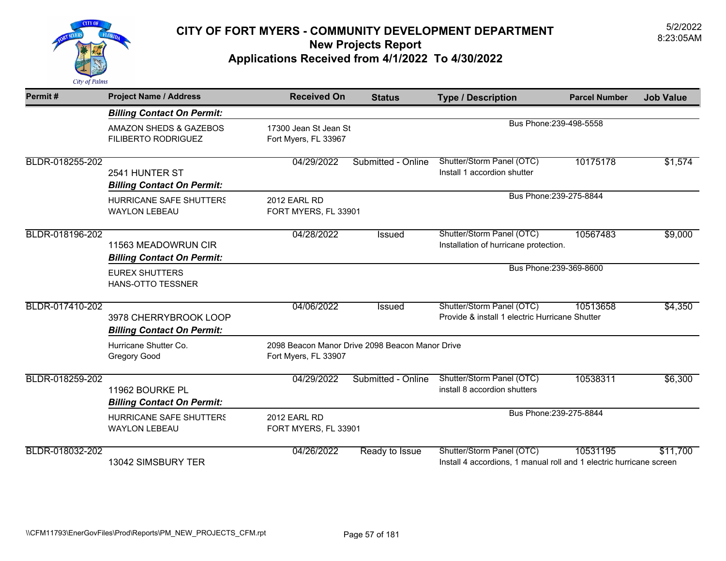

| Permit#         | <b>Project Name / Address</b>                              | <b>Received On</b>                            | <b>Status</b>                                   | <b>Type / Description</b>                                                                        | <b>Parcel Number</b> | <b>Job Value</b> |
|-----------------|------------------------------------------------------------|-----------------------------------------------|-------------------------------------------------|--------------------------------------------------------------------------------------------------|----------------------|------------------|
|                 | <b>Billing Contact On Permit:</b>                          |                                               |                                                 |                                                                                                  |                      |                  |
|                 | AMAZON SHEDS & GAZEBOS<br><b>FILIBERTO RODRIGUEZ</b>       | 17300 Jean St Jean St<br>Fort Myers, FL 33967 |                                                 | Bus Phone: 239-498-5558                                                                          |                      |                  |
| BLDR-018255-202 | 2541 HUNTER ST<br><b>Billing Contact On Permit:</b>        | 04/29/2022                                    | Submitted - Online                              | Shutter/Storm Panel (OTC)<br>Install 1 accordion shutter                                         | 10175178             | \$1,574          |
|                 | HURRICANE SAFE SHUTTERS<br><b>WAYLON LEBEAU</b>            | <b>2012 EARL RD</b><br>FORT MYERS, FL 33901   |                                                 | Bus Phone: 239-275-8844                                                                          |                      |                  |
| BLDR-018196-202 | 11563 MEADOWRUN CIR<br><b>Billing Contact On Permit:</b>   | 04/28/2022                                    | <b>Issued</b>                                   | Shutter/Storm Panel (OTC)<br>Installation of hurricane protection.                               | 10567483             | \$9,000          |
|                 | <b>EUREX SHUTTERS</b><br><b>HANS-OTTO TESSNER</b>          |                                               |                                                 | Bus Phone: 239-369-8600                                                                          |                      |                  |
| BLDR-017410-202 | 3978 CHERRYBROOK LOOP<br><b>Billing Contact On Permit:</b> | 04/06/2022                                    | <b>Issued</b>                                   | Shutter/Storm Panel (OTC)<br>Provide & install 1 electric Hurricane Shutter                      | 10513658             | \$4,350          |
|                 | Hurricane Shutter Co.<br><b>Gregory Good</b>               | Fort Myers, FL 33907                          | 2098 Beacon Manor Drive 2098 Beacon Manor Drive |                                                                                                  |                      |                  |
| BLDR-018259-202 | 11962 BOURKE PL<br><b>Billing Contact On Permit:</b>       | 04/29/2022                                    | Submitted - Online                              | Shutter/Storm Panel (OTC)<br>install 8 accordion shutters                                        | 10538311             | \$6,300          |
|                 | <b>HURRICANE SAFE SHUTTERS</b><br><b>WAYLON LEBEAU</b>     | 2012 EARL RD<br>FORT MYERS, FL 33901          |                                                 | Bus Phone: 239-275-8844                                                                          |                      |                  |
| BLDR-018032-202 | 13042 SIMSBURY TER                                         | 04/26/2022                                    | Ready to Issue                                  | Shutter/Storm Panel (OTC)<br>Install 4 accordions, 1 manual roll and 1 electric hurricane screen | 10531195             | \$11,700         |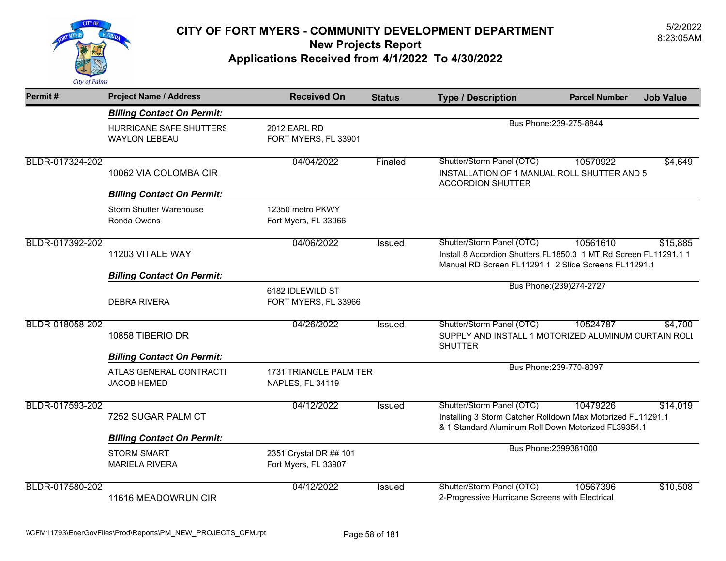

| Permit#         | <b>Project Name / Address</b>                   | <b>Received On</b>                             | <b>Status</b> | <b>Type / Description</b>                                                                                                                             | <b>Parcel Number</b>      | <b>Job Value</b> |
|-----------------|-------------------------------------------------|------------------------------------------------|---------------|-------------------------------------------------------------------------------------------------------------------------------------------------------|---------------------------|------------------|
|                 | <b>Billing Contact On Permit:</b>               |                                                |               |                                                                                                                                                       |                           |                  |
|                 | HURRICANE SAFE SHUTTERS<br><b>WAYLON LEBEAU</b> | <b>2012 EARL RD</b><br>FORT MYERS, FL 33901    |               |                                                                                                                                                       | Bus Phone: 239-275-8844   |                  |
| BLDR-017324-202 | 10062 VIA COLOMBA CIR                           | 04/04/2022                                     | Finaled       | Shutter/Storm Panel (OTC)<br>INSTALLATION OF 1 MANUAL ROLL SHUTTER AND 5<br><b>ACCORDION SHUTTER</b>                                                  | 10570922                  | \$4,649          |
|                 | <b>Billing Contact On Permit:</b>               |                                                |               |                                                                                                                                                       |                           |                  |
|                 | <b>Storm Shutter Warehouse</b><br>Ronda Owens   | 12350 metro PKWY<br>Fort Myers, FL 33966       |               |                                                                                                                                                       |                           |                  |
| BLDR-017392-202 | 11203 VITALE WAY                                | 04/06/2022                                     | <b>Issued</b> | Shutter/Storm Panel (OTC)<br>Install 8 Accordion Shutters FL1850.3 1 MT Rd Screen FL11291.1 1<br>Manual RD Screen FL11291.1 2 Slide Screens FL11291.1 | 10561610                  | \$15,885         |
|                 | <b>Billing Contact On Permit:</b>               |                                                |               |                                                                                                                                                       |                           |                  |
|                 | <b>DEBRA RIVERA</b>                             | 6182 IDLEWILD ST<br>FORT MYERS, FL 33966       |               |                                                                                                                                                       | Bus Phone: (239) 274-2727 |                  |
| BLDR-018058-202 | 10858 TIBERIO DR                                | 04/26/2022                                     | Issued        | Shutter/Storm Panel (OTC)<br>SUPPLY AND INSTALL 1 MOTORIZED ALUMINUM CURTAIN ROLL<br><b>SHUTTER</b>                                                   | 10524787                  | \$4,700          |
|                 | <b>Billing Contact On Permit:</b>               |                                                |               |                                                                                                                                                       |                           |                  |
|                 | ATLAS GENERAL CONTRACTI<br><b>JACOB HEMED</b>   | 1731 TRIANGLE PALM TER<br>NAPLES, FL 34119     |               |                                                                                                                                                       | Bus Phone: 239-770-8097   |                  |
| BLDR-017593-202 | 7252 SUGAR PALM CT                              | 04/12/2022                                     | Issued        | Shutter/Storm Panel (OTC)<br>Installing 3 Storm Catcher Rolldown Max Motorized FL11291.1<br>& 1 Standard Aluminum Roll Down Motorized FL39354.1       | 10479226                  | \$14,019         |
|                 | <b>Billing Contact On Permit:</b>               |                                                |               |                                                                                                                                                       |                           |                  |
|                 | <b>STORM SMART</b><br><b>MARIELA RIVERA</b>     | 2351 Crystal DR ## 101<br>Fort Myers, FL 33907 |               |                                                                                                                                                       | Bus Phone: 2399381000     |                  |
| BLDR-017580-202 | 11616 MEADOWRUN CIR                             | 04/12/2022                                     | <b>Issued</b> | Shutter/Storm Panel (OTC)<br>2-Progressive Hurricane Screens with Electrical                                                                          | 10567396                  | \$10,508         |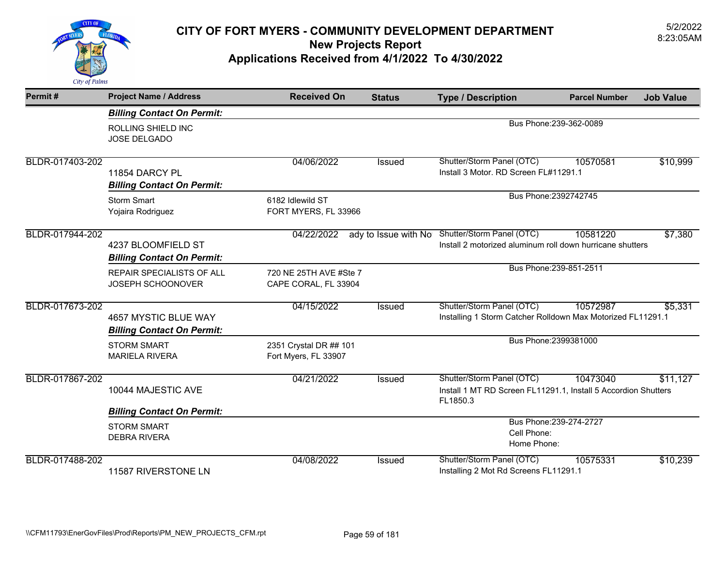

| Permit#         | <b>Project Name / Address</b>                             | <b>Received On</b>                             | <b>Status</b> | <b>Type / Description</b>                                                                                   | <b>Parcel Number</b>    | <b>Job Value</b> |
|-----------------|-----------------------------------------------------------|------------------------------------------------|---------------|-------------------------------------------------------------------------------------------------------------|-------------------------|------------------|
|                 | <b>Billing Contact On Permit:</b>                         |                                                |               |                                                                                                             |                         |                  |
|                 | ROLLING SHIELD INC<br>JOSE DELGADO                        |                                                |               |                                                                                                             | Bus Phone: 239-362-0089 |                  |
| BLDR-017403-202 | 11854 DARCY PL<br><b>Billing Contact On Permit:</b>       | 04/06/2022                                     | <b>Issued</b> | Shutter/Storm Panel (OTC)<br>Install 3 Motor. RD Screen FL#11291.1                                          | 10570581                | \$10,999         |
|                 | <b>Storm Smart</b><br>Yojaira Rodriguez                   | 6182 Idlewild ST<br>FORT MYERS, FL 33966       |               |                                                                                                             | Bus Phone: 2392742745   |                  |
| BLDR-017944-202 | 4237 BLOOMFIELD ST<br><b>Billing Contact On Permit:</b>   | 04/22/2022                                     |               | ady to Issue with No Shutter/Storm Panel (OTC)<br>Install 2 motorized aluminum roll down hurricane shutters | 10581220                | \$7,380          |
|                 | <b>REPAIR SPECIALISTS OF ALL</b><br>JOSEPH SCHOONOVER     | 720 NE 25TH AVE #Ste 7<br>CAPE CORAL, FL 33904 |               |                                                                                                             | Bus Phone: 239-851-2511 |                  |
| BLDR-017673-202 | 4657 MYSTIC BLUE WAY<br><b>Billing Contact On Permit:</b> | 04/15/2022                                     | <b>Issued</b> | Shutter/Storm Panel (OTC)<br>Installing 1 Storm Catcher Rolldown Max Motorized FL11291.1                    | 10572987                | \$5,331          |
|                 | <b>STORM SMART</b><br><b>MARIELA RIVERA</b>               | 2351 Crystal DR ## 101<br>Fort Myers, FL 33907 |               |                                                                                                             | Bus Phone: 2399381000   |                  |
| BLDR-017867-202 | 10044 MAJESTIC AVE                                        | 04/21/2022                                     | Issued        | Shutter/Storm Panel (OTC)<br>Install 1 MT RD Screen FL11291.1, Install 5 Accordion Shutters<br>FL1850.3     | 10473040                | \$11,127         |
|                 | <b>Billing Contact On Permit:</b>                         |                                                |               |                                                                                                             |                         |                  |
|                 | <b>STORM SMART</b><br><b>DEBRA RIVERA</b>                 |                                                |               | Cell Phone:<br>Home Phone:                                                                                  | Bus Phone: 239-274-2727 |                  |
| BLDR-017488-202 | 11587 RIVERSTONE LN                                       | 04/08/2022                                     | Issued        | Shutter/Storm Panel (OTC)<br>Installing 2 Mot Rd Screens FL11291.1                                          | 10575331                | \$10,239         |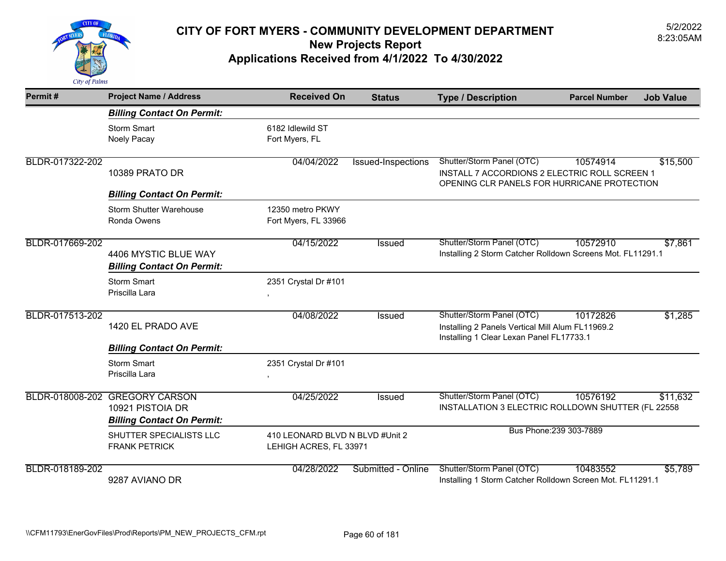

| Permit#         | <b>Project Name / Address</b>                                                           | <b>Received On</b>                                        | <b>Status</b>      | <b>Type / Description</b>                                                                                                 | <b>Parcel Number</b>    | <b>Job Value</b> |
|-----------------|-----------------------------------------------------------------------------------------|-----------------------------------------------------------|--------------------|---------------------------------------------------------------------------------------------------------------------------|-------------------------|------------------|
|                 | <b>Billing Contact On Permit:</b>                                                       |                                                           |                    |                                                                                                                           |                         |                  |
|                 | <b>Storm Smart</b><br>Noely Pacay                                                       | 6182 Idlewild ST<br>Fort Myers, FL                        |                    |                                                                                                                           |                         |                  |
| BLDR-017322-202 | 10389 PRATO DR                                                                          | 04/04/2022                                                | Issued-Inspections | Shutter/Storm Panel (OTC)<br>INSTALL 7 ACCORDIONS 2 ELECTRIC ROLL SCREEN 1<br>OPENING CLR PANELS FOR HURRICANE PROTECTION | 10574914                | \$15,500         |
|                 | <b>Billing Contact On Permit:</b>                                                       |                                                           |                    |                                                                                                                           |                         |                  |
|                 | <b>Storm Shutter Warehouse</b><br>Ronda Owens                                           | 12350 metro PKWY<br>Fort Myers, FL 33966                  |                    |                                                                                                                           |                         |                  |
| BLDR-017669-202 | 4406 MYSTIC BLUE WAY<br><b>Billing Contact On Permit:</b>                               | 04/15/2022                                                | <b>Issued</b>      | Shutter/Storm Panel (OTC)<br>Installing 2 Storm Catcher Rolldown Screens Mot. FL11291.1                                   | 10572910                | \$7,861          |
|                 | <b>Storm Smart</b><br>Priscilla Lara                                                    | 2351 Crystal Dr #101                                      |                    |                                                                                                                           |                         |                  |
| BLDR-017513-202 | 1420 EL PRADO AVE                                                                       | 04/08/2022                                                | <b>Issued</b>      | Shutter/Storm Panel (OTC)<br>Installing 2 Panels Vertical Mill Alum FL11969.2<br>Installing 1 Clear Lexan Panel FL17733.1 | 10172826                | \$1,285          |
|                 | <b>Billing Contact On Permit:</b>                                                       |                                                           |                    |                                                                                                                           |                         |                  |
|                 | <b>Storm Smart</b><br>Priscilla Lara                                                    | 2351 Crystal Dr #101<br>$\,$                              |                    |                                                                                                                           |                         |                  |
|                 | BLDR-018008-202 GREGORY CARSON<br>10921 PISTOIA DR<br><b>Billing Contact On Permit:</b> | 04/25/2022                                                | Issued             | Shutter/Storm Panel (OTC)<br>INSTALLATION 3 ELECTRIC ROLLDOWN SHUTTER (FL 22558                                           | 10576192                | \$11,632         |
|                 | SHUTTER SPECIALISTS LLC<br><b>FRANK PETRICK</b>                                         | 410 LEONARD BLVD N BLVD #Unit 2<br>LEHIGH ACRES, FL 33971 |                    |                                                                                                                           | Bus Phone: 239 303-7889 |                  |
| BLDR-018189-202 | 9287 AVIANO DR                                                                          | 04/28/2022                                                | Submitted - Online | Shutter/Storm Panel (OTC)<br>Installing 1 Storm Catcher Rolldown Screen Mot. FL11291.1                                    | 10483552                | \$5,789          |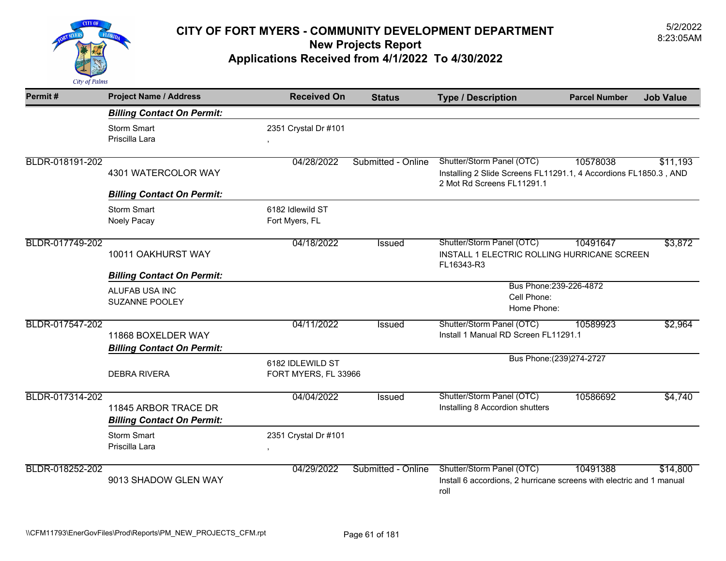

| Permit#         | <b>Project Name / Address</b>                             | <b>Received On</b>                       | <b>Status</b>      | <b>Type / Description</b>                                                                                                   | <b>Parcel Number</b>      | <b>Job Value</b> |
|-----------------|-----------------------------------------------------------|------------------------------------------|--------------------|-----------------------------------------------------------------------------------------------------------------------------|---------------------------|------------------|
|                 | <b>Billing Contact On Permit:</b>                         |                                          |                    |                                                                                                                             |                           |                  |
|                 | <b>Storm Smart</b><br>Priscilla Lara                      | 2351 Crystal Dr #101<br>$\,$ ,           |                    |                                                                                                                             |                           |                  |
| BLDR-018191-202 | 4301 WATERCOLOR WAY                                       | 04/28/2022                               | Submitted - Online | Shutter/Storm Panel (OTC)<br>Installing 2 Slide Screens FL11291.1, 4 Accordions FL1850.3, AND<br>2 Mot Rd Screens FL11291.1 | 10578038                  | \$11,193         |
|                 | <b>Billing Contact On Permit:</b>                         |                                          |                    |                                                                                                                             |                           |                  |
|                 | <b>Storm Smart</b><br>Noely Pacay                         | 6182 Idlewild ST<br>Fort Myers, FL       |                    |                                                                                                                             |                           |                  |
| BLDR-017749-202 | 10011 OAKHURST WAY                                        | 04/18/2022                               | Issued             | Shutter/Storm Panel (OTC)<br>INSTALL 1 ELECTRIC ROLLING HURRICANE SCREEN<br>FL16343-R3                                      | 10491647                  | \$3,872          |
|                 | <b>Billing Contact On Permit:</b>                         |                                          |                    |                                                                                                                             |                           |                  |
|                 | ALUFAB USA INC<br><b>SUZANNE POOLEY</b>                   |                                          |                    | Bus Phone: 239-226-4872<br>Cell Phone:<br>Home Phone:                                                                       |                           |                  |
| BLDR-017547-202 | 11868 BOXELDER WAY<br><b>Billing Contact On Permit:</b>   | 04/11/2022                               | <b>Issued</b>      | Shutter/Storm Panel (OTC)<br>Install 1 Manual RD Screen FL11291.1                                                           | 10589923                  | \$2,964          |
|                 | <b>DEBRA RIVERA</b>                                       | 6182 IDLEWILD ST<br>FORT MYERS, FL 33966 |                    |                                                                                                                             | Bus Phone: (239) 274-2727 |                  |
| BLDR-017314-202 | 11845 ARBOR TRACE DR<br><b>Billing Contact On Permit:</b> | 04/04/2022                               | <b>Issued</b>      | Shutter/Storm Panel (OTC)<br>Installing 8 Accordion shutters                                                                | 10586692                  | \$4,740          |
|                 | <b>Storm Smart</b><br>Priscilla Lara                      | 2351 Crystal Dr #101<br>$\,$             |                    |                                                                                                                             |                           |                  |
| BLDR-018252-202 | 9013 SHADOW GLEN WAY                                      | 04/29/2022                               | Submitted - Online | Shutter/Storm Panel (OTC)<br>Install 6 accordions, 2 hurricane screens with electric and 1 manual<br>roll                   | 10491388                  | \$14,800         |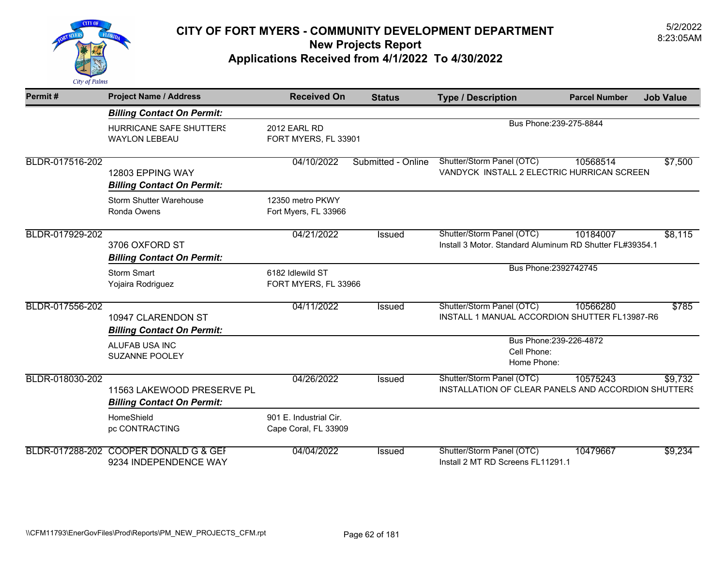

| Permit#         | <b>Project Name / Address</b>                                   | <b>Received On</b>                             | <b>Status</b>      | <b>Type / Description</b>                                                             | <b>Parcel Number</b>    | <b>Job Value</b> |
|-----------------|-----------------------------------------------------------------|------------------------------------------------|--------------------|---------------------------------------------------------------------------------------|-------------------------|------------------|
|                 | <b>Billing Contact On Permit:</b>                               |                                                |                    |                                                                                       |                         |                  |
|                 | <b>HURRICANE SAFE SHUTTERS</b><br><b>WAYLON LEBEAU</b>          | <b>2012 EARL RD</b><br>FORT MYERS, FL 33901    |                    |                                                                                       | Bus Phone: 239-275-8844 |                  |
| BLDR-017516-202 | 12803 EPPING WAY<br><b>Billing Contact On Permit:</b>           | 04/10/2022                                     | Submitted - Online | Shutter/Storm Panel (OTC)<br>VANDYCK INSTALL 2 ELECTRIC HURRICAN SCREEN               | 10568514                | \$7,500          |
|                 | <b>Storm Shutter Warehouse</b><br>Ronda Owens                   | 12350 metro PKWY<br>Fort Myers, FL 33966       |                    |                                                                                       |                         |                  |
| BLDR-017929-202 | 3706 OXFORD ST<br><b>Billing Contact On Permit:</b>             | 04/21/2022                                     | <b>Issued</b>      | Shutter/Storm Panel (OTC)<br>Install 3 Motor, Standard Aluminum RD Shutter FL#39354.1 | 10184007                | \$8,115          |
|                 | <b>Storm Smart</b><br>Yojaira Rodriguez                         | 6182 Idlewild ST<br>FORT MYERS, FL 33966       |                    |                                                                                       | Bus Phone: 2392742745   |                  |
| BLDR-017556-202 | 10947 CLARENDON ST<br><b>Billing Contact On Permit:</b>         | 04/11/2022                                     | <b>Issued</b>      | Shutter/Storm Panel (OTC)<br>INSTALL 1 MANUAL ACCORDION SHUTTER FL13987-R6            | 10566280                | \$785            |
|                 | ALUFAB USA INC<br><b>SUZANNE POOLEY</b>                         |                                                |                    | Cell Phone:<br>Home Phone:                                                            | Bus Phone: 239-226-4872 |                  |
| BLDR-018030-202 | 11563 LAKEWOOD PRESERVE PL<br><b>Billing Contact On Permit:</b> | 04/26/2022                                     | Issued             | Shutter/Storm Panel (OTC)<br>INSTALLATION OF CLEAR PANELS AND ACCORDION SHUTTERS      | 10575243                | \$9,732          |
|                 | HomeShield<br>pc CONTRACTING                                    | 901 E. Industrial Cir.<br>Cape Coral, FL 33909 |                    |                                                                                       |                         |                  |
|                 | BLDR-017288-202 COOPER DONALD G & GEF<br>9234 INDEPENDENCE WAY  | 04/04/2022                                     | Issued             | Shutter/Storm Panel (OTC)<br>Install 2 MT RD Screens FL11291.1                        | 10479667                | \$9,234          |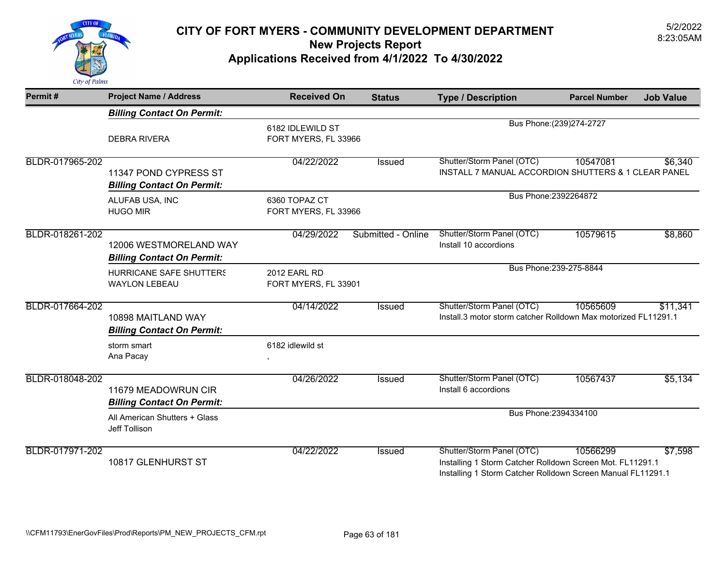

| Permit#         | <b>Project Name / Address</b>                               | <b>Received On</b>                       | <b>Status</b>      | <b>Type / Description</b>                                                                                                                             | <b>Parcel Number</b>      | <b>Job Value</b> |
|-----------------|-------------------------------------------------------------|------------------------------------------|--------------------|-------------------------------------------------------------------------------------------------------------------------------------------------------|---------------------------|------------------|
|                 | <b>Billing Contact On Permit:</b>                           |                                          |                    |                                                                                                                                                       |                           |                  |
|                 | <b>DEBRA RIVERA</b>                                         | 6182 IDLEWILD ST<br>FORT MYERS, FL 33966 |                    |                                                                                                                                                       | Bus Phone: (239) 274-2727 |                  |
| BLDR-017965-202 | 11347 POND CYPRESS ST<br><b>Billing Contact On Permit:</b>  | 04/22/2022                               | Issued             | Shutter/Storm Panel (OTC)<br>INSTALL 7 MANUAL ACCORDION SHUTTERS & 1 CLEAR PANEL                                                                      | 10547081                  | \$6,340          |
|                 | ALUFAB USA, INC<br><b>HUGO MIR</b>                          | 6360 TOPAZ CT<br>FORT MYERS, FL 33966    |                    |                                                                                                                                                       | Bus Phone: 2392264872     |                  |
| BLDR-018261-202 | 12006 WESTMORELAND WAY<br><b>Billing Contact On Permit:</b> | 04/29/2022                               | Submitted - Online | Shutter/Storm Panel (OTC)<br>Install 10 accordions                                                                                                    | 10579615                  | \$8,860          |
|                 | HURRICANE SAFE SHUTTERS<br><b>WAYLON LEBEAU</b>             | 2012 EARL RD<br>FORT MYERS, FL 33901     |                    |                                                                                                                                                       | Bus Phone: 239-275-8844   |                  |
| BLDR-017664-202 | 10898 MAITLAND WAY<br><b>Billing Contact On Permit:</b>     | 04/14/2022                               | Issued             | Shutter/Storm Panel (OTC)<br>Install.3 motor storm catcher Rolldown Max motorized FL11291.1                                                           | 10565609                  | \$11,341         |
|                 | storm smart<br>Ana Pacay                                    | 6182 idlewild st                         |                    |                                                                                                                                                       |                           |                  |
| BLDR-018048-202 | 11679 MEADOWRUN CIR<br><b>Billing Contact On Permit:</b>    | 04/26/2022                               | Issued             | Shutter/Storm Panel (OTC)<br>Install 6 accordions                                                                                                     | 10567437                  | \$5,134          |
|                 | All American Shutters + Glass<br>Jeff Tollison              |                                          |                    |                                                                                                                                                       | Bus Phone: 2394334100     |                  |
| BLDR-017971-202 | 10817 GLENHURST ST                                          | 04/22/2022                               | <b>Issued</b>      | Shutter/Storm Panel (OTC)<br>Installing 1 Storm Catcher Rolldown Screen Mot. FL11291.1<br>Installing 1 Storm Catcher Rolldown Screen Manual FL11291.1 | 10566299                  | \$7,598          |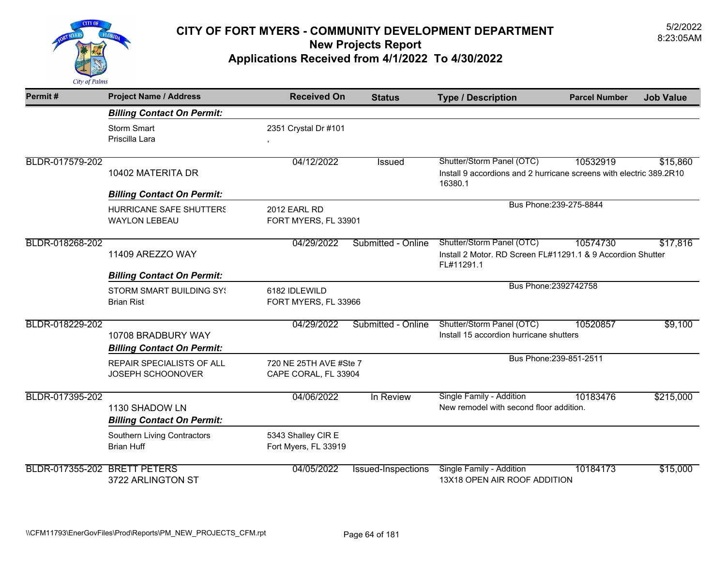

| Permit#                      | <b>Project Name / Address</b>                           | <b>Received On</b>                             | <b>Status</b>             | <b>Type / Description</b>                                                                                   | <b>Parcel Number</b>    | <b>Job Value</b> |
|------------------------------|---------------------------------------------------------|------------------------------------------------|---------------------------|-------------------------------------------------------------------------------------------------------------|-------------------------|------------------|
|                              | <b>Billing Contact On Permit:</b>                       |                                                |                           |                                                                                                             |                         |                  |
|                              | <b>Storm Smart</b><br>Priscilla Lara                    | 2351 Crystal Dr #101<br>$\,$                   |                           |                                                                                                             |                         |                  |
| BLDR-017579-202              | 10402 MATERITA DR                                       | 04/12/2022                                     | Issued                    | Shutter/Storm Panel (OTC)<br>Install 9 accordions and 2 hurricane screens with electric 389.2R10<br>16380.1 | 10532919                | \$15,860         |
|                              | <b>Billing Contact On Permit:</b>                       |                                                |                           |                                                                                                             |                         |                  |
|                              | HURRICANE SAFE SHUTTERS<br><b>WAYLON LEBEAU</b>         | 2012 EARL RD<br>FORT MYERS, FL 33901           |                           |                                                                                                             | Bus Phone: 239-275-8844 |                  |
| BLDR-018268-202              | 11409 AREZZO WAY                                        | 04/29/2022                                     | Submitted - Online        | Shutter/Storm Panel (OTC)<br>Install 2 Motor. RD Screen FL#11291.1 & 9 Accordion Shutter<br>FL#11291.1      | 10574730                | \$17,816         |
|                              | <b>Billing Contact On Permit:</b>                       |                                                |                           |                                                                                                             |                         |                  |
|                              | <b>STORM SMART BUILDING SY!</b><br><b>Brian Rist</b>    | 6182 IDLEWILD<br>FORT MYERS, FL 33966          |                           |                                                                                                             | Bus Phone: 2392742758   |                  |
| BLDR-018229-202              | 10708 BRADBURY WAY<br><b>Billing Contact On Permit:</b> | 04/29/2022                                     | Submitted - Online        | Shutter/Storm Panel (OTC)<br>Install 15 accordion hurricane shutters                                        | 10520857                | \$9,100          |
|                              | REPAIR SPECIALISTS OF ALL<br>JOSEPH SCHOONOVER          | 720 NE 25TH AVE #Ste 7<br>CAPE CORAL, FL 33904 |                           |                                                                                                             | Bus Phone: 239-851-2511 |                  |
| BLDR-017395-202              | 1130 SHADOW LN<br><b>Billing Contact On Permit:</b>     | 04/06/2022                                     | In Review                 | Single Family - Addition<br>New remodel with second floor addition.                                         | 10183476                | \$215,000        |
|                              | Southern Living Contractors<br><b>Brian Huff</b>        | 5343 Shalley CIR E<br>Fort Myers, FL 33919     |                           |                                                                                                             |                         |                  |
| BLDR-017355-202 BRETT PETERS | 3722 ARLINGTON ST                                       | 04/05/2022                                     | <b>Issued-Inspections</b> | Single Family - Addition<br>13X18 OPEN AIR ROOF ADDITION                                                    | 10184173                | \$15,000         |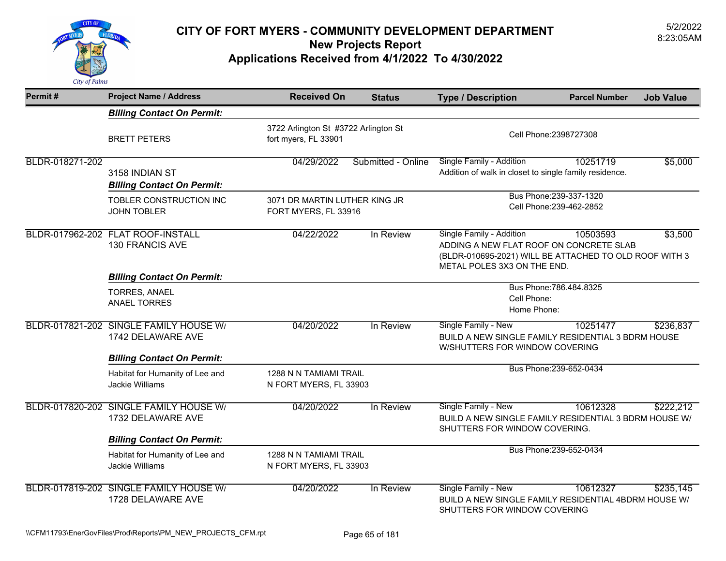

| Permit#         | <b>Project Name / Address</b>                               | <b>Received On</b>                                    | <b>Status</b>                        | <b>Type / Description</b>                                                                                                                                    | <b>Parcel Number</b>    | <b>Job Value</b> |
|-----------------|-------------------------------------------------------------|-------------------------------------------------------|--------------------------------------|--------------------------------------------------------------------------------------------------------------------------------------------------------------|-------------------------|------------------|
|                 | <b>Billing Contact On Permit:</b>                           |                                                       |                                      |                                                                                                                                                              |                         |                  |
|                 | <b>BRETT PETERS</b>                                         | fort myers, FL 33901                                  | 3722 Arlington St #3722 Arlington St |                                                                                                                                                              | Cell Phone: 2398727308  |                  |
| BLDR-018271-202 | 3158 INDIAN ST<br><b>Billing Contact On Permit:</b>         | 04/29/2022                                            | Submitted - Online                   | Single Family - Addition<br>Addition of walk in closet to single family residence.                                                                           | 10251719                | \$5,000          |
|                 | TOBLER CONSTRUCTION INC<br><b>JOHN TOBLER</b>               | 3071 DR MARTIN LUTHER KING JR<br>FORT MYERS, FL 33916 |                                      | Bus Phone: 239-337-1320<br>Cell Phone: 239-462-2852                                                                                                          |                         |                  |
|                 | BLDR-017962-202 FLAT ROOF-INSTALL<br><b>130 FRANCIS AVE</b> | 04/22/2022                                            | In Review                            | Single Family - Addition<br>ADDING A NEW FLAT ROOF ON CONCRETE SLAB<br>(BLDR-010695-2021) WILL BE ATTACHED TO OLD ROOF WITH 3<br>METAL POLES 3X3 ON THE END. | 10503593                | \$3,500          |
|                 | <b>Billing Contact On Permit:</b>                           |                                                       |                                      |                                                                                                                                                              |                         |                  |
|                 | TORRES, ANAEL<br><b>ANAEL TORRES</b>                        |                                                       |                                      | Cell Phone:<br>Home Phone:                                                                                                                                   | Bus Phone: 786.484.8325 |                  |
|                 | BLDR-017821-202 SINGLE FAMILY HOUSE W/<br>1742 DELAWARE AVE | 04/20/2022                                            | In Review                            | Single Family - New<br>BUILD A NEW SINGLE FAMILY RESIDENTIAL 3 BDRM HOUSE<br>W/SHUTTERS FOR WINDOW COVERING                                                  | 10251477                | \$236,837        |
|                 | <b>Billing Contact On Permit:</b>                           |                                                       |                                      |                                                                                                                                                              | Bus Phone: 239-652-0434 |                  |
|                 | Habitat for Humanity of Lee and<br>Jackie Williams          | 1288 N N TAMIAMI TRAIL<br>N FORT MYERS, FL 33903      |                                      |                                                                                                                                                              |                         |                  |
|                 | BLDR-017820-202 SINGLE FAMILY HOUSE W/<br>1732 DELAWARE AVE | 04/20/2022                                            | In Review                            | Single Family - New<br>BUILD A NEW SINGLE FAMILY RESIDENTIAL 3 BDRM HOUSE W/<br>SHUTTERS FOR WINDOW COVERING.                                                | 10612328                | \$222,212        |
|                 | <b>Billing Contact On Permit:</b>                           |                                                       |                                      |                                                                                                                                                              |                         |                  |
|                 | Habitat for Humanity of Lee and<br>Jackie Williams          | 1288 N N TAMIAMI TRAIL<br>N FORT MYERS, FL 33903      |                                      |                                                                                                                                                              | Bus Phone: 239-652-0434 |                  |
|                 | BLDR-017819-202 SINGLE FAMILY HOUSE W/<br>1728 DELAWARE AVE | 04/20/2022                                            | In Review                            | Single Family - New<br>BUILD A NEW SINGLE FAMILY RESIDENTIAL 4BDRM HOUSE W/<br>SHUTTERS FOR WINDOW COVERING                                                  | 10612327                | \$235,145        |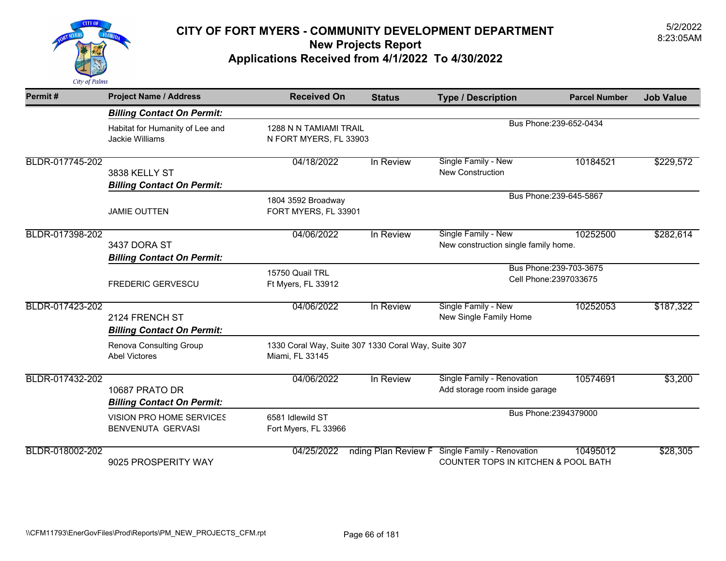

| Permit#         | <b>Project Name / Address</b>                        | <b>Received On</b>                                                     | <b>Status</b>                                     | <b>Type / Description</b>                                                           | <b>Parcel Number</b>    | <b>Job Value</b> |
|-----------------|------------------------------------------------------|------------------------------------------------------------------------|---------------------------------------------------|-------------------------------------------------------------------------------------|-------------------------|------------------|
|                 | <b>Billing Contact On Permit:</b>                    |                                                                        |                                                   |                                                                                     |                         |                  |
|                 | Habitat for Humanity of Lee and<br>Jackie Williams   | 1288 N N TAMIAMI TRAIL<br>N FORT MYERS, FL 33903                       |                                                   |                                                                                     | Bus Phone: 239-652-0434 |                  |
| BLDR-017745-202 | 3838 KELLY ST<br><b>Billing Contact On Permit:</b>   | 04/18/2022                                                             | In Review                                         | Single Family - New<br>New Construction                                             | 10184521                | \$229,572        |
|                 | <b>JAMIE OUTTEN</b>                                  | 1804 3592 Broadway<br>FORT MYERS, FL 33901                             | Bus Phone: 239-645-5867                           |                                                                                     |                         |                  |
| BLDR-017398-202 | 3437 DORA ST<br><b>Billing Contact On Permit:</b>    | 04/06/2022                                                             | In Review                                         | Single Family - New<br>New construction single family home.                         | 10252500                | \$282,614        |
|                 | <b>FREDERIC GERVESCU</b>                             | 15750 Quail TRL<br>Ft Myers, FL 33912                                  | Bus Phone: 239-703-3675<br>Cell Phone: 2397033675 |                                                                                     |                         |                  |
| BLDR-017423-202 | 2124 FRENCH ST<br><b>Billing Contact On Permit:</b>  | 04/06/2022                                                             | In Review                                         | Single Family - New<br>New Single Family Home                                       | 10252053                | \$187,322        |
|                 | Renova Consulting Group<br><b>Abel Victores</b>      | 1330 Coral Way, Suite 307 1330 Coral Way, Suite 307<br>Miami, FL 33145 |                                                   |                                                                                     |                         |                  |
| BLDR-017432-202 | 10687 PRATO DR<br><b>Billing Contact On Permit:</b>  | 04/06/2022                                                             | In Review                                         | Single Family - Renovation<br>Add storage room inside garage                        | 10574691                | \$3,200          |
|                 | VISION PRO HOME SERVICES<br><b>BENVENUTA GERVASI</b> | 6581 Idlewild ST<br>Fort Myers, FL 33966                               |                                                   | Bus Phone: 2394379000                                                               |                         |                  |
| BLDR-018002-202 | 9025 PROSPERITY WAY                                  | 04/25/2022                                                             | nding Plan Review F                               | <b>Single Family - Renovation</b><br><b>COUNTER TOPS IN KITCHEN &amp; POOL BATH</b> | 10495012                | \$28,305         |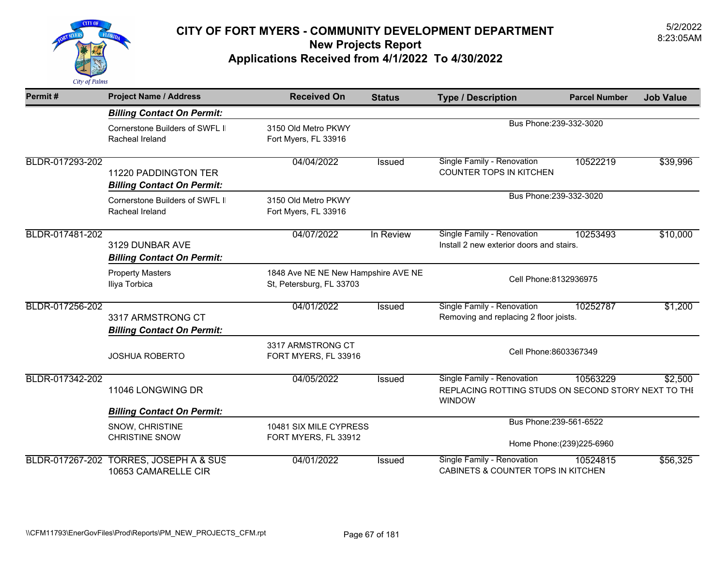

| Permit#         | <b>Project Name / Address</b>                             | <b>Received On</b>                                              | <b>Status</b> | <b>Type / Description</b>                                                                          | <b>Parcel Number</b>       | <b>Job Value</b> |
|-----------------|-----------------------------------------------------------|-----------------------------------------------------------------|---------------|----------------------------------------------------------------------------------------------------|----------------------------|------------------|
|                 | <b>Billing Contact On Permit:</b>                         |                                                                 |               |                                                                                                    |                            |                  |
|                 | Cornerstone Builders of SWFL II<br>Racheal Ireland        | 3150 Old Metro PKWY<br>Fort Myers, FL 33916                     |               | Bus Phone: 239-332-3020                                                                            |                            |                  |
| BLDR-017293-202 | 11220 PADDINGTON TER<br><b>Billing Contact On Permit:</b> | 04/04/2022                                                      | Issued        | Single Family - Renovation<br><b>COUNTER TOPS IN KITCHEN</b>                                       | 10522219                   | \$39,996         |
|                 | Cornerstone Builders of SWFL II<br>Racheal Ireland        | 3150 Old Metro PKWY<br>Fort Myers, FL 33916                     |               | Bus Phone: 239-332-3020                                                                            |                            |                  |
| BLDR-017481-202 | 3129 DUNBAR AVE<br><b>Billing Contact On Permit:</b>      | 04/07/2022                                                      | In Review     | Single Family - Renovation<br>10253493<br>Install 2 new exterior doors and stairs.                 |                            | \$10,000         |
|                 | <b>Property Masters</b><br>Iliya Torbica                  | 1848 Ave NE NE New Hampshire AVE NE<br>St, Petersburg, FL 33703 |               | Cell Phone: 8132936975                                                                             |                            |                  |
| BLDR-017256-202 | 3317 ARMSTRONG CT<br><b>Billing Contact On Permit:</b>    | 04/01/2022                                                      | <b>Issued</b> | Single Family - Renovation<br>Removing and replacing 2 floor joists.                               | 10252787                   | \$1,200          |
|                 | <b>JOSHUA ROBERTO</b>                                     | 3317 ARMSTRONG CT<br>FORT MYERS, FL 33916                       |               | Cell Phone:8603367349                                                                              |                            |                  |
| BLDR-017342-202 | 11046 LONGWING DR                                         | 04/05/2022                                                      | Issued        | Single Family - Renovation<br>REPLACING ROTTING STUDS ON SECOND STORY NEXT TO THE<br><b>WINDOW</b> | 10563229                   | \$2,500          |
|                 | <b>Billing Contact On Permit:</b>                         |                                                                 |               | Bus Phone: 239-561-6522                                                                            |                            |                  |
|                 | SNOW, CHRISTINE<br><b>CHRISTINE SNOW</b>                  | 10481 SIX MILE CYPRESS<br>FORT MYERS, FL 33912                  |               |                                                                                                    | Home Phone: (239) 225-6960 |                  |
| BLDR-017267-202 | <b>TORRES, JOSEPH A &amp; SUS</b><br>10653 CAMARELLE CIR  | 04/01/2022                                                      | <b>Issued</b> | Single Family - Renovation<br>CABINETS & COUNTER TOPS IN KITCHEN                                   | 10524815                   | \$56,325         |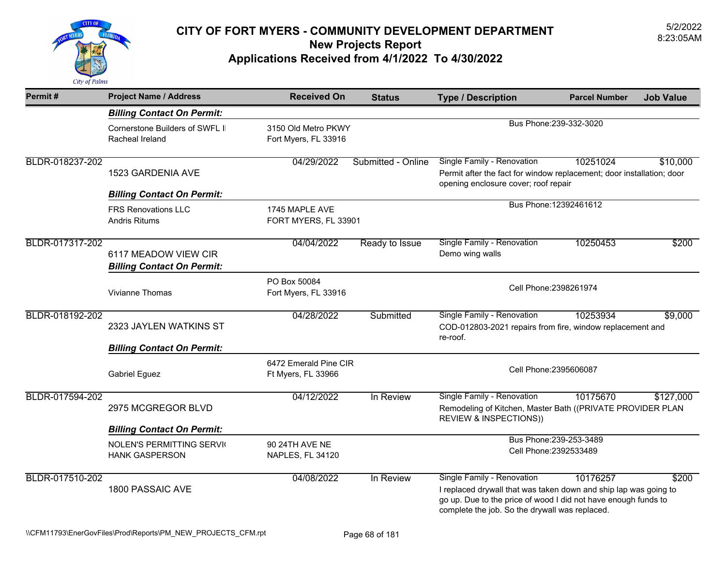

| Permit#         | <b>Project Name / Address</b>                             | <b>Received On</b>                          | <b>Status</b>      | <b>Type / Description</b>                                                                                                                                                                                          | <b>Parcel Number</b>    | <b>Job Value</b> |
|-----------------|-----------------------------------------------------------|---------------------------------------------|--------------------|--------------------------------------------------------------------------------------------------------------------------------------------------------------------------------------------------------------------|-------------------------|------------------|
|                 | <b>Billing Contact On Permit:</b>                         |                                             |                    |                                                                                                                                                                                                                    |                         |                  |
|                 | Cornerstone Builders of SWFL II<br>Racheal Ireland        | 3150 Old Metro PKWY<br>Fort Myers, FL 33916 |                    |                                                                                                                                                                                                                    | Bus Phone: 239-332-3020 |                  |
| BLDR-018237-202 | 1523 GARDENIA AVE<br><b>Billing Contact On Permit:</b>    | 04/29/2022                                  | Submitted - Online | Single Family - Renovation<br>Permit after the fact for window replacement; door installation; door<br>opening enclosure cover; roof repair                                                                        | 10251024                | \$10,000         |
|                 | <b>FRS Renovations LLC</b><br><b>Andris Ritums</b>        | 1745 MAPLE AVE<br>FORT MYERS, FL 33901      |                    | Bus Phone: 12392461612                                                                                                                                                                                             |                         |                  |
| BLDR-017317-202 | 6117 MEADOW VIEW CIR<br><b>Billing Contact On Permit:</b> | 04/04/2022                                  | Ready to Issue     | Single Family - Renovation<br>Demo wing walls                                                                                                                                                                      | 10250453                | \$200            |
|                 | <b>Vivianne Thomas</b>                                    | PO Box 50084<br>Fort Myers, FL 33916        |                    | Cell Phone: 2398261974                                                                                                                                                                                             |                         |                  |
| BLDR-018192-202 | 2323 JAYLEN WATKINS ST                                    | 04/28/2022                                  | Submitted          | Single Family - Renovation<br>COD-012803-2021 repairs from fire, window replacement and<br>re-roof.                                                                                                                | 10253934                | \$9,000          |
|                 | <b>Billing Contact On Permit:</b>                         |                                             |                    |                                                                                                                                                                                                                    |                         |                  |
|                 | <b>Gabriel Eguez</b>                                      | 6472 Emerald Pine CIR<br>Ft Myers, FL 33966 |                    |                                                                                                                                                                                                                    | Cell Phone: 2395606087  |                  |
| BLDR-017594-202 | 2975 MCGREGOR BLVD                                        | 04/12/2022                                  | In Review          | Single Family - Renovation<br>Remodeling of Kitchen, Master Bath ((PRIVATE PROVIDER PLAN<br><b>REVIEW &amp; INSPECTIONS))</b>                                                                                      | 10175670                | \$127,000        |
|                 | <b>Billing Contact On Permit:</b>                         |                                             |                    |                                                                                                                                                                                                                    |                         |                  |
|                 | <b>NOLEN'S PERMITTING SERVIC</b><br><b>HANK GASPERSON</b> | 90 24TH AVE NE<br>NAPLES, FL 34120          |                    | Bus Phone: 239-253-3489<br>Cell Phone: 2392533489                                                                                                                                                                  |                         |                  |
| BLDR-017510-202 | 1800 PASSAIC AVE                                          | 04/08/2022                                  | In Review          | Single Family - Renovation<br>I replaced drywall that was taken down and ship lap was going to<br>go up. Due to the price of wood I did not have enough funds to<br>complete the job. So the drywall was replaced. | 10176257                | \$200            |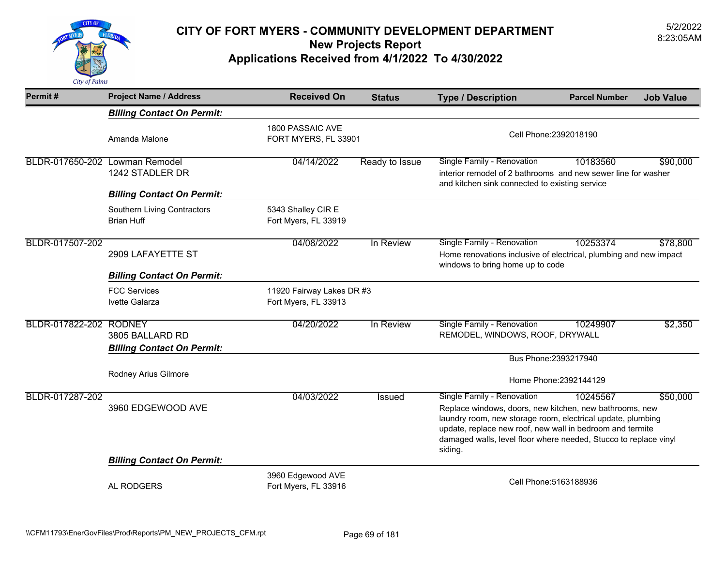

| Permit#                        | <b>Project Name / Address</b>                        | <b>Received On</b>                                | <b>Status</b>  | <b>Type / Description</b>                                                                                                                                                                                                                                                                        | <b>Parcel Number</b>   | <b>Job Value</b> |
|--------------------------------|------------------------------------------------------|---------------------------------------------------|----------------|--------------------------------------------------------------------------------------------------------------------------------------------------------------------------------------------------------------------------------------------------------------------------------------------------|------------------------|------------------|
|                                | <b>Billing Contact On Permit:</b>                    |                                                   |                |                                                                                                                                                                                                                                                                                                  |                        |                  |
|                                | Amanda Malone                                        | 1800 PASSAIC AVE<br>FORT MYERS, FL 33901          |                | Cell Phone: 2392018190                                                                                                                                                                                                                                                                           |                        |                  |
| BLDR-017650-202 Lowman Remodel | 1242 STADLER DR                                      | 04/14/2022                                        | Ready to Issue | Single Family - Renovation<br>interior remodel of 2 bathrooms and new sewer line for washer<br>and kitchen sink connected to existing service                                                                                                                                                    | 10183560               | \$90,000         |
|                                | <b>Billing Contact On Permit:</b>                    |                                                   |                |                                                                                                                                                                                                                                                                                                  |                        |                  |
|                                | Southern Living Contractors<br><b>Brian Huff</b>     | 5343 Shalley CIR E<br>Fort Myers, FL 33919        |                |                                                                                                                                                                                                                                                                                                  |                        |                  |
| BLDR-017507-202                | 2909 LAFAYETTE ST                                    | 04/08/2022                                        | In Review      | Single Family - Renovation<br>Home renovations inclusive of electrical, plumbing and new impact<br>windows to bring home up to code                                                                                                                                                              | 10253374               | \$78,800         |
|                                | <b>Billing Contact On Permit:</b>                    |                                                   |                |                                                                                                                                                                                                                                                                                                  |                        |                  |
|                                | <b>FCC Services</b><br>Ivette Galarza                | 11920 Fairway Lakes DR #3<br>Fort Myers, FL 33913 |                |                                                                                                                                                                                                                                                                                                  |                        |                  |
| BLDR-017822-202 RODNEY         | 3805 BALLARD RD<br><b>Billing Contact On Permit:</b> | 04/20/2022                                        | In Review      | Single Family - Renovation<br>REMODEL, WINDOWS, ROOF, DRYWALL                                                                                                                                                                                                                                    | 10249907               | \$2,350          |
|                                |                                                      |                                                   |                | Bus Phone: 2393217940                                                                                                                                                                                                                                                                            |                        |                  |
|                                | Rodney Arius Gilmore                                 |                                                   |                |                                                                                                                                                                                                                                                                                                  | Home Phone: 2392144129 |                  |
| BLDR-017287-202                | 3960 EDGEWOOD AVE                                    | 04/03/2022                                        | Issued         | Single Family - Renovation<br>Replace windows, doors, new kitchen, new bathrooms, new<br>laundry room, new storage room, electrical update, plumbing<br>update, replace new roof, new wall in bedroom and termite<br>damaged walls, level floor where needed, Stucco to replace vinyl<br>siding. | 10245567               | \$50,000         |
|                                | <b>Billing Contact On Permit:</b>                    |                                                   |                |                                                                                                                                                                                                                                                                                                  |                        |                  |
|                                | AL RODGERS                                           | 3960 Edgewood AVE<br>Fort Myers, FL 33916         |                | Cell Phone: 5163188936                                                                                                                                                                                                                                                                           |                        |                  |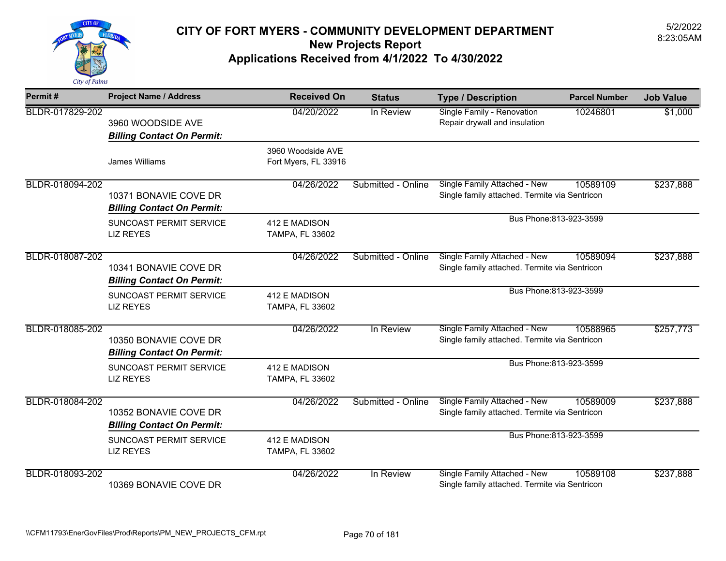

| Permit#         | <b>Project Name / Address</b>                              | <b>Received On</b>                        | <b>Status</b>           | <b>Type / Description</b>                                                     | <b>Parcel Number</b> | <b>Job Value</b> |
|-----------------|------------------------------------------------------------|-------------------------------------------|-------------------------|-------------------------------------------------------------------------------|----------------------|------------------|
| BLDR-017829-202 | 3960 WOODSIDE AVE<br><b>Billing Contact On Permit:</b>     | 04/20/2022                                | In Review               | Single Family - Renovation<br>Repair drywall and insulation                   | 10246801             | \$1,000          |
|                 | James Williams                                             | 3960 Woodside AVE<br>Fort Myers, FL 33916 |                         |                                                                               |                      |                  |
| BLDR-018094-202 | 10371 BONAVIE COVE DR<br><b>Billing Contact On Permit:</b> | 04/26/2022                                | Submitted - Online      | Single Family Attached - New<br>Single family attached. Termite via Sentricon | 10589109             | \$237,888        |
|                 | SUNCOAST PERMIT SERVICE<br><b>LIZ REYES</b>                | 412 E MADISON<br>TAMPA, FL 33602          |                         | Bus Phone: 813-923-3599                                                       |                      |                  |
| BLDR-018087-202 | 10341 BONAVIE COVE DR<br><b>Billing Contact On Permit:</b> | 04/26/2022                                | Submitted - Online      | Single Family Attached - New<br>Single family attached. Termite via Sentricon | 10589094             | \$237,888        |
|                 | SUNCOAST PERMIT SERVICE<br><b>LIZ REYES</b>                | 412 E MADISON<br><b>TAMPA, FL 33602</b>   | Bus Phone: 813-923-3599 |                                                                               |                      |                  |
| BLDR-018085-202 | 10350 BONAVIE COVE DR<br><b>Billing Contact On Permit:</b> | 04/26/2022                                | In Review               | Single Family Attached - New<br>Single family attached. Termite via Sentricon | 10588965             | \$257,773        |
|                 | SUNCOAST PERMIT SERVICE<br><b>LIZ REYES</b>                | 412 E MADISON<br>TAMPA, FL 33602          |                         | Bus Phone: 813-923-3599                                                       |                      |                  |
| BLDR-018084-202 | 10352 BONAVIE COVE DR<br><b>Billing Contact On Permit:</b> | 04/26/2022                                | Submitted - Online      | Single Family Attached - New<br>Single family attached. Termite via Sentricon | 10589009             | \$237,888        |
|                 | SUNCOAST PERMIT SERVICE<br><b>LIZ REYES</b>                | 412 E MADISON<br>TAMPA, FL 33602          |                         | Bus Phone: 813-923-3599                                                       |                      |                  |
| BLDR-018093-202 | 10369 BONAVIE COVE DR                                      | 04/26/2022                                | In Review               | Single Family Attached - New<br>Single family attached. Termite via Sentricon | 10589108             | \$237,888        |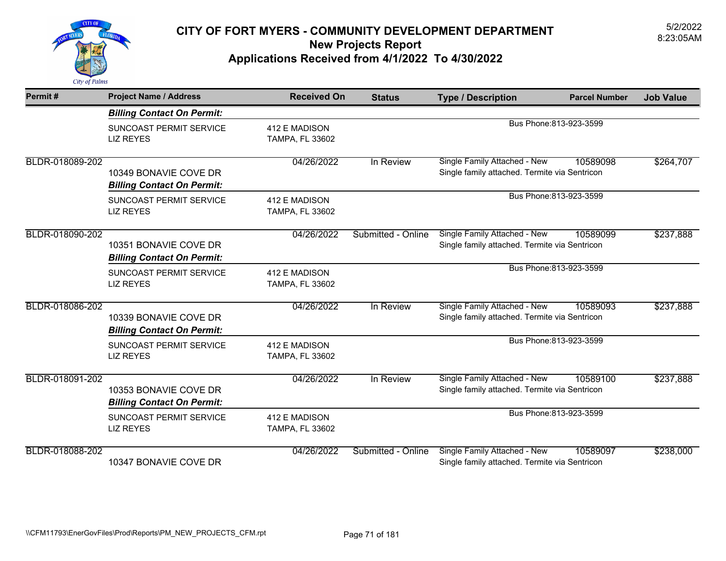

| Permit#         | <b>Project Name / Address</b>                              | <b>Received On</b>                      | <b>Status</b>           | <b>Type / Description</b>                                                     | <b>Parcel Number</b>    | <b>Job Value</b> |
|-----------------|------------------------------------------------------------|-----------------------------------------|-------------------------|-------------------------------------------------------------------------------|-------------------------|------------------|
|                 | <b>Billing Contact On Permit:</b>                          |                                         |                         |                                                                               |                         |                  |
|                 | <b>SUNCOAST PERMIT SERVICE</b><br><b>LIZ REYES</b>         | 412 E MADISON<br><b>TAMPA, FL 33602</b> |                         |                                                                               | Bus Phone: 813-923-3599 |                  |
| BLDR-018089-202 | 10349 BONAVIE COVE DR<br><b>Billing Contact On Permit:</b> | 04/26/2022                              | In Review               | Single Family Attached - New<br>Single family attached. Termite via Sentricon | 10589098                | \$264,707        |
|                 | SUNCOAST PERMIT SERVICE<br><b>LIZ REYES</b>                | 412 E MADISON<br><b>TAMPA, FL 33602</b> | Bus Phone: 813-923-3599 |                                                                               |                         |                  |
| BLDR-018090-202 | 10351 BONAVIE COVE DR<br><b>Billing Contact On Permit:</b> | 04/26/2022                              | Submitted - Online      | Single Family Attached - New<br>Single family attached. Termite via Sentricon | 10589099                | \$237,888        |
|                 | SUNCOAST PERMIT SERVICE<br><b>LIZ REYES</b>                | 412 E MADISON<br><b>TAMPA, FL 33602</b> |                         |                                                                               | Bus Phone: 813-923-3599 |                  |
| BLDR-018086-202 | 10339 BONAVIE COVE DR<br><b>Billing Contact On Permit:</b> | 04/26/2022                              | In Review               | Single Family Attached - New<br>Single family attached. Termite via Sentricon | 10589093                | \$237,888        |
|                 | SUNCOAST PERMIT SERVICE<br><b>LIZ REYES</b>                | 412 E MADISON<br>TAMPA, FL 33602        |                         |                                                                               | Bus Phone: 813-923-3599 |                  |
| BLDR-018091-202 | 10353 BONAVIE COVE DR<br><b>Billing Contact On Permit:</b> | 04/26/2022                              | In Review               | Single Family Attached - New<br>Single family attached. Termite via Sentricon | 10589100                | \$237,888        |
|                 | <b>SUNCOAST PERMIT SERVICE</b><br><b>LIZ REYES</b>         | 412 E MADISON<br><b>TAMPA, FL 33602</b> |                         |                                                                               | Bus Phone: 813-923-3599 |                  |
| BLDR-018088-202 | 10347 BONAVIE COVE DR                                      | 04/26/2022                              | Submitted - Online      | Single Family Attached - New<br>Single family attached. Termite via Sentricon | 10589097                | \$238,000        |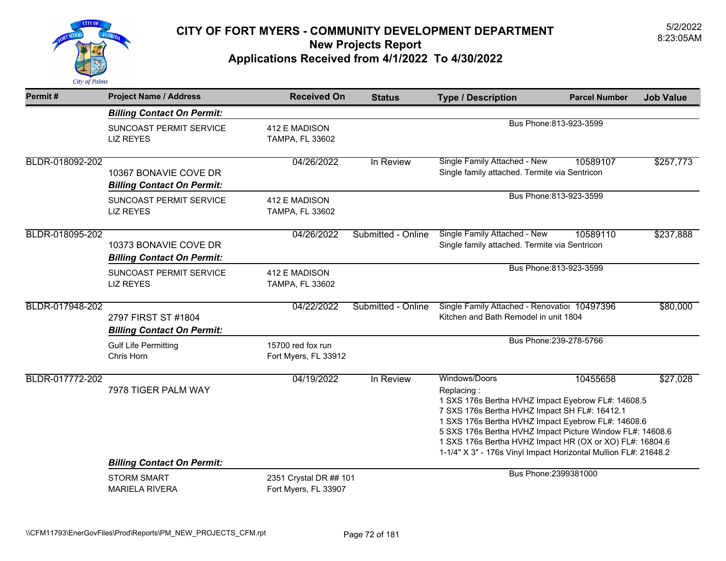

| Permit#         | <b>Project Name / Address</b>                                                    | <b>Received On</b>                             | <b>Status</b>      | <b>Type / Description</b>                                                                                                                                                                                                                                                                                                                                                            | <b>Parcel Number</b>    | <b>Job Value</b> |
|-----------------|----------------------------------------------------------------------------------|------------------------------------------------|--------------------|--------------------------------------------------------------------------------------------------------------------------------------------------------------------------------------------------------------------------------------------------------------------------------------------------------------------------------------------------------------------------------------|-------------------------|------------------|
|                 | <b>Billing Contact On Permit:</b>                                                |                                                |                    |                                                                                                                                                                                                                                                                                                                                                                                      |                         |                  |
|                 | SUNCOAST PERMIT SERVICE<br><b>LIZ REYES</b>                                      | 412 E MADISON<br><b>TAMPA, FL 33602</b>        |                    |                                                                                                                                                                                                                                                                                                                                                                                      | Bus Phone: 813-923-3599 |                  |
| BLDR-018092-202 | 10367 BONAVIE COVE DR<br><b>Billing Contact On Permit:</b>                       | 04/26/2022                                     | In Review          | Single Family Attached - New<br>Single family attached. Termite via Sentricon                                                                                                                                                                                                                                                                                                        | 10589107                | \$257,773        |
|                 | SUNCOAST PERMIT SERVICE<br><b>LIZ REYES</b>                                      | 412 E MADISON<br>TAMPA, FL 33602               |                    |                                                                                                                                                                                                                                                                                                                                                                                      | Bus Phone: 813-923-3599 |                  |
| BLDR-018095-202 | 10373 BONAVIE COVE DR<br><b>Billing Contact On Permit:</b>                       | 04/26/2022                                     | Submitted - Online | <b>Single Family Attached - New</b><br>Single family attached. Termite via Sentricon                                                                                                                                                                                                                                                                                                 | 10589110                | \$237,888        |
|                 | SUNCOAST PERMIT SERVICE<br><b>LIZ REYES</b>                                      | 412 E MADISON<br><b>TAMPA, FL 33602</b>        |                    | Bus Phone: 813-923-3599                                                                                                                                                                                                                                                                                                                                                              |                         |                  |
| BLDR-017948-202 | 2797 FIRST ST #1804<br><b>Billing Contact On Permit:</b>                         | 04/22/2022                                     | Submitted - Online | Single Family Attached - Renovation 10497396<br>Kitchen and Bath Remodel in unit 1804                                                                                                                                                                                                                                                                                                |                         | \$80,000         |
|                 | <b>Gulf Life Permitting</b><br>Chris Horn                                        | 15700 red fox run<br>Fort Myers, FL 33912      |                    |                                                                                                                                                                                                                                                                                                                                                                                      | Bus Phone: 239-278-5766 |                  |
| BLDR-017772-202 | 7978 TIGER PALM WAY                                                              | 04/19/2022                                     | In Review          | Windows/Doors<br>Replacing:<br>1 SXS 176s Bertha HVHZ Impact Eyebrow FL#: 14608.5<br>7 SXS 176s Bertha HVHZ Impact SH FL#: 16412.1<br>1 SXS 176s Bertha HVHZ Impact Eyebrow FL#: 14608.6<br>5 SXS 176s Bertha HVHZ Impact Picture Window FL#: 14608.6<br>1 SXS 176s Bertha HVHZ Impact HR (OX or XO) FL#: 16804.6<br>1-1/4" X 3" - 176s Vinyl Impact Horizontal Mullion FL#: 21648.2 | 10455658                | \$27,028         |
|                 | <b>Billing Contact On Permit:</b><br><b>STORM SMART</b><br><b>MARIELA RIVERA</b> | 2351 Crystal DR ## 101<br>Fort Myers, FL 33907 |                    |                                                                                                                                                                                                                                                                                                                                                                                      | Bus Phone: 2399381000   |                  |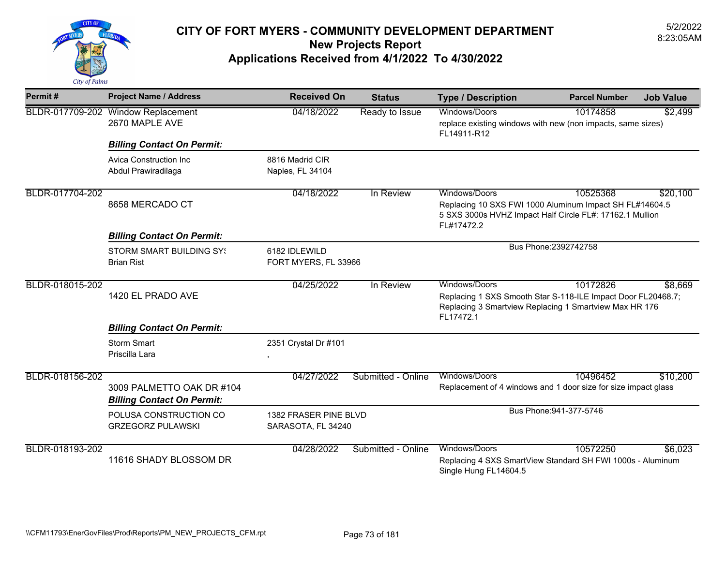

| Permit#         | <b>Project Name / Address</b>                                  | <b>Received On</b>                          | <b>Status</b>                                                                                                                       | <b>Type / Description</b>                                                                                                         | <b>Parcel Number</b>    | <b>Job Value</b> |
|-----------------|----------------------------------------------------------------|---------------------------------------------|-------------------------------------------------------------------------------------------------------------------------------------|-----------------------------------------------------------------------------------------------------------------------------------|-------------------------|------------------|
|                 | BLDR-017709-202 Window Replacement<br>2670 MAPLE AVE           | 04/18/2022                                  | Ready to Issue                                                                                                                      | Windows/Doors<br>replace existing windows with new (non impacts, same sizes)<br>FL14911-R12                                       | 10174858                | \$2,499          |
|                 | <b>Billing Contact On Permit:</b>                              |                                             |                                                                                                                                     |                                                                                                                                   |                         |                  |
|                 | Avica Construction Inc.<br>Abdul Prawiradilaga                 | 8816 Madrid CIR<br>Naples, FL 34104         |                                                                                                                                     |                                                                                                                                   |                         |                  |
| BLDR-017704-202 |                                                                | 04/18/2022                                  | In Review                                                                                                                           | Windows/Doors                                                                                                                     | 10525368                | \$20,100         |
|                 | 8658 MERCADO CT                                                |                                             |                                                                                                                                     | Replacing 10 SXS FWI 1000 Aluminum Impact SH FL#14604.5<br>5 SXS 3000s HVHZ Impact Half Circle FL#: 17162.1 Mullion<br>FL#17472.2 |                         |                  |
|                 | <b>Billing Contact On Permit:</b>                              |                                             |                                                                                                                                     |                                                                                                                                   |                         |                  |
|                 | <b>STORM SMART BUILDING SY!</b><br><b>Brian Rist</b>           | 6182 IDLEWILD<br>FORT MYERS, FL 33966       |                                                                                                                                     | Bus Phone: 2392742758                                                                                                             |                         |                  |
|                 |                                                                | 04/25/2022                                  | In Review                                                                                                                           | Windows/Doors                                                                                                                     | 10172826                | \$8,669          |
| BLDR-018015-202 | 1420 EL PRADO AVE                                              |                                             | Replacing 1 SXS Smooth Star S-118-ILE Impact Door FL20468.7;<br>Replacing 3 Smartview Replacing 1 Smartview Max HR 176<br>FL17472.1 |                                                                                                                                   |                         |                  |
|                 | <b>Billing Contact On Permit:</b>                              |                                             |                                                                                                                                     |                                                                                                                                   |                         |                  |
|                 | <b>Storm Smart</b><br>Priscilla Lara                           | 2351 Crystal Dr #101<br>$\,$                |                                                                                                                                     |                                                                                                                                   |                         |                  |
| BLDR-018156-202 |                                                                | 04/27/2022                                  | Submitted - Online                                                                                                                  | Windows/Doors                                                                                                                     | 10496452                | \$10,200         |
|                 | 3009 PALMETTO OAK DR #104<br><b>Billing Contact On Permit:</b> |                                             |                                                                                                                                     | Replacement of 4 windows and 1 door size for size impact glass                                                                    |                         |                  |
|                 | POLUSA CONSTRUCTION CO<br><b>GRZEGORZ PULAWSKI</b>             | 1382 FRASER PINE BLVD<br>SARASOTA, FL 34240 |                                                                                                                                     |                                                                                                                                   | Bus Phone: 941-377-5746 |                  |
| BLDR-018193-202 | 11616 SHADY BLOSSOM DR                                         | 04/28/2022                                  | Submitted - Online                                                                                                                  | Windows/Doors<br>Replacing 4 SXS SmartView Standard SH FWI 1000s - Aluminum<br>Single Hung FL14604.5                              | 10572250                | \$6,023          |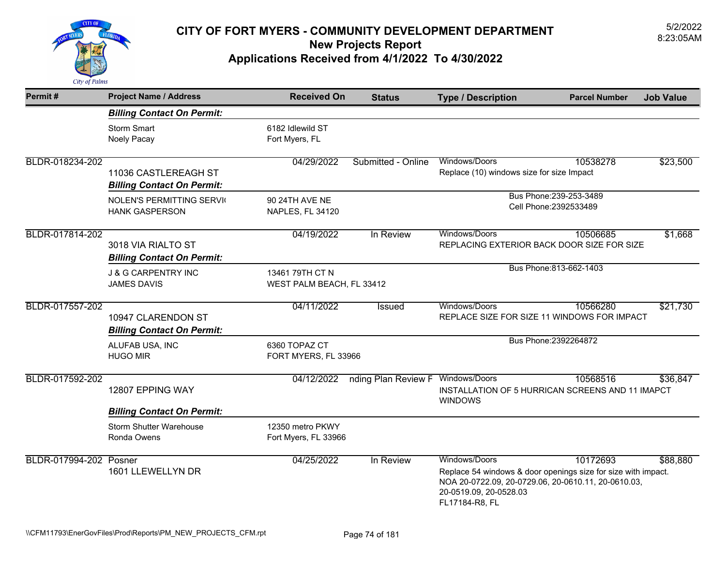

| Permit#                | <b>Project Name / Address</b>                             | <b>Received On</b>                           | <b>Status</b>                     | <b>Type / Description</b>                                                                                                                                                         | <b>Parcel Number</b>    | <b>Job Value</b> |  |
|------------------------|-----------------------------------------------------------|----------------------------------------------|-----------------------------------|-----------------------------------------------------------------------------------------------------------------------------------------------------------------------------------|-------------------------|------------------|--|
|                        | <b>Billing Contact On Permit:</b>                         |                                              |                                   |                                                                                                                                                                                   |                         |                  |  |
|                        | <b>Storm Smart</b><br>Noely Pacay                         | 6182 Idlewild ST<br>Fort Myers, FL           |                                   |                                                                                                                                                                                   |                         |                  |  |
| BLDR-018234-202        | 11036 CASTLEREAGH ST<br><b>Billing Contact On Permit:</b> | 04/29/2022                                   | Submitted - Online                | Windows/Doors<br>Replace (10) windows size for size Impact                                                                                                                        | 10538278                | \$23,500         |  |
|                        | <b>NOLEN'S PERMITTING SERVIC</b><br><b>HANK GASPERSON</b> | 90 24TH AVE NE<br>NAPLES, FL 34120           |                                   | Bus Phone: 239-253-3489<br>Cell Phone: 2392533489                                                                                                                                 |                         |                  |  |
| BLDR-017814-202        | 3018 VIA RIALTO ST<br><b>Billing Contact On Permit:</b>   | 04/19/2022                                   | In Review                         | Windows/Doors<br>REPLACING EXTERIOR BACK DOOR SIZE FOR SIZE                                                                                                                       | 10506685                | \$1,668          |  |
|                        | <b>J &amp; G CARPENTRY INC</b><br><b>JAMES DAVIS</b>      | 13461 79TH CT N<br>WEST PALM BEACH, FL 33412 |                                   |                                                                                                                                                                                   | Bus Phone: 813-662-1403 |                  |  |
| BLDR-017557-202        | 10947 CLARENDON ST<br><b>Billing Contact On Permit:</b>   | 04/11/2022                                   | <b>Issued</b>                     | Windows/Doors<br>REPLACE SIZE FOR SIZE 11 WINDOWS FOR IMPACT                                                                                                                      | 10566280                | \$21,730         |  |
|                        | ALUFAB USA, INC<br><b>HUGO MIR</b>                        | 6360 TOPAZ CT<br>FORT MYERS, FL 33966        |                                   | Bus Phone: 2392264872                                                                                                                                                             |                         |                  |  |
| BLDR-017592-202        | 12807 EPPING WAY                                          | 04/12/2022                                   | nding Plan Review F Windows/Doors | INSTALLATION OF 5 HURRICAN SCREENS AND 11 IMAPCT<br><b>WINDOWS</b>                                                                                                                | 10568516                | \$36,847         |  |
|                        | <b>Billing Contact On Permit:</b>                         |                                              |                                   |                                                                                                                                                                                   |                         |                  |  |
|                        | <b>Storm Shutter Warehouse</b><br>Ronda Owens             | 12350 metro PKWY<br>Fort Myers, FL 33966     |                                   |                                                                                                                                                                                   |                         |                  |  |
| BLDR-017994-202 Posner | 1601 LLEWELLYN DR                                         | 04/25/2022                                   | In Review                         | Windows/Doors<br>Replace 54 windows & door openings size for size with impact.<br>NOA 20-0722.09, 20-0729.06, 20-0610.11, 20-0610.03,<br>20-0519.09, 20-0528.03<br>FL17184-R8, FL | 10172693                | \$88,880         |  |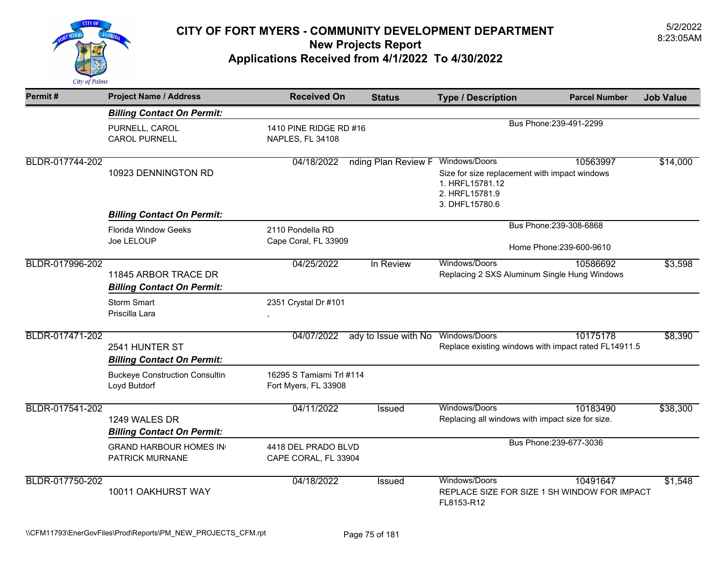

| Permit#         | <b>Project Name / Address</b>                             | <b>Received On</b>                               | <b>Status</b>        | <b>Type / Description</b>                                                                                             | <b>Parcel Number</b>    | <b>Job Value</b> |
|-----------------|-----------------------------------------------------------|--------------------------------------------------|----------------------|-----------------------------------------------------------------------------------------------------------------------|-------------------------|------------------|
|                 | <b>Billing Contact On Permit:</b>                         |                                                  |                      |                                                                                                                       |                         |                  |
|                 | PURNELL, CAROL<br><b>CAROL PURNELL</b>                    | 1410 PINE RIDGE RD #16<br>NAPLES, FL 34108       |                      |                                                                                                                       | Bus Phone: 239-491-2299 |                  |
| BLDR-017744-202 | 10923 DENNINGTON RD                                       | 04/18/2022                                       | nding Plan Review F  | Windows/Doors<br>Size for size replacement with impact windows<br>1. HRFL15781.12<br>2. HRFL15781.9<br>3. DHFL15780.6 | 10563997                | \$14,000         |
|                 | <b>Billing Contact On Permit:</b>                         |                                                  |                      |                                                                                                                       |                         |                  |
|                 | <b>Florida Window Geeks</b><br>Joe LELOUP                 | 2110 Pondella RD<br>Cape Coral, FL 33909         |                      | Bus Phone: 239-308-6868<br>Home Phone: 239-600-9610                                                                   |                         |                  |
| BLDR-017996-202 | 11845 ARBOR TRACE DR<br><b>Billing Contact On Permit:</b> | 04/25/2022                                       | In Review            | Windows/Doors<br>Replacing 2 SXS Aluminum Single Hung Windows                                                         | 10586692                | \$3,598          |
|                 | <b>Storm Smart</b><br>Priscilla Lara                      | 2351 Crystal Dr #101                             |                      |                                                                                                                       |                         |                  |
| BLDR-017471-202 | 2541 HUNTER ST<br><b>Billing Contact On Permit:</b>       | 04/07/2022                                       | ady to Issue with No | Windows/Doors<br>Replace existing windows with impact rated FL14911.5                                                 | 10175178                | \$8,390          |
|                 | <b>Buckeye Construction Consultin</b><br>Loyd Butdorf     | 16295 S Tamiami Trl #114<br>Fort Myers, FL 33908 |                      |                                                                                                                       |                         |                  |
| BLDR-017541-202 | 1249 WALES DR<br><b>Billing Contact On Permit:</b>        | 04/11/2022                                       | Issued               | Windows/Doors<br>Replacing all windows with impact size for size.                                                     | 10183490                | \$38,300         |
|                 | <b>GRAND HARBOUR HOMES IN</b><br>PATRICK MURNANE          | 4418 DEL PRADO BLVD<br>CAPE CORAL, FL 33904      |                      |                                                                                                                       | Bus Phone: 239-677-3036 |                  |
| BLDR-017750-202 | 10011 OAKHURST WAY                                        | 04/18/2022                                       | Issued               | Windows/Doors<br>REPLACE SIZE FOR SIZE 1 SH WINDOW FOR IMPACT<br>FL8153-R12                                           | 10491647                | \$1,548          |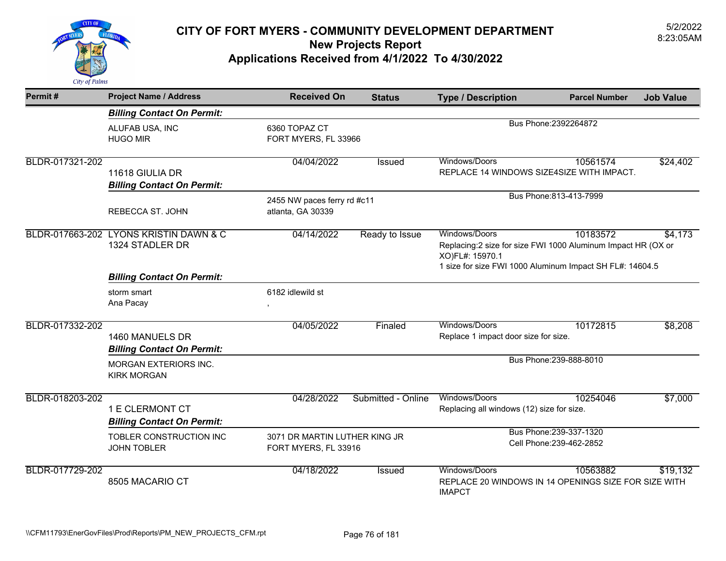

| Permit#         | <b>Project Name / Address</b>                        | <b>Received On</b>                                    | <b>Status</b>      | <b>Type / Description</b>                                                                                                                                                           | <b>Parcel Number</b>                                | <b>Job Value</b> |
|-----------------|------------------------------------------------------|-------------------------------------------------------|--------------------|-------------------------------------------------------------------------------------------------------------------------------------------------------------------------------------|-----------------------------------------------------|------------------|
|                 | <b>Billing Contact On Permit:</b>                    |                                                       |                    |                                                                                                                                                                                     |                                                     |                  |
|                 | ALUFAB USA, INC<br><b>HUGO MIR</b>                   | 6360 TOPAZ CT<br>FORT MYERS, FL 33966                 |                    | Bus Phone: 2392264872                                                                                                                                                               |                                                     |                  |
| BLDR-017321-202 | 11618 GIULIA DR<br><b>Billing Contact On Permit:</b> | 04/04/2022                                            | Issued             | Windows/Doors<br>REPLACE 14 WINDOWS SIZE4SIZE WITH IMPACT.                                                                                                                          | 10561574                                            | \$24,402         |
|                 | <b>REBECCA ST. JOHN</b>                              | 2455 NW paces ferry rd #c11<br>atlanta, GA 30339      |                    | Bus Phone: 813-413-7999                                                                                                                                                             |                                                     |                  |
| BLDR-017663-202 | LYONS KRISTIN DAWN & C<br>1324 STADLER DR            | 04/14/2022                                            | Ready to Issue     | Windows/Doors<br>10183572<br>\$4,173<br>Replacing:2 size for size FWI 1000 Aluminum Impact HR (OX or<br>XO)FL#: 15970.1<br>1 size for size FWI 1000 Aluminum Impact SH FL#: 14604.5 |                                                     |                  |
|                 | <b>Billing Contact On Permit:</b>                    |                                                       |                    |                                                                                                                                                                                     |                                                     |                  |
|                 | storm smart<br>Ana Pacay                             | 6182 idlewild st                                      |                    |                                                                                                                                                                                     |                                                     |                  |
| BLDR-017332-202 | 1460 MANUELS DR<br><b>Billing Contact On Permit:</b> | 04/05/2022                                            | Finaled            | Windows/Doors<br>Replace 1 impact door size for size.                                                                                                                               | 10172815                                            | \$8,208          |
|                 | <b>MORGAN EXTERIORS INC.</b><br><b>KIRK MORGAN</b>   |                                                       |                    |                                                                                                                                                                                     | Bus Phone: 239-888-8010                             |                  |
| BLDR-018203-202 | 1 E CLERMONT CT<br><b>Billing Contact On Permit:</b> | 04/28/2022                                            | Submitted - Online | Windows/Doors<br>Replacing all windows (12) size for size.                                                                                                                          | 10254046                                            | \$7,000          |
|                 | TOBLER CONSTRUCTION INC<br><b>JOHN TOBLER</b>        | 3071 DR MARTIN LUTHER KING JR<br>FORT MYERS, FL 33916 |                    |                                                                                                                                                                                     | Bus Phone: 239-337-1320<br>Cell Phone: 239-462-2852 |                  |
| BLDR-017729-202 | 8505 MACARIO CT                                      | 04/18/2022                                            | <b>Issued</b>      | Windows/Doors<br>REPLACE 20 WINDOWS IN 14 OPENINGS SIZE FOR SIZE WITH<br><b>IMAPCT</b>                                                                                              | 10563882                                            | \$19,132         |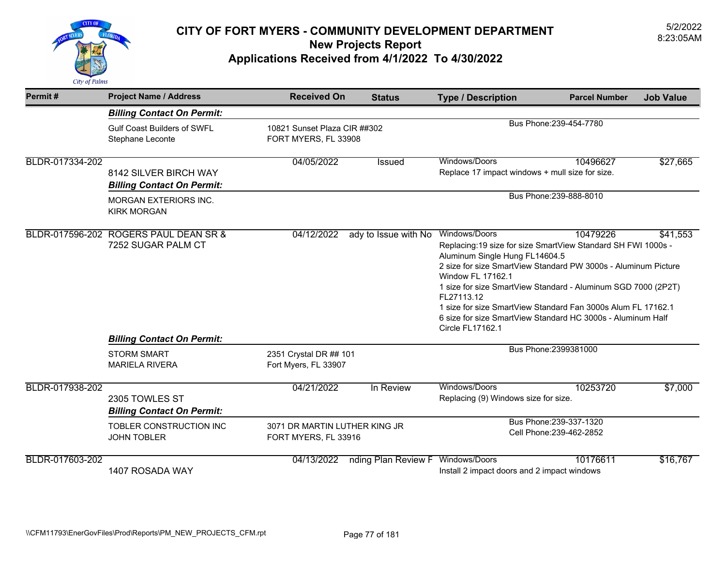

| Permit#         | <b>Project Name / Address</b>                                                                          | <b>Received On</b>                                                              | <b>Status</b>                                         | <b>Type / Description</b>                                                                                                                                                                                                                                                                                                                                                                                                                         | <b>Parcel Number</b>                                | <b>Job Value</b> |  |
|-----------------|--------------------------------------------------------------------------------------------------------|---------------------------------------------------------------------------------|-------------------------------------------------------|---------------------------------------------------------------------------------------------------------------------------------------------------------------------------------------------------------------------------------------------------------------------------------------------------------------------------------------------------------------------------------------------------------------------------------------------------|-----------------------------------------------------|------------------|--|
|                 | <b>Billing Contact On Permit:</b>                                                                      |                                                                                 |                                                       |                                                                                                                                                                                                                                                                                                                                                                                                                                                   |                                                     |                  |  |
|                 | <b>Gulf Coast Builders of SWFL</b><br>Stephane Leconte                                                 | Bus Phone: 239-454-7780<br>10821 Sunset Plaza CIR ##302<br>FORT MYERS, FL 33908 |                                                       |                                                                                                                                                                                                                                                                                                                                                                                                                                                   |                                                     |                  |  |
| BLDR-017334-202 | 8142 SILVER BIRCH WAY<br><b>Billing Contact On Permit:</b>                                             | 04/05/2022                                                                      | <b>Issued</b>                                         | Windows/Doors<br>Replace 17 impact windows + mull size for size.                                                                                                                                                                                                                                                                                                                                                                                  | 10496627                                            | \$27,665         |  |
|                 | <b>MORGAN EXTERIORS INC.</b><br><b>KIRK MORGAN</b>                                                     |                                                                                 |                                                       | Bus Phone: 239-888-8010                                                                                                                                                                                                                                                                                                                                                                                                                           |                                                     |                  |  |
|                 | BLDR-017596-202 ROGERS PAUL DEAN SR &                                                                  | 04/12/2022                                                                      | ady to Issue with No                                  | Windows/Doors                                                                                                                                                                                                                                                                                                                                                                                                                                     | 10479226                                            | \$41,553         |  |
|                 | 7252 SUGAR PALM CT<br><b>Billing Contact On Permit:</b><br><b>STORM SMART</b><br><b>MARIELA RIVERA</b> | 2351 Crystal DR ## 101<br>Fort Myers, FL 33907                                  |                                                       | Replacing: 19 size for size SmartView Standard SH FWI 1000s -<br>Aluminum Single Hung FL14604.5<br>2 size for size SmartView Standard PW 3000s - Aluminum Picture<br>Window FL 17162.1<br>1 size for size SmartView Standard - Aluminum SGD 7000 (2P2T)<br>FL27113.12<br>1 size for size SmartView Standard Fan 3000s Alum FL 17162.1<br>6 size for size SmartView Standard HC 3000s - Aluminum Half<br>Circle FL17162.1<br>Bus Phone: 2399381000 |                                                     |                  |  |
|                 |                                                                                                        |                                                                                 |                                                       |                                                                                                                                                                                                                                                                                                                                                                                                                                                   |                                                     |                  |  |
| BLDR-017938-202 | 2305 TOWLES ST<br><b>Billing Contact On Permit:</b>                                                    | 04/21/2022                                                                      | In Review                                             | Windows/Doors<br>Replacing (9) Windows size for size.                                                                                                                                                                                                                                                                                                                                                                                             | 10253720                                            | \$7,000          |  |
|                 | TOBLER CONSTRUCTION INC<br><b>JOHN TOBLER</b>                                                          |                                                                                 | 3071 DR MARTIN LUTHER KING JR<br>FORT MYERS, FL 33916 |                                                                                                                                                                                                                                                                                                                                                                                                                                                   | Bus Phone: 239-337-1320<br>Cell Phone: 239-462-2852 |                  |  |
| BLDR-017603-202 | 1407 ROSADA WAY                                                                                        | 04/13/2022                                                                      | nding Plan Review F                                   | Windows/Doors<br>Install 2 impact doors and 2 impact windows                                                                                                                                                                                                                                                                                                                                                                                      | 10176611                                            | \$16,767         |  |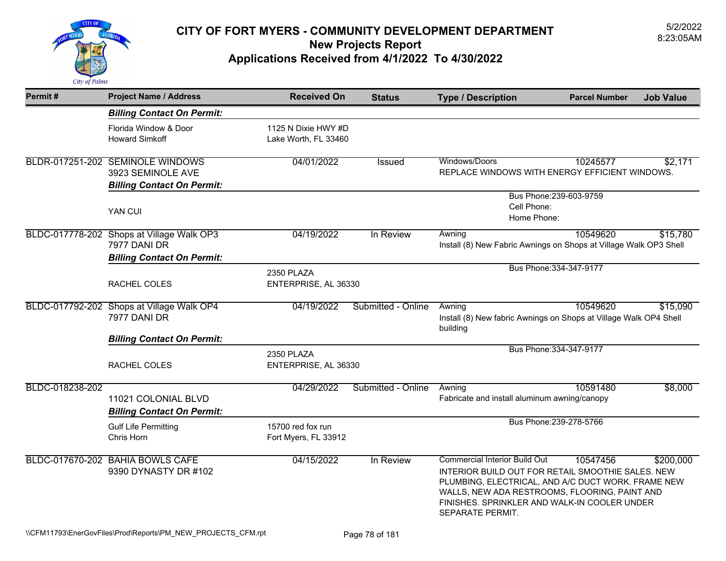

| Permit#         | <b>Project Name / Address</b>                                                                         | <b>Received On</b>                          | <b>Status</b>      | <b>Type / Description</b>                                                                                                                                                                                                                                            | <b>Parcel Number</b>    | <b>Job Value</b> |
|-----------------|-------------------------------------------------------------------------------------------------------|---------------------------------------------|--------------------|----------------------------------------------------------------------------------------------------------------------------------------------------------------------------------------------------------------------------------------------------------------------|-------------------------|------------------|
|                 | <b>Billing Contact On Permit:</b>                                                                     |                                             |                    |                                                                                                                                                                                                                                                                      |                         |                  |
|                 | Florida Window & Door<br><b>Howard Simkoff</b>                                                        | 1125 N Dixie HWY #D<br>Lake Worth, FL 33460 |                    |                                                                                                                                                                                                                                                                      |                         |                  |
|                 | BLDR-017251-202 SEMINOLE WINDOWS<br>3923 SEMINOLE AVE<br><b>Billing Contact On Permit:</b>            | 04/01/2022                                  | <b>Issued</b>      | Windows/Doors<br>REPLACE WINDOWS WITH ENERGY EFFICIENT WINDOWS.                                                                                                                                                                                                      | 10245577                | \$2,171          |
|                 | YAN CUI                                                                                               |                                             |                    | Bus Phone: 239-603-9759<br>Cell Phone:<br>Home Phone:                                                                                                                                                                                                                |                         |                  |
|                 | BLDC-017778-202 Shops at Village Walk OP3<br>7977 DANI DR                                             | 04/19/2022                                  | In Review          | Awning<br>Install (8) New Fabric Awnings on Shops at Village Walk OP3 Shell                                                                                                                                                                                          | 10549620                | \$15,780         |
|                 | <b>Billing Contact On Permit:</b><br>RACHEL COLES                                                     | 2350 PLAZA<br>ENTERPRISE, AL 36330          |                    |                                                                                                                                                                                                                                                                      | Bus Phone: 334-347-9177 |                  |
|                 | BLDC-017792-202 Shops at Village Walk OP4<br><b>7977 DANI DR</b><br><b>Billing Contact On Permit:</b> | 04/19/2022                                  | Submitted - Online | Awning<br>Install (8) New fabric Awnings on Shops at Village Walk OP4 Shell<br>building                                                                                                                                                                              | 10549620                | \$15,090         |
|                 | RACHEL COLES                                                                                          | 2350 PLAZA<br>ENTERPRISE, AL 36330          |                    |                                                                                                                                                                                                                                                                      | Bus Phone: 334-347-9177 |                  |
| BLDC-018238-202 | 11021 COLONIAL BLVD<br><b>Billing Contact On Permit:</b>                                              | 04/29/2022                                  | Submitted - Online | Awning<br>Fabricate and install aluminum awning/canopy                                                                                                                                                                                                               | 10591480                | \$8,000          |
|                 | <b>Gulf Life Permitting</b><br>Chris Horn                                                             | 15700 red fox run<br>Fort Myers, FL 33912   |                    |                                                                                                                                                                                                                                                                      | Bus Phone: 239-278-5766 |                  |
|                 | BLDC-017670-202 BAHIA BOWLS CAFE<br>9390 DYNASTY DR #102                                              | 04/15/2022                                  | In Review          | <b>Commercial Interior Build Out</b><br>INTERIOR BUILD OUT FOR RETAIL SMOOTHIE SALES. NEW<br>PLUMBING, ELECTRICAL, AND A/C DUCT WORK. FRAME NEW<br>WALLS, NEW ADA RESTROOMS, FLOORING, PAINT AND<br>FINISHES. SPRINKLER AND WALK-IN COOLER UNDER<br>SEPARATE PERMIT. | 10547456                | \$200,000        |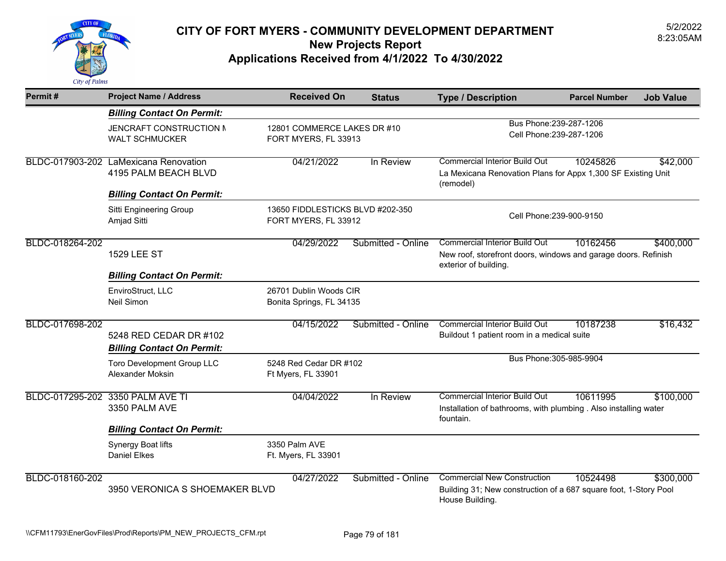

| Permit#         | <b>Project Name / Address</b>                                                                      | <b>Received On</b>                                       | <b>Status</b>                                       | <b>Type / Description</b>                                                                                                       | <b>Parcel Number</b>                                | <b>Job Value</b> |
|-----------------|----------------------------------------------------------------------------------------------------|----------------------------------------------------------|-----------------------------------------------------|---------------------------------------------------------------------------------------------------------------------------------|-----------------------------------------------------|------------------|
|                 | <b>Billing Contact On Permit:</b>                                                                  |                                                          |                                                     |                                                                                                                                 |                                                     |                  |
|                 | JENCRAFT CONSTRUCTION M<br><b>WALT SCHMUCKER</b>                                                   |                                                          | 12801 COMMERCE LAKES DR #10<br>FORT MYERS, FL 33913 |                                                                                                                                 | Bus Phone: 239-287-1206<br>Cell Phone: 239-287-1206 |                  |
|                 | BLDC-017903-202 LaMexicana Renovation<br>4195 PALM BEACH BLVD<br><b>Billing Contact On Permit:</b> | 04/21/2022                                               | In Review                                           | <b>Commercial Interior Build Out</b><br>La Mexicana Renovation Plans for Appx 1,300 SF Existing Unit<br>(remodel)               | 10245826                                            | \$42,000         |
|                 | Sitti Engineering Group<br>Amjad Sitti                                                             | 13650 FIDDLESTICKS BLVD #202-350<br>FORT MYERS, FL 33912 |                                                     | Cell Phone: 239-900-9150                                                                                                        |                                                     |                  |
| BLDC-018264-202 | <b>1529 LEE ST</b>                                                                                 | 04/29/2022                                               | Submitted - Online                                  | <b>Commercial Interior Build Out</b><br>New roof, storefront doors, windows and garage doors. Refinish<br>exterior of building. | 10162456                                            | \$400,000        |
|                 | <b>Billing Contact On Permit:</b>                                                                  |                                                          |                                                     |                                                                                                                                 |                                                     |                  |
|                 | EnviroStruct, LLC<br>Neil Simon                                                                    | 26701 Dublin Woods CIR<br>Bonita Springs, FL 34135       |                                                     |                                                                                                                                 |                                                     |                  |
| BLDC-017698-202 | 5248 RED CEDAR DR #102<br><b>Billing Contact On Permit:</b>                                        | 04/15/2022                                               | Submitted - Online                                  | <b>Commercial Interior Build Out</b><br>Buildout 1 patient room in a medical suite                                              | 10187238                                            | \$16,432         |
|                 | Toro Development Group LLC<br><b>Alexander Moksin</b>                                              | 5248 Red Cedar DR #102<br>Ft Myers, FL 33901             |                                                     | Bus Phone: 305-985-9904                                                                                                         |                                                     |                  |
|                 | BLDC-017295-202 3350 PALM AVE TI<br>3350 PALM AVE                                                  | 04/04/2022                                               | In Review                                           | <b>Commercial Interior Build Out</b><br>Installation of bathrooms, with plumbing . Also installing water<br>fountain.           | 10611995                                            | \$100,000        |
|                 | <b>Billing Contact On Permit:</b>                                                                  |                                                          |                                                     |                                                                                                                                 |                                                     |                  |
|                 | Synergy Boat lifts<br>Daniel Elkes                                                                 | 3350 Palm AVE<br>Ft. Myers, FL 33901                     |                                                     |                                                                                                                                 |                                                     |                  |
| BLDC-018160-202 | 3950 VERONICA S SHOEMAKER BLVD                                                                     | 04/27/2022                                               | Submitted - Online                                  | <b>Commercial New Construction</b><br>Building 31; New construction of a 687 square foot, 1-Story Pool<br>House Building.       | 10524498                                            | \$300,000        |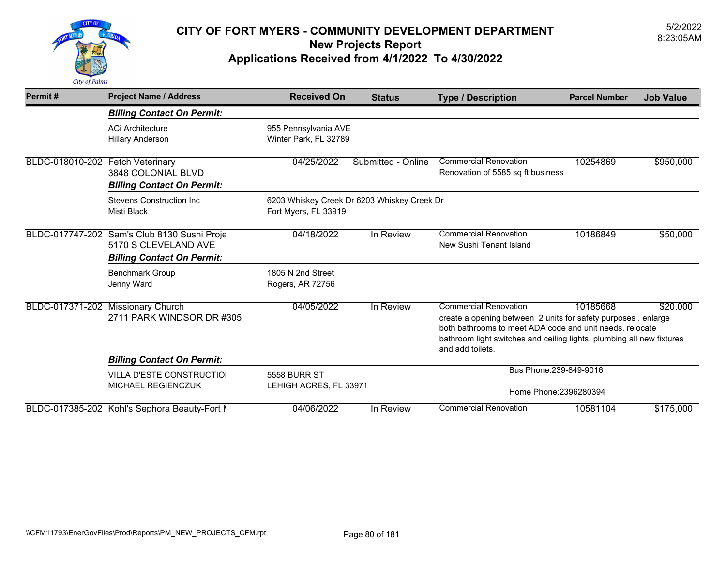

| Permit#         | <b>Project Name / Address</b>                                                      | <b>Received On</b>                                                  | <b>Status</b>      | <b>Type / Description</b>                                                                                                                                                                                                                               | <b>Parcel Number</b> | <b>Job Value</b> |
|-----------------|------------------------------------------------------------------------------------|---------------------------------------------------------------------|--------------------|---------------------------------------------------------------------------------------------------------------------------------------------------------------------------------------------------------------------------------------------------------|----------------------|------------------|
|                 | <b>Billing Contact On Permit:</b>                                                  |                                                                     |                    |                                                                                                                                                                                                                                                         |                      |                  |
|                 | <b>ACi Architecture</b><br><b>Hillary Anderson</b>                                 | 955 Pennsylvania AVE<br>Winter Park, FL 32789                       |                    |                                                                                                                                                                                                                                                         |                      |                  |
| BLDC-018010-202 | <b>Fetch Veterinary</b><br>3848 COLONIAL BLVD<br><b>Billing Contact On Permit:</b> | 04/25/2022                                                          | Submitted - Online | <b>Commercial Renovation</b><br>Renovation of 5585 sq ft business                                                                                                                                                                                       | 10254869             | \$950,000        |
|                 | <b>Stevens Construction Inc.</b><br>Misti Black                                    | 6203 Whiskey Creek Dr 6203 Whiskey Creek Dr<br>Fort Myers, FL 33919 |                    |                                                                                                                                                                                                                                                         |                      |                  |
|                 | BLDC-017747-202 Sam's Club 8130 Sushi Proje<br>5170 S CLEVELAND AVE                | 04/18/2022                                                          | In Review          | <b>Commercial Renovation</b><br>New Sushi Tenant Island                                                                                                                                                                                                 | 10186849             | \$50,000         |
|                 | <b>Billing Contact On Permit:</b>                                                  |                                                                     |                    |                                                                                                                                                                                                                                                         |                      |                  |
|                 | <b>Benchmark Group</b><br>Jenny Ward                                               | 1805 N 2nd Street<br>Rogers, AR 72756                               |                    |                                                                                                                                                                                                                                                         |                      |                  |
| BLDC-017371-202 | <b>Missionary Church</b><br>2711 PARK WINDSOR DR #305                              | 04/05/2022                                                          | In Review          | <b>Commercial Renovation</b><br>create a opening between 2 units for safety purposes . enlarge<br>both bathrooms to meet ADA code and unit needs, relocate<br>bathroom light switches and ceiling lights. plumbing all new fixtures<br>and add toilets. | 10185668             | \$20,000         |
|                 | <b>Billing Contact On Permit:</b>                                                  |                                                                     |                    |                                                                                                                                                                                                                                                         |                      |                  |
|                 | VILLA D'ESTE CONSTRUCTIO<br><b>MICHAEL REGIENCZUK</b>                              | <b>5558 BURR ST</b><br>LEHIGH ACRES, FL 33971                       |                    | Bus Phone: 239-849-9016<br>Home Phone: 2396280394                                                                                                                                                                                                       |                      |                  |
|                 | BLDC-017385-202 Kohl's Sephora Beauty-Fort I                                       | 04/06/2022                                                          | In Review          | <b>Commercial Renovation</b>                                                                                                                                                                                                                            | 10581104             | \$175,000        |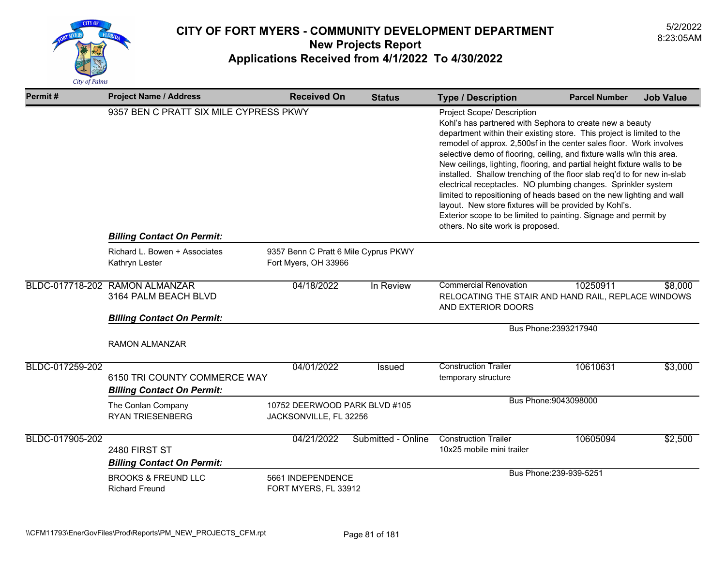

| Permit#         | <b>Project Name / Address</b>                                                                        | <b>Received On</b>                                      | <b>Status</b>      | <b>Type / Description</b>                                                                                                                                                                                                                                                                                                                                                                                                                                                                                                                                                                                                                                                                                                                                                           | <b>Parcel Number</b>  | <b>Job Value</b> |
|-----------------|------------------------------------------------------------------------------------------------------|---------------------------------------------------------|--------------------|-------------------------------------------------------------------------------------------------------------------------------------------------------------------------------------------------------------------------------------------------------------------------------------------------------------------------------------------------------------------------------------------------------------------------------------------------------------------------------------------------------------------------------------------------------------------------------------------------------------------------------------------------------------------------------------------------------------------------------------------------------------------------------------|-----------------------|------------------|
|                 | 9357 BEN C PRATT SIX MILE CYPRESS PKWY<br><b>Billing Contact On Permit:</b>                          |                                                         |                    | Project Scope/ Description<br>Kohl's has partnered with Sephora to create new a beauty<br>department within their existing store. This project is limited to the<br>remodel of approx. 2,500sf in the center sales floor. Work involves<br>selective demo of flooring, ceiling, and fixture walls w/in this area.<br>New ceilings, lighting, flooring, and partial height fixture walls to be<br>installed. Shallow trenching of the floor slab req'd to for new in-slab<br>electrical receptacles. NO plumbing changes. Sprinkler system<br>limited to repositioning of heads based on the new lighting and wall<br>layout. New store fixtures will be provided by Kohl's.<br>Exterior scope to be limited to painting. Signage and permit by<br>others. No site work is proposed. |                       |                  |
|                 | Richard L. Bowen + Associates                                                                        | 9357 Benn C Pratt 6 Mile Cyprus PKWY                    |                    |                                                                                                                                                                                                                                                                                                                                                                                                                                                                                                                                                                                                                                                                                                                                                                                     |                       |                  |
|                 | Kathryn Lester                                                                                       | Fort Myers, OH 33966                                    |                    |                                                                                                                                                                                                                                                                                                                                                                                                                                                                                                                                                                                                                                                                                                                                                                                     |                       |                  |
|                 | BLDC-017718-202 RAMON ALMANZAR<br>3164 PALM BEACH BLVD                                               | 04/18/2022                                              | In Review          | <b>Commercial Renovation</b><br>RELOCATING THE STAIR AND HAND RAIL, REPLACE WINDOWS<br>AND EXTERIOR DOORS                                                                                                                                                                                                                                                                                                                                                                                                                                                                                                                                                                                                                                                                           | 10250911              | \$8,000          |
|                 | <b>Billing Contact On Permit:</b>                                                                    |                                                         |                    |                                                                                                                                                                                                                                                                                                                                                                                                                                                                                                                                                                                                                                                                                                                                                                                     | Bus Phone: 2393217940 |                  |
|                 | <b>RAMON ALMANZAR</b>                                                                                |                                                         |                    |                                                                                                                                                                                                                                                                                                                                                                                                                                                                                                                                                                                                                                                                                                                                                                                     |                       |                  |
| BLDC-017259-202 | 6150 TRI COUNTY COMMERCE WAY<br><b>Billing Contact On Permit:</b>                                    | 04/01/2022                                              | <b>Issued</b>      | <b>Construction Trailer</b><br>temporary structure                                                                                                                                                                                                                                                                                                                                                                                                                                                                                                                                                                                                                                                                                                                                  | 10610631              | \$3,000          |
|                 | The Conlan Company<br><b>RYAN TRIESENBERG</b>                                                        | 10752 DEERWOOD PARK BLVD #105<br>JACKSONVILLE, FL 32256 |                    |                                                                                                                                                                                                                                                                                                                                                                                                                                                                                                                                                                                                                                                                                                                                                                                     | Bus Phone: 9043098000 |                  |
| BLDC-017905-202 | 2480 FIRST ST<br><b>Billing Contact On Permit:</b>                                                   | 04/21/2022                                              | Submitted - Online | <b>Construction Trailer</b><br>10x25 mobile mini trailer                                                                                                                                                                                                                                                                                                                                                                                                                                                                                                                                                                                                                                                                                                                            | 10605094              | \$2,500          |
|                 | <b>BROOKS &amp; FREUND LLC</b><br>5661 INDEPENDENCE<br><b>Richard Freund</b><br>FORT MYERS, FL 33912 |                                                         |                    | Bus Phone: 239-939-5251                                                                                                                                                                                                                                                                                                                                                                                                                                                                                                                                                                                                                                                                                                                                                             |                       |                  |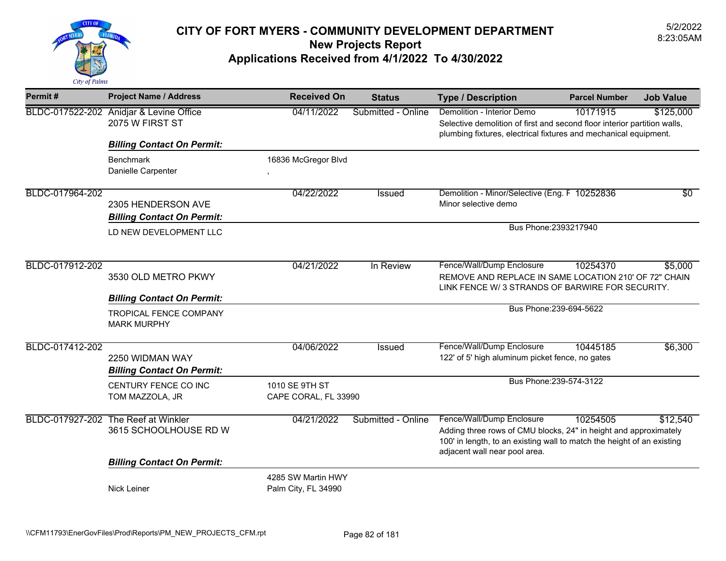

| Permit#         | <b>Project Name / Address</b>                              | <b>Received On</b>                        | <b>Status</b>      | <b>Type / Description</b>                                                                                                                                                                                | <b>Parcel Number</b>    | <b>Job Value</b> |
|-----------------|------------------------------------------------------------|-------------------------------------------|--------------------|----------------------------------------------------------------------------------------------------------------------------------------------------------------------------------------------------------|-------------------------|------------------|
|                 | BLDC-017522-202 Anidjar & Levine Office<br>2075 W FIRST ST | 04/11/2022                                | Submitted - Online | Demolition - Interior Demo<br>Selective demolition of first and second floor interior partition walls,<br>plumbing fixtures, electrical fixtures and mechanical equipment.                               | 10171915                | \$125,000        |
|                 | <b>Billing Contact On Permit:</b>                          |                                           |                    |                                                                                                                                                                                                          |                         |                  |
|                 | <b>Benchmark</b><br>Danielle Carpenter                     | 16836 McGregor Blvd                       |                    |                                                                                                                                                                                                          |                         |                  |
| BLDC-017964-202 | 2305 HENDERSON AVE<br><b>Billing Contact On Permit:</b>    | 04/22/2022                                | <b>Issued</b>      | Demolition - Minor/Selective (Eng. F 10252836<br>Minor selective demo                                                                                                                                    |                         | $\overline{50}$  |
|                 | LD NEW DEVELOPMENT LLC                                     |                                           |                    | Bus Phone: 2393217940                                                                                                                                                                                    |                         |                  |
| BLDC-017912-202 | 3530 OLD METRO PKWY                                        | 04/21/2022                                | In Review          | Fence/Wall/Dump Enclosure<br>REMOVE AND REPLACE IN SAME LOCATION 210' OF 72" CHAIN<br>LINK FENCE W/3 STRANDS OF BARWIRE FOR SECURITY.                                                                    | 10254370                | \$5,000          |
|                 | <b>Billing Contact On Permit:</b>                          |                                           |                    |                                                                                                                                                                                                          |                         |                  |
|                 | <b>TROPICAL FENCE COMPANY</b><br><b>MARK MURPHY</b>        |                                           |                    |                                                                                                                                                                                                          | Bus Phone: 239-694-5622 |                  |
| BLDC-017412-202 | 2250 WIDMAN WAY<br><b>Billing Contact On Permit:</b>       | 04/06/2022                                | Issued             | Fence/Wall/Dump Enclosure<br>122' of 5' high aluminum picket fence, no gates                                                                                                                             | 10445185                | \$6,300          |
|                 | CENTURY FENCE CO INC<br>TOM MAZZOLA, JR                    | 1010 SE 9TH ST<br>CAPE CORAL, FL 33990    |                    |                                                                                                                                                                                                          | Bus Phone: 239-574-3122 |                  |
| BLDC-017927-202 | The Reef at Winkler<br>3615 SCHOOLHOUSE RD W               | 04/21/2022                                | Submitted - Online | Fence/Wall/Dump Enclosure<br>Adding three rows of CMU blocks, 24" in height and approximately<br>100' in length, to an existing wall to match the height of an existing<br>adjacent wall near pool area. | 10254505                | \$12,540         |
|                 | <b>Billing Contact On Permit:</b>                          |                                           |                    |                                                                                                                                                                                                          |                         |                  |
|                 | Nick Leiner                                                | 4285 SW Martin HWY<br>Palm City, FL 34990 |                    |                                                                                                                                                                                                          |                         |                  |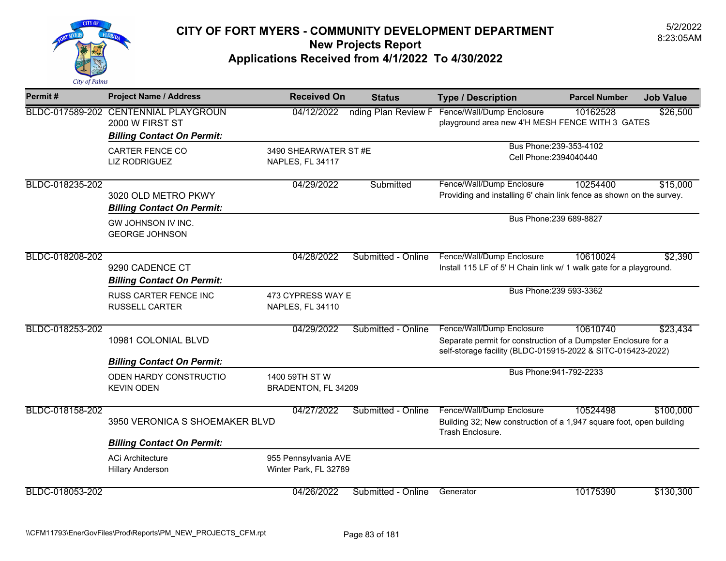

| Permit#         | <b>Project Name / Address</b>                                                                | <b>Received On</b>                            | <b>Status</b>       | <b>Type / Description</b>                                                                                                                                  | <b>Job Value</b><br><b>Parcel Number</b>                                                     |  |
|-----------------|----------------------------------------------------------------------------------------------|-----------------------------------------------|---------------------|------------------------------------------------------------------------------------------------------------------------------------------------------------|----------------------------------------------------------------------------------------------|--|
|                 | BLDC-017589-202 CENTENNIAL PLAYGROUN<br>2000 W FIRST ST<br><b>Billing Contact On Permit:</b> | 04/12/2022                                    | nding Plan Review F | Fence/Wall/Dump Enclosure<br>playground area new 4'H MESH FENCE WITH 3 GATES                                                                               | 10162528<br>\$26,500                                                                         |  |
|                 | <b>CARTER FENCE CO</b><br><b>LIZ RODRIGUEZ</b>                                               | 3490 SHEARWATER ST #E<br>NAPLES, FL 34117     |                     | Bus Phone: 239-353-4102<br>Cell Phone: 2394040440                                                                                                          |                                                                                              |  |
| BLDC-018235-202 | 3020 OLD METRO PKWY<br><b>Billing Contact On Permit:</b>                                     | 04/29/2022                                    | Submitted           | Fence/Wall/Dump Enclosure                                                                                                                                  | 10254400<br>\$15,000<br>Providing and installing 6' chain link fence as shown on the survey. |  |
|                 | GW JOHNSON IV INC.<br><b>GEORGE JOHNSON</b>                                                  |                                               |                     | Bus Phone: 239 689-8827                                                                                                                                    |                                                                                              |  |
| BLDC-018208-202 | 9290 CADENCE CT<br><b>Billing Contact On Permit:</b>                                         | 04/28/2022                                    | Submitted - Online  | Fence/Wall/Dump Enclosure<br>Install 115 LF of 5' H Chain link w/ 1 walk gate for a playground.                                                            | 10610024<br>\$2,390                                                                          |  |
|                 | RUSS CARTER FENCE INC<br><b>RUSSELL CARTER</b>                                               | 473 CYPRESS WAY E<br>NAPLES, FL 34110         |                     | Bus Phone: 239 593-3362                                                                                                                                    |                                                                                              |  |
| BLDC-018253-202 | 10981 COLONIAL BLVD                                                                          | 04/29/2022                                    | Submitted - Online  | Fence/Wall/Dump Enclosure<br>Separate permit for construction of a Dumpster Enclosure for a<br>self-storage facility (BLDC-015915-2022 & SITC-015423-2022) | 10610740<br>\$23,434                                                                         |  |
|                 | <b>Billing Contact On Permit:</b><br>ODEN HARDY CONSTRUCTIO<br><b>KEVIN ODEN</b>             | 1400 59TH ST W<br>BRADENTON, FL 34209         |                     | Bus Phone: 941-792-2233                                                                                                                                    |                                                                                              |  |
| BLDC-018158-202 | 3950 VERONICA S SHOEMAKER BLVD                                                               | 04/27/2022                                    | Submitted - Online  | Fence/Wall/Dump Enclosure<br>Trash Enclosure.                                                                                                              | 10524498<br>\$100,000<br>Building 32; New construction of a 1,947 square foot, open building |  |
|                 | <b>Billing Contact On Permit:</b>                                                            |                                               |                     |                                                                                                                                                            |                                                                                              |  |
|                 | <b>ACi Architecture</b><br><b>Hillary Anderson</b>                                           | 955 Pennsylvania AVE<br>Winter Park, FL 32789 |                     |                                                                                                                                                            |                                                                                              |  |
| BLDC-018053-202 |                                                                                              | 04/26/2022                                    | Submitted - Online  | Generator                                                                                                                                                  | 10175390<br>\$130,300                                                                        |  |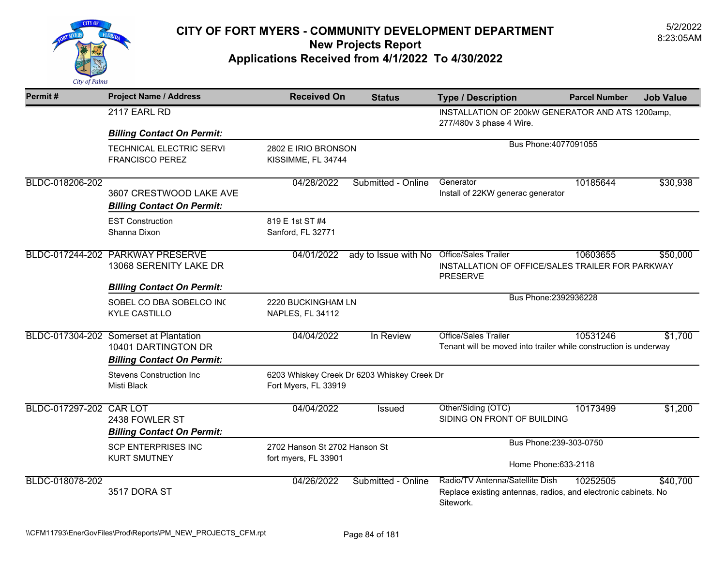

| Permit#                 | <b>Project Name / Address</b>                                                                      | <b>Received On</b>                                    | <b>Status</b>                               | <b>Type / Description</b>                                                                                      | <b>Parcel Number</b> | <b>Job Value</b> |
|-------------------------|----------------------------------------------------------------------------------------------------|-------------------------------------------------------|---------------------------------------------|----------------------------------------------------------------------------------------------------------------|----------------------|------------------|
|                         | 2117 EARL RD                                                                                       |                                                       |                                             | INSTALLATION OF 200kW GENERATOR AND ATS 1200amp,<br>277/480v 3 phase 4 Wire.                                   |                      |                  |
|                         | <b>Billing Contact On Permit:</b>                                                                  |                                                       |                                             |                                                                                                                |                      |                  |
|                         | <b>TECHNICAL ELECTRIC SERVI</b><br><b>FRANCISCO PEREZ</b>                                          | 2802 E IRIO BRONSON<br>KISSIMME, FL 34744             |                                             | Bus Phone: 4077091055                                                                                          |                      |                  |
| BLDC-018206-202         | 3607 CRESTWOOD LAKE AVE<br><b>Billing Contact On Permit:</b>                                       | 04/28/2022                                            | Submitted - Online                          | Generator<br>Install of 22KW generac generator                                                                 | 10185644             | \$30,938         |
|                         | <b>EST Construction</b><br>Shanna Dixon                                                            | 819 E 1st ST #4<br>Sanford, FL 32771                  |                                             |                                                                                                                |                      |                  |
|                         | BLDC-017244-202 PARKWAY PRESERVE<br>13068 SERENITY LAKE DR                                         | 04/01/2022                                            | ady to Issue with No                        | <b>Office/Sales Trailer</b><br>INSTALLATION OF OFFICE/SALES TRAILER FOR PARKWAY<br><b>PRESERVE</b>             | 10603655             | \$50,000         |
|                         | <b>Billing Contact On Permit:</b>                                                                  |                                                       |                                             |                                                                                                                |                      |                  |
|                         | SOBEL CO DBA SOBELCO INC<br><b>KYLE CASTILLO</b>                                                   | 2220 BUCKINGHAM LN<br><b>NAPLES, FL 34112</b>         |                                             | Bus Phone: 2392936228                                                                                          |                      |                  |
|                         | BLDC-017304-202 Somerset at Plantation<br>10401 DARTINGTON DR<br><b>Billing Contact On Permit:</b> | 04/04/2022                                            | In Review                                   | Office/Sales Trailer<br>Tenant will be moved into trailer while construction is underway                       | 10531246             | \$1,700          |
|                         | <b>Stevens Construction Inc</b><br>Misti Black                                                     | Fort Myers, FL 33919                                  | 6203 Whiskey Creek Dr 6203 Whiskey Creek Dr |                                                                                                                |                      |                  |
| BLDC-017297-202 CAR LOT | 2438 FOWLER ST<br><b>Billing Contact On Permit:</b>                                                | 04/04/2022                                            | Issued                                      | Other/Siding (OTC)<br>SIDING ON FRONT OF BUILDING                                                              | 10173499             | \$1,200          |
|                         | <b>SCP ENTERPRISES INC</b><br><b>KURT SMUTNEY</b>                                                  | 2702 Hanson St 2702 Hanson St<br>fort myers, FL 33901 |                                             | Bus Phone: 239-303-0750<br>Home Phone: 633-2118                                                                |                      |                  |
| BLDC-018078-202         | 3517 DORA ST                                                                                       | 04/26/2022                                            | Submitted - Online                          | Radio/TV Antenna/Satellite Dish<br>Replace existing antennas, radios, and electronic cabinets. No<br>Sitework. | 10252505             | \$40,700         |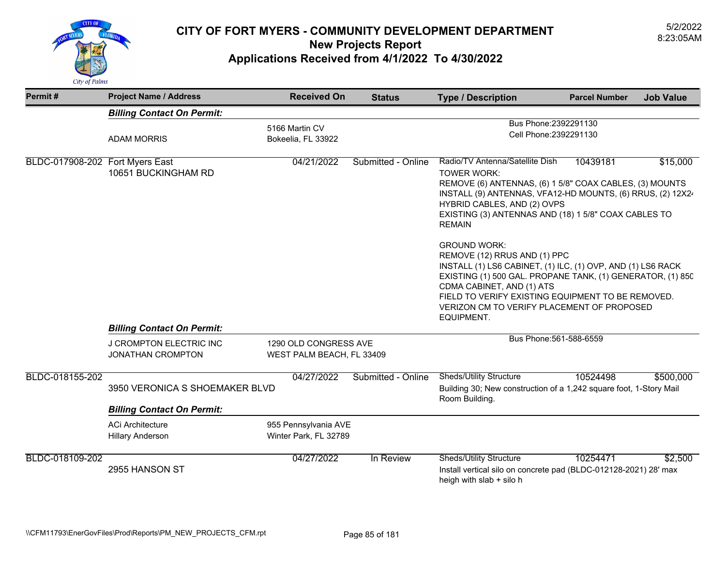

| Permit#                         | <b>Project Name / Address</b>                       | <b>Received On</b>                                 | <b>Status</b>      | <b>Type / Description</b>                                                                                                                                                                                                                                                                                                      | <b>Parcel Number</b>    | <b>Job Value</b> |
|---------------------------------|-----------------------------------------------------|----------------------------------------------------|--------------------|--------------------------------------------------------------------------------------------------------------------------------------------------------------------------------------------------------------------------------------------------------------------------------------------------------------------------------|-------------------------|------------------|
|                                 | <b>Billing Contact On Permit:</b>                   |                                                    |                    |                                                                                                                                                                                                                                                                                                                                |                         |                  |
|                                 | <b>ADAM MORRIS</b>                                  | 5166 Martin CV<br>Bokeelia, FL 33922               |                    | Bus Phone: 2392291130<br>Cell Phone: 2392291130                                                                                                                                                                                                                                                                                |                         |                  |
| BLDC-017908-202 Fort Myers East | 10651 BUCKINGHAM RD                                 | 04/21/2022                                         | Submitted - Online | Radio/TV Antenna/Satellite Dish<br><b>TOWER WORK:</b><br>REMOVE (6) ANTENNAS, (6) 1 5/8" COAX CABLES, (3) MOUNTS<br>INSTALL (9) ANTENNAS, VFA12-HD MOUNTS, (6) RRUS, (2) 12X2<br>HYBRID CABLES, AND (2) OVPS<br>EXISTING (3) ANTENNAS AND (18) 1 5/8" COAX CABLES TO<br><b>REMAIN</b>                                          | 10439181                | \$15,000         |
|                                 |                                                     |                                                    |                    | <b>GROUND WORK:</b><br>REMOVE (12) RRUS AND (1) PPC<br>INSTALL (1) LS6 CABINET, (1) ILC, (1) OVP, AND (1) LS6 RACK<br>EXISTING (1) 500 GAL. PROPANE TANK, (1) GENERATOR, (1) 850<br>CDMA CABINET, AND (1) ATS<br>FIELD TO VERIFY EXISTING EQUIPMENT TO BE REMOVED.<br>VERIZON CM TO VERIFY PLACEMENT OF PROPOSED<br>EQUIPMENT. |                         |                  |
|                                 | <b>Billing Contact On Permit:</b>                   |                                                    |                    |                                                                                                                                                                                                                                                                                                                                |                         |                  |
|                                 | J CROMPTON ELECTRIC INC<br><b>JONATHAN CROMPTON</b> | 1290 OLD CONGRESS AVE<br>WEST PALM BEACH, FL 33409 |                    |                                                                                                                                                                                                                                                                                                                                | Bus Phone: 561-588-6559 |                  |
| BLDC-018155-202                 | 3950 VERONICA S SHOEMAKER BLVD                      | 04/27/2022                                         | Submitted - Online | <b>Sheds/Utility Structure</b><br>Building 30; New construction of a 1,242 square foot, 1-Story Mail<br>Room Building.                                                                                                                                                                                                         | 10524498                | \$500,000        |
|                                 | <b>Billing Contact On Permit:</b>                   |                                                    |                    |                                                                                                                                                                                                                                                                                                                                |                         |                  |
|                                 | <b>ACi Architecture</b><br><b>Hillary Anderson</b>  | 955 Pennsylvania AVE<br>Winter Park, FL 32789      |                    |                                                                                                                                                                                                                                                                                                                                |                         |                  |
| BLDC-018109-202                 | 2955 HANSON ST                                      | 04/27/2022                                         | In Review          | <b>Sheds/Utility Structure</b><br>Install vertical silo on concrete pad (BLDC-012128-2021) 28' max<br>heigh with slab + silo h                                                                                                                                                                                                 | 10254471                | \$2,500          |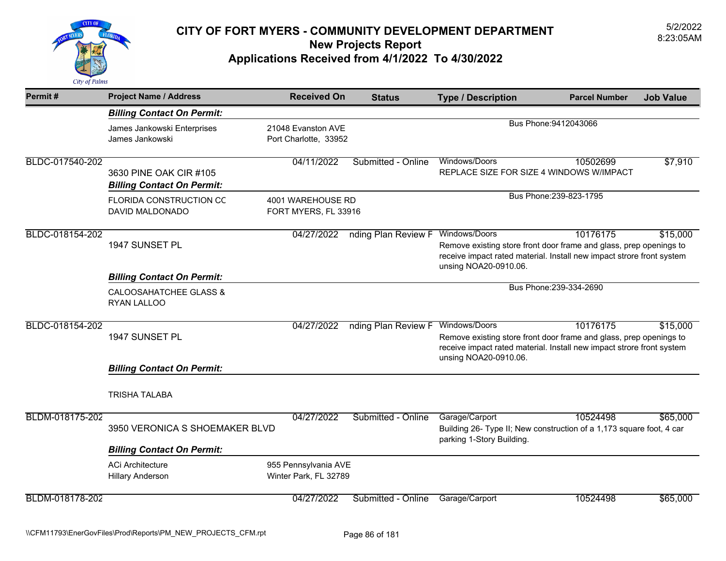

| Permit#         | <b>Project Name / Address</b>                                                         | <b>Received On</b>                            | <b>Status</b>                     | <b>Type / Description</b>                                                                                                                                                             | <b>Parcel Number</b>    | <b>Job Value</b> |
|-----------------|---------------------------------------------------------------------------------------|-----------------------------------------------|-----------------------------------|---------------------------------------------------------------------------------------------------------------------------------------------------------------------------------------|-------------------------|------------------|
|                 | <b>Billing Contact On Permit:</b>                                                     |                                               |                                   |                                                                                                                                                                                       |                         |                  |
|                 | James Jankowski Enterprises<br>James Jankowski                                        | 21048 Evanston AVE<br>Port Charlotte, 33952   |                                   |                                                                                                                                                                                       | Bus Phone: 9412043066   |                  |
| BLDC-017540-202 | 3630 PINE OAK CIR #105<br><b>Billing Contact On Permit:</b>                           | 04/11/2022                                    | Submitted - Online                | Windows/Doors<br>REPLACE SIZE FOR SIZE 4 WINDOWS W/IMPACT                                                                                                                             | 10502699                | \$7,910          |
|                 | <b>FLORIDA CONSTRUCTION CC</b><br>DAVID MALDONADO                                     | 4001 WAREHOUSE RD<br>FORT MYERS, FL 33916     | Bus Phone: 239-823-1795           |                                                                                                                                                                                       |                         |                  |
| BLDC-018154-202 | 1947 SUNSET PL                                                                        | 04/27/2022                                    | nding Plan Review F Windows/Doors | Remove existing store front door frame and glass, prep openings to<br>receive impact rated material. Install new impact strore front system<br>unsing NOA20-0910.06.                  | 10176175                | \$15,000         |
|                 | <b>Billing Contact On Permit:</b><br><b>CALOOSAHATCHEE GLASS &amp;</b><br>RYAN LALLOO |                                               |                                   |                                                                                                                                                                                       | Bus Phone: 239-334-2690 |                  |
| BLDC-018154-202 | 1947 SUNSET PL                                                                        | 04/27/2022                                    | nding Plan Review F               | Windows/Doors<br>Remove existing store front door frame and glass, prep openings to<br>receive impact rated material. Install new impact strore front system<br>unsing NOA20-0910.06. | 10176175                | \$15,000         |
|                 | <b>Billing Contact On Permit:</b>                                                     |                                               |                                   |                                                                                                                                                                                       |                         |                  |
|                 | <b>TRISHA TALABA</b>                                                                  |                                               |                                   |                                                                                                                                                                                       |                         |                  |
| BLDM-018175-202 | 3950 VERONICA S SHOEMAKER BLVD                                                        | 04/27/2022                                    | Submitted - Online                | Garage/Carport<br>Building 26- Type II; New construction of a 1,173 square foot, 4 car<br>parking 1-Story Building.                                                                   | 10524498                | \$65,000         |
|                 | <b>Billing Contact On Permit:</b>                                                     |                                               |                                   |                                                                                                                                                                                       |                         |                  |
|                 | <b>ACi Architecture</b><br><b>Hillary Anderson</b>                                    | 955 Pennsylvania AVE<br>Winter Park, FL 32789 |                                   |                                                                                                                                                                                       |                         |                  |
| BLDM-018178-202 |                                                                                       | 04/27/2022                                    | Submitted - Online                | Garage/Carport                                                                                                                                                                        | 10524498                | \$65,000         |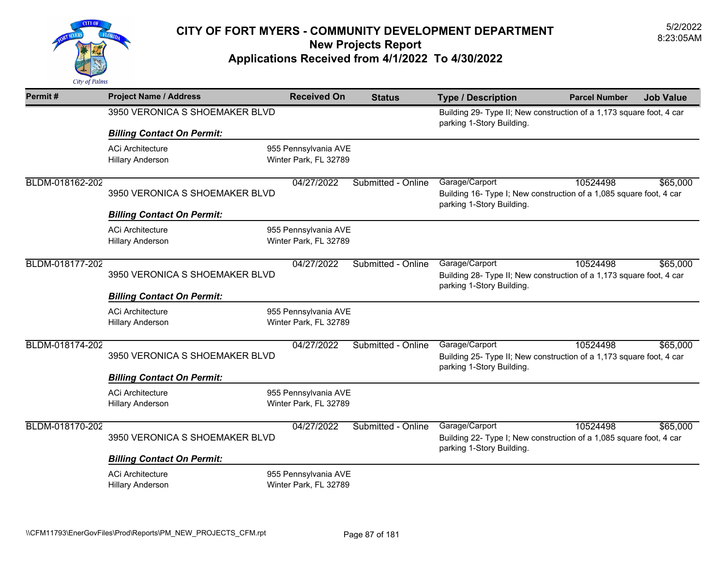

| Permit#         | <b>Project Name / Address</b>     | <b>Received On</b>    | <b>Status</b>      | <b>Type / Description</b>                                                                         | <b>Parcel Number</b> | <b>Job Value</b> |
|-----------------|-----------------------------------|-----------------------|--------------------|---------------------------------------------------------------------------------------------------|----------------------|------------------|
|                 | 3950 VERONICA S SHOEMAKER BLVD    |                       |                    | Building 29- Type II; New construction of a 1,173 square foot, 4 car<br>parking 1-Story Building. |                      |                  |
|                 | <b>Billing Contact On Permit:</b> |                       |                    |                                                                                                   |                      |                  |
|                 | <b>ACi Architecture</b>           | 955 Pennsylvania AVE  |                    |                                                                                                   |                      |                  |
|                 | <b>Hillary Anderson</b>           | Winter Park, FL 32789 |                    |                                                                                                   |                      |                  |
| BLDM-018162-202 |                                   | 04/27/2022            | Submitted - Online | Garage/Carport                                                                                    | 10524498             | \$65,000         |
|                 | 3950 VERONICA S SHOEMAKER BLVD    |                       |                    | Building 16- Type I; New construction of a 1,085 square foot, 4 car<br>parking 1-Story Building.  |                      |                  |
|                 | <b>Billing Contact On Permit:</b> |                       |                    |                                                                                                   |                      |                  |
|                 | <b>ACi Architecture</b>           | 955 Pennsylvania AVE  |                    |                                                                                                   |                      |                  |
|                 | <b>Hillary Anderson</b>           | Winter Park, FL 32789 |                    |                                                                                                   |                      |                  |
| BLDM-018177-202 |                                   | 04/27/2022            | Submitted - Online | Garage/Carport                                                                                    | 10524498             | \$65,000         |
|                 | 3950 VERONICA S SHOEMAKER BLVD    |                       |                    | Building 28- Type II; New construction of a 1,173 square foot, 4 car                              |                      |                  |
|                 | <b>Billing Contact On Permit:</b> |                       |                    | parking 1-Story Building.                                                                         |                      |                  |
|                 | <b>ACi Architecture</b>           | 955 Pennsylvania AVE  |                    |                                                                                                   |                      |                  |
|                 | <b>Hillary Anderson</b>           | Winter Park, FL 32789 |                    |                                                                                                   |                      |                  |
| BLDM-018174-202 |                                   | 04/27/2022            | Submitted - Online | Garage/Carport                                                                                    | 10524498             | \$65,000         |
|                 | 3950 VERONICA S SHOEMAKER BLVD    |                       |                    | Building 25- Type II; New construction of a 1,173 square foot, 4 car                              |                      |                  |
|                 | <b>Billing Contact On Permit:</b> |                       |                    | parking 1-Story Building.                                                                         |                      |                  |
|                 | <b>ACi Architecture</b>           | 955 Pennsylvania AVE  |                    |                                                                                                   |                      |                  |
|                 | <b>Hillary Anderson</b>           | Winter Park, FL 32789 |                    |                                                                                                   |                      |                  |
| BLDM-018170-202 |                                   | 04/27/2022            | Submitted - Online | Garage/Carport                                                                                    | 10524498             | \$65,000         |
|                 | 3950 VERONICA S SHOEMAKER BLVD    |                       |                    | Building 22- Type I; New construction of a 1,085 square foot, 4 car<br>parking 1-Story Building.  |                      |                  |
|                 | <b>Billing Contact On Permit:</b> |                       |                    |                                                                                                   |                      |                  |
|                 | <b>ACi Architecture</b>           | 955 Pennsylvania AVE  |                    |                                                                                                   |                      |                  |
|                 | <b>Hillary Anderson</b>           | Winter Park, FL 32789 |                    |                                                                                                   |                      |                  |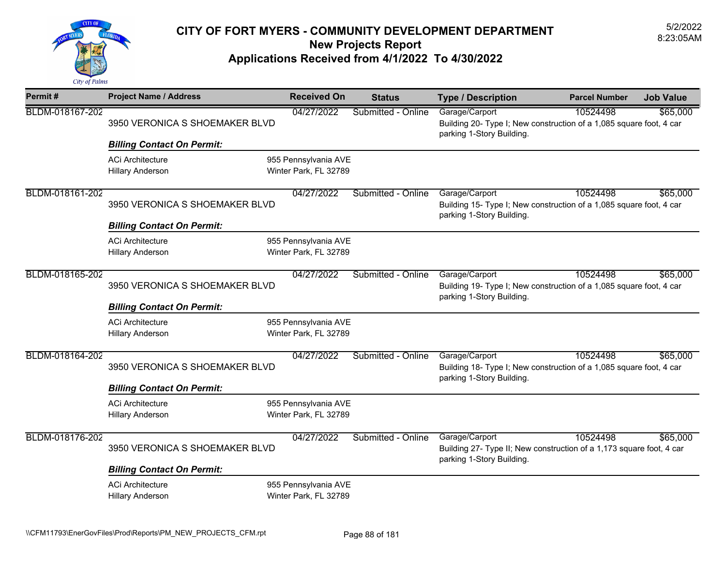

| Permit#         | <b>Project Name / Address</b>                      | <b>Received On</b>                            | <b>Status</b>      | <b>Type / Description</b>                                                                                           | <b>Parcel Number</b> | <b>Job Value</b> |
|-----------------|----------------------------------------------------|-----------------------------------------------|--------------------|---------------------------------------------------------------------------------------------------------------------|----------------------|------------------|
| BLDM-018167-202 | 3950 VERONICA S SHOEMAKER BLVD                     | 04/27/2022                                    | Submitted - Online | Garage/Carport<br>Building 20- Type I; New construction of a 1,085 square foot, 4 car<br>parking 1-Story Building.  | 10524498             | \$65,000         |
|                 | <b>Billing Contact On Permit:</b>                  |                                               |                    |                                                                                                                     |                      |                  |
|                 | <b>ACi Architecture</b><br><b>Hillary Anderson</b> | 955 Pennsylvania AVE<br>Winter Park, FL 32789 |                    |                                                                                                                     |                      |                  |
| BLDM-018161-202 | 3950 VERONICA S SHOEMAKER BLVD                     | 04/27/2022                                    | Submitted - Online | Garage/Carport<br>Building 15- Type I; New construction of a 1,085 square foot, 4 car<br>parking 1-Story Building.  | 10524498             | \$65,000         |
|                 | <b>Billing Contact On Permit:</b>                  |                                               |                    |                                                                                                                     |                      |                  |
|                 | <b>ACi Architecture</b><br><b>Hillary Anderson</b> | 955 Pennsylvania AVE<br>Winter Park, FL 32789 |                    |                                                                                                                     |                      |                  |
| BLDM-018165-202 | 3950 VERONICA S SHOEMAKER BLVD                     | 04/27/2022                                    | Submitted - Online | Garage/Carport<br>Building 19- Type I; New construction of a 1,085 square foot, 4 car<br>parking 1-Story Building.  | 10524498             | \$65,000         |
|                 | <b>Billing Contact On Permit:</b>                  |                                               |                    |                                                                                                                     |                      |                  |
|                 | <b>ACi Architecture</b><br><b>Hillary Anderson</b> | 955 Pennsylvania AVE<br>Winter Park, FL 32789 |                    |                                                                                                                     |                      |                  |
| BLDM-018164-202 | 3950 VERONICA S SHOEMAKER BLVD                     | 04/27/2022                                    | Submitted - Online | Garage/Carport<br>Building 18- Type I; New construction of a 1,085 square foot, 4 car<br>parking 1-Story Building.  | 10524498             | \$65,000         |
|                 | <b>Billing Contact On Permit:</b>                  |                                               |                    |                                                                                                                     |                      |                  |
|                 | <b>ACi Architecture</b><br><b>Hillary Anderson</b> | 955 Pennsylvania AVE<br>Winter Park, FL 32789 |                    |                                                                                                                     |                      |                  |
| BLDM-018176-202 | 3950 VERONICA S SHOEMAKER BLVD                     | 04/27/2022                                    | Submitted - Online | Garage/Carport<br>Building 27- Type II; New construction of a 1,173 square foot, 4 car<br>parking 1-Story Building. | 10524498             | \$65,000         |
|                 | <b>Billing Contact On Permit:</b>                  |                                               |                    |                                                                                                                     |                      |                  |
|                 | <b>ACi Architecture</b><br><b>Hillary Anderson</b> | 955 Pennsylvania AVE<br>Winter Park, FL 32789 |                    |                                                                                                                     |                      |                  |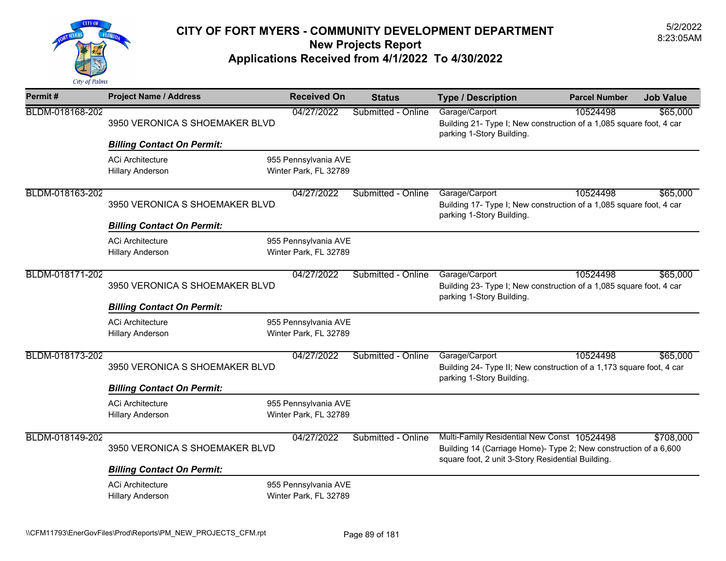

| Permit#         | <b>Project Name / Address</b>                      | <b>Received On</b>                            | <b>Status</b>      | <b>Type / Description</b>                                                                                                                                            | <b>Parcel Number</b> | <b>Job Value</b> |
|-----------------|----------------------------------------------------|-----------------------------------------------|--------------------|----------------------------------------------------------------------------------------------------------------------------------------------------------------------|----------------------|------------------|
| BLDM-018168-202 | 3950 VERONICA S SHOEMAKER BLVD                     | 04/27/2022                                    | Submitted - Online | Garage/Carport<br>Building 21- Type I; New construction of a 1,085 square foot, 4 car<br>parking 1-Story Building.                                                   | 10524498             | \$65,000         |
|                 | <b>Billing Contact On Permit:</b>                  |                                               |                    |                                                                                                                                                                      |                      |                  |
|                 | <b>ACi Architecture</b><br><b>Hillary Anderson</b> | 955 Pennsylvania AVE<br>Winter Park, FL 32789 |                    |                                                                                                                                                                      |                      |                  |
| BLDM-018163-202 | 3950 VERONICA S SHOEMAKER BLVD                     | 04/27/2022                                    | Submitted - Online | Garage/Carport<br>Building 17- Type I; New construction of a 1,085 square foot, 4 car<br>parking 1-Story Building.                                                   | 10524498             | \$65,000         |
|                 | <b>Billing Contact On Permit:</b>                  |                                               |                    |                                                                                                                                                                      |                      |                  |
|                 | <b>ACi Architecture</b><br><b>Hillary Anderson</b> | 955 Pennsylvania AVE<br>Winter Park, FL 32789 |                    |                                                                                                                                                                      |                      |                  |
| BLDM-018171-202 | 3950 VERONICA S SHOEMAKER BLVD                     | 04/27/2022                                    | Submitted - Online | Garage/Carport<br>Building 23- Type I; New construction of a 1,085 square foot, 4 car<br>parking 1-Story Building.                                                   | 10524498             | \$65,000         |
|                 | <b>Billing Contact On Permit:</b>                  |                                               |                    |                                                                                                                                                                      |                      |                  |
|                 | <b>ACi Architecture</b><br><b>Hillary Anderson</b> | 955 Pennsylvania AVE<br>Winter Park, FL 32789 |                    |                                                                                                                                                                      |                      |                  |
| BLDM-018173-202 | 3950 VERONICA S SHOEMAKER BLVD                     | 04/27/2022                                    | Submitted - Online | Garage/Carport<br>Building 24- Type II; New construction of a 1,173 square foot, 4 car<br>parking 1-Story Building.                                                  | 10524498             | \$65,000         |
|                 | <b>Billing Contact On Permit:</b>                  |                                               |                    |                                                                                                                                                                      |                      |                  |
|                 | <b>ACi Architecture</b><br><b>Hillary Anderson</b> | 955 Pennsylvania AVE<br>Winter Park, FL 32789 |                    |                                                                                                                                                                      |                      |                  |
| BLDM-018149-202 | 3950 VERONICA S SHOEMAKER BLVD                     | 04/27/2022                                    | Submitted - Online | Multi-Family Residential New Const 10524498<br>Building 14 (Carriage Home)- Type 2; New construction of a 6,600<br>square foot, 2 unit 3-Story Residential Building. |                      | \$708,000        |
|                 | <b>Billing Contact On Permit:</b>                  |                                               |                    |                                                                                                                                                                      |                      |                  |
|                 | <b>ACi Architecture</b><br><b>Hillary Anderson</b> | 955 Pennsylvania AVE<br>Winter Park, FL 32789 |                    |                                                                                                                                                                      |                      |                  |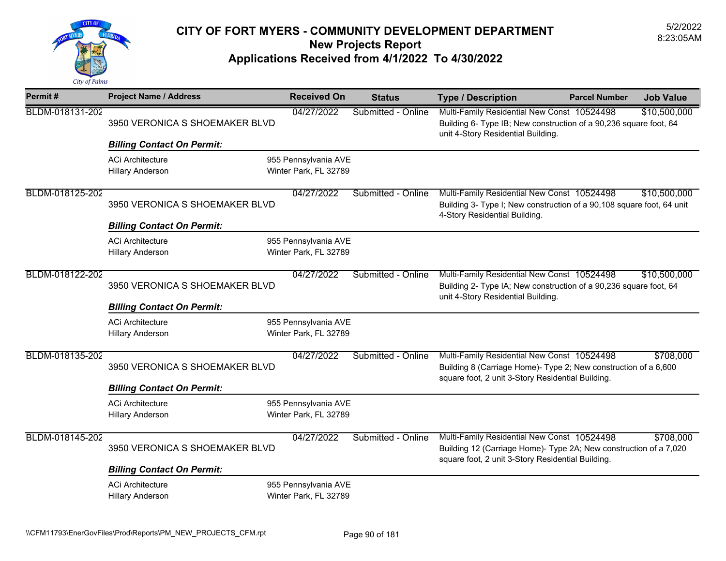

| Permit#         | <b>Project Name / Address</b>                                       | <b>Received On</b>                            | <b>Status</b>      | <b>Type / Description</b>                                                                                                                                             | <b>Parcel Number</b> | <b>Job Value</b> |
|-----------------|---------------------------------------------------------------------|-----------------------------------------------|--------------------|-----------------------------------------------------------------------------------------------------------------------------------------------------------------------|----------------------|------------------|
| BLDM-018131-202 | 3950 VERONICA S SHOEMAKER BLVD                                      | 04/27/2022                                    | Submitted - Online | Multi-Family Residential New Const 10524498<br>Building 6- Type IB; New construction of a 90,236 square foot, 64<br>unit 4-Story Residential Building.                |                      | \$10,500,000     |
|                 | <b>Billing Contact On Permit:</b>                                   |                                               |                    |                                                                                                                                                                       |                      |                  |
|                 | <b>ACi Architecture</b><br><b>Hillary Anderson</b>                  | 955 Pennsylvania AVE<br>Winter Park, FL 32789 |                    |                                                                                                                                                                       |                      |                  |
| BLDM-018125-202 | 3950 VERONICA S SHOEMAKER BLVD<br><b>Billing Contact On Permit:</b> | 04/27/2022                                    | Submitted - Online | Multi-Family Residential New Const 10524498<br>Building 3- Type I; New construction of a 90,108 square foot, 64 unit<br>4-Story Residential Building.                 |                      | \$10,500,000     |
|                 | <b>ACi Architecture</b><br><b>Hillary Anderson</b>                  | 955 Pennsylvania AVE<br>Winter Park, FL 32789 |                    |                                                                                                                                                                       |                      |                  |
| BLDM-018122-202 | 3950 VERONICA S SHOEMAKER BLVD                                      | 04/27/2022                                    | Submitted - Online | Multi-Family Residential New Const 10524498<br>Building 2- Type IA; New construction of a 90,236 square foot, 64<br>unit 4-Story Residential Building.                |                      | \$10,500,000     |
|                 | <b>Billing Contact On Permit:</b>                                   |                                               |                    |                                                                                                                                                                       |                      |                  |
|                 | <b>ACi Architecture</b><br><b>Hillary Anderson</b>                  | 955 Pennsylvania AVE<br>Winter Park, FL 32789 |                    |                                                                                                                                                                       |                      |                  |
| BLDM-018135-202 | 3950 VERONICA S SHOEMAKER BLVD                                      | 04/27/2022                                    | Submitted - Online | Multi-Family Residential New Const 10524498<br>Building 8 (Carriage Home)- Type 2; New construction of a 6,600<br>square foot, 2 unit 3-Story Residential Building.   |                      | \$708,000        |
|                 | <b>Billing Contact On Permit:</b>                                   |                                               |                    |                                                                                                                                                                       |                      |                  |
|                 | <b>ACi Architecture</b><br><b>Hillary Anderson</b>                  | 955 Pennsylvania AVE<br>Winter Park, FL 32789 |                    |                                                                                                                                                                       |                      |                  |
| BLDM-018145-202 | 3950 VERONICA S SHOEMAKER BLVD                                      | 04/27/2022                                    | Submitted - Online | Multi-Family Residential New Const 10524498<br>Building 12 (Carriage Home)- Type 2A; New construction of a 7,020<br>square foot, 2 unit 3-Story Residential Building. |                      | \$708,000        |
|                 | <b>Billing Contact On Permit:</b>                                   |                                               |                    |                                                                                                                                                                       |                      |                  |
|                 | <b>ACi Architecture</b><br><b>Hillary Anderson</b>                  | 955 Pennsylvania AVE<br>Winter Park, FL 32789 |                    |                                                                                                                                                                       |                      |                  |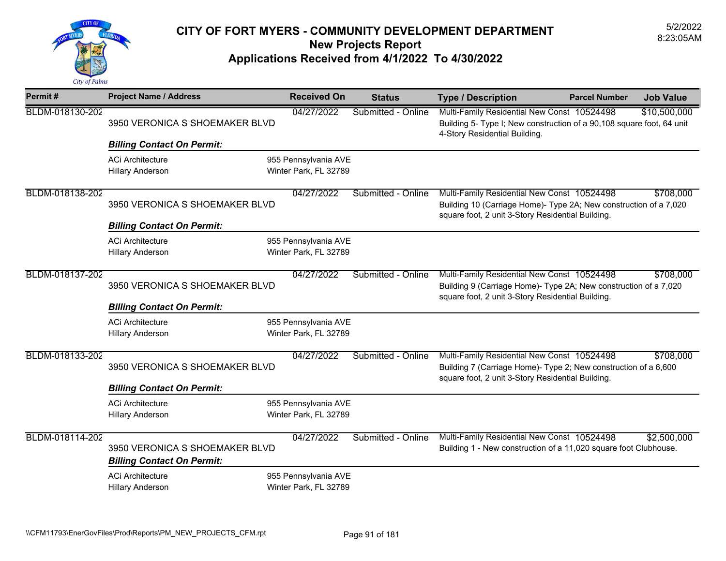

| Permit#         | <b>Project Name / Address</b>                                       | <b>Received On</b>                            | <b>Status</b>      | <b>Type / Description</b>                                                                                                                                             | <b>Parcel Number</b> | <b>Job Value</b> |
|-----------------|---------------------------------------------------------------------|-----------------------------------------------|--------------------|-----------------------------------------------------------------------------------------------------------------------------------------------------------------------|----------------------|------------------|
| BLDM-018130-202 | 3950 VERONICA S SHOEMAKER BLVD                                      | 04/27/2022                                    | Submitted - Online | Multi-Family Residential New Const 10524498<br>Building 5- Type I; New construction of a 90,108 square foot, 64 unit<br>4-Story Residential Building.                 |                      | \$10,500,000     |
|                 | <b>Billing Contact On Permit:</b>                                   |                                               |                    |                                                                                                                                                                       |                      |                  |
|                 | <b>ACi Architecture</b><br><b>Hillary Anderson</b>                  | 955 Pennsylvania AVE<br>Winter Park, FL 32789 |                    |                                                                                                                                                                       |                      |                  |
| BLDM-018138-202 | 3950 VERONICA S SHOEMAKER BLVD                                      | 04/27/2022                                    | Submitted - Online | Multi-Family Residential New Const 10524498<br>Building 10 (Carriage Home)- Type 2A; New construction of a 7,020<br>square foot, 2 unit 3-Story Residential Building. |                      | \$708,000        |
|                 | <b>Billing Contact On Permit:</b>                                   |                                               |                    |                                                                                                                                                                       |                      |                  |
|                 | <b>ACi Architecture</b><br><b>Hillary Anderson</b>                  | 955 Pennsylvania AVE<br>Winter Park, FL 32789 |                    |                                                                                                                                                                       |                      |                  |
| BLDM-018137-202 | 3950 VERONICA S SHOEMAKER BLVD                                      | 04/27/2022                                    | Submitted - Online | Multi-Family Residential New Const 10524498<br>Building 9 (Carriage Home)- Type 2A; New construction of a 7,020<br>square foot, 2 unit 3-Story Residential Building.  |                      | \$708,000        |
|                 | <b>Billing Contact On Permit:</b><br><b>ACi Architecture</b>        |                                               |                    |                                                                                                                                                                       |                      |                  |
|                 | <b>Hillary Anderson</b>                                             | 955 Pennsylvania AVE<br>Winter Park, FL 32789 |                    |                                                                                                                                                                       |                      |                  |
| BLDM-018133-202 | 3950 VERONICA S SHOEMAKER BLVD                                      | 04/27/2022                                    | Submitted - Online | Multi-Family Residential New Const 10524498<br>Building 7 (Carriage Home)- Type 2; New construction of a 6,600<br>square foot, 2 unit 3-Story Residential Building.   |                      | \$708,000        |
|                 | <b>Billing Contact On Permit:</b>                                   |                                               |                    |                                                                                                                                                                       |                      |                  |
|                 | <b>ACi Architecture</b><br><b>Hillary Anderson</b>                  | 955 Pennsylvania AVE<br>Winter Park, FL 32789 |                    |                                                                                                                                                                       |                      |                  |
| BLDM-018114-202 | 3950 VERONICA S SHOEMAKER BLVD<br><b>Billing Contact On Permit:</b> | 04/27/2022                                    | Submitted - Online | Multi-Family Residential New Const 10524498<br>Building 1 - New construction of a 11,020 square foot Clubhouse.                                                       |                      | \$2,500,000      |
|                 | <b>ACi Architecture</b><br><b>Hillary Anderson</b>                  | 955 Pennsylvania AVE<br>Winter Park, FL 32789 |                    |                                                                                                                                                                       |                      |                  |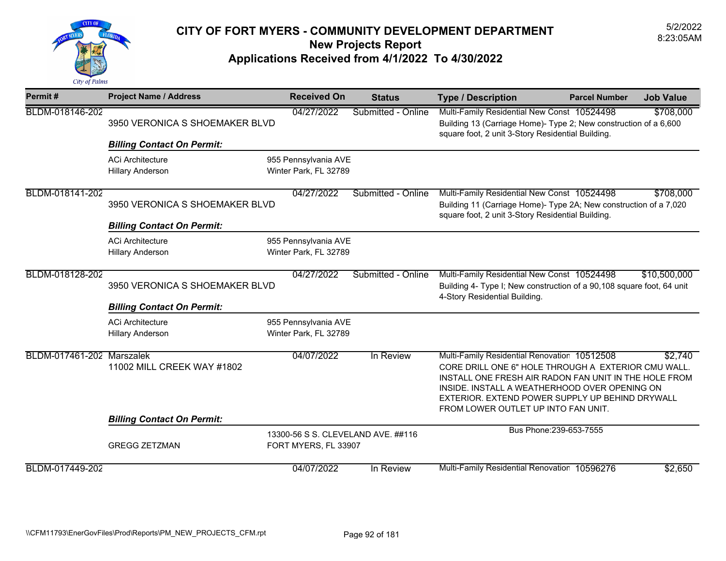

| Permit#                   | <b>Project Name / Address</b>                      | <b>Received On</b>                                         | <b>Status</b>      | <b>Type / Description</b>                                                                                                                                                                                                                                                                               | <b>Parcel Number</b>    | <b>Job Value</b> |
|---------------------------|----------------------------------------------------|------------------------------------------------------------|--------------------|---------------------------------------------------------------------------------------------------------------------------------------------------------------------------------------------------------------------------------------------------------------------------------------------------------|-------------------------|------------------|
| BLDM-018146-202           | 3950 VERONICA S SHOEMAKER BLVD                     | 04/27/2022                                                 | Submitted - Online | Multi-Family Residential New Const 10524498<br>Building 13 (Carriage Home)- Type 2; New construction of a 6,600<br>square foot, 2 unit 3-Story Residential Building.                                                                                                                                    |                         | \$708,000        |
|                           | <b>Billing Contact On Permit:</b>                  |                                                            |                    |                                                                                                                                                                                                                                                                                                         |                         |                  |
|                           | <b>ACi Architecture</b><br><b>Hillary Anderson</b> | 955 Pennsylvania AVE<br>Winter Park, FL 32789              |                    |                                                                                                                                                                                                                                                                                                         |                         |                  |
| BLDM-018141-202           | 3950 VERONICA S SHOEMAKER BLVD                     | 04/27/2022                                                 | Submitted - Online | Multi-Family Residential New Const 10524498<br>Building 11 (Carriage Home)- Type 2A; New construction of a 7,020<br>square foot, 2 unit 3-Story Residential Building.                                                                                                                                   |                         | \$708,000        |
|                           | <b>Billing Contact On Permit:</b>                  |                                                            |                    |                                                                                                                                                                                                                                                                                                         |                         |                  |
|                           | <b>ACi Architecture</b><br><b>Hillary Anderson</b> | 955 Pennsylvania AVE<br>Winter Park, FL 32789              |                    |                                                                                                                                                                                                                                                                                                         |                         |                  |
| BLDM-018128-202           | 3950 VERONICA S SHOEMAKER BLVD                     | 04/27/2022                                                 | Submitted - Online | Multi-Family Residential New Const 10524498<br>Building 4- Type I; New construction of a 90,108 square foot, 64 unit<br>4-Story Residential Building.                                                                                                                                                   |                         | \$10,500,000     |
|                           | <b>Billing Contact On Permit:</b>                  |                                                            |                    |                                                                                                                                                                                                                                                                                                         |                         |                  |
|                           | <b>ACi Architecture</b><br><b>Hillary Anderson</b> | 955 Pennsylvania AVE<br>Winter Park, FL 32789              |                    |                                                                                                                                                                                                                                                                                                         |                         |                  |
| BLDM-017461-202 Marszalek | 11002 MILL CREEK WAY #1802                         | 04/07/2022                                                 | In Review          | Multi-Family Residential Renovation 10512508<br>CORE DRILL ONE 6" HOLE THROUGH A EXTERIOR CMU WALL.<br>INSTALL ONE FRESH AIR RADON FAN UNIT IN THE HOLE FROM<br>INSIDE. INSTALL A WEATHERHOOD OVER OPENING ON<br>EXTERIOR. EXTEND POWER SUPPLY UP BEHIND DRYWALL<br>FROM LOWER OUTLET UP INTO FAN UNIT. |                         | \$2,740          |
|                           | <b>Billing Contact On Permit:</b>                  |                                                            |                    |                                                                                                                                                                                                                                                                                                         |                         |                  |
|                           | <b>GREGG ZETZMAN</b>                               | 13300-56 S S. CLEVELAND AVE. ##116<br>FORT MYERS, FL 33907 |                    |                                                                                                                                                                                                                                                                                                         | Bus Phone: 239-653-7555 |                  |
| BLDM-017449-202           |                                                    | 04/07/2022                                                 | In Review          | Multi-Family Residential Renovation 10596276                                                                                                                                                                                                                                                            |                         | \$2,650          |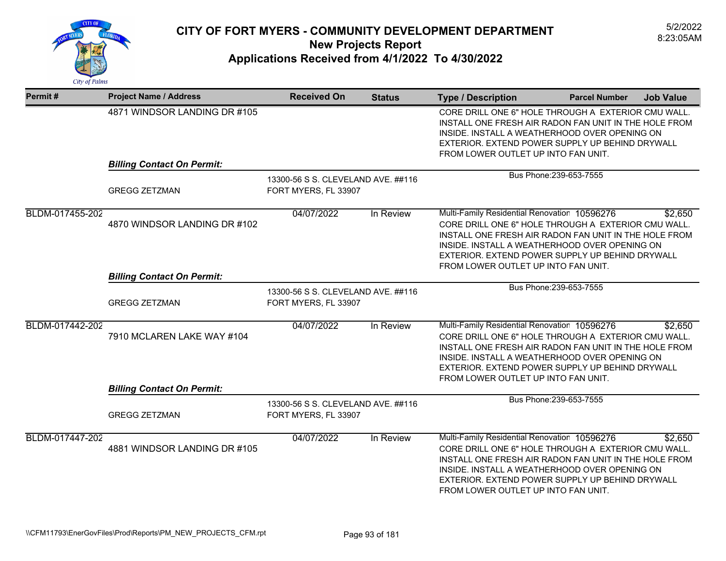

| Permit#         | <b>Project Name / Address</b>                                                      | <b>Received On</b>                                         | <b>Status</b> | <b>Type / Description</b>                                                                                                                                                                                                                                                                               | <b>Parcel Number</b>    | <b>Job Value</b> |
|-----------------|------------------------------------------------------------------------------------|------------------------------------------------------------|---------------|---------------------------------------------------------------------------------------------------------------------------------------------------------------------------------------------------------------------------------------------------------------------------------------------------------|-------------------------|------------------|
|                 | 4871 WINDSOR LANDING DR #105                                                       |                                                            |               | CORE DRILL ONE 6" HOLE THROUGH A EXTERIOR CMU WALL.<br>INSTALL ONE FRESH AIR RADON FAN UNIT IN THE HOLE FROM<br>INSIDE. INSTALL A WEATHERHOOD OVER OPENING ON<br>EXTERIOR. EXTEND POWER SUPPLY UP BEHIND DRYWALL<br>FROM LOWER OUTLET UP INTO FAN UNIT.                                                 |                         |                  |
|                 | <b>Billing Contact On Permit:</b>                                                  |                                                            |               |                                                                                                                                                                                                                                                                                                         |                         |                  |
|                 | 13300-56 S S. CLEVELAND AVE. ##116<br><b>GREGG ZETZMAN</b><br>FORT MYERS, FL 33907 |                                                            |               |                                                                                                                                                                                                                                                                                                         | Bus Phone: 239-653-7555 |                  |
| BLDM-017455-202 | 4870 WINDSOR LANDING DR #102<br><b>Billing Contact On Permit:</b>                  | 04/07/2022                                                 | In Review     | Multi-Family Residential Renovation 10596276<br>CORE DRILL ONE 6" HOLE THROUGH A EXTERIOR CMU WALL.<br>INSTALL ONE FRESH AIR RADON FAN UNIT IN THE HOLE FROM<br>INSIDE. INSTALL A WEATHERHOOD OVER OPENING ON<br>EXTERIOR. EXTEND POWER SUPPLY UP BEHIND DRYWALL<br>FROM LOWER OUTLET UP INTO FAN UNIT. |                         | \$2,650          |
|                 | 13300-56 S S. CLEVELAND AVE. ##116                                                 |                                                            |               |                                                                                                                                                                                                                                                                                                         | Bus Phone: 239-653-7555 |                  |
|                 | <b>GREGG ZETZMAN</b>                                                               | FORT MYERS, FL 33907                                       |               |                                                                                                                                                                                                                                                                                                         |                         |                  |
| BLDM-017442-202 | 7910 MCLAREN LAKE WAY #104                                                         | 04/07/2022                                                 | In Review     | Multi-Family Residential Renovation 10596276<br>CORE DRILL ONE 6" HOLE THROUGH A EXTERIOR CMU WALL.<br>INSTALL ONE FRESH AIR RADON FAN UNIT IN THE HOLE FROM<br>INSIDE. INSTALL A WEATHERHOOD OVER OPENING ON<br>EXTERIOR, EXTEND POWER SUPPLY UP BEHIND DRYWALL<br>FROM LOWER OUTLET UP INTO FAN UNIT. |                         | \$2,650          |
|                 | <b>Billing Contact On Permit:</b>                                                  |                                                            |               |                                                                                                                                                                                                                                                                                                         |                         |                  |
|                 | <b>GREGG ZETZMAN</b>                                                               | 13300-56 S S. CLEVELAND AVE, ##116<br>FORT MYERS, FL 33907 |               |                                                                                                                                                                                                                                                                                                         | Bus Phone: 239-653-7555 |                  |
| BLDM-017447-202 | 4881 WINDSOR LANDING DR #105                                                       | 04/07/2022                                                 | In Review     | Multi-Family Residential Renovation 10596276<br>CORE DRILL ONE 6" HOLE THROUGH A EXTERIOR CMU WALL.<br>INSTALL ONE FRESH AIR RADON FAN UNIT IN THE HOLE FROM<br>INSIDE. INSTALL A WEATHERHOOD OVER OPENING ON<br>EXTERIOR, EXTEND POWER SUPPLY UP BEHIND DRYWALL<br>FROM LOWER OUTLET UP INTO FAN UNIT. |                         | \$2,650          |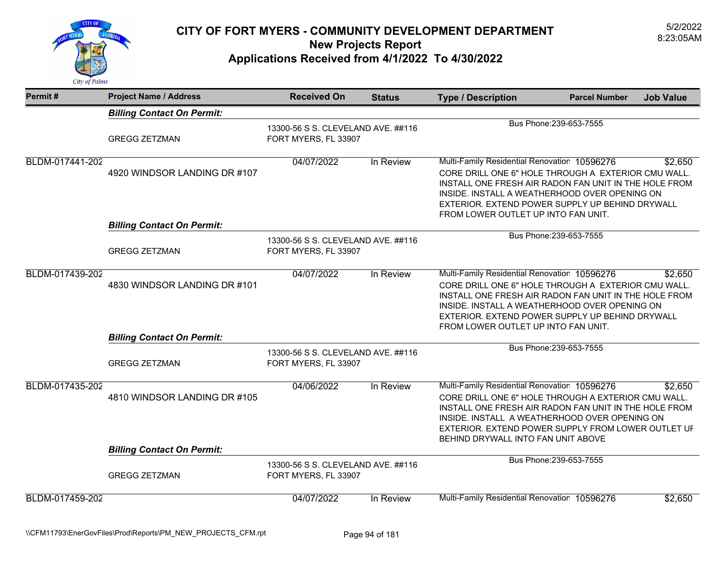

| Permit#         | <b>Project Name / Address</b>                                     | <b>Received On</b>                                         | <b>Status</b> | <b>Type / Description</b>                                                                                                                                                                                                                                                                               | <b>Parcel Number</b>    | <b>Job Value</b> |
|-----------------|-------------------------------------------------------------------|------------------------------------------------------------|---------------|---------------------------------------------------------------------------------------------------------------------------------------------------------------------------------------------------------------------------------------------------------------------------------------------------------|-------------------------|------------------|
|                 | <b>Billing Contact On Permit:</b>                                 |                                                            |               |                                                                                                                                                                                                                                                                                                         |                         |                  |
|                 | <b>GREGG ZETZMAN</b>                                              | 13300-56 S S. CLEVELAND AVE. ##116<br>FORT MYERS, FL 33907 |               |                                                                                                                                                                                                                                                                                                         | Bus Phone: 239-653-7555 |                  |
| BLDM-017441-202 | 4920 WINDSOR LANDING DR #107                                      | 04/07/2022                                                 | In Review     | Multi-Family Residential Renovation 10596276<br>CORE DRILL ONE 6" HOLE THROUGH A EXTERIOR CMU WALL.<br>INSTALL ONE FRESH AIR RADON FAN UNIT IN THE HOLE FROM<br>INSIDE. INSTALL A WEATHERHOOD OVER OPENING ON<br>EXTERIOR. EXTEND POWER SUPPLY UP BEHIND DRYWALL<br>FROM LOWER OUTLET UP INTO FAN UNIT. |                         | \$2,650          |
|                 | <b>Billing Contact On Permit:</b>                                 |                                                            |               |                                                                                                                                                                                                                                                                                                         |                         |                  |
|                 | <b>GREGG ZETZMAN</b>                                              | 13300-56 S S. CLEVELAND AVE. ##116<br>FORT MYERS, FL 33907 |               |                                                                                                                                                                                                                                                                                                         | Bus Phone: 239-653-7555 |                  |
| BLDM-017439-202 | 4830 WINDSOR LANDING DR #101<br><b>Billing Contact On Permit:</b> | 04/07/2022                                                 | In Review     | Multi-Family Residential Renovation 10596276<br>CORE DRILL ONE 6" HOLE THROUGH A EXTERIOR CMU WALL.<br>INSTALL ONE FRESH AIR RADON FAN UNIT IN THE HOLE FROM<br>INSIDE. INSTALL A WEATHERHOOD OVER OPENING ON<br>EXTERIOR. EXTEND POWER SUPPLY UP BEHIND DRYWALL<br>FROM LOWER OUTLET UP INTO FAN UNIT. |                         | \$2,650          |
|                 | <b>GREGG ZETZMAN</b>                                              | 13300-56 S S. CLEVELAND AVE. ##116<br>FORT MYERS, FL 33907 |               |                                                                                                                                                                                                                                                                                                         | Bus Phone: 239-653-7555 |                  |
| BLDM-017435-202 | 4810 WINDSOR LANDING DR #105                                      | 04/06/2022                                                 | In Review     | Multi-Family Residential Renovation 10596276<br>CORE DRILL ONE 6" HOLE THROUGH A EXTERIOR CMU WALL.<br>INSTALL ONE FRESH AIR RADON FAN UNIT IN THE HOLE FROM<br>INSIDE. INSTALL A WEATHERHOOD OVER OPENING ON<br>EXTERIOR. EXTEND POWER SUPPLY FROM LOWER OUTLET UF                                     |                         | \$2,650          |
|                 | <b>Billing Contact On Permit:</b>                                 |                                                            |               | BEHIND DRYWALL INTO FAN UNIT ABOVE                                                                                                                                                                                                                                                                      |                         |                  |
|                 | <b>GREGG ZETZMAN</b>                                              | 13300-56 S S. CLEVELAND AVE. ##116<br>FORT MYERS, FL 33907 |               |                                                                                                                                                                                                                                                                                                         | Bus Phone: 239-653-7555 |                  |
| BLDM-017459-202 |                                                                   | 04/07/2022                                                 | In Review     | Multi-Family Residential Renovation 10596276                                                                                                                                                                                                                                                            |                         | \$2,650          |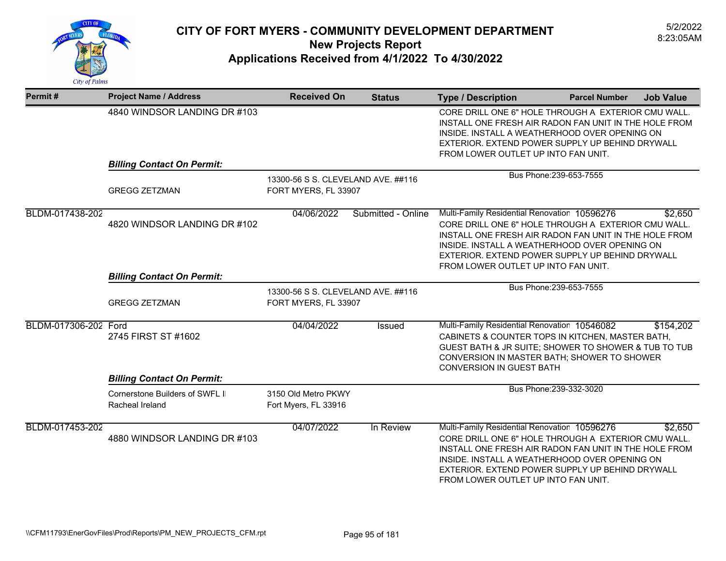

| Permit#              | <b>Project Name / Address</b>                            | <b>Received On</b>                                         | <b>Status</b>      | <b>Type / Description</b>                                                                                                                                                                                                                                                                               | <b>Parcel Number</b>    | <b>Job Value</b> |
|----------------------|----------------------------------------------------------|------------------------------------------------------------|--------------------|---------------------------------------------------------------------------------------------------------------------------------------------------------------------------------------------------------------------------------------------------------------------------------------------------------|-------------------------|------------------|
|                      | 4840 WINDSOR LANDING DR #103                             |                                                            |                    | CORE DRILL ONE 6" HOLE THROUGH A EXTERIOR CMU WALL.<br>INSTALL ONE FRESH AIR RADON FAN UNIT IN THE HOLE FROM<br>INSIDE. INSTALL A WEATHERHOOD OVER OPENING ON<br>EXTERIOR. EXTEND POWER SUPPLY UP BEHIND DRYWALL<br>FROM LOWER OUTLET UP INTO FAN UNIT.                                                 |                         |                  |
|                      | <b>Billing Contact On Permit:</b>                        |                                                            |                    |                                                                                                                                                                                                                                                                                                         | Bus Phone: 239-653-7555 |                  |
|                      | <b>GREGG ZETZMAN</b>                                     | 13300-56 S S. CLEVELAND AVE. ##116<br>FORT MYERS, FL 33907 |                    |                                                                                                                                                                                                                                                                                                         |                         |                  |
| BLDM-017438-202      | 4820 WINDSOR LANDING DR #102                             | 04/06/2022                                                 | Submitted - Online | Multi-Family Residential Renovation 10596276<br>CORE DRILL ONE 6" HOLE THROUGH A EXTERIOR CMU WALL.<br>INSTALL ONE FRESH AIR RADON FAN UNIT IN THE HOLE FROM<br>INSIDE. INSTALL A WEATHERHOOD OVER OPENING ON<br>EXTERIOR, EXTEND POWER SUPPLY UP BEHIND DRYWALL<br>FROM LOWER OUTLET UP INTO FAN UNIT. |                         | \$2,650          |
|                      | <b>Billing Contact On Permit:</b>                        |                                                            |                    |                                                                                                                                                                                                                                                                                                         |                         |                  |
|                      | <b>GREGG ZETZMAN</b>                                     | 13300-56 S S. CLEVELAND AVE. ##116<br>FORT MYERS, FL 33907 |                    |                                                                                                                                                                                                                                                                                                         | Bus Phone: 239-653-7555 |                  |
| BLDM-017306-202 Ford | 2745 FIRST ST #1602<br><b>Billing Contact On Permit:</b> | 04/04/2022                                                 | <b>Issued</b>      | Multi-Family Residential Renovation 10546082<br>CABINETS & COUNTER TOPS IN KITCHEN, MASTER BATH,<br>GUEST BATH & JR SUITE; SHOWER TO SHOWER & TUB TO TUB<br>CONVERSION IN MASTER BATH; SHOWER TO SHOWER<br><b>CONVERSION IN GUEST BATH</b>                                                              |                         | \$154,202        |
|                      | Cornerstone Builders of SWFL II<br>Racheal Ireland       | 3150 Old Metro PKWY<br>Fort Myers, FL 33916                |                    |                                                                                                                                                                                                                                                                                                         | Bus Phone: 239-332-3020 |                  |
| BLDM-017453-202      | 4880 WINDSOR LANDING DR #103                             | 04/07/2022                                                 | In Review          | Multi-Family Residential Renovation 10596276<br>CORE DRILL ONE 6" HOLE THROUGH A EXTERIOR CMU WALL.<br>INSTALL ONE FRESH AIR RADON FAN UNIT IN THE HOLE FROM<br>INSIDE. INSTALL A WEATHERHOOD OVER OPENING ON<br>EXTERIOR. EXTEND POWER SUPPLY UP BEHIND DRYWALL<br>FROM LOWER OUTLET UP INTO FAN UNIT. |                         | \$2,650          |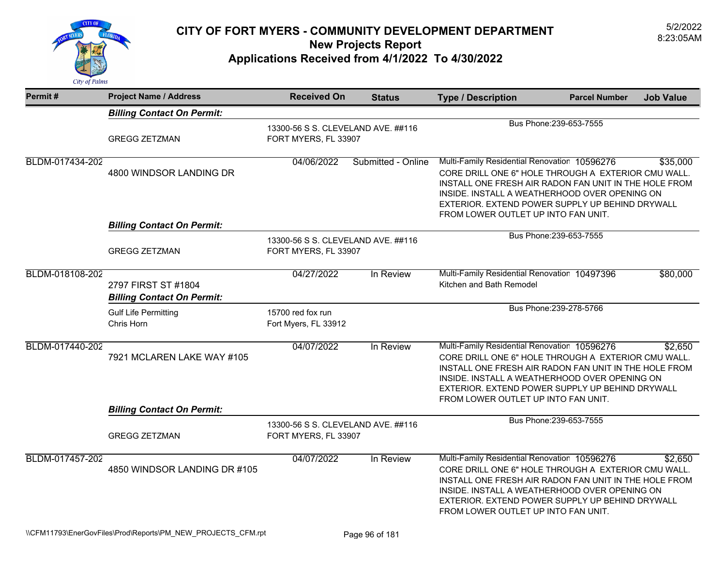

| Permit#         | <b>Project Name / Address</b>                                   | <b>Received On</b>                                         | <b>Status</b>      | <b>Type / Description</b>                                                                                                                                                                                                                                                                                           | <b>Parcel Number</b>    | <b>Job Value</b> |
|-----------------|-----------------------------------------------------------------|------------------------------------------------------------|--------------------|---------------------------------------------------------------------------------------------------------------------------------------------------------------------------------------------------------------------------------------------------------------------------------------------------------------------|-------------------------|------------------|
|                 | <b>Billing Contact On Permit:</b>                               |                                                            |                    |                                                                                                                                                                                                                                                                                                                     |                         |                  |
|                 | <b>GREGG ZETZMAN</b>                                            | 13300-56 S S. CLEVELAND AVE. ##116<br>FORT MYERS, FL 33907 |                    |                                                                                                                                                                                                                                                                                                                     | Bus Phone: 239-653-7555 |                  |
| BLDM-017434-202 | 4800 WINDSOR LANDING DR                                         | 04/06/2022                                                 | Submitted - Online | Multi-Family Residential Renovation 10596276<br>\$35,000<br>CORE DRILL ONE 6" HOLE THROUGH A EXTERIOR CMU WALL.<br>INSTALL ONE FRESH AIR RADON FAN UNIT IN THE HOLE FROM<br>INSIDE. INSTALL A WEATHERHOOD OVER OPENING ON<br>EXTERIOR, EXTEND POWER SUPPLY UP BEHIND DRYWALL<br>FROM LOWER OUTLET UP INTO FAN UNIT. |                         |                  |
|                 | <b>Billing Contact On Permit:</b>                               |                                                            |                    |                                                                                                                                                                                                                                                                                                                     |                         |                  |
|                 | <b>GREGG ZETZMAN</b>                                            | 13300-56 S S. CLEVELAND AVE. ##116<br>FORT MYERS, FL 33907 |                    |                                                                                                                                                                                                                                                                                                                     | Bus Phone: 239-653-7555 |                  |
| BLDM-018108-202 | 2797 FIRST ST #1804<br><b>Billing Contact On Permit:</b>        | 04/27/2022                                                 | In Review          | Multi-Family Residential Renovation 10497396<br>Kitchen and Bath Remodel                                                                                                                                                                                                                                            |                         | \$80,000         |
|                 | <b>Gulf Life Permitting</b><br>Chris Horn                       | 15700 red fox run<br>Fort Myers, FL 33912                  |                    |                                                                                                                                                                                                                                                                                                                     | Bus Phone: 239-278-5766 |                  |
| BLDM-017440-202 | 7921 MCLAREN LAKE WAY #105<br><b>Billing Contact On Permit:</b> | 04/07/2022                                                 | In Review          | Multi-Family Residential Renovation 10596276<br>CORE DRILL ONE 6" HOLE THROUGH A EXTERIOR CMU WALL.<br>INSTALL ONE FRESH AIR RADON FAN UNIT IN THE HOLE FROM<br>INSIDE. INSTALL A WEATHERHOOD OVER OPENING ON<br>EXTERIOR. EXTEND POWER SUPPLY UP BEHIND DRYWALL<br>FROM LOWER OUTLET UP INTO FAN UNIT.             |                         | \$2,650          |
|                 | <b>GREGG ZETZMAN</b>                                            | 13300-56 S S. CLEVELAND AVE. ##116<br>FORT MYERS, FL 33907 |                    |                                                                                                                                                                                                                                                                                                                     | Bus Phone: 239-653-7555 |                  |
| BLDM-017457-202 | 4850 WINDSOR LANDING DR #105                                    | 04/07/2022                                                 | In Review          | Multi-Family Residential Renovation 10596276<br>CORE DRILL ONE 6" HOLE THROUGH A EXTERIOR CMU WALL.<br>INSTALL ONE FRESH AIR RADON FAN UNIT IN THE HOLE FROM<br>INSIDE. INSTALL A WEATHERHOOD OVER OPENING ON<br>EXTERIOR. EXTEND POWER SUPPLY UP BEHIND DRYWALL<br>FROM LOWER OUTLET UP INTO FAN UNIT.             |                         | \$2,650          |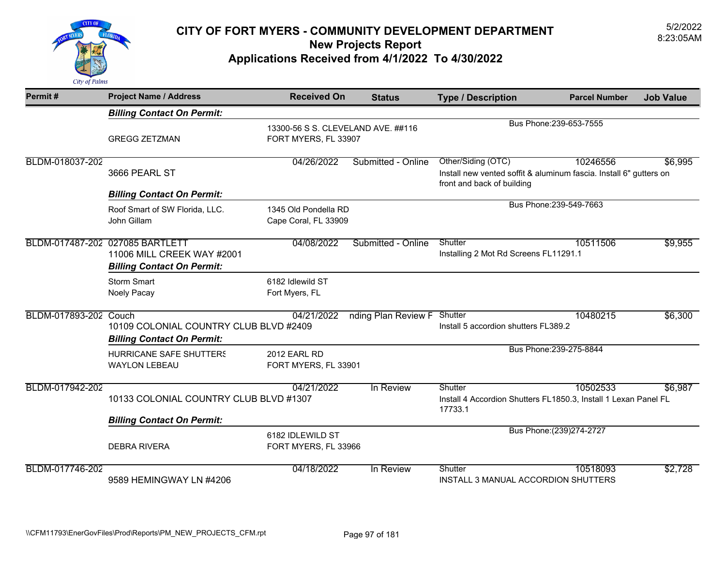

| Permit#               | <b>Project Name / Address</b>                                                                      | <b>Received On</b>                                         | <b>Status</b>       | <b>Type / Description</b>                                                                                              | <b>Parcel Number</b>      | <b>Job Value</b> |
|-----------------------|----------------------------------------------------------------------------------------------------|------------------------------------------------------------|---------------------|------------------------------------------------------------------------------------------------------------------------|---------------------------|------------------|
|                       | <b>Billing Contact On Permit:</b>                                                                  |                                                            |                     |                                                                                                                        |                           |                  |
|                       | <b>GREGG ZETZMAN</b>                                                                               | 13300-56 S S. CLEVELAND AVE. ##116<br>FORT MYERS, FL 33907 |                     |                                                                                                                        | Bus Phone: 239-653-7555   |                  |
| BLDM-018037-202       | 3666 PEARL ST                                                                                      | 04/26/2022                                                 | Submitted - Online  | Other/Siding (OTC)<br>Install new vented soffit & aluminum fascia. Install 6" gutters on<br>front and back of building | 10246556                  | \$6,995          |
|                       | <b>Billing Contact On Permit:</b>                                                                  |                                                            |                     | Bus Phone: 239-549-7663                                                                                                |                           |                  |
|                       | Roof Smart of SW Florida, LLC.<br>John Gillam                                                      | 1345 Old Pondella RD<br>Cape Coral, FL 33909               |                     |                                                                                                                        |                           |                  |
|                       | BLDM-017487-202 027085 BARTLETT<br>11006 MILL CREEK WAY #2001<br><b>Billing Contact On Permit:</b> | 04/08/2022                                                 | Submitted - Online  | Shutter<br>Installing 2 Mot Rd Screens FL11291.1                                                                       | 10511506                  | \$9,955          |
|                       | <b>Storm Smart</b><br>Noely Pacay                                                                  | 6182 Idlewild ST<br>Fort Myers, FL                         |                     |                                                                                                                        |                           |                  |
| BLDM-017893-202 Couch | 10109 COLONIAL COUNTRY CLUB BLVD #2409<br><b>Billing Contact On Permit:</b>                        | 04/21/2022                                                 | nding Plan Review F | Shutter<br>Install 5 accordion shutters FL389.2                                                                        | 10480215                  | \$6,300          |
|                       | <b>HURRICANE SAFE SHUTTERS</b><br><b>WAYLON LEBEAU</b>                                             | <b>2012 EARL RD</b><br>FORT MYERS, FL 33901                |                     |                                                                                                                        | Bus Phone: 239-275-8844   |                  |
| BLDM-017942-202       | 10133 COLONIAL COUNTRY CLUB BLVD #1307                                                             | 04/21/2022                                                 | In Review           | Shutter<br>Install 4 Accordion Shutters FL1850.3, Install 1 Lexan Panel FL<br>17733.1                                  | 10502533                  | \$6,987          |
|                       | <b>Billing Contact On Permit:</b>                                                                  |                                                            |                     |                                                                                                                        |                           |                  |
|                       | <b>DEBRA RIVERA</b>                                                                                | 6182 IDLEWILD ST<br>FORT MYERS, FL 33966                   |                     |                                                                                                                        | Bus Phone: (239) 274-2727 |                  |
| BLDM-017746-202       | 9589 HEMINGWAY LN #4206                                                                            | 04/18/2022                                                 | In Review           | Shutter<br>INSTALL 3 MANUAL ACCORDION SHUTTERS                                                                         | 10518093                  | \$2,728          |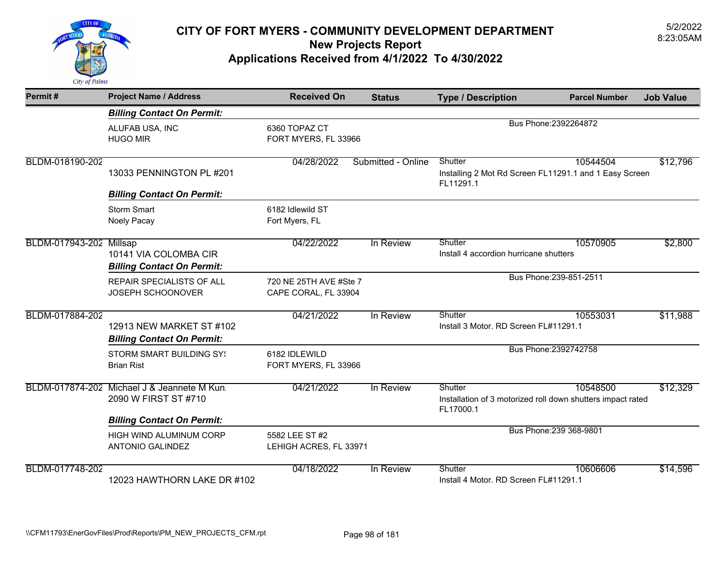

| Permit#                 | <b>Project Name / Address</b>                                      | <b>Received On</b>                             | <b>Status</b>      | <b>Type / Description</b>                                                           | <b>Parcel Number</b>    | <b>Job Value</b> |
|-------------------------|--------------------------------------------------------------------|------------------------------------------------|--------------------|-------------------------------------------------------------------------------------|-------------------------|------------------|
|                         | <b>Billing Contact On Permit:</b>                                  |                                                |                    |                                                                                     |                         |                  |
|                         | ALUFAB USA, INC<br><b>HUGO MIR</b>                                 | 6360 TOPAZ CT<br>FORT MYERS, FL 33966          |                    |                                                                                     | Bus Phone: 2392264872   |                  |
| BLDM-018190-202         | 13033 PENNINGTON PL #201                                           | 04/28/2022                                     | Submitted - Online | Shutter<br>Installing 2 Mot Rd Screen FL11291.1 and 1 Easy Screen<br>FL11291.1      | 10544504                | \$12,796         |
|                         | <b>Billing Contact On Permit:</b>                                  |                                                |                    |                                                                                     |                         |                  |
|                         | <b>Storm Smart</b><br>Noely Pacay                                  | 6182 Idlewild ST<br>Fort Myers, FL             |                    |                                                                                     |                         |                  |
| BLDM-017943-202 Millsap | 10141 VIA COLOMBA CIR<br><b>Billing Contact On Permit:</b>         | 04/22/2022                                     | In Review          | Shutter<br>Install 4 accordion hurricane shutters                                   | 10570905                | \$2,800          |
|                         | REPAIR SPECIALISTS OF ALL<br>JOSEPH SCHOONOVER                     | 720 NE 25TH AVE #Ste 7<br>CAPE CORAL, FL 33904 |                    |                                                                                     | Bus Phone: 239-851-2511 |                  |
| BLDM-017884-202         | 12913 NEW MARKET ST #102<br><b>Billing Contact On Permit:</b>      | 04/21/2022                                     | In Review          | Shutter<br>Install 3 Motor. RD Screen FL#11291.1                                    | 10553031                | \$11,988         |
|                         | <b>STORM SMART BUILDING SY!</b><br><b>Brian Rist</b>               | 6182 IDLEWILD<br>FORT MYERS, FL 33966          |                    |                                                                                     | Bus Phone: 2392742758   |                  |
|                         | BLDM-017874-202 Michael J & Jeannete M Kun<br>2090 W FIRST ST #710 | 04/21/2022                                     | In Review          | Shutter<br>Installation of 3 motorized roll down shutters impact rated<br>FL17000.1 | 10548500                | \$12,329         |
|                         | <b>Billing Contact On Permit:</b>                                  |                                                |                    |                                                                                     | Bus Phone: 239 368-9801 |                  |
|                         | HIGH WIND ALUMINUM CORP<br><b>ANTONIO GALINDEZ</b>                 | 5582 LEE ST #2<br>LEHIGH ACRES, FL 33971       |                    |                                                                                     |                         |                  |
| BLDM-017748-202         | 12023 HAWTHORN LAKE DR #102                                        | 04/18/2022                                     | In Review          | Shutter<br>Install 4 Motor. RD Screen FL#11291.1                                    | 10606606                | \$14,596         |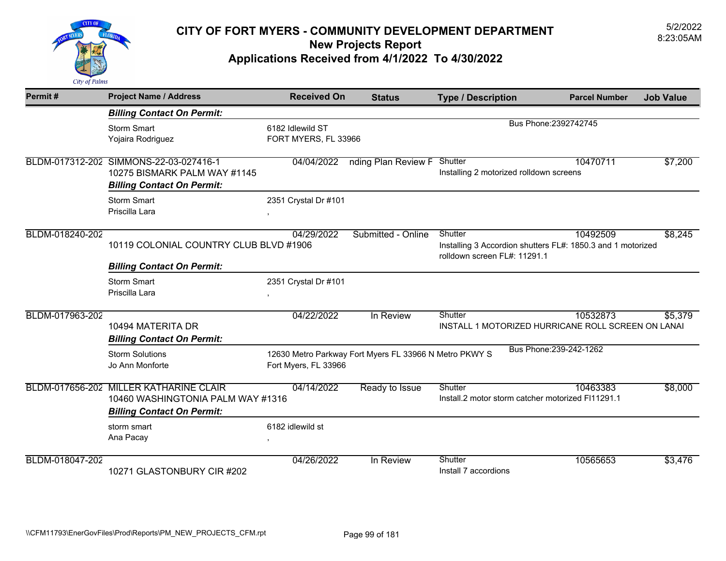

| Permit#         | <b>Project Name / Address</b>                                                                                    | <b>Received On</b>                       | <b>Status</b>                                          | <b>Type / Description</b>                                                                              | <b>Parcel Number</b>    | <b>Job Value</b> |
|-----------------|------------------------------------------------------------------------------------------------------------------|------------------------------------------|--------------------------------------------------------|--------------------------------------------------------------------------------------------------------|-------------------------|------------------|
|                 | <b>Billing Contact On Permit:</b>                                                                                |                                          |                                                        |                                                                                                        |                         |                  |
|                 | <b>Storm Smart</b><br>Yojaira Rodriguez                                                                          | 6182 Idlewild ST<br>FORT MYERS, FL 33966 |                                                        |                                                                                                        | Bus Phone: 2392742745   |                  |
|                 | BLDM-017312-202 SIMMONS-22-03-027416-1<br>10275 BISMARK PALM WAY #1145<br><b>Billing Contact On Permit:</b>      | 04/04/2022                               | nding Plan Review F Shutter                            | Installing 2 motorized rolldown screens                                                                | 10470711                | \$7,200          |
|                 | <b>Storm Smart</b><br>Priscilla Lara                                                                             | 2351 Crystal Dr #101                     |                                                        |                                                                                                        |                         |                  |
| BLDM-018240-202 | 10119 COLONIAL COUNTRY CLUB BLVD #1906                                                                           | 04/29/2022                               | Submitted - Online                                     | Shutter<br>Installing 3 Accordion shutters FL#: 1850.3 and 1 motorized<br>rolldown screen FL#: 11291.1 | 10492509                | \$8,245          |
|                 | <b>Billing Contact On Permit:</b>                                                                                |                                          |                                                        |                                                                                                        |                         |                  |
|                 | <b>Storm Smart</b><br>Priscilla Lara                                                                             | 2351 Crystal Dr #101                     |                                                        |                                                                                                        |                         |                  |
| BLDM-017963-202 | 10494 MATERITA DR<br><b>Billing Contact On Permit:</b>                                                           | 04/22/2022                               | In Review                                              | Shutter<br>INSTALL 1 MOTORIZED HURRICANE ROLL SCREEN ON LANAI                                          | 10532873                | \$5,379          |
|                 | <b>Storm Solutions</b><br>Jo Ann Monforte                                                                        | Fort Myers, FL 33966                     | 12630 Metro Parkway Fort Myers FL 33966 N Metro PKWY S |                                                                                                        | Bus Phone: 239-242-1262 |                  |
|                 | BLDM-017656-202 MILLER KATHARINE CLAIR<br>10460 WASHINGTONIA PALM WAY #1316<br><b>Billing Contact On Permit:</b> | 04/14/2022                               | Ready to Issue                                         | Shutter<br>Install.2 motor storm catcher motorized FI11291.1                                           | 10463383                | \$8,000          |
|                 | storm smart<br>Ana Pacay                                                                                         | 6182 idlewild st                         |                                                        |                                                                                                        |                         |                  |
| BLDM-018047-202 | 10271 GLASTONBURY CIR #202                                                                                       | 04/26/2022                               | In Review                                              | Shutter<br>Install 7 accordions                                                                        | 10565653                | \$3,476          |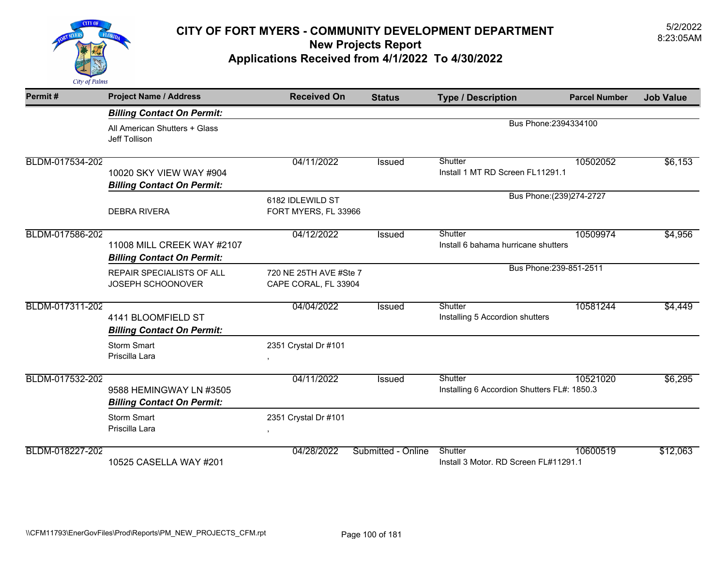

| Permit#         | <b>Project Name / Address</b>                                   | <b>Received On</b>                             | <b>Status</b>      | <b>Type / Description</b>                              | <b>Parcel Number</b>      | <b>Job Value</b> |
|-----------------|-----------------------------------------------------------------|------------------------------------------------|--------------------|--------------------------------------------------------|---------------------------|------------------|
|                 | <b>Billing Contact On Permit:</b>                               |                                                |                    |                                                        |                           |                  |
|                 | All American Shutters + Glass<br>Jeff Tollison                  |                                                |                    | Bus Phone: 2394334100                                  |                           |                  |
| BLDM-017534-202 | 10020 SKY VIEW WAY #904<br><b>Billing Contact On Permit:</b>    | 04/11/2022                                     | Issued             | Shutter<br>Install 1 MT RD Screen FL11291.1            | 10502052                  | \$6,153          |
|                 | <b>DEBRA RIVERA</b>                                             | 6182 IDLEWILD ST<br>FORT MYERS, FL 33966       |                    |                                                        | Bus Phone: (239) 274-2727 |                  |
| BLDM-017586-202 | 11008 MILL CREEK WAY #2107<br><b>Billing Contact On Permit:</b> | 04/12/2022                                     | <b>Issued</b>      | Shutter<br>Install 6 bahama hurricane shutters         | 10509974                  | \$4,956          |
|                 | REPAIR SPECIALISTS OF ALL<br>JOSEPH SCHOONOVER                  | 720 NE 25TH AVE #Ste 7<br>CAPE CORAL, FL 33904 |                    | Bus Phone: 239-851-2511                                |                           |                  |
| BLDM-017311-202 | 4141 BLOOMFIELD ST<br><b>Billing Contact On Permit:</b>         | 04/04/2022                                     | <b>Issued</b>      | Shutter<br>Installing 5 Accordion shutters             | 10581244                  | \$4,449          |
|                 | <b>Storm Smart</b><br>Priscilla Lara                            | 2351 Crystal Dr #101                           |                    |                                                        |                           |                  |
| BLDM-017532-202 | 9588 HEMINGWAY LN #3505<br><b>Billing Contact On Permit:</b>    | 04/11/2022                                     | Issued             | Shutter<br>Installing 6 Accordion Shutters FL#: 1850.3 | 10521020                  | \$6,295          |
|                 | <b>Storm Smart</b><br>Priscilla Lara                            | 2351 Crystal Dr #101                           |                    |                                                        |                           |                  |
| BLDM-018227-202 | 10525 CASELLA WAY #201                                          | 04/28/2022                                     | Submitted - Online | Shutter<br>Install 3 Motor. RD Screen FL#11291.1       | 10600519                  | \$12,063         |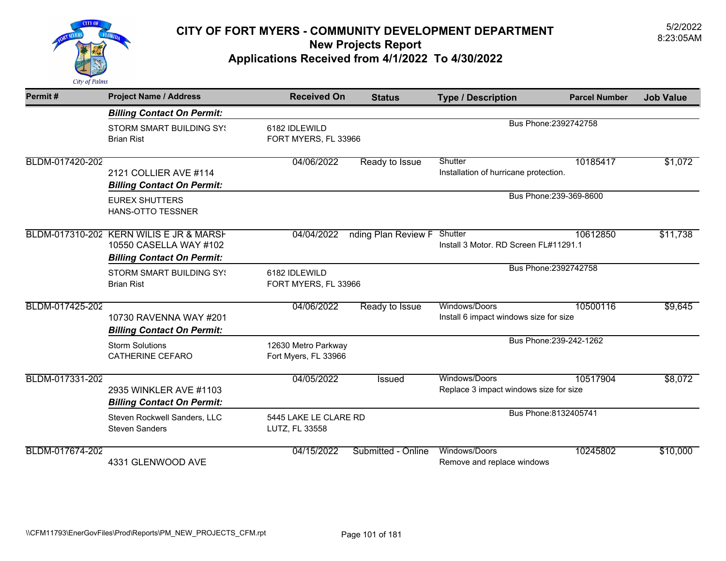

| Permit#         | <b>Project Name / Address</b>                                                                          | <b>Received On</b>                          | <b>Status</b>               | <b>Type / Description</b>                               | <b>Parcel Number</b> | <b>Job Value</b> |
|-----------------|--------------------------------------------------------------------------------------------------------|---------------------------------------------|-----------------------------|---------------------------------------------------------|----------------------|------------------|
|                 | <b>Billing Contact On Permit:</b>                                                                      |                                             |                             |                                                         |                      |                  |
|                 | <b>STORM SMART BUILDING SY!</b><br><b>Brian Rist</b>                                                   | 6182 IDLEWILD<br>FORT MYERS, FL 33966       |                             | Bus Phone: 2392742758                                   |                      |                  |
| BLDM-017420-202 | 2121 COLLIER AVE #114<br><b>Billing Contact On Permit:</b>                                             | 04/06/2022                                  | Ready to Issue              | Shutter<br>Installation of hurricane protection.        | 10185417             | \$1,072          |
|                 | <b>EUREX SHUTTERS</b><br><b>HANS-OTTO TESSNER</b>                                                      |                                             |                             | Bus Phone: 239-369-8600                                 |                      |                  |
|                 | BLDM-017310-202 KERN WILIS E JR & MARSH<br>10550 CASELLA WAY #102<br><b>Billing Contact On Permit:</b> | 04/04/2022                                  | nding Plan Review F Shutter | Install 3 Motor, RD Screen FL#11291.1                   | 10612850             | \$11,738         |
|                 | <b>STORM SMART BUILDING SY!</b><br><b>Brian Rist</b>                                                   | 6182 IDLEWILD<br>FORT MYERS, FL 33966       |                             | Bus Phone: 2392742758                                   |                      |                  |
| BLDM-017425-202 | 10730 RAVENNA WAY #201<br><b>Billing Contact On Permit:</b>                                            | 04/06/2022                                  | Ready to Issue              | Windows/Doors<br>Install 6 impact windows size for size | 10500116             | \$9,645          |
|                 | <b>Storm Solutions</b><br><b>CATHERINE CEFARO</b>                                                      | 12630 Metro Parkway<br>Fort Myers, FL 33966 |                             | Bus Phone: 239-242-1262                                 |                      |                  |
| BLDM-017331-202 | 2935 WINKLER AVE #1103<br><b>Billing Contact On Permit:</b>                                            | 04/05/2022                                  | Issued                      | Windows/Doors<br>Replace 3 impact windows size for size | 10517904             | \$8,072          |
|                 | Steven Rockwell Sanders, LLC<br><b>Steven Sanders</b>                                                  | 5445 LAKE LE CLARE RD<br>LUTZ, FL 33558     |                             | Bus Phone: 8132405741                                   |                      |                  |
| BLDM-017674-202 | 4331 GLENWOOD AVE                                                                                      | 04/15/2022                                  | Submitted - Online          | Windows/Doors<br>Remove and replace windows             | 10245802             | \$10,000         |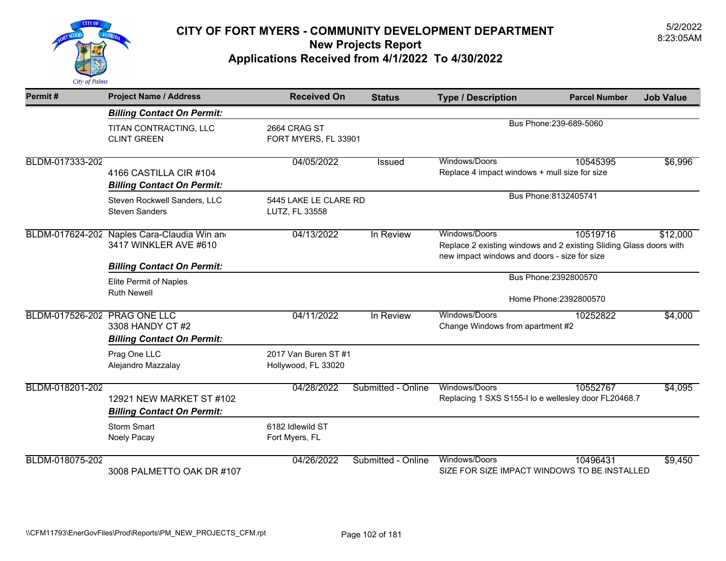

| Permit#                      | <b>Project Name / Address</b>                                        | <b>Received On</b>                          | <b>Status</b>      | <b>Type / Description</b>                                                                                                           | <b>Parcel Number</b>    | <b>Job Value</b> |
|------------------------------|----------------------------------------------------------------------|---------------------------------------------|--------------------|-------------------------------------------------------------------------------------------------------------------------------------|-------------------------|------------------|
|                              | <b>Billing Contact On Permit:</b>                                    |                                             |                    |                                                                                                                                     |                         |                  |
|                              | TITAN CONTRACTING, LLC<br><b>CLINT GREEN</b>                         | 2664 CRAG ST<br>FORT MYERS, FL 33901        |                    |                                                                                                                                     | Bus Phone: 239-689-5060 |                  |
| BLDM-017333-202              | 4166 CASTILLA CIR #104<br><b>Billing Contact On Permit:</b>          | 04/05/2022                                  | <b>Issued</b>      | Windows/Doors<br>Replace 4 impact windows + mull size for size                                                                      | 10545395                | \$6,996          |
|                              | Steven Rockwell Sanders, LLC<br><b>Steven Sanders</b>                | 5445 LAKE LE CLARE RD<br>LUTZ, FL 33558     |                    |                                                                                                                                     | Bus Phone: 8132405741   |                  |
|                              | BLDM-017624-202 Naples Cara-Claudia Win and<br>3417 WINKLER AVE #610 | 04/13/2022                                  | In Review          | Windows/Doors<br>Replace 2 existing windows and 2 existing Sliding Glass doors with<br>new impact windows and doors - size for size | 10519716                | \$12,000         |
|                              | <b>Billing Contact On Permit:</b>                                    |                                             |                    |                                                                                                                                     | Bus Phone: 2392800570   |                  |
|                              | Elite Permit of Naples<br><b>Ruth Newell</b>                         |                                             |                    |                                                                                                                                     | Home Phone: 2392800570  |                  |
| BLDM-017526-202 PRAG ONE LLC | 3308 HANDY CT #2<br><b>Billing Contact On Permit:</b>                | 04/11/2022                                  | In Review          | Windows/Doors<br>Change Windows from apartment #2                                                                                   | 10252822                | \$4,000          |
|                              | Prag One LLC<br>Alejandro Mazzalay                                   | 2017 Van Buren ST #1<br>Hollywood, FL 33020 |                    |                                                                                                                                     |                         |                  |
| BLDM-018201-202              | 12921 NEW MARKET ST #102<br><b>Billing Contact On Permit:</b>        | 04/28/2022                                  | Submitted - Online | Windows/Doors<br>Replacing 1 SXS S155-I lo e wellesley door FL20468.7                                                               | 10552767                | \$4,095          |
|                              | <b>Storm Smart</b><br>Noely Pacay                                    | 6182 Idlewild ST<br>Fort Myers, FL          |                    |                                                                                                                                     |                         |                  |
| BLDM-018075-202              | 3008 PALMETTO OAK DR #107                                            | 04/26/2022                                  | Submitted - Online | Windows/Doors<br>SIZE FOR SIZE IMPACT WINDOWS TO BE INSTALLED                                                                       | 10496431                | \$9,450          |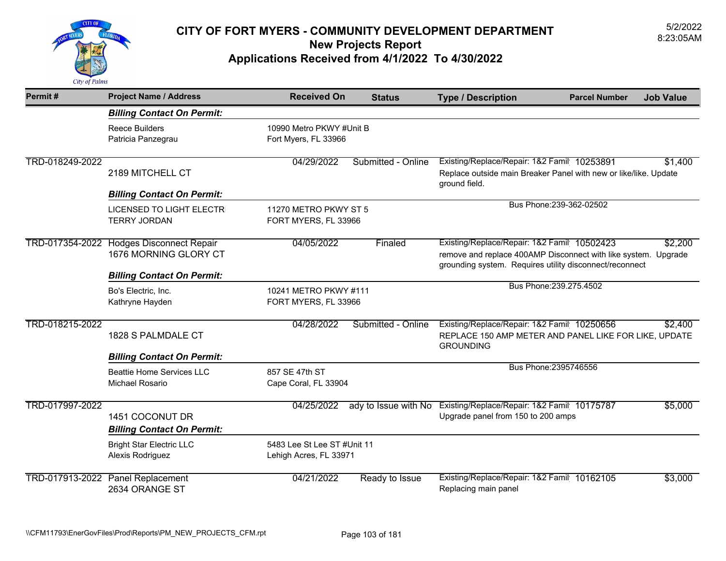

| Permit#         | <b>Project Name / Address</b>                                                            | <b>Received On</b>                                    | <b>Status</b>        | <b>Type / Description</b>                                                                                                                                                | <b>Parcel Number</b>     | <b>Job Value</b> |
|-----------------|------------------------------------------------------------------------------------------|-------------------------------------------------------|----------------------|--------------------------------------------------------------------------------------------------------------------------------------------------------------------------|--------------------------|------------------|
|                 | <b>Billing Contact On Permit:</b>                                                        |                                                       |                      |                                                                                                                                                                          |                          |                  |
|                 | Reece Builders<br>Patricia Panzegrau                                                     | 10990 Metro PKWY #Unit B<br>Fort Myers, FL 33966      |                      |                                                                                                                                                                          |                          |                  |
| TRD-018249-2022 | 2189 MITCHELL CT                                                                         | 04/29/2022                                            | Submitted - Online   | Existing/Replace/Repair: 1&2 Famil 10253891<br>Replace outside main Breaker Panel with new or like/like. Update<br>ground field.                                         |                          | \$1,400          |
|                 | <b>Billing Contact On Permit:</b>                                                        |                                                       |                      |                                                                                                                                                                          |                          |                  |
|                 | <b>LICENSED TO LIGHT ELECTR</b><br><b>TERRY JORDAN</b>                                   | 11270 METRO PKWY ST 5<br>FORT MYERS, FL 33966         |                      |                                                                                                                                                                          | Bus Phone: 239-362-02502 |                  |
| TRD-017354-2022 | <b>Hodges Disconnect Repair</b><br>1676 MORNING GLORY CT                                 | 04/05/2022                                            | Finaled              | Existing/Replace/Repair: 1&2 Famil 10502423<br>remove and replace 400AMP Disconnect with like system. Upgrade<br>grounding system. Requires utility disconnect/reconnect |                          | \$2,200          |
|                 | <b>Billing Contact On Permit:</b>                                                        |                                                       |                      |                                                                                                                                                                          | Bus Phone: 239.275.4502  |                  |
|                 | Bo's Electric, Inc.<br>Kathryne Hayden                                                   | 10241 METRO PKWY #111<br>FORT MYERS, FL 33966         |                      |                                                                                                                                                                          |                          |                  |
| TRD-018215-2022 | 1828 S PALMDALE CT                                                                       | 04/28/2022                                            | Submitted - Online   | Existing/Replace/Repair: 1&2 Famil 10250656<br>REPLACE 150 AMP METER AND PANEL LIKE FOR LIKE, UPDATE<br><b>GROUNDING</b>                                                 |                          | \$2,400          |
|                 | <b>Billing Contact On Permit:</b><br><b>Beattie Home Services LLC</b><br>Michael Rosario | 857 SE 47th ST<br>Cape Coral, FL 33904                |                      |                                                                                                                                                                          | Bus Phone: 2395746556    |                  |
| TRD-017997-2022 | 1451 COCONUT DR<br><b>Billing Contact On Permit:</b>                                     | 04/25/2022                                            | ady to Issue with No | Existing/Replace/Repair: 1&2 Famil 10175787<br>Upgrade panel from 150 to 200 amps                                                                                        |                          | \$5,000          |
|                 | <b>Bright Star Electric LLC</b><br>Alexis Rodriguez                                      | 5483 Lee St Lee ST #Unit 11<br>Lehigh Acres, FL 33971 |                      |                                                                                                                                                                          |                          |                  |
| TRD-017913-2022 | <b>Panel Replacement</b><br>2634 ORANGE ST                                               | 04/21/2022                                            | Ready to Issue       | Existing/Replace/Repair: 1&2 Famil 10162105<br>Replacing main panel                                                                                                      |                          | \$3,000          |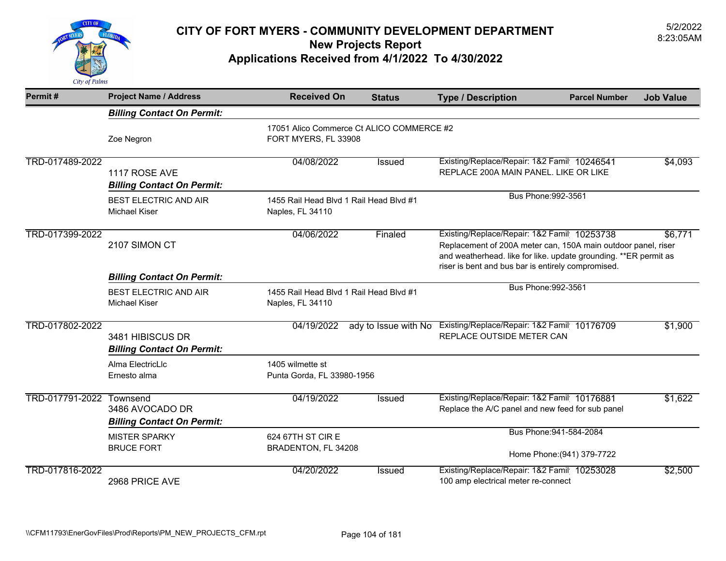

| Permit#                  | <b>Project Name / Address</b>                         | <b>Received On</b>                                          | <b>Status</b>                             | <b>Type / Description</b>                                                                                                                                                                                                                          | <b>Parcel Number</b>                                  | <b>Job Value</b> |
|--------------------------|-------------------------------------------------------|-------------------------------------------------------------|-------------------------------------------|----------------------------------------------------------------------------------------------------------------------------------------------------------------------------------------------------------------------------------------------------|-------------------------------------------------------|------------------|
|                          | <b>Billing Contact On Permit:</b>                     |                                                             |                                           |                                                                                                                                                                                                                                                    |                                                       |                  |
|                          | Zoe Negron                                            | FORT MYERS, FL 33908                                        | 17051 Alico Commerce Ct ALICO COMMERCE #2 |                                                                                                                                                                                                                                                    |                                                       |                  |
| TRD-017489-2022          | 1117 ROSE AVE<br><b>Billing Contact On Permit:</b>    | 04/08/2022                                                  | Issued                                    | Existing/Replace/Repair: 1&2 Famil 10246541<br>REPLACE 200A MAIN PANEL. LIKE OR LIKE                                                                                                                                                               |                                                       | \$4,093          |
|                          | <b>BEST ELECTRIC AND AIR</b><br><b>Michael Kiser</b>  | 1455 Rail Head Blvd 1 Rail Head Blvd #1<br>Naples, FL 34110 |                                           | Bus Phone: 992-3561                                                                                                                                                                                                                                |                                                       |                  |
| TRD-017399-2022          | 2107 SIMON CT                                         | 04/06/2022                                                  | Finaled                                   | Existing/Replace/Repair: 1&2 Famil 10253738<br>\$6,771<br>Replacement of 200A meter can, 150A main outdoor panel, riser<br>and weatherhead. like for like. update grounding. ** ER permit as<br>riser is bent and bus bar is entirely compromised. |                                                       |                  |
|                          | <b>Billing Contact On Permit:</b>                     |                                                             |                                           |                                                                                                                                                                                                                                                    |                                                       |                  |
|                          | <b>BEST ELECTRIC AND AIR</b><br><b>Michael Kiser</b>  | 1455 Rail Head Blvd 1 Rail Head Blvd #1<br>Naples, FL 34110 |                                           | Bus Phone: 992-3561                                                                                                                                                                                                                                |                                                       |                  |
| TRD-017802-2022          | 3481 HIBISCUS DR<br><b>Billing Contact On Permit:</b> | 04/19/2022                                                  | ady to Issue with No                      | Existing/Replace/Repair: 1&2 Famil 10176709<br>REPLACE OUTSIDE METER CAN                                                                                                                                                                           |                                                       | \$1,900          |
|                          | Alma ElectricLlc<br>Ernesto alma                      | 1405 wilmette st<br>Punta Gorda, FL 33980-1956              |                                           |                                                                                                                                                                                                                                                    |                                                       |                  |
| TRD-017791-2022 Townsend | 3486 AVOCADO DR<br><b>Billing Contact On Permit:</b>  | 04/19/2022                                                  | <b>Issued</b>                             | Existing/Replace/Repair: 1&2 Famil 10176881<br>Replace the A/C panel and new feed for sub panel                                                                                                                                                    |                                                       | \$1,622          |
|                          | <b>MISTER SPARKY</b><br><b>BRUCE FORT</b>             | 624 67TH ST CIR E<br>BRADENTON, FL 34208                    |                                           |                                                                                                                                                                                                                                                    | Bus Phone: 941-584-2084<br>Home Phone: (941) 379-7722 |                  |
| TRD-017816-2022          | 2968 PRICE AVE                                        | 04/20/2022                                                  | <b>Issued</b>                             | Existing/Replace/Repair: 1&2 Famil 10253028<br>100 amp electrical meter re-connect                                                                                                                                                                 |                                                       | \$2,500          |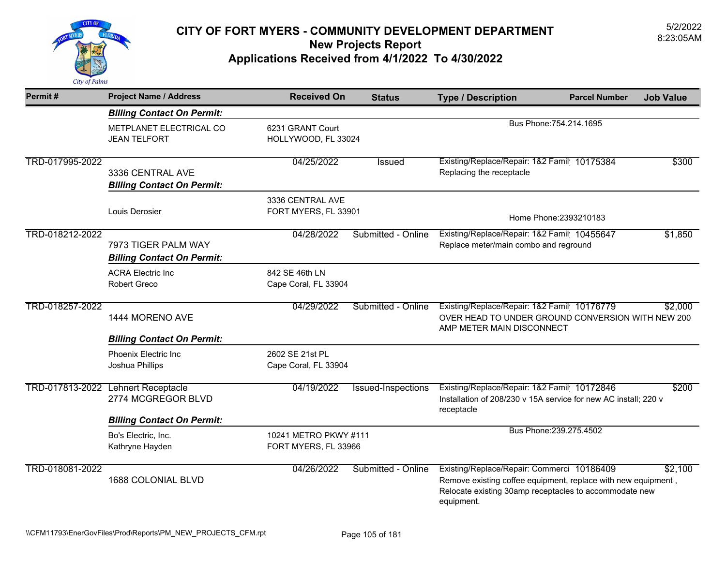

| Permit#         | <b>Project Name / Address</b>                            | <b>Received On</b>                            | <b>Status</b>      | <b>Type / Description</b>                                                                                                                                                           | <b>Parcel Number</b>    | <b>Job Value</b> |
|-----------------|----------------------------------------------------------|-----------------------------------------------|--------------------|-------------------------------------------------------------------------------------------------------------------------------------------------------------------------------------|-------------------------|------------------|
|                 | <b>Billing Contact On Permit:</b>                        |                                               |                    |                                                                                                                                                                                     |                         |                  |
|                 | METPLANET ELECTRICAL CO<br><b>JEAN TELFORT</b>           | 6231 GRANT Court<br>HOLLYWOOD, FL 33024       |                    | Bus Phone: 754.214.1695                                                                                                                                                             |                         |                  |
| TRD-017995-2022 | 3336 CENTRAL AVE<br><b>Billing Contact On Permit:</b>    | 04/25/2022                                    | Issued             | Existing/Replace/Repair: 1&2 Famil 10175384<br>Replacing the receptacle                                                                                                             |                         | \$300            |
|                 | Louis Derosier                                           | 3336 CENTRAL AVE<br>FORT MYERS, FL 33901      |                    |                                                                                                                                                                                     | Home Phone: 2393210183  |                  |
| TRD-018212-2022 | 7973 TIGER PALM WAY<br><b>Billing Contact On Permit:</b> | 04/28/2022                                    | Submitted - Online | Existing/Replace/Repair: 1&2 Famil 10455647<br>Replace meter/main combo and reground                                                                                                |                         | \$1,850          |
|                 | <b>ACRA Electric Inc</b><br><b>Robert Greco</b>          | 842 SE 46th LN<br>Cape Coral, FL 33904        |                    |                                                                                                                                                                                     |                         |                  |
| TRD-018257-2022 | 1444 MORENO AVE                                          | 04/29/2022                                    | Submitted - Online | Existing/Replace/Repair: 1&2 Famil 10176779<br>OVER HEAD TO UNDER GROUND CONVERSION WITH NEW 200<br>AMP METER MAIN DISCONNECT                                                       |                         | \$2,000          |
|                 | <b>Billing Contact On Permit:</b>                        |                                               |                    |                                                                                                                                                                                     |                         |                  |
|                 | Phoenix Electric Inc<br>Joshua Phillips                  | 2602 SE 21st PL<br>Cape Coral, FL 33904       |                    |                                                                                                                                                                                     |                         |                  |
| TRD-017813-2022 | Lehnert Receptacle<br>2774 MCGREGOR BLVD                 | 04/19/2022                                    | Issued-Inspections | Existing/Replace/Repair: 1&2 Famil 10172846<br>Installation of 208/230 v 15A service for new AC install; 220 v<br>receptacle                                                        |                         | \$200            |
|                 | <b>Billing Contact On Permit:</b>                        |                                               |                    |                                                                                                                                                                                     |                         |                  |
|                 | Bo's Electric, Inc.<br>Kathryne Hayden                   | 10241 METRO PKWY #111<br>FORT MYERS, FL 33966 |                    |                                                                                                                                                                                     | Bus Phone: 239.275.4502 |                  |
| TRD-018081-2022 | 1688 COLONIAL BLVD                                       | 04/26/2022                                    | Submitted - Online | Existing/Replace/Repair: Commerci 10186409<br>Remove existing coffee equipment, replace with new equipment,<br>Relocate existing 30amp receptacles to accommodate new<br>equipment. |                         | \$2,100          |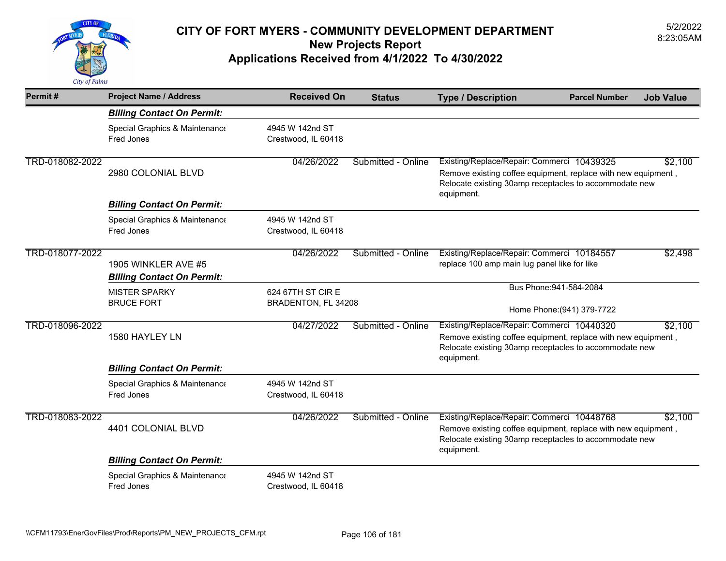

| Permit#         | <b>Project Name / Address</b>                            | <b>Received On</b>                       | <b>Status</b>      | <b>Type / Description</b>                                                                                                                                                           | <b>Parcel Number</b> | <b>Job Value</b> |
|-----------------|----------------------------------------------------------|------------------------------------------|--------------------|-------------------------------------------------------------------------------------------------------------------------------------------------------------------------------------|----------------------|------------------|
|                 | <b>Billing Contact On Permit:</b>                        |                                          |                    |                                                                                                                                                                                     |                      |                  |
|                 | Special Graphics & Maintenance<br>Fred Jones             | 4945 W 142nd ST<br>Crestwood, IL 60418   |                    |                                                                                                                                                                                     |                      |                  |
| TRD-018082-2022 | 2980 COLONIAL BLVD                                       | 04/26/2022                               | Submitted - Online | Existing/Replace/Repair: Commerci 10439325<br>Remove existing coffee equipment, replace with new equipment,<br>Relocate existing 30amp receptacles to accommodate new<br>equipment. |                      | \$2,100          |
|                 | <b>Billing Contact On Permit:</b>                        |                                          |                    |                                                                                                                                                                                     |                      |                  |
|                 | Special Graphics & Maintenance<br>Fred Jones             | 4945 W 142nd ST<br>Crestwood, IL 60418   |                    |                                                                                                                                                                                     |                      |                  |
| TRD-018077-2022 | 1905 WINKLER AVE #5<br><b>Billing Contact On Permit:</b> | 04/26/2022                               | Submitted - Online | Existing/Replace/Repair: Commerci 10184557<br>replace 100 amp main lug panel like for like                                                                                          |                      | \$2,498          |
|                 | <b>MISTER SPARKY</b><br><b>BRUCE FORT</b>                | 624 67TH ST CIR E<br>BRADENTON, FL 34208 |                    | Bus Phone: 941-584-2084<br>Home Phone: (941) 379-7722                                                                                                                               |                      |                  |
| TRD-018096-2022 | 1580 HAYLEY LN                                           | 04/27/2022                               | Submitted - Online | Existing/Replace/Repair: Commerci 10440320<br>Remove existing coffee equipment, replace with new equipment,<br>Relocate existing 30amp receptacles to accommodate new<br>equipment. |                      | \$2,100          |
|                 | <b>Billing Contact On Permit:</b>                        |                                          |                    |                                                                                                                                                                                     |                      |                  |
|                 | Special Graphics & Maintenance<br>Fred Jones             | 4945 W 142nd ST<br>Crestwood, IL 60418   |                    |                                                                                                                                                                                     |                      |                  |
| TRD-018083-2022 | 4401 COLONIAL BLVD                                       | 04/26/2022                               | Submitted - Online | Existing/Replace/Repair: Commerci 10448768<br>Remove existing coffee equipment, replace with new equipment,<br>Relocate existing 30amp receptacles to accommodate new<br>equipment. |                      | \$2,100          |
|                 | <b>Billing Contact On Permit:</b>                        |                                          |                    |                                                                                                                                                                                     |                      |                  |
|                 | Special Graphics & Maintenance<br>Fred Jones             | 4945 W 142nd ST<br>Crestwood, IL 60418   |                    |                                                                                                                                                                                     |                      |                  |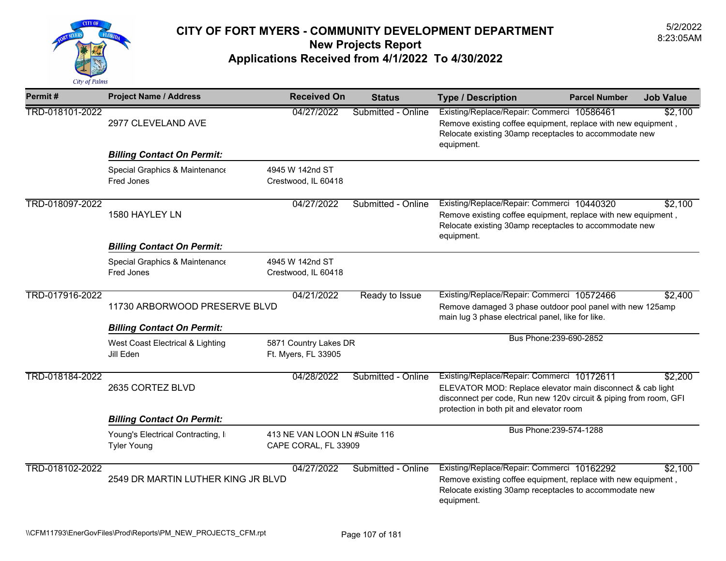

| Permit#         | <b>Project Name / Address</b>                            | <b>Received On</b>                                    | <b>Status</b>      | <b>Type / Description</b>                                                                                                                                                                                                 | <b>Parcel Number</b>    | <b>Job Value</b> |
|-----------------|----------------------------------------------------------|-------------------------------------------------------|--------------------|---------------------------------------------------------------------------------------------------------------------------------------------------------------------------------------------------------------------------|-------------------------|------------------|
| TRD-018101-2022 | 2977 CLEVELAND AVE                                       | 04/27/2022                                            | Submitted - Online | Existing/Replace/Repair: Commerci 10586461<br>Remove existing coffee equipment, replace with new equipment,<br>Relocate existing 30amp receptacles to accommodate new<br>equipment.                                       |                         | \$2,100          |
|                 | <b>Billing Contact On Permit:</b>                        |                                                       |                    |                                                                                                                                                                                                                           |                         |                  |
|                 | Special Graphics & Maintenance<br>Fred Jones             | 4945 W 142nd ST<br>Crestwood, IL 60418                |                    |                                                                                                                                                                                                                           |                         |                  |
| TRD-018097-2022 | 1580 HAYLEY LN                                           | 04/27/2022                                            | Submitted - Online | Existing/Replace/Repair: Commerci 10440320<br>Remove existing coffee equipment, replace with new equipment,<br>Relocate existing 30amp receptacles to accommodate new<br>equipment.                                       |                         | \$2,100          |
|                 | <b>Billing Contact On Permit:</b>                        |                                                       |                    |                                                                                                                                                                                                                           |                         |                  |
|                 | Special Graphics & Maintenance<br>Fred Jones             | 4945 W 142nd ST<br>Crestwood, IL 60418                |                    |                                                                                                                                                                                                                           |                         |                  |
| TRD-017916-2022 |                                                          | 04/21/2022                                            | Ready to Issue     | Existing/Replace/Repair: Commerci 10572466                                                                                                                                                                                |                         | \$2,400          |
|                 | 11730 ARBORWOOD PRESERVE BLVD                            |                                                       |                    | Remove damaged 3 phase outdoor pool panel with new 125amp<br>main lug 3 phase electrical panel, like for like.                                                                                                            |                         |                  |
|                 | <b>Billing Contact On Permit:</b>                        |                                                       |                    |                                                                                                                                                                                                                           |                         |                  |
|                 | West Coast Electrical & Lighting<br>Jill Eden            | 5871 Country Lakes DR<br>Ft. Myers, FL 33905          |                    |                                                                                                                                                                                                                           | Bus Phone: 239-690-2852 |                  |
| TRD-018184-2022 | 2635 CORTEZ BLVD                                         | 04/28/2022                                            | Submitted - Online | Existing/Replace/Repair: Commerci 10172611<br>ELEVATOR MOD: Replace elevator main disconnect & cab light<br>disconnect per code, Run new 120v circuit & piping from room, GFI<br>protection in both pit and elevator room |                         | \$2,200          |
|                 | <b>Billing Contact On Permit:</b>                        |                                                       |                    |                                                                                                                                                                                                                           |                         |                  |
|                 | Young's Electrical Contracting, In<br><b>Tyler Young</b> | 413 NE VAN LOON LN #Suite 116<br>CAPE CORAL, FL 33909 |                    | Bus Phone: 239-574-1288                                                                                                                                                                                                   |                         |                  |
| TRD-018102-2022 | 2549 DR MARTIN LUTHER KING JR BLVD                       | 04/27/2022                                            | Submitted - Online | Existing/Replace/Repair: Commerci 10162292<br>Remove existing coffee equipment, replace with new equipment,<br>Relocate existing 30amp receptacles to accommodate new<br>equipment.                                       |                         | \$2,100          |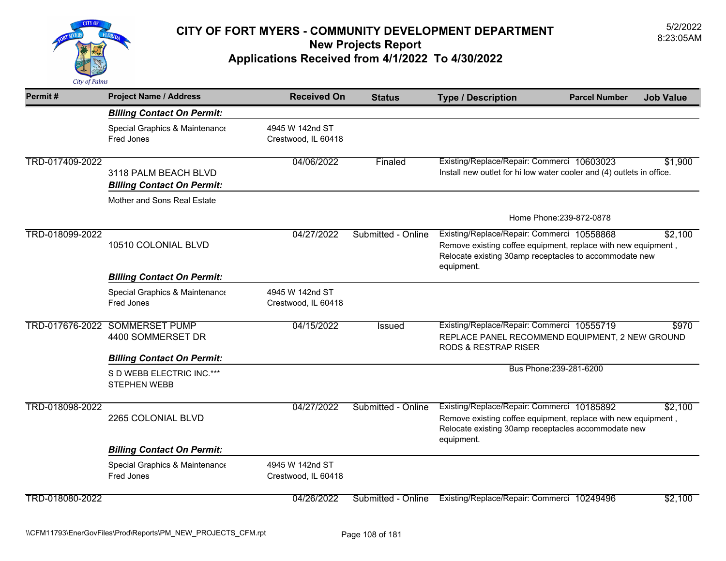

| Permit#         | <b>Project Name / Address</b>                             | <b>Received On</b>                     | <b>Status</b>      | <b>Type / Description</b>                                                                                                                                                           | <b>Parcel Number</b>    | <b>Job Value</b> |
|-----------------|-----------------------------------------------------------|----------------------------------------|--------------------|-------------------------------------------------------------------------------------------------------------------------------------------------------------------------------------|-------------------------|------------------|
|                 | <b>Billing Contact On Permit:</b>                         |                                        |                    |                                                                                                                                                                                     |                         |                  |
|                 | Special Graphics & Maintenance<br>Fred Jones              | 4945 W 142nd ST<br>Crestwood, IL 60418 |                    |                                                                                                                                                                                     |                         |                  |
| TRD-017409-2022 | 3118 PALM BEACH BLVD<br><b>Billing Contact On Permit:</b> | 04/06/2022                             | Finaled            | Existing/Replace/Repair: Commerci 10603023<br>Install new outlet for hi low water cooler and (4) outlets in office.                                                                 |                         | \$1,900          |
|                 | Mother and Sons Real Estate                               |                                        |                    |                                                                                                                                                                                     |                         |                  |
|                 |                                                           |                                        |                    | Home Phone: 239-872-0878                                                                                                                                                            |                         |                  |
| TRD-018099-2022 | 10510 COLONIAL BLVD                                       | 04/27/2022                             | Submitted - Online | Existing/Replace/Repair: Commerci 10558868<br>Remove existing coffee equipment, replace with new equipment,<br>Relocate existing 30amp receptacles to accommodate new<br>equipment. |                         | \$2,100          |
|                 | <b>Billing Contact On Permit:</b>                         |                                        |                    |                                                                                                                                                                                     |                         |                  |
|                 | Special Graphics & Maintenance<br>Fred Jones              | 4945 W 142nd ST<br>Crestwood, IL 60418 |                    |                                                                                                                                                                                     |                         |                  |
| TRD-017676-2022 | <b>SOMMERSET PUMP</b><br>4400 SOMMERSET DR                | 04/15/2022                             | Issued             | Existing/Replace/Repair: Commerci 10555719<br>REPLACE PANEL RECOMMEND EQUIPMENT, 2 NEW GROUND<br><b>RODS &amp; RESTRAP RISER</b>                                                    |                         | \$970            |
|                 | <b>Billing Contact On Permit:</b>                         |                                        |                    |                                                                                                                                                                                     |                         |                  |
|                 | S D WEBB ELECTRIC INC.***<br><b>STEPHEN WEBB</b>          |                                        |                    |                                                                                                                                                                                     | Bus Phone: 239-281-6200 |                  |
| TRD-018098-2022 | 2265 COLONIAL BLVD                                        | 04/27/2022                             | Submitted - Online | Existing/Replace/Repair: Commerci 10185892<br>Remove existing coffee equipment, replace with new equipment,<br>Relocate existing 30amp receptacles accommodate new<br>equipment.    |                         | \$2,100          |
|                 | <b>Billing Contact On Permit:</b>                         |                                        |                    |                                                                                                                                                                                     |                         |                  |
|                 | Special Graphics & Maintenance<br>Fred Jones              | 4945 W 142nd ST<br>Crestwood, IL 60418 |                    |                                                                                                                                                                                     |                         |                  |
| TRD-018080-2022 |                                                           | 04/26/2022                             | Submitted - Online | Existing/Replace/Repair: Commerci 10249496                                                                                                                                          |                         | \$2,100          |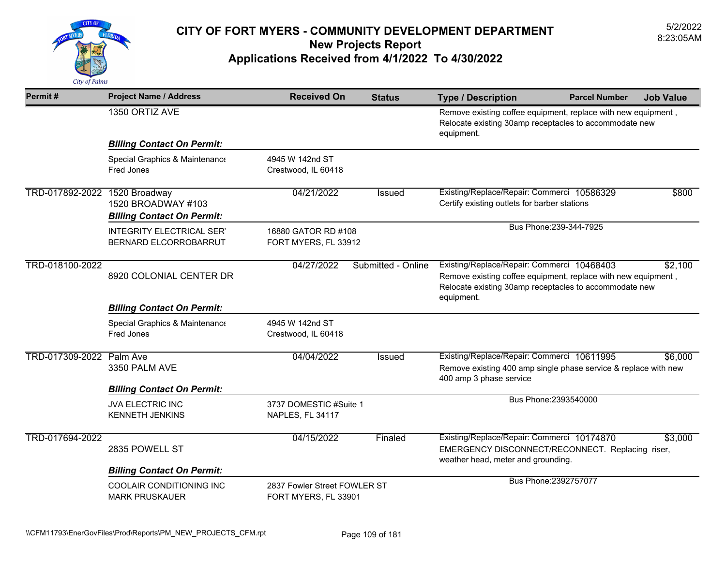

| Permit#                       | <b>Project Name / Address</b>                             | <b>Received On</b>                                   | <b>Status</b>      | <b>Type / Description</b>                                                                                                                                                           | <b>Parcel Number</b> | <b>Job Value</b> |
|-------------------------------|-----------------------------------------------------------|------------------------------------------------------|--------------------|-------------------------------------------------------------------------------------------------------------------------------------------------------------------------------------|----------------------|------------------|
|                               | 1350 ORTIZ AVE                                            |                                                      |                    | Remove existing coffee equipment, replace with new equipment,<br>Relocate existing 30amp receptacles to accommodate new<br>equipment.                                               |                      |                  |
|                               | <b>Billing Contact On Permit:</b>                         |                                                      |                    |                                                                                                                                                                                     |                      |                  |
|                               | Special Graphics & Maintenance<br>Fred Jones              | 4945 W 142nd ST<br>Crestwood, IL 60418               |                    |                                                                                                                                                                                     |                      |                  |
| TRD-017892-2022 1520 Broadway | 1520 BROADWAY #103<br><b>Billing Contact On Permit:</b>   | 04/21/2022                                           | <b>Issued</b>      | Existing/Replace/Repair: Commerci 10586329<br>Certify existing outlets for barber stations                                                                                          |                      | \$800            |
|                               | <b>INTEGRITY ELECTRICAL SER'</b><br>BERNARD ELCORROBARRUT | 16880 GATOR RD #108<br>FORT MYERS, FL 33912          |                    | Bus Phone: 239-344-7925                                                                                                                                                             |                      |                  |
| TRD-018100-2022               | 8920 COLONIAL CENTER DR                                   | 04/27/2022                                           | Submitted - Online | Existing/Replace/Repair: Commerci 10468403<br>Remove existing coffee equipment, replace with new equipment,<br>Relocate existing 30amp receptacles to accommodate new<br>equipment. |                      | \$2,100          |
|                               | <b>Billing Contact On Permit:</b>                         |                                                      |                    |                                                                                                                                                                                     |                      |                  |
|                               | Special Graphics & Maintenance<br>Fred Jones              | 4945 W 142nd ST<br>Crestwood, IL 60418               |                    |                                                                                                                                                                                     |                      |                  |
| TRD-017309-2022               | Palm Ave<br>3350 PALM AVE                                 | 04/04/2022                                           | <b>Issued</b>      | Existing/Replace/Repair: Commerci 10611995<br>Remove existing 400 amp single phase service & replace with new<br>400 amp 3 phase service                                            |                      | \$6,000          |
|                               | <b>Billing Contact On Permit:</b>                         |                                                      |                    |                                                                                                                                                                                     |                      |                  |
|                               | <b>JVA ELECTRIC INC</b><br><b>KENNETH JENKINS</b>         | 3737 DOMESTIC #Suite 1<br>NAPLES, FL 34117           |                    | Bus Phone: 2393540000                                                                                                                                                               |                      |                  |
| TRD-017694-2022               | 2835 POWELL ST<br><b>Billing Contact On Permit:</b>       | 04/15/2022                                           | Finaled            | Existing/Replace/Repair: Commerci 10174870<br>EMERGENCY DISCONNECT/RECONNECT. Replacing riser,<br>weather head, meter and grounding.                                                |                      | \$3,000          |
|                               | COOLAIR CONDITIONING INC<br><b>MARK PRUSKAUER</b>         | 2837 Fowler Street FOWLER ST<br>FORT MYERS, FL 33901 |                    | Bus Phone: 2392757077                                                                                                                                                               |                      |                  |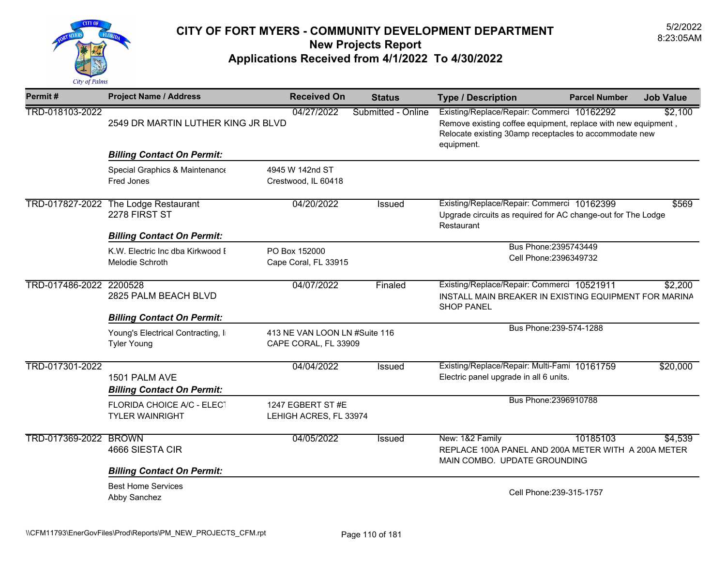

| Permit#                 | <b>Project Name / Address</b>                                                              | <b>Received On</b>                                    | <b>Status</b>      | <b>Type / Description</b>                                                                                                                                                           | <b>Parcel Number</b>                            | <b>Job Value</b> |
|-------------------------|--------------------------------------------------------------------------------------------|-------------------------------------------------------|--------------------|-------------------------------------------------------------------------------------------------------------------------------------------------------------------------------------|-------------------------------------------------|------------------|
| TRD-018103-2022         | 2549 DR MARTIN LUTHER KING JR BLVD                                                         | 04/27/2022                                            | Submitted - Online | Existing/Replace/Repair: Commerci 10162292<br>Remove existing coffee equipment, replace with new equipment,<br>Relocate existing 30amp receptacles to accommodate new<br>equipment. |                                                 | \$2,100          |
|                         | <b>Billing Contact On Permit:</b>                                                          |                                                       |                    |                                                                                                                                                                                     |                                                 |                  |
|                         | Special Graphics & Maintenance<br>Fred Jones                                               | 4945 W 142nd ST<br>Crestwood, IL 60418                |                    |                                                                                                                                                                                     |                                                 |                  |
|                         | TRD-017827-2022 The Lodge Restaurant<br>2278 FIRST ST<br><b>Billing Contact On Permit:</b> | 04/20/2022                                            | <b>Issued</b>      | Existing/Replace/Repair: Commerci 10162399<br>Upgrade circuits as required for AC change-out for The Lodge<br>Restaurant                                                            |                                                 | \$569            |
|                         | K.W. Electric Inc dba Kirkwood I<br><b>Melodie Schroth</b>                                 | PO Box 152000<br>Cape Coral, FL 33915                 |                    |                                                                                                                                                                                     | Bus Phone: 2395743449<br>Cell Phone: 2396349732 |                  |
| TRD-017486-2022 2200528 | 2825 PALM BEACH BLVD<br><b>Billing Contact On Permit:</b>                                  | 04/07/2022                                            | Finaled            | Existing/Replace/Repair: Commerci 10521911<br>INSTALL MAIN BREAKER IN EXISTING EQUIPMENT FOR MARINA<br><b>SHOP PANEL</b>                                                            |                                                 | \$2,200          |
|                         | Young's Electrical Contracting, In<br><b>Tyler Young</b>                                   | 413 NE VAN LOON LN #Suite 116<br>CAPE CORAL, FL 33909 |                    |                                                                                                                                                                                     | Bus Phone: 239-574-1288                         |                  |
| TRD-017301-2022         | 1501 PALM AVE<br><b>Billing Contact On Permit:</b>                                         | 04/04/2022                                            | Issued             | Existing/Replace/Repair: Multi-Fami 10161759<br>Electric panel upgrade in all 6 units.                                                                                              |                                                 | \$20,000         |
|                         | FLORIDA CHOICE A/C - ELECT<br><b>TYLER WAINRIGHT</b>                                       | 1247 EGBERT ST #E<br>LEHIGH ACRES, FL 33974           |                    |                                                                                                                                                                                     | Bus Phone: 2396910788                           |                  |
| TRD-017369-2022 BROWN   | 4666 SIESTA CIR<br><b>Billing Contact On Permit:</b>                                       | 04/05/2022                                            | <b>Issued</b>      | New: 1&2 Family<br>REPLACE 100A PANEL AND 200A METER WITH A 200A METER<br>MAIN COMBO. UPDATE GROUNDING                                                                              | 10185103                                        | \$4,539          |
|                         | <b>Best Home Services</b><br>Abby Sanchez                                                  |                                                       |                    |                                                                                                                                                                                     | Cell Phone: 239-315-1757                        |                  |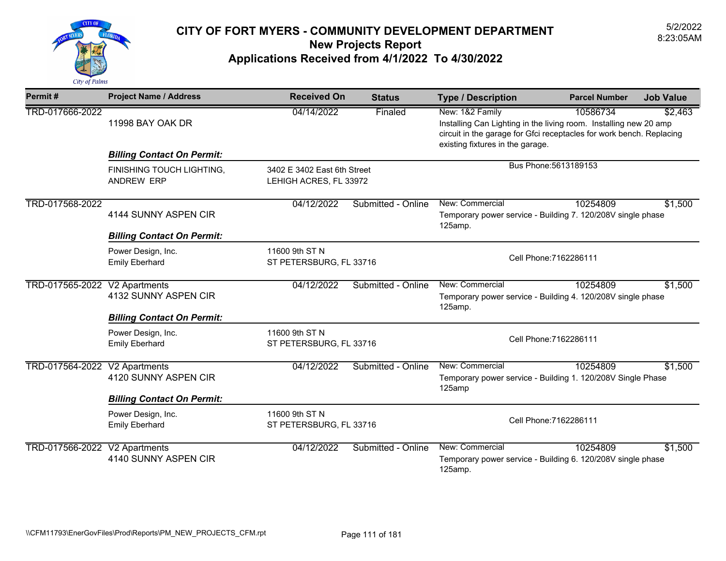

| Permit#                       | <b>Project Name / Address</b>                  | <b>Received On</b>                                    | <b>Status</b>      | <b>Type / Description</b>                                                                                                                                                                        | <b>Parcel Number</b>   | <b>Job Value</b> |
|-------------------------------|------------------------------------------------|-------------------------------------------------------|--------------------|--------------------------------------------------------------------------------------------------------------------------------------------------------------------------------------------------|------------------------|------------------|
| TRD-017666-2022               | 11998 BAY OAK DR                               | 04/14/2022                                            | Finaled            | New: 1&2 Family<br>Installing Can Lighting in the living room. Installing new 20 amp<br>circuit in the garage for Gfci receptacles for work bench. Replacing<br>existing fixtures in the garage. | 10586734               | \$2,463          |
|                               | <b>Billing Contact On Permit:</b>              |                                                       |                    |                                                                                                                                                                                                  |                        |                  |
|                               | FINISHING TOUCH LIGHTING,<br><b>ANDREW ERP</b> | 3402 E 3402 East 6th Street<br>LEHIGH ACRES, FL 33972 |                    |                                                                                                                                                                                                  | Bus Phone: 5613189153  |                  |
| TRD-017568-2022               | 4144 SUNNY ASPEN CIR                           | 04/12/2022                                            | Submitted - Online | New: Commercial<br>Temporary power service - Building 7. 120/208V single phase<br>125amp.                                                                                                        | 10254809               | \$1,500          |
|                               | <b>Billing Contact On Permit:</b>              |                                                       |                    |                                                                                                                                                                                                  |                        |                  |
|                               | Power Design, Inc.<br><b>Emily Eberhard</b>    | 11600 9th ST N<br>ST PETERSBURG, FL 33716             |                    | Cell Phone: 7162286111                                                                                                                                                                           |                        |                  |
| TRD-017565-2022               | V2 Apartments<br>4132 SUNNY ASPEN CIR          | 04/12/2022                                            | Submitted - Online | New: Commercial<br>Temporary power service - Building 4. 120/208V single phase<br>125amp.                                                                                                        | 10254809               | \$1,500          |
|                               | <b>Billing Contact On Permit:</b>              |                                                       |                    |                                                                                                                                                                                                  |                        |                  |
|                               | Power Design, Inc.<br><b>Emily Eberhard</b>    | 11600 9th ST N<br>ST PETERSBURG, FL 33716             |                    |                                                                                                                                                                                                  | Cell Phone: 7162286111 |                  |
| TRD-017564-2022               | V2 Apartments<br>4120 SUNNY ASPEN CIR          | 04/12/2022                                            | Submitted - Online | New: Commercial<br>Temporary power service - Building 1. 120/208V Single Phase<br>125amp                                                                                                         | 10254809               | \$1,500          |
|                               | <b>Billing Contact On Permit:</b>              |                                                       |                    |                                                                                                                                                                                                  |                        |                  |
|                               | Power Design, Inc.<br><b>Emily Eberhard</b>    | 11600 9th ST N<br>ST PETERSBURG, FL 33716             |                    |                                                                                                                                                                                                  | Cell Phone: 7162286111 |                  |
| TRD-017566-2022 V2 Apartments | 4140 SUNNY ASPEN CIR                           | 04/12/2022                                            | Submitted - Online | New: Commercial<br>Temporary power service - Building 6. 120/208V single phase<br>125amp.                                                                                                        | 10254809               | \$1,500          |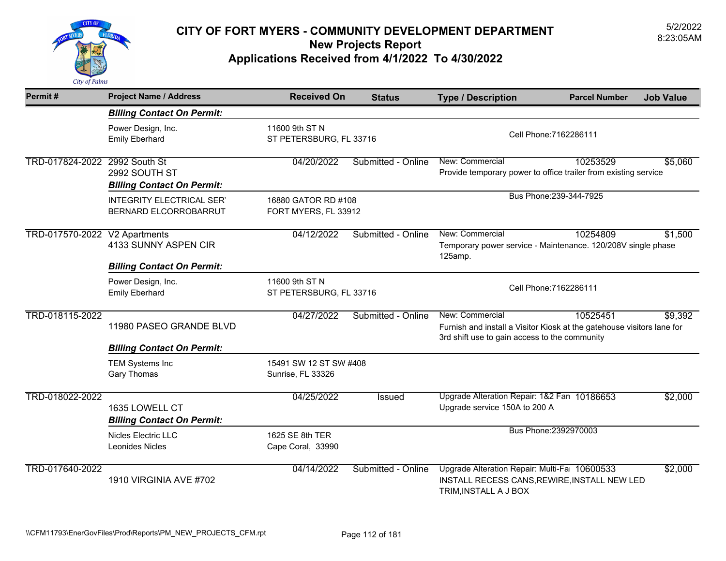

| Permit#                       | <b>Project Name / Address</b>                                | <b>Received On</b>                          | <b>Status</b>      | <b>Type / Description</b>                                                                                                                  | <b>Parcel Number</b>    | <b>Job Value</b> |
|-------------------------------|--------------------------------------------------------------|---------------------------------------------|--------------------|--------------------------------------------------------------------------------------------------------------------------------------------|-------------------------|------------------|
|                               | <b>Billing Contact On Permit:</b>                            |                                             |                    |                                                                                                                                            |                         |                  |
|                               | Power Design, Inc.<br><b>Emily Eberhard</b>                  | 11600 9th ST N<br>ST PETERSBURG, FL 33716   |                    |                                                                                                                                            | Cell Phone: 7162286111  |                  |
| TRD-017824-2022 2992 South St | 2992 SOUTH ST<br><b>Billing Contact On Permit:</b>           | 04/20/2022                                  | Submitted - Online | New: Commercial<br>Provide temporary power to office trailer from existing service                                                         | 10253529                | \$5,060          |
|                               | <b>INTEGRITY ELECTRICAL SER'</b><br>BERNARD ELCORROBARRUT    | 16880 GATOR RD #108<br>FORT MYERS, FL 33912 |                    |                                                                                                                                            | Bus Phone: 239-344-7925 |                  |
| TRD-017570-2022 V2 Apartments | 4133 SUNNY ASPEN CIR                                         | 04/12/2022                                  | Submitted - Online | New: Commercial<br>Temporary power service - Maintenance. 120/208V single phase<br>125amp.                                                 | 10254809                | \$1,500          |
|                               | <b>Billing Contact On Permit:</b>                            |                                             |                    |                                                                                                                                            |                         |                  |
|                               | Power Design, Inc.<br><b>Emily Eberhard</b>                  | 11600 9th ST N<br>ST PETERSBURG, FL 33716   |                    | Cell Phone: 7162286111                                                                                                                     |                         |                  |
| TRD-018115-2022               | 11980 PASEO GRANDE BLVD<br><b>Billing Contact On Permit:</b> | 04/27/2022                                  | Submitted - Online | New: Commercial<br>Furnish and install a Visitor Kiosk at the gatehouse visitors lane for<br>3rd shift use to gain access to the community | 10525451                | \$9,392          |
|                               | <b>TEM Systems Inc</b><br><b>Gary Thomas</b>                 | 15491 SW 12 ST SW #408<br>Sunrise, FL 33326 |                    |                                                                                                                                            |                         |                  |
| TRD-018022-2022               | 1635 LOWELL CT<br><b>Billing Contact On Permit:</b>          | 04/25/2022                                  | Issued             | Upgrade Alteration Repair: 1&2 Fan 10186653<br>Upgrade service 150A to 200 A                                                               |                         | \$2,000          |
|                               | Nicles Electric LLC<br>Leonides Nicles                       | 1625 SE 8th TER<br>Cape Coral, 33990        |                    |                                                                                                                                            | Bus Phone: 2392970003   |                  |
| TRD-017640-2022               | <b>1910 VIRGINIA AVE #702</b>                                | 04/14/2022                                  | Submitted - Online | Upgrade Alteration Repair: Multi-Fa 10600533<br>INSTALL RECESS CANS, REWIRE, INSTALL NEW LED<br>TRIM, INSTALL A J BOX                      |                         | \$2,000          |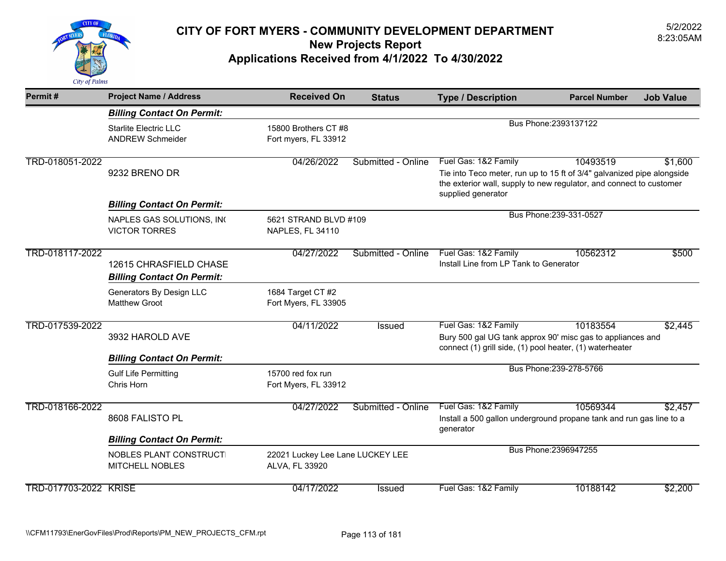

| Permit#               | <b>Project Name / Address</b>                                                  | <b>Received On</b>                                 | <b>Status</b>      | <b>Type / Description</b>                                                                                                                                                                   | <b>Parcel Number</b>    | <b>Job Value</b> |
|-----------------------|--------------------------------------------------------------------------------|----------------------------------------------------|--------------------|---------------------------------------------------------------------------------------------------------------------------------------------------------------------------------------------|-------------------------|------------------|
|                       | <b>Billing Contact On Permit:</b>                                              |                                                    |                    |                                                                                                                                                                                             |                         |                  |
|                       | <b>Starlite Electric LLC</b><br><b>ANDREW Schmeider</b>                        | 15800 Brothers CT #8<br>Fort myers, FL 33912       |                    |                                                                                                                                                                                             | Bus Phone: 2393137122   |                  |
| TRD-018051-2022       | 9232 BRENO DR                                                                  | 04/26/2022                                         | Submitted - Online | Fuel Gas: 1&2 Family<br>Tie into Teco meter, run up to 15 ft of 3/4" galvanized pipe alongside<br>the exterior wall, supply to new regulator, and connect to customer<br>supplied generator | 10493519                | \$1,600          |
|                       | <b>Billing Contact On Permit:</b>                                              |                                                    |                    |                                                                                                                                                                                             |                         |                  |
|                       | NAPLES GAS SOLUTIONS, INC<br><b>VICTOR TORRES</b>                              | 5621 STRAND BLVD #109<br>NAPLES, FL 34110          |                    |                                                                                                                                                                                             | Bus Phone: 239-331-0527 |                  |
| TRD-018117-2022       | 12615 CHRASFIELD CHASE<br><b>Billing Contact On Permit:</b>                    | 04/27/2022                                         | Submitted - Online | Fuel Gas: 1&2 Family<br>Install Line from LP Tank to Generator                                                                                                                              | 10562312                | \$500            |
|                       | Generators By Design LLC<br><b>Matthew Groot</b>                               | 1684 Target CT #2<br>Fort Myers, FL 33905          |                    |                                                                                                                                                                                             |                         |                  |
| TRD-017539-2022       | 3932 HAROLD AVE                                                                | 04/11/2022                                         | Issued             | Fuel Gas: 1&2 Family<br>Bury 500 gal UG tank approx 90' misc gas to appliances and<br>connect (1) grill side, (1) pool heater, (1) waterheater                                              | 10183554                | \$2,445          |
|                       | <b>Billing Contact On Permit:</b><br><b>Gulf Life Permitting</b><br>Chris Horn | 15700 red fox run<br>Fort Myers, FL 33912          |                    |                                                                                                                                                                                             | Bus Phone: 239-278-5766 |                  |
| TRD-018166-2022       | 8608 FALISTO PL                                                                | 04/27/2022                                         | Submitted - Online | Fuel Gas: 1&2 Family<br>Install a 500 gallon underground propane tank and run gas line to a<br>generator                                                                                    | 10569344                | \$2,457          |
|                       | <b>Billing Contact On Permit:</b>                                              |                                                    |                    |                                                                                                                                                                                             |                         |                  |
|                       | NOBLES PLANT CONSTRUCTI<br><b>MITCHELL NOBLES</b>                              | 22021 Luckey Lee Lane LUCKEY LEE<br>ALVA, FL 33920 |                    |                                                                                                                                                                                             | Bus Phone: 2396947255   |                  |
| TRD-017703-2022 KRISE |                                                                                | 04/17/2022                                         | Issued             | Fuel Gas: 1&2 Family                                                                                                                                                                        | 10188142                | \$2,200          |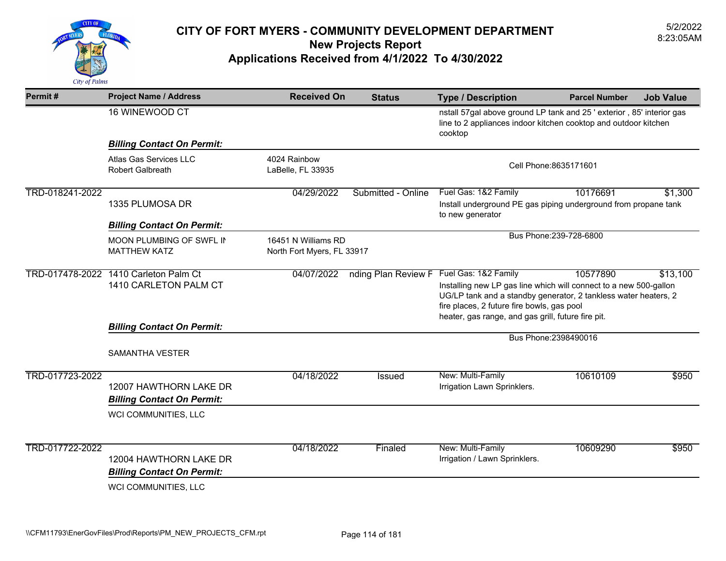

| Permit#         | <b>Project Name / Address</b>                               | <b>Received On</b>                | <b>Status</b>                                         | <b>Type / Description</b>                                                                                                                                                                                                                                        | <b>Parcel Number</b>   | <b>Job Value</b> |
|-----------------|-------------------------------------------------------------|-----------------------------------|-------------------------------------------------------|------------------------------------------------------------------------------------------------------------------------------------------------------------------------------------------------------------------------------------------------------------------|------------------------|------------------|
|                 | 16 WINEWOOD CT                                              |                                   |                                                       | nstall 57gal above ground LP tank and 25 ' exterior, 85' interior gas<br>line to 2 appliances indoor kitchen cooktop and outdoor kitchen<br>cooktop                                                                                                              |                        |                  |
|                 | <b>Billing Contact On Permit:</b>                           |                                   |                                                       |                                                                                                                                                                                                                                                                  |                        |                  |
|                 | Atlas Gas Services LLC<br><b>Robert Galbreath</b>           | 4024 Rainbow<br>LaBelle, FL 33935 |                                                       |                                                                                                                                                                                                                                                                  | Cell Phone: 8635171601 |                  |
| TRD-018241-2022 | 1335 PLUMOSA DR                                             | 04/29/2022                        | Submitted - Online                                    | Fuel Gas: 1&2 Family<br>Install underground PE gas piping underground from propane tank<br>to new generator                                                                                                                                                      | 10176691               | \$1,300          |
|                 | <b>Billing Contact On Permit:</b>                           |                                   |                                                       |                                                                                                                                                                                                                                                                  |                        |                  |
|                 | MOON PLUMBING OF SWFL IN<br><b>MATTHEW KATZ</b>             | 16451 N Williams RD               | Bus Phone: 239-728-6800<br>North Fort Myers, FL 33917 |                                                                                                                                                                                                                                                                  |                        |                  |
| TRD-017478-2022 | 1410 Carleton Palm Ct<br>1410 CARLETON PALM CT              | 04/07/2022                        | nding Plan Review F                                   | Fuel Gas: 1&2 Family<br>Installing new LP gas line which will connect to a new 500-gallon<br>UG/LP tank and a standby generator, 2 tankless water heaters, 2<br>fire places, 2 future fire bowls, gas pool<br>heater, gas range, and gas grill, future fire pit. | 10577890               | \$13,100         |
|                 | <b>Billing Contact On Permit:</b>                           |                                   |                                                       |                                                                                                                                                                                                                                                                  |                        |                  |
|                 | <b>SAMANTHA VESTER</b>                                      |                                   |                                                       |                                                                                                                                                                                                                                                                  | Bus Phone: 2398490016  |                  |
| TRD-017723-2022 | 12007 HAWTHORN LAKE DR<br><b>Billing Contact On Permit:</b> | 04/18/2022                        | <b>Issued</b>                                         | New: Multi-Family<br>Irrigation Lawn Sprinklers.                                                                                                                                                                                                                 | 10610109               | \$950            |
|                 | WCI COMMUNITIES, LLC                                        |                                   |                                                       |                                                                                                                                                                                                                                                                  |                        |                  |
| TRD-017722-2022 | 12004 HAWTHORN LAKE DR<br><b>Billing Contact On Permit:</b> | 04/18/2022                        | Finaled                                               | New: Multi-Family<br>Irrigation / Lawn Sprinklers.                                                                                                                                                                                                               | 10609290               | \$950            |
|                 | WCI COMMUNITIES, LLC                                        |                                   |                                                       |                                                                                                                                                                                                                                                                  |                        |                  |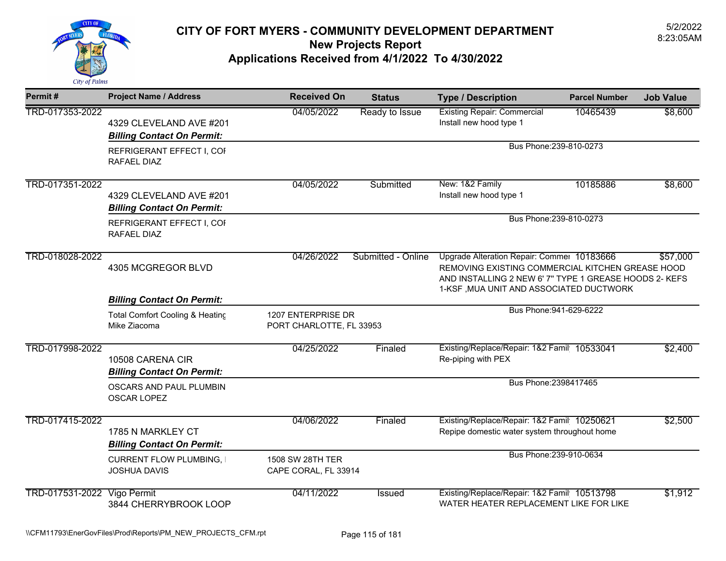

| Permit#                     | <b>Project Name / Address</b>                                | <b>Received On</b>                             | <b>Status</b>      | <b>Type / Description</b>                                                                                                                                                                           | <b>Parcel Number</b>    | <b>Job Value</b> |
|-----------------------------|--------------------------------------------------------------|------------------------------------------------|--------------------|-----------------------------------------------------------------------------------------------------------------------------------------------------------------------------------------------------|-------------------------|------------------|
| TRD-017353-2022             | 4329 CLEVELAND AVE #201<br><b>Billing Contact On Permit:</b> | 04/05/2022                                     | Ready to Issue     | <b>Existing Repair: Commercial</b><br>Install new hood type 1                                                                                                                                       | 10465439                | \$8,600          |
|                             | REFRIGERANT EFFECT I, COF<br>RAFAEL DIAZ                     | Bus Phone: 239-810-0273                        |                    |                                                                                                                                                                                                     |                         |                  |
| TRD-017351-2022             | 4329 CLEVELAND AVE #201<br><b>Billing Contact On Permit:</b> | 04/05/2022                                     | Submitted          | New: 1&2 Family<br>Install new hood type 1                                                                                                                                                          | 10185886                | \$8,600          |
|                             | REFRIGERANT EFFECT I, COF<br>RAFAEL DIAZ                     |                                                |                    | Bus Phone: 239-810-0273                                                                                                                                                                             |                         |                  |
| TRD-018028-2022             | 4305 MCGREGOR BLVD                                           | 04/26/2022                                     | Submitted - Online | Upgrade Alteration Repair: Commer 10183666<br>REMOVING EXISTING COMMERCIAL KITCHEN GREASE HOOD<br>AND INSTALLING 2 NEW 6' 7" TYPE 1 GREASE HOODS 2- KEFS<br>1-KSF, MUA UNIT AND ASSOCIATED DUCTWORK |                         | \$57,000         |
|                             | <b>Billing Contact On Permit:</b>                            |                                                |                    |                                                                                                                                                                                                     |                         |                  |
|                             | Total Comfort Cooling & Heating<br>Mike Ziacoma              | 1207 ENTERPRISE DR<br>PORT CHARLOTTE, FL 33953 |                    |                                                                                                                                                                                                     | Bus Phone: 941-629-6222 |                  |
| TRD-017998-2022             | 10508 CARENA CIR<br><b>Billing Contact On Permit:</b>        | 04/25/2022                                     | Finaled            | Existing/Replace/Repair: 1&2 Famil 10533041<br>Re-piping with PEX                                                                                                                                   |                         | \$2,400          |
|                             | OSCARS AND PAUL PLUMBIN<br>OSCAR LOPEZ                       |                                                |                    | Bus Phone: 2398417465                                                                                                                                                                               |                         |                  |
| TRD-017415-2022             | 1785 N MARKLEY CT<br><b>Billing Contact On Permit:</b>       | 04/06/2022                                     | Finaled            | Existing/Replace/Repair: 1&2 Famil 10250621<br>Repipe domestic water system throughout home                                                                                                         |                         | \$2,500          |
|                             | <b>CURRENT FLOW PLUMBING, I</b><br><b>JOSHUA DAVIS</b>       | 1508 SW 28TH TER<br>CAPE CORAL, FL 33914       |                    |                                                                                                                                                                                                     | Bus Phone: 239-910-0634 |                  |
| TRD-017531-2022 Vigo Permit | 3844 CHERRYBROOK LOOP                                        | 04/11/2022                                     | <b>Issued</b>      | Existing/Replace/Repair: 1&2 Famil 10513798<br>WATER HEATER REPLACEMENT LIKE FOR LIKE                                                                                                               |                         | \$1,912          |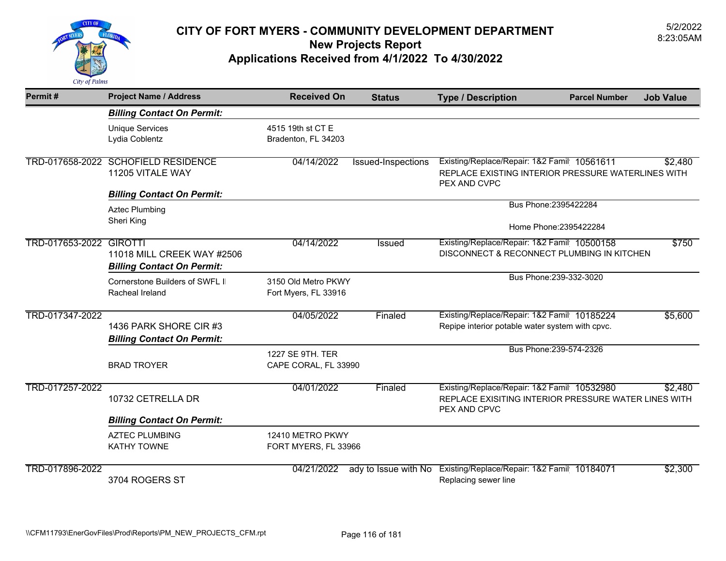

| Permit#                 | <b>Project Name / Address</b>                                   | <b>Received On</b>                          | <b>Status</b>        | <b>Type / Description</b>                                                                                           | <b>Parcel Number</b>    | <b>Job Value</b> |
|-------------------------|-----------------------------------------------------------------|---------------------------------------------|----------------------|---------------------------------------------------------------------------------------------------------------------|-------------------------|------------------|
|                         | <b>Billing Contact On Permit:</b>                               |                                             |                      |                                                                                                                     |                         |                  |
|                         | <b>Unique Services</b><br>Lydia Coblentz                        | 4515 19th st CT E<br>Bradenton, FL 34203    |                      |                                                                                                                     |                         |                  |
|                         | TRD-017658-2022 SCHOFIELD RESIDENCE<br>11205 VITALE WAY         | 04/14/2022                                  | Issued-Inspections   | Existing/Replace/Repair: 1&2 Famil 10561611<br>REPLACE EXISTING INTERIOR PRESSURE WATERLINES WITH<br>PEX AND CVPC   |                         | \$2,480          |
|                         | <b>Billing Contact On Permit:</b>                               |                                             |                      |                                                                                                                     | Bus Phone: 2395422284   |                  |
|                         | <b>Aztec Plumbing</b><br>Sheri King                             |                                             |                      |                                                                                                                     | Home Phone: 2395422284  |                  |
| TRD-017653-2022 GIROTTI | 11018 MILL CREEK WAY #2506<br><b>Billing Contact On Permit:</b> | 04/14/2022                                  | Issued               | Existing/Replace/Repair: 1&2 Famil 10500158<br>DISCONNECT & RECONNECT PLUMBING IN KITCHEN                           |                         | \$750            |
|                         | Cornerstone Builders of SWFL II<br>Racheal Ireland              | 3150 Old Metro PKWY<br>Fort Myers, FL 33916 |                      |                                                                                                                     | Bus Phone: 239-332-3020 |                  |
| TRD-017347-2022         | 1436 PARK SHORE CIR #3<br><b>Billing Contact On Permit:</b>     | 04/05/2022                                  | Finaled              | Existing/Replace/Repair: 1&2 Famil 10185224<br>Repipe interior potable water system with cpvc.                      |                         | \$5,600          |
|                         | <b>BRAD TROYER</b>                                              | 1227 SE 9TH. TER<br>CAPE CORAL, FL 33990    |                      |                                                                                                                     | Bus Phone: 239-574-2326 |                  |
| TRD-017257-2022         | 10732 CETRELLA DR                                               | 04/01/2022                                  | Finaled              | Existing/Replace/Repair: 1&2 Famil 10532980<br>REPLACE EXISITING INTERIOR PRESSURE WATER LINES WITH<br>PEX AND CPVC |                         | \$2,480          |
|                         | <b>Billing Contact On Permit:</b>                               |                                             |                      |                                                                                                                     |                         |                  |
|                         | <b>AZTEC PLUMBING</b><br><b>KATHY TOWNE</b>                     | 12410 METRO PKWY<br>FORT MYERS, FL 33966    |                      |                                                                                                                     |                         |                  |
| TRD-017896-2022         | 3704 ROGERS ST                                                  | 04/21/2022                                  | ady to Issue with No | Existing/Replace/Repair: 1&2 Famil 10184071<br>Replacing sewer line                                                 |                         | \$2,300          |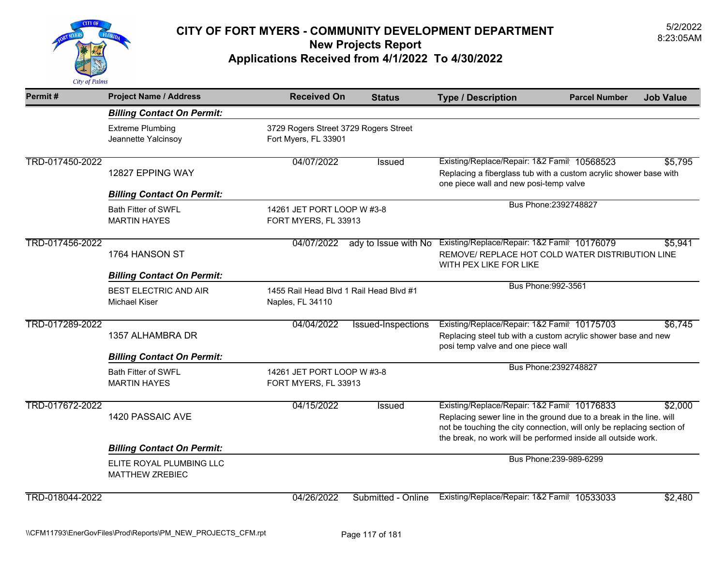

| Permit#                | <b>Project Name / Address</b>                                                           | <b>Received On</b>                                            | <b>Status</b>             | <b>Type / Description</b>                                                                                                                                                                                                                                     | <b>Parcel Number</b>    | <b>Job Value</b> |
|------------------------|-----------------------------------------------------------------------------------------|---------------------------------------------------------------|---------------------------|---------------------------------------------------------------------------------------------------------------------------------------------------------------------------------------------------------------------------------------------------------------|-------------------------|------------------|
|                        | <b>Billing Contact On Permit:</b>                                                       |                                                               |                           |                                                                                                                                                                                                                                                               |                         |                  |
|                        | <b>Extreme Plumbing</b><br>Jeannette Yalcinsoy                                          | 3729 Rogers Street 3729 Rogers Street<br>Fort Myers, FL 33901 |                           |                                                                                                                                                                                                                                                               |                         |                  |
| TRD-017450-2022        | 12827 EPPING WAY                                                                        | 04/07/2022                                                    | Issued                    | Existing/Replace/Repair: 1&2 Famil 10568523<br>Replacing a fiberglass tub with a custom acrylic shower base with<br>one piece wall and new posi-temp valve                                                                                                    |                         | \$5,795          |
|                        | <b>Billing Contact On Permit:</b>                                                       |                                                               |                           |                                                                                                                                                                                                                                                               | Bus Phone: 2392748827   |                  |
|                        | <b>Bath Fitter of SWFL</b><br><b>MARTIN HAYES</b>                                       | 14261 JET PORT LOOP W #3-8<br>FORT MYERS, FL 33913            |                           |                                                                                                                                                                                                                                                               |                         |                  |
| TRD-017456-2022        | 1764 HANSON ST                                                                          | 04/07/2022                                                    | ady to Issue with No      | Existing/Replace/Repair: 1&2 Famil 10176079<br>REMOVE/ REPLACE HOT COLD WATER DISTRIBUTION LINE<br>WITH PEX LIKE FOR LIKE                                                                                                                                     |                         | \$5,941          |
|                        | <b>Billing Contact On Permit:</b>                                                       |                                                               |                           |                                                                                                                                                                                                                                                               |                         |                  |
|                        | <b>BEST ELECTRIC AND AIR</b><br><b>Michael Kiser</b>                                    | 1455 Rail Head Blvd 1 Rail Head Blvd #1<br>Naples, FL 34110   |                           | Bus Phone: 992-3561                                                                                                                                                                                                                                           |                         |                  |
| TRD-017289-2022        | 1357 ALHAMBRA DR                                                                        | 04/04/2022                                                    | <b>Issued-Inspections</b> | Existing/Replace/Repair: 1&2 Famil 10175703<br>Replacing steel tub with a custom acrylic shower base and new<br>posi temp valve and one piece wall                                                                                                            |                         | \$6,745          |
|                        | <b>Billing Contact On Permit:</b>                                                       |                                                               |                           |                                                                                                                                                                                                                                                               |                         |                  |
|                        | <b>Bath Fitter of SWFL</b><br><b>MARTIN HAYES</b>                                       | 14261 JET PORT LOOP W #3-8<br>FORT MYERS, FL 33913            |                           |                                                                                                                                                                                                                                                               | Bus Phone: 2392748827   |                  |
| TRD-017672-2022        | 1420 PASSAIC AVE                                                                        | 04/15/2022                                                    | Issued                    | Existing/Replace/Repair: 1&2 Famil 10176833<br>Replacing sewer line in the ground due to a break in the line. will<br>not be touching the city connection, will only be replacing section of<br>the break, no work will be performed inside all outside work. |                         | \$2,000          |
|                        | <b>Billing Contact On Permit:</b><br>ELITE ROYAL PLUMBING LLC<br><b>MATTHEW ZREBIEC</b> |                                                               |                           |                                                                                                                                                                                                                                                               | Bus Phone: 239-989-6299 |                  |
| <b>TRD 018044 2022</b> |                                                                                         | 01/26/2022                                                    | Submitted Opline          | Evisting/Replace/Repair: 182 Famil 10533033                                                                                                                                                                                                                   |                         | <u>रू प्रथण</u>  |

TRD-018044-2022 04/26/2022 Submitted - Online Existing/Replace/Repair: 1&2 Family 10533033 \$2,480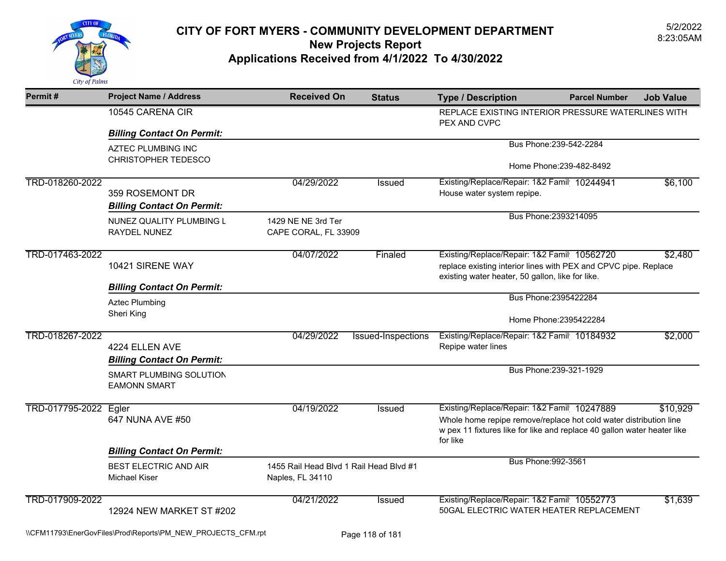

| Permit#               | <b>Project Name / Address</b>                           | <b>Received On</b>                                          | <b>Status</b>      | <b>Type / Description</b>                                                                                                                                                                               | <b>Parcel Number</b>     | <b>Job Value</b> |
|-----------------------|---------------------------------------------------------|-------------------------------------------------------------|--------------------|---------------------------------------------------------------------------------------------------------------------------------------------------------------------------------------------------------|--------------------------|------------------|
|                       | 10545 CARENA CIR                                        |                                                             |                    | REPLACE EXISTING INTERIOR PRESSURE WATERLINES WITH<br>PEX AND CVPC                                                                                                                                      |                          |                  |
|                       | <b>Billing Contact On Permit:</b>                       |                                                             |                    |                                                                                                                                                                                                         |                          |                  |
|                       | <b>AZTEC PLUMBING INC</b><br><b>CHRISTOPHER TEDESCO</b> |                                                             |                    |                                                                                                                                                                                                         | Bus Phone: 239-542-2284  |                  |
|                       |                                                         |                                                             |                    |                                                                                                                                                                                                         | Home Phone: 239-482-8492 |                  |
| TRD-018260-2022       | 359 ROSEMONT DR<br><b>Billing Contact On Permit:</b>    | 04/29/2022                                                  | <b>Issued</b>      | Existing/Replace/Repair: 1&2 Famil 10244941<br>House water system repipe.                                                                                                                               |                          | \$6,100          |
|                       | NUNEZ QUALITY PLUMBING L<br>RAYDEL NUNEZ                | 1429 NE NE 3rd Ter<br>CAPE CORAL, FL 33909                  |                    |                                                                                                                                                                                                         | Bus Phone: 2393214095    |                  |
| TRD-017463-2022       | 10421 SIRENE WAY                                        | 04/07/2022                                                  | Finaled            | Existing/Replace/Repair: 1&2 Famil 10562720<br>\$2,480<br>replace existing interior lines with PEX and CPVC pipe. Replace<br>existing water heater, 50 gallon, like for like.                           |                          |                  |
|                       | <b>Billing Contact On Permit:</b>                       |                                                             |                    |                                                                                                                                                                                                         |                          |                  |
|                       | <b>Aztec Plumbing</b><br>Sheri King                     |                                                             |                    | Bus Phone: 2395422284                                                                                                                                                                                   |                          |                  |
|                       |                                                         |                                                             |                    | Home Phone: 2395422284                                                                                                                                                                                  |                          |                  |
| TRD-018267-2022       | 4224 ELLEN AVE<br><b>Billing Contact On Permit:</b>     | 04/29/2022                                                  | Issued-Inspections | Existing/Replace/Repair: 1&2 Famil 10184932<br>Repipe water lines                                                                                                                                       |                          | \$2,000          |
|                       | <b>SMART PLUMBING SOLUTION</b><br><b>EAMONN SMART</b>   |                                                             |                    |                                                                                                                                                                                                         | Bus Phone: 239-321-1929  |                  |
| TRD-017795-2022 Egler | 647 NUNA AVE #50                                        | 04/19/2022                                                  | <b>Issued</b>      | Existing/Replace/Repair: 1&2 Famil 10247889<br>Whole home repipe remove/replace hot cold water distribution line<br>w pex 11 fixtures like for like and replace 40 gallon water heater like<br>for like |                          | \$10,929         |
|                       | <b>Billing Contact On Permit:</b>                       |                                                             |                    |                                                                                                                                                                                                         |                          |                  |
|                       | <b>BEST ELECTRIC AND AIR</b><br><b>Michael Kiser</b>    | 1455 Rail Head Blvd 1 Rail Head Blvd #1<br>Naples, FL 34110 |                    | Bus Phone: 992-3561                                                                                                                                                                                     |                          |                  |
| TRD-017909-2022       | 12924 NEW MARKET ST #202                                | 04/21/2022                                                  | Issued             | Existing/Replace/Repair: 1&2 Famil 10552773<br>50GAL ELECTRIC WATER HEATER REPLACEMENT                                                                                                                  |                          | \$1,639          |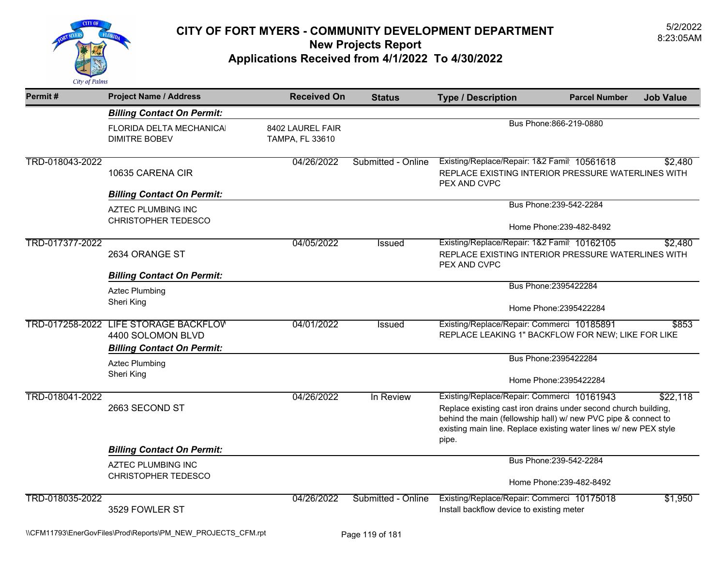

| Permit#                                                                                                                                                                               | <b>Project Name / Address</b>                                                                   | <b>Received On</b>                  | <b>Status</b>      | <b>Type / Description</b>                                                                                                                                                                                                                                        | <b>Parcel Number</b>     | <b>Job Value</b> |  |
|---------------------------------------------------------------------------------------------------------------------------------------------------------------------------------------|-------------------------------------------------------------------------------------------------|-------------------------------------|--------------------|------------------------------------------------------------------------------------------------------------------------------------------------------------------------------------------------------------------------------------------------------------------|--------------------------|------------------|--|
|                                                                                                                                                                                       | <b>Billing Contact On Permit:</b>                                                               |                                     |                    |                                                                                                                                                                                                                                                                  |                          |                  |  |
|                                                                                                                                                                                       | FLORIDA DELTA MECHANICAI<br><b>DIMITRE BOBEV</b>                                                | 8402 LAUREL FAIR<br>TAMPA, FL 33610 |                    | Bus Phone: 866-219-0880                                                                                                                                                                                                                                          |                          |                  |  |
| TRD-018043-2022                                                                                                                                                                       | 10635 CARENA CIR                                                                                | 04/26/2022                          | Submitted - Online | Existing/Replace/Repair: 1&2 Famil 10561618<br>REPLACE EXISTING INTERIOR PRESSURE WATERLINES WITH<br>PEX AND CVPC                                                                                                                                                |                          | \$2,480          |  |
|                                                                                                                                                                                       | <b>Billing Contact On Permit:</b>                                                               |                                     |                    |                                                                                                                                                                                                                                                                  | Bus Phone: 239-542-2284  |                  |  |
|                                                                                                                                                                                       | <b>AZTEC PLUMBING INC</b><br><b>CHRISTOPHER TEDESCO</b>                                         |                                     |                    |                                                                                                                                                                                                                                                                  | Home Phone: 239-482-8492 |                  |  |
|                                                                                                                                                                                       |                                                                                                 |                                     |                    |                                                                                                                                                                                                                                                                  |                          |                  |  |
| TRD-017377-2022<br>04/05/2022<br>Existing/Replace/Repair: 1&2 Famil 10162105<br><b>Issued</b><br>2634 ORANGE ST<br>REPLACE EXISTING INTERIOR PRESSURE WATERLINES WITH<br>PEX AND CVPC |                                                                                                 |                                     |                    | \$2,480                                                                                                                                                                                                                                                          |                          |                  |  |
|                                                                                                                                                                                       | <b>Billing Contact On Permit:</b>                                                               |                                     |                    |                                                                                                                                                                                                                                                                  |                          |                  |  |
|                                                                                                                                                                                       | <b>Aztec Plumbing</b>                                                                           |                                     |                    |                                                                                                                                                                                                                                                                  | Bus Phone: 2395422284    |                  |  |
|                                                                                                                                                                                       | Sheri King                                                                                      |                                     |                    |                                                                                                                                                                                                                                                                  | Home Phone: 2395422284   |                  |  |
|                                                                                                                                                                                       | TRD-017258-2022 LIFE STORAGE BACKFLOV<br>4400 SOLOMON BLVD<br><b>Billing Contact On Permit:</b> | 04/01/2022                          | Issued             | Existing/Replace/Repair: Commerci 10185891<br>REPLACE LEAKING 1" BACKFLOW FOR NEW; LIKE FOR LIKE                                                                                                                                                                 |                          | \$853            |  |
|                                                                                                                                                                                       | <b>Aztec Plumbing</b>                                                                           |                                     |                    |                                                                                                                                                                                                                                                                  | Bus Phone: 2395422284    |                  |  |
|                                                                                                                                                                                       | Sheri King                                                                                      |                                     |                    |                                                                                                                                                                                                                                                                  | Home Phone: 2395422284   |                  |  |
| TRD-018041-2022                                                                                                                                                                       | 2663 SECOND ST                                                                                  | 04/26/2022                          | In Review          | Existing/Replace/Repair: Commerci 10161943<br>\$22,118<br>Replace existing cast iron drains under second church building,<br>behind the main (fellowship hall) w/ new PVC pipe & connect to<br>existing main line. Replace existing water lines w/ new PEX style |                          |                  |  |
|                                                                                                                                                                                       | <b>Billing Contact On Permit:</b>                                                               |                                     |                    | pipe.                                                                                                                                                                                                                                                            |                          |                  |  |
|                                                                                                                                                                                       | <b>AZTEC PLUMBING INC</b><br><b>CHRISTOPHER TEDESCO</b>                                         |                                     |                    |                                                                                                                                                                                                                                                                  | Bus Phone: 239-542-2284  |                  |  |
|                                                                                                                                                                                       |                                                                                                 |                                     |                    |                                                                                                                                                                                                                                                                  | Home Phone: 239-482-8492 |                  |  |
| TRD-018035-2022                                                                                                                                                                       | 3529 FOWLER ST                                                                                  | 04/26/2022                          | Submitted - Online | Existing/Replace/Repair: Commerci 10175018<br>Install backflow device to existing meter                                                                                                                                                                          |                          | \$1,950          |  |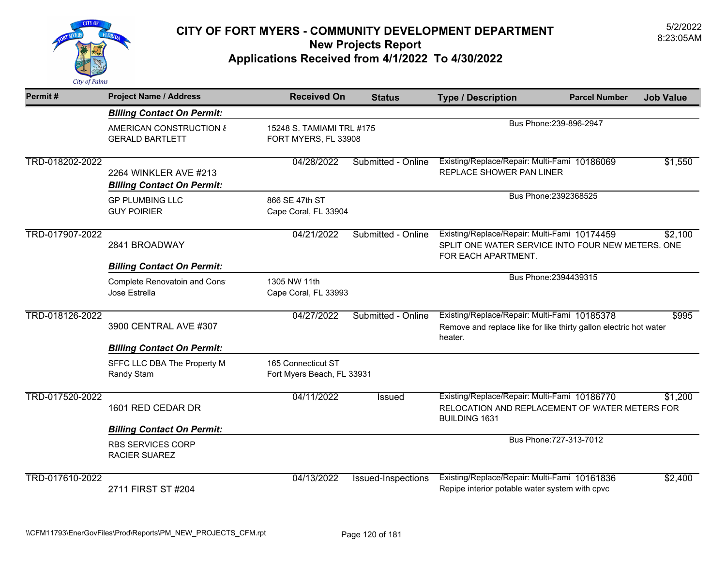

| Permit#         | <b>Project Name / Address</b>                              | <b>Received On</b>                               | <b>Status</b>                                     | <b>Type / Description</b>                                                                                                    | <b>Parcel Number</b>    | <b>Job Value</b> |  |
|-----------------|------------------------------------------------------------|--------------------------------------------------|---------------------------------------------------|------------------------------------------------------------------------------------------------------------------------------|-------------------------|------------------|--|
|                 | <b>Billing Contact On Permit:</b>                          |                                                  |                                                   |                                                                                                                              |                         |                  |  |
|                 | AMERICAN CONSTRUCTION &<br><b>GERALD BARTLETT</b>          |                                                  | 15248 S. TAMIAMI TRL #175<br>FORT MYERS, FL 33908 |                                                                                                                              | Bus Phone: 239-896-2947 |                  |  |
| TRD-018202-2022 | 2264 WINKLER AVE #213<br><b>Billing Contact On Permit:</b> | 04/28/2022                                       | Submitted - Online                                | Existing/Replace/Repair: Multi-Fami 10186069<br>REPLACE SHOWER PAN LINER                                                     |                         | \$1,550          |  |
|                 | <b>GP PLUMBING LLC</b><br><b>GUY POIRIER</b>               | 866 SE 47th ST<br>Cape Coral, FL 33904           |                                                   |                                                                                                                              | Bus Phone: 2392368525   |                  |  |
| TRD-017907-2022 | 2841 BROADWAY                                              | 04/21/2022                                       | Submitted - Online                                | Existing/Replace/Repair: Multi-Fami 10174459<br>SPLIT ONE WATER SERVICE INTO FOUR NEW METERS. ONE<br>FOR EACH APARTMENT.     |                         | \$2,100          |  |
|                 | <b>Billing Contact On Permit:</b>                          |                                                  |                                                   |                                                                                                                              | Bus Phone: 2394439315   |                  |  |
|                 | <b>Complete Renovatoin and Cons</b><br>Jose Estrella       | 1305 NW 11th<br>Cape Coral, FL 33993             |                                                   |                                                                                                                              |                         |                  |  |
| TRD-018126-2022 | 3900 CENTRAL AVE #307                                      | 04/27/2022                                       | Submitted - Online                                | Existing/Replace/Repair: Multi-Fami 10185378<br>Remove and replace like for like thirty gallon electric hot water<br>heater. |                         | \$995            |  |
|                 | <b>Billing Contact On Permit:</b>                          |                                                  |                                                   |                                                                                                                              |                         |                  |  |
|                 | SFFC LLC DBA The Property M<br>Randy Stam                  | 165 Connecticut ST<br>Fort Myers Beach, FL 33931 |                                                   |                                                                                                                              |                         |                  |  |
| TRD-017520-2022 | 1601 RED CEDAR DR                                          | 04/11/2022                                       | Issued                                            | Existing/Replace/Repair: Multi-Fami 10186770<br>RELOCATION AND REPLACEMENT OF WATER METERS FOR<br><b>BUILDING 1631</b>       |                         | \$1,200          |  |
|                 | <b>Billing Contact On Permit:</b>                          |                                                  |                                                   |                                                                                                                              |                         |                  |  |
|                 | <b>RBS SERVICES CORP</b><br><b>RACIER SUAREZ</b>           |                                                  |                                                   |                                                                                                                              | Bus Phone: 727-313-7012 |                  |  |
| TRD-017610-2022 | 2711 FIRST ST #204                                         | 04/13/2022                                       | Issued-Inspections                                | Existing/Replace/Repair: Multi-Fami 10161836<br>Repipe interior potable water system with cpvc                               |                         | \$2,400          |  |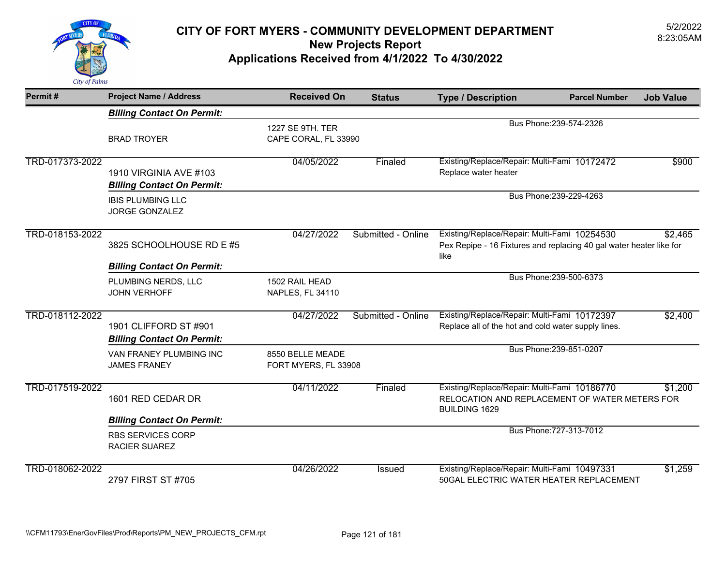

| Permit#         | <b>Project Name / Address</b>                               | <b>Received On</b>                                                  | <b>Status</b>      | <b>Type / Description</b>                                                                                                   | <b>Parcel Number</b>    | <b>Job Value</b> |
|-----------------|-------------------------------------------------------------|---------------------------------------------------------------------|--------------------|-----------------------------------------------------------------------------------------------------------------------------|-------------------------|------------------|
|                 | <b>Billing Contact On Permit:</b>                           |                                                                     |                    |                                                                                                                             |                         |                  |
|                 | <b>BRAD TROYER</b>                                          | Bus Phone: 239-574-2326<br>1227 SE 9TH. TER<br>CAPE CORAL, FL 33990 |                    |                                                                                                                             |                         |                  |
| TRD-017373-2022 | 1910 VIRGINIA AVE #103<br><b>Billing Contact On Permit:</b> | 04/05/2022                                                          | Finaled            | Existing/Replace/Repair: Multi-Fami 10172472<br>Replace water heater                                                        |                         | \$900            |
|                 | <b>IBIS PLUMBING LLC</b><br><b>JORGE GONZALEZ</b>           |                                                                     |                    |                                                                                                                             | Bus Phone: 239-229-4263 |                  |
| TRD-018153-2022 | 3825 SCHOOLHOUSE RD E #5                                    | 04/27/2022                                                          | Submitted - Online | Existing/Replace/Repair: Multi-Fami 10254530<br>Pex Repipe - 16 Fixtures and replacing 40 gal water heater like for<br>like |                         | \$2,465          |
|                 | <b>Billing Contact On Permit:</b>                           |                                                                     |                    |                                                                                                                             |                         |                  |
|                 | PLUMBING NERDS, LLC<br><b>JOHN VERHOFF</b>                  | 1502 RAIL HEAD<br>NAPLES, FL 34110                                  |                    |                                                                                                                             | Bus Phone: 239-500-6373 |                  |
| TRD-018112-2022 | 1901 CLIFFORD ST #901<br><b>Billing Contact On Permit:</b>  | 04/27/2022                                                          | Submitted - Online | Existing/Replace/Repair: Multi-Fami 10172397<br>Replace all of the hot and cold water supply lines.                         |                         | \$2,400          |
|                 | VAN FRANEY PLUMBING INC<br><b>JAMES FRANEY</b>              | 8550 BELLE MEADE<br>FORT MYERS, FL 33908                            |                    |                                                                                                                             | Bus Phone: 239-851-0207 |                  |
| TRD-017519-2022 | 1601 RED CEDAR DR                                           | 04/11/2022                                                          | Finaled            | Existing/Replace/Repair: Multi-Fami 10186770<br>RELOCATION AND REPLACEMENT OF WATER METERS FOR<br><b>BUILDING 1629</b>      |                         | \$1,200          |
|                 | <b>Billing Contact On Permit:</b>                           |                                                                     |                    |                                                                                                                             |                         |                  |
|                 | <b>RBS SERVICES CORP</b><br><b>RACIER SUAREZ</b>            |                                                                     |                    |                                                                                                                             | Bus Phone: 727-313-7012 |                  |
| TRD-018062-2022 | 2797 FIRST ST #705                                          | 04/26/2022                                                          | Issued             | Existing/Replace/Repair: Multi-Fami 10497331<br>50GAL ELECTRIC WATER HEATER REPLACEMENT                                     |                         | \$1,259          |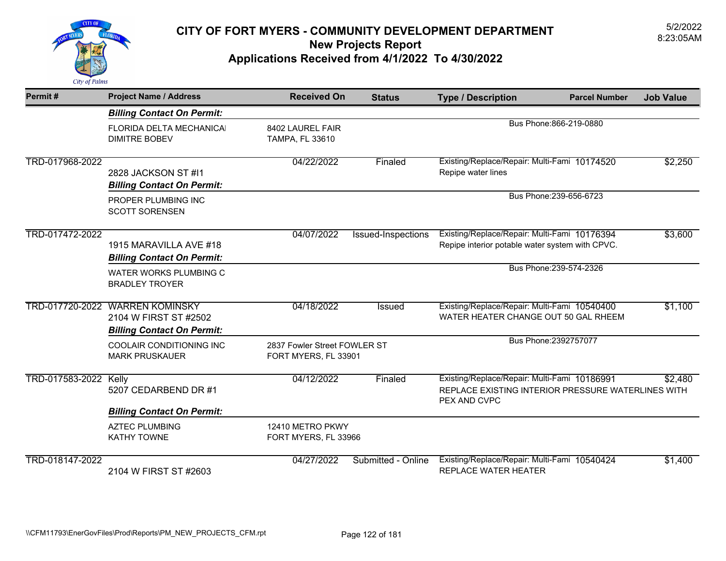

| Permit#               | <b>Project Name / Address</b>                                                                 | <b>Received On</b>                                   | <b>Status</b>      | <b>Type / Description</b>                                                                                          | <b>Parcel Number</b>    | <b>Job Value</b> |
|-----------------------|-----------------------------------------------------------------------------------------------|------------------------------------------------------|--------------------|--------------------------------------------------------------------------------------------------------------------|-------------------------|------------------|
|                       | <b>Billing Contact On Permit:</b>                                                             |                                                      |                    |                                                                                                                    |                         |                  |
|                       | FLORIDA DELTA MECHANICAI<br><b>DIMITRE BOBEV</b>                                              | 8402 LAUREL FAIR<br><b>TAMPA, FL 33610</b>           |                    | Bus Phone: 866-219-0880                                                                                            |                         |                  |
| TRD-017968-2022       | 2828 JACKSON ST #11<br><b>Billing Contact On Permit:</b>                                      | 04/22/2022                                           | Finaled            | Existing/Replace/Repair: Multi-Fami 10174520<br>Repipe water lines                                                 |                         | \$2,250          |
|                       | PROPER PLUMBING INC<br><b>SCOTT SORENSEN</b>                                                  |                                                      |                    |                                                                                                                    | Bus Phone: 239-656-6723 |                  |
| TRD-017472-2022       | 1915 MARAVILLA AVE #18<br><b>Billing Contact On Permit:</b>                                   | 04/07/2022                                           | Issued-Inspections | Existing/Replace/Repair: Multi-Fami 10176394<br>Repipe interior potable water system with CPVC.                    |                         | \$3,600          |
|                       | WATER WORKS PLUMBING C<br><b>BRADLEY TROYER</b>                                               |                                                      |                    |                                                                                                                    | Bus Phone: 239-574-2326 |                  |
|                       | TRD-017720-2022 WARREN KOMINSKY<br>2104 W FIRST ST #2502<br><b>Billing Contact On Permit:</b> | 04/18/2022                                           | Issued             | Existing/Replace/Repair: Multi-Fami 10540400<br>WATER HEATER CHANGE OUT 50 GAL RHEEM                               |                         | \$1,100          |
|                       | <b>COOLAIR CONDITIONING INC</b><br><b>MARK PRUSKAUER</b>                                      | 2837 Fowler Street FOWLER ST<br>FORT MYERS, FL 33901 |                    |                                                                                                                    | Bus Phone: 2392757077   |                  |
| TRD-017583-2022 Kelly | 5207 CEDARBEND DR #1                                                                          | 04/12/2022                                           | Finaled            | Existing/Replace/Repair: Multi-Fami 10186991<br>REPLACE EXISTING INTERIOR PRESSURE WATERLINES WITH<br>PEX AND CVPC |                         | \$2,480          |
|                       | <b>Billing Contact On Permit:</b>                                                             |                                                      |                    |                                                                                                                    |                         |                  |
|                       | <b>AZTEC PLUMBING</b><br><b>KATHY TOWNE</b>                                                   | 12410 METRO PKWY<br>FORT MYERS, FL 33966             |                    |                                                                                                                    |                         |                  |
| TRD-018147-2022       | 2104 W FIRST ST #2603                                                                         | 04/27/2022                                           | Submitted - Online | Existing/Replace/Repair: Multi-Fami 10540424<br><b>REPLACE WATER HEATER</b>                                        |                         | \$1,400          |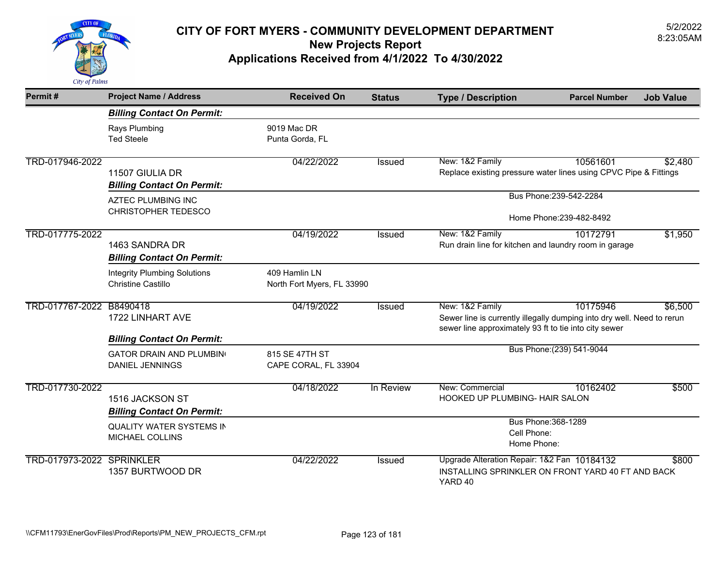

| Permit#                   | <b>Project Name / Address</b>                                    | <b>Received On</b>                          | <b>Status</b> | <b>Type / Description</b>                                                                                                                          | <b>Parcel Number</b>      | <b>Job Value</b> |
|---------------------------|------------------------------------------------------------------|---------------------------------------------|---------------|----------------------------------------------------------------------------------------------------------------------------------------------------|---------------------------|------------------|
|                           | <b>Billing Contact On Permit:</b>                                |                                             |               |                                                                                                                                                    |                           |                  |
|                           | Rays Plumbing<br><b>Ted Steele</b>                               | 9019 Mac DR<br>Punta Gorda, FL              |               |                                                                                                                                                    |                           |                  |
| TRD-017946-2022           | 11507 GIULIA DR<br><b>Billing Contact On Permit:</b>             | 04/22/2022                                  | Issued        | New: 1&2 Family<br>Replace existing pressure water lines using CPVC Pipe & Fittings                                                                | 10561601                  | \$2,480          |
|                           | <b>AZTEC PLUMBING INC</b><br><b>CHRISTOPHER TEDESCO</b>          |                                             |               | Bus Phone: 239-542-2284<br>Home Phone: 239-482-8492                                                                                                |                           |                  |
| TRD-017775-2022           | 1463 SANDRA DR<br><b>Billing Contact On Permit:</b>              | 04/19/2022                                  | <b>Issued</b> | New: 1&2 Family<br>Run drain line for kitchen and laundry room in garage                                                                           | 10172791                  | \$1,950          |
|                           | <b>Integrity Plumbing Solutions</b><br><b>Christine Castillo</b> | 409 Hamlin LN<br>North Fort Myers, FL 33990 |               |                                                                                                                                                    |                           |                  |
| TRD-017767-2022 B8490418  | 1722 LINHART AVE<br><b>Billing Contact On Permit:</b>            | 04/19/2022                                  | <b>Issued</b> | New: 1&2 Family<br>Sewer line is currently illegally dumping into dry well. Need to rerun<br>sewer line approximately 93 ft to tie into city sewer | 10175946                  | \$6,500          |
|                           | <b>GATOR DRAIN AND PLUMBING</b><br><b>DANIEL JENNINGS</b>        | 815 SE 47TH ST<br>CAPE CORAL, FL 33904      |               |                                                                                                                                                    | Bus Phone: (239) 541-9044 |                  |
| TRD-017730-2022           | 1516 JACKSON ST<br><b>Billing Contact On Permit:</b>             | 04/18/2022                                  | In Review     | New: Commercial<br><b>HOOKED UP PLUMBING- HAIR SALON</b>                                                                                           | 10162402                  | \$500            |
|                           | <b>QUALITY WATER SYSTEMS IN</b><br>MICHAEL COLLINS               |                                             |               | Bus Phone: 368-1289<br>Cell Phone:<br>Home Phone:                                                                                                  |                           |                  |
| TRD-017973-2022 SPRINKLER | 1357 BURTWOOD DR                                                 | 04/22/2022                                  | <b>Issued</b> | Upgrade Alteration Repair: 1&2 Fan 10184132<br>INSTALLING SPRINKLER ON FRONT YARD 40 FT AND BACK<br>YARD 40                                        |                           | \$800            |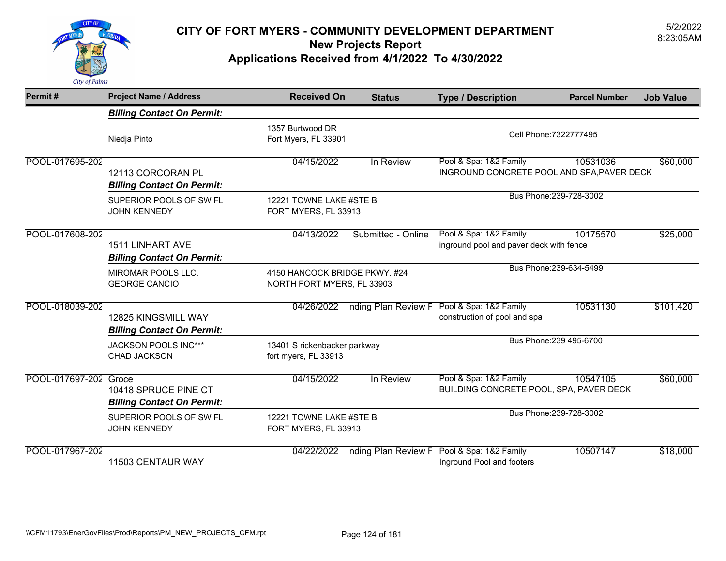

| Permit#               | <b>Project Name / Address</b>                                | <b>Received On</b>                                          | <b>Status</b>       | <b>Type / Description</b>                                            | <b>Parcel Number</b>    | <b>Job Value</b> |
|-----------------------|--------------------------------------------------------------|-------------------------------------------------------------|---------------------|----------------------------------------------------------------------|-------------------------|------------------|
|                       | <b>Billing Contact On Permit:</b>                            |                                                             |                     |                                                                      |                         |                  |
|                       | Niedja Pinto                                                 | 1357 Burtwood DR<br>Fort Myers, FL 33901                    |                     | Cell Phone: 7322777495                                               |                         |                  |
| POOL-017695-202       | 12113 CORCORAN PL<br><b>Billing Contact On Permit:</b>       | 04/15/2022                                                  | In Review           | Pool & Spa: 1&2 Family<br>INGROUND CONCRETE POOL AND SPA, PAVER DECK | 10531036                | \$60,000         |
|                       | SUPERIOR POOLS OF SW FL<br><b>JOHN KENNEDY</b>               | 12221 TOWNE LAKE #STE B<br>FORT MYERS, FL 33913             |                     |                                                                      | Bus Phone: 239-728-3002 |                  |
| POOL-017608-202       | <b>1511 LINHART AVE</b><br><b>Billing Contact On Permit:</b> | 04/13/2022                                                  | Submitted - Online  | Pool & Spa: 1&2 Family<br>inground pool and paver deck with fence    | 10175570                | \$25,000         |
|                       | MIROMAR POOLS LLC.<br><b>GEORGE CANCIO</b>                   | 4150 HANCOCK BRIDGE PKWY. #24<br>NORTH FORT MYERS, FL 33903 |                     |                                                                      | Bus Phone: 239-634-5499 |                  |
| POOL-018039-202       | 12825 KINGSMILL WAY<br><b>Billing Contact On Permit:</b>     | 04/26/2022                                                  | nding Plan Review F | Pool & Spa: 1&2 Family<br>construction of pool and spa               | 10531130                | \$101,420        |
|                       | JACKSON POOLS INC***<br><b>CHAD JACKSON</b>                  | 13401 S rickenbacker parkway<br>fort myers, FL 33913        |                     |                                                                      | Bus Phone: 239 495-6700 |                  |
| POOL-017697-202 Groce | 10418 SPRUCE PINE CT<br><b>Billing Contact On Permit:</b>    | 04/15/2022                                                  | In Review           | Pool & Spa: 1&2 Family<br>BUILDING CONCRETE POOL, SPA, PAVER DECK    | 10547105                | \$60,000         |
|                       | SUPERIOR POOLS OF SW FL<br><b>JOHN KENNEDY</b>               | 12221 TOWNE LAKE #STE B<br>FORT MYERS, FL 33913             |                     |                                                                      | Bus Phone: 239-728-3002 |                  |
| POOL-017967-202       | 11503 CENTAUR WAY                                            | 04/22/2022                                                  | nding Plan Review F | Pool & Spa: 1&2 Family<br>Inground Pool and footers                  | 10507147                | \$18,000         |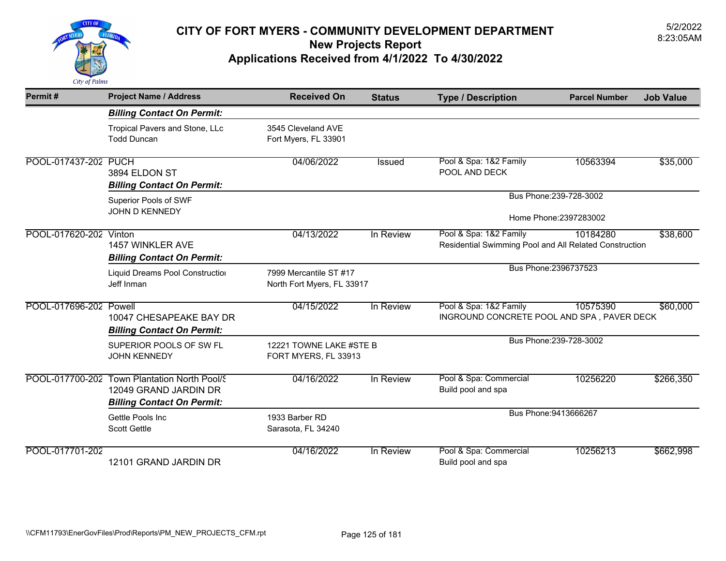

| Permit#                | <b>Project Name / Address</b>                                                                              | <b>Received On</b>                                   | <b>Status</b>                                     | <b>Type / Description</b>                                                        | <b>Parcel Number</b>    | <b>Job Value</b> |
|------------------------|------------------------------------------------------------------------------------------------------------|------------------------------------------------------|---------------------------------------------------|----------------------------------------------------------------------------------|-------------------------|------------------|
|                        | <b>Billing Contact On Permit:</b>                                                                          |                                                      |                                                   |                                                                                  |                         |                  |
|                        | Tropical Pavers and Stone, LLc<br><b>Todd Duncan</b>                                                       | 3545 Cleveland AVE<br>Fort Myers, FL 33901           |                                                   |                                                                                  |                         |                  |
| POOL-017437-202 PUCH   | 3894 ELDON ST<br><b>Billing Contact On Permit:</b>                                                         | 04/06/2022                                           | Issued                                            | Pool & Spa: 1&2 Family<br>POOL AND DECK                                          | 10563394                | \$35,000         |
|                        | Superior Pools of SWF<br>JOHN D KENNEDY                                                                    |                                                      | Bus Phone: 239-728-3002<br>Home Phone: 2397283002 |                                                                                  |                         |                  |
| POOL-017620-202 Vinton | 1457 WINKLER AVE<br><b>Billing Contact On Permit:</b>                                                      | 04/13/2022                                           | In Review                                         | Pool & Spa: 1&2 Family<br>Residential Swimming Pool and All Related Construction | 10184280                | \$38,600         |
|                        | Liquid Dreams Pool Construction<br>Jeff Inman                                                              | 7999 Mercantile ST #17<br>North Fort Myers, FL 33917 |                                                   |                                                                                  | Bus Phone: 2396737523   |                  |
| POOL-017696-202 Powell | 10047 CHESAPEAKE BAY DR<br><b>Billing Contact On Permit:</b>                                               | 04/15/2022                                           | In Review                                         | Pool & Spa: 1&2 Family<br>INGROUND CONCRETE POOL AND SPA, PAVER DECK             | 10575390                | \$60,000         |
|                        | SUPERIOR POOLS OF SW FL<br><b>JOHN KENNEDY</b>                                                             | 12221 TOWNE LAKE #STE B<br>FORT MYERS, FL 33913      |                                                   |                                                                                  | Bus Phone: 239-728-3002 |                  |
|                        | POOL-017700-202 Town Plantation North Pool/S<br>12049 GRAND JARDIN DR<br><b>Billing Contact On Permit:</b> | 04/16/2022                                           | In Review                                         | Pool & Spa: Commercial<br>Build pool and spa                                     | 10256220                | \$266,350        |
|                        | Gettle Pools Inc<br><b>Scott Gettle</b>                                                                    | 1933 Barber RD<br>Sarasota, FL 34240                 |                                                   |                                                                                  | Bus Phone: 9413666267   |                  |
| POOL-017701-202        | 12101 GRAND JARDIN DR                                                                                      | 04/16/2022                                           | In Review                                         | Pool & Spa: Commercial<br>Build pool and spa                                     | 10256213                | \$662,998        |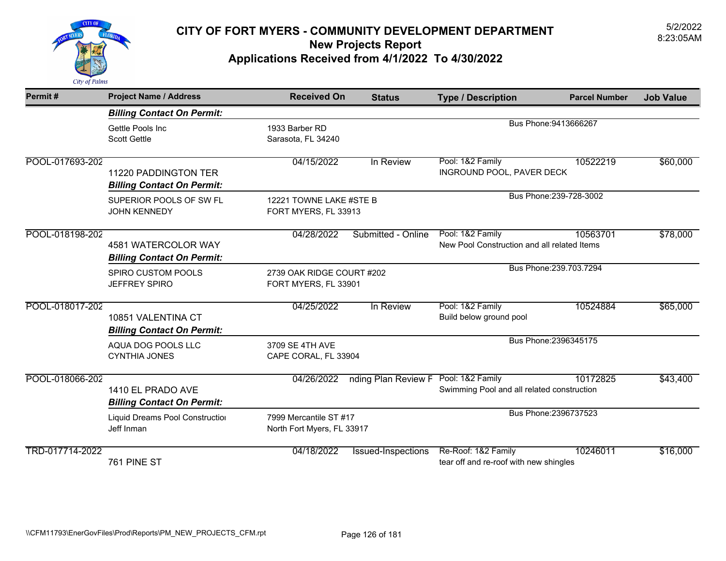

| Permit#         | <b>Project Name / Address</b>                             | <b>Received On</b>                                   | <b>Status</b>             | <b>Type / Description</b>                                       | <b>Parcel Number</b>    | <b>Job Value</b> |
|-----------------|-----------------------------------------------------------|------------------------------------------------------|---------------------------|-----------------------------------------------------------------|-------------------------|------------------|
|                 | <b>Billing Contact On Permit:</b>                         |                                                      |                           |                                                                 |                         |                  |
|                 | Gettle Pools Inc<br><b>Scott Gettle</b>                   | 1933 Barber RD<br>Sarasota, FL 34240                 |                           |                                                                 | Bus Phone: 9413666267   |                  |
| POOL-017693-202 | 11220 PADDINGTON TER<br><b>Billing Contact On Permit:</b> | 04/15/2022                                           | In Review                 | Pool: 1&2 Family<br>INGROUND POOL, PAVER DECK                   | 10522219                | \$60,000         |
|                 | SUPERIOR POOLS OF SW FL<br><b>JOHN KENNEDY</b>            | 12221 TOWNE LAKE #STE B<br>FORT MYERS, FL 33913      |                           |                                                                 | Bus Phone: 239-728-3002 |                  |
| POOL-018198-202 | 4581 WATERCOLOR WAY<br><b>Billing Contact On Permit:</b>  | 04/28/2022                                           | Submitted - Online        | Pool: 1&2 Family<br>New Pool Construction and all related Items | 10563701                | \$78,000         |
|                 | SPIRO CUSTOM POOLS<br><b>JEFFREY SPIRO</b>                | 2739 OAK RIDGE COURT #202<br>FORT MYERS, FL 33901    |                           |                                                                 | Bus Phone: 239.703.7294 |                  |
| POOL-018017-202 | 10851 VALENTINA CT<br><b>Billing Contact On Permit:</b>   | 04/25/2022                                           | In Review                 | Pool: 1&2 Family<br>Build below ground pool                     | 10524884                | \$65,000         |
|                 | AQUA DOG POOLS LLC<br><b>CYNTHIA JONES</b>                | 3709 SE 4TH AVE<br>CAPE CORAL, FL 33904              |                           |                                                                 | Bus Phone: 2396345175   |                  |
| POOL-018066-202 | 1410 EL PRADO AVE<br><b>Billing Contact On Permit:</b>    | 04/26/2022                                           | nding Plan Review F       | Pool: 1&2 Family<br>Swimming Pool and all related construction  | 10172825                | \$43,400         |
|                 | Liquid Dreams Pool Construction<br>Jeff Inman             | 7999 Mercantile ST #17<br>North Fort Myers, FL 33917 |                           |                                                                 | Bus Phone: 2396737523   |                  |
| TRD-017714-2022 | 761 PINE ST                                               | 04/18/2022                                           | <b>Issued-Inspections</b> | Re-Roof: 1&2 Family<br>tear off and re-roof with new shingles   | 10246011                | \$16,000         |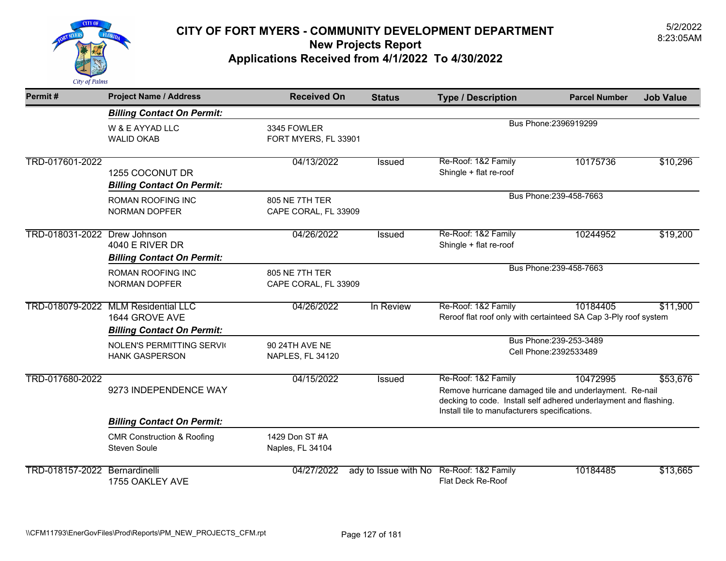

| Permit#                       | <b>Project Name / Address</b>                                                              | <b>Received On</b>                     | <b>Status</b>        | <b>Type / Description</b>                                                                                                                                                                           | <b>Parcel Number</b>                              | <b>Job Value</b> |
|-------------------------------|--------------------------------------------------------------------------------------------|----------------------------------------|----------------------|-----------------------------------------------------------------------------------------------------------------------------------------------------------------------------------------------------|---------------------------------------------------|------------------|
|                               | <b>Billing Contact On Permit:</b>                                                          |                                        |                      |                                                                                                                                                                                                     |                                                   |                  |
|                               | W & E AYYAD LLC<br><b>WALID OKAB</b>                                                       | 3345 FOWLER<br>FORT MYERS, FL 33901    |                      |                                                                                                                                                                                                     | Bus Phone: 2396919299                             |                  |
| TRD-017601-2022               | 1255 COCONUT DR<br><b>Billing Contact On Permit:</b>                                       | 04/13/2022                             | Issued               | Re-Roof: 1&2 Family<br>Shingle + flat re-roof                                                                                                                                                       | 10175736                                          | \$10,296         |
|                               | <b>ROMAN ROOFING INC</b><br><b>NORMAN DOPFER</b>                                           | 805 NE 7TH TER<br>CAPE CORAL, FL 33909 |                      |                                                                                                                                                                                                     | Bus Phone: 239-458-7663                           |                  |
| TRD-018031-2022 Drew Johnson  | <b>4040 E RIVER DR</b><br><b>Billing Contact On Permit:</b>                                | 04/26/2022                             | <b>Issued</b>        | Re-Roof: 1&2 Family<br>Shingle + flat re-roof                                                                                                                                                       | 10244952                                          | \$19,200         |
|                               | ROMAN ROOFING INC<br><b>NORMAN DOPFER</b>                                                  | 805 NE 7TH TER<br>CAPE CORAL, FL 33909 |                      |                                                                                                                                                                                                     | Bus Phone: 239-458-7663                           |                  |
|                               | TRD-018079-2022 MLM Residential LLC<br>1644 GROVE AVE<br><b>Billing Contact On Permit:</b> | 04/26/2022                             | In Review            | Re-Roof: 1&2 Family<br>Reroof flat roof only with certainteed SA Cap 3-Ply roof system                                                                                                              | 10184405                                          | \$11,900         |
|                               | <b>NOLEN'S PERMITTING SERVIC</b><br><b>HANK GASPERSON</b>                                  | 90 24TH AVE NE<br>NAPLES, FL 34120     |                      |                                                                                                                                                                                                     | Bus Phone: 239-253-3489<br>Cell Phone: 2392533489 |                  |
| TRD-017680-2022               | 9273 INDEPENDENCE WAY                                                                      | 04/15/2022                             | <b>Issued</b>        | Re-Roof: 1&2 Family<br>Remove hurricane damaged tile and underlayment. Re-nail<br>decking to code. Install self adhered underlayment and flashing.<br>Install tile to manufacturers specifications. | 10472995                                          | \$53,676         |
|                               | <b>Billing Contact On Permit:</b>                                                          |                                        |                      |                                                                                                                                                                                                     |                                                   |                  |
|                               | <b>CMR Construction &amp; Roofing</b><br><b>Steven Soule</b>                               | 1429 Don ST #A<br>Naples, FL 34104     |                      |                                                                                                                                                                                                     |                                                   |                  |
| TRD-018157-2022 Bernardinelli | 1755 OAKLEY AVE                                                                            | 04/27/2022                             | ady to Issue with No | Re-Roof: 1&2 Family<br>Flat Deck Re-Roof                                                                                                                                                            | 10184485                                          | \$13,665         |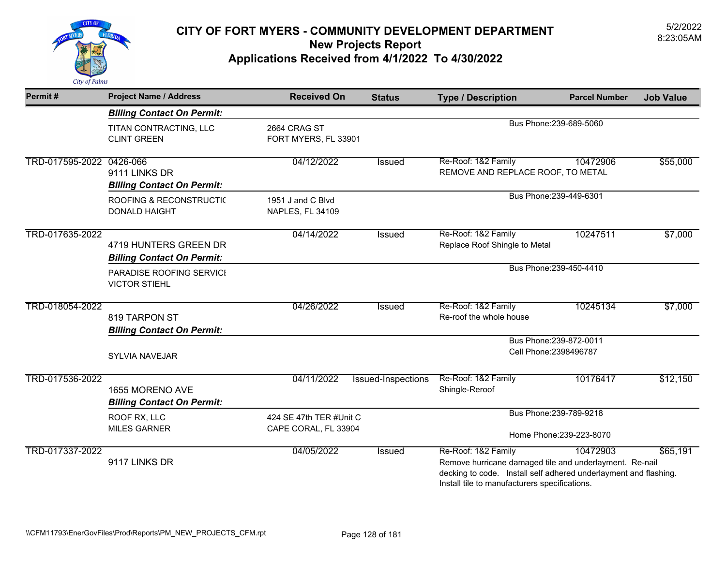

| Permit#                  | <b>Project Name / Address</b>                              | <b>Received On</b>                              | <b>Status</b>      | <b>Type / Description</b>                                                                                                                                                                           | <b>Parcel Number</b>                              | <b>Job Value</b> |  |
|--------------------------|------------------------------------------------------------|-------------------------------------------------|--------------------|-----------------------------------------------------------------------------------------------------------------------------------------------------------------------------------------------------|---------------------------------------------------|------------------|--|
|                          | <b>Billing Contact On Permit:</b>                          |                                                 |                    |                                                                                                                                                                                                     |                                                   |                  |  |
|                          | TITAN CONTRACTING, LLC<br><b>CLINT GREEN</b>               | 2664 CRAG ST<br>FORT MYERS, FL 33901            |                    | Bus Phone: 239-689-5060                                                                                                                                                                             |                                                   |                  |  |
| TRD-017595-2022 0426-066 | 9111 LINKS DR<br><b>Billing Contact On Permit:</b>         | 04/12/2022                                      | <b>Issued</b>      | Re-Roof: 1&2 Family<br>REMOVE AND REPLACE ROOF, TO METAL                                                                                                                                            | 10472906                                          | \$55,000         |  |
|                          | ROOFING & RECONSTRUCTIO<br><b>DONALD HAIGHT</b>            | 1951 J and C Blvd<br>NAPLES, FL 34109           |                    | Bus Phone: 239-449-6301                                                                                                                                                                             |                                                   |                  |  |
| TRD-017635-2022          | 4719 HUNTERS GREEN DR<br><b>Billing Contact On Permit:</b> | 04/14/2022                                      | Issued             | Re-Roof: 1&2 Family<br>Replace Roof Shingle to Metal                                                                                                                                                | 10247511                                          | \$7,000          |  |
|                          | PARADISE ROOFING SERVICI<br><b>VICTOR STIEHL</b>           |                                                 |                    | Bus Phone: 239-450-4410                                                                                                                                                                             |                                                   |                  |  |
| TRD-018054-2022          | 819 TARPON ST<br><b>Billing Contact On Permit:</b>         | 04/26/2022                                      | <b>Issued</b>      | Re-Roof: 1&2 Family<br>Re-roof the whole house                                                                                                                                                      | 10245134                                          | \$7,000          |  |
|                          | <b>SYLVIA NAVEJAR</b>                                      |                                                 |                    |                                                                                                                                                                                                     | Bus Phone: 239-872-0011<br>Cell Phone: 2398496787 |                  |  |
| TRD-017536-2022          | 1655 MORENO AVE<br><b>Billing Contact On Permit:</b>       | 04/11/2022                                      | Issued-Inspections | Re-Roof: 1&2 Family<br>Shingle-Reroof                                                                                                                                                               | 10176417                                          | \$12,150         |  |
|                          | ROOF RX, LLC<br><b>MILES GARNER</b>                        | 424 SE 47th TER #Unit C<br>CAPE CORAL, FL 33904 |                    | Bus Phone: 239-789-9218<br>Home Phone: 239-223-8070                                                                                                                                                 |                                                   |                  |  |
| TRD-017337-2022          | 9117 LINKS DR                                              | 04/05/2022                                      | <b>Issued</b>      | Re-Roof: 1&2 Family<br>Remove hurricane damaged tile and underlayment. Re-nail<br>decking to code. Install self adhered underlayment and flashing.<br>Install tile to manufacturers specifications. | 10472903                                          | \$65,191         |  |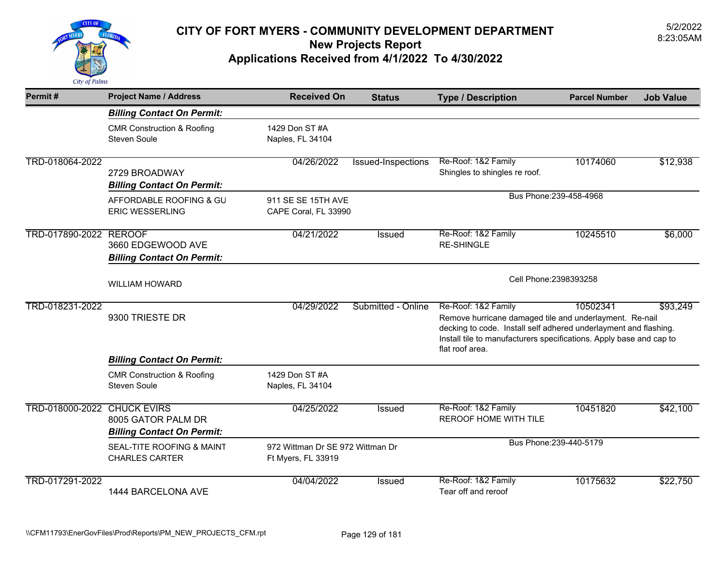

| Permit#                            | <b>Project Name / Address</b>                                           | <b>Received On</b>                                     | <b>Status</b>      | <b>Type / Description</b>                                                                                                                                                                                                                    | <b>Parcel Number</b>    | <b>Job Value</b> |  |
|------------------------------------|-------------------------------------------------------------------------|--------------------------------------------------------|--------------------|----------------------------------------------------------------------------------------------------------------------------------------------------------------------------------------------------------------------------------------------|-------------------------|------------------|--|
|                                    | <b>Billing Contact On Permit:</b>                                       |                                                        |                    |                                                                                                                                                                                                                                              |                         |                  |  |
|                                    | <b>CMR Construction &amp; Roofing</b><br><b>Steven Soule</b>            | 1429 Don ST #A<br>Naples, FL 34104                     |                    |                                                                                                                                                                                                                                              |                         |                  |  |
| TRD-018064-2022                    | 2729 BROADWAY<br><b>Billing Contact On Permit:</b>                      | 04/26/2022                                             | Issued-Inspections | Re-Roof: 1&2 Family<br>Shingles to shingles re roof.                                                                                                                                                                                         | 10174060                | \$12,938         |  |
|                                    | AFFORDABLE ROOFING & GU<br><b>ERIC WESSERLING</b>                       | 911 SE SE 15TH AVE<br>CAPE Coral, FL 33990             |                    |                                                                                                                                                                                                                                              | Bus Phone: 239-458-4968 |                  |  |
| TRD-017890-2022                    | <b>REROOF</b><br>3660 EDGEWOOD AVE<br><b>Billing Contact On Permit:</b> | 04/21/2022                                             | Issued             | Re-Roof: 1&2 Family<br><b>RE-SHINGLE</b>                                                                                                                                                                                                     | 10245510                | \$6,000          |  |
|                                    | <b>WILLIAM HOWARD</b>                                                   |                                                        |                    | Cell Phone: 2398393258                                                                                                                                                                                                                       |                         |                  |  |
| TRD-018231-2022                    | 9300 TRIESTE DR                                                         | 04/29/2022                                             | Submitted - Online | Re-Roof: 1&2 Family<br>Remove hurricane damaged tile and underlayment. Re-nail<br>decking to code. Install self adhered underlayment and flashing.<br>Install tile to manufacturers specifications. Apply base and cap to<br>flat roof area. | 10502341                | \$93,249         |  |
|                                    | <b>Billing Contact On Permit:</b>                                       |                                                        |                    |                                                                                                                                                                                                                                              |                         |                  |  |
|                                    | <b>CMR Construction &amp; Roofing</b><br><b>Steven Soule</b>            | 1429 Don ST #A<br>Naples, FL 34104                     |                    |                                                                                                                                                                                                                                              |                         |                  |  |
| <b>TRD-018000-2022 CHUCK EVIRS</b> | 8005 GATOR PALM DR<br><b>Billing Contact On Permit:</b>                 | 04/25/2022                                             | <b>Issued</b>      | Re-Roof: 1&2 Family<br>REROOF HOME WITH TILE                                                                                                                                                                                                 | 10451820                | \$42,100         |  |
|                                    | SEAL-TITE ROOFING & MAINT<br><b>CHARLES CARTER</b>                      | 972 Wittman Dr SE 972 Wittman Dr<br>Ft Myers, FL 33919 |                    |                                                                                                                                                                                                                                              | Bus Phone: 239-440-5179 |                  |  |
| TRD-017291-2022                    | 1444 BARCELONA AVE                                                      | 04/04/2022                                             | Issued             | Re-Roof: 1&2 Family<br>Tear off and reroof                                                                                                                                                                                                   | 10175632                | \$22,750         |  |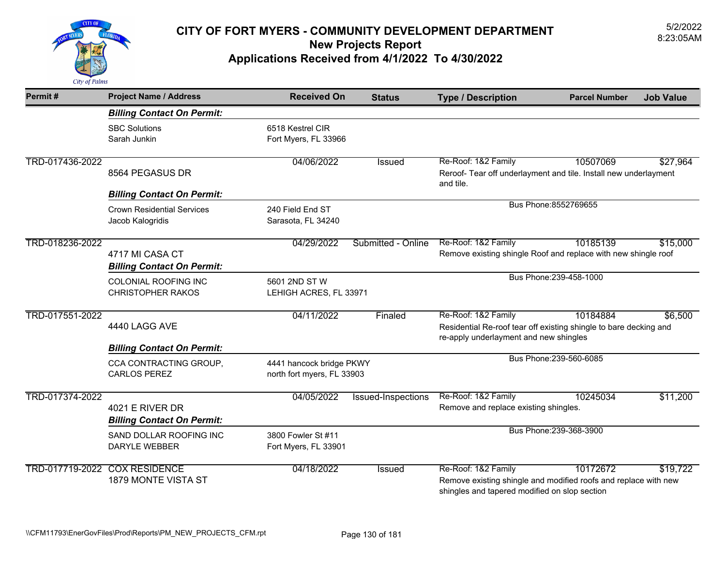

| Permit#         | <b>Project Name / Address</b>                         | <b>Received On</b>                                     | <b>Status</b>      | <b>Type / Description</b>                                                                                                               | <b>Parcel Number</b>    | <b>Job Value</b> |
|-----------------|-------------------------------------------------------|--------------------------------------------------------|--------------------|-----------------------------------------------------------------------------------------------------------------------------------------|-------------------------|------------------|
|                 | <b>Billing Contact On Permit:</b>                     |                                                        |                    |                                                                                                                                         |                         |                  |
|                 | <b>SBC Solutions</b><br>Sarah Junkin                  | 6518 Kestrel CIR<br>Fort Myers, FL 33966               |                    |                                                                                                                                         |                         |                  |
| TRD-017436-2022 | 8564 PEGASUS DR                                       | 04/06/2022                                             | Issued             | Re-Roof: 1&2 Family<br>Reroof- Tear off underlayment and tile. Install new underlayment<br>and tile.                                    | 10507069                | \$27,964         |
|                 | <b>Billing Contact On Permit:</b>                     |                                                        |                    |                                                                                                                                         | Bus Phone: 8552769655   |                  |
|                 | <b>Crown Residential Services</b><br>Jacob Kalogridis | 240 Field End ST<br>Sarasota, FL 34240                 |                    |                                                                                                                                         |                         |                  |
| TRD-018236-2022 | 4717 MI CASA CT<br><b>Billing Contact On Permit:</b>  | 04/29/2022                                             | Submitted - Online | Re-Roof: 1&2 Family<br>Remove existing shingle Roof and replace with new shingle roof                                                   | 10185139                | \$15,000         |
|                 | COLONIAL ROOFING INC<br><b>CHRISTOPHER RAKOS</b>      | 5601 2ND ST W<br>LEHIGH ACRES, FL 33971                |                    |                                                                                                                                         | Bus Phone: 239-458-1000 |                  |
| TRD-017551-2022 | 4440 LAGG AVE                                         | 04/11/2022                                             | Finaled            | Re-Roof: 1&2 Family<br>Residential Re-roof tear off existing shingle to bare decking and<br>re-apply underlayment and new shingles      | 10184884                | \$6,500          |
|                 | <b>Billing Contact On Permit:</b>                     |                                                        |                    |                                                                                                                                         | Bus Phone: 239-560-6085 |                  |
|                 | CCA CONTRACTING GROUP,<br><b>CARLOS PEREZ</b>         | 4441 hancock bridge PKWY<br>north fort myers, FL 33903 |                    |                                                                                                                                         |                         |                  |
| TRD-017374-2022 | 4021 E RIVER DR<br><b>Billing Contact On Permit:</b>  | 04/05/2022                                             | Issued-Inspections | Re-Roof: 1&2 Family<br>Remove and replace existing shingles.                                                                            | 10245034                | \$11,200         |
|                 | SAND DOLLAR ROOFING INC<br><b>DARYLE WEBBER</b>       | 3800 Fowler St #11<br>Fort Myers, FL 33901             |                    |                                                                                                                                         | Bus Phone: 239-368-3900 |                  |
|                 | TRD-017719-2022 COX RESIDENCE<br>1879 MONTE VISTA ST  | 04/18/2022                                             | <b>Issued</b>      | Re-Roof: 1&2 Family<br>Remove existing shingle and modified roofs and replace with new<br>shingles and tapered modified on slop section | 10172672                | \$19,722         |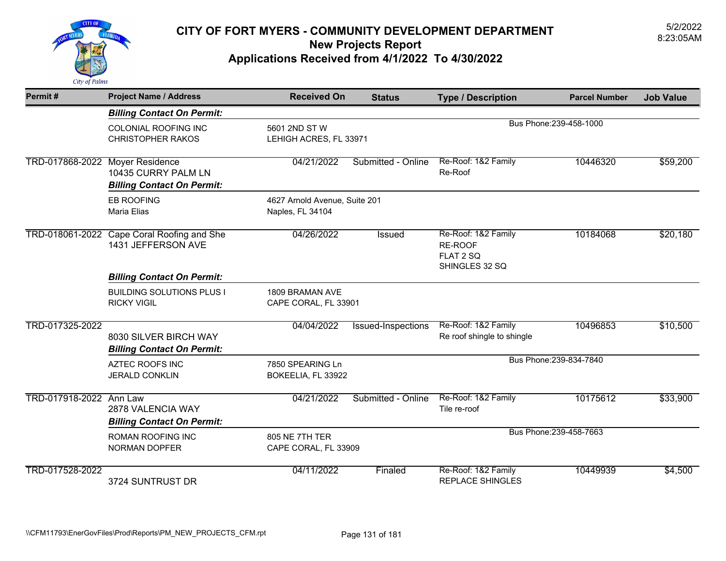

| Permit#                         | <b>Project Name / Address</b>                                    | <b>Received On</b>                                | <b>Status</b>      | <b>Type / Description</b>                                     | <b>Parcel Number</b>    | <b>Job Value</b> |
|---------------------------------|------------------------------------------------------------------|---------------------------------------------------|--------------------|---------------------------------------------------------------|-------------------------|------------------|
|                                 | <b>Billing Contact On Permit:</b>                                |                                                   |                    |                                                               |                         |                  |
|                                 | COLONIAL ROOFING INC<br><b>CHRISTOPHER RAKOS</b>                 | 5601 2ND ST W<br>LEHIGH ACRES, FL 33971           |                    |                                                               | Bus Phone: 239-458-1000 |                  |
| TRD-017868-2022 Moyer Residence | 10435 CURRY PALM LN<br><b>Billing Contact On Permit:</b>         | 04/21/2022                                        | Submitted - Online | Re-Roof: 1&2 Family<br>Re-Roof                                | 10446320                | \$59,200         |
|                                 | <b>EB ROOFING</b><br><b>Maria Elias</b>                          | 4627 Arnold Avenue, Suite 201<br>Naples, FL 34104 |                    |                                                               |                         |                  |
|                                 | TRD-018061-2022 Cape Coral Roofing and She<br>1431 JEFFERSON AVE | 04/26/2022                                        | <b>Issued</b>      | Re-Roof: 1&2 Family<br>RE-ROOF<br>FLAT 2 SQ<br>SHINGLES 32 SQ | 10184068                | \$20,180         |
|                                 | <b>Billing Contact On Permit:</b>                                |                                                   |                    |                                                               |                         |                  |
|                                 | <b>BUILDING SOLUTIONS PLUS I</b><br><b>RICKY VIGIL</b>           | 1809 BRAMAN AVE<br>CAPE CORAL, FL 33901           |                    |                                                               |                         |                  |
| TRD-017325-2022                 | 8030 SILVER BIRCH WAY<br><b>Billing Contact On Permit:</b>       | 04/04/2022                                        | Issued-Inspections | Re-Roof: 1&2 Family<br>Re roof shingle to shingle             | 10496853                | \$10,500         |
|                                 | <b>AZTEC ROOFS INC</b><br><b>JERALD CONKLIN</b>                  | 7850 SPEARING Ln<br>BOKEELIA, FL 33922            |                    |                                                               | Bus Phone: 239-834-7840 |                  |
| TRD-017918-2022 Ann Law         | 2878 VALENCIA WAY<br><b>Billing Contact On Permit:</b>           | 04/21/2022                                        | Submitted - Online | Re-Roof: 1&2 Family<br>Tile re-roof                           | 10175612                | \$33,900         |
|                                 | <b>ROMAN ROOFING INC</b><br><b>NORMAN DOPFER</b>                 | 805 NE 7TH TER<br>CAPE CORAL, FL 33909            |                    |                                                               | Bus Phone: 239-458-7663 |                  |
| TRD-017528-2022                 | 3724 SUNTRUST DR                                                 | 04/11/2022                                        | Finaled            | Re-Roof: 1&2 Family<br><b>REPLACE SHINGLES</b>                | 10449939                | \$4,500          |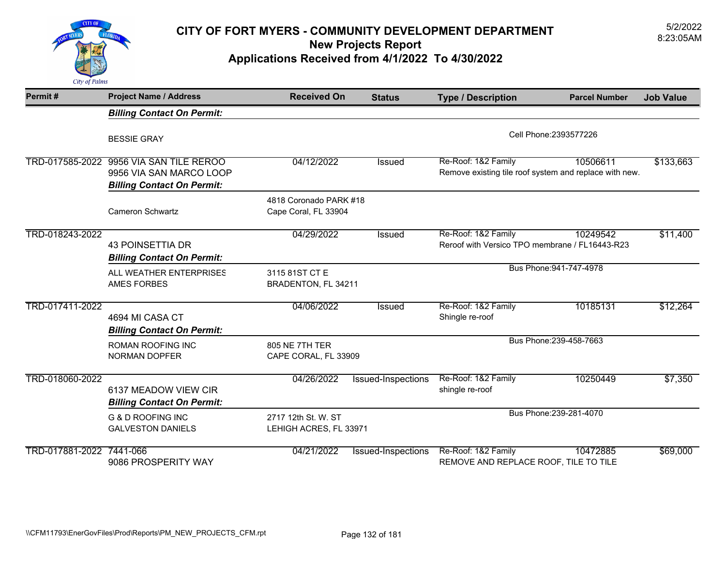

| Permit#                  | <b>Project Name / Address</b>                                                                           | <b>Received On</b>                             | <b>Status</b>             | <b>Type / Description</b>                                                     | <b>Parcel Number</b>    | <b>Job Value</b> |
|--------------------------|---------------------------------------------------------------------------------------------------------|------------------------------------------------|---------------------------|-------------------------------------------------------------------------------|-------------------------|------------------|
|                          | <b>Billing Contact On Permit:</b>                                                                       |                                                |                           |                                                                               |                         |                  |
|                          | <b>BESSIE GRAY</b>                                                                                      |                                                |                           |                                                                               | Cell Phone: 2393577226  |                  |
|                          | TRD-017585-2022 9956 VIA SAN TILE REROO<br>9956 VIA SAN MARCO LOOP<br><b>Billing Contact On Permit:</b> | 04/12/2022                                     | <b>Issued</b>             | Re-Roof: 1&2 Family<br>Remove existing tile roof system and replace with new. | 10506611                | \$133,663        |
|                          | <b>Cameron Schwartz</b>                                                                                 | 4818 Coronado PARK #18<br>Cape Coral, FL 33904 |                           |                                                                               |                         |                  |
| TRD-018243-2022          | <b>43 POINSETTIA DR</b><br><b>Billing Contact On Permit:</b>                                            | 04/29/2022                                     | Issued                    | Re-Roof: 1&2 Family<br>Reroof with Versico TPO membrane / FL16443-R23         | 10249542                | \$11,400         |
|                          | ALL WEATHER ENTERPRISES<br><b>AMES FORBES</b>                                                           | 3115 81ST CT E<br>BRADENTON, FL 34211          |                           |                                                                               | Bus Phone: 941-747-4978 |                  |
| TRD-017411-2022          | 4694 MI CASA CT<br><b>Billing Contact On Permit:</b>                                                    | 04/06/2022                                     | <b>Issued</b>             | Re-Roof: 1&2 Family<br>Shingle re-roof                                        | 10185131                | \$12,264         |
|                          | ROMAN ROOFING INC<br><b>NORMAN DOPFER</b>                                                               | 805 NE 7TH TER<br>CAPE CORAL, FL 33909         |                           |                                                                               | Bus Phone: 239-458-7663 |                  |
| TRD-018060-2022          | 6137 MEADOW VIEW CIR<br><b>Billing Contact On Permit:</b>                                               | 04/26/2022                                     | Issued-Inspections        | Re-Roof: 1&2 Family<br>shingle re-roof                                        | 10250449                | \$7,350          |
|                          | <b>G &amp; D ROOFING INC</b><br><b>GALVESTON DANIELS</b>                                                | 2717 12th St. W. ST<br>LEHIGH ACRES, FL 33971  |                           |                                                                               | Bus Phone: 239-281-4070 |                  |
| TRD-017881-2022 7441-066 | 9086 PROSPERITY WAY                                                                                     | 04/21/2022                                     | <b>Issued-Inspections</b> | Re-Roof: 1&2 Family<br>REMOVE AND REPLACE ROOF, TILE TO TILE                  | 10472885                | \$69,000         |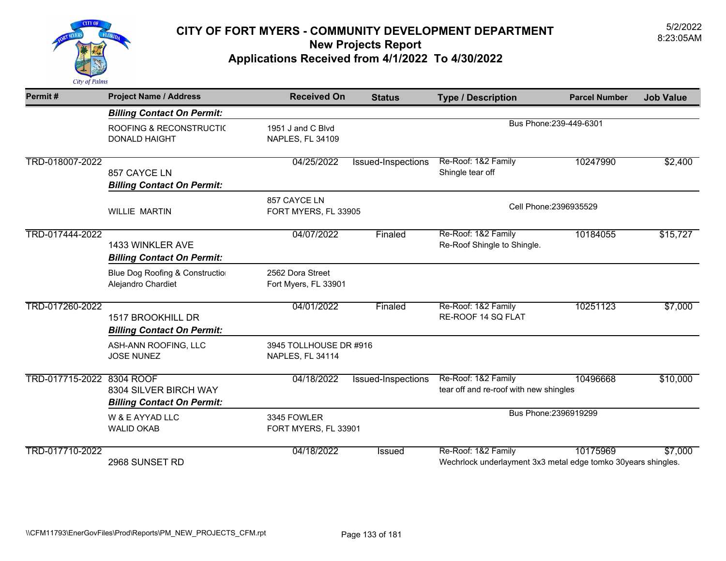

| Permit#                   | <b>Project Name / Address</b>                              | <b>Received On</b>                           | <b>Status</b>      | <b>Type / Description</b>                                                            | <b>Parcel Number</b>    | <b>Job Value</b> |
|---------------------------|------------------------------------------------------------|----------------------------------------------|--------------------|--------------------------------------------------------------------------------------|-------------------------|------------------|
|                           | <b>Billing Contact On Permit:</b>                          |                                              |                    |                                                                                      |                         |                  |
|                           | <b>ROOFING &amp; RECONSTRUCTIC</b><br><b>DONALD HAIGHT</b> | 1951 J and C Blvd<br><b>NAPLES, FL 34109</b> |                    |                                                                                      | Bus Phone: 239-449-6301 |                  |
| TRD-018007-2022           | 857 CAYCE LN<br><b>Billing Contact On Permit:</b>          | 04/25/2022                                   | Issued-Inspections | Re-Roof: 1&2 Family<br>Shingle tear off                                              | 10247990                | \$2,400          |
|                           | <b>WILLIE MARTIN</b>                                       | 857 CAYCE LN<br>FORT MYERS, FL 33905         |                    | Cell Phone: 2396935529                                                               |                         |                  |
| TRD-017444-2022           | 1433 WINKLER AVE<br><b>Billing Contact On Permit:</b>      | 04/07/2022                                   | Finaled            | Re-Roof: 1&2 Family<br>Re-Roof Shingle to Shingle.                                   | 10184055                | \$15,727         |
|                           | Blue Dog Roofing & Constructio<br>Alejandro Chardiet       | 2562 Dora Street<br>Fort Myers, FL 33901     |                    |                                                                                      |                         |                  |
| TRD-017260-2022           | 1517 BROOKHILL DR<br><b>Billing Contact On Permit:</b>     | 04/01/2022                                   | Finaled            | Re-Roof: 1&2 Family<br>RE-ROOF 14 SQ FLAT                                            | 10251123                | \$7,000          |
|                           | ASH-ANN ROOFING, LLC<br><b>JOSE NUNEZ</b>                  | 3945 TOLLHOUSE DR #916<br>NAPLES, FL 34114   |                    |                                                                                      |                         |                  |
| TRD-017715-2022 8304 ROOF | 8304 SILVER BIRCH WAY<br><b>Billing Contact On Permit:</b> | 04/18/2022                                   | Issued-Inspections | Re-Roof: 1&2 Family<br>tear off and re-roof with new shingles                        | 10496668                | \$10,000         |
|                           | W & E AYYAD LLC<br><b>WALID OKAB</b>                       | 3345 FOWLER<br>FORT MYERS, FL 33901          |                    |                                                                                      | Bus Phone: 2396919299   |                  |
| TRD-017710-2022           | 2968 SUNSET RD                                             | 04/18/2022                                   | Issued             | Re-Roof: 1&2 Family<br>Wechrlock underlayment 3x3 metal edge tomko 30years shingles. | 10175969                | \$7,000          |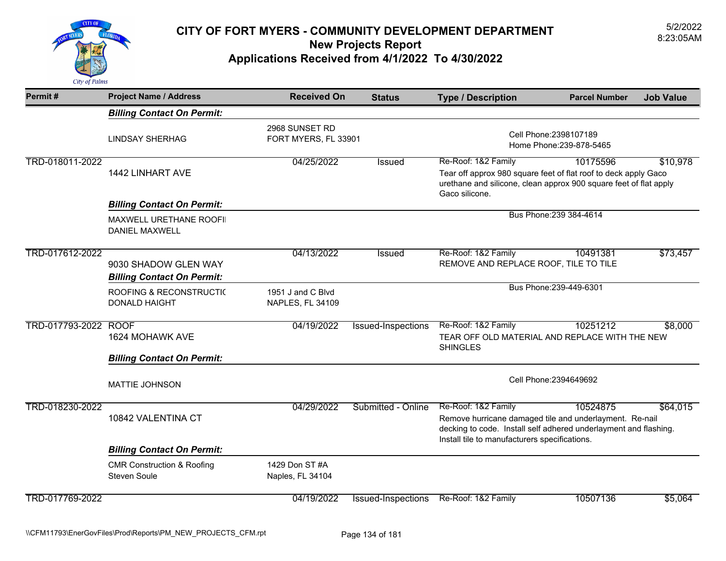

| Permit#              | <b>Project Name / Address</b>                                | <b>Received On</b>                     | <b>Status</b>      | <b>Type / Description</b>                                                                                                                                                                           | <b>Parcel Number</b>                               | <b>Job Value</b> |
|----------------------|--------------------------------------------------------------|----------------------------------------|--------------------|-----------------------------------------------------------------------------------------------------------------------------------------------------------------------------------------------------|----------------------------------------------------|------------------|
|                      | <b>Billing Contact On Permit:</b>                            |                                        |                    |                                                                                                                                                                                                     |                                                    |                  |
|                      | <b>LINDSAY SHERHAG</b>                                       | 2968 SUNSET RD<br>FORT MYERS, FL 33901 |                    |                                                                                                                                                                                                     | Cell Phone: 2398107189<br>Home Phone: 239-878-5465 |                  |
| TRD-018011-2022      | 1442 LINHART AVE                                             | 04/25/2022                             | Issued             | Re-Roof: 1&2 Family<br>Tear off approx 980 square feet of flat roof to deck apply Gaco<br>urethane and silicone, clean approx 900 square feet of flat apply<br>Gaco silicone.                       | 10175596                                           | \$10,978         |
|                      | <b>Billing Contact On Permit:</b>                            |                                        |                    |                                                                                                                                                                                                     |                                                    |                  |
|                      | MAXWELL URETHANE ROOFII<br><b>DANIEL MAXWELL</b>             |                                        |                    |                                                                                                                                                                                                     | Bus Phone: 239 384-4614                            |                  |
| TRD-017612-2022      | 9030 SHADOW GLEN WAY<br><b>Billing Contact On Permit:</b>    | 04/13/2022                             | Issued             | Re-Roof: 1&2 Family<br>REMOVE AND REPLACE ROOF, TILE TO TILE                                                                                                                                        | 10491381                                           | \$73,457         |
|                      | <b>ROOFING &amp; RECONSTRUCTIC</b><br><b>DONALD HAIGHT</b>   | 1951 J and C Blvd<br>NAPLES, FL 34109  |                    |                                                                                                                                                                                                     | Bus Phone: 239-449-6301                            |                  |
| TRD-017793-2022 ROOF | 1624 MOHAWK AVE                                              | 04/19/2022                             | Issued-Inspections | Re-Roof: 1&2 Family<br>TEAR OFF OLD MATERIAL AND REPLACE WITH THE NEW<br><b>SHINGLES</b>                                                                                                            | 10251212                                           | \$8,000          |
|                      | <b>Billing Contact On Permit:</b>                            |                                        |                    |                                                                                                                                                                                                     |                                                    |                  |
|                      | <b>MATTIE JOHNSON</b>                                        |                                        |                    |                                                                                                                                                                                                     | Cell Phone: 2394649692                             |                  |
| TRD-018230-2022      | 10842 VALENTINA CT                                           | 04/29/2022                             | Submitted - Online | Re-Roof: 1&2 Family<br>Remove hurricane damaged tile and underlayment. Re-nail<br>decking to code. Install self adhered underlayment and flashing.<br>Install tile to manufacturers specifications. | 10524875                                           | \$64,015         |
|                      | <b>Billing Contact On Permit:</b>                            |                                        |                    |                                                                                                                                                                                                     |                                                    |                  |
|                      | <b>CMR Construction &amp; Roofing</b><br><b>Steven Soule</b> | 1429 Don ST #A<br>Naples, FL 34104     |                    |                                                                                                                                                                                                     |                                                    |                  |
| TRD-017769-2022      |                                                              | 04/19/2022                             | Issued-Inspections | Re-Roof: 1&2 Family                                                                                                                                                                                 | 10507136                                           | \$5,064          |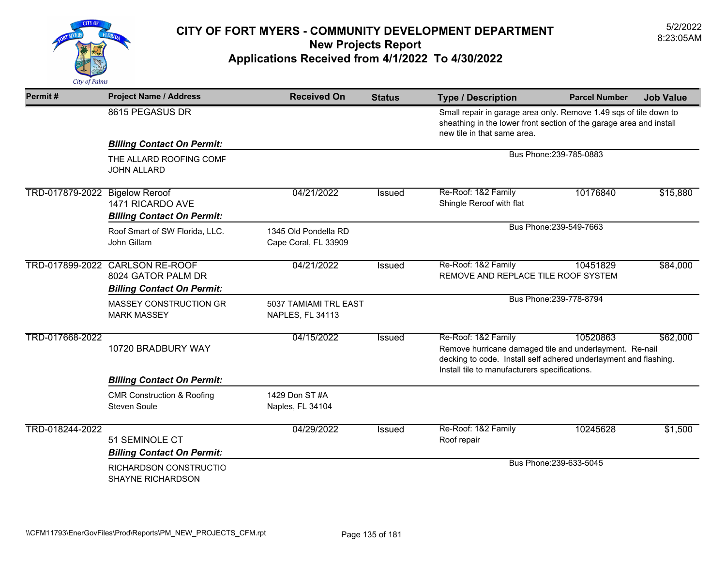

| Permit#         | <b>Project Name / Address</b>                                                              | <b>Received On</b>                               | <b>Status</b> | <b>Type / Description</b>                                                                                                                                                                           | <b>Parcel Number</b>    | <b>Job Value</b> |
|-----------------|--------------------------------------------------------------------------------------------|--------------------------------------------------|---------------|-----------------------------------------------------------------------------------------------------------------------------------------------------------------------------------------------------|-------------------------|------------------|
|                 | 8615 PEGASUS DR                                                                            |                                                  |               | Small repair in garage area only. Remove 1.49 sqs of tile down to<br>sheathing in the lower front section of the garage area and install<br>new tile in that same area.                             |                         |                  |
|                 | <b>Billing Contact On Permit:</b>                                                          |                                                  |               |                                                                                                                                                                                                     |                         |                  |
|                 | THE ALLARD ROOFING COMF<br><b>JOHN ALLARD</b>                                              |                                                  |               |                                                                                                                                                                                                     | Bus Phone: 239-785-0883 |                  |
| TRD-017879-2022 | <b>Bigelow Reroof</b><br>1471 RICARDO AVE<br><b>Billing Contact On Permit:</b>             | 04/21/2022                                       | <b>Issued</b> | Re-Roof: 1&2 Family<br>Shingle Reroof with flat                                                                                                                                                     | 10176840                | \$15,880         |
|                 | Roof Smart of SW Florida, LLC.<br>John Gillam                                              | 1345 Old Pondella RD<br>Cape Coral, FL 33909     |               |                                                                                                                                                                                                     | Bus Phone: 239-549-7663 |                  |
|                 | TRD-017899-2022 CARLSON RE-ROOF<br>8024 GATOR PALM DR<br><b>Billing Contact On Permit:</b> | 04/21/2022                                       | Issued        | Re-Roof: 1&2 Family<br>REMOVE AND REPLACE TILE ROOF SYSTEM                                                                                                                                          | 10451829                | \$84,000         |
|                 | MASSEY CONSTRUCTION GR<br><b>MARK MASSEY</b>                                               | 5037 TAMIAMI TRL EAST<br><b>NAPLES, FL 34113</b> |               | Bus Phone: 239-778-8794                                                                                                                                                                             |                         |                  |
| TRD-017668-2022 | 10720 BRADBURY WAY                                                                         | 04/15/2022                                       | <b>Issued</b> | Re-Roof: 1&2 Family<br>Remove hurricane damaged tile and underlayment. Re-nail<br>decking to code. Install self adhered underlayment and flashing.<br>Install tile to manufacturers specifications. | 10520863                | \$62,000         |
|                 | <b>Billing Contact On Permit:</b>                                                          |                                                  |               |                                                                                                                                                                                                     |                         |                  |
|                 | <b>CMR Construction &amp; Roofing</b><br><b>Steven Soule</b>                               | 1429 Don ST #A<br>Naples, FL 34104               |               |                                                                                                                                                                                                     |                         |                  |
| TRD-018244-2022 | 51 SEMINOLE CT<br><b>Billing Contact On Permit:</b>                                        | 04/29/2022                                       | <b>Issued</b> | Re-Roof: 1&2 Family<br>Roof repair                                                                                                                                                                  | 10245628                | \$1,500          |
|                 | RICHARDSON CONSTRUCTIO<br>SHAYNE RICHARDSON                                                |                                                  |               |                                                                                                                                                                                                     | Bus Phone: 239-633-5045 |                  |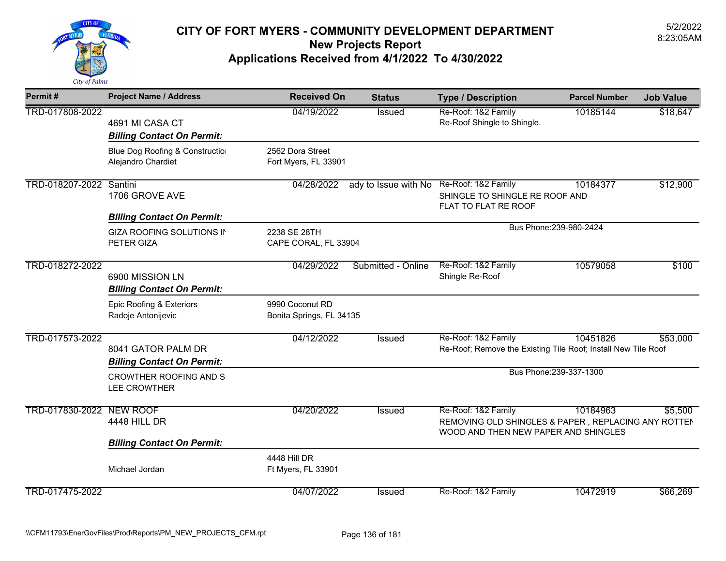

| Permit#                  | <b>Project Name / Address</b>                           | <b>Received On</b>                          | <b>Status</b>        | <b>Type / Description</b>                                                                                          | <b>Parcel Number</b>    | <b>Job Value</b> |  |  |
|--------------------------|---------------------------------------------------------|---------------------------------------------|----------------------|--------------------------------------------------------------------------------------------------------------------|-------------------------|------------------|--|--|
| TRD-017808-2022          | 4691 MI CASA CT<br><b>Billing Contact On Permit:</b>    | 04/19/2022                                  | Issued               | Re-Roof: 1&2 Family<br>Re-Roof Shingle to Shingle.                                                                 | 10185144                | \$18,647         |  |  |
|                          | Blue Dog Roofing & Construction<br>Alejandro Chardiet   | 2562 Dora Street<br>Fort Myers, FL 33901    |                      |                                                                                                                    |                         |                  |  |  |
| TRD-018207-2022 Santini  | 1706 GROVE AVE                                          | 04/28/2022                                  | ady to Issue with No | Re-Roof: 1&2 Family<br>SHINGLE TO SHINGLE RE ROOF AND<br>FLAT TO FLAT RE ROOF                                      | 10184377                | \$12,900         |  |  |
|                          | <b>Billing Contact On Permit:</b>                       |                                             |                      |                                                                                                                    |                         |                  |  |  |
|                          | <b>GIZA ROOFING SOLUTIONS IN</b><br>PETER GIZA          | 2238 SE 28TH<br>CAPE CORAL, FL 33904        |                      |                                                                                                                    | Bus Phone: 239-980-2424 |                  |  |  |
| TRD-018272-2022          | 6900 MISSION LN<br><b>Billing Contact On Permit:</b>    | 04/29/2022                                  | Submitted - Online   | Re-Roof: 1&2 Family<br>Shingle Re-Roof                                                                             | 10579058                | \$100            |  |  |
|                          | Epic Roofing & Exteriors<br>Radoje Antonijevic          | 9990 Coconut RD<br>Bonita Springs, FL 34135 |                      |                                                                                                                    |                         |                  |  |  |
| TRD-017573-2022          | 8041 GATOR PALM DR<br><b>Billing Contact On Permit:</b> | 04/12/2022                                  | <b>Issued</b>        | Re-Roof: 1&2 Family<br>Re-Roof; Remove the Existing Tile Roof; Install New Tile Roof                               | 10451826                | \$53,000         |  |  |
|                          | <b>CROWTHER ROOFING AND S</b><br>LEE CROWTHER           |                                             |                      |                                                                                                                    | Bus Phone: 239-337-1300 |                  |  |  |
| TRD-017830-2022 NEW ROOF | <b>4448 HILL DR</b>                                     | 04/20/2022                                  | Issued               | Re-Roof: 1&2 Family<br>REMOVING OLD SHINGLES & PAPER, REPLACING ANY ROTTEN<br>WOOD AND THEN NEW PAPER AND SHINGLES | 10184963                | \$5,500          |  |  |
|                          | <b>Billing Contact On Permit:</b>                       |                                             |                      |                                                                                                                    |                         |                  |  |  |
|                          | Michael Jordan                                          | 4448 Hill DR<br>Ft Myers, FL 33901          |                      |                                                                                                                    |                         |                  |  |  |
| TRD-017475-2022          |                                                         | 04/07/2022                                  | Issued               | Re-Roof: 1&2 Family                                                                                                | 10472919                | \$66,269         |  |  |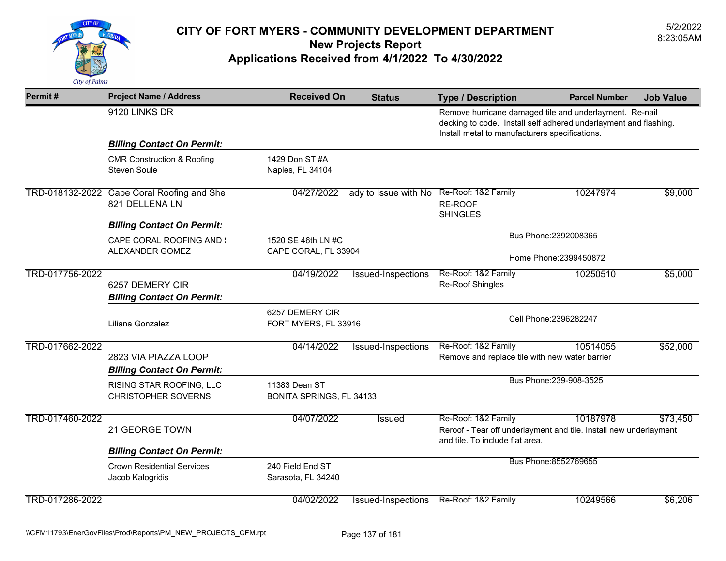

| Permit#         | <b>Project Name / Address</b>                                 | <b>Received On</b>                      | <b>Status</b>        | <b>Type / Description</b>                                                                                                                                                     | <b>Parcel Number</b>    | <b>Job Value</b> |
|-----------------|---------------------------------------------------------------|-----------------------------------------|----------------------|-------------------------------------------------------------------------------------------------------------------------------------------------------------------------------|-------------------------|------------------|
|                 | 9120 LINKS DR                                                 |                                         |                      | Remove hurricane damaged tile and underlayment. Re-nail<br>decking to code. Install self adhered underlayment and flashing.<br>Install metal to manufacturers specifications. |                         |                  |
|                 | <b>Billing Contact On Permit:</b>                             |                                         |                      |                                                                                                                                                                               |                         |                  |
|                 | <b>CMR Construction &amp; Roofing</b><br><b>Steven Soule</b>  | 1429 Don ST #A<br>Naples, FL 34104      |                      |                                                                                                                                                                               |                         |                  |
|                 | TRD-018132-2022 Cape Coral Roofing and She<br>821 DELLENA LN  | 04/27/2022                              | ady to Issue with No | Re-Roof: 1&2 Family<br>RE-ROOF<br><b>SHINGLES</b>                                                                                                                             | 10247974                | \$9,000          |
|                 | <b>Billing Contact On Permit:</b>                             |                                         |                      |                                                                                                                                                                               |                         |                  |
|                 | <b>CAPE CORAL ROOFING AND :</b>                               | 1520 SE 46th LN #C                      |                      |                                                                                                                                                                               | Bus Phone: 2392008365   |                  |
|                 | ALEXANDER GOMEZ                                               | CAPE CORAL, FL 33904                    |                      | Home Phone: 2399450872                                                                                                                                                        |                         |                  |
| TRD-017756-2022 | 6257 DEMERY CIR                                               | 04/19/2022                              | Issued-Inspections   | Re-Roof: 1&2 Family<br>Re-Roof Shingles                                                                                                                                       | 10250510                | \$5,000          |
|                 | <b>Billing Contact On Permit:</b>                             |                                         |                      |                                                                                                                                                                               |                         |                  |
|                 | Liliana Gonzalez                                              | 6257 DEMERY CIR<br>FORT MYERS, FL 33916 |                      |                                                                                                                                                                               | Cell Phone: 2396282247  |                  |
| TRD-017662-2022 |                                                               | 04/14/2022                              | Issued-Inspections   | Re-Roof: 1&2 Family                                                                                                                                                           | 10514055                | \$52,000         |
|                 | 2823 VIA PIAZZA LOOP                                          |                                         |                      | Remove and replace tile with new water barrier                                                                                                                                |                         |                  |
|                 | <b>Billing Contact On Permit:</b><br>RISING STAR ROOFING, LLC | 11383 Dean ST                           |                      |                                                                                                                                                                               | Bus Phone: 239-908-3525 |                  |
|                 | <b>CHRISTOPHER SOVERNS</b>                                    | BONITA SPRINGS, FL 34133                |                      |                                                                                                                                                                               |                         |                  |
| TRD-017460-2022 | 21 GEORGE TOWN                                                | 04/07/2022                              | <b>Issued</b>        | Re-Roof: 1&2 Family<br>Reroof - Tear off underlayment and tile. Install new underlayment                                                                                      | 10187978                | \$73,450         |
|                 | <b>Billing Contact On Permit:</b>                             |                                         |                      | and tile. To include flat area.                                                                                                                                               |                         |                  |
|                 | <b>Crown Residential Services</b><br>Jacob Kalogridis         | 240 Field End ST<br>Sarasota, FL 34240  |                      |                                                                                                                                                                               | Bus Phone: 8552769655   |                  |
| TRD-017286-2022 |                                                               | 04/02/2022                              | Issued-Inspections   | Re-Roof: 1&2 Family                                                                                                                                                           | 10249566                | \$6,206          |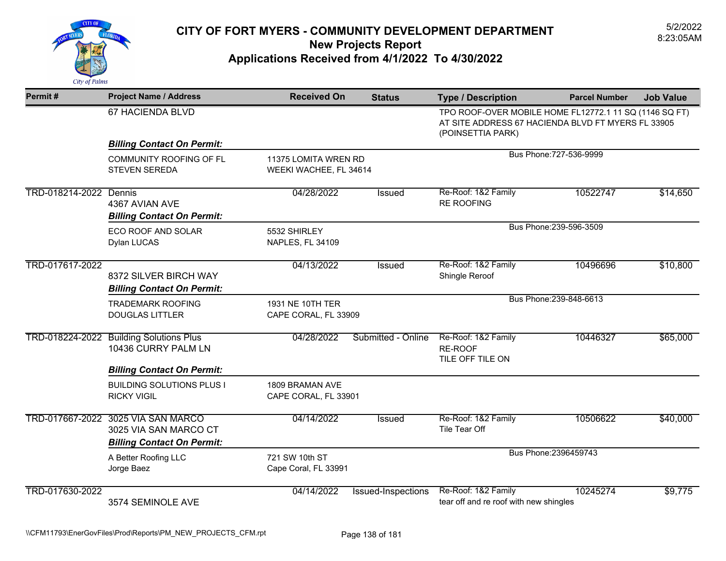

| Permit#                | <b>Project Name / Address</b>                                                                    | <b>Received On</b>                             | <b>Status</b>             | <b>Type / Description</b>                                     | <b>Parcel Number</b>                                                                                         | <b>Job Value</b> |  |
|------------------------|--------------------------------------------------------------------------------------------------|------------------------------------------------|---------------------------|---------------------------------------------------------------|--------------------------------------------------------------------------------------------------------------|------------------|--|
|                        | 67 HACIENDA BLVD                                                                                 |                                                |                           | (POINSETTIA PARK)                                             | TPO ROOF-OVER MOBILE HOME FL12772.1 11 SQ (1146 SQ FT)<br>AT SITE ADDRESS 67 HACIENDA BLVD FT MYERS FL 33905 |                  |  |
|                        | <b>Billing Contact On Permit:</b>                                                                |                                                |                           |                                                               |                                                                                                              |                  |  |
|                        | COMMUNITY ROOFING OF FL<br><b>STEVEN SEREDA</b>                                                  | 11375 LOMITA WREN RD<br>WEEKI WACHEE, FL 34614 |                           |                                                               | Bus Phone: 727-536-9999                                                                                      |                  |  |
| TRD-018214-2022 Dennis | 4367 AVIAN AVE<br><b>Billing Contact On Permit:</b>                                              | 04/28/2022                                     | <b>Issued</b>             | Re-Roof: 1&2 Family<br><b>RE ROOFING</b>                      | 10522747                                                                                                     | \$14,650         |  |
|                        | <b>ECO ROOF AND SOLAR</b><br>Dylan LUCAS                                                         | 5532 SHIRLEY<br><b>NAPLES, FL 34109</b>        |                           |                                                               | Bus Phone: 239-596-3509                                                                                      |                  |  |
| TRD-017617-2022        | 8372 SILVER BIRCH WAY<br><b>Billing Contact On Permit:</b>                                       | 04/13/2022                                     | <b>Issued</b>             | Re-Roof: 1&2 Family<br>Shingle Reroof                         | 10496696                                                                                                     | \$10,800         |  |
|                        | <b>TRADEMARK ROOFING</b><br><b>DOUGLAS LITTLER</b>                                               | 1931 NE 10TH TER<br>CAPE CORAL, FL 33909       |                           |                                                               | Bus Phone: 239-848-6613                                                                                      |                  |  |
|                        | TRD-018224-2022 Building Solutions Plus<br>10436 CURRY PALM LN                                   | 04/28/2022                                     | Submitted - Online        | Re-Roof: 1&2 Family<br>RE-ROOF<br>TILE OFF TILE ON            | 10446327                                                                                                     | \$65,000         |  |
|                        | <b>Billing Contact On Permit:</b>                                                                |                                                |                           |                                                               |                                                                                                              |                  |  |
|                        | <b>BUILDING SOLUTIONS PLUS I</b><br><b>RICKY VIGIL</b>                                           | 1809 BRAMAN AVE<br>CAPE CORAL, FL 33901        |                           |                                                               |                                                                                                              |                  |  |
|                        | TRD-017667-2022 3025 VIA SAN MARCO<br>3025 VIA SAN MARCO CT<br><b>Billing Contact On Permit:</b> | 04/14/2022                                     | Issued                    | Re-Roof: 1&2 Family<br>Tile Tear Off                          | 10506622                                                                                                     | \$40,000         |  |
|                        | A Better Roofing LLC<br>Jorge Baez                                                               | 721 SW 10th ST<br>Cape Coral, FL 33991         |                           |                                                               | Bus Phone: 2396459743                                                                                        |                  |  |
| TRD-017630-2022        | 3574 SEMINOLE AVE                                                                                | 04/14/2022                                     | <b>Issued-Inspections</b> | Re-Roof: 1&2 Family<br>tear off and re roof with new shingles | 10245274                                                                                                     | \$9,775          |  |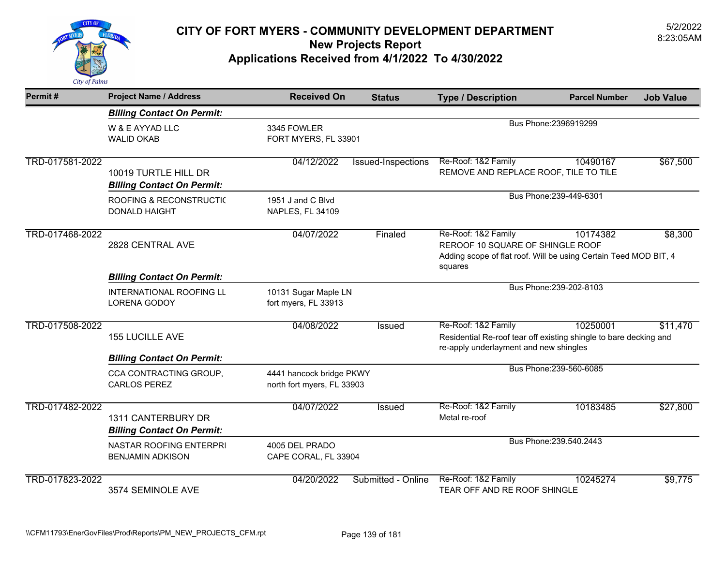

| Permit#         | <b>Project Name / Address</b>                                                      | <b>Received On</b>                                     | <b>Status</b>      | <b>Type / Description</b>                                                                                                              | <b>Parcel Number</b>    | <b>Job Value</b> |
|-----------------|------------------------------------------------------------------------------------|--------------------------------------------------------|--------------------|----------------------------------------------------------------------------------------------------------------------------------------|-------------------------|------------------|
|                 | <b>Billing Contact On Permit:</b>                                                  |                                                        |                    |                                                                                                                                        |                         |                  |
|                 | W & E AYYAD LLC<br><b>WALID OKAB</b>                                               | 3345 FOWLER<br>FORT MYERS, FL 33901                    |                    |                                                                                                                                        | Bus Phone: 2396919299   |                  |
| TRD-017581-2022 | 10019 TURTLE HILL DR<br><b>Billing Contact On Permit:</b>                          | 04/12/2022                                             | Issued-Inspections | Re-Roof: 1&2 Family<br>REMOVE AND REPLACE ROOF, TILE TO TILE                                                                           | 10490167                | \$67,500         |
|                 | ROOFING & RECONSTRUCTIC<br><b>DONALD HAIGHT</b>                                    | 1951 J and C Blvd<br>NAPLES, FL 34109                  |                    |                                                                                                                                        | Bus Phone: 239-449-6301 |                  |
| TRD-017468-2022 | 2828 CENTRAL AVE                                                                   | 04/07/2022                                             | Finaled            | Re-Roof: 1&2 Family<br>REROOF 10 SQUARE OF SHINGLE ROOF<br>Adding scope of flat roof. Will be using Certain Teed MOD BIT, 4<br>squares | 10174382                | \$8,300          |
|                 | <b>Billing Contact On Permit:</b>                                                  |                                                        |                    |                                                                                                                                        |                         |                  |
|                 | <b>INTERNATIONAL ROOFING LL</b><br><b>LORENA GODOY</b>                             | 10131 Sugar Maple LN<br>fort myers, FL 33913           |                    |                                                                                                                                        | Bus Phone: 239-202-8103 |                  |
| TRD-017508-2022 | <b>155 LUCILLE AVE</b>                                                             | 04/08/2022                                             | <b>Issued</b>      | Re-Roof: 1&2 Family<br>Residential Re-roof tear off existing shingle to bare decking and<br>re-apply underlayment and new shingles     | 10250001                | \$11,470         |
|                 | <b>Billing Contact On Permit:</b><br>CCA CONTRACTING GROUP,<br><b>CARLOS PEREZ</b> | 4441 hancock bridge PKWY<br>north fort myers, FL 33903 |                    | Bus Phone: 239-560-6085                                                                                                                |                         |                  |
| TRD-017482-2022 | 1311 CANTERBURY DR<br><b>Billing Contact On Permit:</b>                            | 04/07/2022                                             | Issued             | Re-Roof: 1&2 Family<br>Metal re-roof                                                                                                   | 10183485                | \$27,800         |
|                 | NASTAR ROOFING ENTERPRI<br><b>BENJAMIN ADKISON</b>                                 | 4005 DEL PRADO<br>CAPE CORAL, FL 33904                 |                    |                                                                                                                                        | Bus Phone: 239.540.2443 |                  |
| TRD-017823-2022 | 3574 SEMINOLE AVE                                                                  | 04/20/2022                                             | Submitted - Online | Re-Roof: 1&2 Family<br>TEAR OFF AND RE ROOF SHINGLE                                                                                    | 10245274                | \$9,775          |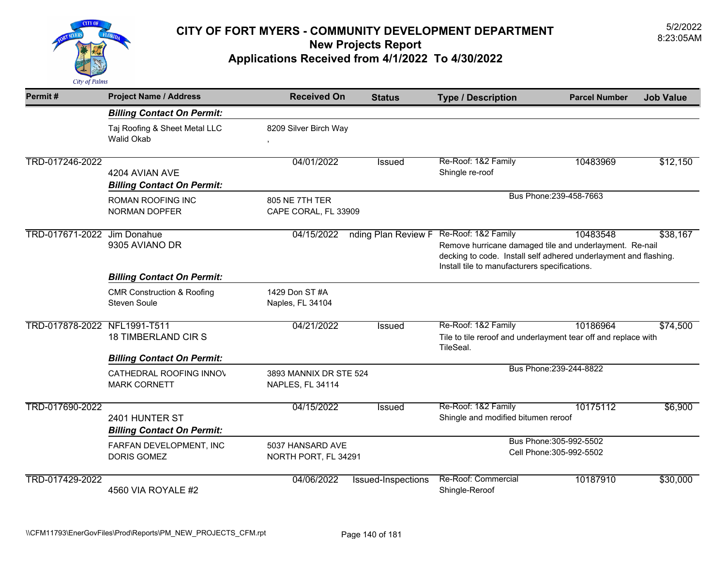

| Permit#                      | <b>Project Name / Address</b>                                                       | <b>Received On</b>                         | <b>Status</b>       | <b>Type / Description</b>                                                                                                                                                                           | <b>Parcel Number</b>                                | <b>Job Value</b> |
|------------------------------|-------------------------------------------------------------------------------------|--------------------------------------------|---------------------|-----------------------------------------------------------------------------------------------------------------------------------------------------------------------------------------------------|-----------------------------------------------------|------------------|
|                              | <b>Billing Contact On Permit:</b>                                                   |                                            |                     |                                                                                                                                                                                                     |                                                     |                  |
|                              | Taj Roofing & Sheet Metal LLC<br><b>Walid Okab</b>                                  | 8209 Silver Birch Way                      |                     |                                                                                                                                                                                                     |                                                     |                  |
| TRD-017246-2022              | 4204 AVIAN AVE<br><b>Billing Contact On Permit:</b>                                 | 04/01/2022                                 | Issued              | Re-Roof: 1&2 Family<br>Shingle re-roof                                                                                                                                                              | 10483969                                            | \$12,150         |
|                              | ROMAN ROOFING INC<br><b>NORMAN DOPFER</b>                                           | 805 NE 7TH TER<br>CAPE CORAL, FL 33909     |                     |                                                                                                                                                                                                     | Bus Phone: 239-458-7663                             |                  |
| TRD-017671-2022              | Jim Donahue<br>9305 AVIANO DR                                                       | 04/15/2022                                 | nding Plan Review F | Re-Roof: 1&2 Family<br>Remove hurricane damaged tile and underlayment. Re-nail<br>decking to code. Install self adhered underlayment and flashing.<br>Install tile to manufacturers specifications. | 10483548                                            | \$38,167         |
|                              | <b>Billing Contact On Permit:</b>                                                   |                                            |                     |                                                                                                                                                                                                     |                                                     |                  |
|                              | <b>CMR Construction &amp; Roofing</b><br><b>Steven Soule</b>                        | 1429 Don ST #A<br>Naples, FL 34104         |                     |                                                                                                                                                                                                     |                                                     |                  |
| TRD-017878-2022 NFL1991-T511 | <b>18 TIMBERLAND CIR S</b>                                                          | 04/21/2022                                 | Issued              | Re-Roof: 1&2 Family<br>Tile to tile reroof and underlayment tear off and replace with<br>TileSeal.                                                                                                  | 10186964                                            | \$74,500         |
|                              | <b>Billing Contact On Permit:</b><br>CATHEDRAL ROOFING INNOV<br><b>MARK CORNETT</b> | 3893 MANNIX DR STE 524<br>NAPLES, FL 34114 |                     |                                                                                                                                                                                                     | Bus Phone: 239-244-8822                             |                  |
| TRD-017690-2022              | 2401 HUNTER ST<br><b>Billing Contact On Permit:</b>                                 | 04/15/2022                                 | <b>Issued</b>       | Re-Roof: 1&2 Family<br>Shingle and modified bitumen reroof                                                                                                                                          | 10175112                                            | \$6,900          |
|                              | FARFAN DEVELOPMENT, INC<br><b>DORIS GOMEZ</b>                                       | 5037 HANSARD AVE<br>NORTH PORT, FL 34291   |                     |                                                                                                                                                                                                     | Bus Phone: 305-992-5502<br>Cell Phone: 305-992-5502 |                  |
| TRD-017429-2022              | 4560 VIA ROYALE #2                                                                  | 04/06/2022                                 | Issued-Inspections  | Re-Roof: Commercial<br>Shingle-Reroof                                                                                                                                                               | 10187910                                            | \$30,000         |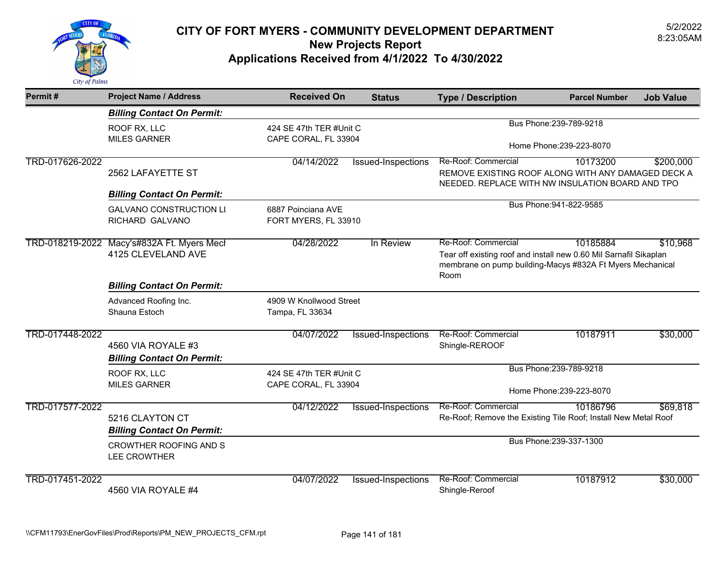

| Permit#         | <b>Project Name / Address</b>                           | <b>Received On</b>                              | <b>Status</b>                                   | <b>Type / Description</b>                                                                                                                                     | <b>Parcel Number</b>                                | <b>Job Value</b> |
|-----------------|---------------------------------------------------------|-------------------------------------------------|-------------------------------------------------|---------------------------------------------------------------------------------------------------------------------------------------------------------------|-----------------------------------------------------|------------------|
|                 | <b>Billing Contact On Permit:</b>                       |                                                 |                                                 |                                                                                                                                                               |                                                     |                  |
|                 | ROOF RX, LLC<br><b>MILES GARNER</b>                     | 424 SE 47th TER #Unit C<br>CAPE CORAL, FL 33904 |                                                 |                                                                                                                                                               | Bus Phone: 239-789-9218<br>Home Phone: 239-223-8070 |                  |
|                 |                                                         |                                                 |                                                 |                                                                                                                                                               |                                                     |                  |
| TRD-017626-2022 | 2562 LAFAYETTE ST                                       | 04/14/2022                                      | Issued-Inspections                              | Re-Roof: Commercial<br>REMOVE EXISTING ROOF ALONG WITH ANY DAMAGED DECK A<br>NEEDED. REPLACE WITH NW INSULATION BOARD AND TPO                                 | 10173200                                            | \$200,000        |
|                 | <b>Billing Contact On Permit:</b>                       |                                                 |                                                 |                                                                                                                                                               |                                                     |                  |
|                 | <b>GALVANO CONSTRUCTION LI</b><br>RICHARD GALVANO       | 6887 Poinciana AVE                              | Bus Phone: 941-822-9585<br>FORT MYERS, FL 33910 |                                                                                                                                                               |                                                     |                  |
| TRD-018219-2022 | Macy's#832A Ft. Myers Mecl<br>4125 CLEVELAND AVE        | 04/28/2022                                      | In Review                                       | Re-Roof: Commercial<br>Tear off existing roof and install new 0.60 Mil Sarnafil Sikaplan<br>membrane on pump building-Macys #832A Ft Myers Mechanical<br>Room | 10185884                                            | \$10,968         |
|                 | <b>Billing Contact On Permit:</b>                       |                                                 |                                                 |                                                                                                                                                               |                                                     |                  |
|                 | Advanced Roofing Inc.<br>Shauna Estoch                  | 4909 W Knollwood Street<br>Tampa, FL 33634      |                                                 |                                                                                                                                                               |                                                     |                  |
| TRD-017448-2022 | 4560 VIA ROYALE #3<br><b>Billing Contact On Permit:</b> | 04/07/2022                                      | Issued-Inspections                              | Re-Roof: Commercial<br>Shingle-REROOF                                                                                                                         | 10187911                                            | \$30,000         |
|                 | ROOF RX, LLC<br><b>MILES GARNER</b>                     | 424 SE 47th TER #Unit C<br>CAPE CORAL, FL 33904 |                                                 |                                                                                                                                                               | Bus Phone: 239-789-9218<br>Home Phone: 239-223-8070 |                  |
| TRD-017577-2022 | 5216 CLAYTON CT<br><b>Billing Contact On Permit:</b>    | 04/12/2022                                      | Issued-Inspections                              | Re-Roof: Commercial<br>Re-Roof; Remove the Existing Tile Roof; Install New Metal Roof                                                                         | 10186796                                            | \$69,818         |
|                 | <b>CROWTHER ROOFING AND S</b><br><b>LEE CROWTHER</b>    |                                                 |                                                 |                                                                                                                                                               | Bus Phone: 239-337-1300                             |                  |
| TRD-017451-2022 | 4560 VIA ROYALE #4                                      | 04/07/2022                                      | Issued-Inspections                              | Re-Roof: Commercial<br>Shingle-Reroof                                                                                                                         | 10187912                                            | \$30,000         |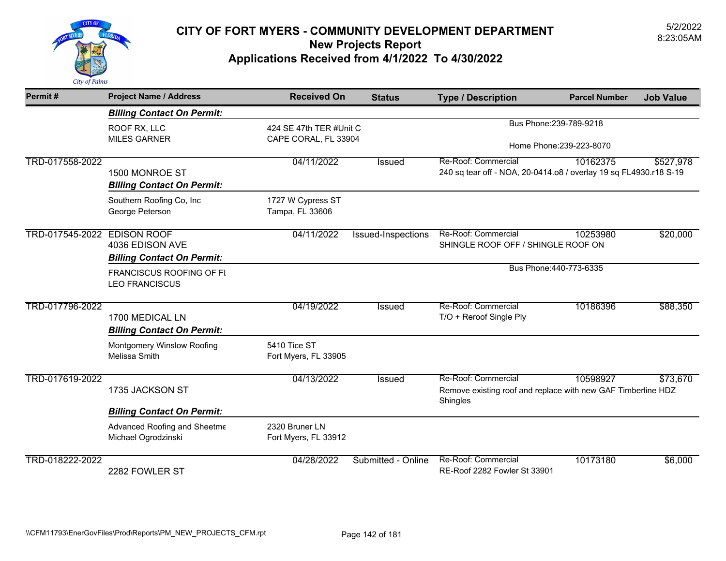

| Permit#                     | <b>Project Name / Address</b>                        | <b>Received On</b>                     | <b>Status</b>             | <b>Type / Description</b>                                                | <b>Parcel Number</b>     | <b>Job Value</b> |
|-----------------------------|------------------------------------------------------|----------------------------------------|---------------------------|--------------------------------------------------------------------------|--------------------------|------------------|
|                             | <b>Billing Contact On Permit:</b>                    |                                        |                           |                                                                          |                          |                  |
|                             | ROOF RX, LLC                                         | 424 SE 47th TER #Unit C                |                           |                                                                          | Bus Phone: 239-789-9218  |                  |
|                             | <b>MILES GARNER</b>                                  | CAPE CORAL, FL 33904                   |                           |                                                                          | Home Phone: 239-223-8070 |                  |
| TRD-017558-2022             |                                                      | 04/11/2022                             | <b>Issued</b>             | Re-Roof: Commercial                                                      | 10162375                 | \$527,978        |
|                             | 1500 MONROE ST<br><b>Billing Contact On Permit:</b>  |                                        |                           | 240 sq tear off - NOA, 20-0414.o8 / overlay 19 sq FL4930.r18 S-19        |                          |                  |
|                             | Southern Roofing Co, Inc<br>George Peterson          | 1727 W Cypress ST<br>Tampa, FL 33606   |                           |                                                                          |                          |                  |
| TRD-017545-2022 EDISON ROOF |                                                      | 04/11/2022                             | <b>Issued-Inspections</b> | Re-Roof: Commercial                                                      | 10253980                 | \$20,000         |
|                             | 4036 EDISON AVE                                      |                                        |                           | SHINGLE ROOF OFF / SHINGLE ROOF ON                                       |                          |                  |
|                             | <b>Billing Contact On Permit:</b>                    |                                        |                           |                                                                          | Bus Phone: 440-773-6335  |                  |
|                             | FRANCISCUS ROOFING OF FI<br><b>LEO FRANCISCUS</b>    |                                        |                           |                                                                          |                          |                  |
| TRD-017796-2022             |                                                      | 04/19/2022                             | <b>Issued</b>             | Re-Roof: Commercial                                                      | 10186396                 | \$88,350         |
|                             | 1700 MEDICAL LN<br><b>Billing Contact On Permit:</b> |                                        |                           | T/O + Reroof Single Ply                                                  |                          |                  |
|                             | <b>Montgomery Winslow Roofing</b>                    | 5410 Tice ST                           |                           |                                                                          |                          |                  |
|                             | Melissa Smith                                        | Fort Myers, FL 33905                   |                           |                                                                          |                          |                  |
| TRD-017619-2022             |                                                      | 04/13/2022                             | <b>Issued</b>             | Re-Roof: Commercial                                                      | 10598927                 | \$73,670         |
|                             | 1735 JACKSON ST                                      |                                        |                           | Remove existing roof and replace with new GAF Timberline HDZ<br>Shingles |                          |                  |
|                             | <b>Billing Contact On Permit:</b>                    |                                        |                           |                                                                          |                          |                  |
|                             | Advanced Roofing and Sheetme<br>Michael Ogrodzinski  | 2320 Bruner LN<br>Fort Myers, FL 33912 |                           |                                                                          |                          |                  |
| TRD-018222-2022             |                                                      | 04/28/2022                             | Submitted - Online        | Re-Roof: Commercial                                                      | 10173180                 | \$6,000          |
|                             | 2282 FOWLER ST                                       |                                        |                           | RE-Roof 2282 Fowler St 33901                                             |                          |                  |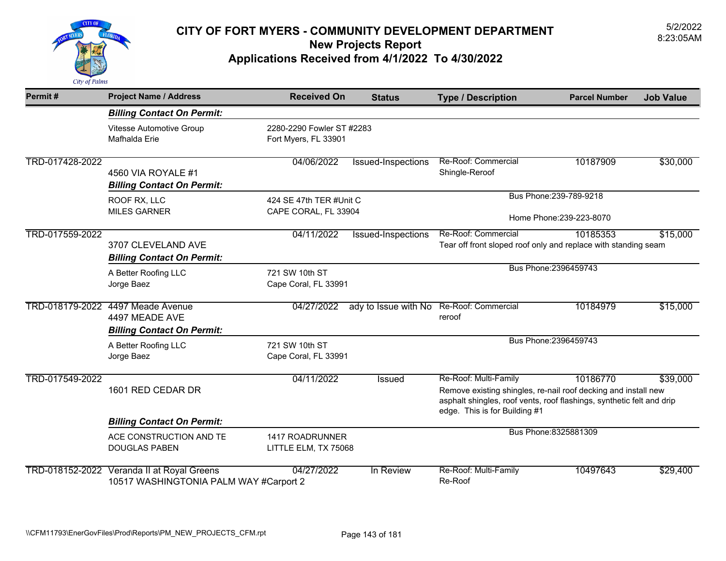

| Permit#         | <b>Project Name / Address</b>                                                        | <b>Received On</b>                                | <b>Status</b>        | <b>Type / Description</b>                                                                                                                                                                         | <b>Parcel Number</b>                                | <b>Job Value</b> |
|-----------------|--------------------------------------------------------------------------------------|---------------------------------------------------|----------------------|---------------------------------------------------------------------------------------------------------------------------------------------------------------------------------------------------|-----------------------------------------------------|------------------|
|                 | <b>Billing Contact On Permit:</b>                                                    |                                                   |                      |                                                                                                                                                                                                   |                                                     |                  |
|                 | Vitesse Automotive Group<br>Mafhalda Erie                                            | 2280-2290 Fowler ST #2283<br>Fort Myers, FL 33901 |                      |                                                                                                                                                                                                   |                                                     |                  |
| TRD-017428-2022 | 4560 VIA ROYALE #1<br><b>Billing Contact On Permit:</b>                              | 04/06/2022                                        | Issued-Inspections   | Re-Roof: Commercial<br>Shingle-Reroof                                                                                                                                                             | 10187909                                            | \$30,000         |
|                 | ROOF RX, LLC<br><b>MILES GARNER</b>                                                  | 424 SE 47th TER #Unit C<br>CAPE CORAL, FL 33904   |                      |                                                                                                                                                                                                   | Bus Phone: 239-789-9218<br>Home Phone: 239-223-8070 |                  |
|                 |                                                                                      |                                                   |                      | Re-Roof: Commercial                                                                                                                                                                               |                                                     |                  |
| TRD-017559-2022 | 3707 CLEVELAND AVE<br><b>Billing Contact On Permit:</b>                              | 04/11/2022                                        | Issued-Inspections   | Tear off front sloped roof only and replace with standing seam                                                                                                                                    | 10185353                                            | \$15,000         |
|                 | A Better Roofing LLC<br>Jorge Baez                                                   | 721 SW 10th ST<br>Cape Coral, FL 33991            |                      |                                                                                                                                                                                                   | Bus Phone: 2396459743                               |                  |
|                 | TRD-018179-2022 4497 Meade Avenue<br>4497 MEADE AVE                                  | 04/27/2022                                        | ady to Issue with No | Re-Roof: Commercial<br>reroof                                                                                                                                                                     | 10184979                                            | \$15,000         |
|                 | <b>Billing Contact On Permit:</b>                                                    |                                                   |                      |                                                                                                                                                                                                   | Bus Phone: 2396459743                               |                  |
|                 | A Better Roofing LLC<br>Jorge Baez                                                   | 721 SW 10th ST<br>Cape Coral, FL 33991            |                      |                                                                                                                                                                                                   |                                                     |                  |
| TRD-017549-2022 | 1601 RED CEDAR DR                                                                    | 04/11/2022                                        | <b>Issued</b>        | Re-Roof: Multi-Family<br>Remove existing shingles, re-nail roof decking and install new<br>asphalt shingles, roof vents, roof flashings, synthetic felt and drip<br>edge. This is for Building #1 | 10186770                                            | \$39,000         |
|                 | <b>Billing Contact On Permit:</b>                                                    |                                                   |                      |                                                                                                                                                                                                   |                                                     |                  |
|                 | ACE CONSTRUCTION AND TE<br><b>DOUGLAS PABEN</b>                                      | 1417 ROADRUNNER<br>LITTLE ELM, TX 75068           |                      |                                                                                                                                                                                                   | Bus Phone: 8325881309                               |                  |
|                 | TRD-018152-2022 Veranda II at Royal Greens<br>10517 WASHINGTONIA PALM WAY #Carport 2 | 04/27/2022                                        | In Review            | Re-Roof: Multi-Family<br>Re-Roof                                                                                                                                                                  | 10497643                                            | \$29,400         |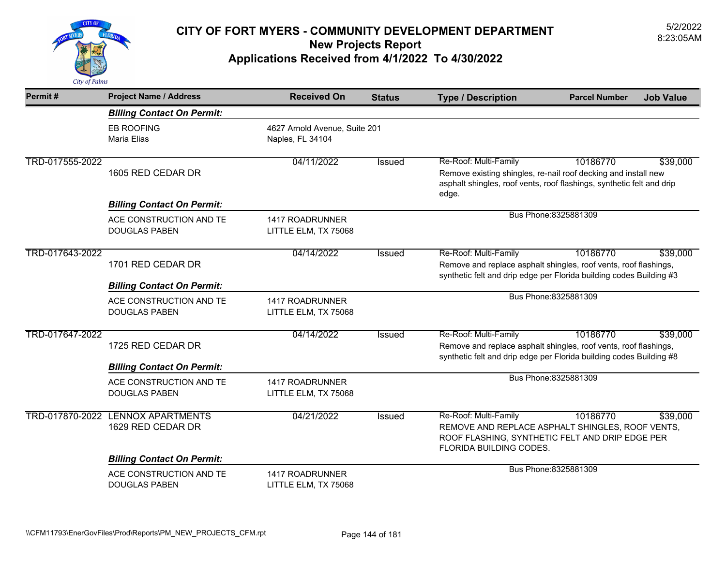

| Permit#         | <b>Project Name / Address</b>                                                        | <b>Received On</b>                      | <b>Status</b>                 | <b>Type / Description</b>                                                                                                                                                    | <b>Parcel Number</b>  | <b>Job Value</b> |
|-----------------|--------------------------------------------------------------------------------------|-----------------------------------------|-------------------------------|------------------------------------------------------------------------------------------------------------------------------------------------------------------------------|-----------------------|------------------|
|                 | <b>Billing Contact On Permit:</b>                                                    |                                         |                               |                                                                                                                                                                              |                       |                  |
|                 | <b>EB ROOFING</b><br>Maria Elias                                                     | Naples, FL 34104                        | 4627 Arnold Avenue, Suite 201 |                                                                                                                                                                              |                       |                  |
| TRD-017555-2022 | 1605 RED CEDAR DR                                                                    | 04/11/2022                              | <b>Issued</b>                 | Re-Roof: Multi-Family<br>Remove existing shingles, re-nail roof decking and install new<br>asphalt shingles, roof vents, roof flashings, synthetic felt and drip<br>edge.    | 10186770              | \$39,000         |
|                 | <b>Billing Contact On Permit:</b>                                                    |                                         |                               |                                                                                                                                                                              |                       |                  |
|                 | ACE CONSTRUCTION AND TE<br><b>DOUGLAS PABEN</b>                                      | 1417 ROADRUNNER<br>LITTLE ELM, TX 75068 |                               | Bus Phone: 8325881309                                                                                                                                                        |                       |                  |
| TRD-017643-2022 | 1701 RED CEDAR DR                                                                    | 04/14/2022                              | <b>Issued</b>                 | Re-Roof: Multi-Family<br>10186770<br>Remove and replace asphalt shingles, roof vents, roof flashings,<br>synthetic felt and drip edge per Florida building codes Building #3 |                       | \$39,000         |
|                 | <b>Billing Contact On Permit:</b>                                                    |                                         |                               |                                                                                                                                                                              |                       |                  |
|                 | ACE CONSTRUCTION AND TE<br><b>DOUGLAS PABEN</b>                                      | 1417 ROADRUNNER<br>LITTLE ELM, TX 75068 |                               |                                                                                                                                                                              | Bus Phone: 8325881309 |                  |
| TRD-017647-2022 | 1725 RED CEDAR DR                                                                    | 04/14/2022                              | <b>Issued</b>                 | Re-Roof: Multi-Family<br>Remove and replace asphalt shingles, roof vents, roof flashings,<br>synthetic felt and drip edge per Florida building codes Building #8             | 10186770              | \$39,000         |
|                 | <b>Billing Contact On Permit:</b><br>ACE CONSTRUCTION AND TE<br><b>DOUGLAS PABEN</b> | 1417 ROADRUNNER<br>LITTLE ELM, TX 75068 |                               |                                                                                                                                                                              | Bus Phone: 8325881309 |                  |
| TRD-017870-2022 | <b>LENNOX APARTMENTS</b><br>1629 RED CEDAR DR                                        | 04/21/2022                              | Issued                        | Re-Roof: Multi-Family<br>REMOVE AND REPLACE ASPHALT SHINGLES, ROOF VENTS,<br>ROOF FLASHING, SYNTHETIC FELT AND DRIP EDGE PER<br>FLORIDA BUILDING CODES.                      | 10186770              | \$39,000         |
|                 | <b>Billing Contact On Permit:</b>                                                    |                                         |                               |                                                                                                                                                                              | Bus Phone: 8325881309 |                  |
|                 | ACE CONSTRUCTION AND TE<br><b>DOUGLAS PABEN</b>                                      | 1417 ROADRUNNER<br>LITTLE ELM, TX 75068 |                               |                                                                                                                                                                              |                       |                  |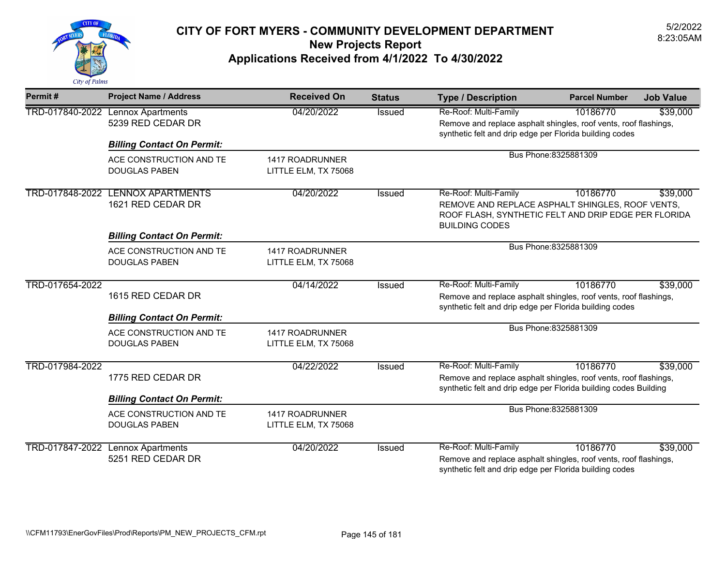

| Permit#         | <b>Project Name / Address</b>                   | <b>Received On</b>                             | <b>Status</b> | <b>Type / Description</b>                                                                                                                                                    | <b>Parcel Number</b>  | <b>Job Value</b> |
|-----------------|-------------------------------------------------|------------------------------------------------|---------------|------------------------------------------------------------------------------------------------------------------------------------------------------------------------------|-----------------------|------------------|
| TRD-017840-2022 | <b>Lennox Apartments</b><br>5239 RED CEDAR DR   | 04/20/2022                                     | Issued        | Re-Roof: Multi-Family<br>10186770<br>\$39,000<br>Remove and replace asphalt shingles, roof vents, roof flashings,<br>synthetic felt and drip edge per Florida building codes |                       |                  |
|                 | <b>Billing Contact On Permit:</b>               |                                                |               |                                                                                                                                                                              |                       |                  |
|                 | ACE CONSTRUCTION AND TE<br><b>DOUGLAS PABEN</b> | <b>1417 ROADRUNNER</b><br>LITTLE ELM, TX 75068 |               |                                                                                                                                                                              | Bus Phone: 8325881309 |                  |
| TRD-017848-2022 | <b>LENNOX APARTMENTS</b><br>1621 RED CEDAR DR   | 04/20/2022                                     | Issued        | Re-Roof: Multi-Family<br>REMOVE AND REPLACE ASPHALT SHINGLES, ROOF VENTS,<br>ROOF FLASH, SYNTHETIC FELT AND DRIP EDGE PER FLORIDA<br><b>BUILDING CODES</b>                   | 10186770              | \$39,000         |
|                 | <b>Billing Contact On Permit:</b>               |                                                |               |                                                                                                                                                                              |                       |                  |
|                 | ACE CONSTRUCTION AND TE<br><b>DOUGLAS PABEN</b> | 1417 ROADRUNNER<br>LITTLE ELM, TX 75068        |               |                                                                                                                                                                              | Bus Phone: 8325881309 |                  |
|                 |                                                 | 04/14/2022                                     | <b>Issued</b> | Re-Roof: Multi-Family                                                                                                                                                        | 10186770              | \$39,000         |
| TRD-017654-2022 | 1615 RED CEDAR DR                               |                                                |               | Remove and replace asphalt shingles, roof vents, roof flashings,<br>synthetic felt and drip edge per Florida building codes                                                  |                       |                  |
|                 | <b>Billing Contact On Permit:</b>               |                                                |               |                                                                                                                                                                              |                       |                  |
|                 | ACE CONSTRUCTION AND TE<br><b>DOUGLAS PABEN</b> | 1417 ROADRUNNER<br>LITTLE ELM, TX 75068        |               |                                                                                                                                                                              | Bus Phone: 8325881309 |                  |
| TRD-017984-2022 | 1775 RED CEDAR DR                               | 04/22/2022                                     | Issued        | Re-Roof: Multi-Family<br>Remove and replace asphalt shingles, roof vents, roof flashings,<br>synthetic felt and drip edge per Florida building codes Building                | 10186770              | \$39,000         |
|                 | <b>Billing Contact On Permit:</b>               |                                                |               |                                                                                                                                                                              |                       |                  |
|                 | ACE CONSTRUCTION AND TE<br><b>DOUGLAS PABEN</b> | <b>1417 ROADRUNNER</b><br>LITTLE ELM, TX 75068 |               | Bus Phone: 8325881309                                                                                                                                                        |                       |                  |
| TRD-017847-2022 | <b>Lennox Apartments</b><br>5251 RED CEDAR DR   | 04/20/2022                                     | <b>Issued</b> | Re-Roof: Multi-Family<br>Remove and replace asphalt shingles, roof vents, roof flashings,<br>synthetic felt and drip edge per Florida building codes                         | 10186770              | \$39,000         |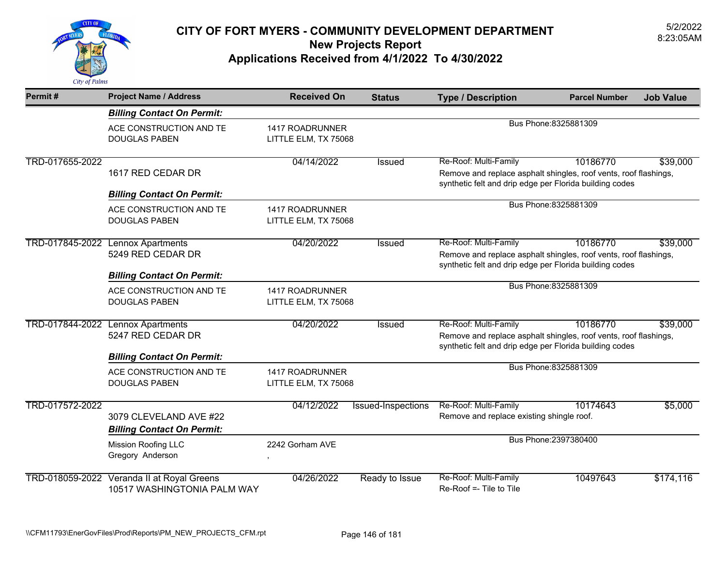

| Permit#                                                                                               | <b>Project Name / Address</b>                                                               | <b>Received On</b>                      | <b>Status</b>      | <b>Type / Description</b>                                                                                                                            | <b>Parcel Number</b>  | <b>Job Value</b> |
|-------------------------------------------------------------------------------------------------------|---------------------------------------------------------------------------------------------|-----------------------------------------|--------------------|------------------------------------------------------------------------------------------------------------------------------------------------------|-----------------------|------------------|
|                                                                                                       | <b>Billing Contact On Permit:</b>                                                           |                                         |                    |                                                                                                                                                      |                       |                  |
|                                                                                                       | ACE CONSTRUCTION AND TE<br><b>DOUGLAS PABEN</b>                                             | 1417 ROADRUNNER<br>LITTLE ELM, TX 75068 |                    |                                                                                                                                                      | Bus Phone: 8325881309 |                  |
| TRD-017655-2022                                                                                       | 1617 RED CEDAR DR                                                                           | 04/14/2022                              | <b>Issued</b>      | Re-Roof: Multi-Family<br>Remove and replace asphalt shingles, roof vents, roof flashings,<br>synthetic felt and drip edge per Florida building codes | 10186770              | \$39,000         |
|                                                                                                       | <b>Billing Contact On Permit:</b>                                                           |                                         |                    | Bus Phone: 8325881309                                                                                                                                |                       |                  |
|                                                                                                       | ACE CONSTRUCTION AND TE<br><b>DOUGLAS PABEN</b>                                             | 1417 ROADRUNNER<br>LITTLE ELM, TX 75068 |                    |                                                                                                                                                      |                       |                  |
| TRD-017845-2022<br><b>Lennox Apartments</b><br>5249 RED CEDAR DR<br><b>Billing Contact On Permit:</b> |                                                                                             | 04/20/2022                              | Issued             | Re-Roof: Multi-Family<br>Remove and replace asphalt shingles, roof vents, roof flashings,<br>synthetic felt and drip edge per Florida building codes | 10186770              | \$39,000         |
|                                                                                                       | ACE CONSTRUCTION AND TE<br><b>DOUGLAS PABEN</b>                                             | 1417 ROADRUNNER<br>LITTLE ELM, TX 75068 |                    |                                                                                                                                                      | Bus Phone: 8325881309 |                  |
|                                                                                                       | TRD-017844-2022 Lennox Apartments<br>5247 RED CEDAR DR<br><b>Billing Contact On Permit:</b> | 04/20/2022                              | Issued             | Re-Roof: Multi-Family<br>Remove and replace asphalt shingles, roof vents, roof flashings,<br>synthetic felt and drip edge per Florida building codes | 10186770              | \$39,000         |
|                                                                                                       | ACE CONSTRUCTION AND TE<br><b>DOUGLAS PABEN</b>                                             | 1417 ROADRUNNER<br>LITTLE ELM, TX 75068 |                    |                                                                                                                                                      | Bus Phone: 8325881309 |                  |
| TRD-017572-2022                                                                                       | 3079 CLEVELAND AVE #22<br><b>Billing Contact On Permit:</b>                                 | 04/12/2022                              | Issued-Inspections | Re-Roof: Multi-Family<br>Remove and replace existing shingle roof.                                                                                   | 10174643              | \$5,000          |
|                                                                                                       | <b>Mission Roofing LLC</b><br>Gregory Anderson                                              | 2242 Gorham AVE<br>$\,$                 |                    |                                                                                                                                                      | Bus Phone: 2397380400 |                  |
|                                                                                                       | TRD-018059-2022 Veranda II at Royal Greens<br>10517 WASHINGTONIA PALM WAY                   | 04/26/2022                              | Ready to Issue     | Re-Roof: Multi-Family<br>Re-Roof =- Tile to Tile                                                                                                     | 10497643              | \$174,116        |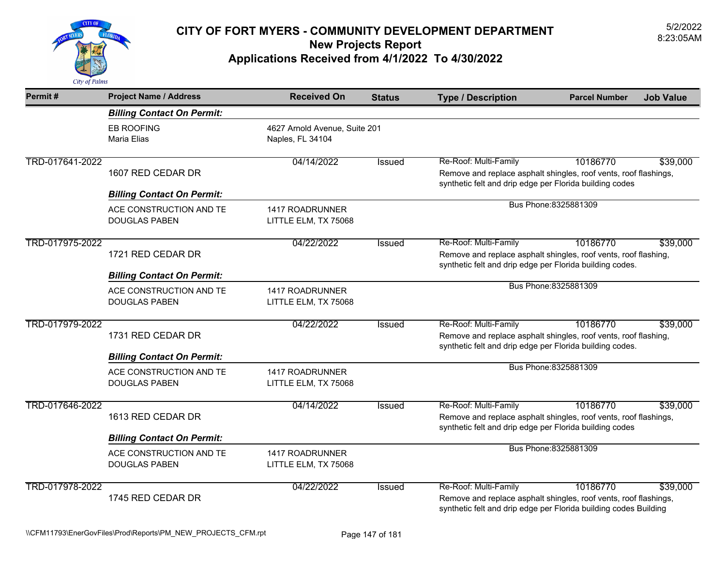

| Permit#         | <b>Project Name / Address</b>                          | <b>Received On</b>                                | <b>Status</b> | <b>Type / Description</b>                                                                                                                                                    | <b>Parcel Number</b>  | <b>Job Value</b> |
|-----------------|--------------------------------------------------------|---------------------------------------------------|---------------|------------------------------------------------------------------------------------------------------------------------------------------------------------------------------|-----------------------|------------------|
|                 | <b>Billing Contact On Permit:</b>                      |                                                   |               |                                                                                                                                                                              |                       |                  |
|                 | <b>EB ROOFING</b><br>Maria Elias                       | 4627 Arnold Avenue, Suite 201<br>Naples, FL 34104 |               |                                                                                                                                                                              |                       |                  |
| TRD-017641-2022 | 1607 RED CEDAR DR<br><b>Billing Contact On Permit:</b> | 04/14/2022                                        | Issued        | Re-Roof: Multi-Family<br>Remove and replace asphalt shingles, roof vents, roof flashings,<br>synthetic felt and drip edge per Florida building codes                         | 10186770              | \$39,000         |
|                 | ACE CONSTRUCTION AND TE<br><b>DOUGLAS PABEN</b>        | 1417 ROADRUNNER<br>LITTLE ELM, TX 75068           |               | Bus Phone: 8325881309                                                                                                                                                        |                       |                  |
| TRD-017975-2022 | 1721 RED CEDAR DR<br><b>Billing Contact On Permit:</b> | 04/22/2022                                        | Issued        | Re-Roof: Multi-Family<br>10186770<br>\$39,000<br>Remove and replace asphalt shingles, roof vents, roof flashing,<br>synthetic felt and drip edge per Florida building codes. |                       |                  |
|                 | ACE CONSTRUCTION AND TE<br><b>DOUGLAS PABEN</b>        | 1417 ROADRUNNER<br>LITTLE ELM, TX 75068           |               | Bus Phone: 8325881309                                                                                                                                                        |                       |                  |
| TRD-017979-2022 | 1731 RED CEDAR DR<br><b>Billing Contact On Permit:</b> | 04/22/2022                                        | Issued        | Re-Roof: Multi-Family<br>Remove and replace asphalt shingles, roof vents, roof flashing,<br>synthetic felt and drip edge per Florida building codes.                         | 10186770              | \$39,000         |
|                 | ACE CONSTRUCTION AND TE<br><b>DOUGLAS PABEN</b>        | 1417 ROADRUNNER<br>LITTLE ELM, TX 75068           |               |                                                                                                                                                                              | Bus Phone: 8325881309 |                  |
| TRD-017646-2022 | 1613 RED CEDAR DR<br><b>Billing Contact On Permit:</b> | 04/14/2022                                        | <b>Issued</b> | Re-Roof: Multi-Family<br>Remove and replace asphalt shingles, roof vents, roof flashings,<br>synthetic felt and drip edge per Florida building codes                         | 10186770              | \$39,000         |
|                 | ACE CONSTRUCTION AND TE<br><b>DOUGLAS PABEN</b>        | 1417 ROADRUNNER<br>LITTLE ELM, TX 75068           |               |                                                                                                                                                                              | Bus Phone: 8325881309 |                  |
| TRD-017978-2022 | 1745 RED CEDAR DR                                      | 04/22/2022                                        | Issued        | Re-Roof: Multi-Family<br>Remove and replace asphalt shingles, roof vents, roof flashings,<br>synthetic felt and drip edge per Florida building codes Building                | 10186770              | \$39,000         |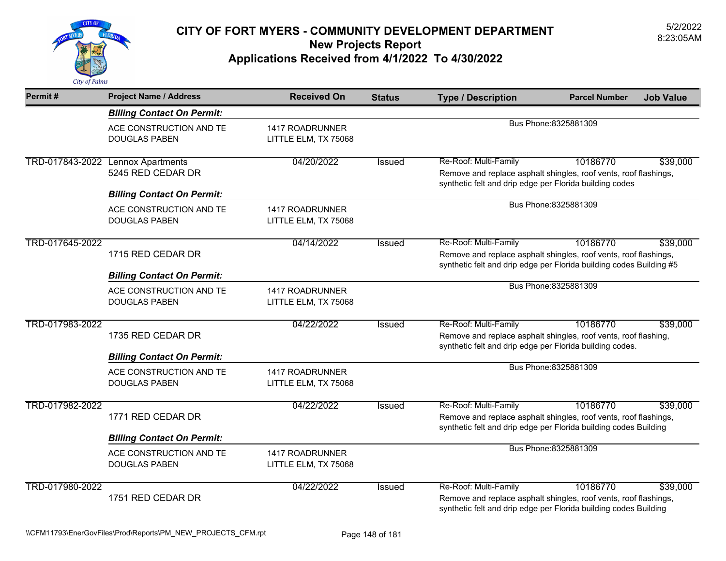

| Permit#         | <b>Project Name / Address</b>                                                                                                                                                                                                                             | <b>Received On</b>                             | <b>Status</b> | <b>Type / Description</b>                                                                                                                                     | <b>Parcel Number</b>  | <b>Job Value</b> |
|-----------------|-----------------------------------------------------------------------------------------------------------------------------------------------------------------------------------------------------------------------------------------------------------|------------------------------------------------|---------------|---------------------------------------------------------------------------------------------------------------------------------------------------------------|-----------------------|------------------|
|                 | <b>Billing Contact On Permit:</b>                                                                                                                                                                                                                         |                                                |               |                                                                                                                                                               |                       |                  |
|                 | ACE CONSTRUCTION AND TE<br><b>DOUGLAS PABEN</b>                                                                                                                                                                                                           | 1417 ROADRUNNER<br>LITTLE ELM, TX 75068        |               |                                                                                                                                                               | Bus Phone: 8325881309 |                  |
|                 | TRD-017843-2022 Lennox Apartments<br>5245 RED CEDAR DR<br><b>Billing Contact On Permit:</b>                                                                                                                                                               | 04/20/2022                                     | Issued        | Re-Roof: Multi-Family<br>Remove and replace asphalt shingles, roof vents, roof flashings,<br>synthetic felt and drip edge per Florida building codes          | 10186770              | \$39,000         |
|                 | ACE CONSTRUCTION AND TE<br><b>DOUGLAS PABEN</b>                                                                                                                                                                                                           | <b>1417 ROADRUNNER</b><br>LITTLE ELM, TX 75068 |               | Bus Phone: 8325881309                                                                                                                                         |                       |                  |
| TRD-017645-2022 | 04/14/2022<br>Re-Roof: Multi-Family<br><b>Issued</b><br>1715 RED CEDAR DR<br>Remove and replace asphalt shingles, roof vents, roof flashings,<br>synthetic felt and drip edge per Florida building codes Building #5<br><b>Billing Contact On Permit:</b> |                                                |               | 10186770                                                                                                                                                      | \$39,000              |                  |
|                 | ACE CONSTRUCTION AND TE<br><b>DOUGLAS PABEN</b>                                                                                                                                                                                                           | 1417 ROADRUNNER<br>LITTLE ELM, TX 75068        |               | Bus Phone: 8325881309                                                                                                                                         |                       |                  |
| TRD-017983-2022 | 1735 RED CEDAR DR<br><b>Billing Contact On Permit:</b>                                                                                                                                                                                                    | 04/22/2022                                     | <b>Issued</b> | Re-Roof: Multi-Family<br>Remove and replace asphalt shingles, roof vents, roof flashing,<br>synthetic felt and drip edge per Florida building codes.          | 10186770              | \$39,000         |
|                 | ACE CONSTRUCTION AND TE<br><b>DOUGLAS PABEN</b>                                                                                                                                                                                                           | 1417 ROADRUNNER<br>LITTLE ELM, TX 75068        |               |                                                                                                                                                               | Bus Phone: 8325881309 |                  |
| TRD-017982-2022 | 1771 RED CEDAR DR<br><b>Billing Contact On Permit:</b>                                                                                                                                                                                                    | 04/22/2022                                     | <b>Issued</b> | Re-Roof: Multi-Family<br>Remove and replace asphalt shingles, roof vents, roof flashings,<br>synthetic felt and drip edge per Florida building codes Building | 10186770              | \$39,000         |
|                 | ACE CONSTRUCTION AND TE<br><b>DOUGLAS PABEN</b>                                                                                                                                                                                                           | 1417 ROADRUNNER<br>LITTLE ELM, TX 75068        |               | Bus Phone: 8325881309                                                                                                                                         |                       |                  |
| TRD-017980-2022 | 1751 RED CEDAR DR                                                                                                                                                                                                                                         | 04/22/2022                                     | <b>Issued</b> | Re-Roof: Multi-Family<br>Remove and replace asphalt shingles, roof vents, roof flashings,<br>synthetic felt and drip edge per Florida building codes Building | 10186770              | \$39,000         |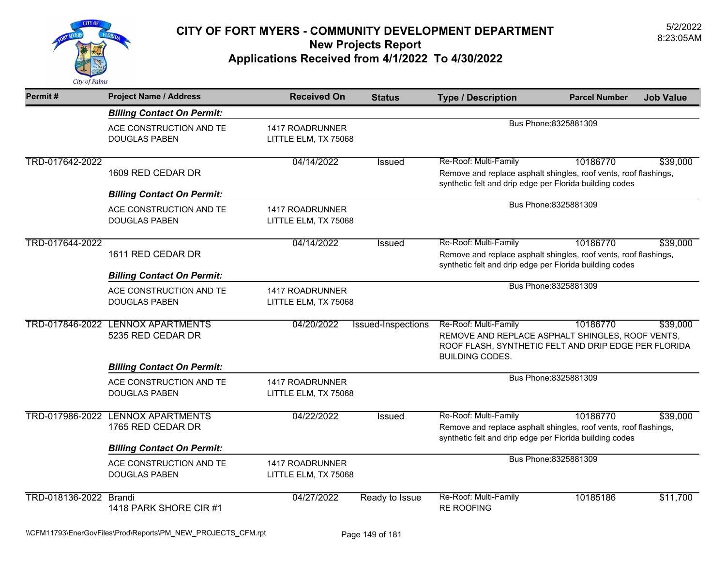

| Permit#                | <b>Project Name / Address</b>                                                               | <b>Received On</b>                             | <b>Status</b>      | <b>Type / Description</b>                                                                                                                                        | <b>Parcel Number</b>  | <b>Job Value</b> |
|------------------------|---------------------------------------------------------------------------------------------|------------------------------------------------|--------------------|------------------------------------------------------------------------------------------------------------------------------------------------------------------|-----------------------|------------------|
|                        | <b>Billing Contact On Permit:</b>                                                           |                                                |                    |                                                                                                                                                                  |                       |                  |
|                        | ACE CONSTRUCTION AND TE<br><b>DOUGLAS PABEN</b>                                             | 1417 ROADRUNNER<br>LITTLE ELM, TX 75068        |                    |                                                                                                                                                                  | Bus Phone: 8325881309 |                  |
| TRD-017642-2022        | 1609 RED CEDAR DR<br><b>Billing Contact On Permit:</b>                                      | 04/14/2022                                     | Issued             | Re-Roof: Multi-Family<br>Remove and replace asphalt shingles, roof vents, roof flashings,<br>synthetic felt and drip edge per Florida building codes             | 10186770              | \$39,000         |
|                        | ACE CONSTRUCTION AND TE<br><b>DOUGLAS PABEN</b>                                             | 1417 ROADRUNNER<br>LITTLE ELM, TX 75068        |                    |                                                                                                                                                                  | Bus Phone: 8325881309 |                  |
| TRD-017644-2022        | 1611 RED CEDAR DR<br><b>Billing Contact On Permit:</b>                                      | 04/14/2022                                     | <b>Issued</b>      | Re-Roof: Multi-Family<br>10186770<br>Remove and replace asphalt shingles, roof vents, roof flashings,<br>synthetic felt and drip edge per Florida building codes |                       | \$39,000         |
|                        | ACE CONSTRUCTION AND TE<br><b>DOUGLAS PABEN</b>                                             | 1417 ROADRUNNER<br>LITTLE ELM, TX 75068        |                    |                                                                                                                                                                  | Bus Phone: 8325881309 |                  |
|                        | TRD-017846-2022 LENNOX APARTMENTS<br>5235 RED CEDAR DR                                      | 04/20/2022                                     | Issued-Inspections | Re-Roof: Multi-Family<br>REMOVE AND REPLACE ASPHALT SHINGLES, ROOF VENTS,<br>ROOF FLASH, SYNTHETIC FELT AND DRIP EDGE PER FLORIDA<br><b>BUILDING CODES.</b>      | 10186770              | \$39,000         |
|                        | <b>Billing Contact On Permit:</b><br>ACE CONSTRUCTION AND TE<br><b>DOUGLAS PABEN</b>        | <b>1417 ROADRUNNER</b><br>LITTLE ELM, TX 75068 |                    |                                                                                                                                                                  | Bus Phone: 8325881309 |                  |
|                        | TRD-017986-2022 LENNOX APARTMENTS<br>1765 RED CEDAR DR<br><b>Billing Contact On Permit:</b> | 04/22/2022                                     | Issued             | Re-Roof: Multi-Family<br>Remove and replace asphalt shingles, roof vents, roof flashings,<br>synthetic felt and drip edge per Florida building codes             | 10186770              | \$39,000         |
|                        | ACE CONSTRUCTION AND TE<br><b>DOUGLAS PABEN</b>                                             | 1417 ROADRUNNER<br>LITTLE ELM, TX 75068        |                    |                                                                                                                                                                  | Bus Phone: 8325881309 |                  |
| TRD-018136-2022 Brandi | 1418 PARK SHORE CIR #1                                                                      | 04/27/2022                                     | Ready to Issue     | Re-Roof: Multi-Family<br><b>RE ROOFING</b>                                                                                                                       | 10185186              | \$11,700         |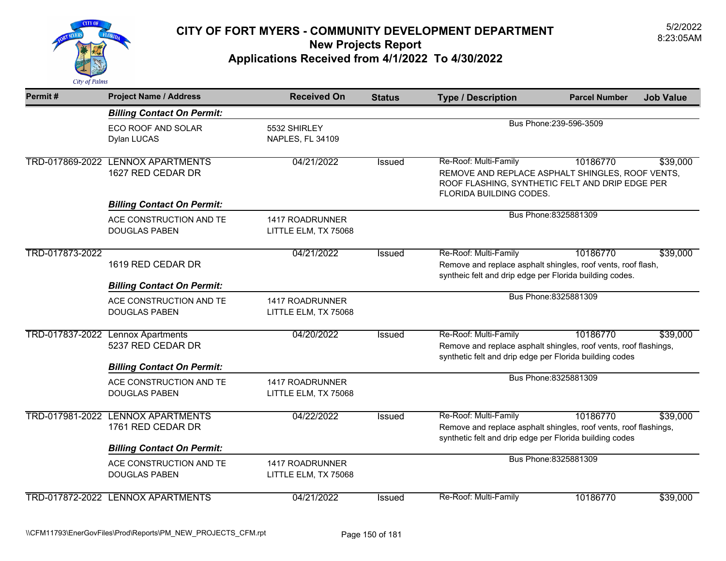

| Permit#         | <b>Project Name / Address</b>                                                               | <b>Received On</b>                      | <b>Status</b> | <b>Type / Description</b>                                                                                                                               | <b>Parcel Number</b>    | <b>Job Value</b> |
|-----------------|---------------------------------------------------------------------------------------------|-----------------------------------------|---------------|---------------------------------------------------------------------------------------------------------------------------------------------------------|-------------------------|------------------|
|                 | <b>Billing Contact On Permit:</b>                                                           |                                         |               |                                                                                                                                                         |                         |                  |
|                 | <b>ECO ROOF AND SOLAR</b><br>Dylan LUCAS                                                    | 5532 SHIRLEY<br>NAPLES, FL 34109        |               |                                                                                                                                                         | Bus Phone: 239-596-3509 |                  |
|                 | TRD-017869-2022 LENNOX APARTMENTS<br>1627 RED CEDAR DR                                      | 04/21/2022                              | Issued        | Re-Roof: Multi-Family<br>REMOVE AND REPLACE ASPHALT SHINGLES, ROOF VENTS,<br>ROOF FLASHING, SYNTHETIC FELT AND DRIP EDGE PER<br>FLORIDA BUILDING CODES. | 10186770                | \$39,000         |
|                 | <b>Billing Contact On Permit:</b>                                                           |                                         |               |                                                                                                                                                         |                         |                  |
|                 | ACE CONSTRUCTION AND TE<br><b>DOUGLAS PABEN</b>                                             | 1417 ROADRUNNER<br>LITTLE ELM, TX 75068 |               |                                                                                                                                                         | Bus Phone: 8325881309   |                  |
| TRD-017873-2022 | 1619 RED CEDAR DR                                                                           | 04/21/2022                              | Issued        | Re-Roof: Multi-Family<br>Remove and replace asphalt shingles, roof vents, roof flash,<br>syntheic felt and drip edge per Florida building codes.        | 10186770                | \$39,000         |
|                 | <b>Billing Contact On Permit:</b>                                                           |                                         |               |                                                                                                                                                         |                         |                  |
|                 | ACE CONSTRUCTION AND TE<br><b>DOUGLAS PABEN</b>                                             | 1417 ROADRUNNER<br>LITTLE ELM, TX 75068 |               |                                                                                                                                                         | Bus Phone: 8325881309   |                  |
|                 | TRD-017837-2022 Lennox Apartments<br>5237 RED CEDAR DR<br><b>Billing Contact On Permit:</b> | 04/20/2022                              | Issued        | Re-Roof: Multi-Family<br>Remove and replace asphalt shingles, roof vents, roof flashings,<br>synthetic felt and drip edge per Florida building codes    | 10186770                | \$39,000         |
|                 | ACE CONSTRUCTION AND TE<br><b>DOUGLAS PABEN</b>                                             | 1417 ROADRUNNER<br>LITTLE ELM, TX 75068 |               |                                                                                                                                                         | Bus Phone: 8325881309   |                  |
| TRD-017981-2022 | <b>LENNOX APARTMENTS</b><br>1761 RED CEDAR DR<br><b>Billing Contact On Permit:</b>          | 04/22/2022                              | Issued        | Re-Roof: Multi-Family<br>Remove and replace asphalt shingles, roof vents, roof flashings,<br>synthetic felt and drip edge per Florida building codes    | 10186770                | \$39,000         |
|                 | ACE CONSTRUCTION AND TE<br><b>DOUGLAS PABEN</b>                                             | 1417 ROADRUNNER<br>LITTLE ELM, TX 75068 |               | Bus Phone: 8325881309                                                                                                                                   |                         |                  |
|                 | TRD-017872-2022 LENNOX APARTMENTS                                                           | 04/21/2022                              | <b>Issued</b> | Re-Roof: Multi-Family                                                                                                                                   | 10186770                | \$39,000         |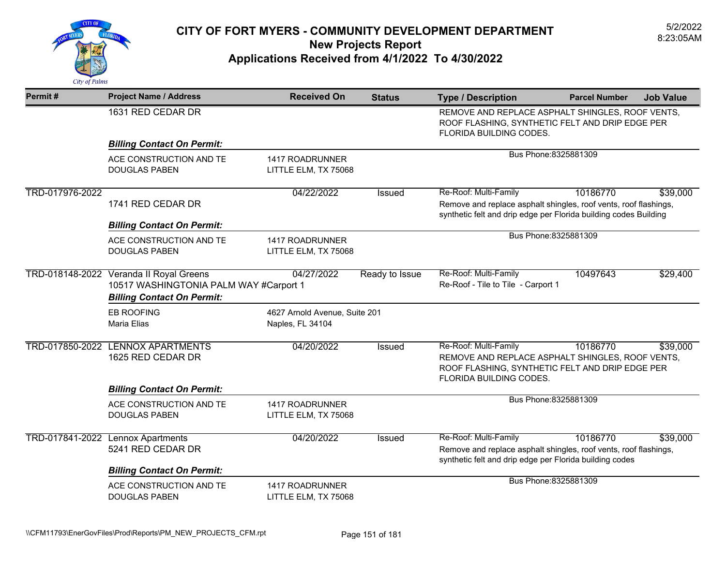

| Permit#         | <b>Project Name / Address</b>                                                                                          | <b>Received On</b>                                | <b>Status</b>  | <b>Type / Description</b>                                                                                                                                     | <b>Parcel Number</b>                                                                                                           | <b>Job Value</b> |  |
|-----------------|------------------------------------------------------------------------------------------------------------------------|---------------------------------------------------|----------------|---------------------------------------------------------------------------------------------------------------------------------------------------------------|--------------------------------------------------------------------------------------------------------------------------------|------------------|--|
|                 | 1631 RED CEDAR DR                                                                                                      |                                                   |                |                                                                                                                                                               | REMOVE AND REPLACE ASPHALT SHINGLES, ROOF VENTS,<br>ROOF FLASHING, SYNTHETIC FELT AND DRIP EDGE PER<br>FLORIDA BUILDING CODES. |                  |  |
|                 | <b>Billing Contact On Permit:</b>                                                                                      |                                                   |                |                                                                                                                                                               |                                                                                                                                |                  |  |
|                 | ACE CONSTRUCTION AND TE<br><b>DOUGLAS PABEN</b>                                                                        | 1417 ROADRUNNER<br>LITTLE ELM, TX 75068           |                |                                                                                                                                                               | Bus Phone: 8325881309                                                                                                          |                  |  |
| TRD-017976-2022 | 1741 RED CEDAR DR<br><b>Billing Contact On Permit:</b>                                                                 | 04/22/2022                                        | <b>Issued</b>  | Re-Roof: Multi-Family<br>Remove and replace asphalt shingles, roof vents, roof flashings,<br>synthetic felt and drip edge per Florida building codes Building | 10186770                                                                                                                       | \$39,000         |  |
|                 | ACE CONSTRUCTION AND TE<br><b>DOUGLAS PABEN</b>                                                                        | 1417 ROADRUNNER<br>LITTLE ELM, TX 75068           |                |                                                                                                                                                               | Bus Phone: 8325881309                                                                                                          |                  |  |
|                 | TRD-018148-2022 Veranda II Royal Greens<br>10517 WASHINGTONIA PALM WAY #Carport 1<br><b>Billing Contact On Permit:</b> | 04/27/2022                                        | Ready to Issue | Re-Roof: Multi-Family<br>Re-Roof - Tile to Tile - Carport 1                                                                                                   | 10497643                                                                                                                       | \$29,400         |  |
|                 | <b>EB ROOFING</b><br><b>Maria Elias</b>                                                                                | 4627 Arnold Avenue, Suite 201<br>Naples, FL 34104 |                |                                                                                                                                                               |                                                                                                                                |                  |  |
|                 | TRD-017850-2022 LENNOX APARTMENTS<br>1625 RED CEDAR DR                                                                 | 04/20/2022                                        | Issued         | Re-Roof: Multi-Family<br>REMOVE AND REPLACE ASPHALT SHINGLES, ROOF VENTS,<br>ROOF FLASHING, SYNTHETIC FELT AND DRIP EDGE PER<br>FLORIDA BUILDING CODES.       | 10186770                                                                                                                       | \$39,000         |  |
|                 | <b>Billing Contact On Permit:</b>                                                                                      |                                                   |                |                                                                                                                                                               |                                                                                                                                |                  |  |
|                 | ACE CONSTRUCTION AND TE<br><b>DOUGLAS PABEN</b>                                                                        | 1417 ROADRUNNER<br>LITTLE ELM, TX 75068           |                |                                                                                                                                                               | Bus Phone: 8325881309                                                                                                          |                  |  |
|                 | TRD-017841-2022 Lennox Apartments<br>5241 RED CEDAR DR<br><b>Billing Contact On Permit:</b>                            | 04/20/2022                                        | Issued         | Re-Roof: Multi-Family<br>Remove and replace asphalt shingles, roof vents, roof flashings,<br>synthetic felt and drip edge per Florida building codes          | 10186770                                                                                                                       | \$39,000         |  |
|                 | ACE CONSTRUCTION AND TE<br><b>DOUGLAS PABEN</b>                                                                        | 1417 ROADRUNNER<br>LITTLE ELM, TX 75068           |                |                                                                                                                                                               | Bus Phone: 8325881309                                                                                                          |                  |  |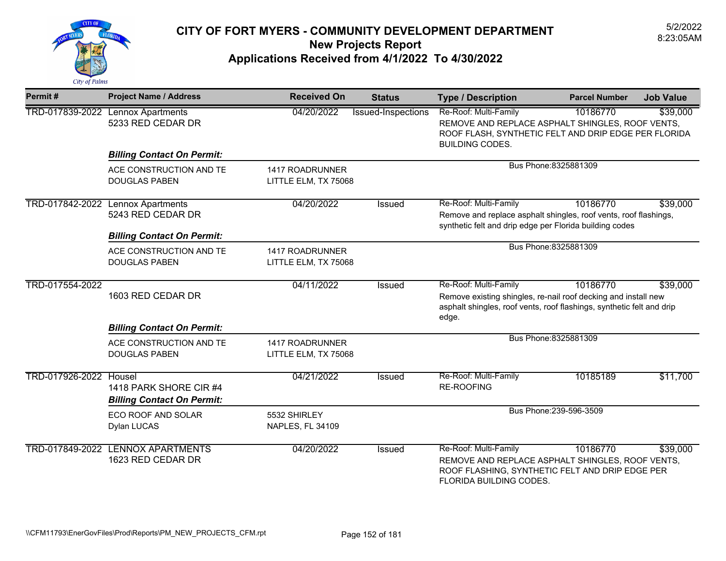

| Permit#         | <b>Project Name / Address</b>                                                      | <b>Received On</b>                             | <b>Status</b>      | <b>Type / Description</b>                                                                                                                                                 | <b>Parcel Number</b>    | <b>Job Value</b> |
|-----------------|------------------------------------------------------------------------------------|------------------------------------------------|--------------------|---------------------------------------------------------------------------------------------------------------------------------------------------------------------------|-------------------------|------------------|
|                 | TRD-017839-2022 Lennox Apartments<br>5233 RED CEDAR DR                             | 04/20/2022                                     | Issued-Inspections | Re-Roof: Multi-Family<br>REMOVE AND REPLACE ASPHALT SHINGLES, ROOF VENTS,<br>ROOF FLASH, SYNTHETIC FELT AND DRIP EDGE PER FLORIDA<br><b>BUILDING CODES.</b>               | 10186770                | \$39,000         |
|                 | <b>Billing Contact On Permit:</b>                                                  |                                                |                    |                                                                                                                                                                           |                         |                  |
|                 | ACE CONSTRUCTION AND TE<br><b>DOUGLAS PABEN</b>                                    | 1417 ROADRUNNER<br>LITTLE ELM, TX 75068        |                    |                                                                                                                                                                           | Bus Phone: 8325881309   |                  |
| TRD-017842-2022 | <b>Lennox Apartments</b><br>5243 RED CEDAR DR<br><b>Billing Contact On Permit:</b> | 04/20/2022                                     | Issued             | Re-Roof: Multi-Family<br>Remove and replace asphalt shingles, roof vents, roof flashings,<br>synthetic felt and drip edge per Florida building codes                      | 10186770                | \$39,000         |
|                 | ACE CONSTRUCTION AND TE<br><b>DOUGLAS PABEN</b>                                    | 1417 ROADRUNNER<br>LITTLE ELM, TX 75068        |                    |                                                                                                                                                                           | Bus Phone: 8325881309   |                  |
| TRD-017554-2022 | 1603 RED CEDAR DR                                                                  | 04/11/2022                                     | <b>Issued</b>      | Re-Roof: Multi-Family<br>Remove existing shingles, re-nail roof decking and install new<br>asphalt shingles, roof vents, roof flashings, synthetic felt and drip<br>edge. | 10186770                | \$39,000         |
|                 | <b>Billing Contact On Permit:</b>                                                  |                                                |                    |                                                                                                                                                                           |                         |                  |
|                 | ACE CONSTRUCTION AND TE<br><b>DOUGLAS PABEN</b>                                    | <b>1417 ROADRUNNER</b><br>LITTLE ELM, TX 75068 |                    |                                                                                                                                                                           | Bus Phone: 8325881309   |                  |
| TRD-017926-2022 | Housel<br>1418 PARK SHORE CIR #4<br><b>Billing Contact On Permit:</b>              | 04/21/2022                                     | Issued             | Re-Roof: Multi-Family<br>RE-ROOFING                                                                                                                                       | 10185189                | \$11,700         |
|                 | ECO ROOF AND SOLAR<br>Dylan LUCAS                                                  | 5532 SHIRLEY<br>NAPLES, FL 34109               |                    |                                                                                                                                                                           | Bus Phone: 239-596-3509 |                  |
|                 | TRD-017849-2022 LENNOX APARTMENTS<br>1623 RED CEDAR DR                             | 04/20/2022                                     | <b>Issued</b>      | Re-Roof: Multi-Family<br>REMOVE AND REPLACE ASPHALT SHINGLES, ROOF VENTS,<br>ROOF FLASHING, SYNTHETIC FELT AND DRIP EDGE PER<br><b>FLORIDA BUILDING CODES.</b>            | 10186770                | \$39,000         |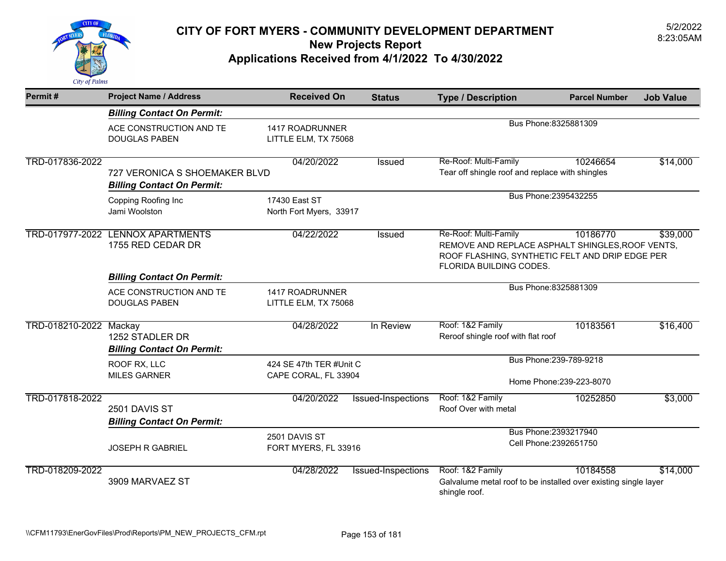

| Permit#                | <b>Project Name / Address</b>                                                        | <b>Received On</b>                              | <b>Status</b>      | <b>Type / Description</b>                                                                                                                               | <b>Parcel Number</b>                                | <b>Job Value</b> |
|------------------------|--------------------------------------------------------------------------------------|-------------------------------------------------|--------------------|---------------------------------------------------------------------------------------------------------------------------------------------------------|-----------------------------------------------------|------------------|
|                        | <b>Billing Contact On Permit:</b>                                                    |                                                 |                    |                                                                                                                                                         |                                                     |                  |
|                        | ACE CONSTRUCTION AND TE<br><b>DOUGLAS PABEN</b>                                      | 1417 ROADRUNNER<br>LITTLE ELM, TX 75068         |                    |                                                                                                                                                         | Bus Phone: 8325881309                               |                  |
| TRD-017836-2022        | 727 VERONICA S SHOEMAKER BLVD<br><b>Billing Contact On Permit:</b>                   | 04/20/2022                                      | Issued             | Re-Roof: Multi-Family<br>Tear off shingle roof and replace with shingles                                                                                | 10246654                                            | \$14,000         |
|                        | <b>Copping Roofing Inc</b><br>Jami Woolston                                          | 17430 East ST<br>North Fort Myers, 33917        |                    |                                                                                                                                                         | Bus Phone: 2395432255                               |                  |
| TRD-017977-2022        | <b>LENNOX APARTMENTS</b><br>1755 RED CEDAR DR                                        | 04/22/2022                                      | Issued             | Re-Roof: Multi-Family<br>REMOVE AND REPLACE ASPHALT SHINGLES, ROOF VENTS,<br>ROOF FLASHING, SYNTHETIC FELT AND DRIP EDGE PER<br>FLORIDA BUILDING CODES. | 10186770                                            | \$39,000         |
|                        | <b>Billing Contact On Permit:</b><br>ACE CONSTRUCTION AND TE<br><b>DOUGLAS PABEN</b> | 1417 ROADRUNNER<br>LITTLE ELM, TX 75068         |                    |                                                                                                                                                         | Bus Phone: 8325881309                               |                  |
| TRD-018210-2022 Mackay | 1252 STADLER DR<br><b>Billing Contact On Permit:</b>                                 | 04/28/2022                                      | In Review          | Roof: 1&2 Family<br>Reroof shingle roof with flat roof                                                                                                  | 10183561                                            | \$16,400         |
|                        | ROOF RX, LLC<br><b>MILES GARNER</b>                                                  | 424 SE 47th TER #Unit C<br>CAPE CORAL, FL 33904 |                    |                                                                                                                                                         | Bus Phone: 239-789-9218<br>Home Phone: 239-223-8070 |                  |
| TRD-017818-2022        | 2501 DAVIS ST<br><b>Billing Contact On Permit:</b>                                   | 04/20/2022                                      | Issued-Inspections | Roof: 1&2 Family<br>Roof Over with metal                                                                                                                | 10252850                                            | \$3,000          |
|                        | <b>JOSEPH R GABRIEL</b>                                                              | 2501 DAVIS ST<br>FORT MYERS, FL 33916           |                    |                                                                                                                                                         | Bus Phone: 2393217940<br>Cell Phone: 2392651750     |                  |
| TRD-018209-2022        | 3909 MARVAEZ ST                                                                      | 04/28/2022                                      | Issued-Inspections | Roof: 1&2 Family<br>Galvalume metal roof to be installed over existing single layer<br>shingle roof.                                                    | 10184558                                            | \$14,000         |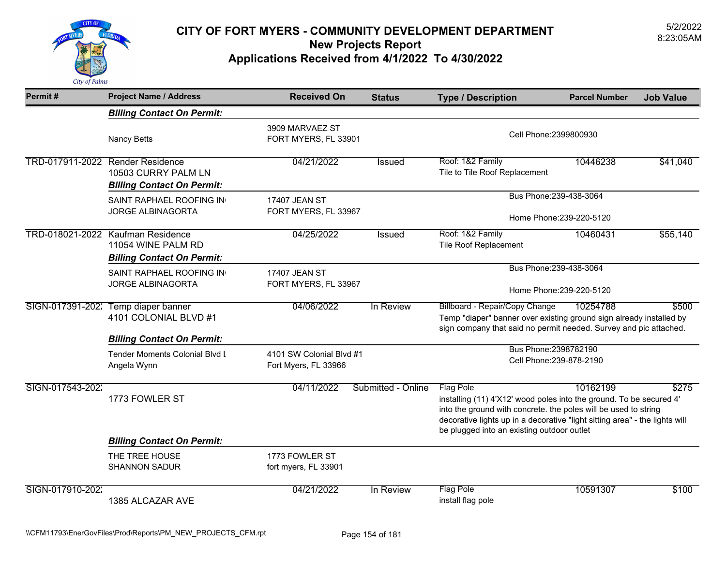

| Permit#          | <b>Project Name / Address</b>                                                                | <b>Received On</b>                               | <b>Status</b>      | <b>Type / Description</b>                                                                                                                                                                                                                                                               | <b>Parcel Number</b>     | <b>Job Value</b> |
|------------------|----------------------------------------------------------------------------------------------|--------------------------------------------------|--------------------|-----------------------------------------------------------------------------------------------------------------------------------------------------------------------------------------------------------------------------------------------------------------------------------------|--------------------------|------------------|
|                  | <b>Billing Contact On Permit:</b>                                                            |                                                  |                    |                                                                                                                                                                                                                                                                                         |                          |                  |
|                  | <b>Nancy Betts</b>                                                                           | 3909 MARVAEZ ST<br>FORT MYERS, FL 33901          |                    | Cell Phone: 2399800930                                                                                                                                                                                                                                                                  |                          |                  |
|                  | TRD-017911-2022 Render Residence<br>10503 CURRY PALM LN<br><b>Billing Contact On Permit:</b> | 04/21/2022                                       | <b>Issued</b>      | Roof: 1&2 Family<br>Tile to Tile Roof Replacement                                                                                                                                                                                                                                       | 10446238                 | \$41,040         |
|                  | SAINT RAPHAEL ROOFING IN<br><b>JORGE ALBINAGORTA</b>                                         | <b>17407 JEAN ST</b><br>FORT MYERS, FL 33967     |                    | Bus Phone: 239-438-3064                                                                                                                                                                                                                                                                 | Home Phone: 239-220-5120 |                  |
|                  | TRD-018021-2022 Kaufman Residence<br>11054 WINE PALM RD<br><b>Billing Contact On Permit:</b> | 04/25/2022                                       | <b>Issued</b>      | Roof: 1&2 Family<br><b>Tile Roof Replacement</b>                                                                                                                                                                                                                                        | 10460431                 | \$55,140         |
|                  | SAINT RAPHAEL ROOFING IN<br><b>JORGE ALBINAGORTA</b>                                         | 17407 JEAN ST<br>FORT MYERS, FL 33967            |                    | Bus Phone: 239-438-3064<br>Home Phone: 239-220-5120                                                                                                                                                                                                                                     |                          |                  |
|                  | SIGN-017391-202: Temp diaper banner<br>4101 COLONIAL BLVD #1                                 | 04/06/2022                                       | In Review          | Billboard - Repair/Copy Change<br>Temp "diaper" banner over existing ground sign already installed by<br>sign company that said no permit needed. Survey and pic attached.                                                                                                              | 10254788                 | \$500            |
|                  | <b>Billing Contact On Permit:</b><br>Tender Moments Colonial Blvd L<br>Angela Wynn           | 4101 SW Colonial Blvd #1<br>Fort Myers, FL 33966 |                    | Bus Phone: 2398782190<br>Cell Phone: 239-878-2190                                                                                                                                                                                                                                       |                          |                  |
| SIGN-017543-2022 | 1773 FOWLER ST                                                                               | 04/11/2022                                       | Submitted - Online | <b>Flag Pole</b><br>installing (11) 4'X12' wood poles into the ground. To be secured 4'<br>into the ground with concrete. the poles will be used to string<br>decorative lights up in a decorative "light sitting area" - the lights will<br>be plugged into an existing outdoor outlet | 10162199                 | \$275            |
|                  | <b>Billing Contact On Permit:</b>                                                            |                                                  |                    |                                                                                                                                                                                                                                                                                         |                          |                  |
|                  | THE TREE HOUSE<br><b>SHANNON SADUR</b>                                                       | 1773 FOWLER ST<br>fort myers, FL 33901           |                    |                                                                                                                                                                                                                                                                                         |                          |                  |
| SIGN-017910-2022 | 1385 ALCAZAR AVE                                                                             | 04/21/2022                                       | In Review          | <b>Flag Pole</b><br>install flag pole                                                                                                                                                                                                                                                   | 10591307                 | \$100            |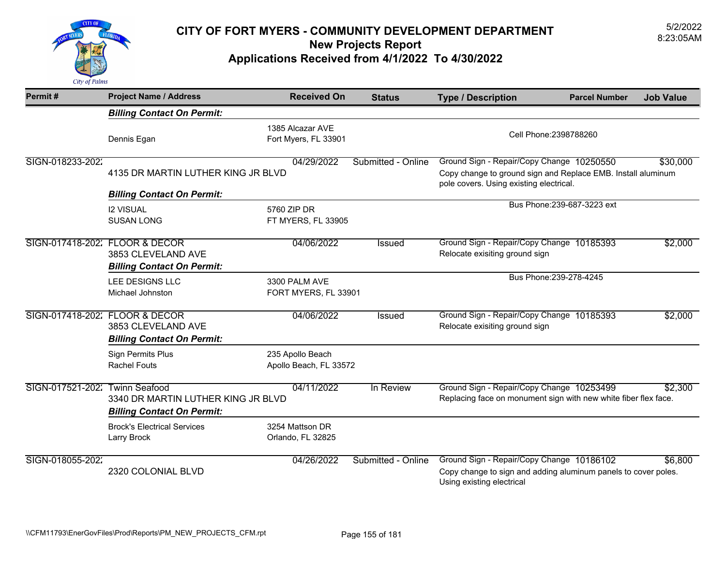

| Permit#                        | <b>Project Name / Address</b>                                                                   | <b>Received On</b>                         | <b>Status</b>      | <b>Type / Description</b>                                                                                                                            | <b>Parcel Number</b>        | <b>Job Value</b> |
|--------------------------------|-------------------------------------------------------------------------------------------------|--------------------------------------------|--------------------|------------------------------------------------------------------------------------------------------------------------------------------------------|-----------------------------|------------------|
|                                | <b>Billing Contact On Permit:</b>                                                               |                                            |                    |                                                                                                                                                      |                             |                  |
|                                | Dennis Egan                                                                                     | 1385 Alcazar AVE<br>Fort Myers, FL 33901   |                    |                                                                                                                                                      | Cell Phone: 2398788260      |                  |
| SIGN-018233-2022               | 4135 DR MARTIN LUTHER KING JR BLVD                                                              | 04/29/2022                                 | Submitted - Online | Ground Sign - Repair/Copy Change 10250550<br>Copy change to ground sign and Replace EMB. Install aluminum<br>pole covers. Using existing electrical. |                             | \$30,000         |
|                                | <b>Billing Contact On Permit:</b><br><b>I2 VISUAL</b><br><b>SUSAN LONG</b>                      | 5760 ZIP DR<br>FT MYERS, FL 33905          |                    |                                                                                                                                                      | Bus Phone: 239-687-3223 ext |                  |
| SIGN-017418-202: FLOOR & DECOR | 3853 CLEVELAND AVE<br><b>Billing Contact On Permit:</b>                                         | 04/06/2022                                 | <b>Issued</b>      | Ground Sign - Repair/Copy Change 10185393<br>Relocate exisiting ground sign                                                                          |                             | \$2,000          |
|                                | LEE DESIGNS LLC<br>Michael Johnston                                                             | 3300 PALM AVE<br>FORT MYERS, FL 33901      |                    |                                                                                                                                                      | Bus Phone: 239-278-4245     |                  |
|                                | SIGN-017418-202: FLOOR & DECOR<br>3853 CLEVELAND AVE<br><b>Billing Contact On Permit:</b>       | 04/06/2022                                 | Issued             | Ground Sign - Repair/Copy Change 10185393<br>Relocate exisiting ground sign                                                                          |                             | \$2,000          |
|                                | <b>Sign Permits Plus</b><br><b>Rachel Fouts</b>                                                 | 235 Apollo Beach<br>Apollo Beach, FL 33572 |                    |                                                                                                                                                      |                             |                  |
| SIGN-017521-2022               | <b>Twinn Seafood</b><br>3340 DR MARTIN LUTHER KING JR BLVD<br><b>Billing Contact On Permit:</b> | 04/11/2022                                 | In Review          | Ground Sign - Repair/Copy Change 10253499<br>Replacing face on monument sign with new white fiber flex face.                                         |                             | \$2,300          |
|                                | <b>Brock's Electrical Services</b><br>Larry Brock                                               | 3254 Mattson DR<br>Orlando, FL 32825       |                    |                                                                                                                                                      |                             |                  |
| SIGN-018055-2022               | 2320 COLONIAL BLVD                                                                              | 04/26/2022                                 | Submitted - Online | Ground Sign - Repair/Copy Change 10186102<br>Copy change to sign and adding aluminum panels to cover poles.<br>Using existing electrical             |                             | \$6,800          |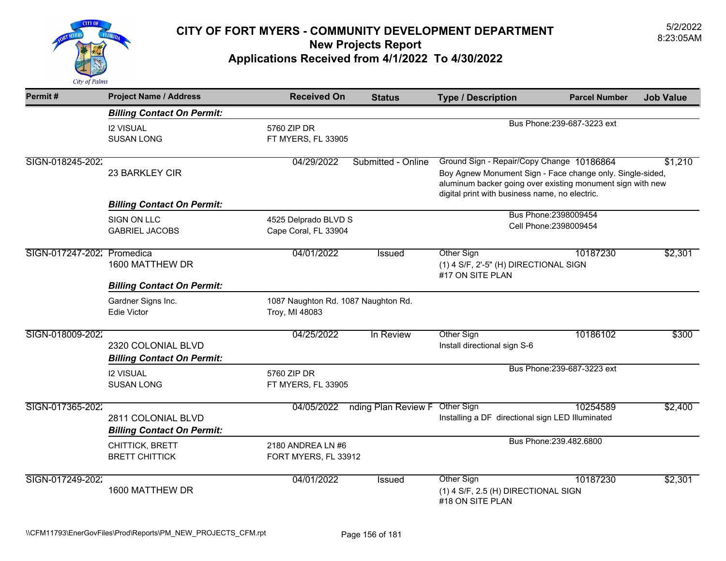

| Permit#                    | <b>Project Name / Address</b>                           | <b>Received On</b>                                    | <b>Status</b>       | <b>Type / Description</b>                                                                                                                                                                                              | <b>Parcel Number</b>        | <b>Job Value</b> |
|----------------------------|---------------------------------------------------------|-------------------------------------------------------|---------------------|------------------------------------------------------------------------------------------------------------------------------------------------------------------------------------------------------------------------|-----------------------------|------------------|
|                            | <b>Billing Contact On Permit:</b>                       |                                                       |                     |                                                                                                                                                                                                                        |                             |                  |
|                            | <b>I2 VISUAL</b><br><b>SUSAN LONG</b>                   | 5760 ZIP DR<br>FT MYERS, FL 33905                     |                     |                                                                                                                                                                                                                        | Bus Phone: 239-687-3223 ext |                  |
| SIGN-018245-2022           | 23 BARKLEY CIR                                          | 04/29/2022                                            | Submitted - Online  | Ground Sign - Repair/Copy Change 10186864<br>Boy Agnew Monument Sign - Face change only. Single-sided,<br>aluminum backer going over existing monument sign with new<br>digital print with business name, no electric. |                             | \$1,210          |
|                            | <b>Billing Contact On Permit:</b>                       |                                                       |                     |                                                                                                                                                                                                                        |                             |                  |
|                            | <b>SIGN ON LLC</b><br><b>GABRIEL JACOBS</b>             | 4525 Delprado BLVD S<br>Cape Coral, FL 33904          |                     | Bus Phone: 2398009454<br>Cell Phone: 2398009454                                                                                                                                                                        |                             |                  |
| SIGN-017247-202: Promedica | 1600 MATTHEW DR                                         | 04/01/2022                                            | <b>Issued</b>       | <b>Other Sign</b><br>(1) 4 S/F, 2'-5" (H) DIRECTIONAL SIGN<br>#17 ON SITE PLAN                                                                                                                                         | 10187230                    | \$2,301          |
|                            | <b>Billing Contact On Permit:</b>                       |                                                       |                     |                                                                                                                                                                                                                        |                             |                  |
|                            | Gardner Signs Inc.<br><b>Edie Victor</b>                | 1087 Naughton Rd. 1087 Naughton Rd.<br>Troy, MI 48083 |                     |                                                                                                                                                                                                                        |                             |                  |
| SIGN-018009-2022           | 2320 COLONIAL BLVD<br><b>Billing Contact On Permit:</b> | 04/25/2022                                            | In Review           | Other Sign<br>Install directional sign S-6                                                                                                                                                                             | 10186102                    | \$300            |
|                            | <b>I2 VISUAL</b><br><b>SUSAN LONG</b>                   | 5760 ZIP DR<br>FT MYERS, FL 33905                     |                     |                                                                                                                                                                                                                        | Bus Phone: 239-687-3223 ext |                  |
| SIGN-017365-2022           | 2811 COLONIAL BLVD<br><b>Billing Contact On Permit:</b> | 04/05/2022                                            | nding Plan Review F | Other Sign<br>Installing a DF directional sign LED Illuminated                                                                                                                                                         | 10254589                    | \$2,400          |
|                            | CHITTICK, BRETT<br><b>BRETT CHITTICK</b>                | 2180 ANDREA LN #6<br>FORT MYERS, FL 33912             |                     |                                                                                                                                                                                                                        | Bus Phone: 239.482.6800     |                  |
| SIGN-017249-2022           | 1600 MATTHEW DR                                         | 04/01/2022                                            | <b>Issued</b>       | <b>Other Sign</b><br>(1) 4 S/F, 2.5 (H) DIRECTIONAL SIGN<br>#18 ON SITE PLAN                                                                                                                                           | 10187230                    | \$2,301          |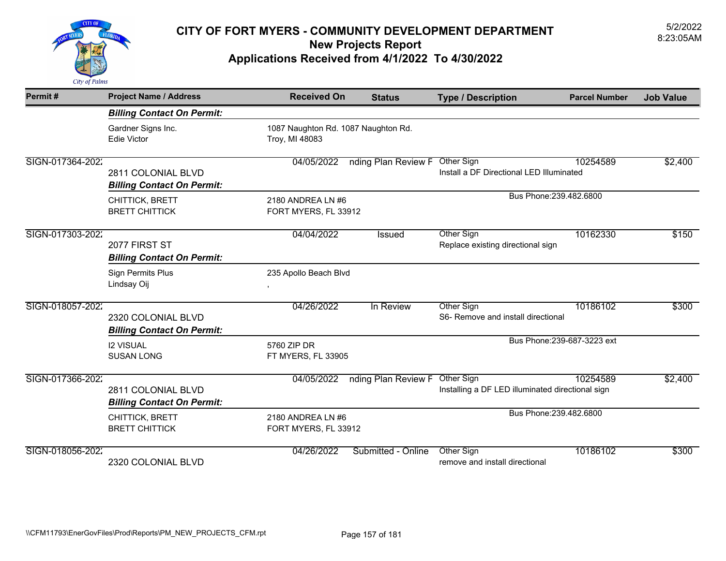

| Permit#          | <b>Project Name / Address</b>                           | <b>Received On</b>                                    | <b>Status</b>                  | <b>Type / Description</b>                                      | <b>Parcel Number</b>        | <b>Job Value</b> |
|------------------|---------------------------------------------------------|-------------------------------------------------------|--------------------------------|----------------------------------------------------------------|-----------------------------|------------------|
|                  | <b>Billing Contact On Permit:</b>                       |                                                       |                                |                                                                |                             |                  |
|                  | Gardner Signs Inc.<br><b>Edie Victor</b>                | 1087 Naughton Rd. 1087 Naughton Rd.<br>Troy, MI 48083 |                                |                                                                |                             |                  |
| SIGN-017364-2022 | 2811 COLONIAL BLVD<br><b>Billing Contact On Permit:</b> | 04/05/2022                                            | nding Plan Review F Other Sign | Install a DF Directional LED Illuminated                       | 10254589                    | \$2,400          |
|                  | CHITTICK, BRETT<br><b>BRETT CHITTICK</b>                | 2180 ANDREA LN #6<br>FORT MYERS, FL 33912             |                                | Bus Phone: 239.482.6800                                        |                             |                  |
| SIGN-017303-2022 | 2077 FIRST ST<br><b>Billing Contact On Permit:</b>      | 04/04/2022                                            | Issued                         | Other Sign<br>Replace existing directional sign                | 10162330                    | \$150            |
|                  | Sign Permits Plus<br>Lindsay Oij                        | 235 Apollo Beach Blvd                                 |                                |                                                                |                             |                  |
| SIGN-018057-2022 | 2320 COLONIAL BLVD<br><b>Billing Contact On Permit:</b> | 04/26/2022                                            | In Review                      | Other Sign<br>S6- Remove and install directional               | 10186102                    | \$300            |
|                  | <b>I2 VISUAL</b><br><b>SUSAN LONG</b>                   | 5760 ZIP DR<br>FT MYERS, FL 33905                     |                                |                                                                | Bus Phone: 239-687-3223 ext |                  |
| SIGN-017366-2022 | 2811 COLONIAL BLVD<br><b>Billing Contact On Permit:</b> | 04/05/2022                                            | nding Plan Review F            | Other Sign<br>Installing a DF LED illuminated directional sign | 10254589                    | \$2,400          |
|                  | CHITTICK, BRETT<br><b>BRETT CHITTICK</b>                | 2180 ANDREA LN #6<br>FORT MYERS, FL 33912             |                                | Bus Phone: 239.482.6800                                        |                             |                  |
| SIGN-018056-2022 | 2320 COLONIAL BLVD                                      | 04/26/2022                                            | Submitted - Online             | Other Sign<br>remove and install directional                   | 10186102                    | \$300            |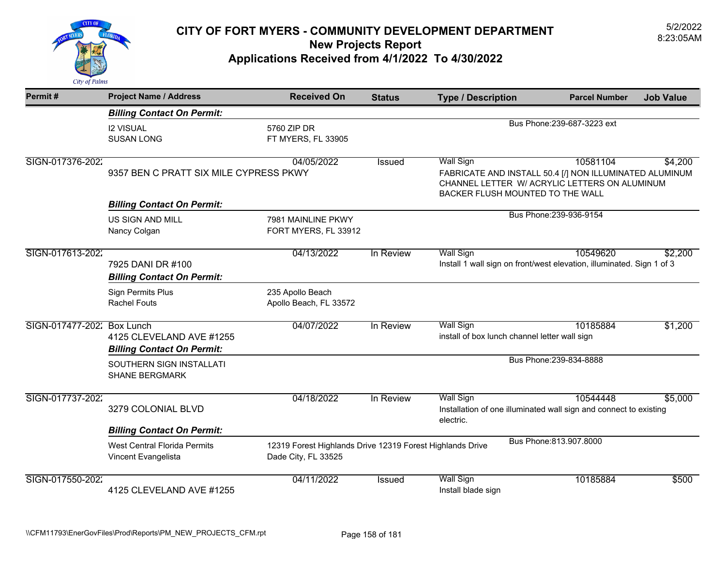

| Permit#                    | <b>Project Name / Address</b>                                                                                                                                                  | <b>Received On</b>                                                               | <b>Status</b> | <b>Type / Description</b>                                                                                                                                        | <b>Parcel Number</b>        | <b>Job Value</b> |
|----------------------------|--------------------------------------------------------------------------------------------------------------------------------------------------------------------------------|----------------------------------------------------------------------------------|---------------|------------------------------------------------------------------------------------------------------------------------------------------------------------------|-----------------------------|------------------|
|                            | <b>Billing Contact On Permit:</b>                                                                                                                                              |                                                                                  |               |                                                                                                                                                                  |                             |                  |
|                            | <b>I2 VISUAL</b><br><b>SUSAN LONG</b>                                                                                                                                          | 5760 ZIP DR<br>FT MYERS, FL 33905                                                |               |                                                                                                                                                                  | Bus Phone: 239-687-3223 ext |                  |
| SIGN-017376-2022           | 9357 BEN C PRATT SIX MILE CYPRESS PKWY                                                                                                                                         | 04/05/2022                                                                       | Issued        | <b>Wall Sign</b><br>FABRICATE AND INSTALL 50.4 [/] NON ILLUMINATED ALUMINUM<br>CHANNEL LETTER W/ ACRYLIC LETTERS ON ALUMINUM<br>BACKER FLUSH MOUNTED TO THE WALL | 10581104                    | \$4,200          |
|                            | <b>Billing Contact On Permit:</b>                                                                                                                                              |                                                                                  |               |                                                                                                                                                                  |                             |                  |
|                            | <b>US SIGN AND MILL</b><br>Nancy Colgan                                                                                                                                        | 7981 MAINLINE PKWY<br>FORT MYERS, FL 33912                                       |               |                                                                                                                                                                  | Bus Phone: 239-936-9154     |                  |
| SIGN-017613-2022           | 04/13/2022<br>In Review<br><b>Wall Sign</b><br>Install 1 wall sign on front/west elevation, illuminated. Sign 1 of 3<br>7925 DANI DR #100<br><b>Billing Contact On Permit:</b> |                                                                                  | 10549620      | \$2,200                                                                                                                                                          |                             |                  |
|                            | <b>Sign Permits Plus</b><br><b>Rachel Fouts</b>                                                                                                                                | 235 Apollo Beach<br>Apollo Beach, FL 33572                                       |               |                                                                                                                                                                  |                             |                  |
| SIGN-017477-202: Box Lunch | 4125 CLEVELAND AVE #1255<br><b>Billing Contact On Permit:</b>                                                                                                                  | 04/07/2022                                                                       | In Review     | <b>Wall Sign</b><br>install of box lunch channel letter wall sign                                                                                                | 10185884                    | \$1,200          |
|                            | SOUTHERN SIGN INSTALLATI<br><b>SHANE BERGMARK</b>                                                                                                                              |                                                                                  |               |                                                                                                                                                                  | Bus Phone: 239-834-8888     |                  |
| SIGN-017737-2022           | 3279 COLONIAL BLVD                                                                                                                                                             | 04/18/2022                                                                       | In Review     | <b>Wall Sign</b><br>Installation of one illuminated wall sign and connect to existing<br>electric.                                                               | 10544448                    | \$5,000          |
|                            | <b>Billing Contact On Permit:</b>                                                                                                                                              |                                                                                  |               |                                                                                                                                                                  |                             |                  |
|                            | <b>West Central Florida Permits</b><br>Vincent Evangelista                                                                                                                     | 12319 Forest Highlands Drive 12319 Forest Highlands Drive<br>Dade City, FL 33525 |               |                                                                                                                                                                  | Bus Phone: 813.907.8000     |                  |
| SIGN-017550-2022           | 4125 CLEVELAND AVE #1255                                                                                                                                                       | 04/11/2022                                                                       | Issued        | Wall Sign<br>Install blade sign                                                                                                                                  | 10185884                    | \$500            |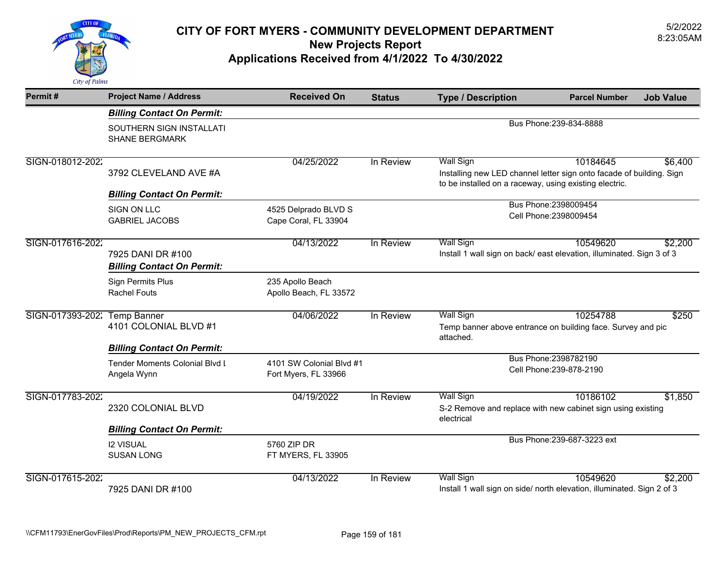

| Permit#          | <b>Project Name / Address</b>                                                    | <b>Received On</b>                               | <b>Status</b> | <b>Type / Description</b>                                                                                                                          | <b>Parcel Number</b>                              | <b>Job Value</b> |  |
|------------------|----------------------------------------------------------------------------------|--------------------------------------------------|---------------|----------------------------------------------------------------------------------------------------------------------------------------------------|---------------------------------------------------|------------------|--|
|                  | <b>Billing Contact On Permit:</b>                                                |                                                  |               |                                                                                                                                                    |                                                   |                  |  |
|                  | SOUTHERN SIGN INSTALLATI<br><b>SHANE BERGMARK</b>                                |                                                  |               | Bus Phone: 239-834-8888                                                                                                                            |                                                   |                  |  |
| SIGN-018012-2022 | 3792 CLEVELAND AVE #A                                                            | 04/25/2022                                       | In Review     | <b>Wall Sign</b><br>Installing new LED channel letter sign onto facade of building. Sign<br>to be installed on a raceway, using existing electric. | 10184645                                          | \$6,400          |  |
|                  | <b>Billing Contact On Permit:</b>                                                |                                                  |               |                                                                                                                                                    | Bus Phone: 2398009454                             |                  |  |
|                  | <b>SIGN ON LLC</b><br><b>GABRIEL JACOBS</b>                                      | 4525 Delprado BLVD S<br>Cape Coral, FL 33904     |               |                                                                                                                                                    | Cell Phone: 2398009454                            |                  |  |
| SIGN-017616-2022 | 7925 DANI DR #100<br><b>Billing Contact On Permit:</b>                           | 04/13/2022                                       | In Review     | <b>Wall Sign</b><br>Install 1 wall sign on back/ east elevation, illuminated. Sign 3 of 3                                                          | 10549620                                          | \$2,200          |  |
|                  | <b>Sign Permits Plus</b><br><b>Rachel Fouts</b>                                  | 235 Apollo Beach<br>Apollo Beach, FL 33572       |               |                                                                                                                                                    |                                                   |                  |  |
| SIGN-017393-2022 | <b>Temp Banner</b><br>4101 COLONIAL BLVD #1<br><b>Billing Contact On Permit:</b> | 04/06/2022                                       | In Review     | <b>Wall Sign</b><br>Temp banner above entrance on building face. Survey and pic<br>attached.                                                       | 10254788                                          | \$250            |  |
|                  | <b>Tender Moments Colonial Blvd I</b><br>Angela Wynn                             | 4101 SW Colonial Blvd #1<br>Fort Myers, FL 33966 |               |                                                                                                                                                    | Bus Phone: 2398782190<br>Cell Phone: 239-878-2190 |                  |  |
| SIGN-017783-2022 | 2320 COLONIAL BLVD                                                               | 04/19/2022                                       | In Review     | <b>Wall Sign</b><br>S-2 Remove and replace with new cabinet sign using existing<br>electrical                                                      | 10186102                                          | \$1,850          |  |
|                  | <b>Billing Contact On Permit:</b>                                                |                                                  |               |                                                                                                                                                    |                                                   |                  |  |
|                  | <b>I2 VISUAL</b><br><b>SUSAN LONG</b>                                            | 5760 ZIP DR<br>FT MYERS, FL 33905                |               |                                                                                                                                                    | Bus Phone: 239-687-3223 ext                       |                  |  |
| SIGN-017615-2022 | 7925 DANI DR #100                                                                | 04/13/2022                                       | In Review     | <b>Wall Sign</b><br>Install 1 wall sign on side/ north elevation, illuminated. Sign 2 of 3                                                         | 10549620                                          | \$2,200          |  |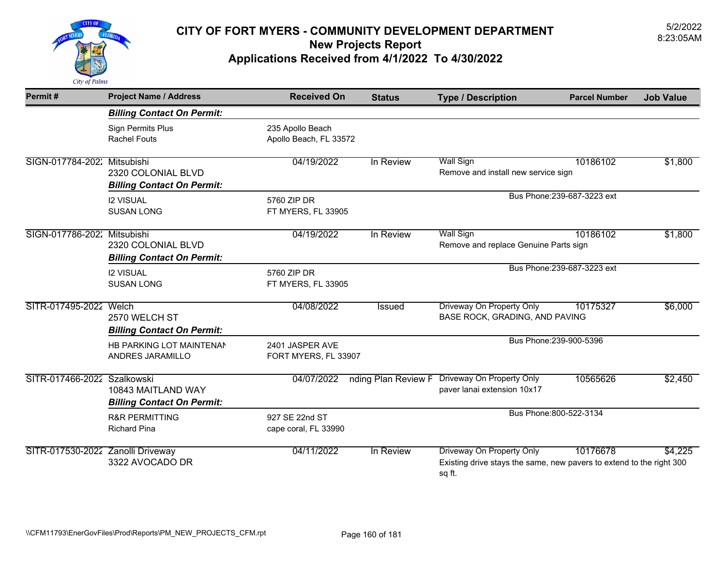

| Permit#                           | <b>Project Name / Address</b>                           | <b>Received On</b>                         | <b>Status</b>       | <b>Type / Description</b>                                                                                   | <b>Parcel Number</b>        | <b>Job Value</b> |
|-----------------------------------|---------------------------------------------------------|--------------------------------------------|---------------------|-------------------------------------------------------------------------------------------------------------|-----------------------------|------------------|
|                                   | <b>Billing Contact On Permit:</b>                       |                                            |                     |                                                                                                             |                             |                  |
|                                   | Sign Permits Plus<br><b>Rachel Fouts</b>                | 235 Apollo Beach<br>Apollo Beach, FL 33572 |                     |                                                                                                             |                             |                  |
| SIGN-017784-202: Mitsubishi       | 2320 COLONIAL BLVD<br><b>Billing Contact On Permit:</b> | 04/19/2022                                 | In Review           | <b>Wall Sign</b><br>Remove and install new service sign                                                     | 10186102                    | \$1,800          |
|                                   | <b>I2 VISUAL</b><br><b>SUSAN LONG</b>                   | 5760 ZIP DR<br>FT MYERS, FL 33905          |                     |                                                                                                             | Bus Phone: 239-687-3223 ext |                  |
| SIGN-017786-202: Mitsubishi       | 2320 COLONIAL BLVD<br><b>Billing Contact On Permit:</b> | 04/19/2022                                 | In Review           | <b>Wall Sign</b><br>Remove and replace Genuine Parts sign                                                   | 10186102                    | \$1,800          |
|                                   | <b>I2 VISUAL</b><br><b>SUSAN LONG</b>                   | 5760 ZIP DR<br>FT MYERS, FL 33905          |                     |                                                                                                             | Bus Phone: 239-687-3223 ext |                  |
| SITR-017495-2022 Welch            | 2570 WELCH ST<br><b>Billing Contact On Permit:</b>      | 04/08/2022                                 | Issued              | Driveway On Property Only<br>BASE ROCK, GRADING, AND PAVING                                                 | 10175327                    | \$6,000          |
|                                   | HB PARKING LOT MAINTENAM<br>ANDRES JARAMILLO            | 2401 JASPER AVE<br>FORT MYERS, FL 33907    |                     |                                                                                                             | Bus Phone: 239-900-5396     |                  |
| SITR-017466-2022 Szalkowski       | 10843 MAITLAND WAY<br><b>Billing Contact On Permit:</b> | 04/07/2022                                 | nding Plan Review F | Driveway On Property Only<br>paver lanai extension 10x17                                                    | 10565626                    | \$2,450          |
|                                   | <b>R&amp;R PERMITTING</b><br><b>Richard Pina</b>        | 927 SE 22nd ST<br>cape coral, FL 33990     |                     |                                                                                                             | Bus Phone: 800-522-3134     |                  |
| SITR-017530-2022 Zanolli Driveway | 3322 AVOCADO DR                                         | 04/11/2022                                 | In Review           | Driveway On Property Only<br>Existing drive stays the same, new pavers to extend to the right 300<br>sq ft. | 10176678                    | \$4,225          |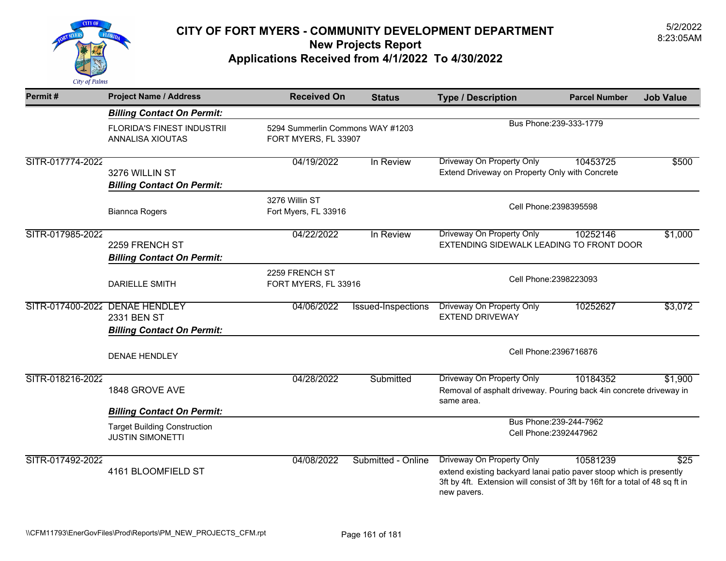

| Permit#          | <b>Project Name / Address</b>                                                      | <b>Received On</b>                                       | <b>Status</b>      | <b>Type / Description</b>                                                                                                                                                                       | <b>Parcel Number</b>                              | <b>Job Value</b> |
|------------------|------------------------------------------------------------------------------------|----------------------------------------------------------|--------------------|-------------------------------------------------------------------------------------------------------------------------------------------------------------------------------------------------|---------------------------------------------------|------------------|
|                  | <b>Billing Contact On Permit:</b>                                                  |                                                          |                    |                                                                                                                                                                                                 |                                                   |                  |
|                  | FLORIDA'S FINEST INDUSTRII<br>ANNALISA XIOUTAS                                     | 5294 Summerlin Commons WAY #1203<br>FORT MYERS, FL 33907 |                    |                                                                                                                                                                                                 | Bus Phone: 239-333-1779                           |                  |
| SITR-017774-2022 | 3276 WILLIN ST<br><b>Billing Contact On Permit:</b>                                | 04/19/2022                                               | In Review          | Driveway On Property Only<br>Extend Driveway on Property Only with Concrete                                                                                                                     | 10453725                                          | \$500            |
|                  | <b>Biannca Rogers</b>                                                              | 3276 Willin ST<br>Fort Myers, FL 33916                   |                    | Cell Phone: 2398395598                                                                                                                                                                          |                                                   |                  |
| SITR-017985-2022 | 2259 FRENCH ST<br><b>Billing Contact On Permit:</b>                                | 04/22/2022                                               | In Review          | <b>Driveway On Property Only</b><br>EXTENDING SIDEWALK LEADING TO FRONT DOOR                                                                                                                    | 10252146                                          | \$1,000          |
|                  | <b>DARIELLE SMITH</b>                                                              | 2259 FRENCH ST<br>FORT MYERS, FL 33916                   |                    | Cell Phone: 2398223093                                                                                                                                                                          |                                                   |                  |
|                  | SITR-017400-2022 DENAE HENDLEY<br>2331 BEN ST<br><b>Billing Contact On Permit:</b> | 04/06/2022                                               | Issued-Inspections | <b>Driveway On Property Only</b><br><b>EXTEND DRIVEWAY</b>                                                                                                                                      | 10252627                                          | \$3,072          |
|                  | <b>DENAE HENDLEY</b>                                                               |                                                          |                    |                                                                                                                                                                                                 | Cell Phone: 2396716876                            |                  |
| SITR-018216-2022 | 1848 GROVE AVE                                                                     | 04/28/2022                                               | Submitted          | Driveway On Property Only<br>Removal of asphalt driveway. Pouring back 4in concrete driveway in<br>same area.                                                                                   | 10184352                                          | \$1,900          |
|                  | <b>Billing Contact On Permit:</b>                                                  |                                                          |                    |                                                                                                                                                                                                 |                                                   |                  |
|                  | <b>Target Building Construction</b><br><b>JUSTIN SIMONETTI</b>                     |                                                          |                    |                                                                                                                                                                                                 | Bus Phone: 239-244-7962<br>Cell Phone: 2392447962 |                  |
| SITR-017492-2022 | 4161 BLOOMFIELD ST                                                                 | 04/08/2022                                               | Submitted - Online | Driveway On Property Only<br>extend existing backyard lanai patio paver stoop which is presently<br>3ft by 4ft. Extension will consist of 3ft by 16ft for a total of 48 sq ft in<br>new pavers. | 10581239                                          | \$25             |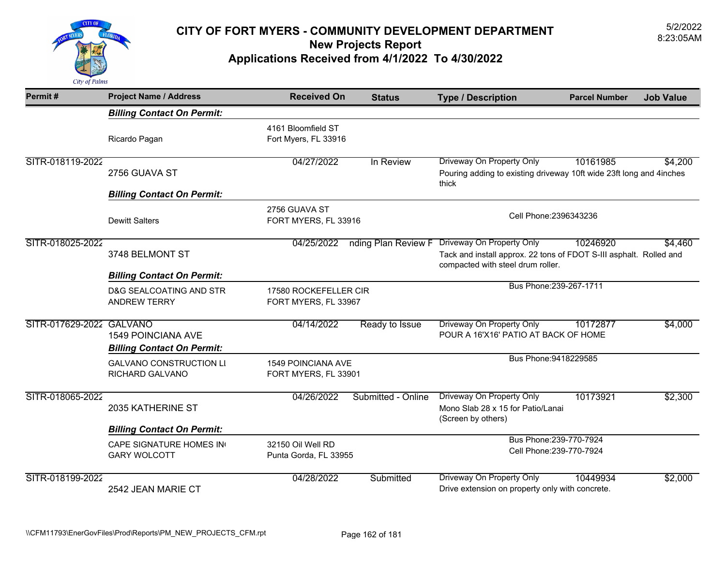

| Permit#                  | <b>Project Name / Address</b>                                  | <b>Received On</b>                            | <b>Status</b>       | <b>Type / Description</b>                                                                                                                   | <b>Parcel Number</b> | <b>Job Value</b> |
|--------------------------|----------------------------------------------------------------|-----------------------------------------------|---------------------|---------------------------------------------------------------------------------------------------------------------------------------------|----------------------|------------------|
|                          | <b>Billing Contact On Permit:</b>                              |                                               |                     |                                                                                                                                             |                      |                  |
|                          | Ricardo Pagan                                                  | 4161 Bloomfield ST<br>Fort Myers, FL 33916    |                     |                                                                                                                                             |                      |                  |
| SITR-018119-2022         | 2756 GUAVA ST                                                  | 04/27/2022                                    | In Review           | Driveway On Property Only<br>Pouring adding to existing driveway 10ft wide 23ft long and 4inches<br>thick                                   | 10161985             | \$4,200          |
|                          | <b>Billing Contact On Permit:</b>                              |                                               |                     |                                                                                                                                             |                      |                  |
|                          | <b>Dewitt Salters</b>                                          | 2756 GUAVA ST<br>FORT MYERS, FL 33916         |                     | Cell Phone: 2396343236                                                                                                                      |                      |                  |
| SITR-018025-2022         | 3748 BELMONT ST                                                | 04/25/2022                                    | nding Plan Review F | <b>Driveway On Property Only</b><br>Tack and install approx. 22 tons of FDOT S-III asphalt. Rolled and<br>compacted with steel drum roller. | 10246920             | \$4,460          |
|                          | <b>Billing Contact On Permit:</b>                              |                                               |                     |                                                                                                                                             |                      |                  |
|                          | D&G SEALCOATING AND STR<br><b>ANDREW TERRY</b>                 | 17580 ROCKEFELLER CIR<br>FORT MYERS, FL 33967 |                     | Bus Phone: 239-267-1711                                                                                                                     |                      |                  |
| SITR-017629-2022 GALVANO | <b>1549 POINCIANA AVE</b><br><b>Billing Contact On Permit:</b> | 04/14/2022                                    | Ready to Issue      | Driveway On Property Only<br>POUR A 16'X16' PATIO AT BACK OF HOME                                                                           | 10172877             | \$4,000          |
|                          | <b>GALVANO CONSTRUCTION LI</b><br>RICHARD GALVANO              | 1549 POINCIANA AVE<br>FORT MYERS, FL 33901    |                     | Bus Phone: 9418229585                                                                                                                       |                      |                  |
| SITR-018065-2022         | 2035 KATHERINE ST                                              | 04/26/2022                                    | Submitted - Online  | Driveway On Property Only<br>Mono Slab 28 x 15 for Patio/Lanai<br>(Screen by others)                                                        | 10173921             | \$2,300          |
|                          | <b>Billing Contact On Permit:</b>                              |                                               |                     |                                                                                                                                             |                      |                  |
|                          | CAPE SIGNATURE HOMES IN<br><b>GARY WOLCOTT</b>                 | 32150 Oil Well RD<br>Punta Gorda, FL 33955    |                     | Bus Phone: 239-770-7924<br>Cell Phone: 239-770-7924                                                                                         |                      |                  |
| SITR-018199-2022         | 2542 JEAN MARIE CT                                             | 04/28/2022                                    | Submitted           | Driveway On Property Only<br>Drive extension on property only with concrete.                                                                | 10449934             | \$2,000          |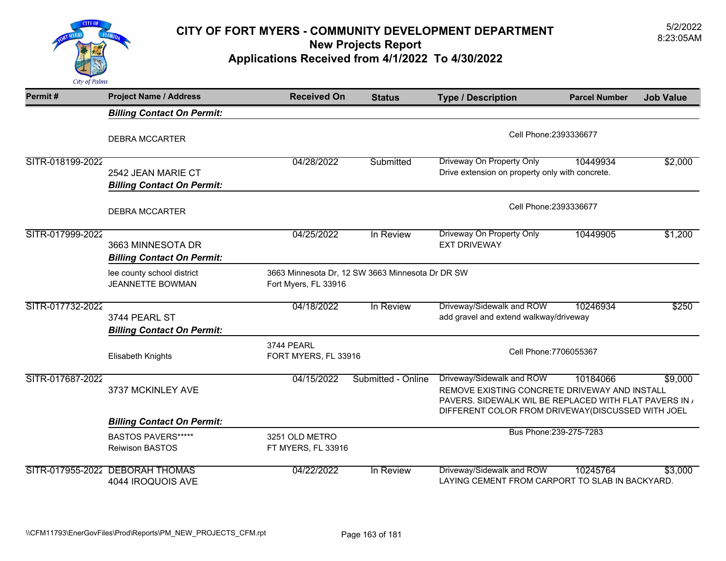

| Permit#          | <b>Project Name / Address</b>                           | <b>Received On</b>                                                       | <b>Status</b>          | <b>Type / Description</b>                                                                                                                                                               | <b>Parcel Number</b> | <b>Job Value</b> |  |
|------------------|---------------------------------------------------------|--------------------------------------------------------------------------|------------------------|-----------------------------------------------------------------------------------------------------------------------------------------------------------------------------------------|----------------------|------------------|--|
|                  | <b>Billing Contact On Permit:</b>                       |                                                                          |                        |                                                                                                                                                                                         |                      |                  |  |
|                  | <b>DEBRA MCCARTER</b>                                   |                                                                          |                        | Cell Phone: 2393336677                                                                                                                                                                  |                      |                  |  |
| SITR-018199-2022 | 2542 JEAN MARIE CT<br><b>Billing Contact On Permit:</b> | 04/28/2022                                                               | Submitted              | Driveway On Property Only<br>Drive extension on property only with concrete.                                                                                                            | 10449934             | \$2,000          |  |
|                  | <b>DEBRA MCCARTER</b>                                   |                                                                          | Cell Phone: 2393336677 |                                                                                                                                                                                         |                      |                  |  |
| SITR-017999-2022 | 3663 MINNESOTA DR<br><b>Billing Contact On Permit:</b>  | 04/25/2022                                                               | In Review              | <b>Driveway On Property Only</b><br><b>EXT DRIVEWAY</b>                                                                                                                                 | 10449905             | \$1,200          |  |
|                  | lee county school district<br><b>JEANNETTE BOWMAN</b>   | 3663 Minnesota Dr, 12 SW 3663 Minnesota Dr DR SW<br>Fort Myers, FL 33916 |                        |                                                                                                                                                                                         |                      |                  |  |
| SITR-017732-2022 | 3744 PEARL ST<br><b>Billing Contact On Permit:</b>      | 04/18/2022                                                               | In Review              | Driveway/Sidewalk and ROW<br>add gravel and extend walkway/driveway                                                                                                                     | 10246934             | \$250            |  |
|                  | Elisabeth Knights                                       | <b>3744 PEARL</b><br>FORT MYERS, FL 33916                                |                        | Cell Phone: 7706055367                                                                                                                                                                  |                      |                  |  |
| SITR-017687-2022 | 3737 MCKINLEY AVE                                       | 04/15/2022                                                               | Submitted - Online     | Driveway/Sidewalk and ROW<br>REMOVE EXISTING CONCRETE DRIVEWAY AND INSTALL<br>PAVERS. SIDEWALK WIL BE REPLACED WITH FLAT PAVERS IN<br>DIFFERENT COLOR FROM DRIVEWAY(DISCUSSED WITH JOEL | 10184066             | \$9,000          |  |
|                  | <b>Billing Contact On Permit:</b>                       |                                                                          |                        | Bus Phone: 239-275-7283                                                                                                                                                                 |                      |                  |  |
|                  | <b>BASTOS PAVERS*****</b><br><b>Reiwison BASTOS</b>     | 3251 OLD METRO<br>FT MYERS, FL 33916                                     |                        |                                                                                                                                                                                         |                      |                  |  |
|                  | SITR-017955-2022 DEBORAH THOMAS<br>4044 IROQUOIS AVE    | 04/22/2022                                                               | In Review              | Driveway/Sidewalk and ROW<br>LAYING CEMENT FROM CARPORT TO SLAB IN BACKYARD.                                                                                                            | 10245764             | \$3,000          |  |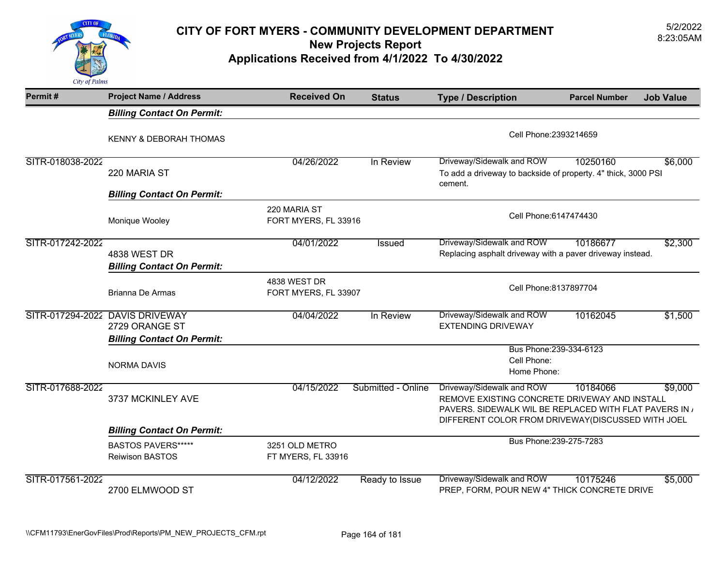

| Permit#          | <b>Project Name / Address</b>                                                          | <b>Received On</b>                   | <b>Status</b>      | <b>Type / Description</b>                                                                                                                                                               | <b>Parcel Number</b>    | <b>Job Value</b> |  |
|------------------|----------------------------------------------------------------------------------------|--------------------------------------|--------------------|-----------------------------------------------------------------------------------------------------------------------------------------------------------------------------------------|-------------------------|------------------|--|
|                  | <b>Billing Contact On Permit:</b>                                                      |                                      |                    |                                                                                                                                                                                         |                         |                  |  |
|                  | KENNY & DEBORAH THOMAS                                                                 |                                      |                    | Cell Phone: 2393214659                                                                                                                                                                  |                         |                  |  |
| SITR-018038-2022 | 220 MARIA ST                                                                           | 04/26/2022                           | In Review          | Driveway/Sidewalk and ROW<br>To add a driveway to backside of property. 4" thick, 3000 PSI<br>cement.                                                                                   | 10250160                | \$6,000          |  |
|                  | <b>Billing Contact On Permit:</b>                                                      |                                      |                    |                                                                                                                                                                                         |                         |                  |  |
|                  | Monique Wooley                                                                         | 220 MARIA ST<br>FORT MYERS, FL 33916 |                    | Cell Phone: 6147474430                                                                                                                                                                  |                         |                  |  |
| SITR-017242-2022 | <b>4838 WEST DR</b>                                                                    | 04/01/2022                           | Issued             | Driveway/Sidewalk and ROW<br>Replacing asphalt driveway with a paver driveway instead.                                                                                                  | 10186677                | \$2,300          |  |
|                  | <b>Billing Contact On Permit:</b>                                                      |                                      |                    |                                                                                                                                                                                         |                         |                  |  |
|                  | <b>Brianna De Armas</b>                                                                | 4838 WEST DR<br>FORT MYERS, FL 33907 |                    | Cell Phone: 8137897704                                                                                                                                                                  |                         |                  |  |
|                  | SITR-017294-2022 DAVIS DRIVEWAY<br>2729 ORANGE ST<br><b>Billing Contact On Permit:</b> | 04/04/2022                           | In Review          | Driveway/Sidewalk and ROW<br><b>EXTENDING DRIVEWAY</b>                                                                                                                                  | 10162045                | \$1,500          |  |
|                  | <b>NORMA DAVIS</b>                                                                     |                                      |                    | Cell Phone:<br>Home Phone:                                                                                                                                                              | Bus Phone: 239-334-6123 |                  |  |
| SITR-017688-2022 | 3737 MCKINLEY AVE                                                                      | 04/15/2022                           | Submitted - Online | Driveway/Sidewalk and ROW<br>REMOVE EXISTING CONCRETE DRIVEWAY AND INSTALL<br>PAVERS. SIDEWALK WIL BE REPLACED WITH FLAT PAVERS IN<br>DIFFERENT COLOR FROM DRIVEWAY(DISCUSSED WITH JOEL | 10184066                | \$9,000          |  |
|                  | <b>Billing Contact On Permit:</b>                                                      |                                      |                    |                                                                                                                                                                                         |                         |                  |  |
|                  | <b>BASTOS PAVERS******</b><br><b>Reiwison BASTOS</b>                                   | 3251 OLD METRO<br>FT MYERS, FL 33916 |                    |                                                                                                                                                                                         | Bus Phone: 239-275-7283 |                  |  |
| SITR-017561-2022 | 2700 ELMWOOD ST                                                                        | 04/12/2022                           | Ready to Issue     | Driveway/Sidewalk and ROW<br>PREP, FORM, POUR NEW 4" THICK CONCRETE DRIVE                                                                                                               | 10175246                | \$5,000          |  |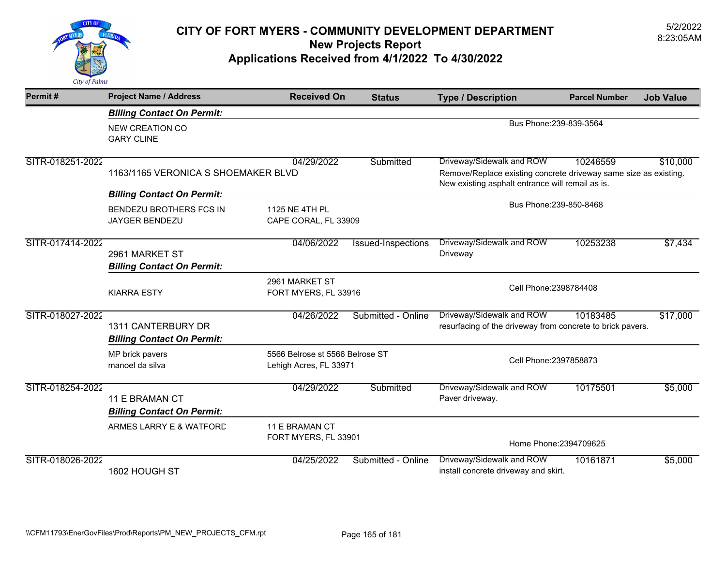

| Permit#          | <b>Project Name / Address</b>                           | <b>Received On</b>                                        | <b>Status</b>      | <b>Type / Description</b>                                                                                                                         | <b>Parcel Number</b> | <b>Job Value</b> |
|------------------|---------------------------------------------------------|-----------------------------------------------------------|--------------------|---------------------------------------------------------------------------------------------------------------------------------------------------|----------------------|------------------|
|                  | <b>Billing Contact On Permit:</b>                       |                                                           |                    |                                                                                                                                                   |                      |                  |
|                  | <b>NEW CREATION CO</b><br><b>GARY CLINE</b>             |                                                           |                    | Bus Phone: 239-839-3564                                                                                                                           |                      |                  |
| SITR-018251-2022 | 1163/1165 VERONICA S SHOEMAKER BLVD                     | 04/29/2022                                                | Submitted          | Driveway/Sidewalk and ROW<br>Remove/Replace existing concrete driveway same size as existing.<br>New existing asphalt entrance will remail as is. | 10246559             | \$10,000         |
|                  | <b>Billing Contact On Permit:</b>                       |                                                           |                    |                                                                                                                                                   |                      |                  |
|                  | BENDEZU BROTHERS FCS IN<br>JAYGER BENDEZU               | 1125 NE 4TH PL<br>CAPE CORAL, FL 33909                    |                    | Bus Phone: 239-850-8468                                                                                                                           |                      |                  |
| SITR-017414-2022 | 2961 MARKET ST<br><b>Billing Contact On Permit:</b>     | 04/06/2022                                                | Issued-Inspections | Driveway/Sidewalk and ROW<br>Driveway                                                                                                             | 10253238             | \$7,434          |
|                  | <b>KIARRA ESTY</b>                                      | 2961 MARKET ST<br>FORT MYERS, FL 33916                    |                    | Cell Phone: 2398784408                                                                                                                            |                      |                  |
| SITR-018027-2022 | 1311 CANTERBURY DR<br><b>Billing Contact On Permit:</b> | 04/26/2022                                                | Submitted - Online | Driveway/Sidewalk and ROW<br>resurfacing of the driveway from concrete to brick pavers.                                                           | 10183485             | \$17,000         |
|                  | MP brick pavers<br>manoel da silva                      | 5566 Belrose st 5566 Belrose ST<br>Lehigh Acres, FL 33971 |                    | Cell Phone: 2397858873                                                                                                                            |                      |                  |
| SITR-018254-2022 | 11 E BRAMAN CT<br><b>Billing Contact On Permit:</b>     | 04/29/2022                                                | Submitted          | Driveway/Sidewalk and ROW<br>Paver driveway.                                                                                                      | 10175501             | \$5,000          |
|                  | ARMES LARRY E & WATFORD                                 | 11 E BRAMAN CT<br>FORT MYERS, FL 33901                    |                    | Home Phone: 2394709625                                                                                                                            |                      |                  |
| SITR-018026-2022 | 1602 HOUGH ST                                           | 04/25/2022                                                | Submitted - Online | Driveway/Sidewalk and ROW<br>install concrete driveway and skirt.                                                                                 | 10161871             | \$5,000          |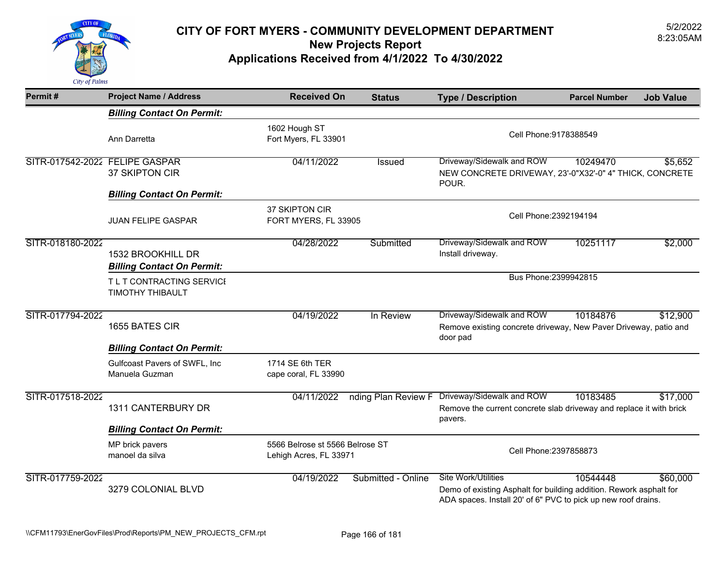

| Permit#                        | <b>Project Name / Address</b>                          | <b>Received On</b>                                        | <b>Status</b>       | <b>Type / Description</b>                                                                                                                                         | <b>Parcel Number</b> | <b>Job Value</b> |
|--------------------------------|--------------------------------------------------------|-----------------------------------------------------------|---------------------|-------------------------------------------------------------------------------------------------------------------------------------------------------------------|----------------------|------------------|
|                                | <b>Billing Contact On Permit:</b>                      |                                                           |                     |                                                                                                                                                                   |                      |                  |
|                                | Ann Darretta                                           | 1602 Hough ST<br>Fort Myers, FL 33901                     |                     | Cell Phone: 9178388549                                                                                                                                            |                      |                  |
| SITR-017542-2022 FELIPE GASPAR | 37 SKIPTON CIR<br><b>Billing Contact On Permit:</b>    | 04/11/2022                                                | Issued              | Driveway/Sidewalk and ROW<br>NEW CONCRETE DRIVEWAY, 23'-0"X32'-0" 4" THICK, CONCRETE<br>POUR.                                                                     | 10249470             | \$5,652          |
|                                | <b>JUAN FELIPE GASPAR</b>                              | 37 SKIPTON CIR<br>FORT MYERS, FL 33905                    |                     | Cell Phone: 2392194194                                                                                                                                            |                      |                  |
| SITR-018180-2022               | 1532 BROOKHILL DR<br><b>Billing Contact On Permit:</b> | 04/28/2022                                                | Submitted           | Driveway/Sidewalk and ROW<br>Install driveway.                                                                                                                    | 10251117             | \$2,000          |
|                                | T L T CONTRACTING SERVICI<br><b>TIMOTHY THIBAULT</b>   |                                                           |                     | Bus Phone: 2399942815                                                                                                                                             |                      |                  |
| SITR-017794-2022               | 1655 BATES CIR                                         | 04/19/2022                                                | In Review           | Driveway/Sidewalk and ROW<br>Remove existing concrete driveway, New Paver Driveway, patio and<br>door pad                                                         | 10184876             | \$12,900         |
|                                | <b>Billing Contact On Permit:</b>                      |                                                           |                     |                                                                                                                                                                   |                      |                  |
|                                | Gulfcoast Pavers of SWFL, Inc<br>Manuela Guzman        | 1714 SE 6th TER<br>cape coral, FL 33990                   |                     |                                                                                                                                                                   |                      |                  |
| SITR-017518-2022               | 1311 CANTERBURY DR                                     | 04/11/2022                                                | nding Plan Review F | Driveway/Sidewalk and ROW<br>Remove the current concrete slab driveway and replace it with brick<br>pavers.                                                       | 10183485             | \$17,000         |
|                                | <b>Billing Contact On Permit:</b>                      |                                                           |                     |                                                                                                                                                                   |                      |                  |
|                                | MP brick pavers<br>manoel da silva                     | 5566 Belrose st 5566 Belrose ST<br>Lehigh Acres, FL 33971 |                     | Cell Phone: 2397858873                                                                                                                                            |                      |                  |
| SITR-017759-2022               | 3279 COLONIAL BLVD                                     | 04/19/2022                                                | Submitted - Online  | <b>Site Work/Utilities</b><br>Demo of existing Asphalt for building addition. Rework asphalt for<br>ADA spaces. Install 20' of 6" PVC to pick up new roof drains. | 10544448             | \$60,000         |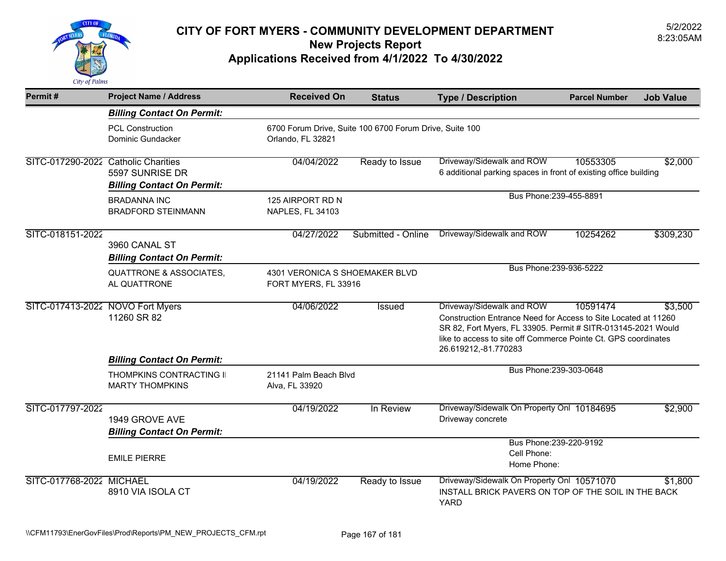

| Permit#                             | <b>Project Name / Address</b>                        | <b>Received On</b>                                                           | <b>Status</b>      | <b>Type / Description</b>                                                                                                                                                                                                                             | <b>Parcel Number</b> | <b>Job Value</b> |
|-------------------------------------|------------------------------------------------------|------------------------------------------------------------------------------|--------------------|-------------------------------------------------------------------------------------------------------------------------------------------------------------------------------------------------------------------------------------------------------|----------------------|------------------|
|                                     | <b>Billing Contact On Permit:</b>                    |                                                                              |                    |                                                                                                                                                                                                                                                       |                      |                  |
|                                     | <b>PCL Construction</b><br>Dominic Gundacker         | 6700 Forum Drive, Suite 100 6700 Forum Drive, Suite 100<br>Orlando, FL 32821 |                    |                                                                                                                                                                                                                                                       |                      |                  |
| SITC-017290-2022 Catholic Charities | 5597 SUNRISE DR<br><b>Billing Contact On Permit:</b> | 04/04/2022                                                                   | Ready to Issue     | Driveway/Sidewalk and ROW<br>6 additional parking spaces in front of existing office building                                                                                                                                                         | 10553305             | \$2,000          |
|                                     | <b>BRADANNA INC</b><br><b>BRADFORD STEINMANN</b>     | 125 AIRPORT RD N<br>NAPLES, FL 34103                                         |                    | Bus Phone: 239-455-8891                                                                                                                                                                                                                               |                      |                  |
| SITC-018151-2022                    | 3960 CANAL ST<br><b>Billing Contact On Permit:</b>   | 04/27/2022                                                                   | Submitted - Online | Driveway/Sidewalk and ROW                                                                                                                                                                                                                             | 10254262             | \$309,230        |
|                                     | <b>QUATTRONE &amp; ASSOCIATES,</b><br>AL QUATTRONE   | 4301 VERONICA S SHOEMAKER BLVD<br>FORT MYERS, FL 33916                       |                    | Bus Phone: 239-936-5222                                                                                                                                                                                                                               |                      |                  |
| SITC-017413-2022 NOVO Fort Myers    | 11260 SR 82                                          | 04/06/2022                                                                   | Issued             | Driveway/Sidewalk and ROW<br>Construction Entrance Need for Access to Site Located at 11260<br>SR 82, Fort Myers, FL 33905. Permit # SITR-013145-2021 Would<br>like to access to site off Commerce Pointe Ct. GPS coordinates<br>26.619212,-81.770283 | 10591474             | \$3,500          |
|                                     | <b>Billing Contact On Permit:</b>                    |                                                                              |                    |                                                                                                                                                                                                                                                       |                      |                  |
|                                     | THOMPKINS CONTRACTING II<br><b>MARTY THOMPKINS</b>   | 21141 Palm Beach Blvd<br>Alva, FL 33920                                      |                    | Bus Phone: 239-303-0648                                                                                                                                                                                                                               |                      |                  |
| SITC-017797-2022                    | 1949 GROVE AVE<br><b>Billing Contact On Permit:</b>  | 04/19/2022                                                                   | In Review          | Driveway/Sidewalk On Property Onl 10184695<br>Driveway concrete                                                                                                                                                                                       |                      | \$2,900          |
|                                     | <b>EMILE PIERRE</b>                                  |                                                                              |                    | Bus Phone: 239-220-9192<br>Cell Phone:<br>Home Phone:                                                                                                                                                                                                 |                      |                  |
| SITC-017768-2022 MICHAEL            | 8910 VIA ISOLA CT                                    | 04/19/2022                                                                   | Ready to Issue     | Driveway/Sidewalk On Property Onl 10571070<br>INSTALL BRICK PAVERS ON TOP OF THE SOIL IN THE BACK<br><b>YARD</b>                                                                                                                                      |                      | \$1,800          |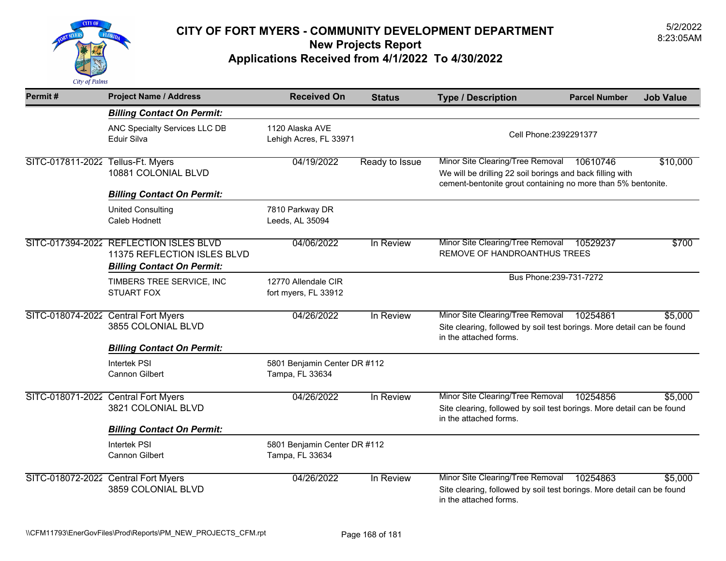

| Permit#                             | <b>Project Name / Address</b>                                         | <b>Received On</b>                              | <b>Status</b>  | <b>Type / Description</b>                                                                                                                                     | <b>Parcel Number</b> | <b>Job Value</b> |
|-------------------------------------|-----------------------------------------------------------------------|-------------------------------------------------|----------------|---------------------------------------------------------------------------------------------------------------------------------------------------------------|----------------------|------------------|
|                                     | <b>Billing Contact On Permit:</b>                                     |                                                 |                |                                                                                                                                                               |                      |                  |
|                                     | ANC Specialty Services LLC DB<br>Eduir Silva                          | 1120 Alaska AVE<br>Lehigh Acres, FL 33971       |                | Cell Phone: 2392291377                                                                                                                                        |                      |                  |
| SITC-017811-2022 Tellus-Ft. Myers   | 10881 COLONIAL BLVD                                                   | 04/19/2022                                      | Ready to Issue | Minor Site Clearing/Tree Removal<br>We will be drilling 22 soil borings and back filling with<br>cement-bentonite grout containing no more than 5% bentonite. | 10610746             | \$10,000         |
|                                     | <b>Billing Contact On Permit:</b>                                     |                                                 |                |                                                                                                                                                               |                      |                  |
|                                     | <b>United Consulting</b><br>Caleb Hodnett                             | 7810 Parkway DR<br>Leeds, AL 35094              |                |                                                                                                                                                               |                      |                  |
|                                     | SITC-017394-2022 REFLECTION ISLES BLVD<br>11375 REFLECTION ISLES BLVD | 04/06/2022                                      | In Review      | Minor Site Clearing/Tree Removal<br>REMOVE OF HANDROANTHUS TREES                                                                                              | 10529237             | \$700            |
|                                     | <b>Billing Contact On Permit:</b>                                     |                                                 |                | Bus Phone: 239-731-7272                                                                                                                                       |                      |                  |
|                                     | TIMBERS TREE SERVICE, INC<br><b>STUART FOX</b>                        | 12770 Allendale CIR<br>fort myers, FL 33912     |                |                                                                                                                                                               |                      |                  |
| SITC-018074-2022 Central Fort Myers | 3855 COLONIAL BLVD                                                    | 04/26/2022                                      | In Review      | Minor Site Clearing/Tree Removal<br>Site clearing, followed by soil test borings. More detail can be found<br>in the attached forms.                          | 10254861             | \$5,000          |
|                                     | <b>Billing Contact On Permit:</b>                                     |                                                 |                |                                                                                                                                                               |                      |                  |
|                                     | <b>Intertek PSI</b><br>Cannon Gilbert                                 | 5801 Benjamin Center DR #112<br>Tampa, FL 33634 |                |                                                                                                                                                               |                      |                  |
|                                     | SITC-018071-2022 Central Fort Myers<br>3821 COLONIAL BLVD             | 04/26/2022                                      | In Review      | Minor Site Clearing/Tree Removal<br>Site clearing, followed by soil test borings. More detail can be found<br>in the attached forms.                          | 10254856             | \$5,000          |
|                                     | <b>Billing Contact On Permit:</b>                                     |                                                 |                |                                                                                                                                                               |                      |                  |
|                                     | <b>Intertek PSI</b><br>Cannon Gilbert                                 | 5801 Benjamin Center DR #112<br>Tampa, FL 33634 |                |                                                                                                                                                               |                      |                  |
|                                     | SITC-018072-2022 Central Fort Myers<br>3859 COLONIAL BLVD             | 04/26/2022                                      | In Review      | Minor Site Clearing/Tree Removal<br>Site clearing, followed by soil test borings. More detail can be found<br>in the attached forms.                          | 10254863             | \$5,000          |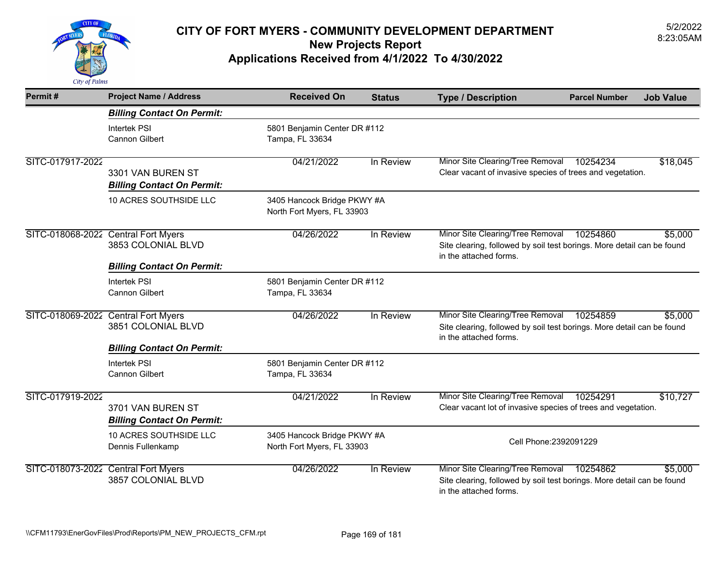

| Permit#                             | <b>Project Name / Address</b>                                                     | <b>Received On</b>                                        | <b>Status</b> | <b>Type / Description</b>                                                                                                            | <b>Parcel Number</b> | <b>Job Value</b> |
|-------------------------------------|-----------------------------------------------------------------------------------|-----------------------------------------------------------|---------------|--------------------------------------------------------------------------------------------------------------------------------------|----------------------|------------------|
|                                     | <b>Billing Contact On Permit:</b>                                                 |                                                           |               |                                                                                                                                      |                      |                  |
|                                     | <b>Intertek PSI</b><br><b>Cannon Gilbert</b>                                      | 5801 Benjamin Center DR #112<br>Tampa, FL 33634           |               |                                                                                                                                      |                      |                  |
| SITC-017917-2022                    | 3301 VAN BUREN ST<br><b>Billing Contact On Permit:</b>                            | 04/21/2022                                                | In Review     | Minor Site Clearing/Tree Removal<br>Clear vacant of invasive species of trees and vegetation.                                        | 10254234             | \$18,045         |
|                                     | 10 ACRES SOUTHSIDE LLC                                                            | 3405 Hancock Bridge PKWY #A<br>North Fort Myers, FL 33903 |               |                                                                                                                                      |                      |                  |
| SITC-018068-2022 Central Fort Myers | 3853 COLONIAL BLVD<br><b>Billing Contact On Permit:</b>                           | 04/26/2022                                                | In Review     | Minor Site Clearing/Tree Removal<br>Site clearing, followed by soil test borings. More detail can be found<br>in the attached forms. | 10254860             | \$5,000          |
|                                     | <b>Intertek PSI</b><br><b>Cannon Gilbert</b>                                      | 5801 Benjamin Center DR #112<br>Tampa, FL 33634           |               |                                                                                                                                      |                      |                  |
|                                     | SITC-018069-2022 Central Fort Myers<br>3851 COLONIAL BLVD                         | 04/26/2022                                                | In Review     | Minor Site Clearing/Tree Removal<br>Site clearing, followed by soil test borings. More detail can be found<br>in the attached forms. | 10254859             | \$5,000          |
|                                     | <b>Billing Contact On Permit:</b><br><b>Intertek PSI</b><br><b>Cannon Gilbert</b> | 5801 Benjamin Center DR #112<br>Tampa, FL 33634           |               |                                                                                                                                      |                      |                  |
| SITC-017919-2022                    | 3701 VAN BUREN ST<br><b>Billing Contact On Permit:</b>                            | 04/21/2022                                                | In Review     | Minor Site Clearing/Tree Removal<br>Clear vacant lot of invasive species of trees and vegetation.                                    | 10254291             | \$10,727         |
|                                     | 10 ACRES SOUTHSIDE LLC<br>Dennis Fullenkamp                                       | 3405 Hancock Bridge PKWY #A<br>North Fort Myers, FL 33903 |               | Cell Phone: 2392091229                                                                                                               |                      |                  |
|                                     | SITC-018073-2022 Central Fort Myers<br>3857 COLONIAL BLVD                         | 04/26/2022                                                | In Review     | Minor Site Clearing/Tree Removal<br>Site clearing, followed by soil test borings. More detail can be found<br>in the attached forms. | 10254862             | \$5,000          |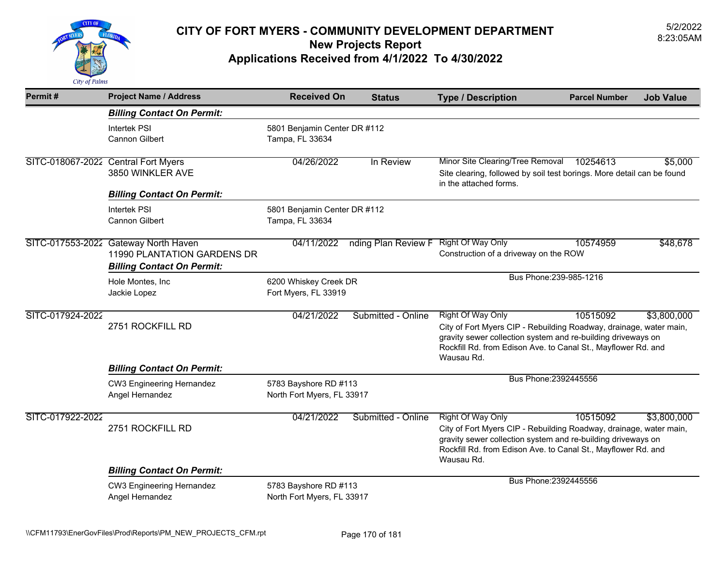

| Permit#                             | <b>Project Name / Address</b>                                                                            | <b>Received On</b>                                  | <b>Status</b>                         | <b>Type / Description</b>                                                                                                                                                                                                              | <b>Parcel Number</b>    | <b>Job Value</b> |
|-------------------------------------|----------------------------------------------------------------------------------------------------------|-----------------------------------------------------|---------------------------------------|----------------------------------------------------------------------------------------------------------------------------------------------------------------------------------------------------------------------------------------|-------------------------|------------------|
|                                     | <b>Billing Contact On Permit:</b>                                                                        |                                                     |                                       |                                                                                                                                                                                                                                        |                         |                  |
|                                     | <b>Intertek PSI</b><br>Cannon Gilbert                                                                    | 5801 Benjamin Center DR #112<br>Tampa, FL 33634     |                                       |                                                                                                                                                                                                                                        |                         |                  |
| SITC-018067-2022 Central Fort Myers | 3850 WINKLER AVE<br><b>Billing Contact On Permit:</b>                                                    | 04/26/2022                                          | In Review                             | Minor Site Clearing/Tree Removal<br>Site clearing, followed by soil test borings. More detail can be found<br>in the attached forms.                                                                                                   | 10254613                | \$5,000          |
|                                     | <b>Intertek PSI</b><br>Cannon Gilbert                                                                    | 5801 Benjamin Center DR #112<br>Tampa, FL 33634     |                                       |                                                                                                                                                                                                                                        |                         |                  |
|                                     | SITC-017553-2022 Gateway North Haven<br>11990 PLANTATION GARDENS DR<br><b>Billing Contact On Permit:</b> | 04/11/2022                                          | nding Plan Review F Right Of Way Only | Construction of a driveway on the ROW                                                                                                                                                                                                  | 10574959                | \$48,678         |
|                                     | Hole Montes, Inc<br>Jackie Lopez                                                                         | 6200 Whiskey Creek DR<br>Fort Myers, FL 33919       |                                       |                                                                                                                                                                                                                                        | Bus Phone: 239-985-1216 |                  |
| SITC-017924-2022                    | 2751 ROCKFILL RD                                                                                         | 04/21/2022                                          | Submitted - Online                    | Right Of Way Only<br>City of Fort Myers CIP - Rebuilding Roadway, drainage, water main,<br>gravity sewer collection system and re-building driveways on<br>Rockfill Rd. from Edison Ave. to Canal St., Mayflower Rd. and<br>Wausau Rd. | 10515092                | \$3,800,000      |
|                                     | <b>Billing Contact On Permit:</b>                                                                        |                                                     |                                       |                                                                                                                                                                                                                                        |                         |                  |
|                                     | <b>CW3 Engineering Hernandez</b><br>Angel Hernandez                                                      | 5783 Bayshore RD #113<br>North Fort Myers, FL 33917 |                                       | Bus Phone: 2392445556                                                                                                                                                                                                                  |                         |                  |
| SITC-017922-2022                    | 2751 ROCKFILL RD                                                                                         | 04/21/2022                                          | Submitted - Online                    | Right Of Way Only<br>City of Fort Myers CIP - Rebuilding Roadway, drainage, water main,<br>gravity sewer collection system and re-building driveways on<br>Rockfill Rd. from Edison Ave. to Canal St., Mayflower Rd. and<br>Wausau Rd. | 10515092                | \$3,800,000      |
|                                     | <b>Billing Contact On Permit:</b>                                                                        |                                                     |                                       |                                                                                                                                                                                                                                        |                         |                  |
|                                     | <b>CW3 Engineering Hernandez</b><br>Angel Hernandez                                                      | 5783 Bayshore RD #113<br>North Fort Myers, FL 33917 |                                       | Bus Phone: 2392445556                                                                                                                                                                                                                  |                         |                  |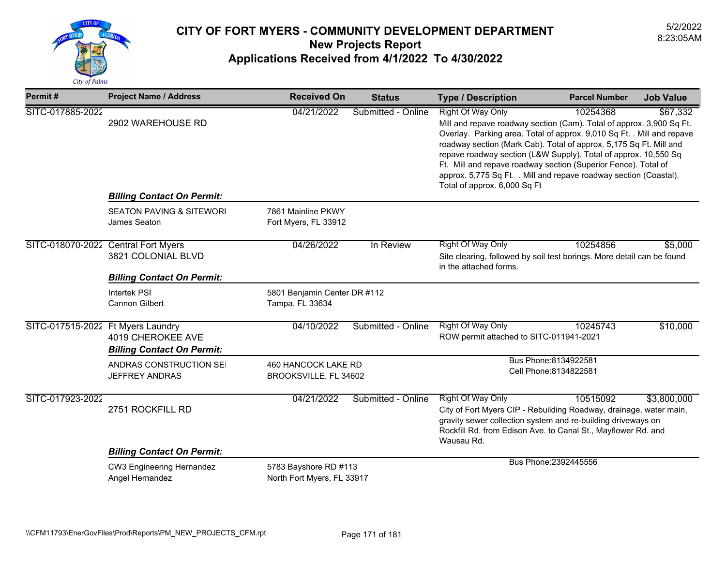

| Permit#                             | <b>Project Name / Address</b>                          | <b>Received On</b>                                  | <b>Status</b>      | <b>Type / Description</b>                                                                                                                                                                                                                                                                                                                                                                                                                                                                              | <b>Parcel Number</b>                            | <b>Job Value</b> |
|-------------------------------------|--------------------------------------------------------|-----------------------------------------------------|--------------------|--------------------------------------------------------------------------------------------------------------------------------------------------------------------------------------------------------------------------------------------------------------------------------------------------------------------------------------------------------------------------------------------------------------------------------------------------------------------------------------------------------|-------------------------------------------------|------------------|
| SITC-017885-2022                    | 2902 WAREHOUSE RD<br><b>Billing Contact On Permit:</b> | 04/21/2022                                          | Submitted - Online | <b>Right Of Way Only</b><br>10254368<br>Mill and repave roadway section (Cam). Total of approx. 3,900 Sq Ft.<br>Overlay. Parking area. Total of approx. 9,010 Sq Ft. . Mill and repave<br>roadway section (Mark Cab). Total of approx. 5,175 Sq Ft. Mill and<br>repave roadway section (L&W Supply). Total of approx. 10,550 Sq<br>Ft. Mill and repave roadway section (Superior Fence). Total of<br>approx. 5,775 Sq Ft. . Mill and repave roadway section (Coastal).<br>Total of approx. 6,000 Sq Ft |                                                 | \$67,332         |
|                                     | <b>SEATON PAVING &amp; SITEWORI</b><br>James Seaton    | 7861 Mainline PKWY<br>Fort Myers, FL 33912          |                    |                                                                                                                                                                                                                                                                                                                                                                                                                                                                                                        |                                                 |                  |
| SITC-018070-2022 Central Fort Myers | 3821 COLONIAL BLVD                                     | 04/26/2022                                          | In Review          | <b>Right Of Way Only</b><br>Site clearing, followed by soil test borings. More detail can be found<br>in the attached forms.                                                                                                                                                                                                                                                                                                                                                                           | 10254856                                        | \$5,000          |
|                                     | <b>Billing Contact On Permit:</b>                      |                                                     |                    |                                                                                                                                                                                                                                                                                                                                                                                                                                                                                                        |                                                 |                  |
|                                     | <b>Intertek PSI</b><br>Cannon Gilbert                  | 5801 Benjamin Center DR #112<br>Tampa, FL 33634     |                    |                                                                                                                                                                                                                                                                                                                                                                                                                                                                                                        |                                                 |                  |
| SITC-017515-2022 Ft Myers Laundry   | 4019 CHEROKEE AVE<br><b>Billing Contact On Permit:</b> | 04/10/2022                                          | Submitted - Online | Right Of Way Only<br>ROW permit attached to SITC-011941-2021                                                                                                                                                                                                                                                                                                                                                                                                                                           | 10245743                                        | \$10,000         |
|                                     | ANDRAS CONSTRUCTION SEI<br><b>JEFFREY ANDRAS</b>       | 460 HANCOCK LAKE RD<br>BROOKSVILLE, FL 34602        |                    |                                                                                                                                                                                                                                                                                                                                                                                                                                                                                                        | Bus Phone: 8134922581<br>Cell Phone: 8134822581 |                  |
| SITC-017923-2022                    | 2751 ROCKFILL RD                                       | 04/21/2022                                          | Submitted - Online | <b>Right Of Way Only</b><br>City of Fort Myers CIP - Rebuilding Roadway, drainage, water main,<br>gravity sewer collection system and re-building driveways on<br>Rockfill Rd. from Edison Ave. to Canal St., Mayflower Rd. and<br>Wausau Rd.                                                                                                                                                                                                                                                          | 10515092                                        | \$3,800,000      |
|                                     | <b>Billing Contact On Permit:</b>                      |                                                     |                    |                                                                                                                                                                                                                                                                                                                                                                                                                                                                                                        |                                                 |                  |
|                                     | CW3 Engineering Hernandez<br>Angel Hernandez           | 5783 Bayshore RD #113<br>North Fort Myers, FL 33917 |                    |                                                                                                                                                                                                                                                                                                                                                                                                                                                                                                        | Bus Phone: 2392445556                           |                  |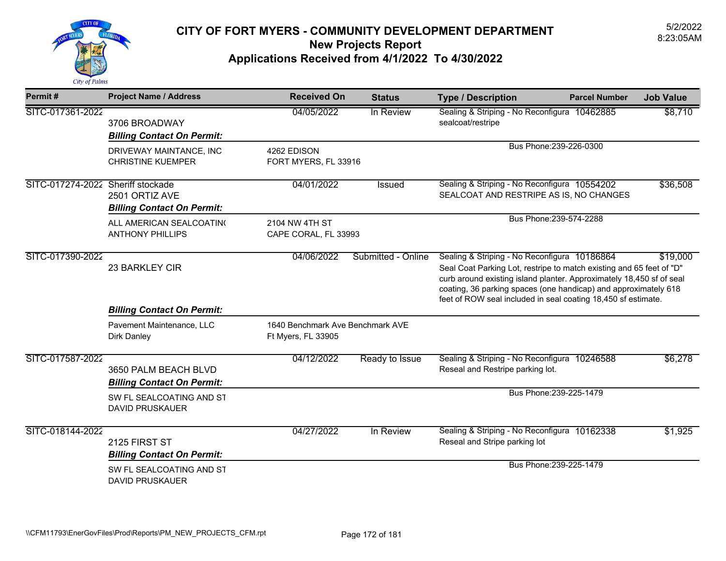

| Permit#                           | <b>Project Name / Address</b>                             | <b>Received On</b>                                     | <b>Status</b>      | <b>Type / Description</b>                                                                                                                                                                                                                                                                                                        | <b>Parcel Number</b>    | <b>Job Value</b> |
|-----------------------------------|-----------------------------------------------------------|--------------------------------------------------------|--------------------|----------------------------------------------------------------------------------------------------------------------------------------------------------------------------------------------------------------------------------------------------------------------------------------------------------------------------------|-------------------------|------------------|
| SITC-017361-2022                  | 3706 BROADWAY<br><b>Billing Contact On Permit:</b>        | 04/05/2022                                             | In Review          | Sealing & Striping - No Reconfigura 10462885<br>sealcoat/restripe                                                                                                                                                                                                                                                                |                         | \$8,710          |
|                                   | DRIVEWAY MAINTANCE, INC<br><b>CHRISTINE KUEMPER</b>       | 4262 EDISON<br>FORT MYERS, FL 33916                    |                    |                                                                                                                                                                                                                                                                                                                                  | Bus Phone: 239-226-0300 |                  |
| SITC-017274-2022 Sheriff stockade | 2501 ORTIZ AVE<br><b>Billing Contact On Permit:</b>       | 04/01/2022                                             | <b>Issued</b>      | Sealing & Striping - No Reconfigura 10554202<br>SEALCOAT AND RESTRIPE AS IS, NO CHANGES                                                                                                                                                                                                                                          |                         | \$36,508         |
|                                   | ALL AMERICAN SEALCOATING<br><b>ANTHONY PHILLIPS</b>       | 2104 NW 4TH ST<br>CAPE CORAL, FL 33993                 |                    |                                                                                                                                                                                                                                                                                                                                  | Bus Phone: 239-574-2288 |                  |
| SITC-017390-2022                  | 23 BARKLEY CIR                                            | 04/06/2022                                             | Submitted - Online | Sealing & Striping - No Reconfigura 10186864<br>Seal Coat Parking Lot, restripe to match existing and 65 feet of "D"<br>curb around existing island planter. Approximately 18,450 sf of seal<br>coating, 36 parking spaces (one handicap) and approximately 618<br>feet of ROW seal included in seal coating 18,450 sf estimate. |                         | \$19,000         |
|                                   | <b>Billing Contact On Permit:</b>                         |                                                        |                    |                                                                                                                                                                                                                                                                                                                                  |                         |                  |
|                                   | Pavement Maintenance, LLC<br><b>Dirk Danley</b>           | 1640 Benchmark Ave Benchmark AVE<br>Ft Myers, FL 33905 |                    |                                                                                                                                                                                                                                                                                                                                  |                         |                  |
| SITC-017587-2022                  | 3650 PALM BEACH BLVD<br><b>Billing Contact On Permit:</b> | 04/12/2022                                             | Ready to Issue     | Sealing & Striping - No Reconfigura 10246588<br>Reseal and Restripe parking lot.                                                                                                                                                                                                                                                 |                         | \$6,278          |
|                                   | SW FL SEALCOATING AND ST<br><b>DAVID PRUSKAUER</b>        |                                                        |                    |                                                                                                                                                                                                                                                                                                                                  | Bus Phone: 239-225-1479 |                  |
| SITC-018144-2022                  | 2125 FIRST ST<br><b>Billing Contact On Permit:</b>        | 04/27/2022                                             | In Review          | Sealing & Striping - No Reconfigura<br>Reseal and Stripe parking lot                                                                                                                                                                                                                                                             | 10162338                | \$1,925          |
|                                   | SW FL SEALCOATING AND ST<br><b>DAVID PRUSKAUER</b>        |                                                        |                    |                                                                                                                                                                                                                                                                                                                                  | Bus Phone: 239-225-1479 |                  |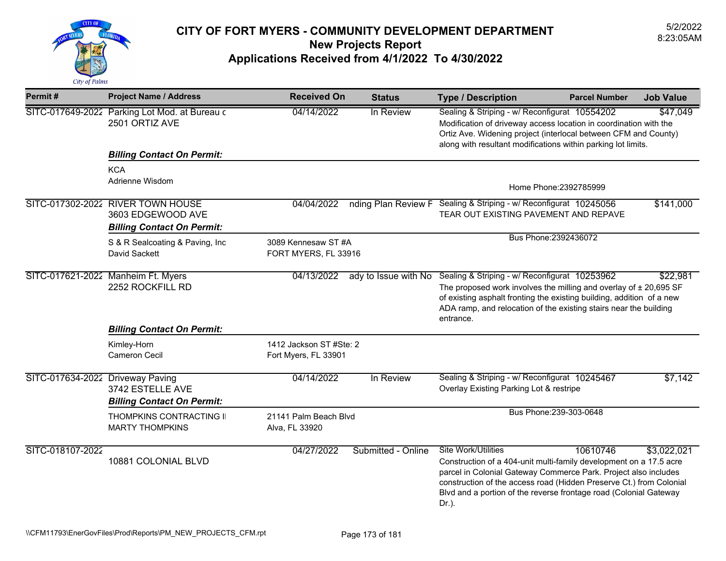

| Permit#                          | <b>Project Name / Address</b>                                   | <b>Received On</b>                              | <b>Status</b>      | <b>Type / Description</b>                                                                                                                                                                                                                                                                              | <b>Parcel Number</b>    | <b>Job Value</b> |
|----------------------------------|-----------------------------------------------------------------|-------------------------------------------------|--------------------|--------------------------------------------------------------------------------------------------------------------------------------------------------------------------------------------------------------------------------------------------------------------------------------------------------|-------------------------|------------------|
|                                  | SITC-017649-2022 Parking Lot Mod. at Bureau c<br>2501 ORTIZ AVE | 04/14/2022                                      | In Review          | Sealing & Striping - w/ Reconfigurat 10554202<br>Modification of driveway access location in coordination with the<br>Ortiz Ave. Widening project (interlocal between CFM and County)<br>along with resultant modifications within parking lot limits.                                                 |                         | \$47,049         |
|                                  | <b>Billing Contact On Permit:</b>                               |                                                 |                    |                                                                                                                                                                                                                                                                                                        |                         |                  |
|                                  | <b>KCA</b><br>Adrienne Wisdom                                   |                                                 |                    |                                                                                                                                                                                                                                                                                                        |                         |                  |
|                                  |                                                                 |                                                 |                    |                                                                                                                                                                                                                                                                                                        | Home Phone: 2392785999  |                  |
|                                  | SITC-017302-2022 RIVER TOWN HOUSE<br>3603 EDGEWOOD AVE          | 04/04/2022                                      |                    | nding Plan Review F Sealing & Striping - w/ Reconfigurat 10245056<br>TEAR OUT EXISTING PAVEMENT AND REPAVE                                                                                                                                                                                             |                         | \$141,000        |
|                                  | <b>Billing Contact On Permit:</b>                               |                                                 |                    |                                                                                                                                                                                                                                                                                                        |                         |                  |
|                                  | S & R Sealcoating & Paving, Inc<br>David Sackett                | 3089 Kennesaw ST #A<br>FORT MYERS, FL 33916     |                    | Bus Phone: 2392436072                                                                                                                                                                                                                                                                                  |                         |                  |
|                                  | SITC-017621-2022 Manheim Ft. Myers<br>2252 ROCKFILL RD          | 04/13/2022                                      |                    | ady to Issue with No Sealing & Striping - w/ Reconfigurat 10253962<br>The proposed work involves the milling and overlay of $\pm 20,695$ SF<br>of existing asphalt fronting the existing building, addition of a new<br>ADA ramp, and relocation of the existing stairs near the building<br>entrance. |                         | \$22,981         |
|                                  | <b>Billing Contact On Permit:</b>                               |                                                 |                    |                                                                                                                                                                                                                                                                                                        |                         |                  |
|                                  | Kimley-Horn<br>Cameron Cecil                                    | 1412 Jackson ST #Ste: 2<br>Fort Myers, FL 33901 |                    |                                                                                                                                                                                                                                                                                                        |                         |                  |
| SITC-017634-2022 Driveway Paving | 3742 ESTELLE AVE                                                | 04/14/2022                                      | In Review          | Sealing & Striping - w/ Reconfigurat 10245467<br>Overlay Existing Parking Lot & restripe                                                                                                                                                                                                               |                         | \$7,142          |
|                                  | <b>Billing Contact On Permit:</b>                               |                                                 |                    |                                                                                                                                                                                                                                                                                                        | Bus Phone: 239-303-0648 |                  |
|                                  | THOMPKINS CONTRACTING II<br><b>MARTY THOMPKINS</b>              | 21141 Palm Beach Blvd<br>Alva, FL 33920         |                    |                                                                                                                                                                                                                                                                                                        |                         |                  |
| SITC-018107-2022                 |                                                                 | 04/27/2022                                      | Submitted - Online | <b>Site Work/Utilities</b>                                                                                                                                                                                                                                                                             | 10610746                | \$3,022,021      |
|                                  | 10881 COLONIAL BLVD                                             |                                                 |                    | Construction of a 404-unit multi-family development on a 17.5 acre<br>parcel in Colonial Gateway Commerce Park. Project also includes<br>construction of the access road (Hidden Preserve Ct.) from Colonial<br>Blvd and a portion of the reverse frontage road (Colonial Gateway<br>Dr.).             |                         |                  |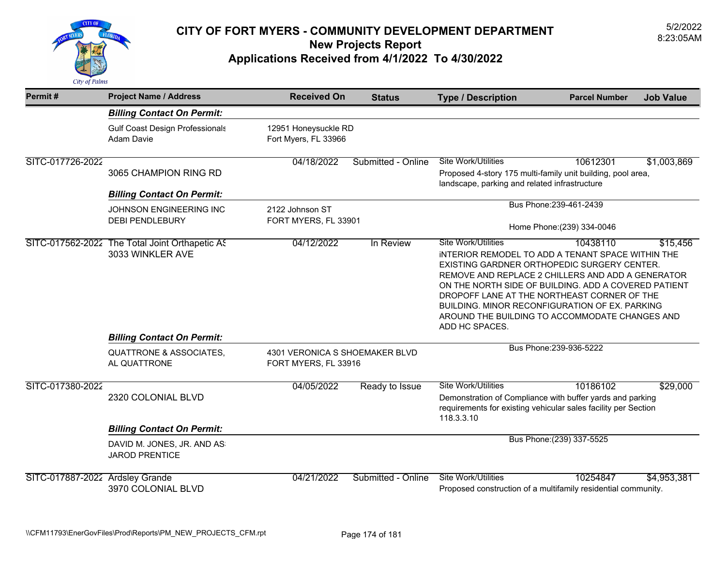

| Permit#                         | <b>Project Name / Address</b>                         | <b>Received On</b>                                     | <b>Status</b>      | <b>Type / Description</b>                                                                                                                                                                                                                                                                                                                                                          | <b>Parcel Number</b>      | <b>Job Value</b> |
|---------------------------------|-------------------------------------------------------|--------------------------------------------------------|--------------------|------------------------------------------------------------------------------------------------------------------------------------------------------------------------------------------------------------------------------------------------------------------------------------------------------------------------------------------------------------------------------------|---------------------------|------------------|
|                                 | <b>Billing Contact On Permit:</b>                     |                                                        |                    |                                                                                                                                                                                                                                                                                                                                                                                    |                           |                  |
|                                 | <b>Gulf Coast Design Professionals</b><br>Adam Davie  | 12951 Honeysuckle RD<br>Fort Myers, FL 33966           |                    |                                                                                                                                                                                                                                                                                                                                                                                    |                           |                  |
| SITC-017726-2022                |                                                       | 04/18/2022                                             | Submitted - Online | <b>Site Work/Utilities</b>                                                                                                                                                                                                                                                                                                                                                         | 10612301                  | \$1,003,869      |
|                                 | 3065 CHAMPION RING RD                                 |                                                        |                    | Proposed 4-story 175 multi-family unit building, pool area,<br>landscape, parking and related infrastructure                                                                                                                                                                                                                                                                       |                           |                  |
|                                 | <b>Billing Contact On Permit:</b>                     |                                                        |                    |                                                                                                                                                                                                                                                                                                                                                                                    |                           |                  |
|                                 | JOHNSON ENGINEERING INC                               | 2122 Johnson ST                                        |                    |                                                                                                                                                                                                                                                                                                                                                                                    | Bus Phone: 239-461-2439   |                  |
|                                 | <b>DEBI PENDLEBURY</b>                                | FORT MYERS, FL 33901                                   |                    | Home Phone: (239) 334-0046                                                                                                                                                                                                                                                                                                                                                         |                           |                  |
|                                 | SITC-017562-2022 The Total Joint Orthapetic AS        | 04/12/2022                                             | In Review          | <b>Site Work/Utilities</b>                                                                                                                                                                                                                                                                                                                                                         | 10438110                  | \$15,456         |
|                                 | 3033 WINKLER AVE<br><b>Billing Contact On Permit:</b> |                                                        |                    | INTERIOR REMODEL TO ADD A TENANT SPACE WITHIN THE<br>EXISTING GARDNER ORTHOPEDIC SURGERY CENTER.<br>REMOVE AND REPLACE 2 CHILLERS AND ADD A GENERATOR<br>ON THE NORTH SIDE OF BUILDING. ADD A COVERED PATIENT<br>DROPOFF LANE AT THE NORTHEAST CORNER OF THE<br>BUILDING. MINOR RECONFIGURATION OF EX. PARKING<br>AROUND THE BUILDING TO ACCOMMODATE CHANGES AND<br>ADD HC SPACES. |                           |                  |
|                                 | <b>QUATTRONE &amp; ASSOCIATES,</b><br>AL QUATTRONE    | 4301 VERONICA S SHOEMAKER BLVD<br>FORT MYERS, FL 33916 |                    |                                                                                                                                                                                                                                                                                                                                                                                    | Bus Phone: 239-936-5222   |                  |
| SITC-017380-2022                |                                                       | 04/05/2022                                             | Ready to Issue     | <b>Site Work/Utilities</b>                                                                                                                                                                                                                                                                                                                                                         | 10186102                  | \$29,000         |
|                                 | 2320 COLONIAL BLVD                                    |                                                        |                    | Demonstration of Compliance with buffer yards and parking<br>requirements for existing vehicular sales facility per Section<br>118.3.3.10                                                                                                                                                                                                                                          |                           |                  |
|                                 | <b>Billing Contact On Permit:</b>                     |                                                        |                    |                                                                                                                                                                                                                                                                                                                                                                                    |                           |                  |
|                                 | DAVID M. JONES, JR. AND AS<br><b>JAROD PRENTICE</b>   |                                                        |                    |                                                                                                                                                                                                                                                                                                                                                                                    | Bus Phone: (239) 337-5525 |                  |
| SITC-017887-2022 Ardsley Grande | 3970 COLONIAL BLVD                                    | 04/21/2022                                             | Submitted - Online | <b>Site Work/Utilities</b><br>Proposed construction of a multifamily residential community.                                                                                                                                                                                                                                                                                        | 10254847                  | \$4,953,381      |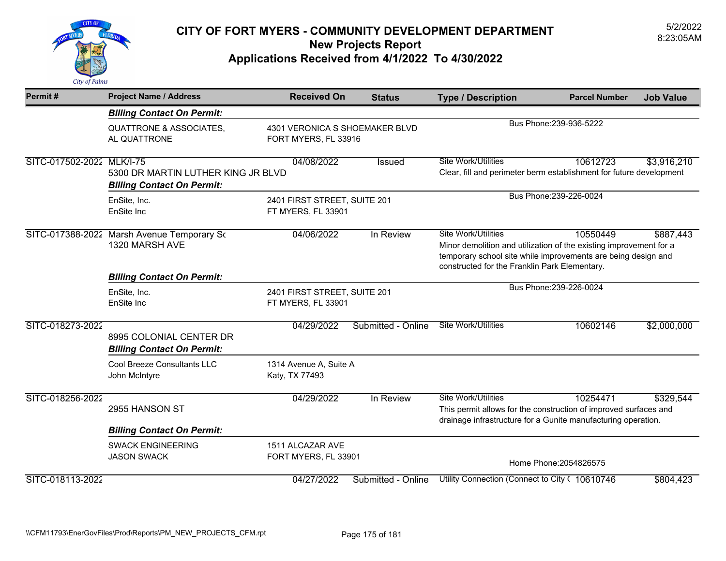

| Permit#                   | <b>Project Name / Address</b>                                           | <b>Received On</b>                                                                                                                                                                                                                                        | <b>Status</b>      | <b>Type / Description</b>                                                                                                                                       | <b>Parcel Number</b>    | <b>Job Value</b> |
|---------------------------|-------------------------------------------------------------------------|-----------------------------------------------------------------------------------------------------------------------------------------------------------------------------------------------------------------------------------------------------------|--------------------|-----------------------------------------------------------------------------------------------------------------------------------------------------------------|-------------------------|------------------|
|                           | <b>Billing Contact On Permit:</b>                                       |                                                                                                                                                                                                                                                           |                    |                                                                                                                                                                 |                         |                  |
|                           | <b>QUATTRONE &amp; ASSOCIATES,</b><br>AL QUATTRONE                      | 4301 VERONICA S SHOEMAKER BLVD<br>FORT MYERS, FL 33916                                                                                                                                                                                                    |                    | Bus Phone: 239-936-5222                                                                                                                                         |                         |                  |
| SITC-017502-2022 MLK/I-75 | 5300 DR MARTIN LUTHER KING JR BLVD<br><b>Billing Contact On Permit:</b> | 04/08/2022                                                                                                                                                                                                                                                | Issued             | <b>Site Work/Utilities</b><br>Clear, fill and perimeter berm establishment for future development                                                               | 10612723                | \$3,916,210      |
|                           | EnSite, Inc.<br>EnSite Inc                                              | 2401 FIRST STREET, SUITE 201<br>FT MYERS, FL 33901                                                                                                                                                                                                        |                    | Bus Phone: 239-226-0024                                                                                                                                         |                         |                  |
|                           | SITC-017388-2022 Marsh Avenue Temporary So<br>1320 MARSH AVE            | 04/06/2022<br>In Review<br><b>Site Work/Utilities</b><br>10550449<br>Minor demolition and utilization of the existing improvement for a<br>temporary school site while improvements are being design and<br>constructed for the Franklin Park Elementary. |                    |                                                                                                                                                                 |                         | \$887,443        |
|                           | <b>Billing Contact On Permit:</b>                                       |                                                                                                                                                                                                                                                           |                    |                                                                                                                                                                 | Bus Phone: 239-226-0024 |                  |
|                           | EnSite, Inc.<br>EnSite Inc                                              | 2401 FIRST STREET, SUITE 201<br>FT MYERS, FL 33901                                                                                                                                                                                                        |                    |                                                                                                                                                                 |                         |                  |
| SITC-018273-2022          | 8995 COLONIAL CENTER DR<br><b>Billing Contact On Permit:</b>            | 04/29/2022                                                                                                                                                                                                                                                | Submitted - Online | <b>Site Work/Utilities</b>                                                                                                                                      | 10602146                | \$2,000,000      |
|                           | Cool Breeze Consultants LLC<br>John McIntyre                            | 1314 Avenue A, Suite A<br>Katy, TX 77493                                                                                                                                                                                                                  |                    |                                                                                                                                                                 |                         |                  |
| SITC-018256-2022          | 2955 HANSON ST                                                          | 04/29/2022                                                                                                                                                                                                                                                | In Review          | <b>Site Work/Utilities</b><br>This permit allows for the construction of improved surfaces and<br>drainage infrastructure for a Gunite manufacturing operation. | 10254471                | \$329,544        |
|                           | <b>Billing Contact On Permit:</b>                                       |                                                                                                                                                                                                                                                           |                    |                                                                                                                                                                 |                         |                  |
|                           | <b>SWACK ENGINEERING</b><br><b>JASON SWACK</b>                          | 1511 ALCAZAR AVE<br>FORT MYERS, FL 33901                                                                                                                                                                                                                  |                    |                                                                                                                                                                 | Home Phone: 2054826575  |                  |
| SITC-018113-2022          |                                                                         | 04/27/2022                                                                                                                                                                                                                                                | Submitted - Online | Utility Connection (Connect to City ( 10610746                                                                                                                  |                         | \$804,423        |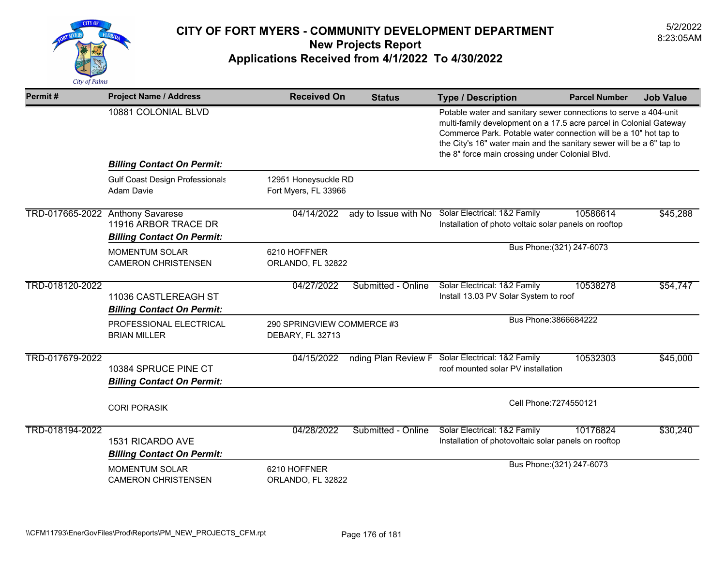

| Permit#                          | <b>Project Name / Address</b>                               | <b>Received On</b>                             | <b>Status</b>        | <b>Type / Description</b>                                                                                                                                                                                                                                                                                                             | <b>Parcel Number</b>      | <b>Job Value</b> |
|----------------------------------|-------------------------------------------------------------|------------------------------------------------|----------------------|---------------------------------------------------------------------------------------------------------------------------------------------------------------------------------------------------------------------------------------------------------------------------------------------------------------------------------------|---------------------------|------------------|
|                                  | 10881 COLONIAL BLVD                                         |                                                |                      | Potable water and sanitary sewer connections to serve a 404-unit<br>multi-family development on a 17.5 acre parcel in Colonial Gateway<br>Commerce Park. Potable water connection will be a 10" hot tap to<br>the City's 16" water main and the sanitary sewer will be a 6" tap to<br>the 8" force main crossing under Colonial Blvd. |                           |                  |
|                                  | <b>Billing Contact On Permit:</b>                           |                                                |                      |                                                                                                                                                                                                                                                                                                                                       |                           |                  |
|                                  | <b>Gulf Coast Design Professionals</b><br><b>Adam Davie</b> | 12951 Honeysuckle RD<br>Fort Myers, FL 33966   |                      |                                                                                                                                                                                                                                                                                                                                       |                           |                  |
| TRD-017665-2022 Anthony Savarese | 11916 ARBOR TRACE DR<br><b>Billing Contact On Permit:</b>   | 04/14/2022                                     | ady to Issue with No | Solar Electrical: 1&2 Family<br>Installation of photo voltaic solar panels on rooftop                                                                                                                                                                                                                                                 | 10586614                  | \$45,288         |
|                                  | <b>MOMENTUM SOLAR</b><br><b>CAMERON CHRISTENSEN</b>         | 6210 HOFFNER<br>ORLANDO, FL 32822              |                      |                                                                                                                                                                                                                                                                                                                                       | Bus Phone: (321) 247-6073 |                  |
| TRD-018120-2022                  | 11036 CASTLEREAGH ST<br><b>Billing Contact On Permit:</b>   | 04/27/2022                                     | Submitted - Online   | Solar Electrical: 1&2 Family<br>Install 13.03 PV Solar System to roof                                                                                                                                                                                                                                                                 | 10538278                  | \$54,747         |
|                                  | PROFESSIONAL ELECTRICAL<br><b>BRIAN MILLER</b>              | 290 SPRINGVIEW COMMERCE #3<br>DEBARY, FL 32713 |                      | Bus Phone: 3866684222                                                                                                                                                                                                                                                                                                                 |                           |                  |
| TRD-017679-2022                  | 10384 SPRUCE PINE CT<br><b>Billing Contact On Permit:</b>   | 04/15/2022                                     | nding Plan Review F  | Solar Electrical: 1&2 Family<br>roof mounted solar PV installation                                                                                                                                                                                                                                                                    | 10532303                  | \$45,000         |
|                                  | <b>CORI PORASIK</b>                                         |                                                |                      | Cell Phone: 7274550121                                                                                                                                                                                                                                                                                                                |                           |                  |
| TRD-018194-2022                  | 1531 RICARDO AVE<br><b>Billing Contact On Permit:</b>       | 04/28/2022                                     | Submitted - Online   | Solar Electrical: 1&2 Family<br>Installation of photovoltaic solar panels on rooftop                                                                                                                                                                                                                                                  | 10176824                  | \$30,240         |
|                                  | <b>MOMENTUM SOLAR</b><br><b>CAMERON CHRISTENSEN</b>         | 6210 HOFFNER<br>ORLANDO, FL 32822              |                      |                                                                                                                                                                                                                                                                                                                                       | Bus Phone: (321) 247-6073 |                  |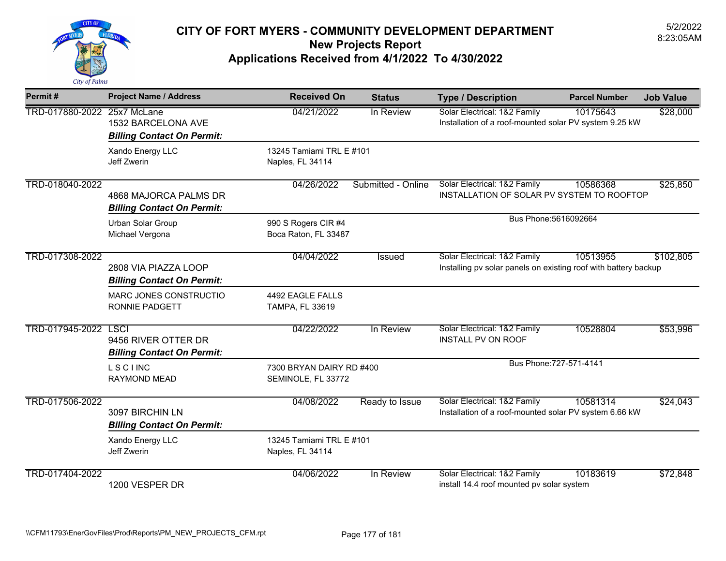

| Permit#                     | <b>Project Name / Address</b>                              | <b>Received On</b>                             | <b>Status</b>      | <b>Type / Description</b>                                                                       | <b>Parcel Number</b>    | <b>Job Value</b> |
|-----------------------------|------------------------------------------------------------|------------------------------------------------|--------------------|-------------------------------------------------------------------------------------------------|-------------------------|------------------|
| TRD-017880-2022 25x7 McLane | 1532 BARCELONA AVE<br><b>Billing Contact On Permit:</b>    | 04/21/2022                                     | In Review          | Solar Electrical: 1&2 Family<br>Installation of a roof-mounted solar PV system 9.25 kW          | 10175643                | \$28,000         |
|                             | Xando Energy LLC<br>Jeff Zwerin                            | 13245 Tamiami TRL E #101<br>Naples, FL 34114   |                    |                                                                                                 |                         |                  |
| TRD-018040-2022             | 4868 MAJORCA PALMS DR<br><b>Billing Contact On Permit:</b> | 04/26/2022                                     | Submitted - Online | Solar Electrical: 1&2 Family<br>INSTALLATION OF SOLAR PV SYSTEM TO ROOFTOP                      | 10586368                | \$25,850         |
|                             | Urban Solar Group<br>Michael Vergona                       | 990 S Rogers CIR #4<br>Boca Raton, FL 33487    |                    | Bus Phone: 5616092664                                                                           |                         |                  |
| TRD-017308-2022             | 2808 VIA PIAZZA LOOP<br><b>Billing Contact On Permit:</b>  | 04/04/2022                                     | <b>Issued</b>      | Solar Electrical: 1&2 Family<br>Installing pv solar panels on existing roof with battery backup | 10513955                | \$102,805        |
|                             | MARC JONES CONSTRUCTIO<br>RONNIE PADGETT                   | 4492 EAGLE FALLS<br>TAMPA, FL 33619            |                    |                                                                                                 |                         |                  |
| TRD-017945-2022 LSCI        | 9456 RIVER OTTER DR<br><b>Billing Contact On Permit:</b>   | 04/22/2022                                     | In Review          | Solar Electrical: 1&2 Family<br>INSTALL PV ON ROOF                                              | 10528804                | \$53,996         |
|                             | <b>LSCIINC</b><br><b>RAYMOND MEAD</b>                      | 7300 BRYAN DAIRY RD #400<br>SEMINOLE, FL 33772 |                    |                                                                                                 | Bus Phone: 727-571-4141 |                  |
| TRD-017506-2022             | 3097 BIRCHIN LN<br><b>Billing Contact On Permit:</b>       | 04/08/2022                                     | Ready to Issue     | Solar Electrical: 1&2 Family<br>Installation of a roof-mounted solar PV system 6.66 kW          | 10581314                | \$24,043         |
|                             | Xando Energy LLC<br>Jeff Zwerin                            | 13245 Tamiami TRL E #101<br>Naples, FL 34114   |                    |                                                                                                 |                         |                  |
| TRD-017404-2022             | 1200 VESPER DR                                             | 04/06/2022                                     | In Review          | Solar Electrical: 1&2 Family<br>install 14.4 roof mounted pv solar system                       | 10183619                | \$72,848         |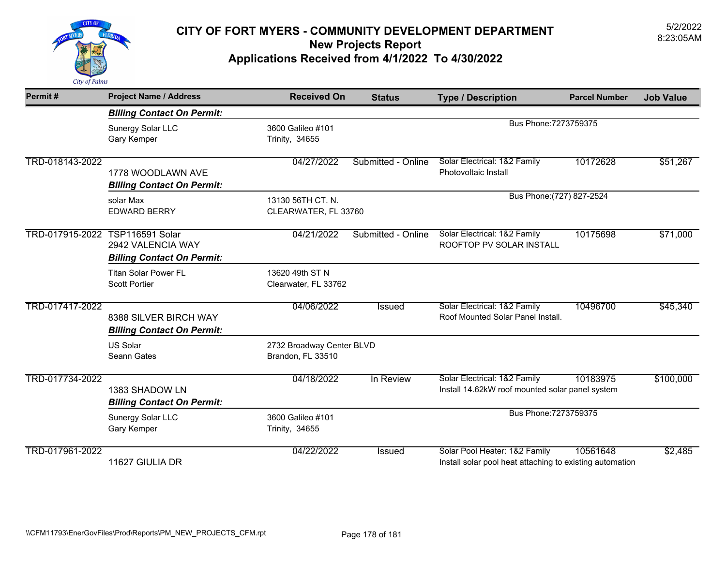

| Permit#         | <b>Project Name / Address</b>     | <b>Received On</b>        | <b>Status</b>      | <b>Type / Description</b>                                | <b>Parcel Number</b> | <b>Job Value</b> |
|-----------------|-----------------------------------|---------------------------|--------------------|----------------------------------------------------------|----------------------|------------------|
|                 | <b>Billing Contact On Permit:</b> |                           |                    |                                                          |                      |                  |
|                 | Sunergy Solar LLC                 | 3600 Galileo #101         |                    | Bus Phone: 7273759375                                    |                      |                  |
|                 | Gary Kemper                       | Trinity, 34655            |                    |                                                          |                      |                  |
| TRD-018143-2022 |                                   | 04/27/2022                | Submitted - Online | Solar Electrical: 1&2 Family                             | 10172628             | \$51,267         |
|                 | 1778 WOODLAWN AVE                 |                           |                    | Photovoltaic Install                                     |                      |                  |
|                 | <b>Billing Contact On Permit:</b> |                           |                    |                                                          |                      |                  |
|                 | solar Max                         | 13130 56TH CT. N.         |                    | Bus Phone: (727) 827-2524                                |                      |                  |
|                 | <b>EDWARD BERRY</b>               | CLEARWATER, FL 33760      |                    |                                                          |                      |                  |
| TRD-017915-2022 | TSP116591 Solar                   | 04/21/2022                | Submitted - Online | Solar Electrical: 1&2 Family                             | 10175698             | \$71,000         |
|                 | 2942 VALENCIA WAY                 |                           |                    | ROOFTOP PV SOLAR INSTALL                                 |                      |                  |
|                 | <b>Billing Contact On Permit:</b> |                           |                    |                                                          |                      |                  |
|                 | <b>Titan Solar Power FL</b>       | 13620 49th ST N           |                    |                                                          |                      |                  |
|                 | <b>Scott Portier</b>              |                           |                    |                                                          |                      |                  |
|                 |                                   | Clearwater, FL 33762      |                    |                                                          |                      |                  |
| TRD-017417-2022 |                                   | 04/06/2022                | <b>Issued</b>      | Solar Electrical: 1&2 Family                             | 10496700             | \$45,340         |
|                 | 8388 SILVER BIRCH WAY             |                           |                    | Roof Mounted Solar Panel Install.                        |                      |                  |
|                 | <b>Billing Contact On Permit:</b> |                           |                    |                                                          |                      |                  |
|                 | <b>US Solar</b>                   | 2732 Broadway Center BLVD |                    |                                                          |                      |                  |
|                 | Seann Gates                       | Brandon, FL 33510         |                    |                                                          |                      |                  |
| TRD-017734-2022 |                                   | 04/18/2022                | In Review          | Solar Electrical: 1&2 Family                             | 10183975             | \$100,000        |
|                 | 1383 SHADOW LN                    |                           |                    | Install 14.62kW roof mounted solar panel system          |                      |                  |
|                 | <b>Billing Contact On Permit:</b> |                           |                    |                                                          |                      |                  |
|                 | Sunergy Solar LLC                 | 3600 Galileo #101         |                    | Bus Phone: 7273759375                                    |                      |                  |
|                 | Gary Kemper                       | Trinity, 34655            |                    |                                                          |                      |                  |
| TRD-017961-2022 |                                   | 04/22/2022                | Issued             | Solar Pool Heater: 1&2 Family                            | 10561648             | \$2,485          |
|                 | 11627 GIULIA DR                   |                           |                    | Install solar pool heat attaching to existing automation |                      |                  |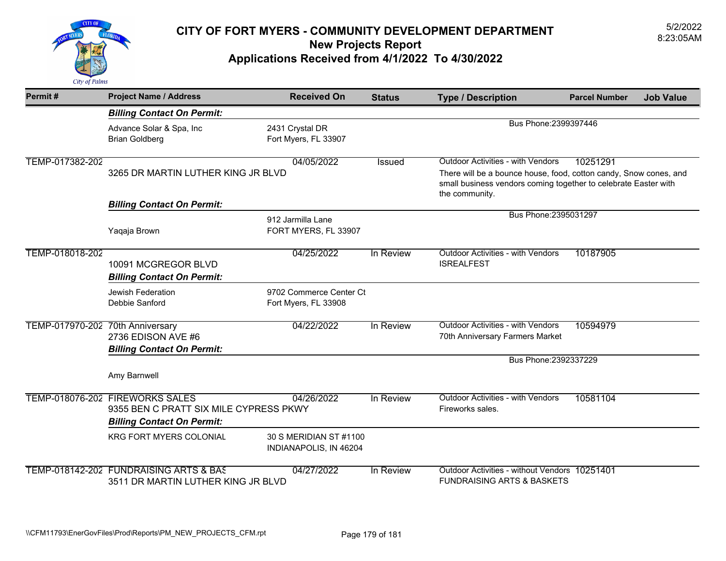

| Permit#                          | <b>Project Name / Address</b>                                                                                  | <b>Received On</b>                               | <b>Status</b> | <b>Type / Description</b>                                                                                                                                                                          | <b>Parcel Number</b><br><b>Job Value</b> |  |
|----------------------------------|----------------------------------------------------------------------------------------------------------------|--------------------------------------------------|---------------|----------------------------------------------------------------------------------------------------------------------------------------------------------------------------------------------------|------------------------------------------|--|
|                                  | <b>Billing Contact On Permit:</b>                                                                              |                                                  |               |                                                                                                                                                                                                    |                                          |  |
|                                  | Advance Solar & Spa, Inc<br><b>Brian Goldberg</b>                                                              | 2431 Crystal DR<br>Fort Myers, FL 33907          |               | Bus Phone: 2399397446                                                                                                                                                                              |                                          |  |
| TEMP-017382-202                  | 3265 DR MARTIN LUTHER KING JR BLVD                                                                             | 04/05/2022                                       | <b>Issued</b> | <b>Outdoor Activities - with Vendors</b><br>There will be a bounce house, food, cotton candy, Snow cones, and<br>small business vendors coming together to celebrate Easter with<br>the community. | 10251291                                 |  |
|                                  | <b>Billing Contact On Permit:</b>                                                                              |                                                  |               |                                                                                                                                                                                                    |                                          |  |
|                                  | Yaqaja Brown                                                                                                   | 912 Jarmilla Lane<br>FORT MYERS, FL 33907        |               | Bus Phone: 2395031297                                                                                                                                                                              |                                          |  |
| TEMP-018018-202                  | 10091 MCGREGOR BLVD<br><b>Billing Contact On Permit:</b>                                                       | 04/25/2022                                       | In Review     | <b>Outdoor Activities - with Vendors</b><br><b>ISREALFEST</b>                                                                                                                                      | 10187905                                 |  |
|                                  | Jewish Federation<br>Debbie Sanford                                                                            | 9702 Commerce Center Ct<br>Fort Myers, FL 33908  |               |                                                                                                                                                                                                    |                                          |  |
| TEMP-017970-202 70th Anniversary | 2736 EDISON AVE #6<br><b>Billing Contact On Permit:</b>                                                        | 04/22/2022                                       | In Review     | <b>Outdoor Activities - with Vendors</b><br>70th Anniversary Farmers Market                                                                                                                        | 10594979                                 |  |
|                                  |                                                                                                                |                                                  |               | Bus Phone: 2392337229                                                                                                                                                                              |                                          |  |
|                                  | Amy Barnwell                                                                                                   |                                                  |               |                                                                                                                                                                                                    |                                          |  |
|                                  | TEMP-018076-202 FIREWORKS SALES<br>9355 BEN C PRATT SIX MILE CYPRESS PKWY<br><b>Billing Contact On Permit:</b> | 04/26/2022                                       | In Review     | <b>Outdoor Activities - with Vendors</b><br>Fireworks sales.                                                                                                                                       | 10581104                                 |  |
|                                  | <b>KRG FORT MYERS COLONIAL</b>                                                                                 | 30 S MERIDIAN ST #1100<br>INDIANAPOLIS, IN 46204 |               |                                                                                                                                                                                                    |                                          |  |
|                                  | TEMP-018142-202 FUNDRAISING ARTS & BAS<br>3511 DR MARTIN LUTHER KING JR BLVD                                   | 04/27/2022                                       | In Review     | Outdoor Activities - without Vendors 10251401<br><b>FUNDRAISING ARTS &amp; BASKETS</b>                                                                                                             |                                          |  |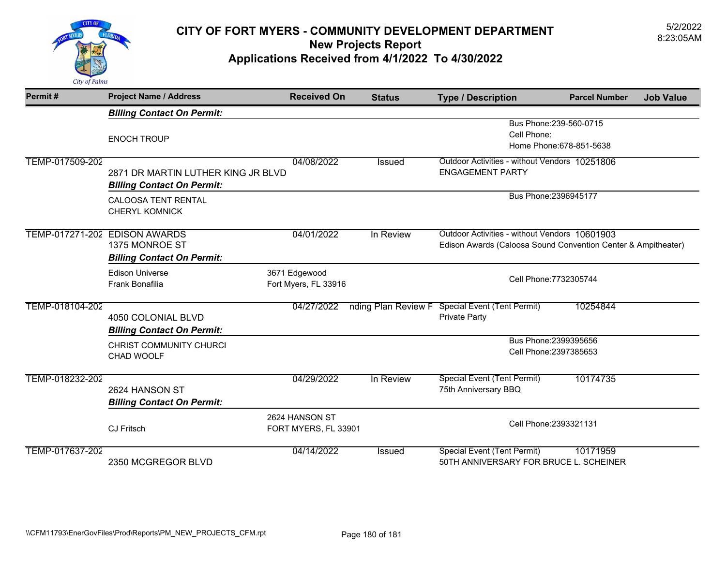

| Permit#         | <b>Project Name / Address</b>                   | <b>Received On</b>   | <b>Status</b> | <b>Type / Description</b>                                                                                      | <b>Parcel Number</b>     | <b>Job Value</b> |
|-----------------|-------------------------------------------------|----------------------|---------------|----------------------------------------------------------------------------------------------------------------|--------------------------|------------------|
|                 | <b>Billing Contact On Permit:</b>               |                      |               |                                                                                                                |                          |                  |
|                 |                                                 |                      |               |                                                                                                                | Bus Phone: 239-560-0715  |                  |
|                 | <b>ENOCH TROUP</b>                              |                      |               | Cell Phone:                                                                                                    |                          |                  |
|                 |                                                 |                      |               |                                                                                                                | Home Phone: 678-851-5638 |                  |
| TEMP-017509-202 |                                                 | 04/08/2022           | <b>Issued</b> | Outdoor Activities - without Vendors 10251806                                                                  |                          |                  |
|                 | 2871 DR MARTIN LUTHER KING JR BLVD              |                      |               | <b>ENGAGEMENT PARTY</b>                                                                                        |                          |                  |
|                 | <b>Billing Contact On Permit:</b>               |                      |               |                                                                                                                |                          |                  |
|                 | <b>CALOOSA TENT RENTAL</b>                      |                      |               |                                                                                                                | Bus Phone: 2396945177    |                  |
|                 | <b>CHERYL KOMNICK</b>                           |                      |               |                                                                                                                |                          |                  |
|                 |                                                 |                      |               |                                                                                                                |                          |                  |
|                 | TEMP-017271-202 EDISON AWARDS<br>1375 MONROE ST | 04/01/2022           | In Review     | Outdoor Activities - without Vendors 10601903<br>Edison Awards (Caloosa Sound Convention Center & Ampitheater) |                          |                  |
|                 |                                                 |                      |               |                                                                                                                |                          |                  |
|                 | <b>Billing Contact On Permit:</b>               |                      |               |                                                                                                                |                          |                  |
|                 | <b>Edison Universe</b>                          | 3671 Edgewood        |               | Cell Phone: 7732305744                                                                                         |                          |                  |
|                 | Frank Bonafilia                                 | Fort Myers, FL 33916 |               |                                                                                                                |                          |                  |
| TEMP-018104-202 |                                                 | 04/27/2022           |               | nding Plan Review F Special Event (Tent Permit)                                                                | 10254844                 |                  |
|                 | 4050 COLONIAL BLVD                              |                      |               | Private Party                                                                                                  |                          |                  |
|                 | <b>Billing Contact On Permit:</b>               |                      |               |                                                                                                                |                          |                  |
|                 | CHRIST COMMUNITY CHURCI                         |                      |               |                                                                                                                | Bus Phone: 2399395656    |                  |
|                 | CHAD WOOLF                                      |                      |               |                                                                                                                | Cell Phone: 2397385653   |                  |
|                 |                                                 |                      |               |                                                                                                                |                          |                  |
| TEMP-018232-202 |                                                 | 04/29/2022           | In Review     | <b>Special Event (Tent Permit)</b>                                                                             | 10174735                 |                  |
|                 | 2624 HANSON ST                                  |                      |               | 75th Anniversary BBQ                                                                                           |                          |                  |
|                 | <b>Billing Contact On Permit:</b>               |                      |               |                                                                                                                |                          |                  |
|                 |                                                 | 2624 HANSON ST       |               |                                                                                                                |                          |                  |
|                 | <b>CJ Fritsch</b>                               | FORT MYERS, FL 33901 |               | Cell Phone: 2393321131                                                                                         |                          |                  |
| TEMP-017637-202 |                                                 | 04/14/2022           | Issued        | <b>Special Event (Tent Permit)</b>                                                                             | 10171959                 |                  |
|                 | 2350 MCGREGOR BLVD                              |                      |               | 50TH ANNIVERSARY FOR BRUCE L. SCHEINER                                                                         |                          |                  |